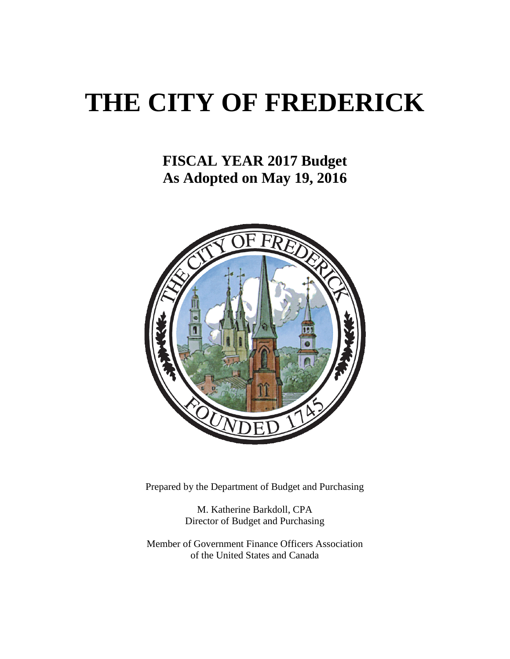# **THE CITY OF FREDERICK**

**FISCAL YEAR 2017 Budget As Adopted on May 19, 2016**



Prepared by the Department of Budget and Purchasing

M. Katherine Barkdoll, CPA Director of Budget and Purchasing

Member of Government Finance Officers Association of the United States and Canada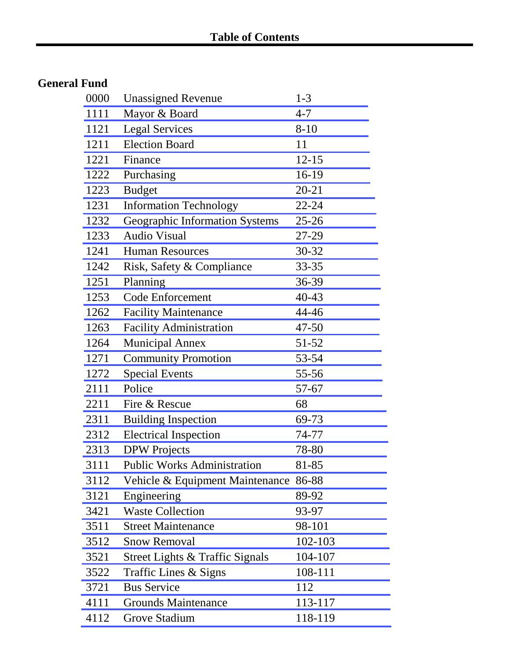## **General Fund**

| 0000 | <b>Unassigned Revenue</b>             | $1 - 3$   |
|------|---------------------------------------|-----------|
| 1111 | Mayor & Board                         | $4 - 7$   |
| 1121 | <b>Legal Services</b>                 | $8 - 10$  |
| 1211 | <b>Election Board</b>                 | 11        |
| 1221 | Finance                               | $12 - 15$ |
| 1222 | Purchasing                            | 16-19     |
| 1223 | <b>Budget</b>                         | $20 - 21$ |
| 1231 | <b>Information Technology</b>         | $22 - 24$ |
| 1232 | <b>Geographic Information Systems</b> | $25 - 26$ |
| 1233 | <b>Audio Visual</b>                   | 27-29     |
| 1241 | <b>Human Resources</b>                | $30 - 32$ |
| 1242 | Risk, Safety & Compliance             | $33 - 35$ |
| 1251 | Planning                              | 36-39     |
| 1253 | Code Enforcement                      | $40 - 43$ |
| 1262 | <b>Facility Maintenance</b>           | 44-46     |
| 1263 | <b>Facility Administration</b>        | $47 - 50$ |
| 1264 | <b>Municipal Annex</b>                | 51-52     |
| 1271 | <b>Community Promotion</b>            | 53-54     |
| 1272 | <b>Special Events</b>                 | 55-56     |
| 2111 | Police                                | 57-67     |
| 2211 | Fire & Rescue                         | 68        |
| 2311 | <b>Building Inspection</b>            | 69-73     |
| 2312 | <b>Electrical Inspection</b>          | 74-77     |
| 2313 | <b>DPW</b> Projects                   | 78-80     |
| 3111 | <b>Public Works Administration</b>    | 81-85     |
| 3112 | Vehicle & Equipment Maintenance       | 86-88     |
| 3121 | Engineering                           | 89-92     |
| 3421 | <b>Waste Collection</b>               | 93-97     |
| 3511 | <b>Street Maintenance</b>             | 98-101    |
| 3512 | <b>Snow Removal</b>                   | 102-103   |
| 3521 | Street Lights & Traffic Signals       | 104-107   |
| 3522 | Traffic Lines & Signs                 | 108-111   |
| 3721 | <b>Bus Service</b>                    | 112       |
| 4111 | <b>Grounds Maintenance</b>            | 113-117   |
| 4112 | Grove Stadium                         | 118-119   |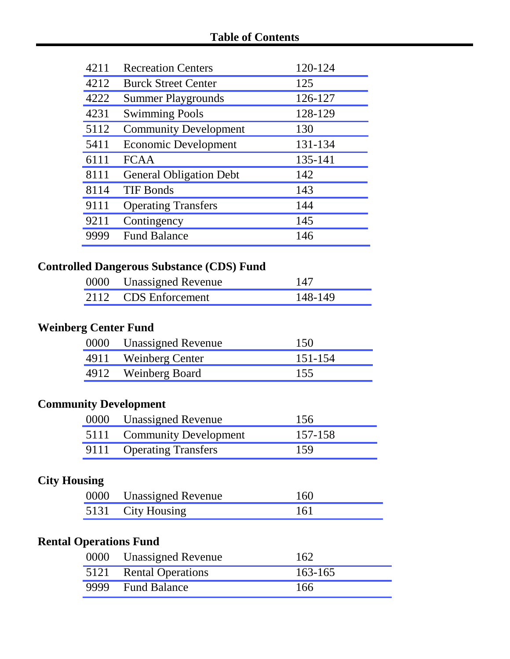| 4211                          | <b>Recreation Centers</b>                        | 120-124 |  |  |  |  |
|-------------------------------|--------------------------------------------------|---------|--|--|--|--|
| 4212                          | <b>Burck Street Center</b>                       | 125     |  |  |  |  |
| 4222                          | <b>Summer Playgrounds</b>                        | 126-127 |  |  |  |  |
| 4231                          | <b>Swimming Pools</b>                            | 128-129 |  |  |  |  |
| 5112                          | <b>Community Development</b>                     | 130     |  |  |  |  |
| 5411                          | <b>Economic Development</b>                      | 131-134 |  |  |  |  |
| 6111                          | <b>FCAA</b>                                      | 135-141 |  |  |  |  |
| 8111                          | <b>General Obligation Debt</b>                   | 142     |  |  |  |  |
| 8114                          | <b>TIF Bonds</b>                                 | 143     |  |  |  |  |
| 9111                          | <b>Operating Transfers</b>                       | 144     |  |  |  |  |
| 9211                          | Contingency                                      | 145     |  |  |  |  |
| 9999                          | <b>Fund Balance</b>                              | 146     |  |  |  |  |
|                               | <b>Controlled Dangerous Substance (CDS) Fund</b> |         |  |  |  |  |
| 0000                          | <b>Unassigned Revenue</b>                        | 147     |  |  |  |  |
| 2112                          | <b>CDS</b> Enforcement                           | 148-149 |  |  |  |  |
| <b>Weinberg Center Fund</b>   |                                                  |         |  |  |  |  |
| 0000                          | <b>Unassigned Revenue</b>                        | 150     |  |  |  |  |
| 4911                          | <b>Weinberg Center</b>                           | 151-154 |  |  |  |  |
| 4912                          | <b>Weinberg Board</b>                            | 155     |  |  |  |  |
|                               |                                                  |         |  |  |  |  |
| <b>Community Development</b>  |                                                  |         |  |  |  |  |
| 0000                          | <b>Unassigned Revenue</b>                        | 156     |  |  |  |  |
| 5111                          | <b>Community Development</b>                     | 157-158 |  |  |  |  |
| 9111                          | <b>Operating Transfers</b>                       | 159     |  |  |  |  |
| <b>City Housing</b>           |                                                  |         |  |  |  |  |
| 0000                          | <b>Unassigned Revenue</b>                        | 160     |  |  |  |  |
| 5131                          | <b>City Housing</b>                              | 161     |  |  |  |  |
| <b>Rental Operations Fund</b> |                                                  |         |  |  |  |  |
| 0000                          | <b>Unassigned Revenue</b>                        | 162     |  |  |  |  |
| 5121                          | <b>Rental Operations</b>                         | 163-165 |  |  |  |  |
| 9999                          | <b>Fund Balance</b>                              | 166     |  |  |  |  |
|                               |                                                  |         |  |  |  |  |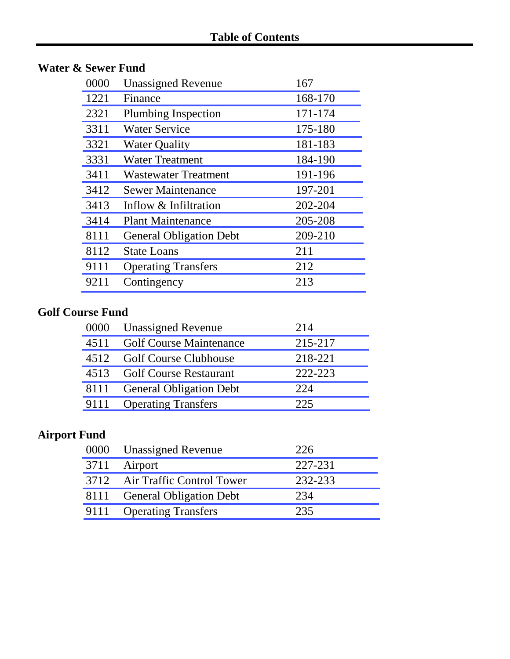### **Water & Sewer Fund**

| 0000 | <b>Unassigned Revenue</b>      | 167     |
|------|--------------------------------|---------|
| 1221 | Finance                        | 168-170 |
| 2321 | Plumbing Inspection            | 171-174 |
| 3311 | <b>Water Service</b>           | 175-180 |
| 3321 | <b>Water Quality</b>           | 181-183 |
| 3331 | Water Treatment                | 184-190 |
| 3411 | <b>Wastewater Treatment</b>    | 191-196 |
| 3412 | <b>Sewer Maintenance</b>       | 197-201 |
| 3413 | Inflow & Infiltration          | 202-204 |
| 3414 | <b>Plant Maintenance</b>       | 205-208 |
| 8111 | <b>General Obligation Debt</b> | 209-210 |
| 8112 | <b>State Loans</b>             | 211     |
| 9111 | <b>Operating Transfers</b>     | 212     |
| 9211 | Contingency                    | 213     |

### **Golf Course Fund**

|      | 0000 Unassigned Revenue        | 214     |
|------|--------------------------------|---------|
|      | 4511 Golf Course Maintenance   | 215-217 |
|      | 4512 Golf Course Clubhouse     | 218-221 |
|      | 4513 Golf Course Restaurant    | 222-223 |
| 8111 | <b>General Obligation Debt</b> | 224     |
| 9111 | <b>Operating Transfers</b>     | 225     |
|      |                                |         |
|      |                                |         |

# **Airport Fund**

| 0000 Unassigned Revenue        | 226     |
|--------------------------------|---------|
| 3711 Airport                   | 227-231 |
| 3712 Air Traffic Control Tower | 232-233 |
| 8111 General Obligation Debt   | 234     |
| 9111 Operating Transfers       | 235     |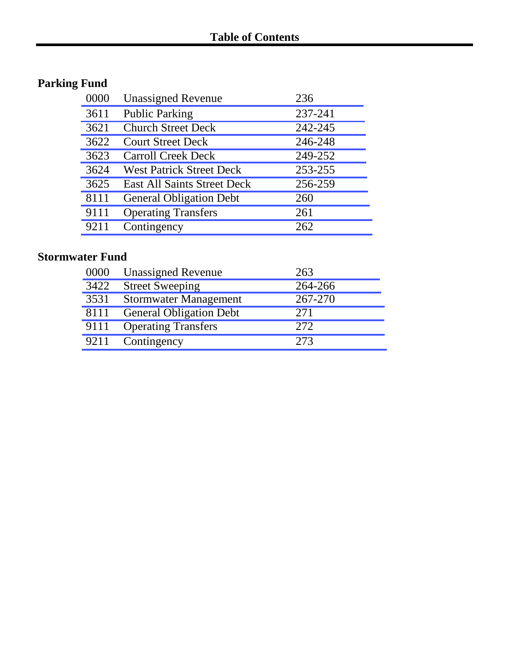# **Parking Fund**

| 0000 | <b>Unassigned Revenue</b>          | 236     |
|------|------------------------------------|---------|
| 3611 | <b>Public Parking</b>              | 237-241 |
| 3621 | <b>Church Street Deck</b>          | 242-245 |
| 3622 | <b>Court Street Deck</b>           | 246-248 |
| 3623 | <b>Carroll Creek Deck</b>          | 249-252 |
| 3624 | <b>West Patrick Street Deck</b>    | 253-255 |
| 3625 | <b>East All Saints Street Deck</b> | 256-259 |
| 8111 | <b>General Obligation Debt</b>     | 260     |
| 9111 | <b>Operating Transfers</b>         | 261     |
| 9211 | Contingency                        | 262     |

### **Stormwater Fund**

| 0000 | <b>Unassigned Revenue</b>      | 263     |
|------|--------------------------------|---------|
| 3422 | <b>Street Sweeping</b>         | 264-266 |
| 3531 | <b>Stormwater Management</b>   | 267-270 |
| 8111 | <b>General Obligation Debt</b> | 271     |
| 9111 | <b>Operating Transfers</b>     | 272     |
| 9211 | Contingency                    | 273     |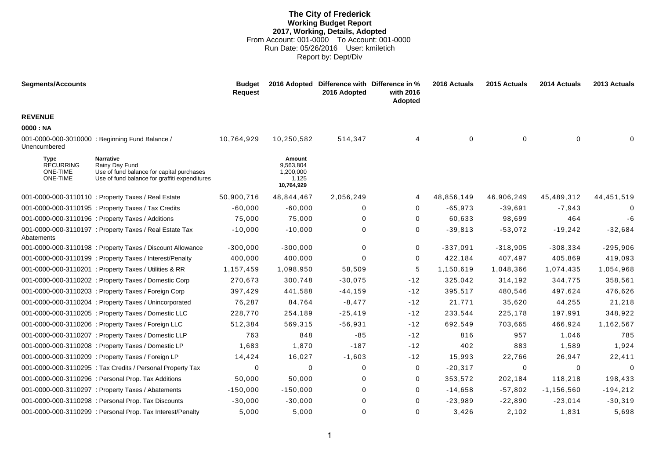#### **The City of Frederick Working Budget Report 2017, Working, Details, Adopted** From Account: 001-0000 To Account: 001-0000 Run Date: 05/26/2016 User: kmiletich Report by: Dept/Div

<span id="page-5-0"></span>

| <b>Segments/Accounts</b>                                              |                                                                                                                           | <b>Budget</b><br><b>Request</b> |                                                         | 2016 Adopted Difference with Difference in %<br>2016 Adopted | with 2016<br>Adopted | 2016 Actuals | 2015 Actuals | 2014 Actuals   | 2013 Actuals |
|-----------------------------------------------------------------------|---------------------------------------------------------------------------------------------------------------------------|---------------------------------|---------------------------------------------------------|--------------------------------------------------------------|----------------------|--------------|--------------|----------------|--------------|
| <b>REVENUE</b>                                                        |                                                                                                                           |                                 |                                                         |                                                              |                      |              |              |                |              |
| 0000: NA                                                              |                                                                                                                           |                                 |                                                         |                                                              |                      |              |              |                |              |
| Unencumbered                                                          | 001-0000-000-3010000 : Beginning Fund Balance /                                                                           | 10,764,929                      | 10,250,582                                              | 514,347                                                      | 4                    | 0            | 0            | $\mathbf 0$    | 0            |
| <b>Type</b><br><b>RECURRING</b><br><b>ONE-TIME</b><br><b>ONE-TIME</b> | Narrative<br>Rainy Day Fund<br>Use of fund balance for capital purchases<br>Use of fund balance for graffiti expenditures |                                 | Amount<br>9,563,804<br>1,200,000<br>1,125<br>10,764,929 |                                                              |                      |              |              |                |              |
|                                                                       | 001-0000-000-3110110 : Property Taxes / Real Estate                                                                       | 50,900,716                      | 48,844,467                                              | 2,056,249                                                    | 4                    | 48,856,149   | 46,906,249   | 45,489,312     | 44,451,519   |
|                                                                       | 001-0000-000-3110195 : Property Taxes / Tax Credits                                                                       | $-60,000$                       | $-60,000$                                               | $\Omega$                                                     | 0                    | $-65,973$    | $-39,691$    | $-7,943$       | 0            |
|                                                                       | 001-0000-000-3110196 : Property Taxes / Additions                                                                         | 75,000                          | 75,000                                                  | $\Omega$                                                     | 0                    | 60,633       | 98,699       | 464            | $-6$         |
| Abatements                                                            | 001-0000-000-3110197 : Property Taxes / Real Estate Tax                                                                   | $-10,000$                       | $-10,000$                                               | 0                                                            | 0                    | $-39,813$    | $-53,072$    | $-19,242$      | $-32,684$    |
|                                                                       | 001-0000-000-3110198 : Property Taxes / Discount Allowance                                                                | $-300,000$                      | $-300,000$                                              | $\Omega$                                                     | 0                    | $-337,091$   | $-318,905$   | $-308,334$     | $-295,906$   |
|                                                                       | 001-0000-000-3110199 : Property Taxes / Interest/Penalty                                                                  | 400,000                         | 400,000                                                 | $\Omega$                                                     | $\mathbf 0$          | 422,184      | 407,497      | 405,869        | 419,093      |
|                                                                       | 001-0000-000-3110201 : Property Taxes / Utilities & RR                                                                    | 1,157,459                       | 1,098,950                                               | 58,509                                                       | 5                    | 1,150,619    | 1,048,366    | 1,074,435      | 1,054,968    |
|                                                                       | 001-0000-000-3110202 : Property Taxes / Domestic Corp                                                                     | 270,673                         | 300,748                                                 | $-30,075$                                                    | $-12$                | 325,042      | 314,192      | 344,775        | 358,561      |
|                                                                       | 001-0000-000-3110203 : Property Taxes / Foreign Corp                                                                      | 397,429                         | 441,588                                                 | $-44, 159$                                                   | $-12$                | 395,517      | 480,546      | 497,624        | 476,626      |
|                                                                       | 001-0000-000-3110204 : Property Taxes / Unincorporated                                                                    | 76,287                          | 84,764                                                  | $-8,477$                                                     | $-12$                | 21,771       | 35,620       | 44,255         | 21,218       |
|                                                                       | 001-0000-000-3110205 : Property Taxes / Domestic LLC                                                                      | 228,770                         | 254,189                                                 | $-25,419$                                                    | $-12$                | 233,544      | 225,178      | 197,991        | 348,922      |
|                                                                       | 001-0000-000-3110206 : Property Taxes / Foreign LLC                                                                       | 512,384                         | 569,315                                                 | $-56,931$                                                    | $-12$                | 692,549      | 703,665      | 466,924        | 1,162,567    |
|                                                                       | 001-0000-000-3110207 : Property Taxes / Domestic LLP                                                                      | 763                             | 848                                                     | $-85$                                                        | $-12$                | 816          | 957          | 1,046          | 785          |
|                                                                       | 001-0000-000-3110208 : Property Taxes / Domestic LP                                                                       | 1,683                           | 1,870                                                   | $-187$                                                       | $-12$                | 402          | 883          | 1,589          | 1,924        |
|                                                                       | 001-0000-000-3110209 : Property Taxes / Foreign LP                                                                        | 14,424                          | 16,027                                                  | $-1,603$                                                     | $-12$                | 15,993       | 22,766       | 26,947         | 22,411       |
|                                                                       | 001-0000-000-3110295 : Tax Credits / Personal Property Tax                                                                | 0                               | $\mathbf 0$                                             | 0                                                            | 0                    | $-20,317$    | 0            | $\mathbf 0$    | $\mathbf 0$  |
|                                                                       | 001-0000-000-3110296 : Personal Prop. Tax Additions                                                                       | 50,000                          | 50,000                                                  | 0                                                            | 0                    | 353,572      | 202,184      | 118,218        | 198,433      |
|                                                                       | 001-0000-000-3110297 : Property Taxes / Abatements                                                                        | $-150,000$                      | $-150,000$                                              | 0                                                            | 0                    | $-14,658$    | $-57,802$    | $-1, 156, 560$ | $-194,212$   |
|                                                                       | 001-0000-000-3110298 : Personal Prop. Tax Discounts                                                                       | $-30,000$                       | $-30,000$                                               | $\Omega$                                                     | 0                    | $-23,989$    | $-22,890$    | $-23,014$      | $-30,319$    |
|                                                                       | 001-0000-000-3110299 : Personal Prop. Tax Interest/Penalty                                                                | 5,000                           | 5,000                                                   | $\Omega$                                                     | $\Omega$             | 3,426        | 2,102        | 1,831          | 5,698        |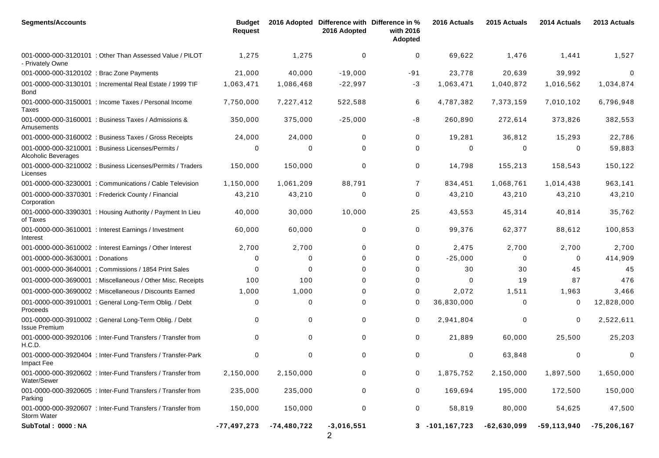| <b>Segments/Accounts</b>                  |                                                             | <b>Budget</b><br><b>Request</b> |               | 2016 Adopted Difference with Difference in %<br>2016 Adopted | with 2016<br>Adopted | 2016 Actuals        | 2015 Actuals  | 2014 Actuals  | 2013 Actuals    |
|-------------------------------------------|-------------------------------------------------------------|---------------------------------|---------------|--------------------------------------------------------------|----------------------|---------------------|---------------|---------------|-----------------|
| - Privately Owne                          | 001-0000-000-3120101 : Other Than Assessed Value / PILOT    | 1,275                           | 1,275         | 0                                                            | 0                    | 69,622              | 1,476         | 1,441         | 1,527           |
| 001-0000-000-3120102 : Brac Zone Payments |                                                             | 21,000                          | 40,000        | $-19,000$                                                    | $-91$                | 23,778              | 20,639        | 39,992        | $\mathbf 0$     |
| Bond                                      | 001-0000-000-3130101 : Incremental Real Estate / 1999 TIF   | 1,063,471                       | 1,086,468     | $-22,997$                                                    | $-3$                 | 1,063,471           | 1,040,872     | 1,016,562     | 1,034,874       |
| Taxes                                     | 001-0000-000-3150001 : Income Taxes / Personal Income       | 7,750,000                       | 7,227,412     | 522,588                                                      | 6                    | 4,787,382           | 7,373,159     | 7,010,102     | 6,796,948       |
| Amusements                                | 001-0000-000-3160001 : Business Taxes / Admissions &        | 350,000                         | 375,000       | $-25,000$                                                    | $-8$                 | 260,890             | 272,614       | 373,826       | 382,553         |
|                                           | 001-0000-000-3160002 : Business Taxes / Gross Receipts      | 24,000                          | 24,000        | $\Omega$                                                     | 0                    | 19,281              | 36,812        | 15,293        | 22,786          |
| Alcoholic Beverages                       | 001-0000-000-3210001 : Business Licenses/Permits /          | ∩                               | 0             | $\Omega$                                                     | 0                    | $\Omega$            | 0             | 0             | 59,883          |
| Licenses                                  | 001-0000-000-3210002 : Business Licenses/Permits / Traders  | 150,000                         | 150,000       | 0                                                            | 0                    | 14,798              | 155,213       | 158,543       | 150,122         |
|                                           | 001-0000-000-3230001 : Communications / Cable Television    | 1,150,000                       | 1,061,209     | 88,791                                                       | $\overline{7}$       | 834,451             | 1,068,761     | 1,014,438     | 963,141         |
| Corporation                               | 001-0000-000-3370301 : Frederick County / Financial         | 43,210                          | 43,210        | 0                                                            | 0                    | 43,210              | 43,210        | 43,210        | 43,210          |
| of Taxes                                  | 001-0000-000-3390301 : Housing Authority / Payment In Lieu  | 40,000                          | 30,000        | 10,000                                                       | 25                   | 43,553              | 45,314        | 40,814        | 35,762          |
| Interest                                  | 001-0000-000-3610001 : Interest Earnings / Investment       | 60,000                          | 60,000        | 0                                                            | 0                    | 99,376              | 62,377        | 88,612        | 100,853         |
|                                           | 001-0000-000-3610002 : Interest Earnings / Other Interest   | 2,700                           | 2,700         | $\Omega$                                                     | 0                    | 2,475               | 2,700         | 2,700         | 2,700           |
| 001-0000-000-3630001 : Donations          |                                                             | 0                               | 0             | $\Omega$                                                     | 0                    | $-25,000$           | 0             | $\mathbf 0$   | 414,909         |
|                                           | 001-0000-000-3640001 : Commissions / 1854 Print Sales       | $\Omega$                        | 0             | $\Omega$                                                     | 0                    | 30                  | 30            | 45            | 45              |
|                                           | 001-0000-000-3690001 : Miscellaneous / Other Misc. Receipts | 100                             | 100           | 0                                                            | 0                    | $\Omega$            | 19            | 87            | 476             |
|                                           | 001-0000-000-3690002 : Miscellaneous / Discounts Earned     | 1,000                           | 1,000         | 0                                                            | 0                    | 2,072               | 1,511         | 1,963         | 3,466           |
| Proceeds                                  | 001-0000-000-3910001 : General Long-Term Oblig. / Debt      | 0                               | 0             | $\Omega$                                                     | 0                    | 36,830,000          | 0             | 0             | 12,828,000      |
| <b>Issue Premium</b>                      | 001-0000-000-3910002 : General Long-Term Oblig. / Debt      | $\Omega$                        | $\mathbf 0$   | $\mathbf 0$                                                  | 0                    | 2,941,804           | 0             | $\mathbf 0$   | 2,522,611       |
| H.C.D.                                    | 001-0000-000-3920106 : Inter-Fund Transfers / Transfer from | $\Omega$                        | 0             | 0                                                            | 0                    | 21,889              | 60,000        | 25,500        | 25,203          |
| Impact Fee                                | 001-0000-000-3920404 : Inter-Fund Transfers / Transfer-Park | 0                               | 0             | $\mathbf{0}$                                                 | 0                    | 0                   | 63,848        | 0             | 0               |
| Water/Sewer                               | 001-0000-000-3920602 : Inter-Fund Transfers / Transfer from | 2,150,000                       | 2,150,000     | 0                                                            | 0                    | 1,875,752           | 2,150,000     | 1,897,500     | 1,650,000       |
| Parking                                   | 001-0000-000-3920605 : Inter-Fund Transfers / Transfer from | 235,000                         | 235,000       | 0                                                            | 0                    | 169,694             | 195,000       | 172,500       | 150,000         |
| Storm Water                               | 001-0000-000-3920607 : Inter-Fund Transfers / Transfer from | 150,000                         | 150,000       | 0                                                            | 0                    | 58,819              | 80,000        | 54,625        | 47,500          |
| SubTotal: 0000: NA                        |                                                             | $-77,497,273$                   | $-74,480,722$ | $-3,016,551$                                                 |                      | $3 - 101, 167, 723$ | $-62,630,099$ | $-59,113,940$ | $-75, 206, 167$ |

2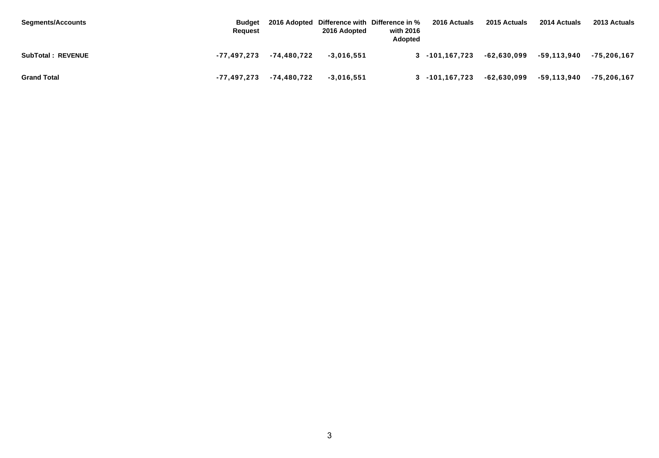| <b>Segments/Accounts</b> | <b>Budget</b><br>Reauest |             | 2016 Adopted | 2016 Adopted Difference with Difference in %<br>with 2016<br><b>Adopted</b> | 2016 Actuals   | 2015 Actuals  | 2014 Actuals  | 2013 Actuals |
|--------------------------|--------------------------|-------------|--------------|-----------------------------------------------------------------------------|----------------|---------------|---------------|--------------|
| <b>SubTotal: REVENUE</b> | -77.497.273              | -74.480.722 | $-3.016.551$ |                                                                             | 3 -101,167,723 | $-62.630.099$ | -59.113.940   | -75.206.167  |
| <b>Grand Total</b>       | -77.497.273              | -74.480.722 | $-3.016.551$ |                                                                             | 3 -101,167,723 | $-62,630,099$ | $-59,113,940$ | -75,206,167  |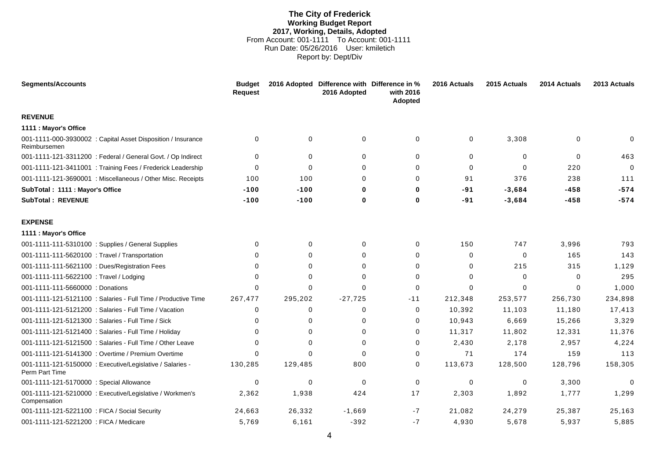#### **The City of Frederick Working Budget Report 2017, Working, Details, Adopted** From Account: 001-1111 To Account: 001-1111 Run Date: 05/26/2016 User: kmiletich Report by: Dept/Div

<span id="page-8-0"></span>

| <b>Segments/Accounts</b>                                                     | <b>Budget</b><br><b>Request</b> |              | 2016 Adopted Difference with Difference in %<br>2016 Adopted | with 2016<br>Adopted | 2016 Actuals | 2015 Actuals | 2014 Actuals | 2013 Actuals |
|------------------------------------------------------------------------------|---------------------------------|--------------|--------------------------------------------------------------|----------------------|--------------|--------------|--------------|--------------|
| <b>REVENUE</b>                                                               |                                 |              |                                                              |                      |              |              |              |              |
| 1111 : Mayor's Office                                                        |                                 |              |                                                              |                      |              |              |              |              |
| 001-1111-000-3930002 : Capital Asset Disposition / Insurance<br>Reimbursemen | $\Omega$                        | $\mathbf{0}$ | 0                                                            | 0                    | $\mathbf 0$  | 3,308        | $\Omega$     | 0            |
| 001-1111-121-3311200 : Federal / General Govt. / Op Indirect                 | 0                               | 0            | 0                                                            | $\mathbf 0$          | 0            | 0            | $\Omega$     | 463          |
| 001-1111-121-3411001 : Training Fees / Frederick Leadership                  | $\Omega$                        | $\Omega$     | $\Omega$                                                     | $\Omega$             | $\Omega$     | $\Omega$     | 220          | $\Omega$     |
| 001-1111-121-3690001 : Miscellaneous / Other Misc. Receipts                  | 100                             | 100          | $\Omega$                                                     | $\Omega$             | 91           | 376          | 238          | 111          |
| SubTotal: 1111: Mayor's Office                                               | $-100$                          | $-100$       | 0                                                            | 0                    | $-91$        | $-3,684$     | $-458$       | $-574$       |
| <b>SubTotal: REVENUE</b>                                                     | $-100$                          | $-100$       | 0                                                            | 0                    | $-91$        | $-3,684$     | $-458$       | $-574$       |
| <b>EXPENSE</b>                                                               |                                 |              |                                                              |                      |              |              |              |              |
| 1111 : Mayor's Office                                                        |                                 |              |                                                              |                      |              |              |              |              |
| 001-1111-111-5310100 : Supplies / General Supplies                           | $\Omega$                        | 0            | $\Omega$                                                     | 0                    | 150          | 747          | 3,996        | 793          |
| 001-1111-111-5620100 : Travel / Transportation                               | 0                               | 0            | 0                                                            | 0                    | 0            | 0            | 165          | 143          |
| 001-1111-111-5621100 : Dues/Registration Fees                                | 0                               | 0            | $\Omega$                                                     | $\Omega$             | 0            | 215          | 315          | 1,129        |
| 001-1111-111-5622100 : Travel / Lodging                                      | $\Omega$                        | 0            | $\Omega$                                                     | 0                    | $\Omega$     | 0            | $\Omega$     | 295          |
| 001-1111-111-5660000 : Donations                                             | $\Omega$                        | $\Omega$     | $\Omega$                                                     | $\Omega$             | $\Omega$     | $\Omega$     | $\Omega$     | 1,000        |
| 001-1111-121-5121100 : Salaries - Full Time / Productive Time                | 267,477                         | 295,202      | $-27,725$                                                    | $-11$                | 212,348      | 253,577      | 256,730      | 234,898      |
| 001-1111-121-5121200 : Salaries - Full Time / Vacation                       | 0                               | 0            | 0                                                            | 0                    | 10,392       | 11,103       | 11,180       | 17,413       |
| 001-1111-121-5121300 : Salaries - Full Time / Sick                           | 0                               | 0            | 0                                                            | 0                    | 10,943       | 6,669        | 15,266       | 3,329        |
| 001-1111-121-5121400 : Salaries - Full Time / Holiday                        | O                               | 0            | $\Omega$                                                     | 0                    | 11,317       | 11,802       | 12,331       | 11,376       |
| 001-1111-121-5121500 : Salaries - Full Time / Other Leave                    | $\Omega$                        | $\Omega$     | $\Omega$                                                     | 0                    | 2,430        | 2,178        | 2,957        | 4,224        |
| 001-1111-121-5141300 : Overtime / Premium Overtime                           | O                               | $\Omega$     | $\Omega$                                                     | $\Omega$             | 71           | 174          | 159          | 113          |
| 001-1111-121-5150000 : Executive/Legislative / Salaries -<br>Perm Part Time  | 130,285                         | 129,485      | 800                                                          | 0                    | 113,673      | 128,500      | 128,796      | 158,305      |
| 001-1111-121-5170000 : Special Allowance                                     | 0                               | 0            | $\Omega$                                                     | $\mathbf 0$          | $\mathbf 0$  | $\mathbf 0$  | 3,300        | $\Omega$     |
| 001-1111-121-5210000 : Executive/Legislative / Workmen's<br>Compensation     | 2,362                           | 1,938        | 424                                                          | 17                   | 2,303        | 1,892        | 1,777        | 1,299        |
| 001-1111-121-5221100 : FICA / Social Security                                | 24,663                          | 26,332       | $-1,669$                                                     | $-7$                 | 21,082       | 24,279       | 25,387       | 25,163       |
| 001-1111-121-5221200 : FICA / Medicare                                       | 5,769                           | 6,161        | $-392$                                                       | $-7$                 | 4,930        | 5,678        | 5,937        | 5,885        |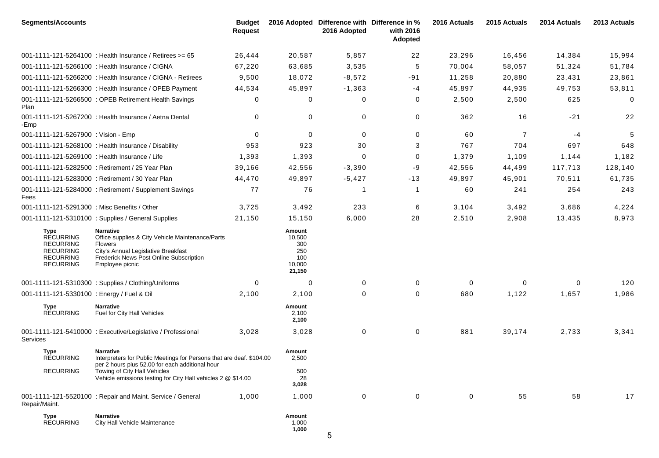| <b>Segments/Accounts</b>                                                                                 |                                                                                                                                                                                             | <b>Budget</b><br><b>Request</b> |                                                           | 2016 Adopted Difference with Difference in %<br>2016 Adopted | with 2016<br>Adopted | 2016 Actuals | 2015 Actuals   | 2014 Actuals | 2013 Actuals |
|----------------------------------------------------------------------------------------------------------|---------------------------------------------------------------------------------------------------------------------------------------------------------------------------------------------|---------------------------------|-----------------------------------------------------------|--------------------------------------------------------------|----------------------|--------------|----------------|--------------|--------------|
|                                                                                                          | 001-1111-121-5264100 : Health Insurance / Retirees >= 65                                                                                                                                    | 26,444                          | 20,587                                                    | 5,857                                                        | 22                   | 23,296       | 16,456         | 14,384       | 15,994       |
|                                                                                                          | 001-1111-121-5266100 : Health Insurance / CIGNA                                                                                                                                             | 67,220                          | 63,685                                                    | 3,535                                                        | 5                    | 70,004       | 58,057         | 51,324       | 51,784       |
|                                                                                                          | 001-1111-121-5266200 : Health Insurance / CIGNA - Retirees                                                                                                                                  | 9,500                           | 18,072                                                    | $-8,572$                                                     | $-91$                | 11,258       | 20,880         | 23,431       | 23,861       |
|                                                                                                          | 001-1111-121-5266300 : Health Insurance / OPEB Payment                                                                                                                                      | 44,534                          | 45,897                                                    | $-1,363$                                                     | -4                   | 45,897       | 44,935         | 49,753       | 53,811       |
| Plan                                                                                                     | 001-1111-121-5266500 : OPEB Retirement Health Savings                                                                                                                                       | 0                               | 0                                                         | 0                                                            | 0                    | 2,500        | 2,500          | 625          | 0            |
| -Emp                                                                                                     | 001-1111-121-5267200 : Health Insurance / Aetna Dental                                                                                                                                      | 0                               | 0                                                         | 0                                                            | 0                    | 362          | 16             | $-21$        | 22           |
| 001-1111-121-5267900 : Vision - Emp                                                                      |                                                                                                                                                                                             | 0                               | 0                                                         | 0                                                            | 0                    | 60           | $\overline{7}$ | $-4$         | 5            |
|                                                                                                          | 001-1111-121-5268100 : Health Insurance / Disability                                                                                                                                        | 953                             | 923                                                       | 30                                                           | 3                    | 767          | 704            | 697          | 648          |
| 001-1111-121-5269100 : Health Insurance / Life                                                           |                                                                                                                                                                                             | 1,393                           | 1,393                                                     | $\Omega$                                                     | 0                    | 1,379        | 1,109          | 1,144        | 1,182        |
|                                                                                                          | 001-1111-121-5282500 : Retirement / 25 Year Plan                                                                                                                                            | 39,166                          | 42,556                                                    | $-3,390$                                                     | -9                   | 42,556       | 44,499         | 117,713      | 128,140      |
|                                                                                                          | 001-1111-121-5283000 : Retirement / 30 Year Plan                                                                                                                                            | 44,470                          | 49,897                                                    | $-5,427$                                                     | $-13$                | 49,897       | 45,901         | 70,511       | 61,735       |
| Fees                                                                                                     | 001-1111-121-5284000: Retirement / Supplement Savings                                                                                                                                       | 77                              | 76                                                        | -1                                                           | -1                   | 60           | 241            | 254          | 243          |
| 001-1111-121-5291300 : Misc Benefits / Other                                                             |                                                                                                                                                                                             | 3,725                           | 3,492                                                     | 233                                                          | 6                    | 3,104        | 3,492          | 3,686        | 4,224        |
|                                                                                                          | 001-1111-121-5310100 : Supplies / General Supplies                                                                                                                                          | 21,150                          | 15,150                                                    | 6,000                                                        | 28                   | 2,510        | 2,908          | 13,435       | 8,973        |
| Type<br><b>RECURRING</b><br><b>RECURRING</b><br><b>RECURRING</b><br><b>RECURRING</b><br><b>RECURRING</b> | <b>Narrative</b><br>Office supplies & City Vehicle Maintenance/Parts<br><b>Flowers</b><br>City's Annual Legislative Breakfast<br>Frederick News Post Online Subscription<br>Employee picnic |                                 | Amount<br>10,500<br>300<br>250<br>100<br>10,000<br>21,150 |                                                              |                      |              |                |              |              |
|                                                                                                          | 001-1111-121-5310300: Supplies / Clothing/Uniforms                                                                                                                                          | 0                               | 0                                                         | 0                                                            | 0                    | 0            | 0              | $\mathbf{0}$ | 120          |
| 001-1111-121-5330100 : Energy / Fuel & Oil                                                               |                                                                                                                                                                                             | 2,100                           | 2,100                                                     | 0                                                            | 0                    | 680          | 1,122          | 1,657        | 1,986        |
| <b>Type</b><br><b>RECURRING</b>                                                                          | <b>Narrative</b><br>Fuel for City Hall Vehicles                                                                                                                                             |                                 | Amount<br>2,100<br>2,100                                  |                                                              |                      |              |                |              |              |
| <b>Services</b>                                                                                          | 001-1111-121-5410000 : Executive/Legislative / Professional                                                                                                                                 | 3,028                           | 3,028                                                     | 0                                                            | 0                    | 881          | 39,174         | 2,733        | 3,341        |
| <b>Type</b><br><b>RECURRING</b>                                                                          | Narrative<br>Interpreters for Public Meetings for Persons that are deaf. \$104.00<br>per 2 hours plus 52.00 for each additional hour                                                        |                                 | Amount<br>2,500                                           |                                                              |                      |              |                |              |              |
| <b>RECURRING</b>                                                                                         | Towing of City Hall Vehicles<br>Vehicle emissions testing for City Hall vehicles 2 @ \$14.00                                                                                                |                                 | 500<br>28<br>3,028                                        |                                                              |                      |              |                |              |              |
| Repair/Maint.                                                                                            | 001-1111-121-5520100 : Repair and Maint. Service / General                                                                                                                                  | 1,000                           | 1,000                                                     | 0                                                            | 0                    | 0            | 55             | 58           | 17           |
| <b>Type</b><br><b>RECURRING</b>                                                                          | <b>Narrative</b><br>City Hall Vehicle Maintenance                                                                                                                                           |                                 | Amount<br>1,000<br>1,000                                  | 5                                                            |                      |              |                |              |              |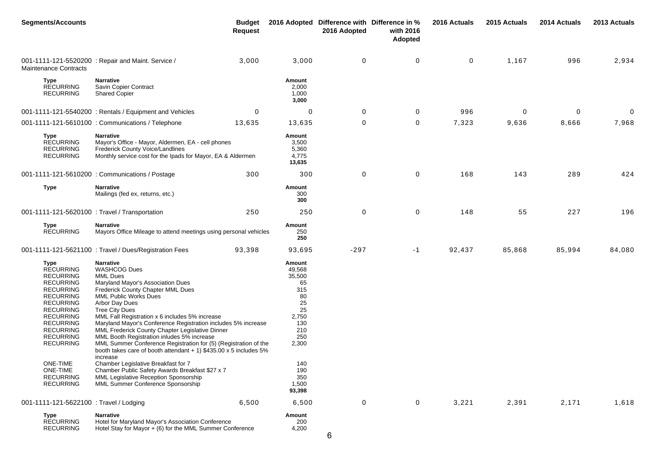| <b>Segments/Accounts</b>                                                                                                                                                                                                                                                                                                           |                                                                                                                                                                                                                                                                                                                                                                                                                                                                                                                                                                                                                                                                                                                                                            | <b>Budget</b><br><b>Request</b> |                                                                                                                                          | 2016 Adopted Difference with Difference in %<br>2016 Adopted | with 2016<br>Adopted | 2016 Actuals | 2015 Actuals | 2014 Actuals | 2013 Actuals |
|------------------------------------------------------------------------------------------------------------------------------------------------------------------------------------------------------------------------------------------------------------------------------------------------------------------------------------|------------------------------------------------------------------------------------------------------------------------------------------------------------------------------------------------------------------------------------------------------------------------------------------------------------------------------------------------------------------------------------------------------------------------------------------------------------------------------------------------------------------------------------------------------------------------------------------------------------------------------------------------------------------------------------------------------------------------------------------------------------|---------------------------------|------------------------------------------------------------------------------------------------------------------------------------------|--------------------------------------------------------------|----------------------|--------------|--------------|--------------|--------------|
| <b>Maintenance Contracts</b>                                                                                                                                                                                                                                                                                                       | 001-1111-121-5520200 : Repair and Maint. Service /                                                                                                                                                                                                                                                                                                                                                                                                                                                                                                                                                                                                                                                                                                         | 3,000                           | 3,000                                                                                                                                    | 0                                                            | 0                    | $\mathbf 0$  | 1,167        | 996          | 2,934        |
| Type<br><b>RECURRING</b><br><b>RECURRING</b>                                                                                                                                                                                                                                                                                       | <b>Narrative</b><br>Savin Copier Contract<br><b>Shared Copier</b>                                                                                                                                                                                                                                                                                                                                                                                                                                                                                                                                                                                                                                                                                          |                                 | Amount<br>2,000<br>1,000<br>3,000                                                                                                        |                                                              |                      |              |              |              |              |
|                                                                                                                                                                                                                                                                                                                                    | 001-1111-121-5540200: Rentals / Equipment and Vehicles                                                                                                                                                                                                                                                                                                                                                                                                                                                                                                                                                                                                                                                                                                     | 0                               | 0                                                                                                                                        | 0                                                            | 0                    | 996          | 0            | 0            | $\mathbf 0$  |
|                                                                                                                                                                                                                                                                                                                                    | 001-1111-121-5610100 : Communications / Telephone                                                                                                                                                                                                                                                                                                                                                                                                                                                                                                                                                                                                                                                                                                          | 13,635                          | 13,635                                                                                                                                   | $\mathbf 0$                                                  | 0                    | 7,323        | 9,636        | 8,666        | 7,968        |
| Type<br><b>RECURRING</b><br><b>RECURRING</b><br><b>RECURRING</b>                                                                                                                                                                                                                                                                   | <b>Narrative</b><br>Mayor's Office - Mayor, Aldermen, EA - cell phones<br>Frederick County Voice/Landlines<br>Monthly service cost for the Ipads for Mayor, EA & Aldermen                                                                                                                                                                                                                                                                                                                                                                                                                                                                                                                                                                                  |                                 | Amount<br>3,500<br>5,360<br>4,775<br>13,635                                                                                              |                                                              |                      |              |              |              |              |
|                                                                                                                                                                                                                                                                                                                                    | 001-1111-121-5610200 : Communications / Postage                                                                                                                                                                                                                                                                                                                                                                                                                                                                                                                                                                                                                                                                                                            | 300                             | 300                                                                                                                                      | 0                                                            | 0                    | 168          | 143          | 289          | 424          |
| Type                                                                                                                                                                                                                                                                                                                               | <b>Narrative</b><br>Mailings (fed ex, returns, etc.)                                                                                                                                                                                                                                                                                                                                                                                                                                                                                                                                                                                                                                                                                                       |                                 | Amount<br>300<br>300                                                                                                                     |                                                              |                      |              |              |              |              |
| 001-1111-121-5620100 : Travel / Transportation                                                                                                                                                                                                                                                                                     |                                                                                                                                                                                                                                                                                                                                                                                                                                                                                                                                                                                                                                                                                                                                                            | 250                             | 250                                                                                                                                      | $\mathbf 0$                                                  | 0                    | 148          | 55           | 227          | 196          |
| Type<br><b>RECURRING</b>                                                                                                                                                                                                                                                                                                           | <b>Narrative</b><br>Mayors Office Mileage to attend meetings using personal vehicles                                                                                                                                                                                                                                                                                                                                                                                                                                                                                                                                                                                                                                                                       |                                 | Amount<br>250<br>250                                                                                                                     |                                                              |                      |              |              |              |              |
|                                                                                                                                                                                                                                                                                                                                    | 001-1111-121-5621100 : Travel / Dues/Registration Fees                                                                                                                                                                                                                                                                                                                                                                                                                                                                                                                                                                                                                                                                                                     | 93,398                          | 93,695                                                                                                                                   | $-297$                                                       | $-1$                 | 92,437       | 85,868       | 85,994       | 84,080       |
| <b>Type</b><br><b>RECURRING</b><br><b>RECURRING</b><br><b>RECURRING</b><br><b>RECURRING</b><br><b>RECURRING</b><br><b>RECURRING</b><br><b>RECURRING</b><br><b>RECURRING</b><br><b>RECURRING</b><br><b>RECURRING</b><br><b>RECURRING</b><br><b>RECURRING</b><br><b>ONE-TIME</b><br>ONE-TIME<br><b>RECURRING</b><br><b>RECURRING</b> | <b>Narrative</b><br><b>WASHCOG Dues</b><br><b>MML Dues</b><br>Maryland Mayor's Association Dues<br>Frederick County Chapter MML Dues<br>MML Public Works Dues<br>Arbor Day Dues<br><b>Tree City Dues</b><br>MML Fall Registration x 6 includes 5% increase<br>Maryland Mayor's Conference Registration includes 5% increase<br>MML Frederick County Chapter Legislative Dinner<br>MML Booth Registration inludes 5% increase<br>MML Summer Conference Registration for (5) (Registration of the<br>booth takes care of booth attendant $+$ 1) \$435.00 x 5 includes 5%<br>increase<br>Chamber Legislative Breakfast for 7<br>Chamber Public Safety Awards Breakfast \$27 x 7<br>MML Legislative Reception Sponsorship<br>MML Summer Conference Sponsorship |                                 | Amount<br>49,568<br>35,500<br>65<br>315<br>80<br>25<br>25<br>2,750<br>130<br>210<br>250<br>2,300<br>140<br>190<br>350<br>1,500<br>93,398 |                                                              |                      |              |              |              |              |
| 001-1111-121-5622100 : Travel / Lodging                                                                                                                                                                                                                                                                                            |                                                                                                                                                                                                                                                                                                                                                                                                                                                                                                                                                                                                                                                                                                                                                            | 6,500                           | 6,500                                                                                                                                    | 0                                                            | 0                    | 3,221        | 2,391        | 2,171        | 1,618        |
| Type<br><b>RECURRING</b><br><b>RECURRING</b>                                                                                                                                                                                                                                                                                       | <b>Narrative</b><br>Hotel for Maryland Mayor's Association Conference<br>Hotel Stay for Mayor $+$ (6) for the MML Summer Conference                                                                                                                                                                                                                                                                                                                                                                                                                                                                                                                                                                                                                        |                                 | Amount<br>200<br>4,200                                                                                                                   |                                                              |                      |              |              |              |              |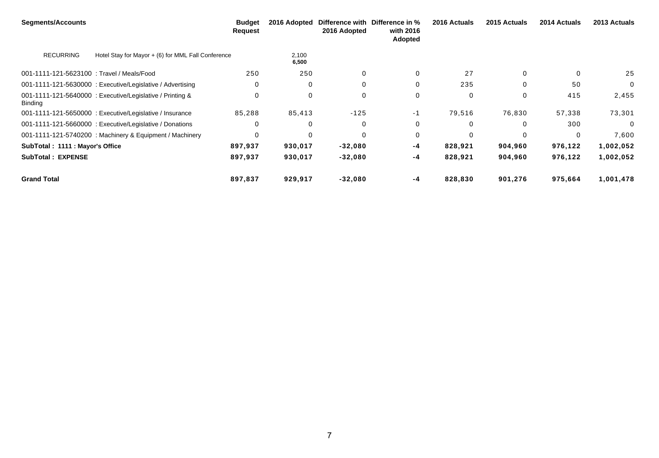| Segments/Accounts                          |                                                           | <b>Budget</b><br>Request | 2016 Adopted   | 2016 Adopted | Difference with Difference in %<br>with 2016<br>Adopted | 2016 Actuals | 2015 Actuals | 2014 Actuals | 2013 Actuals |
|--------------------------------------------|-----------------------------------------------------------|--------------------------|----------------|--------------|---------------------------------------------------------|--------------|--------------|--------------|--------------|
| <b>RECURRING</b>                           | Hotel Stay for Mayor + (6) for MML Fall Conference        |                          | 2,100<br>6,500 |              |                                                         |              |              |              |              |
| 001-1111-121-5623100 : Travel / Meals/Food |                                                           | 250                      | 250            | 0            | 0                                                       | 27           | 0            | $\Omega$     | 25           |
|                                            | 001-1111-121-5630000: Executive/Legislative / Advertising | 0                        | 0              | $\Omega$     | $\mathbf 0$                                             | 235          | $\Omega$     | 50           | $\mathbf 0$  |
| Binding                                    | 001-1111-121-5640000 : Executive/Legislative / Printing & | 0                        | 0              | $\mathbf 0$  | 0                                                       | 0            | 0            | 415          | 2,455        |
|                                            | 001-1111-121-5650000 : Executive/Legislative / Insurance  | 85,288                   | 85,413         | $-125$       | -1                                                      | 79,516       | 76,830       | 57,338       | 73,301       |
|                                            | 001-1111-121-5660000 : Executive/Legislative / Donations  | 0                        | 0              | $\Omega$     | 0                                                       | 0            | $\mathbf 0$  | 300          | $\mathbf{0}$ |
|                                            | 001-1111-121-5740200 : Machinery & Equipment / Machinery  | $\Omega$                 | $\Omega$       | $\Omega$     | 0                                                       | $\Omega$     | $\Omega$     | $\Omega$     | 7,600        |
| SubTotal: 1111 : Mayor's Office            |                                                           | 897,937                  | 930,017        | $-32,080$    | -4                                                      | 828,921      | 904,960      | 976,122      | 1,002,052    |
| <b>SubTotal: EXPENSE</b>                   |                                                           | 897,937                  | 930,017        | $-32,080$    | -4                                                      | 828,921      | 904,960      | 976,122      | 1,002,052    |
| <b>Grand Total</b>                         |                                                           | 897,837                  | 929,917        | $-32,080$    | -4                                                      | 828,830      | 901,276      | 975,664      | 1,001,478    |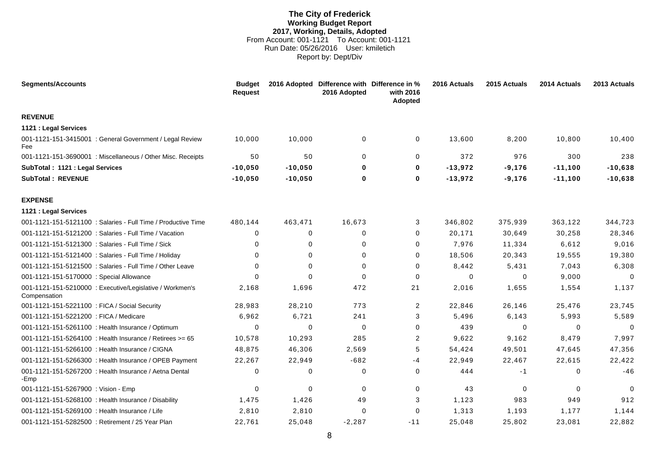#### **The City of Frederick Working Budget Report 2017, Working, Details, Adopted** From Account: 001-1121 To Account: 001-1121 Run Date: 05/26/2016 User: kmiletich Report by: Dept/Div

<span id="page-12-0"></span>

| <b>Segments/Accounts</b>                                                | <b>Budget</b><br><b>Request</b> |             | 2016 Adopted Difference with Difference in %<br>2016 Adopted | with 2016<br>Adopted | 2016 Actuals | 2015 Actuals | 2014 Actuals | 2013 Actuals |
|-------------------------------------------------------------------------|---------------------------------|-------------|--------------------------------------------------------------|----------------------|--------------|--------------|--------------|--------------|
| <b>REVENUE</b>                                                          |                                 |             |                                                              |                      |              |              |              |              |
| 1121 : Legal Services                                                   |                                 |             |                                                              |                      |              |              |              |              |
| 001-1121-151-3415001 : General Government / Legal Review<br>Fee         | 10,000                          | 10,000      | 0                                                            | 0                    | 13,600       | 8,200        | 10,800       | 10,400       |
| 001-1121-151-3690001 : Miscellaneous / Other Misc. Receipts             | 50                              | 50          | $\Omega$                                                     | $\mathbf 0$          | 372          | 976          | 300          | 238          |
| SubTotal: 1121 : Legal Services                                         | $-10,050$                       | $-10,050$   | 0                                                            | 0                    | $-13,972$    | $-9,176$     | $-11,100$    | $-10,638$    |
| <b>SubTotal: REVENUE</b>                                                | $-10,050$                       | $-10,050$   | 0                                                            | 0                    | $-13,972$    | $-9,176$     | $-11,100$    | $-10,638$    |
| <b>EXPENSE</b>                                                          |                                 |             |                                                              |                      |              |              |              |              |
| 1121 : Legal Services                                                   |                                 |             |                                                              |                      |              |              |              |              |
| 001-1121-151-5121100 : Salaries - Full Time / Productive Time           | 480,144                         | 463,471     | 16,673                                                       | 3                    | 346,802      | 375,939      | 363,122      | 344,723      |
| 001-1121-151-5121200 : Salaries - Full Time / Vacation                  | $\Omega$                        | 0           | 0                                                            | 0                    | 20,171       | 30,649       | 30,258       | 28,346       |
| 001-1121-151-5121300 : Salaries - Full Time / Sick                      | $\Omega$                        | 0           | 0                                                            | 0                    | 7,976        | 11,334       | 6,612        | 9,016        |
| 001-1121-151-5121400 : Salaries - Full Time / Holiday                   | 0                               | $\mathbf 0$ | $\Omega$                                                     | 0                    | 18,506       | 20,343       | 19,555       | 19,380       |
| 001-1121-151-5121500 : Salaries - Full Time / Other Leave               | $\Omega$                        | $\Omega$    | $\Omega$                                                     | 0                    | 8,442        | 5,431        | 7,043        | 6,308        |
| 001-1121-151-5170000 : Special Allowance                                | $\Omega$                        | $\Omega$    | $\Omega$                                                     | $\mathbf 0$          | $\Omega$     | $\Omega$     | 9,000        | $\Omega$     |
| 001-1121-151-5210000: Executive/Legislative / Workmen's<br>Compensation | 2.168                           | 1.696       | 472                                                          | 21                   | 2,016        | 1,655        | 1,554        | 1,137        |
| 001-1121-151-5221100 : FICA / Social Security                           | 28,983                          | 28,210      | 773                                                          | $\overline{2}$       | 22,846       | 26,146       | 25,476       | 23,745       |
| 001-1121-151-5221200 : FICA / Medicare                                  | 6,962                           | 6,721       | 241                                                          | 3                    | 5,496        | 6,143        | 5,993        | 5,589        |
| 001-1121-151-5261100 : Health Insurance / Optimum                       | $\Omega$                        | $\Omega$    | $\Omega$                                                     | 0                    | 439          | $\Omega$     | $\Omega$     | $\Omega$     |
| 001-1121-151-5264100 : Health Insurance / Retirees >= 65                | 10,578                          | 10,293      | 285                                                          | $\overline{2}$       | 9,622        | 9,162        | 8,479        | 7,997        |
| 001-1121-151-5266100 : Health Insurance / CIGNA                         | 48,875                          | 46,306      | 2,569                                                        | 5                    | 54,424       | 49,501       | 47,645       | 47,356       |
| 001-1121-151-5266300 : Health Insurance / OPEB Payment                  | 22,267                          | 22,949      | $-682$                                                       | -4                   | 22,949       | 22,467       | 22,615       | 22,422       |
| 001-1121-151-5267200 : Health Insurance / Aetna Dental<br>-Emp          | $\Omega$                        | 0           | $\Omega$                                                     | 0                    | 444          | $-1$         | $\Omega$     | $-46$        |
| 001-1121-151-5267900 : Vision - Emp                                     | $\Omega$                        | $\Omega$    | $\Omega$                                                     | 0                    | 43           | $\Omega$     | $\Omega$     | $\Omega$     |
| 001-1121-151-5268100 : Health Insurance / Disability                    | 1,475                           | 1,426       | 49                                                           | 3                    | 1,123        | 983          | 949          | 912          |
| 001-1121-151-5269100 : Health Insurance / Life                          | 2,810                           | 2,810       | $\Omega$                                                     | 0                    | 1,313        | 1,193        | 1,177        | 1,144        |
| 001-1121-151-5282500 : Retirement / 25 Year Plan                        | 22,761                          | 25,048      | $-2,287$                                                     | $-11$                | 25,048       | 25,802       | 23,081       | 22,882       |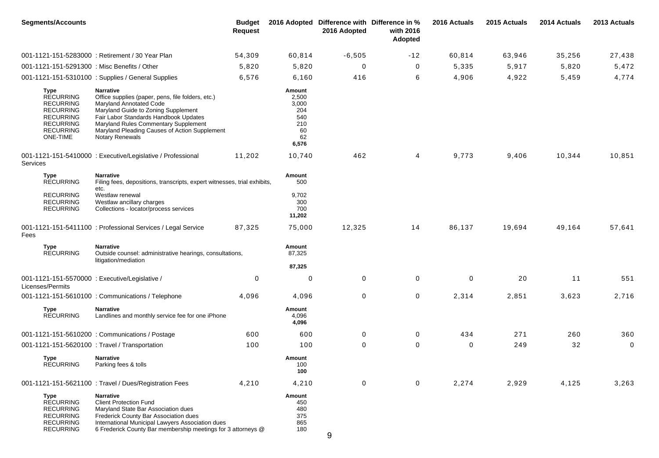| <b>Segments/Accounts</b>                                                                                                                 |                                                                                                                                                                                                                                                                                                            | <b>Budget</b><br><b>Request</b> |                                                                    | 2016 Adopted Difference with Difference in %<br>2016 Adopted | with 2016<br>Adopted | 2016 Actuals | 2015 Actuals | 2014 Actuals | 2013 Actuals |
|------------------------------------------------------------------------------------------------------------------------------------------|------------------------------------------------------------------------------------------------------------------------------------------------------------------------------------------------------------------------------------------------------------------------------------------------------------|---------------------------------|--------------------------------------------------------------------|--------------------------------------------------------------|----------------------|--------------|--------------|--------------|--------------|
|                                                                                                                                          | 001-1121-151-5283000 : Retirement / 30 Year Plan                                                                                                                                                                                                                                                           | 54,309                          | 60,814                                                             | $-6,505$                                                     | $-12$                | 60,814       | 63,946       | 35,256       | 27,438       |
| 001-1121-151-5291300 : Misc Benefits / Other                                                                                             |                                                                                                                                                                                                                                                                                                            | 5,820                           | 5,820                                                              | $\mathbf 0$                                                  | 0                    | 5,335        | 5,917        | 5,820        | 5,472        |
|                                                                                                                                          | 001-1121-151-5310100 : Supplies / General Supplies                                                                                                                                                                                                                                                         | 6,576                           | 6,160                                                              | 416                                                          | 6                    | 4,906        | 4,922        | 5,459        | 4,774        |
| Type<br><b>RECURRING</b><br><b>RECURRING</b><br><b>RECURRING</b><br><b>RECURRING</b><br><b>RECURRING</b><br><b>RECURRING</b><br>ONE-TIME | <b>Narrative</b><br>Office supplies (paper, pens, file folders, etc.)<br><b>Maryland Annotated Code</b><br>Maryland Guide to Zoning Supplement<br>Fair Labor Standards Handbook Updates<br>Maryland Rules Commentary Supplement<br>Maryland Pleading Causes of Action Supplement<br><b>Notary Renewals</b> |                                 | Amount<br>2,500<br>3,000<br>204<br>540<br>210<br>60<br>62<br>6,576 |                                                              |                      |              |              |              |              |
| Services                                                                                                                                 | 001-1121-151-5410000 : Executive/Legislative / Professional                                                                                                                                                                                                                                                | 11,202                          | 10,740                                                             | 462                                                          | 4                    | 9,773        | 9,406        | 10,344       | 10,851       |
| Type<br><b>RECURRING</b>                                                                                                                 | <b>Narrative</b><br>Filing fees, depositions, transcripts, expert witnesses, trial exhibits,<br>etc.                                                                                                                                                                                                       |                                 | Amount<br>500                                                      |                                                              |                      |              |              |              |              |
| <b>RECURRING</b><br><b>RECURRING</b><br><b>RECURRING</b>                                                                                 | Westlaw renewal<br>Westlaw ancillary charges<br>Collections - locator/process services                                                                                                                                                                                                                     |                                 | 9,702<br>300<br>700<br>11,202                                      |                                                              |                      |              |              |              |              |
| Fees                                                                                                                                     | 001-1121-151-5411100 : Professional Services / Legal Service                                                                                                                                                                                                                                               | 87,325                          | 75,000                                                             | 12,325                                                       | 14                   | 86,137       | 19,694       | 49,164       | 57,641       |
| Type<br><b>RECURRING</b>                                                                                                                 | <b>Narrative</b><br>Outside counsel: administrative hearings, consultations,<br>litigation/mediation                                                                                                                                                                                                       |                                 | Amount<br>87,325                                                   |                                                              |                      |              |              |              |              |
|                                                                                                                                          |                                                                                                                                                                                                                                                                                                            |                                 | 87,325                                                             |                                                              |                      |              |              |              |              |
| 001-1121-151-5570000 : Executive/Legislative /<br>Licenses/Permits                                                                       |                                                                                                                                                                                                                                                                                                            | 0                               | 0                                                                  | 0                                                            | $\pmb{0}$            | $\mathbf 0$  | 20           | 11           | 551          |
|                                                                                                                                          | 001-1121-151-5610100 : Communications / Telephone                                                                                                                                                                                                                                                          | 4,096                           | 4,096                                                              | 0                                                            | $\pmb{0}$            | 2,314        | 2,851        | 3,623        | 2,716        |
| Type<br><b>RECURRING</b>                                                                                                                 | <b>Narrative</b><br>Landlines and monthly service fee for one iPhone                                                                                                                                                                                                                                       |                                 | Amount<br>4,096<br>4,096                                           |                                                              |                      |              |              |              |              |
|                                                                                                                                          | 001-1121-151-5610200 : Communications / Postage                                                                                                                                                                                                                                                            | 600                             | 600                                                                | 0                                                            | 0                    | 434          | 271          | 260          | 360          |
| 001-1121-151-5620100 : Travel / Transportation                                                                                           |                                                                                                                                                                                                                                                                                                            | 100                             | 100                                                                | 0                                                            | 0                    | 0            | 249          | 32           | $\mathbf 0$  |
| <b>Type</b><br><b>RECURRING</b>                                                                                                          | <b>Narrative</b><br>Parking fees & tolls                                                                                                                                                                                                                                                                   |                                 | Amount<br>100<br>100                                               |                                                              |                      |              |              |              |              |
|                                                                                                                                          | 001-1121-151-5621100 : Travel / Dues/Registration Fees                                                                                                                                                                                                                                                     | 4,210                           | 4,210                                                              | 0                                                            | $\mathbf 0$          | 2,274        | 2,929        | 4,125        | 3,263        |
| Type<br><b>RECURRING</b><br><b>RECURRING</b><br><b>RECURRING</b><br><b>RECURRING</b><br><b>RECURRING</b>                                 | <b>Narrative</b><br><b>Client Protection Fund</b><br>Maryland State Bar Association dues<br>Frederick County Bar Association dues<br>International Municipal Lawyers Association dues<br>6 Frederick County Bar membership meetings for 3 attorneys @                                                      |                                 | Amount<br>450<br>480<br>375<br>865<br>180                          | 9                                                            |                      |              |              |              |              |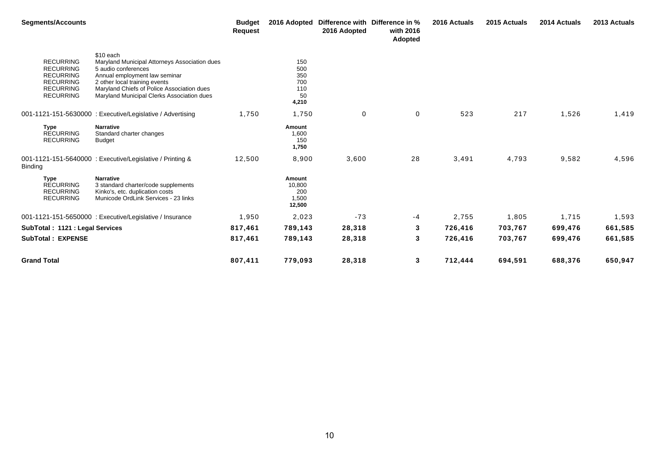| <b>Segments/Accounts</b>                                                                                             |                                                                                                                                                                                                                                                 | <b>Budget</b><br><b>Request</b> |                                                | 2016 Adopted Difference with Difference in %<br>2016 Adopted | with 2016<br>Adopted | 2016 Actuals | 2015 Actuals | 2014 Actuals | 2013 Actuals |
|----------------------------------------------------------------------------------------------------------------------|-------------------------------------------------------------------------------------------------------------------------------------------------------------------------------------------------------------------------------------------------|---------------------------------|------------------------------------------------|--------------------------------------------------------------|----------------------|--------------|--------------|--------------|--------------|
| <b>RECURRING</b><br><b>RECURRING</b><br><b>RECURRING</b><br><b>RECURRING</b><br><b>RECURRING</b><br><b>RECURRING</b> | \$10 each<br>Maryland Municipal Attorneys Association dues<br>5 audio conferences<br>Annual employment law seminar<br>2 other local training events<br>Maryland Chiefs of Police Association dues<br>Maryland Municipal Clerks Association dues |                                 | 150<br>500<br>350<br>700<br>110<br>50<br>4,210 |                                                              |                      |              |              |              |              |
|                                                                                                                      | 001-1121-151-5630000: Executive/Legislative / Advertising                                                                                                                                                                                       | 1,750                           | 1,750                                          | $\mathbf 0$                                                  | 0                    | 523          | 217          | 1,526        | 1,419        |
| Type<br><b>RECURRING</b><br><b>RECURRING</b>                                                                         | <b>Narrative</b><br>Standard charter changes<br><b>Budget</b>                                                                                                                                                                                   |                                 | Amount<br>1,600<br>150<br>1,750                |                                                              |                      |              |              |              |              |
| Binding                                                                                                              | 001-1121-151-5640000 : Executive/Legislative / Printing &                                                                                                                                                                                       | 12,500                          | 8,900                                          | 3,600                                                        | 28                   | 3,491        | 4,793        | 9,582        | 4,596        |
| Type<br><b>RECURRING</b><br><b>RECURRING</b><br><b>RECURRING</b>                                                     | <b>Narrative</b><br>3 standard charter/code supplements<br>Kinko's, etc. duplication costs<br>Municode OrdLink Services - 23 links                                                                                                              |                                 | Amount<br>10,800<br>200<br>1,500<br>12,500     |                                                              |                      |              |              |              |              |
|                                                                                                                      | 001-1121-151-5650000 : Executive/Legislative / Insurance                                                                                                                                                                                        | 1,950                           | 2,023                                          | $-73$                                                        | -4                   | 2,755        | 1,805        | 1,715        | 1,593        |
| SubTotal: 1121 : Legal Services                                                                                      |                                                                                                                                                                                                                                                 | 817,461                         | 789,143                                        | 28,318                                                       | 3                    | 726,416      | 703,767      | 699,476      | 661,585      |
| <b>SubTotal: EXPENSE</b>                                                                                             |                                                                                                                                                                                                                                                 | 817,461                         | 789,143                                        | 28,318                                                       | 3                    | 726,416      | 703,767      | 699,476      | 661,585      |
| <b>Grand Total</b>                                                                                                   |                                                                                                                                                                                                                                                 | 807,411                         | 779,093                                        | 28,318                                                       | 3                    | 712,444      | 694,591      | 688,376      | 650,947      |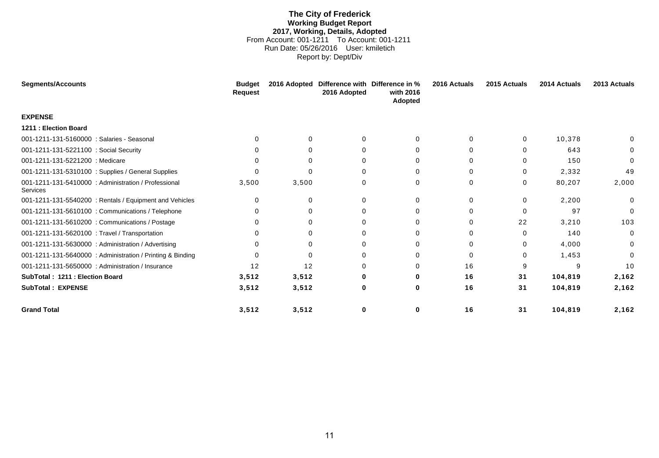#### **The City of Frederick Working Budget Report 2017, Working, Details, Adopted** From Account: 001-1211 To Account: 001-1211 Run Date: 05/26/2016 User: kmiletich Report by: Dept/Div

<span id="page-15-0"></span>

| <b>Segments/Accounts</b>                                        | <b>Budget</b><br>Request | 2016 Adopted | Difference with Difference in %<br>2016 Adopted | with 2016<br>Adopted | 2016 Actuals | 2015 Actuals | 2014 Actuals | 2013 Actuals |
|-----------------------------------------------------------------|--------------------------|--------------|-------------------------------------------------|----------------------|--------------|--------------|--------------|--------------|
| <b>EXPENSE</b>                                                  |                          |              |                                                 |                      |              |              |              |              |
| 1211 : Election Board                                           |                          |              |                                                 |                      |              |              |              |              |
| 001-1211-131-5160000 : Salaries - Seasonal                      | $\Omega$                 | 0            | 0                                               | 0                    | $\Omega$     | 0            | 10,378       |              |
| 001-1211-131-5221100 : Social Security                          | 0                        | 0            | 0                                               | 0                    | $\Omega$     | 0            | 643          | 0            |
| 001-1211-131-5221200 : Medicare                                 | $\Omega$                 | $\Omega$     | $\Omega$                                        | $\Omega$             | O            | 0            | 150          | 0            |
| 001-1211-131-5310100 : Supplies / General Supplies              | 0                        | 0            | 0                                               | 0                    | 0            | 0            | 2,332        | 49           |
| 001-1211-131-5410000: Administration / Professional<br>Services | 3,500                    | 3,500        | 0                                               | 0                    | 0            | 0            | 80,207       | 2,000        |
| 001-1211-131-5540200: Rentals / Equipment and Vehicles          | 0                        | 0            | 0                                               | 0                    | 0            | 0            | 2,200        | 0            |
| 001-1211-131-5610100 : Communications / Telephone               | 0                        | $\Omega$     | $\Omega$                                        | $\Omega$             | 0            | $\Omega$     | 97           | $\Omega$     |
| 001-1211-131-5610200 : Communications / Postage                 | 0                        | 0            | 0                                               | 0                    | 0            | 22           | 3,210        | 103          |
| 001-1211-131-5620100 : Travel / Transportation                  | 0                        | $\Omega$     | $\Omega$                                        | $\Omega$             | 0            | $\Omega$     | 140          | $\Omega$     |
| 001-1211-131-5630000: Administration / Advertising              | 0                        | $\Omega$     | 0                                               | 0                    | 0            | 0            | 4,000        | $\Omega$     |
| 001-1211-131-5640000: Administration / Printing & Binding       | 0                        | 0            | $\Omega$                                        | 0                    | $\Omega$     | 0            | 1,453        | 0            |
| 001-1211-131-5650000 : Administration / Insurance               | 12                       | 12           | 0                                               | $\Omega$             | 16           | 9            | 9            | 10           |
| SubTotal: 1211 : Election Board                                 | 3,512                    | 3,512        | 0                                               | 0                    | 16           | 31           | 104,819      | 2,162        |
| <b>SubTotal: EXPENSE</b>                                        | 3,512                    | 3,512        | 0                                               | 0                    | 16           | 31           | 104,819      | 2,162        |
| <b>Grand Total</b>                                              | 3,512                    | 3,512        | 0                                               | 0                    | 16           | 31           | 104,819      | 2,162        |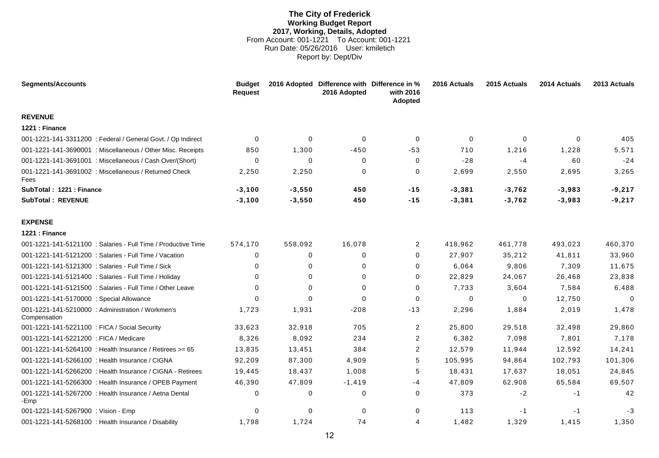#### **The City of Frederick Working Budget Report 2017, Working, Details, Adopted** From Account: 001-1221 To Account: 001-1221 Run Date: 05/26/2016 User: kmiletich Report by: Dept/Div

<span id="page-16-0"></span>

| <b>Segments/Accounts</b>                                          | <b>Budget</b><br><b>Request</b> |          | 2016 Adopted Difference with Difference in %<br>2016 Adopted | with 2016<br>Adopted | 2016 Actuals | 2015 Actuals | 2014 Actuals | 2013 Actuals |
|-------------------------------------------------------------------|---------------------------------|----------|--------------------------------------------------------------|----------------------|--------------|--------------|--------------|--------------|
| <b>REVENUE</b>                                                    |                                 |          |                                                              |                      |              |              |              |              |
| 1221 : Finance                                                    |                                 |          |                                                              |                      |              |              |              |              |
| 001-1221-141-3311200 : Federal / General Govt. / Op Indirect      | $\Omega$                        | 0        | $\mathbf 0$                                                  | 0                    | $\mathbf 0$  | 0            | $\Omega$     | 405          |
| 001-1221-141-3690001: Miscellaneous / Other Misc. Receipts        | 850                             | 1,300    | -450                                                         | -53                  | 710          | 1,216        | 1,228        | 5,571        |
| 001-1221-141-3691001 : Miscellaneous / Cash Over/(Short)          | 0                               | 0        | 0                                                            | 0                    | $-28$        | $-4$         | 60           | $-24$        |
| 001-1221-141-3691002 : Miscellaneous / Returned Check<br>Fees     | 2,250                           | 2,250    | 0                                                            | 0                    | 2,699        | 2,550        | 2,695        | 3,265        |
| SubTotal: 1221: Finance                                           | $-3,100$                        | $-3,550$ | 450                                                          | $-15$                | $-3,381$     | $-3,762$     | $-3,983$     | $-9,217$     |
| <b>SubTotal: REVENUE</b>                                          | $-3,100$                        | $-3,550$ | 450                                                          | $-15$                | $-3,381$     | $-3,762$     | $-3,983$     | $-9,217$     |
| <b>EXPENSE</b>                                                    |                                 |          |                                                              |                      |              |              |              |              |
| 1221 : Finance                                                    |                                 |          |                                                              |                      |              |              |              |              |
| 001-1221-141-5121100 : Salaries - Full Time / Productive Time     | 574,170                         | 558,092  | 16,078                                                       | $\overline{2}$       | 418,962      | 461,778      | 493,023      | 460,370      |
| 001-1221-141-5121200 : Salaries - Full Time / Vacation            | 0                               | 0        | 0                                                            | 0                    | 27,907       | 35,212       | 41,811       | 33,960       |
| 001-1221-141-5121300 : Salaries - Full Time / Sick                | 0                               | 0        | $\Omega$                                                     | 0                    | 6,064        | 9,806        | 7,309        | 11,675       |
| 001-1221-141-5121400 : Salaries - Full Time / Holiday             | 0                               | $\Omega$ | $\Omega$                                                     | 0                    | 22,829       | 24,067       | 26,468       | 23,838       |
| 001-1221-141-5121500 : Salaries - Full Time / Other Leave         | $\Omega$                        | $\Omega$ | $\Omega$                                                     | 0                    | 7,733        | 3,604        | 7,584        | 6,488        |
| 001-1221-141-5170000 : Special Allowance                          | 0                               | 0        | $\Omega$                                                     | 0                    | $\Omega$     | $\Omega$     | 12,750       | $\Omega$     |
| 001-1221-141-5210000 : Administration / Workmen's<br>Compensation | 1,723                           | 1,931    | $-208$                                                       | $-13$                | 2,296        | 1,884        | 2,019        | 1,478        |
| 001-1221-141-5221100 : FICA / Social Security                     | 33,623                          | 32,918   | 705                                                          | $\overline{2}$       | 25,800       | 29,518       | 32,498       | 29,860       |
| 001-1221-141-5221200 : FICA / Medicare                            | 8,326                           | 8,092    | 234                                                          | $\overline{2}$       | 6,382        | 7,098        | 7,801        | 7,178        |
| 001-1221-141-5264100 : Health Insurance / Retirees >= 65          | 13,835                          | 13,451   | 384                                                          | 2                    | 12,579       | 11,944       | 12,592       | 14,241       |
| 001-1221-141-5266100 : Health Insurance / CIGNA                   | 92,209                          | 87,300   | 4,909                                                        | 5                    | 105,995      | 94,864       | 102,793      | 101,306      |
| 001-1221-141-5266200 : Health Insurance / CIGNA - Retirees        | 19,445                          | 18,437   | 1,008                                                        | 5                    | 18,431       | 17,637       | 18,051       | 24,845       |
| 001-1221-141-5266300 : Health Insurance / OPEB Payment            | 46,390                          | 47,809   | $-1,419$                                                     | -4                   | 47,809       | 62,908       | 65,584       | 69,507       |
| 001-1221-141-5267200 : Health Insurance / Aetna Dental<br>-Emp    | 0                               | 0        | 0                                                            | 0                    | 373          | -2           | -1           | 42           |
| 001-1221-141-5267900 : Vision - Emp                               | 0                               | $\Omega$ | $\Omega$                                                     | 0                    | 113          | -1           | -1           | $-3$         |
| 001-1221-141-5268100 : Health Insurance / Disability              | 1,798                           | 1,724    | 74                                                           | 4                    | 1,482        | 1,329        | 1,415        | 1,350        |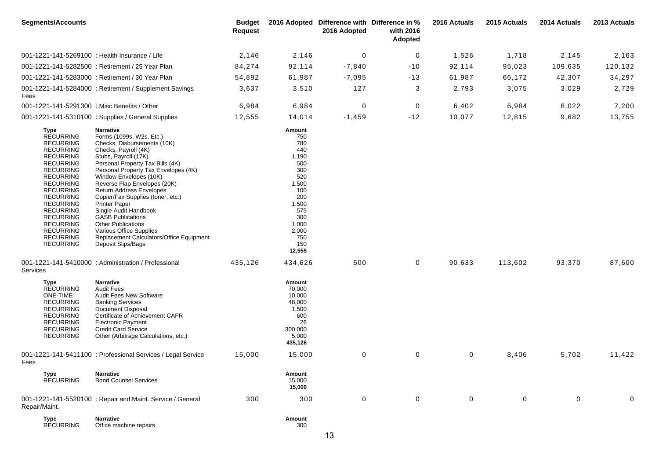| <b>Segments/Accounts</b>                                                                                                                                                                                                                                                                                                                                 |                                                                                                                                                                                                                                                                                                                                                                                                                                                                                                                                           | <b>Budget</b><br><b>Request</b> |                                                                                                                                                   | 2016 Adopted Difference with Difference in %<br>2016 Adopted | with 2016<br>Adopted | 2016 Actuals | 2015 Actuals | 2014 Actuals | 2013 Actuals |
|----------------------------------------------------------------------------------------------------------------------------------------------------------------------------------------------------------------------------------------------------------------------------------------------------------------------------------------------------------|-------------------------------------------------------------------------------------------------------------------------------------------------------------------------------------------------------------------------------------------------------------------------------------------------------------------------------------------------------------------------------------------------------------------------------------------------------------------------------------------------------------------------------------------|---------------------------------|---------------------------------------------------------------------------------------------------------------------------------------------------|--------------------------------------------------------------|----------------------|--------------|--------------|--------------|--------------|
| 001-1221-141-5269100 : Health Insurance / Life                                                                                                                                                                                                                                                                                                           |                                                                                                                                                                                                                                                                                                                                                                                                                                                                                                                                           | 2,146                           | 2,146                                                                                                                                             | 0                                                            | $\mathbf 0$          | 1,526        | 1,718        | 2,145        | 2,163        |
|                                                                                                                                                                                                                                                                                                                                                          | 001-1221-141-5282500 : Retirement / 25 Year Plan                                                                                                                                                                                                                                                                                                                                                                                                                                                                                          | 84,274                          | 92,114                                                                                                                                            | $-7,840$                                                     | $-10$                | 92,114       | 95,023       | 109,635      | 120,132      |
|                                                                                                                                                                                                                                                                                                                                                          | 001-1221-141-5283000 : Retirement / 30 Year Plan                                                                                                                                                                                                                                                                                                                                                                                                                                                                                          | 54,892                          | 61,987                                                                                                                                            | $-7,095$                                                     | $-13$                | 61,987       | 66,172       | 42,307       | 34,297       |
| Fees                                                                                                                                                                                                                                                                                                                                                     | 001-1221-141-5284000: Retirement / Supplement Savings                                                                                                                                                                                                                                                                                                                                                                                                                                                                                     | 3,637                           | 3,510                                                                                                                                             | 127                                                          | $\sqrt{3}$           | 2,793        | 3,075        | 3,029        | 2,729        |
| 001-1221-141-5291300 : Misc Benefits / Other                                                                                                                                                                                                                                                                                                             |                                                                                                                                                                                                                                                                                                                                                                                                                                                                                                                                           | 6,984                           | 6,984                                                                                                                                             | 0                                                            | $\mathbf 0$          | 6,402        | 6,984        | 8,022        | 7,200        |
|                                                                                                                                                                                                                                                                                                                                                          | 001-1221-141-5310100 : Supplies / General Supplies                                                                                                                                                                                                                                                                                                                                                                                                                                                                                        | 12,555                          | 14,014                                                                                                                                            | $-1,459$                                                     | $-12$                | 10,077       | 12,815       | 9,682        | 13,755       |
| Type<br><b>RECURRING</b><br><b>RECURRING</b><br><b>RECURRING</b><br><b>RECURRING</b><br><b>RECURRING</b><br><b>RECURRING</b><br><b>RECURRING</b><br><b>RECURRING</b><br><b>RECURRING</b><br><b>RECURRING</b><br><b>RECURRING</b><br><b>RECURRING</b><br><b>RECURRING</b><br><b>RECURRING</b><br><b>RECURRING</b><br><b>RECURRING</b><br><b>RECURRING</b> | <b>Narrative</b><br>Forms (1099s, W2s, Etc.)<br>Checks, Disbursements (10K)<br>Checks, Payroll (4K)<br>Stubs, Payroll (17K)<br>Personal Property Tax Bills (4K)<br>Personal Property Tax Envelopes (4K)<br>Window Envelopes (10K)<br>Reverse Flap Envelopes (20K)<br>Return Address Envelopes<br>Copier/Fax Supplies (toner, etc.)<br><b>Printer Paper</b><br>Single Audit Handbook<br><b>GASB Publications</b><br><b>Other Publications</b><br>Various Office Supplies<br>Replacement Calculators/Office Equipment<br>Deposit Slips/Bags |                                 | Amount<br>750<br>780<br>440<br>1,190<br>500<br>300<br>520<br>1,500<br>100<br>200<br>1,500<br>575<br>300<br>1,000<br>2,000<br>750<br>150<br>12,555 |                                                              |                      |              |              |              |              |
| Services                                                                                                                                                                                                                                                                                                                                                 | 001-1221-141-5410000 : Administration / Professional                                                                                                                                                                                                                                                                                                                                                                                                                                                                                      | 435,126                         | 434,626                                                                                                                                           | 500                                                          | $\mathbf 0$          | 90,633       | 113,602      | 93,370       | 87,600       |
| Type<br><b>RECURRING</b><br>ONE-TIME<br><b>RECURRING</b><br><b>RECURRING</b><br><b>RECURRING</b><br><b>RECURRING</b><br><b>RECURRING</b><br><b>RECURRING</b>                                                                                                                                                                                             | <b>Narrative</b><br><b>Audit Fees</b><br>Audit Fees New Software<br><b>Banking Services</b><br>Document Disposal<br>Certificate of Achievement CAFR<br><b>Electronic Payment</b><br><b>Credit Card Service</b><br>Other (Arbitrage Calculations, etc.)                                                                                                                                                                                                                                                                                    |                                 | Amount<br>70,000<br>10,000<br>48,000<br>1,500<br>600<br>26<br>300,000<br>5,000<br>435,126                                                         |                                                              |                      |              |              |              |              |
| Fees                                                                                                                                                                                                                                                                                                                                                     | 001-1221-141-5411100 : Professional Services / Legal Service                                                                                                                                                                                                                                                                                                                                                                                                                                                                              | 15,000                          | 15,000                                                                                                                                            | $\mathbf{0}$                                                 | $\mathbf{0}$         | 0            | 8,406        | 5,702        | 11,422       |
| <b>Type</b><br><b>RECURRING</b>                                                                                                                                                                                                                                                                                                                          | <b>Narrative</b><br><b>Bond Counsel Services</b>                                                                                                                                                                                                                                                                                                                                                                                                                                                                                          |                                 | Amount<br>15,000<br>15,000                                                                                                                        |                                                              |                      |              |              |              |              |
| Repair/Maint.                                                                                                                                                                                                                                                                                                                                            | 001-1221-141-5520100 : Repair and Maint. Service / General                                                                                                                                                                                                                                                                                                                                                                                                                                                                                | 300                             | 300                                                                                                                                               | 0                                                            | $\mathbf 0$          | 0            | $\mathbf 0$  | 0            | 0            |
| Type<br><b>RECURRING</b>                                                                                                                                                                                                                                                                                                                                 | Narrative<br>Office machine repairs                                                                                                                                                                                                                                                                                                                                                                                                                                                                                                       |                                 | Amount<br>300                                                                                                                                     |                                                              |                      |              |              |              |              |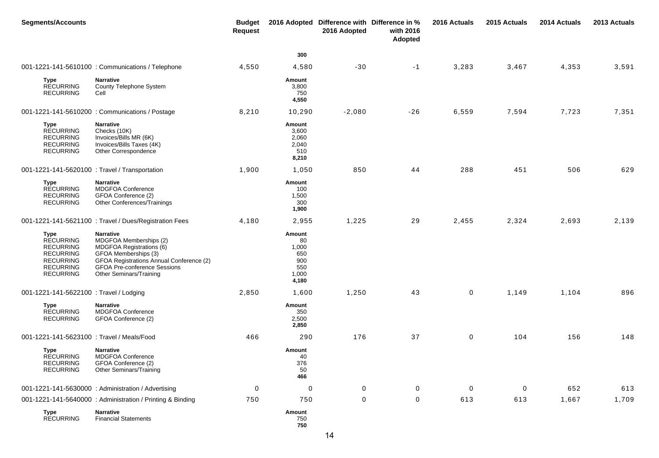| <b>Segments/Accounts</b>                                                                                                     |                                                                                                                                                                                                              | <b>Budget</b><br><b>Request</b> |                                                              | 2016 Adopted Difference with Difference in %<br>2016 Adopted | with 2016<br>Adopted | 2016 Actuals | 2015 Actuals | 2014 Actuals | 2013 Actuals |
|------------------------------------------------------------------------------------------------------------------------------|--------------------------------------------------------------------------------------------------------------------------------------------------------------------------------------------------------------|---------------------------------|--------------------------------------------------------------|--------------------------------------------------------------|----------------------|--------------|--------------|--------------|--------------|
|                                                                                                                              |                                                                                                                                                                                                              |                                 | 300                                                          |                                                              |                      |              |              |              |              |
|                                                                                                                              | 001-1221-141-5610100 : Communications / Telephone                                                                                                                                                            | 4,550                           | 4,580                                                        | $-30$                                                        | $-1$                 | 3,283        | 3,467        | 4,353        | 3,591        |
| Type<br><b>RECURRING</b><br><b>RECURRING</b>                                                                                 | <b>Narrative</b><br>County Telephone System<br>Cell                                                                                                                                                          |                                 | Amount<br>3,800<br>750<br>4,550                              |                                                              |                      |              |              |              |              |
|                                                                                                                              | 001-1221-141-5610200 : Communications / Postage                                                                                                                                                              | 8,210                           | 10,290                                                       | $-2,080$                                                     | $-26$                | 6,559        | 7,594        | 7,723        | 7,351        |
| Type<br><b>RECURRING</b><br><b>RECURRING</b><br><b>RECURRING</b><br><b>RECURRING</b>                                         | <b>Narrative</b><br>Checks (10K)<br>Invoices/Bills MR (6K)<br>Invoices/Bills Taxes (4K)<br>Other Correspondence                                                                                              |                                 | Amount<br>3,600<br>2,060<br>2,040<br>510<br>8,210            |                                                              |                      |              |              |              |              |
| 001-1221-141-5620100 : Travel / Transportation                                                                               |                                                                                                                                                                                                              | 1,900                           | 1,050                                                        | 850                                                          | 44                   | 288          | 451          | 506          | 629          |
| <b>Type</b><br><b>RECURRING</b><br><b>RECURRING</b><br><b>RECURRING</b>                                                      | <b>Narrative</b><br>MDGFOA Conference<br>GFOA Conference (2)<br>Other Conferences/Trainings                                                                                                                  |                                 | Amount<br>100<br>1,500<br>300<br>1,900                       |                                                              |                      |              |              |              |              |
|                                                                                                                              | 001-1221-141-5621100 : Travel / Dues/Registration Fees                                                                                                                                                       | 4,180                           | 2,955                                                        | 1,225                                                        | 29                   | 2,455        | 2,324        | 2,693        | 2,139        |
| Type<br><b>RECURRING</b><br><b>RECURRING</b><br><b>RECURRING</b><br><b>RECURRING</b><br><b>RECURRING</b><br><b>RECURRING</b> | <b>Narrative</b><br>MDGFOA Memberships (2)<br>MDGFOA Registrations (6)<br>GFOA Memberships (3)<br>GFOA Registrations Annual Conference (2)<br><b>GFOA Pre-conference Sessions</b><br>Other Seminars/Training |                                 | Amount<br>80<br>1,000<br>650<br>900<br>550<br>1,000<br>4,180 |                                                              |                      |              |              |              |              |
| 001-1221-141-5622100 : Travel / Lodging                                                                                      |                                                                                                                                                                                                              | 2,850                           | 1,600                                                        | 1,250                                                        | 43                   | $\mathbf 0$  | 1,149        | 1,104        | 896          |
| Type<br><b>RECURRING</b><br><b>RECURRING</b>                                                                                 | <b>Narrative</b><br><b>MDGFOA Conference</b><br>GFOA Conference (2)                                                                                                                                          |                                 | Amount<br>350<br>2,500<br>2,850                              |                                                              |                      |              |              |              |              |
| 001-1221-141-5623100 : Travel / Meals/Food                                                                                   |                                                                                                                                                                                                              | 466                             | 290                                                          | 176                                                          | 37                   | $\mathbf 0$  | 104          | 156          | 148          |
| Type<br><b>RECURRING</b><br><b>RECURRING</b><br><b>RECURRING</b>                                                             | <b>Narrative</b><br>MDGFOA Conference<br>GFOA Conference (2)<br>Other Seminars/Training                                                                                                                      |                                 | Amount<br>40<br>376<br>50<br>466                             |                                                              |                      |              |              |              |              |
|                                                                                                                              | 001-1221-141-5630000 : Administration / Advertising                                                                                                                                                          | 0                               | 0                                                            | 0                                                            | 0                    | $\mathbf 0$  | 0            | 652          | 613          |
|                                                                                                                              | 001-1221-141-5640000: Administration / Printing & Binding                                                                                                                                                    | 750                             | 750                                                          | 0                                                            | $\mathbf 0$          | 613          | 613          | 1,667        | 1,709        |
| Type<br><b>RECURRING</b>                                                                                                     | Narrative<br><b>Financial Statements</b>                                                                                                                                                                     |                                 | Amount<br>750<br>750                                         |                                                              |                      |              |              |              |              |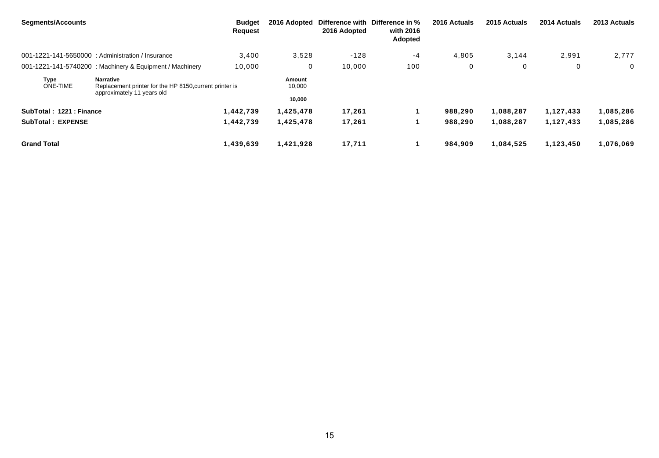| <b>Segments/Accounts</b>       |                                                                                                           | <b>Budget</b><br><b>Request</b> | 2016 Adopted               | 2016 Adopted | Difference with Difference in %<br>with 2016<br>Adopted | 2016 Actuals | 2015 Actuals | 2014 Actuals | 2013 Actuals   |
|--------------------------------|-----------------------------------------------------------------------------------------------------------|---------------------------------|----------------------------|--------------|---------------------------------------------------------|--------------|--------------|--------------|----------------|
|                                | 001-1221-141-5650000 : Administration / Insurance                                                         | 3,400                           | 3,528                      | $-128$       | $-4$                                                    | 4,805        | 3,144        | 2,991        | 2,777          |
|                                | 001-1221-141-5740200 : Machinery & Equipment / Machinery                                                  | 10,000                          | 0                          | 10,000       | 100                                                     | 0            | 0            | 0            | $\overline{0}$ |
| <b>Type</b><br><b>ONE-TIME</b> | <b>Narrative</b><br>Replacement printer for the HP 8150, current printer is<br>approximately 11 years old |                                 | Amount<br>10,000<br>10,000 |              |                                                         |              |              |              |                |
| SubTotal: 1221: Finance        |                                                                                                           | 1,442,739                       | 1,425,478                  | 17,261       |                                                         | 988,290      | 1,088,287    | 1,127,433    | 1,085,286      |
| <b>SubTotal: EXPENSE</b>       |                                                                                                           | 1,442,739                       | 1,425,478                  | 17,261       |                                                         | 988,290      | 1,088,287    | 1,127,433    | 1,085,286      |
| <b>Grand Total</b>             |                                                                                                           | 1,439,639                       | 1,421,928                  | 17,711       |                                                         | 984.909      | 1.084.525    | 1.123.450    | 1,076,069      |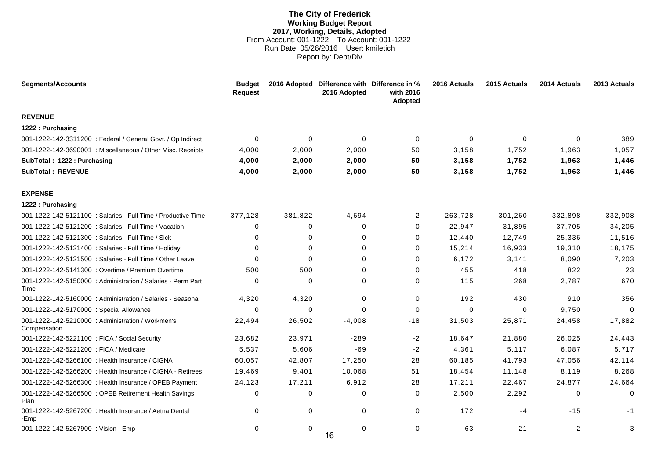#### **The City of Frederick Working Budget Report 2017, Working, Details, Adopted** From Account: 001-1222 To Account: 001-1222 Run Date: 05/26/2016 User: kmiletich Report by: Dept/Div

<span id="page-20-0"></span>

| <b>Segments/Accounts</b>                                             | <b>Budget</b><br><b>Request</b> |             | 2016 Adopted Difference with Difference in %<br>2016 Adopted | with 2016<br>Adopted | 2016 Actuals | 2015 Actuals | 2014 Actuals | 2013 Actuals |
|----------------------------------------------------------------------|---------------------------------|-------------|--------------------------------------------------------------|----------------------|--------------|--------------|--------------|--------------|
| <b>REVENUE</b>                                                       |                                 |             |                                                              |                      |              |              |              |              |
| 1222 : Purchasing                                                    |                                 |             |                                                              |                      |              |              |              |              |
| 001-1222-142-3311200 : Federal / General Govt. / Op Indirect         | $\Omega$                        | $\mathbf 0$ | $\Omega$                                                     | $\mathbf 0$          | $\Omega$     | $\mathbf 0$  | $\Omega$     | 389          |
| 001-1222-142-3690001 : Miscellaneous / Other Misc. Receipts          | 4,000                           | 2,000       | 2,000                                                        | 50                   | 3,158        | 1,752        | 1,963        | 1,057        |
| SubTotal: 1222: Purchasing                                           | $-4,000$                        | $-2,000$    | $-2,000$                                                     | 50                   | $-3,158$     | $-1,752$     | $-1,963$     | $-1,446$     |
| <b>SubTotal: REVENUE</b>                                             | $-4,000$                        | $-2,000$    | $-2,000$                                                     | 50                   | $-3,158$     | $-1,752$     | $-1,963$     | $-1,446$     |
| <b>EXPENSE</b>                                                       |                                 |             |                                                              |                      |              |              |              |              |
| 1222: Purchasing                                                     |                                 |             |                                                              |                      |              |              |              |              |
| 001-1222-142-5121100 : Salaries - Full Time / Productive Time        | 377,128                         | 381,822     | -4.694                                                       | $-2$                 | 263,728      | 301,260      | 332,898      | 332,908      |
| 001-1222-142-5121200 : Salaries - Full Time / Vacation               | 0                               | 0           | 0                                                            | 0                    | 22,947       | 31,895       | 37,705       | 34,205       |
| 001-1222-142-5121300 : Salaries - Full Time / Sick                   | 0                               | 0           | 0                                                            | 0                    | 12,440       | 12,749       | 25,336       | 11,516       |
| 001-1222-142-5121400 : Salaries - Full Time / Holiday                | $\Omega$                        | 0           | $\Omega$                                                     | $\mathbf 0$          | 15,214       | 16,933       | 19,310       | 18,175       |
| 001-1222-142-5121500 : Salaries - Full Time / Other Leave            | $\Omega$                        | $\Omega$    | $\Omega$                                                     | $\Omega$             | 6,172        | 3,141        | 8,090        | 7,203        |
| 001-1222-142-5141300 : Overtime / Premium Overtime                   | 500                             | 500         | $\Omega$                                                     | $\mathbf 0$          | 455          | 418          | 822          | 23           |
| 001-1222-142-5150000 : Administration / Salaries - Perm Part<br>Time | 0                               | 0           | 0                                                            | 0                    | 115          | 268          | 2,787        | 670          |
| 001-1222-142-5160000: Administration / Salaries - Seasonal           | 4,320                           | 4,320       | $\Omega$                                                     | $\mathbf 0$          | 192          | 430          | 910          | 356          |
| 001-1222-142-5170000 : Special Allowance                             | 0                               | 0           | $\Omega$                                                     | 0                    | $\mathbf 0$  | $\mathbf 0$  | 9,750        | $\mathbf 0$  |
| 001-1222-142-5210000 : Administration / Workmen's<br>Compensation    | 22,494                          | 26,502      | $-4,008$                                                     | -18                  | 31,503       | 25,871       | 24,458       | 17,882       |
| 001-1222-142-5221100 : FICA / Social Security                        | 23,682                          | 23,971      | $-289$                                                       | $-2$                 | 18,647       | 21,880       | 26,025       | 24,443       |
| 001-1222-142-5221200 : FICA / Medicare                               | 5,537                           | 5,606       | $-69$                                                        | $-2$                 | 4,361        | 5,117        | 6,087        | 5,717        |
| 001-1222-142-5266100 : Health Insurance / CIGNA                      | 60,057                          | 42,807      | 17,250                                                       | 28                   | 60,185       | 41,793       | 47,056       | 42,114       |
| 001-1222-142-5266200 : Health Insurance / CIGNA - Retirees           | 19,469                          | 9,401       | 10,068                                                       | 51                   | 18,454       | 11,148       | 8,119        | 8,268        |
| 001-1222-142-5266300 : Health Insurance / OPEB Payment               | 24,123                          | 17,211      | 6,912                                                        | 28                   | 17,211       | 22,467       | 24,877       | 24,664       |
| 001-1222-142-5266500 : OPEB Retirement Health Savings<br>Plan        | $\Omega$                        | $\mathbf 0$ | $\Omega$                                                     | 0                    | 2,500        | 2,292        | $\mathbf 0$  | $\Omega$     |
| 001-1222-142-5267200 : Health Insurance / Aetna Dental<br>-Emp       | $\mathbf 0$                     | 0           | $\mathbf 0$                                                  | $\mathbf 0$          | 172          | -4           | $-15$        | -1           |
| 001-1222-142-5267900 : Vision - Emp                                  | $\Omega$                        | 0           | $\Omega$<br>16                                               | $\mathbf 0$          | 63           | $-21$        | 2            | 3            |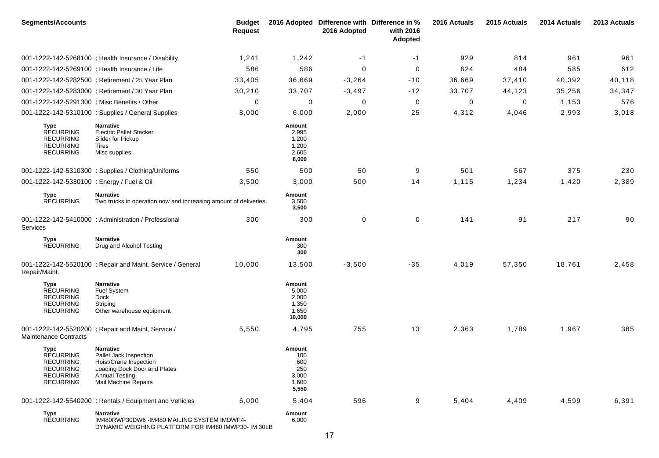| <b>Segments/Accounts</b>                                                                                 |                                                                                                                                                              | <b>Budget</b><br><b>Request</b> |                                                        | 2016 Adopted Difference with Difference in %<br>2016 Adopted | with 2016<br>Adopted | 2016 Actuals | 2015 Actuals | 2014 Actuals | 2013 Actuals |
|----------------------------------------------------------------------------------------------------------|--------------------------------------------------------------------------------------------------------------------------------------------------------------|---------------------------------|--------------------------------------------------------|--------------------------------------------------------------|----------------------|--------------|--------------|--------------|--------------|
|                                                                                                          | 001-1222-142-5268100 : Health Insurance / Disability                                                                                                         | 1,241                           | 1,242                                                  | $-1$                                                         | $-1$                 | 929          | 814          | 961          | 961          |
| 001-1222-142-5269100 : Health Insurance / Life                                                           |                                                                                                                                                              | 586                             | 586                                                    | $\Omega$                                                     | 0                    | 624          | 484          | 585          | 612          |
|                                                                                                          | 001-1222-142-5282500 : Retirement / 25 Year Plan                                                                                                             | 33,405                          | 36,669                                                 | $-3,264$                                                     | $-10$                | 36,669       | 37,410       | 40,392       | 40,118       |
|                                                                                                          | 001-1222-142-5283000 : Retirement / 30 Year Plan                                                                                                             | 30,210                          | 33,707                                                 | $-3,497$                                                     | $-12$                | 33,707       | 44,123       | 35,256       | 34,347       |
| 001-1222-142-5291300 : Misc Benefits / Other                                                             |                                                                                                                                                              | 0                               | 0                                                      | 0                                                            | 0                    | 0            | 0            | 1,153        | 576          |
|                                                                                                          | 001-1222-142-5310100 : Supplies / General Supplies                                                                                                           | 8,000                           | 6,000                                                  | 2,000                                                        | 25                   | 4,312        | 4,046        | 2,993        | 3,018        |
| Type<br><b>RECURRING</b><br><b>RECURRING</b><br><b>RECURRING</b><br><b>RECURRING</b>                     | <b>Narrative</b><br><b>Electric Pallet Stacker</b><br>Slider for Pickup<br>Tires<br>Misc supplies                                                            |                                 | Amount<br>2,995<br>1,200<br>1,200<br>2,605<br>8,000    |                                                              |                      |              |              |              |              |
|                                                                                                          | 001-1222-142-5310300: Supplies / Clothing/Uniforms                                                                                                           | 550                             | 500                                                    | 50                                                           | 9                    | 501          | 567          | 375          | 230          |
| 001-1222-142-5330100 : Energy / Fuel & Oil                                                               |                                                                                                                                                              | 3,500                           | 3,000                                                  | 500                                                          | 14                   | 1,115        | 1,234        | 1,420        | 2,389        |
| Type<br><b>RECURRING</b>                                                                                 | <b>Narrative</b><br>Two trucks in operation now and increasing amount of deliveries.                                                                         |                                 | <b>Amount</b><br>3,500<br>3,500                        |                                                              |                      |              |              |              |              |
| Services                                                                                                 | 001-1222-142-5410000: Administration / Professional                                                                                                          | 300                             | 300                                                    | 0                                                            | 0                    | 141          | 91           | 217          | 90           |
| Type<br><b>RECURRING</b>                                                                                 | <b>Narrative</b><br>Drug and Alcohol Testing                                                                                                                 |                                 | Amount<br>300<br>300                                   |                                                              |                      |              |              |              |              |
| Repair/Maint.                                                                                            | 001-1222-142-5520100 : Repair and Maint. Service / General                                                                                                   | 10,000                          | 13,500                                                 | $-3,500$                                                     | $-35$                | 4,019        | 57,350       | 18,761       | 2,458        |
| Type<br><b>RECURRING</b><br><b>RECURRING</b><br><b>RECURRING</b><br><b>RECURRING</b>                     | <b>Narrative</b><br><b>Fuel System</b><br>Dock<br>Striping<br>Other warehouse equipment                                                                      |                                 | Amount<br>5,000<br>2,000<br>1,350<br>1,650<br>10,000   |                                                              |                      |              |              |              |              |
| <b>Maintenance Contracts</b>                                                                             | 001-1222-142-5520200 : Repair and Maint. Service /                                                                                                           | 5,550                           | 4,795                                                  | 755                                                          | 13                   | 2,363        | 1,789        | 1,967        | 385          |
| Type<br><b>RECURRING</b><br><b>RECURRING</b><br><b>RECURRING</b><br><b>RECURRING</b><br><b>RECURRING</b> | <b>Narrative</b><br>Pallet Jack Inspection<br>Hoist/Crane Inspection<br>Loading Dock Door and Plates<br><b>Annual Testing</b><br><b>Mail Machine Repairs</b> |                                 | Amount<br>100<br>600<br>250<br>3,000<br>1,600<br>5,550 |                                                              |                      |              |              |              |              |
|                                                                                                          | 001-1222-142-5540200: Rentals / Equipment and Vehicles                                                                                                       | 6,000                           | 5,404                                                  | 596                                                          | 9                    | 5,404        | 4,409        | 4,599        | 6,391        |
| Type<br><b>RECURRING</b>                                                                                 | <b>Narrative</b><br>IM480RWP30DW6-IM480 MAILING SYSTEM IMDWP4-<br>DYNAMIC WEIGHING PLATFORM FOR IM480 IMWP30- IM 30LB                                        |                                 | Amount<br>6,000                                        |                                                              |                      |              |              |              |              |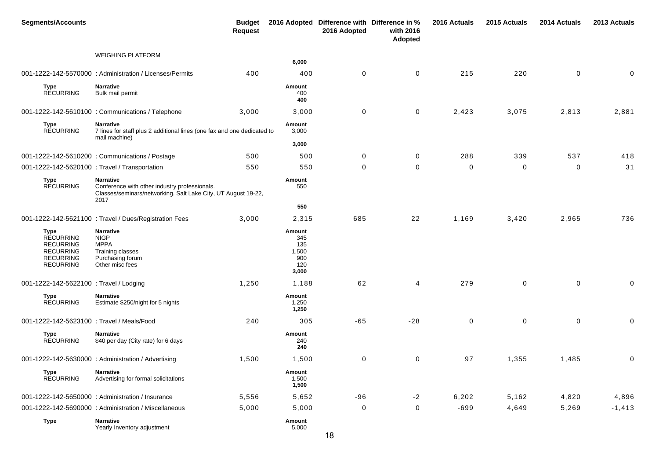| <b>Segments/Accounts</b>                                                                                 |                                                                                                                                            | <b>Budget</b><br><b>Request</b> |                                                      | 2016 Adopted Difference with Difference in %<br>2016 Adopted | with 2016<br>Adopted | 2016 Actuals | 2015 Actuals | 2014 Actuals     | 2013 Actuals |
|----------------------------------------------------------------------------------------------------------|--------------------------------------------------------------------------------------------------------------------------------------------|---------------------------------|------------------------------------------------------|--------------------------------------------------------------|----------------------|--------------|--------------|------------------|--------------|
|                                                                                                          | <b>WEIGHING PLATFORM</b>                                                                                                                   |                                 | 6,000                                                |                                                              |                      |              |              |                  |              |
|                                                                                                          | 001-1222-142-5570000 : Administration / Licenses/Permits                                                                                   | 400                             | 400                                                  | $\mathbf 0$                                                  | $\pmb{0}$            | 215          | 220          | $\mathbf 0$      | 0            |
| <b>Type</b><br><b>RECURRING</b>                                                                          | <b>Narrative</b><br>Bulk mail permit                                                                                                       |                                 | Amount<br>400<br>400                                 |                                                              |                      |              |              |                  |              |
|                                                                                                          | 001-1222-142-5610100 : Communications / Telephone                                                                                          | 3,000                           | 3,000                                                | 0                                                            | 0                    | 2,423        | 3,075        | 2,813            | 2,881        |
| Type<br><b>RECURRING</b>                                                                                 | <b>Narrative</b><br>7 lines for staff plus 2 additional lines (one fax and one dedicated to<br>mail machine)                               |                                 | Amount<br>3,000                                      |                                                              |                      |              |              |                  |              |
|                                                                                                          |                                                                                                                                            |                                 | 3,000                                                |                                                              |                      |              |              |                  |              |
|                                                                                                          | 001-1222-142-5610200 : Communications / Postage                                                                                            | 500                             | 500                                                  | 0                                                            | 0                    | 288          | 339          | 537              | 418          |
| 001-1222-142-5620100 : Travel / Transportation                                                           |                                                                                                                                            | 550                             | 550                                                  | $\Omega$                                                     | 0                    | $\mathbf 0$  | 0            | 0                | 31           |
| Type<br><b>RECURRING</b>                                                                                 | <b>Narrative</b><br>Conference with other industry professionals.<br>Classes/seminars/networking. Salt Lake City, UT August 19-22,<br>2017 |                                 | <b>Amount</b><br>550                                 |                                                              |                      |              |              |                  |              |
|                                                                                                          |                                                                                                                                            |                                 | 550                                                  |                                                              |                      |              |              |                  |              |
|                                                                                                          | 001-1222-142-5621100 : Travel / Dues/Registration Fees                                                                                     | 3,000                           | 2,315                                                | 685                                                          | 22                   | 1,169        | 3,420        | 2,965            | 736          |
| Type<br><b>RECURRING</b><br><b>RECURRING</b><br><b>RECURRING</b><br><b>RECURRING</b><br><b>RECURRING</b> | <b>Narrative</b><br><b>NIGP</b><br><b>MPPA</b><br>Training classes<br>Purchasing forum<br>Other misc fees                                  |                                 | Amount<br>345<br>135<br>1,500<br>900<br>120<br>3,000 |                                                              |                      |              |              |                  |              |
| 001-1222-142-5622100 : Travel / Lodging                                                                  |                                                                                                                                            | 1,250                           | 1,188                                                | 62                                                           | 4                    | 279          | 0            | $\mathbf 0$      | 0            |
| Type<br><b>RECURRING</b>                                                                                 | Narrative<br>Estimate \$250/night for 5 nights                                                                                             |                                 | Amount<br>1,250<br>1,250                             |                                                              |                      |              |              |                  |              |
| 001-1222-142-5623100 : Travel / Meals/Food                                                               |                                                                                                                                            | 240                             | 305                                                  | $-65$                                                        | $-28$                | 0            | $\mathbf 0$  | $\boldsymbol{0}$ | 0            |
| <b>Type</b><br><b>RECURRING</b>                                                                          | <b>Narrative</b><br>\$40 per day (City rate) for 6 days                                                                                    |                                 | Amount<br>240<br>240                                 |                                                              |                      |              |              |                  |              |
|                                                                                                          | 001-1222-142-5630000 : Administration / Advertising                                                                                        | 1,500                           | 1,500                                                | 0                                                            | 0                    | 97           | 1,355        | 1,485            | $\mathbf 0$  |
| Type<br><b>RECURRING</b>                                                                                 | <b>Narrative</b><br>Advertising for formal solicitations                                                                                   |                                 | Amount<br>1,500<br>1,500                             |                                                              |                      |              |              |                  |              |
|                                                                                                          | 001-1222-142-5650000 : Administration / Insurance                                                                                          | 5,556                           | 5,652                                                | $-96$                                                        | $-2$                 | 6,202        | 5,162        | 4,820            | 4,896        |
|                                                                                                          | 001-1222-142-5690000 : Administration / Miscellaneous                                                                                      | 5,000                           | 5,000                                                | 0                                                            | $\pmb{0}$            | $-699$       | 4,649        | 5,269            | $-1,413$     |
| <b>Type</b>                                                                                              | <b>Narrative</b><br>Yearly Inventory adjustment                                                                                            |                                 | Amount<br>5,000                                      |                                                              |                      |              |              |                  |              |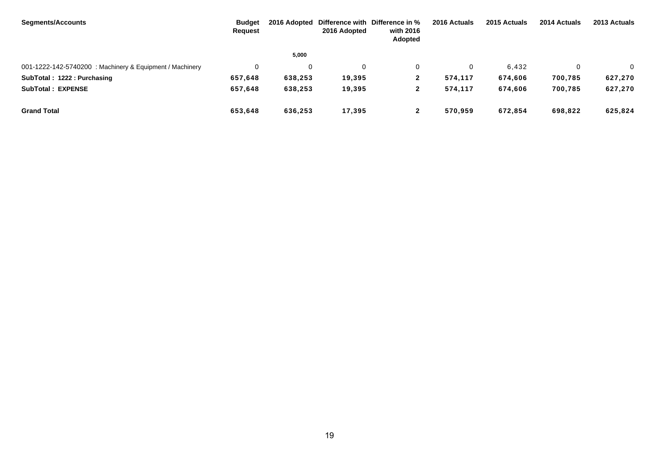| <b>Segments/Accounts</b>                                 | <b>Budget</b><br>Request | 2016 Adopted | 2016 Adopted | Difference with Difference in %<br>with 2016<br>Adopted | 2016 Actuals | 2015 Actuals | 2014 Actuals | 2013 Actuals   |
|----------------------------------------------------------|--------------------------|--------------|--------------|---------------------------------------------------------|--------------|--------------|--------------|----------------|
|                                                          |                          | 5,000        |              |                                                         |              |              |              |                |
| 001-1222-142-5740200 : Machinery & Equipment / Machinery |                          |              |              | $\Omega$                                                |              | 6.432        |              | $\overline{0}$ |
| SubTotal: 1222: Purchasing                               | 657,648                  | 638,253      | 19,395       | $\mathbf{2}$                                            | 574,117      | 674,606      | 700,785      | 627,270        |
| <b>SubTotal: EXPENSE</b>                                 | 657,648                  | 638,253      | 19,395       | $\mathbf{2}$                                            | 574,117      | 674,606      | 700,785      | 627,270        |
| <b>Grand Total</b>                                       | 653,648                  | 636,253      | 17,395       | ▴                                                       | 570,959      | 672,854      | 698,822      | 625,824        |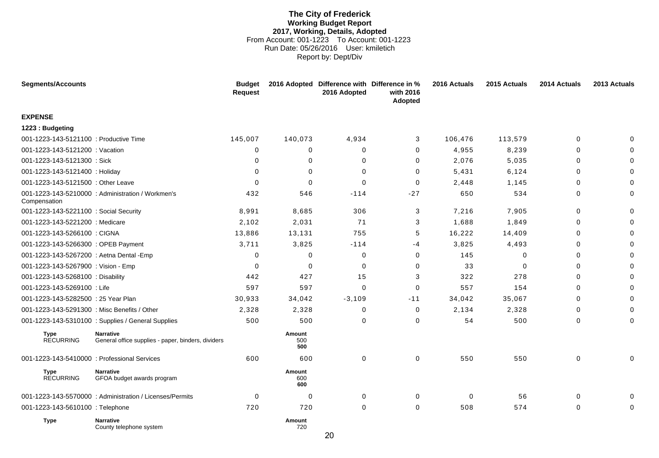#### **The City of Frederick Working Budget Report 2017, Working, Details, Adopted** From Account: 001-1223 To Account: 001-1223 Run Date: 05/26/2016 User: kmiletich Report by: Dept/Div

<span id="page-24-0"></span>

| <b>Segments/Accounts</b>                     |                                                                        | <b>Budget</b><br><b>Request</b> |                      | 2016 Adopted Difference with Difference in %<br>2016 Adopted | with 2016<br>Adopted | 2016 Actuals | 2015 Actuals | 2014 Actuals | 2013 Actuals |
|----------------------------------------------|------------------------------------------------------------------------|---------------------------------|----------------------|--------------------------------------------------------------|----------------------|--------------|--------------|--------------|--------------|
| <b>EXPENSE</b>                               |                                                                        |                                 |                      |                                                              |                      |              |              |              |              |
| 1223: Budgeting                              |                                                                        |                                 |                      |                                                              |                      |              |              |              |              |
| 001-1223-143-5121100 : Productive Time       |                                                                        | 145,007                         | 140,073              | 4,934                                                        | 3                    | 106,476      | 113,579      | $\mathbf 0$  | $\Omega$     |
| 001-1223-143-5121200 : Vacation              |                                                                        | $\Omega$                        | 0                    | $\Omega$                                                     | 0                    | 4,955        | 8,239        | $\Omega$     | $\Omega$     |
| 001-1223-143-5121300 : Sick                  |                                                                        | 0                               | 0                    | $\Omega$                                                     | 0                    | 2,076        | 5,035        | $\Omega$     | $\Omega$     |
| 001-1223-143-5121400 : Holiday               |                                                                        | 0                               | 0                    | $\Omega$                                                     | 0                    | 5,431        | 6,124        | 0            | $\Omega$     |
| 001-1223-143-5121500 : Other Leave           |                                                                        | $\Omega$                        | 0                    | 0                                                            | 0                    | 2,448        | 1,145        | $\Omega$     | $\Omega$     |
| Compensation                                 | 001-1223-143-5210000 : Administration / Workmen's                      | 432                             | 546                  | $-114$                                                       | $-27$                | 650          | 534          | $\Omega$     | $\Omega$     |
| 001-1223-143-5221100 : Social Security       |                                                                        | 8,991                           | 8,685                | 306                                                          | 3                    | 7,216        | 7,905        | $\Omega$     | $\Omega$     |
| 001-1223-143-5221200 : Medicare              |                                                                        | 2,102                           | 2,031                | 71                                                           | 3                    | 1,688        | 1,849        | $\Omega$     | $\Omega$     |
| 001-1223-143-5266100 : CIGNA                 |                                                                        | 13,886                          | 13,131               | 755                                                          | 5                    | 16,222       | 14,409       | $\mathbf 0$  | $\Omega$     |
| 001-1223-143-5266300 : OPEB Payment          |                                                                        | 3,711                           | 3,825                | $-114$                                                       | $-4$                 | 3,825        | 4,493        | $\Omega$     | $\Omega$     |
| 001-1223-143-5267200 : Aetna Dental - Emp    |                                                                        | 0                               | 0                    | 0                                                            | $\mathbf 0$          | 145          | $\mathbf 0$  | $\mathbf 0$  | $\Omega$     |
| 001-1223-143-5267900 : Vision - Emp          |                                                                        | $\Omega$                        | 0                    | 0                                                            | 0                    | 33           | 0            | $\Omega$     | $\Omega$     |
| 001-1223-143-5268100 : Disability            |                                                                        | 442                             | 427                  | 15                                                           | 3                    | 322          | 278          | $\Omega$     | $\Omega$     |
| 001-1223-143-5269100 : Life                  |                                                                        | 597                             | 597                  | $\Omega$                                                     | 0                    | 557          | 154          | $\Omega$     | $\Omega$     |
| 001-1223-143-5282500 : 25 Year Plan          |                                                                        | 30,933                          | 34,042               | $-3,109$                                                     | $-11$                | 34,042       | 35,067       | $\mathbf 0$  | ∩            |
| 001-1223-143-5291300 : Misc Benefits / Other |                                                                        | 2,328                           | 2,328                | $\Omega$                                                     | 0                    | 2,134        | 2,328        | $\Omega$     | $\Omega$     |
|                                              | 001-1223-143-5310100 : Supplies / General Supplies                     | 500                             | 500                  | 0                                                            | 0                    | 54           | 500          | $\mathbf 0$  | $\mathbf 0$  |
| Type<br><b>RECURRING</b>                     | <b>Narrative</b><br>General office supplies - paper, binders, dividers |                                 | Amount<br>500<br>500 |                                                              |                      |              |              |              |              |
| 001-1223-143-5410000 : Professional Services |                                                                        | 600                             | 600                  | $\mathbf 0$                                                  | $\mathbf 0$          | 550          | 550          | $\mathbf 0$  | 0            |
| <b>Type</b><br><b>RECURRING</b>              | <b>Narrative</b><br>GFOA budget awards program                         |                                 | Amount<br>600<br>600 |                                                              |                      |              |              |              |              |
|                                              | 001-1223-143-5570000 : Administration / Licenses/Permits               | $\Omega$                        | 0                    | 0                                                            | 0                    | $\Omega$     | 56           | $\mathbf 0$  | $\Omega$     |
| 001-1223-143-5610100 : Telephone             |                                                                        | 720                             | 720                  | 0                                                            | 0                    | 508          | 574          | $\mathbf 0$  | 0            |
| <b>Type</b>                                  | <b>Narrative</b><br>County telephone system                            |                                 | Amount<br>720        |                                                              |                      |              |              |              |              |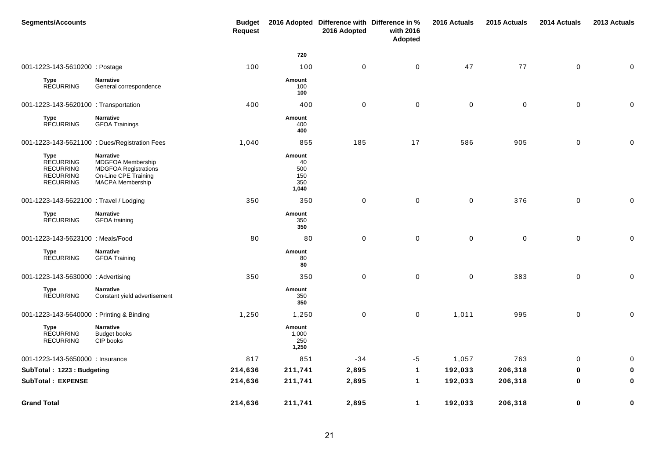| <b>Segments/Accounts</b>                                                             |                                                                                                                  | <b>Budget</b><br><b>Request</b> |                                            | 2016 Adopted Difference with Difference in %<br>2016 Adopted | with 2016<br><b>Adopted</b> | 2016 Actuals | 2015 Actuals | 2014 Actuals        | 2013 Actuals |
|--------------------------------------------------------------------------------------|------------------------------------------------------------------------------------------------------------------|---------------------------------|--------------------------------------------|--------------------------------------------------------------|-----------------------------|--------------|--------------|---------------------|--------------|
|                                                                                      |                                                                                                                  |                                 | 720                                        |                                                              |                             |              |              |                     |              |
| 001-1223-143-5610200 : Postage                                                       |                                                                                                                  | 100                             | 100                                        | $\mathbf 0$                                                  | $\pmb{0}$                   | 47           | 77           | $\mathsf{O}\xspace$ | 0            |
| Type<br><b>RECURRING</b>                                                             | Narrative<br>General correspondence                                                                              |                                 | Amount<br>100<br>100                       |                                                              |                             |              |              |                     |              |
| 001-1223-143-5620100 : Transportation                                                |                                                                                                                  | 400                             | 400                                        | $\mathbf 0$                                                  | $\pmb{0}$                   | $\pmb{0}$    | $\mathsf 0$  | $\mathsf{O}\xspace$ | 0            |
| Type<br><b>RECURRING</b>                                                             | Narrative<br><b>GFOA Trainings</b>                                                                               |                                 | Amount<br>400<br>400                       |                                                              |                             |              |              |                     |              |
|                                                                                      | 001-1223-143-5621100 : Dues/Registration Fees                                                                    | 1,040                           | 855                                        | 185                                                          | 17                          | 586          | 905          | $\mathbf 0$         | 0            |
| Type<br><b>RECURRING</b><br><b>RECURRING</b><br><b>RECURRING</b><br><b>RECURRING</b> | Narrative<br>MDGFOA Membership<br><b>MDGFOA Registrations</b><br>On-Line CPE Training<br><b>MACPA Membership</b> |                                 | Amount<br>40<br>500<br>150<br>350<br>1,040 |                                                              |                             |              |              |                     |              |
| 001-1223-143-5622100 : Travel / Lodging                                              |                                                                                                                  | 350                             | 350                                        | 0                                                            | $\mathbf 0$                 | $\mathbf 0$  | 376          | 0                   | 0            |
| <b>Type</b><br><b>RECURRING</b>                                                      | Narrative<br>GFOA training                                                                                       |                                 | Amount<br>350<br>350                       |                                                              |                             |              |              |                     |              |
| 001-1223-143-5623100 : Meals/Food                                                    |                                                                                                                  | 80                              | 80                                         | $\mathbf 0$                                                  | $\mathbf 0$                 | $\mathbf 0$  | $\mathbf 0$  | 0                   | 0            |
| Type<br><b>RECURRING</b>                                                             | <b>Narrative</b><br><b>GFOA Training</b>                                                                         |                                 | Amount<br>80<br>80                         |                                                              |                             |              |              |                     |              |
| 001-1223-143-5630000: Advertising                                                    |                                                                                                                  | 350                             | 350                                        | $\mathbf 0$                                                  | $\mathbf 0$                 | $\mathbf 0$  | 383          | 0                   | 0            |
| Type<br><b>RECURRING</b>                                                             | <b>Narrative</b><br>Constant yield advertisement                                                                 |                                 | Amount<br>350<br>350                       |                                                              |                             |              |              |                     |              |
| 001-1223-143-5640000: Printing & Binding                                             |                                                                                                                  | 1,250                           | 1,250                                      | 0                                                            | 0                           | 1,011        | 995          | 0                   | 0            |
| <b>Type</b><br><b>RECURRING</b><br><b>RECURRING</b>                                  | Narrative<br><b>Budget books</b><br>CIP books                                                                    |                                 | Amount<br>1,000<br>250<br>1,250            |                                                              |                             |              |              |                     |              |
| 001-1223-143-5650000 : Insurance                                                     |                                                                                                                  | 817                             | 851                                        | $-34$                                                        | -5                          | 1,057        | 763          | 0                   | 0            |
| SubTotal: 1223: Budgeting                                                            |                                                                                                                  | 214,636                         | 211,741                                    | 2,895                                                        | 1                           | 192,033      | 206,318      | $\bf{0}$            | 0            |
| <b>SubTotal: EXPENSE</b>                                                             |                                                                                                                  | 214,636                         | 211,741                                    | 2,895                                                        | 1                           | 192,033      | 206,318      | 0                   | 0            |
| <b>Grand Total</b>                                                                   |                                                                                                                  | 214,636                         | 211,741                                    | 2,895                                                        | $\mathbf{1}$                | 192,033      | 206,318      | 0                   | $\pmb{0}$    |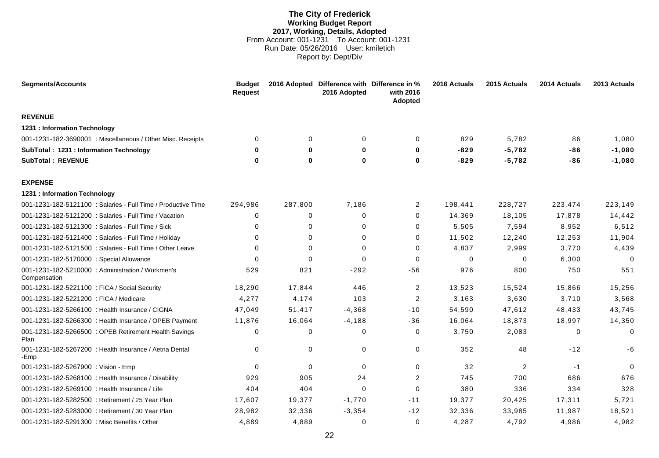#### **The City of Frederick Working Budget Report 2017, Working, Details, Adopted** From Account: 001-1231 To Account: 001-1231 Run Date: 05/26/2016 User: kmiletich Report by: Dept/Div

<span id="page-26-0"></span>

| <b>Segments/Accounts</b>                                          | <b>Budget</b><br><b>Request</b> |             | 2016 Adopted Difference with Difference in %<br>2016 Adopted | with 2016<br>Adopted | 2016 Actuals | 2015 Actuals   | 2014 Actuals | 2013 Actuals |
|-------------------------------------------------------------------|---------------------------------|-------------|--------------------------------------------------------------|----------------------|--------------|----------------|--------------|--------------|
| <b>REVENUE</b>                                                    |                                 |             |                                                              |                      |              |                |              |              |
| 1231 : Information Technology                                     |                                 |             |                                                              |                      |              |                |              |              |
| 001-1231-182-3690001 : Miscellaneous / Other Misc. Receipts       | $\Omega$                        | 0           | $\Omega$                                                     | 0                    | 829          | 5,782          | 86           | 1,080        |
| SubTotal: 1231 : Information Technology                           | 0                               | 0           | $\bf{0}$                                                     | 0                    | $-829$       | $-5,782$       | -86          | $-1,080$     |
| <b>SubTotal: REVENUE</b>                                          | 0                               | $\mathbf 0$ | 0                                                            | 0                    | $-829$       | $-5,782$       | -86          | $-1,080$     |
| <b>EXPENSE</b>                                                    |                                 |             |                                                              |                      |              |                |              |              |
| 1231 : Information Technology                                     |                                 |             |                                                              |                      |              |                |              |              |
| 001-1231-182-5121100 : Salaries - Full Time / Productive Time     | 294,986                         | 287,800     | 7,186                                                        | $\overline{2}$       | 198,441      | 228,727        | 223,474      | 223,149      |
| 001-1231-182-5121200 : Salaries - Full Time / Vacation            | $\Omega$                        | 0           | 0                                                            | 0                    | 14,369       | 18,105         | 17,878       | 14,442       |
| 001-1231-182-5121300 : Salaries - Full Time / Sick                | $\Omega$                        | 0           | $\Omega$                                                     | 0                    | 5,505        | 7,594          | 8,952        | 6,512        |
| 001-1231-182-5121400 : Salaries - Full Time / Holiday             | $\Omega$                        | 0           | $\Omega$                                                     | 0                    | 11,502       | 12,240         | 12,253       | 11,904       |
| 001-1231-182-5121500 : Salaries - Full Time / Other Leave         | $\Omega$                        | $\Omega$    | $\Omega$                                                     | $\mathbf 0$          | 4,837        | 2,999          | 3,770        | 4,439        |
| 001-1231-182-5170000 : Special Allowance                          | $\Omega$                        | $\Omega$    | $\Omega$                                                     | 0                    | $\Omega$     | 0              | 6,300        | $\Omega$     |
| 001-1231-182-5210000 : Administration / Workmen's<br>Compensation | 529                             | 821         | $-292$                                                       | $-56$                | 976          | 800            | 750          | 551          |
| 001-1231-182-5221100 : FICA / Social Security                     | 18,290                          | 17,844      | 446                                                          | $\overline{2}$       | 13,523       | 15,524         | 15,866       | 15,256       |
| 001-1231-182-5221200 : FICA / Medicare                            | 4,277                           | 4,174       | 103                                                          | $\overline{2}$       | 3,163        | 3,630          | 3,710        | 3,568        |
| 001-1231-182-5266100 : Health Insurance / CIGNA                   | 47,049                          | 51,417      | $-4,368$                                                     | $-10$                | 54,590       | 47,612         | 48,433       | 43,745       |
| 001-1231-182-5266300 : Health Insurance / OPEB Payment            | 11,876                          | 16,064      | $-4,188$                                                     | $-36$                | 16,064       | 18,873         | 18,997       | 14,350       |
| 001-1231-182-5266500 : OPEB Retirement Health Savings<br>Plan     | 0                               | 0           | $\Omega$                                                     | 0                    | 3,750        | 2,083          | $\mathbf{0}$ | $\mathbf 0$  |
| 001-1231-182-5267200 : Health Insurance / Aetna Dental<br>-Emp    | 0                               | $\mathbf 0$ | 0                                                            | 0                    | 352          | 48             | $-12$        | -6           |
| 001-1231-182-5267900 : Vision - Emp                               | $\Omega$                        | 0           | $\Omega$                                                     | 0                    | 32           | $\overline{2}$ | $-1$         | $\Omega$     |
| 001-1231-182-5268100 : Health Insurance / Disability              | 929                             | 905         | 24                                                           | $\overline{2}$       | 745          | 700            | 686          | 676          |
| 001-1231-182-5269100 : Health Insurance / Life                    | 404                             | 404         | $\Omega$                                                     | $\mathbf 0$          | 380          | 336            | 334          | 328          |
| 001-1231-182-5282500 : Retirement / 25 Year Plan                  | 17,607                          | 19,377      | $-1,770$                                                     | $-11$                | 19,377       | 20,425         | 17,311       | 5,721        |
| 001-1231-182-5283000 : Retirement / 30 Year Plan                  | 28,982                          | 32,336      | $-3,354$                                                     | $-12$                | 32,336       | 33,985         | 11,987       | 18,521       |
| 001-1231-182-5291300 : Misc Benefits / Other                      | 4.889                           | 4.889       | $\Omega$                                                     | $\Omega$             | 4.287        | 4.792          | 4.986        | 4,982        |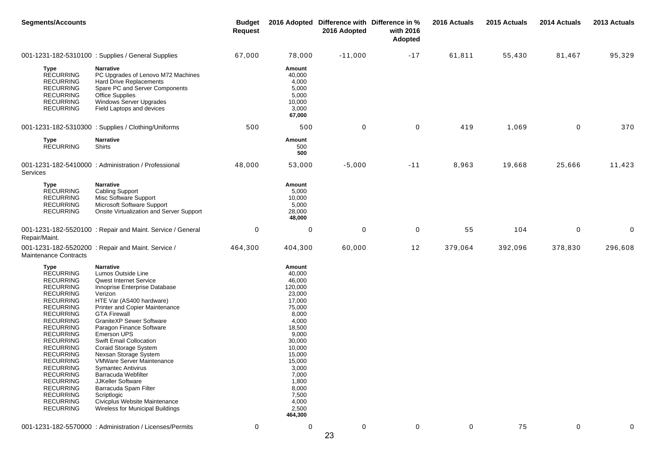| <b>Segments/Accounts</b>                                                                                                                                                                                                                                                                                                                                                                                                                        |                                                                                                                                                                                                                                                                                                                                                                                                                                                                                                                                                                                                             | <b>Budget</b><br><b>Request</b> |                                                                                                                                                                                                                            | 2016 Adopted Difference with Difference in %<br>2016 Adopted | with 2016<br>Adopted | 2016 Actuals | 2015 Actuals | 2014 Actuals | 2013 Actuals |
|-------------------------------------------------------------------------------------------------------------------------------------------------------------------------------------------------------------------------------------------------------------------------------------------------------------------------------------------------------------------------------------------------------------------------------------------------|-------------------------------------------------------------------------------------------------------------------------------------------------------------------------------------------------------------------------------------------------------------------------------------------------------------------------------------------------------------------------------------------------------------------------------------------------------------------------------------------------------------------------------------------------------------------------------------------------------------|---------------------------------|----------------------------------------------------------------------------------------------------------------------------------------------------------------------------------------------------------------------------|--------------------------------------------------------------|----------------------|--------------|--------------|--------------|--------------|
|                                                                                                                                                                                                                                                                                                                                                                                                                                                 | 001-1231-182-5310100 : Supplies / General Supplies                                                                                                                                                                                                                                                                                                                                                                                                                                                                                                                                                          | 67,000                          | 78,000                                                                                                                                                                                                                     | $-11,000$                                                    | $-17$                | 61,811       | 55,430       | 81,467       | 95,329       |
| Type<br><b>RECURRING</b><br><b>RECURRING</b><br><b>RECURRING</b><br><b>RECURRING</b><br><b>RECURRING</b><br><b>RECURRING</b>                                                                                                                                                                                                                                                                                                                    | <b>Narrative</b><br>PC Upgrades of Lenovo M72 Machines<br>Hard Drive Replacements<br>Spare PC and Server Components<br>Office Supplies<br>Windows Server Upgrades<br>Field Laptops and devices                                                                                                                                                                                                                                                                                                                                                                                                              |                                 | Amount<br>40,000<br>4,000<br>5,000<br>5,000<br>10,000<br>3,000<br>67,000                                                                                                                                                   |                                                              |                      |              |              |              |              |
|                                                                                                                                                                                                                                                                                                                                                                                                                                                 | 001-1231-182-5310300 : Supplies / Clothing/Uniforms                                                                                                                                                                                                                                                                                                                                                                                                                                                                                                                                                         | 500                             | 500                                                                                                                                                                                                                        | $\mathbf 0$                                                  | $\mathbf 0$          | 419          | 1,069        | 0            | 370          |
| Type<br><b>RECURRING</b>                                                                                                                                                                                                                                                                                                                                                                                                                        | <b>Narrative</b><br>Shirts                                                                                                                                                                                                                                                                                                                                                                                                                                                                                                                                                                                  |                                 | Amount<br>500<br>500                                                                                                                                                                                                       |                                                              |                      |              |              |              |              |
| Services                                                                                                                                                                                                                                                                                                                                                                                                                                        | 001-1231-182-5410000 : Administration / Professional                                                                                                                                                                                                                                                                                                                                                                                                                                                                                                                                                        | 48,000                          | 53,000                                                                                                                                                                                                                     | $-5,000$                                                     | $-11$                | 8,963        | 19,668       | 25,666       | 11,423       |
| <b>Type</b><br><b>RECURRING</b><br><b>RECURRING</b><br><b>RECURRING</b><br><b>RECURRING</b>                                                                                                                                                                                                                                                                                                                                                     | <b>Narrative</b><br><b>Cabling Support</b><br>Misc Software Support<br>Microsoft Software Support<br>Onsite Virtualization and Server Support                                                                                                                                                                                                                                                                                                                                                                                                                                                               |                                 | Amount<br>5,000<br>10,000<br>5,000<br>28,000<br>48,000                                                                                                                                                                     |                                                              |                      |              |              |              |              |
| Repair/Maint.                                                                                                                                                                                                                                                                                                                                                                                                                                   | 001-1231-182-5520100 : Repair and Maint. Service / General                                                                                                                                                                                                                                                                                                                                                                                                                                                                                                                                                  | $\mathbf 0$                     | $\mathbf 0$                                                                                                                                                                                                                | 0                                                            | 0                    | 55           | 104          | 0            | 0            |
| <b>Maintenance Contracts</b>                                                                                                                                                                                                                                                                                                                                                                                                                    | 001-1231-182-5520200 : Repair and Maint. Service /                                                                                                                                                                                                                                                                                                                                                                                                                                                                                                                                                          | 464,300                         | 404,300                                                                                                                                                                                                                    | 60,000                                                       | 12                   | 379,064      | 392,096      | 378,830      | 296,608      |
| <b>Type</b><br><b>RECURRING</b><br><b>RECURRING</b><br><b>RECURRING</b><br><b>RECURRING</b><br><b>RECURRING</b><br><b>RECURRING</b><br><b>RECURRING</b><br><b>RECURRING</b><br><b>RECURRING</b><br><b>RECURRING</b><br><b>RECURRING</b><br><b>RECURRING</b><br><b>RECURRING</b><br><b>RECURRING</b><br><b>RECURRING</b><br><b>RECURRING</b><br><b>RECURRING</b><br><b>RECURRING</b><br><b>RECURRING</b><br><b>RECURRING</b><br><b>RECURRING</b> | <b>Narrative</b><br>Lumos Outside Line<br><b>Qwest Internet Service</b><br>Innoprise Enterprise Database<br>Verizon<br>HTE Var (AS400 hardware)<br>Printer and Copier Maintenance<br><b>GTA Firewall</b><br><b>GraniteXP Sewer Software</b><br>Paragon Finance Software<br>Emerson UPS<br><b>Swift Email Collocation</b><br>Coraid Storage System<br>Nexsan Storage System<br><b>VMWare Server Maintenance</b><br><b>Symantec Antivirus</b><br>Barracuda Webfilter<br><b>JJKeller Software</b><br>Barracuda Spam Filter<br>Scriptlogic<br>Civicplus Website Maintenance<br>Wireless for Municipal Buildings |                                 | Amount<br>40,000<br>46,000<br>120,000<br>23,000<br>17,000<br>75,000<br>8,000<br>4,000<br>18,500<br>9,000<br>30,000<br>10,000<br>15,000<br>15,000<br>3,000<br>7,000<br>1,800<br>8,000<br>7,500<br>4,000<br>2,500<br>464,300 |                                                              |                      |              |              |              |              |
|                                                                                                                                                                                                                                                                                                                                                                                                                                                 | 001-1231-182-5570000 : Administration / Licenses/Permits                                                                                                                                                                                                                                                                                                                                                                                                                                                                                                                                                    | 0                               | 0                                                                                                                                                                                                                          | $\mathbf 0$                                                  | $\mathbf 0$          | 0            | 75           | $\mathbf 0$  | 0            |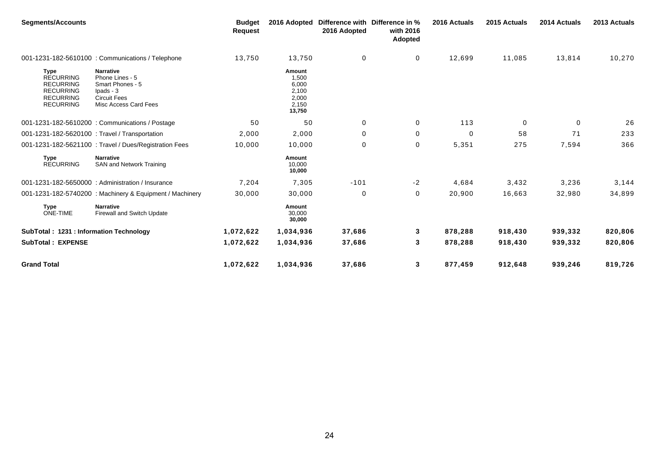| <b>Segments/Accounts</b>                                                                                        |                                                                                                                      | <b>Budget</b><br><b>Request</b> |                                                               | 2016 Adopted Difference with Difference in %<br>2016 Adopted | with 2016<br><b>Adopted</b> | 2016 Actuals | 2015 Actuals | 2014 Actuals | 2013 Actuals |
|-----------------------------------------------------------------------------------------------------------------|----------------------------------------------------------------------------------------------------------------------|---------------------------------|---------------------------------------------------------------|--------------------------------------------------------------|-----------------------------|--------------|--------------|--------------|--------------|
|                                                                                                                 | 001-1231-182-5610100 : Communications / Telephone                                                                    | 13,750                          | 13,750                                                        | $\mathbf 0$                                                  | 0                           | 12,699       | 11,085       | 13,814       | 10,270       |
| <b>Type</b><br><b>RECURRING</b><br><b>RECURRING</b><br><b>RECURRING</b><br><b>RECURRING</b><br><b>RECURRING</b> | <b>Narrative</b><br>Phone Lines - 5<br>Smart Phones - 5<br>Ipads - 3<br><b>Circuit Fees</b><br>Misc Access Card Fees |                                 | Amount<br>1,500<br>6,000<br>2,100<br>2,000<br>2,150<br>13,750 |                                                              |                             |              |              |              |              |
|                                                                                                                 | 001-1231-182-5610200 : Communications / Postage                                                                      | 50                              | 50                                                            | $\mathbf 0$                                                  | 0                           | 113          | 0            | $\mathbf 0$  | 26           |
| 001-1231-182-5620100 : Travel / Transportation                                                                  |                                                                                                                      | 2,000                           | 2,000                                                         | $\mathbf 0$                                                  | $\pmb{0}$                   | 0            | 58           | 71           | 233          |
|                                                                                                                 | 001-1231-182-5621100 : Travel / Dues/Registration Fees                                                               | 10,000                          | 10,000                                                        | $\mathbf 0$                                                  | $\pmb{0}$                   | 5,351        | 275          | 7,594        | 366          |
| <b>Type</b><br><b>RECURRING</b>                                                                                 | <b>Narrative</b><br>SAN and Network Training                                                                         |                                 | Amount<br>10,000<br>10,000                                    |                                                              |                             |              |              |              |              |
|                                                                                                                 | 001-1231-182-5650000 : Administration / Insurance                                                                    | 7,204                           | 7,305                                                         | $-101$                                                       | $-2$                        | 4,684        | 3,432        | 3,236        | 3,144        |
|                                                                                                                 | 001-1231-182-5740200 : Machinery & Equipment / Machinery                                                             | 30,000                          | 30,000                                                        | $\mathbf 0$                                                  | 0                           | 20,900       | 16,663       | 32,980       | 34,899       |
| <b>Type</b><br><b>ONE-TIME</b>                                                                                  | <b>Narrative</b><br>Firewall and Switch Update                                                                       |                                 | Amount<br>30,000<br>30,000                                    |                                                              |                             |              |              |              |              |
| SubTotal: 1231 : Information Technology                                                                         |                                                                                                                      | 1,072,622                       | 1,034,936                                                     | 37,686                                                       | 3                           | 878,288      | 918,430      | 939,332      | 820,806      |
| <b>SubTotal: EXPENSE</b>                                                                                        |                                                                                                                      | 1,072,622                       | 1,034,936                                                     | 37,686                                                       | 3                           | 878,288      | 918,430      | 939,332      | 820,806      |
| <b>Grand Total</b>                                                                                              |                                                                                                                      | 1,072,622                       | 1,034,936                                                     | 37,686                                                       | 3                           | 877,459      | 912,648      | 939,246      | 819,726      |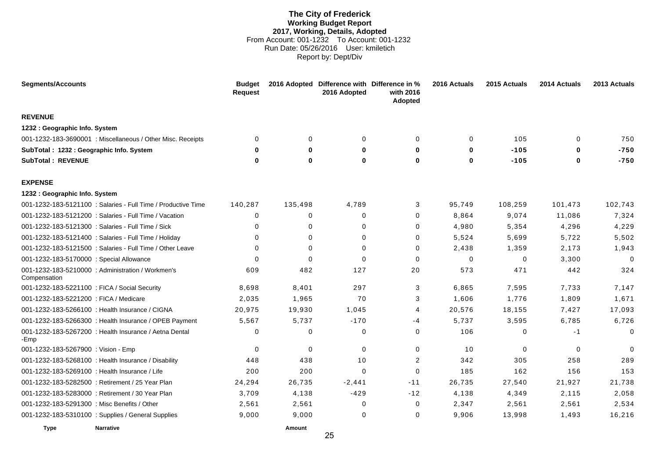#### **The City of Frederick Working Budget Report 2017, Working, Details, Adopted** From Account: 001-1232 To Account: 001-1232 Run Date: 05/26/2016 User: kmiletich Report by: Dept/Div

<span id="page-29-0"></span>

| <b>Segments/Accounts</b>                                          | Budget<br><b>Request</b> |          | 2016 Adopted Difference with Difference in %<br>2016 Adopted | with 2016<br>Adopted | 2016 Actuals | 2015 Actuals | 2014 Actuals | 2013 Actuals |
|-------------------------------------------------------------------|--------------------------|----------|--------------------------------------------------------------|----------------------|--------------|--------------|--------------|--------------|
| <b>REVENUE</b>                                                    |                          |          |                                                              |                      |              |              |              |              |
| 1232 : Geographic Info. System                                    |                          |          |                                                              |                      |              |              |              |              |
| 001-1232-183-3690001 : Miscellaneous / Other Misc. Receipts       | $\Omega$                 | 0        | $\Omega$                                                     | 0                    | $\Omega$     | 105          | $\Omega$     | 750          |
| SubTotal: 1232 : Geographic Info. System                          | 0                        | 0        | 0                                                            | 0                    | 0            | $-105$       | 0            | $-750$       |
| <b>SubTotal: REVENUE</b>                                          | $\bf{0}$                 | 0        | $\bf{0}$                                                     | $\bf{0}$             | $\bf{0}$     | $-105$       | $\bf{0}$     | $-750$       |
| <b>EXPENSE</b>                                                    |                          |          |                                                              |                      |              |              |              |              |
| 1232 : Geographic Info. System                                    |                          |          |                                                              |                      |              |              |              |              |
| 001-1232-183-5121100 : Salaries - Full Time / Productive Time     | 140,287                  | 135,498  | 4,789                                                        | 3                    | 95,749       | 108,259      | 101,473      | 102,743      |
| 001-1232-183-5121200 : Salaries - Full Time / Vacation            | 0                        | 0        | 0                                                            | $\mathbf 0$          | 8,864        | 9,074        | 11,086       | 7,324        |
| 001-1232-183-5121300 : Salaries - Full Time / Sick                | 0                        | 0        | 0                                                            | $\Omega$             | 4,980        | 5,354        | 4,296        | 4,229        |
| 001-1232-183-5121400 : Salaries - Full Time / Holiday             | $\Omega$                 | 0        | $\Omega$                                                     | 0                    | 5,524        | 5,699        | 5,722        | 5,502        |
| 001-1232-183-5121500 : Salaries - Full Time / Other Leave         | 0                        | 0        | $\Omega$                                                     | 0                    | 2,438        | 1,359        | 2,173        | 1,943        |
| 001-1232-183-5170000 : Special Allowance                          | $\Omega$                 | $\Omega$ | $\Omega$                                                     | $\mathbf 0$          | $\Omega$     | $\mathbf 0$  | 3,300        | $\Omega$     |
| 001-1232-183-5210000 : Administration / Workmen's<br>Compensation | 609                      | 482      | 127                                                          | 20                   | 573          | 471          | 442          | 324          |
| 001-1232-183-5221100 : FICA / Social Security                     | 8,698                    | 8,401    | 297                                                          | 3                    | 6,865        | 7,595        | 7,733        | 7,147        |
| 001-1232-183-5221200 : FICA / Medicare                            | 2,035                    | 1,965    | 70                                                           | 3                    | 1,606        | 1,776        | 1,809        | 1,671        |
| 001-1232-183-5266100 : Health Insurance / CIGNA                   | 20,975                   | 19,930   | 1,045                                                        | 4                    | 20,576       | 18,155       | 7,427        | 17,093       |
| 001-1232-183-5266300 : Health Insurance / OPEB Payment            | 5,567                    | 5,737    | $-170$                                                       | -4                   | 5,737        | 3,595        | 6,785        | 6,726        |
| 001-1232-183-5267200 : Health Insurance / Aetna Dental<br>-Emp    | 0                        | 0        | 0                                                            | 0                    | 106          | 0            | $-1$         | $\mathbf 0$  |
| 001-1232-183-5267900 : Vision - Emp                               | 0                        | 0        | 0                                                            | 0                    | 10           | 0            | $\Omega$     | $\mathbf 0$  |
| 001-1232-183-5268100 : Health Insurance / Disability              | 448                      | 438      | 10                                                           | $\overline{2}$       | 342          | 305          | 258          | 289          |
| 001-1232-183-5269100 : Health Insurance / Life                    | 200                      | 200      | $\Omega$                                                     | $\mathbf 0$          | 185          | 162          | 156          | 153          |
| 001-1232-183-5282500 : Retirement / 25 Year Plan                  | 24,294                   | 26,735   | $-2,441$                                                     | $-11$                | 26,735       | 27,540       | 21,927       | 21,738       |
| 001-1232-183-5283000 : Retirement / 30 Year Plan                  | 3,709                    | 4,138    | $-429$                                                       | $-12$                | 4,138        | 4,349        | 2,115        | 2,058        |
| 001-1232-183-5291300 : Misc Benefits / Other                      | 2,561                    | 2,561    | 0                                                            | 0                    | 2,347        | 2,561        | 2,561        | 2,534        |
| 001-1232-183-5310100 : Supplies / General Supplies                | 9,000                    | 9,000    | 0                                                            | 0                    | 9,906        | 13,998       | 1,493        | 16,216       |

**Type Narrative Amount**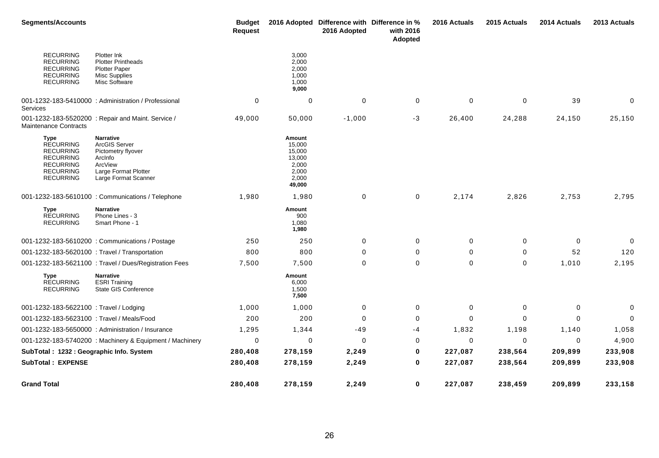| <b>Segments/Accounts</b>                                                                                                     |                                                                                                                               | <b>Budget</b><br><b>Request</b> |                                                                           | 2016 Adopted Difference with Difference in %<br>2016 Adopted | with 2016<br>Adopted | 2016 Actuals | 2015 Actuals | 2014 Actuals | 2013 Actuals |
|------------------------------------------------------------------------------------------------------------------------------|-------------------------------------------------------------------------------------------------------------------------------|---------------------------------|---------------------------------------------------------------------------|--------------------------------------------------------------|----------------------|--------------|--------------|--------------|--------------|
| <b>RECURRING</b><br><b>RECURRING</b><br><b>RECURRING</b><br><b>RECURRING</b><br><b>RECURRING</b>                             | Plotter Ink<br><b>Plotter Printheads</b><br><b>Plotter Paper</b><br><b>Misc Supplies</b><br>Misc Software                     |                                 | 3,000<br>2,000<br>2,000<br>1,000<br>1,000<br>9,000                        |                                                              |                      |              |              |              |              |
| Services                                                                                                                     | 001-1232-183-5410000 : Administration / Professional                                                                          | $\mathbf 0$                     | 0                                                                         | 0                                                            | 0                    | $\mathbf 0$  | $\mathbf 0$  | 39           | $\Omega$     |
| <b>Maintenance Contracts</b>                                                                                                 | 001-1232-183-5520200 : Repair and Maint. Service /                                                                            | 49,000                          | 50,000                                                                    | $-1,000$                                                     | -3                   | 26,400       | 24,288       | 24,150       | 25,150       |
| Type<br><b>RECURRING</b><br><b>RECURRING</b><br><b>RECURRING</b><br><b>RECURRING</b><br><b>RECURRING</b><br><b>RECURRING</b> | <b>Narrative</b><br>ArcGIS Server<br>Pictometry flyover<br>Arcinfo<br>ArcView<br>Large Format Plotter<br>Large Format Scanner |                                 | Amount<br>15,000<br>15,000<br>13,000<br>2,000<br>2,000<br>2,000<br>49,000 |                                                              |                      |              |              |              |              |
|                                                                                                                              | 001-1232-183-5610100 : Communications / Telephone                                                                             | 1,980                           | 1,980                                                                     | 0                                                            | $\mathbf 0$          | 2,174        | 2,826        | 2,753        | 2,795        |
| Type<br><b>RECURRING</b><br><b>RECURRING</b>                                                                                 | <b>Narrative</b><br>Phone Lines - 3<br>Smart Phone - 1                                                                        |                                 | Amount<br>900<br>1,080<br>1,980                                           |                                                              |                      |              |              |              |              |
|                                                                                                                              | 001-1232-183-5610200 : Communications / Postage                                                                               | 250                             | 250                                                                       | 0                                                            | 0                    | $\mathbf 0$  | $\mathbf 0$  | $\mathbf 0$  | $\Omega$     |
| 001-1232-183-5620100 : Travel / Transportation                                                                               |                                                                                                                               | 800                             | 800                                                                       | 0                                                            | 0                    | 0            | 0            | 52           | 120          |
|                                                                                                                              | 001-1232-183-5621100 : Travel / Dues/Registration Fees                                                                        | 7,500                           | 7,500                                                                     | 0                                                            | 0                    | $\Omega$     | $\mathbf 0$  | 1,010        | 2,195        |
| Type<br><b>RECURRING</b><br><b>RECURRING</b>                                                                                 | <b>Narrative</b><br><b>ESRI Training</b><br><b>State GIS Conference</b>                                                       |                                 | Amount<br>6,000<br>1,500<br>7,500                                         |                                                              |                      |              |              |              |              |
| 001-1232-183-5622100 : Travel / Lodging                                                                                      |                                                                                                                               | 1,000                           | 1,000                                                                     | 0                                                            | 0                    | $\mathbf 0$  | 0            | $\mathbf 0$  | 0            |
| 001-1232-183-5623100 : Travel / Meals/Food                                                                                   |                                                                                                                               | 200                             | 200                                                                       | $\mathbf 0$                                                  | 0                    | 0            | $\mathbf 0$  | $\Omega$     | $\mathbf 0$  |
|                                                                                                                              | 001-1232-183-5650000 : Administration / Insurance                                                                             | 1,295                           | 1,344                                                                     | $-49$                                                        | -4                   | 1,832        | 1,198        | 1,140        | 1,058        |
|                                                                                                                              | 001-1232-183-5740200 : Machinery & Equipment / Machinery                                                                      | $\Omega$                        | $\mathbf 0$                                                               | $\mathbf 0$                                                  | 0                    | $\Omega$     | $\mathbf 0$  | 0            | 4,900        |
| SubTotal: 1232 : Geographic Info. System                                                                                     |                                                                                                                               | 280,408                         | 278,159                                                                   | 2,249                                                        | 0                    | 227,087      | 238,564      | 209,899      | 233,908      |
| <b>SubTotal: EXPENSE</b>                                                                                                     |                                                                                                                               | 280,408                         | 278,159                                                                   | 2,249                                                        | 0                    | 227,087      | 238,564      | 209,899      | 233,908      |
| <b>Grand Total</b>                                                                                                           |                                                                                                                               | 280,408                         | 278,159                                                                   | 2,249                                                        | $\mathbf 0$          | 227,087      | 238,459      | 209,899      | 233,158      |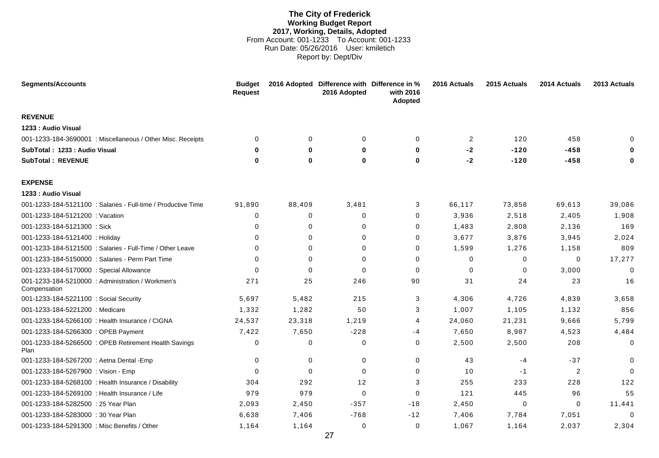#### **The City of Frederick Working Budget Report 2017, Working, Details, Adopted** From Account: 001-1233 To Account: 001-1233 Run Date: 05/26/2016 User: kmiletich Report by: Dept/Div

<span id="page-31-0"></span>

| <b>Segments/Accounts</b>                                          | <b>Budget</b><br><b>Request</b> |             | 2016 Adopted Difference with Difference in %<br>2016 Adopted | with 2016<br>Adopted | 2016 Actuals | 2015 Actuals | 2014 Actuals   | 2013 Actuals |
|-------------------------------------------------------------------|---------------------------------|-------------|--------------------------------------------------------------|----------------------|--------------|--------------|----------------|--------------|
| <b>REVENUE</b>                                                    |                                 |             |                                                              |                      |              |              |                |              |
| 1233 : Audio Visual                                               |                                 |             |                                                              |                      |              |              |                |              |
| 001-1233-184-3690001 : Miscellaneous / Other Misc. Receipts       | $\Omega$                        | $\mathbf 0$ | $\mathbf 0$                                                  | $\mathbf 0$          | 2            | 120          | 458            | $\Omega$     |
| SubTotal: 1233 : Audio Visual                                     | 0                               | $\bf{0}$    | $\bf{0}$                                                     | 0                    | -2           | $-120$       | $-458$         | 0            |
| <b>SubTotal: REVENUE</b>                                          | 0                               | $\bf{0}$    | $\bf{0}$                                                     | 0                    | -2           | $-120$       | $-458$         | 0            |
| <b>EXPENSE</b>                                                    |                                 |             |                                                              |                      |              |              |                |              |
| 1233 : Audio Visual                                               |                                 |             |                                                              |                      |              |              |                |              |
| 001-1233-184-5121100 : Salaries - Full-time / Productive Time     | 91,890                          | 88,409      | 3,481                                                        | 3                    | 66,117       | 73,858       | 69,613         | 39,086       |
| 001-1233-184-5121200 : Vacation                                   | 0                               | 0           | $\Omega$                                                     | $\mathbf 0$          | 3,936        | 2,518        | 2,405          | 1,908        |
| 001-1233-184-5121300 : Sick                                       | $\Omega$                        | $\Omega$    | $\Omega$                                                     | $\mathbf 0$          | 1,483        | 2,808        | 2,136          | 169          |
| 001-1233-184-5121400 : Holiday                                    | $\Omega$                        | $\mathbf 0$ | $\Omega$                                                     | $\mathbf 0$          | 3,677        | 3,876        | 3,945          | 2,024        |
| 001-1233-184-5121500 : Salaries - Full-Time / Other Leave         | $\Omega$                        | 0           | $\mathbf 0$                                                  | 0                    | 1,599        | 1,276        | 1,158          | 809          |
| 001-1233-184-5150000 : Salaries - Perm Part Time                  | $\Omega$                        | $\Omega$    | $\Omega$                                                     | 0                    | $\mathbf 0$  | $\mathbf 0$  | $\mathbf 0$    | 17,277       |
| 001-1233-184-5170000 : Special Allowance                          | $\Omega$                        | $\Omega$    | $\Omega$                                                     | $\mathbf 0$          | $\Omega$     | $\mathbf 0$  | 3,000          | $\Omega$     |
| 001-1233-184-5210000 : Administration / Workmen's<br>Compensation | 271                             | 25          | 246                                                          | 90                   | 31           | 24           | 23             | 16           |
| 001-1233-184-5221100 : Social Security                            | 5,697                           | 5,482       | 215                                                          | 3                    | 4,306        | 4,726        | 4,839          | 3,658        |
| 001-1233-184-5221200 : Medicare                                   | 1,332                           | 1,282       | 50                                                           | 3                    | 1,007        | 1,105        | 1,132          | 856          |
| 001-1233-184-5266100 : Health Insurance / CIGNA                   | 24,537                          | 23,318      | 1,219                                                        | 4                    | 24,060       | 21,231       | 9,666          | 5,799        |
| 001-1233-184-5266300 : OPEB Payment                               | 7,422                           | 7,650       | $-228$                                                       | -4                   | 7,650        | 8,987        | 4,523          | 4,484        |
| 001-1233-184-5266500 : OPEB Retirement Health Savings<br>Plan     | 0                               | 0           | 0                                                            | $\mathbf 0$          | 2,500        | 2,500        | 208            | $\Omega$     |
| 001-1233-184-5267200 : Aetna Dental - Emp                         | $\Omega$                        | 0           | 0                                                            | 0                    | 43           | -4           | $-37$          | 0            |
| 001-1233-184-5267900 : Vision - Emp                               | $\Omega$                        | $\mathbf 0$ | $\Omega$                                                     | 0                    | 10           | $-1$         | $\overline{2}$ | $\Omega$     |
| 001-1233-184-5268100 : Health Insurance / Disability              | 304                             | 292         | 12                                                           | 3                    | 255          | 233          | 228            | 122          |
| 001-1233-184-5269100 : Health Insurance / Life                    | 979                             | 979         | $\Omega$                                                     | $\mathbf 0$          | 121          | 445          | 96             | 55           |
| 001-1233-184-5282500 : 25 Year Plan                               | 2,093                           | 2,450       | $-357$                                                       | $-18$                | 2,450        | $\mathbf 0$  | $\Omega$       | 11,441       |
| 001-1233-184-5283000 : 30 Year Plan                               | 6,638                           | 7,406       | $-768$                                                       | $-12$                | 7,406        | 7,784        | 7,051          | $\Omega$     |
| 001-1233-184-5291300 : Misc Benefits / Other                      | 1,164                           | 1,164       | $\mathbf 0$                                                  | $\mathbf 0$          | 1,067        | 1,164        | 2,037          | 2,304        |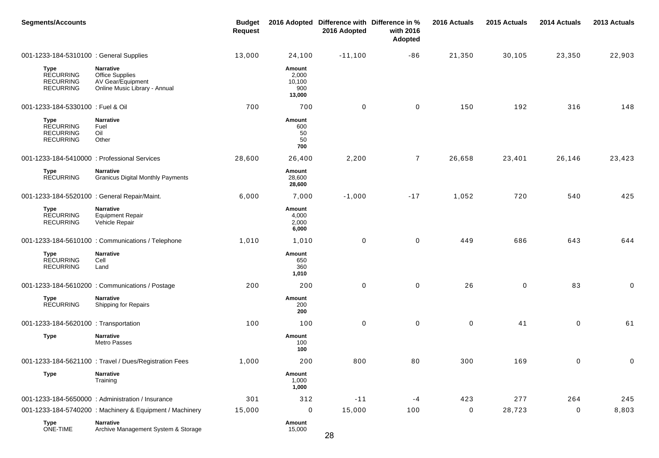| <b>Segments/Accounts</b>                                                |                                                                                                  | <b>Budget</b><br><b>Request</b> |                                                   | 2016 Adopted Difference with Difference in %<br>2016 Adopted | with 2016<br>Adopted | 2016 Actuals | 2015 Actuals | 2014 Actuals | 2013 Actuals |
|-------------------------------------------------------------------------|--------------------------------------------------------------------------------------------------|---------------------------------|---------------------------------------------------|--------------------------------------------------------------|----------------------|--------------|--------------|--------------|--------------|
|                                                                         | 001-1233-184-5310100 : General Supplies                                                          | 13,000                          | 24,100                                            | $-11,100$                                                    | $-86$                | 21,350       | 30,105       | 23,350       | 22,903       |
| <b>Type</b><br><b>RECURRING</b><br><b>RECURRING</b><br><b>RECURRING</b> | <b>Narrative</b><br><b>Office Supplies</b><br>AV Gear/Equipment<br>Online Music Library - Annual |                                 | <b>Amount</b><br>2,000<br>10,100<br>900<br>13,000 |                                                              |                      |              |              |              |              |
| 001-1233-184-5330100 : Fuel & Oil                                       |                                                                                                  | 700                             | 700                                               | 0                                                            | $\pmb{0}$            | 150          | 192          | 316          | 148          |
| <b>Type</b><br><b>RECURRING</b><br><b>RECURRING</b><br><b>RECURRING</b> | <b>Narrative</b><br>Fuel<br>Oil<br>Other                                                         |                                 | Amount<br>600<br>50<br>50<br>700                  |                                                              |                      |              |              |              |              |
|                                                                         | 001-1233-184-5410000 : Professional Services                                                     | 28,600                          | 26,400                                            | 2,200                                                        | $\overline{7}$       | 26,658       | 23,401       | 26,146       | 23,423       |
| <b>Type</b><br><b>RECURRING</b>                                         | <b>Narrative</b><br><b>Granicus Digital Monthly Payments</b>                                     |                                 | Amount<br>28,600<br>28,600                        |                                                              |                      |              |              |              |              |
|                                                                         | 001-1233-184-5520100 : General Repair/Maint.                                                     | 6,000                           | 7,000                                             | $-1,000$                                                     | $-17$                | 1,052        | 720          | 540          | 425          |
| <b>Type</b><br><b>RECURRING</b><br><b>RECURRING</b>                     | Narrative<br><b>Equipment Repair</b><br>Vehicle Repair                                           |                                 | Amount<br>4,000<br>2,000<br>6,000                 |                                                              |                      |              |              |              |              |
|                                                                         | 001-1233-184-5610100 : Communications / Telephone                                                | 1,010                           | 1,010                                             | 0                                                            | $\pmb{0}$            | 449          | 686          | 643          | 644          |
| <b>Type</b><br><b>RECURRING</b><br><b>RECURRING</b>                     | <b>Narrative</b><br>Cell<br>Land                                                                 |                                 | Amount<br>650<br>360<br>1,010                     |                                                              |                      |              |              |              |              |
|                                                                         | 001-1233-184-5610200 : Communications / Postage                                                  | 200                             | 200                                               | 0                                                            | $\pmb{0}$            | 26           | $\mathbf 0$  | 83           | $\pmb{0}$    |
| <b>Type</b><br><b>RECURRING</b>                                         | <b>Narrative</b><br><b>Shipping for Repairs</b>                                                  |                                 | Amount<br>200<br>200                              |                                                              |                      |              |              |              |              |
|                                                                         | 001-1233-184-5620100 : Transportation                                                            | 100                             | 100                                               | 0                                                            | $\pmb{0}$            | $\mathbf 0$  | 41           | $\mathbf 0$  | 61           |
| <b>Type</b>                                                             | <b>Narrative</b><br>Metro Passes                                                                 |                                 | Amount<br>100<br>100                              |                                                              |                      |              |              |              |              |
|                                                                         | 001-1233-184-5621100 : Travel / Dues/Registration Fees                                           | 1,000                           | 200                                               | 800                                                          | 80                   | 300          | 169          | 0            | $\mathbf 0$  |
| <b>Type</b>                                                             | Narrative<br>Training                                                                            |                                 | Amount<br>1,000<br>1,000                          |                                                              |                      |              |              |              |              |
|                                                                         | 001-1233-184-5650000 : Administration / Insurance                                                | 301                             | 312                                               | $-11$                                                        | $-4$                 | 423          | 277          | 264          | 245          |
|                                                                         | 001-1233-184-5740200 : Machinery & Equipment / Machinery                                         | 15,000                          | 0                                                 | 15,000                                                       | 100                  | 0            | 28,723       | $\mathbf 0$  | 8,803        |
| Type<br>ONE-TIME                                                        | <b>Narrative</b><br>Archive Management System & Storage                                          |                                 | Amount<br>15,000                                  |                                                              |                      |              |              |              |              |

28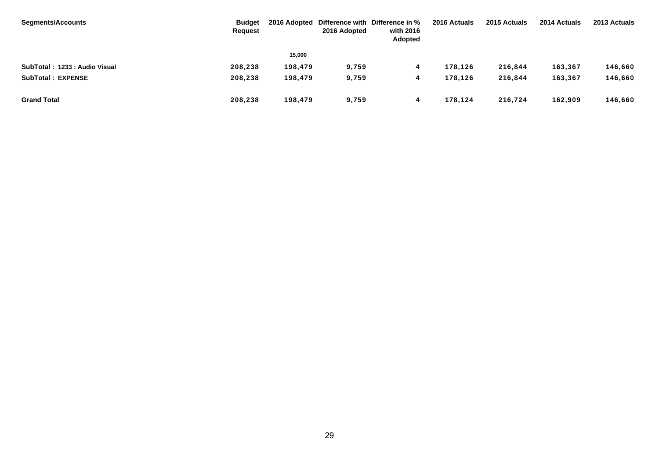| <b>Segments/Accounts</b>      | <b>Budget</b><br>Request | 2016 Adopted | 2016 Adopted | Difference with Difference in %<br>with 2016<br>Adopted | 2016 Actuals | 2015 Actuals | 2014 Actuals | 2013 Actuals |
|-------------------------------|--------------------------|--------------|--------------|---------------------------------------------------------|--------------|--------------|--------------|--------------|
|                               |                          | 15,000       |              |                                                         |              |              |              |              |
| SubTotal: 1233 : Audio Visual | 208,238                  | 198,479      | 9,759        | 4                                                       | 178,126      | 216,844      | 163,367      | 146,660      |
| <b>SubTotal: EXPENSE</b>      | 208,238                  | 198,479      | 9,759        | 4                                                       | 178,126      | 216,844      | 163,367      | 146,660      |
| <b>Grand Total</b>            | 208,238                  | 198,479      | 9,759        | 4                                                       | 178,124      | 216,724      | 162,909      | 146,660      |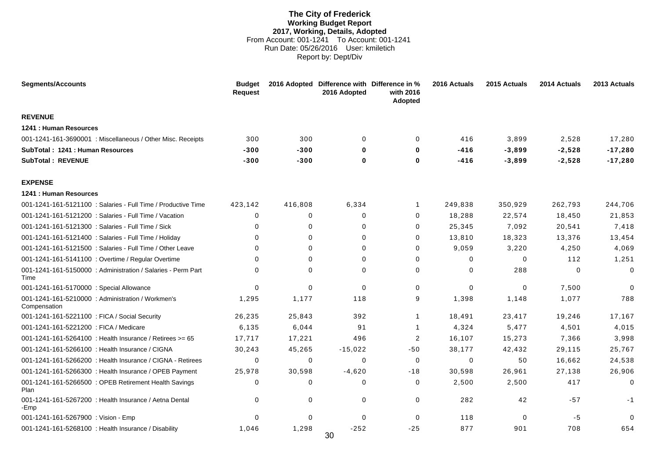#### **The City of Frederick Working Budget Report 2017, Working, Details, Adopted** From Account: 001-1241 To Account: 001-1241 Run Date: 05/26/2016 User: kmiletich Report by: Dept/Div

<span id="page-34-0"></span>

| <b>Segments/Accounts</b>                                            | <b>Budget</b><br><b>Request</b> |             | 2016 Adopted Difference with Difference in %<br>2016 Adopted | with 2016<br>Adopted | 2016 Actuals | 2015 Actuals | 2014 Actuals | 2013 Actuals |
|---------------------------------------------------------------------|---------------------------------|-------------|--------------------------------------------------------------|----------------------|--------------|--------------|--------------|--------------|
| <b>REVENUE</b>                                                      |                                 |             |                                                              |                      |              |              |              |              |
| 1241 : Human Resources                                              |                                 |             |                                                              |                      |              |              |              |              |
| 001-1241-161-3690001 : Miscellaneous / Other Misc. Receipts         | 300                             | 300         | $\mathbf 0$                                                  | 0                    | 416          | 3,899        | 2,528        | 17,280       |
| SubTotal: 1241 : Human Resources                                    | $-300$                          | $-300$      | $\bf{0}$                                                     | $\bf{0}$             | $-416$       | $-3,899$     | $-2,528$     | $-17,280$    |
| <b>SubTotal: REVENUE</b>                                            | $-300$                          | $-300$      | $\bf{0}$                                                     | 0                    | $-416$       | $-3,899$     | $-2,528$     | $-17,280$    |
| <b>EXPENSE</b>                                                      |                                 |             |                                                              |                      |              |              |              |              |
| 1241 : Human Resources                                              |                                 |             |                                                              |                      |              |              |              |              |
| 001-1241-161-5121100 : Salaries - Full Time / Productive Time       | 423,142                         | 416,808     | 6,334                                                        | $\overline{1}$       | 249,838      | 350,929      | 262,793      | 244,706      |
| 001-1241-161-5121200 : Salaries - Full Time / Vacation              | 0                               | $\mathbf 0$ | $\mathbf 0$                                                  | $\mathbf 0$          | 18,288       | 22,574       | 18,450       | 21,853       |
| 001-1241-161-5121300 : Salaries - Full Time / Sick                  | 0                               | $\mathbf 0$ | $\Omega$                                                     | $\mathbf 0$          | 25,345       | 7,092        | 20,541       | 7,418        |
| 001-1241-161-5121400 : Salaries - Full Time / Holiday               | $\Omega$                        | $\mathbf 0$ | $\Omega$                                                     | $\mathbf 0$          | 13,810       | 18,323       | 13,376       | 13,454       |
| 001-1241-161-5121500 : Salaries - Full Time / Other Leave           | O                               | $\Omega$    | $\mathbf 0$                                                  | $\mathbf 0$          | 9,059        | 3,220        | 4,250        | 4,069        |
| 001-1241-161-5141100 : Overtime / Regular Overtime                  | $\Omega$                        | $\mathbf 0$ | $\mathbf 0$                                                  | 0                    | 0            | 0            | 112          | 1,251        |
| 001-1241-161-5150000: Administration / Salaries - Perm Part<br>Time | ∩                               | $\Omega$    | $\Omega$                                                     | $\Omega$             | $\Omega$     | 288          | $\Omega$     | $\Omega$     |
| 001-1241-161-5170000 : Special Allowance                            | $\Omega$                        | $\mathbf 0$ | $\mathbf 0$                                                  | 0                    | 0            | 0            | 7,500        | $\Omega$     |
| 001-1241-161-5210000 : Administration / Workmen's<br>Compensation   | 1,295                           | 1,177       | 118                                                          | 9                    | 1,398        | 1,148        | 1,077        | 788          |
| 001-1241-161-5221100 : FICA / Social Security                       | 26,235                          | 25,843      | 392                                                          | $\overline{1}$       | 18,491       | 23,417       | 19,246       | 17,167       |
| 001-1241-161-5221200 : FICA / Medicare                              | 6,135                           | 6,044       | 91                                                           | $\overline{1}$       | 4,324        | 5,477        | 4,501        | 4,015        |
| 001-1241-161-5264100 : Health Insurance / Retirees >= 65            | 17,717                          | 17,221      | 496                                                          | 2                    | 16,107       | 15,273       | 7,366        | 3,998        |
| 001-1241-161-5266100 : Health Insurance / CIGNA                     | 30,243                          | 45,265      | $-15,022$                                                    | $-50$                | 38,177       | 42,432       | 29,115       | 25,767       |
| 001-1241-161-5266200 : Health Insurance / CIGNA - Retirees          | $\Omega$                        | $\Omega$    | $\Omega$                                                     | $\mathbf 0$          | $\Omega$     | 50           | 16,662       | 24,538       |
| 001-1241-161-5266300 : Health Insurance / OPEB Payment              | 25,978                          | 30,598      | $-4,620$                                                     | -18                  | 30,598       | 26,961       | 27,138       | 26,906       |
| 001-1241-161-5266500 : OPEB Retirement Health Savings<br>Plan       | 0                               | 0           | 0                                                            | 0                    | 2,500        | 2,500        | 417          | 0            |
| 001-1241-161-5267200 : Health Insurance / Aetna Dental<br>-Emp      | 0                               | 0           | 0                                                            | 0                    | 282          | 42           | $-57$        | -1           |
| 001-1241-161-5267900 : Vision - Emp                                 | $\Omega$                        | $\mathbf 0$ | $\Omega$                                                     | $\mathbf 0$          | 118          | $\mathbf 0$  | $-5$         | $\Omega$     |
| 001-1241-161-5268100 : Health Insurance / Disability                | 1,046                           | 1,298       | $-252$<br>nn.                                                | $-25$                | 877          | 901          | 708          | 654          |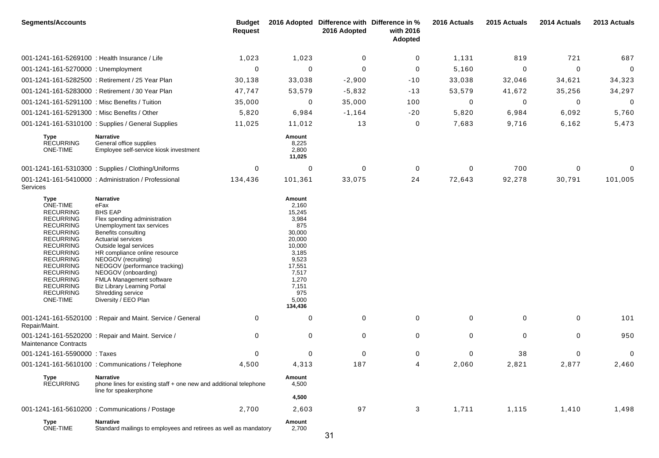| <b>Segments/Accounts</b>                                                                                                                                                                                                                                                                         |                                                                                                                                                                                                                                                                                                                                                                                                               | <b>Budget</b><br><b>Request</b> |                                                                                                                                                           | 2016 Adopted Difference with Difference in %<br>2016 Adopted | with 2016<br>Adopted | 2016 Actuals | 2015 Actuals | 2014 Actuals | 2013 Actuals |
|--------------------------------------------------------------------------------------------------------------------------------------------------------------------------------------------------------------------------------------------------------------------------------------------------|---------------------------------------------------------------------------------------------------------------------------------------------------------------------------------------------------------------------------------------------------------------------------------------------------------------------------------------------------------------------------------------------------------------|---------------------------------|-----------------------------------------------------------------------------------------------------------------------------------------------------------|--------------------------------------------------------------|----------------------|--------------|--------------|--------------|--------------|
| 001-1241-161-5269100 : Health Insurance / Life                                                                                                                                                                                                                                                   |                                                                                                                                                                                                                                                                                                                                                                                                               | 1,023                           | 1,023                                                                                                                                                     | $\mathbf 0$                                                  | 0                    | 1,131        | 819          | 721          | 687          |
| 001-1241-161-5270000 : Unemployment                                                                                                                                                                                                                                                              |                                                                                                                                                                                                                                                                                                                                                                                                               | 0                               | 0                                                                                                                                                         | 0                                                            | 0                    | 5,160        | $\mathbf 0$  | $\Omega$     | $\mathbf 0$  |
|                                                                                                                                                                                                                                                                                                  | 001-1241-161-5282500 : Retirement / 25 Year Plan                                                                                                                                                                                                                                                                                                                                                              | 30,138                          | 33,038                                                                                                                                                    | $-2,900$                                                     | $-10$                | 33,038       | 32,046       | 34,621       | 34,323       |
|                                                                                                                                                                                                                                                                                                  | 001-1241-161-5283000 : Retirement / 30 Year Plan                                                                                                                                                                                                                                                                                                                                                              | 47,747                          | 53,579                                                                                                                                                    | $-5,832$                                                     | $-13$                | 53,579       | 41,672       | 35,256       | 34,297       |
| 001-1241-161-5291100 : Misc Benefits / Tuition                                                                                                                                                                                                                                                   |                                                                                                                                                                                                                                                                                                                                                                                                               | 35,000                          | 0                                                                                                                                                         | 35,000                                                       | 100                  | 0            | 0            | 0            | $\mathbf 0$  |
| 001-1241-161-5291300 : Misc Benefits / Other                                                                                                                                                                                                                                                     |                                                                                                                                                                                                                                                                                                                                                                                                               | 5,820                           | 6,984                                                                                                                                                     | $-1,164$                                                     | $-20$                | 5,820        | 6,984        | 6,092        | 5,760        |
|                                                                                                                                                                                                                                                                                                  | 001-1241-161-5310100 : Supplies / General Supplies                                                                                                                                                                                                                                                                                                                                                            | 11,025                          | 11,012                                                                                                                                                    | 13                                                           | $\pmb{0}$            | 7,683        | 9,716        | 6,162        | 5,473        |
| Type<br><b>RECURRING</b><br>ONE-TIME                                                                                                                                                                                                                                                             | <b>Narrative</b><br>General office supplies<br>Employee self-service kiosk investment                                                                                                                                                                                                                                                                                                                         |                                 | Amount<br>8,225<br>2,800<br>11,025                                                                                                                        |                                                              |                      |              |              |              |              |
|                                                                                                                                                                                                                                                                                                  | 001-1241-161-5310300: Supplies / Clothing/Uniforms                                                                                                                                                                                                                                                                                                                                                            | 0                               | $\pmb{0}$                                                                                                                                                 | 0                                                            | 0                    | $\mathbf 0$  | 700          | $\Omega$     | $\Omega$     |
| <b>Services</b>                                                                                                                                                                                                                                                                                  | 001-1241-161-5410000 : Administration / Professional                                                                                                                                                                                                                                                                                                                                                          | 134,436                         | 101,361                                                                                                                                                   | 33,075                                                       | 24                   | 72,643       | 92,278       | 30,791       | 101,005      |
| Type<br>ONE-TIME<br><b>RECURRING</b><br><b>RECURRING</b><br><b>RECURRING</b><br><b>RECURRING</b><br><b>RECURRING</b><br><b>RECURRING</b><br><b>RECURRING</b><br><b>RECURRING</b><br><b>RECURRING</b><br><b>RECURRING</b><br><b>RECURRING</b><br><b>RECURRING</b><br><b>RECURRING</b><br>ONE-TIME | <b>Narrative</b><br>eFax<br><b>BHS EAP</b><br>Flex spending administration<br>Unemployment tax services<br>Benefits consulting<br><b>Actuarial services</b><br>Outside legal services<br>HR compliance online resource<br>NEOGOV (recruiting)<br>NEOGOV (performance tracking)<br>NEOGOV (onboarding)<br>FMLA Management software<br>Biz Library Learning Portal<br>Shredding service<br>Diversity / EEO Plan |                                 | Amount<br>2,160<br>15,245<br>3,984<br>875<br>30,000<br>20,000<br>10,000<br>3,185<br>9,523<br>17,551<br>7,517<br>1,270<br>7,151<br>975<br>5,000<br>134,436 |                                                              |                      |              |              |              |              |
| Repair/Maint.                                                                                                                                                                                                                                                                                    | 001-1241-161-5520100 : Repair and Maint. Service / General                                                                                                                                                                                                                                                                                                                                                    | 0                               | 0                                                                                                                                                         | 0                                                            | 0                    | $\mathbf 0$  | 0            | 0            | 101          |
| <b>Maintenance Contracts</b>                                                                                                                                                                                                                                                                     | 001-1241-161-5520200 : Repair and Maint. Service /                                                                                                                                                                                                                                                                                                                                                            | 0                               | 0                                                                                                                                                         | 0                                                            | 0                    | $\mathbf 0$  | 0            | 0            | 950          |
| 001-1241-161-5590000: Taxes                                                                                                                                                                                                                                                                      |                                                                                                                                                                                                                                                                                                                                                                                                               | $\mathbf 0$                     | 0                                                                                                                                                         | 0                                                            | 0                    |              | 38           |              | $\mathbf 0$  |
|                                                                                                                                                                                                                                                                                                  | 001-1241-161-5610100 : Communications / Telephone                                                                                                                                                                                                                                                                                                                                                             | 4,500                           | 4,313                                                                                                                                                     | 187                                                          | 4                    | 2,060        | 2,821        | 2,877        | 2,460        |
| Type<br><b>RECURRING</b>                                                                                                                                                                                                                                                                         | <b>Narrative</b><br>phone lines for existing staff + one new and additional telephone<br>line for speakerphone                                                                                                                                                                                                                                                                                                |                                 | Amount<br>4,500<br>4,500                                                                                                                                  |                                                              |                      |              |              |              |              |
|                                                                                                                                                                                                                                                                                                  | 001-1241-161-5610200 : Communications / Postage                                                                                                                                                                                                                                                                                                                                                               | 2,700                           | 2,603                                                                                                                                                     | 97                                                           | 3                    | 1,711        | 1,115        | 1,410        | 1,498        |
| Type<br>ONE-TIME                                                                                                                                                                                                                                                                                 | <b>Narrative</b><br>Standard mailings to employees and retirees as well as mandatory                                                                                                                                                                                                                                                                                                                          |                                 | Amount<br>2,700                                                                                                                                           | 31                                                           |                      |              |              |              |              |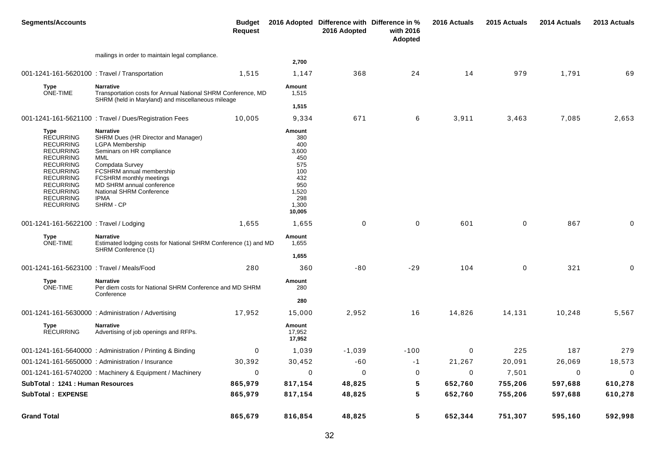| <b>Segments/Accounts</b>                                                                                                                                                                                                         |                                                                                                                                                                                                                                                                               | <b>Budget</b><br><b>Request</b> |                                                                                                     | 2016 Adopted Difference with Difference in %<br>2016 Adopted | with 2016<br>Adopted | 2016 Actuals | 2015 Actuals | 2014 Actuals | 2013 Actuals |
|----------------------------------------------------------------------------------------------------------------------------------------------------------------------------------------------------------------------------------|-------------------------------------------------------------------------------------------------------------------------------------------------------------------------------------------------------------------------------------------------------------------------------|---------------------------------|-----------------------------------------------------------------------------------------------------|--------------------------------------------------------------|----------------------|--------------|--------------|--------------|--------------|
|                                                                                                                                                                                                                                  | mailings in order to maintain legal compliance.                                                                                                                                                                                                                               |                                 | 2,700                                                                                               |                                                              |                      |              |              |              |              |
| 001-1241-161-5620100 : Travel / Transportation                                                                                                                                                                                   |                                                                                                                                                                                                                                                                               | 1,515                           | 1,147                                                                                               | 368                                                          | 24                   | 14           | 979          | 1,791        | 69           |
| <b>Type</b><br>ONE-TIME                                                                                                                                                                                                          | <b>Narrative</b><br>Transportation costs for Annual National SHRM Conference, MD<br>SHRM (held in Maryland) and miscellaneous mileage                                                                                                                                         |                                 | Amount<br>1,515                                                                                     |                                                              |                      |              |              |              |              |
|                                                                                                                                                                                                                                  |                                                                                                                                                                                                                                                                               |                                 | 1,515                                                                                               |                                                              |                      |              |              |              |              |
|                                                                                                                                                                                                                                  | 001-1241-161-5621100 : Travel / Dues/Registration Fees                                                                                                                                                                                                                        | 10,005                          | 9,334                                                                                               | 671                                                          | 6                    | 3,911        | 3,463        | 7,085        | 2,653        |
| Type<br><b>RECURRING</b><br><b>RECURRING</b><br><b>RECURRING</b><br><b>RECURRING</b><br><b>RECURRING</b><br><b>RECURRING</b><br><b>RECURRING</b><br><b>RECURRING</b><br><b>RECURRING</b><br><b>RECURRING</b><br><b>RECURRING</b> | Narrative<br>SHRM Dues (HR Director and Manager)<br><b>LGPA Membership</b><br>Seminars on HR compliance<br>MML<br>Compdata Survey<br>FCSHRM annual membership<br>FCSHRM monthly meetings<br>MD SHRM annual conference<br>National SHRM Conference<br><b>IPMA</b><br>SHRM - CP |                                 | Amount<br>380<br>400<br>3,600<br>450<br>575<br>100<br>432<br>950<br>1,520<br>298<br>1,300<br>10,005 |                                                              |                      |              |              |              |              |
| 001-1241-161-5622100 : Travel / Lodging                                                                                                                                                                                          |                                                                                                                                                                                                                                                                               | 1,655                           | 1,655                                                                                               | $\mathbf 0$                                                  | $\pmb{0}$            | 601          | 0            | 867          | 0            |
| Type<br>ONE-TIME                                                                                                                                                                                                                 | <b>Narrative</b><br>Estimated lodging costs for National SHRM Conference (1) and MD<br>SHRM Conference (1)                                                                                                                                                                    |                                 | Amount<br>1,655<br>1,655                                                                            |                                                              |                      |              |              |              |              |
| 001-1241-161-5623100 : Travel / Meals/Food                                                                                                                                                                                       |                                                                                                                                                                                                                                                                               | 280                             | 360                                                                                                 | $-80$                                                        | $-29$                | 104          | 0            | 321          | 0            |
| <b>Type</b><br>ONE-TIME                                                                                                                                                                                                          | <b>Narrative</b><br>Per diem costs for National SHRM Conference and MD SHRM<br>Conference                                                                                                                                                                                     |                                 | Amount<br>280                                                                                       |                                                              |                      |              |              |              |              |
|                                                                                                                                                                                                                                  |                                                                                                                                                                                                                                                                               |                                 | 280                                                                                                 |                                                              |                      |              |              |              |              |
|                                                                                                                                                                                                                                  | 001-1241-161-5630000 : Administration / Advertising                                                                                                                                                                                                                           | 17,952                          | 15,000                                                                                              | 2,952                                                        | 16                   | 14,826       | 14,131       | 10,248       | 5,567        |
| Type<br><b>RECURRING</b>                                                                                                                                                                                                         | <b>Narrative</b><br>Advertising of job openings and RFPs.                                                                                                                                                                                                                     |                                 | Amount<br>17,952<br>17,952                                                                          |                                                              |                      |              |              |              |              |
|                                                                                                                                                                                                                                  | 001-1241-161-5640000: Administration / Printing & Binding                                                                                                                                                                                                                     | 0                               | 1,039                                                                                               | $-1,039$                                                     | $-100$               | 0            | 225          | 187          | 279          |
|                                                                                                                                                                                                                                  | 001-1241-161-5650000 : Administration / Insurance                                                                                                                                                                                                                             | 30,392                          | 30,452                                                                                              | $-60$                                                        | -1                   | 21,267       | 20,091       | 26,069       | 18,573       |
|                                                                                                                                                                                                                                  | 001-1241-161-5740200 : Machinery & Equipment / Machinery                                                                                                                                                                                                                      | 0                               | $\mathbf 0$                                                                                         | 0                                                            | 0                    | 0            | 7,501        | $\mathbf 0$  | $\mathbf{0}$ |
| SubTotal: 1241 : Human Resources                                                                                                                                                                                                 |                                                                                                                                                                                                                                                                               | 865,979                         | 817,154                                                                                             | 48,825                                                       | 5                    | 652,760      | 755,206      | 597,688      | 610,278      |
| SubTotal: EXPENSE                                                                                                                                                                                                                |                                                                                                                                                                                                                                                                               | 865,979                         | 817,154                                                                                             | 48,825                                                       | 5                    | 652,760      | 755,206      | 597,688      | 610,278      |
| <b>Grand Total</b>                                                                                                                                                                                                               |                                                                                                                                                                                                                                                                               | 865,679                         | 816,854                                                                                             | 48,825                                                       | 5 <sub>5</sub>       | 652,344      | 751,307      | 595,160      | 592,998      |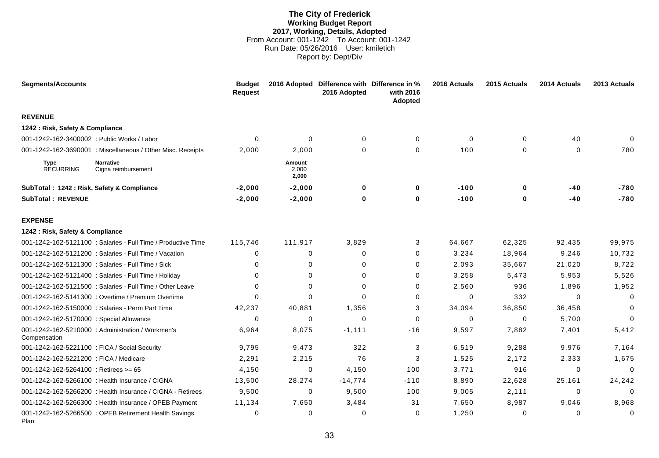# **The City of Frederick Working Budget Report 2017, Working, Details, Adopted** From Account: 001-1242 To Account: 001-1242 Run Date: 05/26/2016 User: kmiletich Report by: Dept/Div

| <b>Segments/Accounts</b>                      |                                                               | <b>Budget</b><br><b>Request</b> |                          | 2016 Adopted Difference with Difference in %<br>2016 Adopted | with 2016<br><b>Adopted</b> | 2016 Actuals | 2015 Actuals | 2014 Actuals | 2013 Actuals |
|-----------------------------------------------|---------------------------------------------------------------|---------------------------------|--------------------------|--------------------------------------------------------------|-----------------------------|--------------|--------------|--------------|--------------|
| <b>REVENUE</b>                                |                                                               |                                 |                          |                                                              |                             |              |              |              |              |
| 1242 : Risk, Safety & Compliance              |                                                               |                                 |                          |                                                              |                             |              |              |              |              |
| 001-1242-162-3400002 : Public Works / Labor   |                                                               | $\Omega$                        | $\mathbf 0$              | $\Omega$                                                     | $\mathbf 0$                 | $\Omega$     | $\Omega$     | 40           | $\Omega$     |
|                                               | 001-1242-162-3690001 : Miscellaneous / Other Misc. Receipts   | 2,000                           | 2,000                    | 0                                                            | 0                           | 100          | $\Omega$     | $\Omega$     | 780          |
| Type<br><b>RECURRING</b>                      | <b>Narrative</b><br>Cigna reimbursement                       |                                 | Amount<br>2,000<br>2,000 |                                                              |                             |              |              |              |              |
| SubTotal: 1242: Risk, Safety & Compliance     |                                                               | $-2,000$                        | $-2,000$                 | 0                                                            | $\bf{0}$                    | $-100$       | 0            | -40          | $-780$       |
| <b>SubTotal: REVENUE</b>                      |                                                               | $-2,000$                        | $-2,000$                 | 0                                                            | $\mathbf{0}$                | $-100$       | $\bf{0}$     | $-40$        | $-780$       |
| <b>EXPENSE</b>                                |                                                               |                                 |                          |                                                              |                             |              |              |              |              |
| 1242 : Risk, Safety & Compliance              |                                                               |                                 |                          |                                                              |                             |              |              |              |              |
|                                               | 001-1242-162-5121100 : Salaries - Full Time / Productive Time | 115,746                         | 111,917                  | 3,829                                                        | 3                           | 64,667       | 62,325       | 92,435       | 99,975       |
|                                               | 001-1242-162-5121200 : Salaries - Full Time / Vacation        | 0                               | 0                        | 0                                                            | 0                           | 3,234        | 18,964       | 9,246        | 10,732       |
|                                               | 001-1242-162-5121300 : Salaries - Full Time / Sick            | 0                               | 0                        | $\Omega$                                                     | 0                           | 2,093        | 35,667       | 21,020       | 8,722        |
|                                               | 001-1242-162-5121400 : Salaries - Full Time / Holiday         | 0                               | $\Omega$                 | $\Omega$                                                     | $\Omega$                    | 3,258        | 5,473        | 5,953        | 5,526        |
|                                               | 001-1242-162-5121500 : Salaries - Full Time / Other Leave     | 0                               | $\Omega$                 | 0                                                            | 0                           | 2,560        | 936          | 1,896        | 1,952        |
|                                               | 001-1242-162-5141300 : Overtime / Premium Overtime            | 0                               | $\Omega$                 | $\Omega$                                                     | 0                           | $\Omega$     | 332          | $\Omega$     | $\mathbf 0$  |
|                                               | 001-1242-162-5150000 : Salaries - Perm Part Time              | 42,237                          | 40,881                   | 1,356                                                        | 3                           | 34,094       | 36,850       | 36,458       | $\mathbf 0$  |
| 001-1242-162-5170000 : Special Allowance      |                                                               | 0                               | $\mathbf 0$              | $\mathbf 0$                                                  | $\mathbf 0$                 | $\mathbf 0$  | $\mathbf 0$  | 5,700        | $\mathbf 0$  |
| Compensation                                  | 001-1242-162-5210000 : Administration / Workmen's             | 6,964                           | 8,075                    | $-1, 111$                                                    | $-16$                       | 9,597        | 7,882        | 7,401        | 5,412        |
| 001-1242-162-5221100 : FICA / Social Security |                                                               | 9,795                           | 9,473                    | 322                                                          | 3                           | 6,519        | 9,288        | 9,976        | 7,164        |
| 001-1242-162-5221200 : FICA / Medicare        |                                                               | 2,291                           | 2,215                    | 76                                                           | 3                           | 1,525        | 2,172        | 2,333        | 1,675        |
| 001-1242-162-5264100 : Retirees >= 65         |                                                               | 4,150                           | $\mathbf 0$              | 4,150                                                        | 100                         | 3,771        | 916          | $\Omega$     | $\Omega$     |
|                                               | 001-1242-162-5266100 : Health Insurance / CIGNA               | 13,500                          | 28,274                   | $-14,774$                                                    | $-110$                      | 8,890        | 22,628       | 25,161       | 24,242       |
|                                               | 001-1242-162-5266200 : Health Insurance / CIGNA - Retirees    | 9,500                           | $\mathbf 0$              | 9,500                                                        | 100                         | 9,005        | 2,111        | 0            | $\mathbf 0$  |
|                                               | 001-1242-162-5266300 : Health Insurance / OPEB Payment        | 11,134                          | 7,650                    | 3,484                                                        | 31                          | 7,650        | 8,987        | 9,046        | 8,968        |
| Plan                                          | 001-1242-162-5266500 : OPEB Retirement Health Savings         | 0                               | 0                        | $\Omega$                                                     | 0                           | 1,250        | 0            | $\Omega$     | 0            |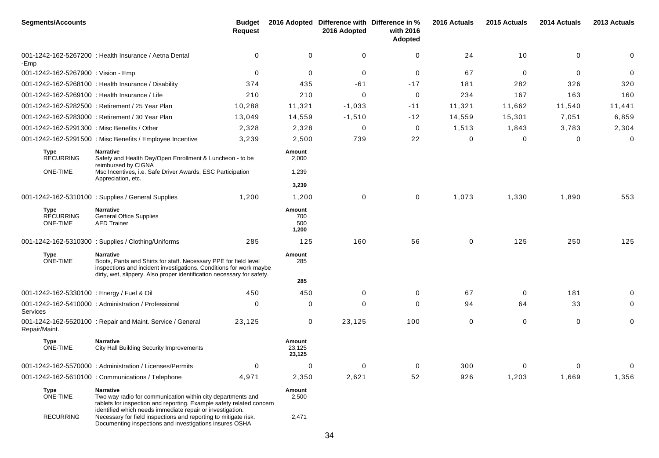| <b>Segments/Accounts</b>                       |                                                                                                                                                                                                                                                                                                                                                    | Budget<br><b>Request</b> |                               | 2016 Adopted Difference with Difference in %<br>2016 Adopted | with 2016<br>Adopted | 2016 Actuals     | 2015 Actuals | 2014 Actuals | 2013 Actuals |
|------------------------------------------------|----------------------------------------------------------------------------------------------------------------------------------------------------------------------------------------------------------------------------------------------------------------------------------------------------------------------------------------------------|--------------------------|-------------------------------|--------------------------------------------------------------|----------------------|------------------|--------------|--------------|--------------|
| -Emp                                           | 001-1242-162-5267200 : Health Insurance / Aetna Dental                                                                                                                                                                                                                                                                                             | 0                        | $\mathbf 0$                   | 0                                                            | 0                    | 24               | 10           | 0            | 0            |
| 001-1242-162-5267900 : Vision - Emp            |                                                                                                                                                                                                                                                                                                                                                    | 0                        | 0                             | 0                                                            | 0                    | 67               | 0            | 0            | 0            |
|                                                | 001-1242-162-5268100 : Health Insurance / Disability                                                                                                                                                                                                                                                                                               | 374                      | 435                           | $-61$                                                        | $-17$                | 181              | 282          | 326          | 320          |
| 001-1242-162-5269100 : Health Insurance / Life |                                                                                                                                                                                                                                                                                                                                                    | 210                      | 210                           | $\Omega$                                                     | 0                    | 234              | 167          | 163          | 160          |
|                                                | 001-1242-162-5282500 : Retirement / 25 Year Plan                                                                                                                                                                                                                                                                                                   | 10,288                   | 11,321                        | $-1,033$                                                     | $-11$                | 11,321           | 11,662       | 11,540       | 11,441       |
|                                                | 001-1242-162-5283000: Retirement / 30 Year Plan                                                                                                                                                                                                                                                                                                    | 13,049                   | 14,559                        | $-1,510$                                                     | $-12$                | 14,559           | 15,301       | 7,051        | 6,859        |
| 001-1242-162-5291300 : Misc Benefits / Other   |                                                                                                                                                                                                                                                                                                                                                    | 2,328                    | 2,328                         | 0                                                            | 0                    | 1,513            | 1,843        | 3,783        | 2,304        |
|                                                | 001-1242-162-5291500 : Misc Benefits / Employee Incentive                                                                                                                                                                                                                                                                                          | 3,239                    | 2,500                         | 739                                                          | 22                   | 0                | 0            | 0            | 0            |
| Type<br><b>RECURRING</b><br>ONE-TIME           | <b>Narrative</b><br>Safety and Health Day/Open Enrollment & Luncheon - to be<br>reimbursed by CIGNA<br>Msc Incentives, i.e. Safe Driver Awards, ESC Participation<br>Appreciation, etc.                                                                                                                                                            |                          | Amount<br>2,000<br>1,239      |                                                              |                      |                  |              |              |              |
|                                                |                                                                                                                                                                                                                                                                                                                                                    |                          | 3,239                         |                                                              |                      |                  |              |              |              |
|                                                | 001-1242-162-5310100 : Supplies / General Supplies                                                                                                                                                                                                                                                                                                 | 1,200                    | 1,200                         | 0                                                            | 0                    | 1,073            | 1,330        | 1,890        | 553          |
| Type<br><b>RECURRING</b><br>ONE-TIME           | <b>Narrative</b><br><b>General Office Supplies</b><br><b>AED Trainer</b>                                                                                                                                                                                                                                                                           |                          | Amount<br>700<br>500<br>1,200 |                                                              |                      |                  |              |              |              |
|                                                | 001-1242-162-5310300: Supplies / Clothing/Uniforms                                                                                                                                                                                                                                                                                                 | 285                      | 125                           | 160                                                          | 56                   | 0                | 125          | 250          | 125          |
| Type<br><b>ONE-TIME</b>                        | <b>Narrative</b><br>Boots, Pants and Shirts for staff. Necessary PPE for field level<br>inspections and incident investigations. Conditions for work maybe<br>dirty, wet, slippery. Also proper identification necessary for safety.                                                                                                               |                          | Amount<br>285<br>285          |                                                              |                      |                  |              |              |              |
| 001-1242-162-5330100 : Energy / Fuel & Oil     |                                                                                                                                                                                                                                                                                                                                                    | 450                      | 450                           | 0                                                            | 0                    | 67               | 0            | 181          | 0            |
| Services                                       | 001-1242-162-5410000 : Administration / Professional                                                                                                                                                                                                                                                                                               | 0                        | 0                             | 0                                                            | 0                    | 94               | 64           | 33           | 0            |
| Repair/Maint.                                  | 001-1242-162-5520100 : Repair and Maint. Service / General                                                                                                                                                                                                                                                                                         | 23,125                   | 0                             | 23,125                                                       | 100                  | $\boldsymbol{0}$ | 0            | 0            | 0            |
| Type<br>ONE-TIME                               | <b>Narrative</b><br>City Hall Building Security Improvements                                                                                                                                                                                                                                                                                       |                          | Amount<br>23,125<br>23,125    |                                                              |                      |                  |              |              |              |
|                                                | 001-1242-162-5570000: Administration / Licenses/Permits                                                                                                                                                                                                                                                                                            | $\Omega$                 | 0                             | $\Omega$                                                     | $\Omega$             | 300              | $\Omega$     | $\Omega$     | 0            |
|                                                | 001-1242-162-5610100 : Communications / Telephone                                                                                                                                                                                                                                                                                                  | 4,971                    | 2,350                         | 2,621                                                        | 52                   | 926              | 1,203        | 1,669        | 1,356        |
| Type<br><b>ONE-TIME</b><br><b>RECURRING</b>    | <b>Narrative</b><br>Two way radio for communication within city departments and<br>tablets for inspection and reporting. Example safety related concern<br>identified which needs immediate repair or investigation.<br>Necessary for field inspections and reporting to mitigate risk.<br>Documenting inspections and investigations insures OSHA |                          | Amount<br>2,500<br>2,471      |                                                              |                      |                  |              |              |              |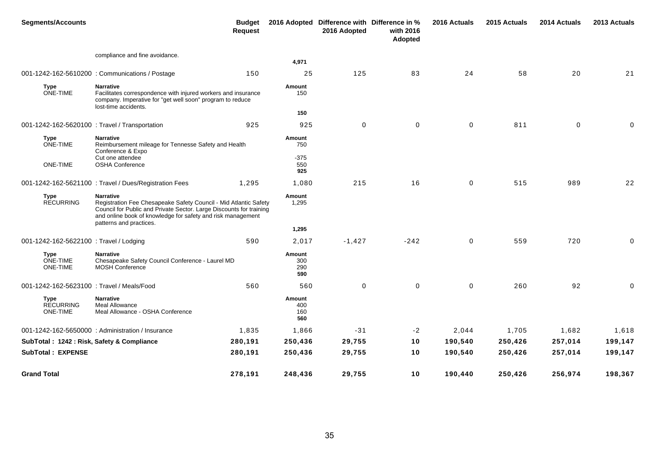| <b>Segments/Accounts</b>                           |                                                                                                                                                                                                                                                       | <b>Budget</b><br><b>Request</b> |                             | 2016 Adopted Difference with Difference in %<br>2016 Adopted | with 2016<br>Adopted | 2016 Actuals | 2015 Actuals | 2014 Actuals | 2013 Actuals |
|----------------------------------------------------|-------------------------------------------------------------------------------------------------------------------------------------------------------------------------------------------------------------------------------------------------------|---------------------------------|-----------------------------|--------------------------------------------------------------|----------------------|--------------|--------------|--------------|--------------|
|                                                    | compliance and fine avoidance.                                                                                                                                                                                                                        |                                 | 4,971                       |                                                              |                      |              |              |              |              |
|                                                    | 001-1242-162-5610200 : Communications / Postage                                                                                                                                                                                                       | 150                             | 25                          | 125                                                          | 83                   | 24           | 58           | 20           | 21           |
| <b>Type</b><br>ONE-TIME                            | <b>Narrative</b><br>Facilitates correspondence with injured workers and insurance<br>company. Imperative for "get well soon" program to reduce<br>lost-time accidents.                                                                                |                                 | Amount<br>150               |                                                              |                      |              |              |              |              |
|                                                    |                                                                                                                                                                                                                                                       |                                 | 150                         |                                                              |                      |              |              |              |              |
|                                                    | 001-1242-162-5620100 : Travel / Transportation                                                                                                                                                                                                        | 925                             | 925                         | $\mathbf 0$                                                  | 0                    | $\mathbf 0$  | 811          | $\mathbf 0$  | 0            |
| Type<br>ONE-TIME                                   | <b>Narrative</b><br>Reimbursement mileage for Tennesse Safety and Health<br>Conference & Expo                                                                                                                                                         |                                 | Amount<br>750               |                                                              |                      |              |              |              |              |
| ONE-TIME                                           | Cut one attendee<br><b>OSHA Conference</b>                                                                                                                                                                                                            |                                 | $-375$<br>550<br>925        |                                                              |                      |              |              |              |              |
|                                                    | 001-1242-162-5621100 : Travel / Dues/Registration Fees                                                                                                                                                                                                | 1,295                           | 1,080                       | 215                                                          | 16                   | $\mathbf 0$  | 515          | 989          | 22           |
| Type<br><b>RECURRING</b>                           | <b>Narrative</b><br>Registration Fee Chesapeake Safety Council - Mid Atlantic Safety<br>Council for Public and Private Sector. Large Discounts for training<br>and online book of knowledge for safety and risk management<br>patterns and practices. |                                 | Amount<br>1,295             |                                                              |                      |              |              |              |              |
|                                                    |                                                                                                                                                                                                                                                       |                                 | 1,295                       |                                                              |                      |              |              |              |              |
| 001-1242-162-5622100 : Travel / Lodging            |                                                                                                                                                                                                                                                       | 590                             | 2,017                       | $-1,427$                                                     | $-242$               | $\mathbf 0$  | 559          | 720          | $\Omega$     |
| Type<br><b>ONE-TIME</b><br>ONE-TIME                | <b>Narrative</b><br>Chesapeake Safety Council Conference - Laurel MD<br><b>MOSH Conference</b>                                                                                                                                                        |                                 | Amount<br>300<br>290<br>590 |                                                              |                      |              |              |              |              |
| 001-1242-162-5623100 : Travel / Meals/Food         |                                                                                                                                                                                                                                                       | 560                             | 560                         | $\mathbf 0$                                                  | 0                    | $\mathbf 0$  | 260          | 92           | 0            |
| <b>Type</b><br><b>RECURRING</b><br><b>ONE-TIME</b> | <b>Narrative</b><br><b>Meal Allowance</b><br>Meal Allowance - OSHA Conference                                                                                                                                                                         |                                 | Amount<br>400<br>160<br>560 |                                                              |                      |              |              |              |              |
|                                                    | 001-1242-162-5650000: Administration / Insurance                                                                                                                                                                                                      | 1,835                           | 1,866                       | $-31$                                                        | $-2$                 | 2,044        | 1,705        | 1,682        | 1,618        |
| SubTotal: 1242: Risk, Safety & Compliance          |                                                                                                                                                                                                                                                       | 280,191                         | 250,436                     | 29,755                                                       | 10                   | 190,540      | 250,426      | 257,014      | 199,147      |
| <b>SubTotal: EXPENSE</b>                           |                                                                                                                                                                                                                                                       | 280,191                         | 250,436                     | 29,755                                                       | 10                   | 190,540      | 250,426      | 257,014      | 199,147      |
| <b>Grand Total</b>                                 |                                                                                                                                                                                                                                                       | 278,191                         | 248,436                     | 29,755                                                       | 10                   | 190,440      | 250,426      | 256,974      | 198,367      |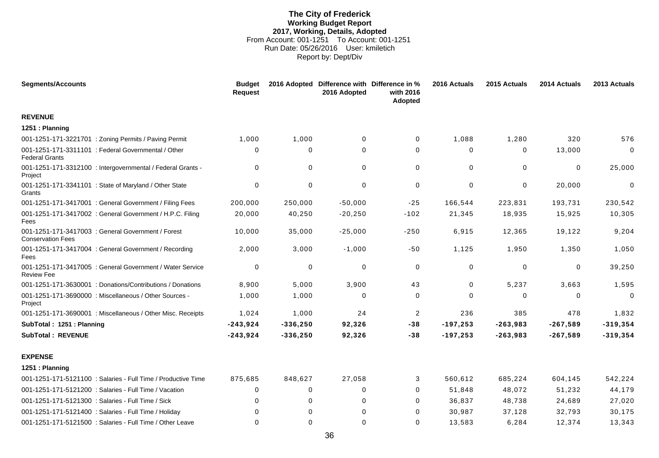# **The City of Frederick Working Budget Report 2017, Working, Details, Adopted** From Account: 001-1251 To Account: 001-1251 Run Date: 05/26/2016 User: kmiletich Report by: Dept/Div

| <b>Segments/Accounts</b>                                                       | <b>Budget</b><br><b>Request</b> |             | 2016 Adopted Difference with Difference in %<br>2016 Adopted | with 2016<br>Adopted | 2016 Actuals | 2015 Actuals | 2014 Actuals | 2013 Actuals |
|--------------------------------------------------------------------------------|---------------------------------|-------------|--------------------------------------------------------------|----------------------|--------------|--------------|--------------|--------------|
| <b>REVENUE</b>                                                                 |                                 |             |                                                              |                      |              |              |              |              |
| 1251: Planning                                                                 |                                 |             |                                                              |                      |              |              |              |              |
| 001-1251-171-3221701 : Zoning Permits / Paving Permit                          | 1,000                           | 1,000       | $\mathbf 0$                                                  | 0                    | 1,088        | 1,280        | 320          | 576          |
| 001-1251-171-3311101 : Federal Governmental / Other<br><b>Federal Grants</b>   | 0                               | $\Omega$    | $\Omega$                                                     | 0                    | $\Omega$     | $\Omega$     | 13,000       | $\Omega$     |
| 001-1251-171-3312100 : Intergovernmental / Federal Grants -<br>Project         | 0                               | 0           | $\mathbf 0$                                                  | 0                    | 0            | 0            | 0            | 25,000       |
| 001-1251-171-3341101 : State of Maryland / Other State<br>Grants               | $\mathbf 0$                     | $\pmb{0}$   | $\mathbf 0$                                                  | $\pmb{0}$            | $\mathbf 0$  | 0            | 20,000       | $\Omega$     |
| 001-1251-171-3417001 : General Government / Filing Fees                        | 200,000                         | 250,000     | $-50.000$                                                    | $-25$                | 166,544      | 223,831      | 193,731      | 230,542      |
| 001-1251-171-3417002 : General Government / H.P.C. Filing<br>Fees              | 20,000                          | 40,250      | $-20,250$                                                    | $-102$               | 21,345       | 18,935       | 15,925       | 10,305       |
| 001-1251-171-3417003 : General Government / Forest<br><b>Conservation Fees</b> | 10,000                          | 35,000      | $-25,000$                                                    | $-250$               | 6,915        | 12,365       | 19,122       | 9,204        |
| 001-1251-171-3417004 : General Government / Recording<br>Fees                  | 2,000                           | 3,000       | $-1,000$                                                     | $-50$                | 1,125        | 1,950        | 1,350        | 1,050        |
| 001-1251-171-3417005 : General Government / Water Service<br><b>Review Fee</b> | $\mathbf 0$                     | $\mathbf 0$ | $\mathbf 0$                                                  | 0                    | 0            | $\mathbf 0$  | 0            | 39,250       |
| 001-1251-171-3630001 : Donations/Contributions / Donations                     | 8,900                           | 5,000       | 3,900                                                        | 43                   | $\Omega$     | 5,237        | 3,663        | 1,595        |
| 001-1251-171-3690000 : Miscellaneous / Other Sources -<br>Project              | 1,000                           | 1,000       | $\Omega$                                                     | 0                    | $\Omega$     | $\Omega$     | $\Omega$     | $\Omega$     |
| 001-1251-171-3690001 : Miscellaneous / Other Misc. Receipts                    | 1,024                           | 1,000       | 24                                                           | $\overline{c}$       | 236          | 385          | 478          | 1,832        |
| SubTotal: 1251: Planning                                                       | $-243,924$                      | $-336,250$  | 92,326                                                       | $-38$                | $-197,253$   | $-263,983$   | $-267,589$   | $-319,354$   |
| <b>SubTotal: REVENUE</b>                                                       | $-243,924$                      | $-336,250$  | 92,326                                                       | $-38$                | $-197,253$   | $-263,983$   | $-267,589$   | $-319,354$   |
| <b>EXPENSE</b>                                                                 |                                 |             |                                                              |                      |              |              |              |              |
| 1251: Planning                                                                 |                                 |             |                                                              |                      |              |              |              |              |
| 001-1251-171-5121100 : Salaries - Full Time / Productive Time                  | 875.685                         | 848.627     | 27,058                                                       | 3                    | 560,612      | 685,224      | 604,145      | 542,224      |
| 001-1251-171-5121200 : Salaries - Full Time / Vacation                         | $\Omega$                        | 0           | $\Omega$                                                     | 0                    | 51,848       | 48,072       | 51,232       | 44,179       |
| 001-1251-171-5121300 : Salaries - Full Time / Sick                             | $\Omega$                        | 0           | 0                                                            | 0                    | 36,837       | 48,738       | 24,689       | 27,020       |
| 001-1251-171-5121400 : Salaries - Full Time / Holiday                          | $\Omega$                        | $\Omega$    | $\Omega$                                                     | 0                    | 30,987       | 37,128       | 32,793       | 30,175       |
| 001-1251-171-5121500 : Salaries - Full Time / Other Leave                      | $\Omega$                        | $\Omega$    | $\Omega$                                                     | $\Omega$             | 13,583       | 6,284        | 12,374       | 13,343       |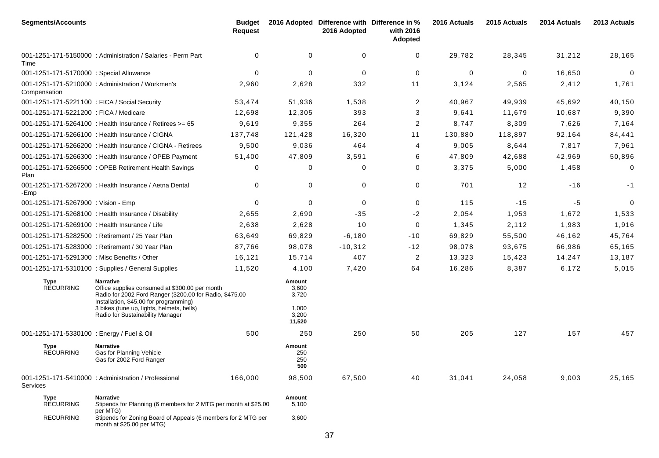| <b>Segments/Accounts</b>                       |                                                                                                                                                                                                                                                          | <b>Budget</b><br><b>Request</b> |                                                      | 2016 Adopted Difference with Difference in %<br>2016 Adopted | with 2016<br><b>Adopted</b> | 2016 Actuals | 2015 Actuals | 2014 Actuals | 2013 Actuals |
|------------------------------------------------|----------------------------------------------------------------------------------------------------------------------------------------------------------------------------------------------------------------------------------------------------------|---------------------------------|------------------------------------------------------|--------------------------------------------------------------|-----------------------------|--------------|--------------|--------------|--------------|
| Time                                           | 001-1251-171-5150000: Administration / Salaries - Perm Part                                                                                                                                                                                              | 0                               | 0                                                    | $\mathbf 0$                                                  | 0                           | 29,782       | 28,345       | 31,212       | 28,165       |
| 001-1251-171-5170000 : Special Allowance       |                                                                                                                                                                                                                                                          | $\mathbf 0$                     | 0                                                    | $\mathbf 0$                                                  | 0                           | 0            | 0            | 16,650       | $\mathbf 0$  |
| Compensation                                   | 001-1251-171-5210000 : Administration / Workmen's                                                                                                                                                                                                        | 2,960                           | 2,628                                                | 332                                                          | 11                          | 3,124        | 2,565        | 2,412        | 1,761        |
| 001-1251-171-5221100 : FICA / Social Security  |                                                                                                                                                                                                                                                          | 53,474                          | 51,936                                               | 1,538                                                        | $\overline{2}$              | 40,967       | 49,939       | 45,692       | 40,150       |
| 001-1251-171-5221200 : FICA / Medicare         |                                                                                                                                                                                                                                                          | 12,698                          | 12,305                                               | 393                                                          | 3                           | 9,641        | 11,679       | 10,687       | 9,390        |
|                                                | 001-1251-171-5264100 : Health Insurance / Retirees >= 65                                                                                                                                                                                                 | 9,619                           | 9,355                                                | 264                                                          | 2                           | 8,747        | 8,309        | 7,626        | 7,164        |
|                                                | 001-1251-171-5266100 : Health Insurance / CIGNA                                                                                                                                                                                                          | 137,748                         | 121,428                                              | 16,320                                                       | 11                          | 130,880      | 118,897      | 92,164       | 84,441       |
|                                                | 001-1251-171-5266200 : Health Insurance / CIGNA - Retirees                                                                                                                                                                                               | 9,500                           | 9,036                                                | 464                                                          | 4                           | 9,005        | 8,644        | 7,817        | 7,961        |
|                                                | 001-1251-171-5266300 : Health Insurance / OPEB Payment                                                                                                                                                                                                   | 51,400                          | 47,809                                               | 3,591                                                        | 6                           | 47,809       | 42,688       | 42,969       | 50,896       |
| Plan                                           | 001-1251-171-5266500 : OPEB Retirement Health Savings                                                                                                                                                                                                    | 0                               | 0                                                    | 0                                                            | 0                           | 3,375        | 5,000        | 1,458        | $\mathbf 0$  |
| -Emp                                           | 001-1251-171-5267200 : Health Insurance / Aetna Dental                                                                                                                                                                                                   | $\mathbf 0$                     | 0                                                    | $\mathbf 0$                                                  | 0                           | 701          | 12           | $-16$        | -1           |
| 001-1251-171-5267900 : Vision - Emp            |                                                                                                                                                                                                                                                          | 0                               | 0                                                    | 0                                                            | 0                           | 115          | $-15$        | -5           | $\mathbf 0$  |
|                                                | 001-1251-171-5268100 : Health Insurance / Disability                                                                                                                                                                                                     | 2,655                           | 2,690                                                | -35                                                          | $-2$                        | 2,054        | 1,953        | 1,672        | 1,533        |
| 001-1251-171-5269100 : Health Insurance / Life |                                                                                                                                                                                                                                                          | 2,638                           | 2,628                                                | 10                                                           | 0                           | 1,345        | 2,112        | 1,983        | 1,916        |
|                                                | 001-1251-171-5282500 : Retirement / 25 Year Plan                                                                                                                                                                                                         | 63,649                          | 69,829                                               | $-6,180$                                                     | $-10$                       | 69,829       | 55,500       | 46,162       | 45,764       |
|                                                | 001-1251-171-5283000 : Retirement / 30 Year Plan                                                                                                                                                                                                         | 87,766                          | 98,078                                               | $-10,312$                                                    | $-12$                       | 98,078       | 93,675       | 66,986       | 65,165       |
| 001-1251-171-5291300 : Misc Benefits / Other   |                                                                                                                                                                                                                                                          | 16,121                          | 15,714                                               | 407                                                          | 2                           | 13,323       | 15,423       | 14,247       | 13,187       |
|                                                | 001-1251-171-5310100 : Supplies / General Supplies                                                                                                                                                                                                       | 11,520                          | 4,100                                                | 7,420                                                        | 64                          | 16,286       | 8,387        | 6,172        | 5,015        |
| Type<br><b>RECURRING</b>                       | <b>Narrative</b><br>Office supplies consumed at \$300.00 per month<br>Radio for 2002 Ford Ranger (3200.00 for Radio, \$475.00<br>Installation, \$45.00 for programming)<br>3 bikes (tune up, lights, helmets, bells)<br>Radio for Sustainability Manager |                                 | Amount<br>3,600<br>3,720<br>1,000<br>3,200<br>11,520 |                                                              |                             |              |              |              |              |
| 001-1251-171-5330100 : Energy / Fuel & Oil     |                                                                                                                                                                                                                                                          | 500                             | 250                                                  | 250                                                          | 50                          | 205          | 127          | 157          | 457          |
| Type<br>RECURRING                              | <b>Narrative</b><br>Gas for Planning Vehicle<br>Gas for 2002 Ford Ranger                                                                                                                                                                                 |                                 | Amount<br>250<br>250<br>500                          |                                                              |                             |              |              |              |              |
| Services                                       | 001-1251-171-5410000 : Administration / Professional                                                                                                                                                                                                     | 166,000                         | 98,500                                               | 67,500                                                       | 40                          | 31,041       | 24,058       | 9,003        | 25,165       |
| <b>Type</b><br><b>RECURRING</b>                | <b>Narrative</b><br>Stipends for Planning (6 members for 2 MTG per month at \$25.00<br>per MTG)                                                                                                                                                          |                                 | Amount<br>5,100                                      |                                                              |                             |              |              |              |              |
| <b>RECURRING</b>                               | Stipends for Zoning Board of Appeals (6 members for 2 MTG per<br>month at \$25.00 per MTG)                                                                                                                                                               |                                 | 3,600                                                |                                                              |                             |              |              |              |              |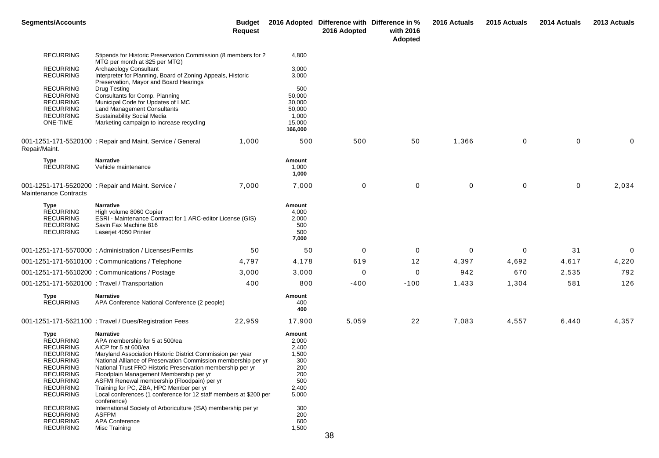| <b>Segments/Accounts</b>                                                                                                                                                                 |                                                                                                                                                                                                                                                                                                                                                                                                                                                                                                   | <b>Budget</b><br><b>Request</b> |                                                                                 | 2016 Adopted Difference with Difference in %<br>2016 Adopted | with 2016<br>Adopted | 2016 Actuals | 2015 Actuals | 2014 Actuals | 2013 Actuals |
|------------------------------------------------------------------------------------------------------------------------------------------------------------------------------------------|---------------------------------------------------------------------------------------------------------------------------------------------------------------------------------------------------------------------------------------------------------------------------------------------------------------------------------------------------------------------------------------------------------------------------------------------------------------------------------------------------|---------------------------------|---------------------------------------------------------------------------------|--------------------------------------------------------------|----------------------|--------------|--------------|--------------|--------------|
| <b>RECURRING</b>                                                                                                                                                                         | Stipends for Historic Preservation Commission (8 members for 2<br>MTG per month at \$25 per MTG)                                                                                                                                                                                                                                                                                                                                                                                                  |                                 | 4,800                                                                           |                                                              |                      |              |              |              |              |
| <b>RECURRING</b><br><b>RECURRING</b>                                                                                                                                                     | <b>Archaeology Consultant</b><br>Interpreter for Planning, Board of Zoning Appeals, Historic<br>Preservation, Mayor and Board Hearings                                                                                                                                                                                                                                                                                                                                                            |                                 | 3,000<br>3,000                                                                  |                                                              |                      |              |              |              |              |
| <b>RECURRING</b><br><b>RECURRING</b><br><b>RECURRING</b><br><b>RECURRING</b><br><b>RECURRING</b><br><b>ONE-TIME</b>                                                                      | Drug Testing<br>Consultants for Comp. Planning<br>Municipal Code for Updates of LMC<br>Land Management Consultants<br>Sustainability Social Media<br>Marketing campaign to increase recycling                                                                                                                                                                                                                                                                                                     |                                 | 500<br>50,000<br>30,000<br>50,000<br>1,000<br>15,000<br>166,000                 |                                                              |                      |              |              |              |              |
| Repair/Maint.                                                                                                                                                                            | 001-1251-171-5520100: Repair and Maint. Service / General                                                                                                                                                                                                                                                                                                                                                                                                                                         | 1,000                           | 500                                                                             | 500                                                          | 50                   | 1,366        | 0            | 0            | 0            |
| Type<br><b>RECURRING</b>                                                                                                                                                                 | <b>Narrative</b><br>Vehicle maintenance                                                                                                                                                                                                                                                                                                                                                                                                                                                           |                                 | Amount<br>1,000<br>1,000                                                        |                                                              |                      |              |              |              |              |
| <b>Maintenance Contracts</b>                                                                                                                                                             | 001-1251-171-5520200 : Repair and Maint. Service /                                                                                                                                                                                                                                                                                                                                                                                                                                                | 7,000                           | 7,000                                                                           | 0                                                            | 0                    | 0            | 0            | 0            | 2,034        |
| Type<br><b>RECURRING</b><br><b>RECURRING</b><br><b>RECURRING</b><br><b>RECURRING</b>                                                                                                     | <b>Narrative</b><br>High volume 8060 Copier<br>ESRI - Maintenance Contract for 1 ARC-editor License (GIS)<br>Savin Fax Machine 816<br>Laserjet 4050 Printer                                                                                                                                                                                                                                                                                                                                       |                                 | Amount<br>4,000<br>2,000<br>500<br>500<br>7,000                                 |                                                              |                      |              |              |              |              |
|                                                                                                                                                                                          | 001-1251-171-5570000: Administration / Licenses/Permits                                                                                                                                                                                                                                                                                                                                                                                                                                           | 50                              | 50                                                                              | $\mathbf 0$                                                  | 0                    | 0            | 0            | 31           | 0            |
|                                                                                                                                                                                          | 001-1251-171-5610100 : Communications / Telephone                                                                                                                                                                                                                                                                                                                                                                                                                                                 | 4,797                           | 4,178                                                                           | 619                                                          | 12                   | 4,397        | 4,692        | 4,617        | 4,220        |
|                                                                                                                                                                                          | 001-1251-171-5610200 : Communications / Postage                                                                                                                                                                                                                                                                                                                                                                                                                                                   | 3,000                           | 3,000                                                                           | 0                                                            | 0                    | 942          | 670          | 2,535        | 792          |
| 001-1251-171-5620100 : Travel / Transportation                                                                                                                                           |                                                                                                                                                                                                                                                                                                                                                                                                                                                                                                   | 400                             | 800                                                                             | $-400$                                                       | $-100$               | 1,433        | 1,304        | 581          | 126          |
| Type<br><b>RECURRING</b>                                                                                                                                                                 | <b>Narrative</b><br>APA Conference National Conference (2 people)                                                                                                                                                                                                                                                                                                                                                                                                                                 |                                 | Amount<br>400<br>400                                                            |                                                              |                      |              |              |              |              |
|                                                                                                                                                                                          | 001-1251-171-5621100 : Travel / Dues/Registration Fees                                                                                                                                                                                                                                                                                                                                                                                                                                            | 22,959                          | 17,900                                                                          | 5,059                                                        | 22                   | 7,083        | 4,557        | 6,440        | 4,357        |
| Type<br><b>RECURRING</b><br><b>RECURRING</b><br><b>RECURRING</b><br><b>RECURRING</b><br><b>RECURRING</b><br><b>RECURRING</b><br><b>RECURRING</b><br><b>RECURRING</b><br><b>RECURRING</b> | <b>Narrative</b><br>APA membership for 5 at 500/ea<br>AICP for 5 at 600/ea<br>Maryland Association Historic District Commission per year<br>National Alliance of Preservation Commission membership per yr<br>National Trust FRO Historic Preservation membership per yr<br>Floodplain Management Membership per yr<br>ASFMI Renewal membership (Floodpain) per yr<br>Training for PC, ZBA, HPC Member per yr<br>Local conferences (1 conference for 12 staff members at \$200 per<br>conference) |                                 | Amount<br>2,000<br>2,400<br>1,500<br>300<br>200<br>200<br>500<br>2,400<br>5,000 |                                                              |                      |              |              |              |              |
| <b>RECURRING</b><br><b>RECURRING</b><br><b>RECURRING</b><br><b>RECURRING</b>                                                                                                             | International Society of Arboriculture (ISA) membership per yr<br><b>ASFPM</b><br>APA Conference<br>Misc Training                                                                                                                                                                                                                                                                                                                                                                                 |                                 | 300<br>200<br>600<br>1,500                                                      |                                                              |                      |              |              |              |              |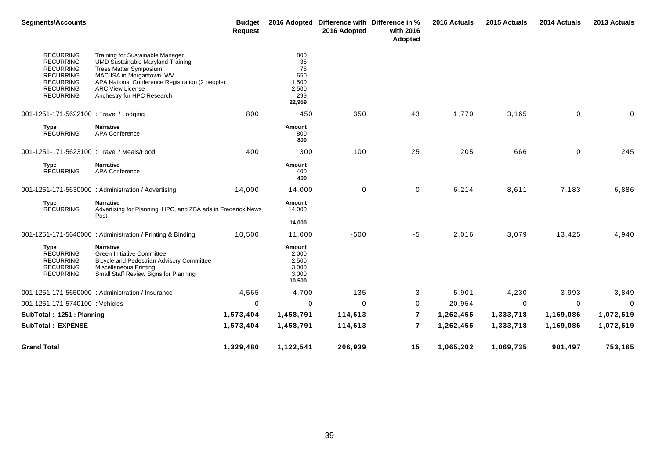| <b>Segments/Accounts</b>                                                                                                                 |                                                                                                                                                                                                                                                        | <b>Budget</b><br><b>Request</b> |                                                           | 2016 Adopted Difference with Difference in %<br>2016 Adopted | with 2016<br>Adopted | 2016 Actuals | 2015 Actuals | 2014 Actuals | 2013 Actuals |
|------------------------------------------------------------------------------------------------------------------------------------------|--------------------------------------------------------------------------------------------------------------------------------------------------------------------------------------------------------------------------------------------------------|---------------------------------|-----------------------------------------------------------|--------------------------------------------------------------|----------------------|--------------|--------------|--------------|--------------|
| <b>RECURRING</b><br><b>RECURRING</b><br><b>RECURRING</b><br><b>RECURRING</b><br><b>RECURRING</b><br><b>RECURRING</b><br><b>RECURRING</b> | Training for Sustainable Manager<br><b>UMD Sustainable Maryland Training</b><br><b>Trees Matter Symposium</b><br>MAC-ISA in Morgantown, WV<br>APA National Conference Registration (2 people)<br><b>ARC View License</b><br>Anchestry for HPC Research |                                 | 800<br>35<br>75<br>650<br>1,500<br>2,500<br>299<br>22,959 |                                                              |                      |              |              |              |              |
| 001-1251-171-5622100 : Travel / Lodging                                                                                                  |                                                                                                                                                                                                                                                        | 800                             | 450                                                       | 350                                                          | 43                   | 1,770        | 3,165        | $\mathbf 0$  | $\mathbf 0$  |
| Type<br><b>RECURRING</b>                                                                                                                 | <b>Narrative</b><br>APA Conference                                                                                                                                                                                                                     |                                 | Amount<br>800<br>800                                      |                                                              |                      |              |              |              |              |
| 001-1251-171-5623100 : Travel / Meals/Food                                                                                               |                                                                                                                                                                                                                                                        | 400                             | 300                                                       | 100                                                          | 25                   | 205          | 666          | 0            | 245          |
| <b>Type</b><br><b>RECURRING</b>                                                                                                          | <b>Narrative</b><br><b>APA Conference</b>                                                                                                                                                                                                              |                                 | Amount<br>400<br>400                                      |                                                              |                      |              |              |              |              |
|                                                                                                                                          | 001-1251-171-5630000 : Administration / Advertising                                                                                                                                                                                                    | 14,000                          | 14,000                                                    | $\mathbf 0$                                                  | $\mathbf 0$          | 6,214        | 8,611        | 7,183        | 6,886        |
| <b>Type</b><br><b>RECURRING</b>                                                                                                          | <b>Narrative</b><br>Advertising for Planning, HPC, and ZBA ads in Frederick News<br>Post                                                                                                                                                               |                                 | Amount<br>14,000                                          |                                                              |                      |              |              |              |              |
|                                                                                                                                          |                                                                                                                                                                                                                                                        |                                 | 14,000                                                    |                                                              |                      |              |              |              |              |
|                                                                                                                                          | 001-1251-171-5640000: Administration / Printing & Binding                                                                                                                                                                                              | 10,500                          | 11,000                                                    | $-500$                                                       | $-5$                 | 2,016        | 3,079        | 13,425       | 4,940        |
| <b>Type</b><br><b>RECURRING</b><br><b>RECURRING</b><br><b>RECURRING</b><br><b>RECURRING</b>                                              | <b>Narrative</b><br>Green Initiative Committee<br>Bicycle and Pedestrian Advisory Committee<br><b>Miscellaneous Printing</b><br>Small Staff Review Signs for Planning                                                                                  |                                 | Amount<br>2,000<br>2,500<br>3,000<br>3,000<br>10,500      |                                                              |                      |              |              |              |              |
|                                                                                                                                          | 001-1251-171-5650000 : Administration / Insurance                                                                                                                                                                                                      | 4,565                           | 4,700                                                     | $-135$                                                       | -3                   | 5,901        | 4,230        | 3,993        | 3,849        |
| 001-1251-171-5740100 : Vehicles                                                                                                          |                                                                                                                                                                                                                                                        | 0                               | 0                                                         | $\mathbf 0$                                                  | $\mathbf 0$          | 20,954       | 0            | $\mathbf 0$  | $\mathbf 0$  |
| SubTotal: 1251: Planning                                                                                                                 |                                                                                                                                                                                                                                                        | 1,573,404                       | 1,458,791                                                 | 114,613                                                      | $\overline{7}$       | 1,262,455    | 1,333,718    | 1,169,086    | 1,072,519    |
| <b>SubTotal: EXPENSE</b>                                                                                                                 |                                                                                                                                                                                                                                                        | 1,573,404                       | 1,458,791                                                 | 114,613                                                      | $\overline{7}$       | 1,262,455    | 1,333,718    | 1,169,086    | 1,072,519    |
| <b>Grand Total</b>                                                                                                                       |                                                                                                                                                                                                                                                        | 1,329,480                       | 1,122,541                                                 | 206,939                                                      | 15                   | 1,065,202    | 1,069,735    | 901,497      | 753,165      |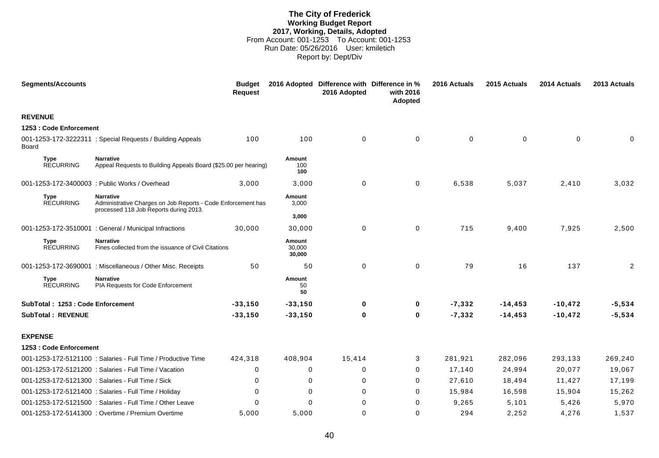# **The City of Frederick Working Budget Report 2017, Working, Details, Adopted** From Account: 001-1253 To Account: 001-1253 Run Date: 05/26/2016 User: kmiletich Report by: Dept/Div

| <b>Segments/Accounts</b>          |                                                                                                                            | <b>Budget</b><br><b>Request</b> |                            | 2016 Adopted Difference with Difference in %<br>2016 Adopted | with 2016<br>Adopted | 2016 Actuals | 2015 Actuals | 2014 Actuals | 2013 Actuals   |
|-----------------------------------|----------------------------------------------------------------------------------------------------------------------------|---------------------------------|----------------------------|--------------------------------------------------------------|----------------------|--------------|--------------|--------------|----------------|
| <b>REVENUE</b>                    |                                                                                                                            |                                 |                            |                                                              |                      |              |              |              |                |
| 1253 : Code Enforcement           |                                                                                                                            |                                 |                            |                                                              |                      |              |              |              |                |
| Board                             | 001-1253-172-3222311 : Special Requests / Building Appeals                                                                 | 100                             | 100                        | $\Omega$                                                     | $\mathbf 0$          | $\Omega$     | $\Omega$     | $\mathbf{0}$ | $\Omega$       |
| <b>Type</b><br><b>RECURRING</b>   | <b>Narrative</b><br>Appeal Requests to Building Appeals Board (\$25.00 per hearing)                                        |                                 | Amount<br>100<br>100       |                                                              |                      |              |              |              |                |
|                                   | 001-1253-172-3400003 : Public Works / Overhead                                                                             | 3,000                           | 3,000                      | $\mathbf 0$                                                  | 0                    | 6,538        | 5,037        | 2,410        | 3,032          |
| Type<br><b>RECURRING</b>          | <b>Narrative</b><br>Administrative Charges on Job Reports - Code Enforcement has<br>processed 118 Job Reports during 2013. |                                 | Amount<br>3,000            |                                                              |                      |              |              |              |                |
|                                   |                                                                                                                            |                                 | 3,000                      |                                                              |                      |              |              |              |                |
|                                   | 001-1253-172-3510001 : General / Municipal Infractions                                                                     | 30,000                          | 30,000                     | 0                                                            | 0                    | 715          | 9,400        | 7,925        | 2,500          |
| <b>Type</b><br><b>RECURRING</b>   | <b>Narrative</b><br>Fines collected from the issuance of Civil Citations                                                   |                                 | Amount<br>30,000<br>30,000 |                                                              |                      |              |              |              |                |
|                                   | 001-1253-172-3690001 : Miscellaneous / Other Misc. Receipts                                                                | 50                              | 50                         | $\mathbf 0$                                                  | $\mathbf 0$          | 79           | 16           | 137          | $\overline{2}$ |
| <b>Type</b><br><b>RECURRING</b>   | <b>Narrative</b><br>PIA Requests for Code Enforcement                                                                      |                                 | <b>Amount</b><br>50<br>50  |                                                              |                      |              |              |              |                |
| SubTotal: 1253 : Code Enforcement |                                                                                                                            | $-33,150$                       | $-33,150$                  | $\bf{0}$                                                     | 0                    | $-7,332$     | $-14, 453$   | $-10,472$    | $-5,534$       |
| <b>SubTotal: REVENUE</b>          |                                                                                                                            | $-33,150$                       | $-33,150$                  | $\mathbf 0$                                                  | $\bf{0}$             | $-7,332$     | $-14, 453$   | $-10,472$    | $-5,534$       |
| <b>EXPENSE</b>                    |                                                                                                                            |                                 |                            |                                                              |                      |              |              |              |                |
| 1253 : Code Enforcement           |                                                                                                                            |                                 |                            |                                                              |                      |              |              |              |                |
|                                   | 001-1253-172-5121100 : Salaries - Full Time / Productive Time                                                              | 424,318                         | 408,904                    | 15,414                                                       | 3                    | 281,921      | 282,096      | 293,133      | 269,240        |
|                                   | 001-1253-172-5121200 : Salaries - Full Time / Vacation                                                                     | $\Omega$                        | 0                          | $\Omega$                                                     | $\Omega$             | 17,140       | 24,994       | 20,077       | 19,067         |
|                                   | 001-1253-172-5121300 : Salaries - Full Time / Sick                                                                         | $\Omega$                        | $\Omega$                   | $\Omega$                                                     | $\Omega$             | 27,610       | 18,494       | 11,427       | 17,199         |
|                                   | 001-1253-172-5121400 : Salaries - Full Time / Holiday                                                                      | 0                               | 0                          | $\Omega$                                                     | 0                    | 15,984       | 16,598       | 15,904       | 15,262         |
|                                   | 001-1253-172-5121500 : Salaries - Full Time / Other Leave                                                                  | $\Omega$                        | $\Omega$                   | 0                                                            | $\Omega$             | 9,265        | 5,101        | 5,426        | 5,970          |
|                                   | 001-1253-172-5141300 : Overtime / Premium Overtime                                                                         | 5,000                           | 5.000                      | 0                                                            | $\Omega$             | 294          | 2.252        | 4,276        | 1,537          |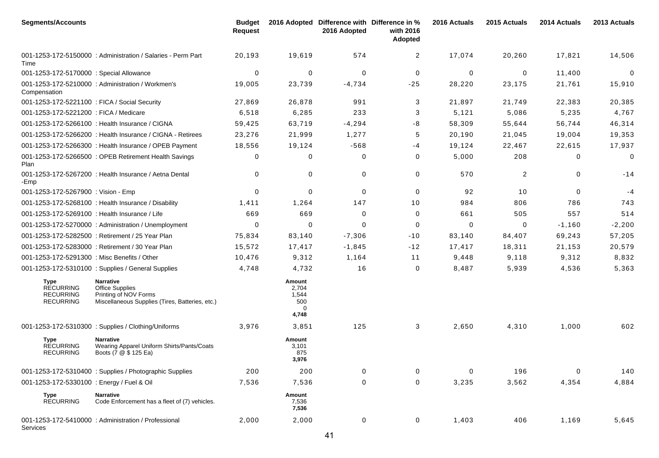| <b>Segments/Accounts</b>                                         |                                                                                                                        | <b>Budget</b><br><b>Request</b> |                                               | 2016 Adopted Difference with Difference in %<br>2016 Adopted | with 2016<br>Adopted | 2016 Actuals | 2015 Actuals   | 2014 Actuals | 2013 Actuals |
|------------------------------------------------------------------|------------------------------------------------------------------------------------------------------------------------|---------------------------------|-----------------------------------------------|--------------------------------------------------------------|----------------------|--------------|----------------|--------------|--------------|
| Time                                                             | 001-1253-172-5150000 : Administration / Salaries - Perm Part                                                           | 20,193                          | 19,619                                        | 574                                                          | $\overline{2}$       | 17,074       | 20,260         | 17,821       | 14,506       |
| 001-1253-172-5170000 : Special Allowance                         |                                                                                                                        | 0                               | 0                                             | $\mathbf 0$                                                  | 0                    | 0            | 0              | 11,400       | 0            |
| Compensation                                                     | 001-1253-172-5210000 : Administration / Workmen's                                                                      | 19,005                          | 23,739                                        | $-4,734$                                                     | $-25$                | 28,220       | 23,175         | 21,761       | 15,910       |
| 001-1253-172-5221100 : FICA / Social Security                    |                                                                                                                        | 27,869                          | 26,878                                        | 991                                                          | 3                    | 21,897       | 21,749         | 22,383       | 20,385       |
| 001-1253-172-5221200 : FICA / Medicare                           |                                                                                                                        | 6,518                           | 6,285                                         | 233                                                          | 3                    | 5,121        | 5,086          | 5,235        | 4,767        |
|                                                                  | 001-1253-172-5266100 : Health Insurance / CIGNA                                                                        | 59,425                          | 63,719                                        | $-4,294$                                                     | -8                   | 58,309       | 55,644         | 56,744       | 46,314       |
|                                                                  | 001-1253-172-5266200 : Health Insurance / CIGNA - Retirees                                                             | 23,276                          | 21,999                                        | 1,277                                                        | 5                    | 20,190       | 21,045         | 19,004       | 19,353       |
|                                                                  | 001-1253-172-5266300 : Health Insurance / OPEB Payment                                                                 | 18,556                          | 19,124                                        | $-568$                                                       | -4                   | 19,124       | 22,467         | 22,615       | 17,937       |
| Plan                                                             | 001-1253-172-5266500 : OPEB Retirement Health Savings                                                                  | 0                               | 0                                             | 0                                                            | 0                    | 5,000        | 208            | $\Omega$     | $\mathbf 0$  |
| -Emp                                                             | 001-1253-172-5267200 : Health Insurance / Aetna Dental                                                                 | 0                               | 0                                             | 0                                                            | 0                    | 570          | $\overline{2}$ | $\mathbf 0$  | $-14$        |
| 001-1253-172-5267900 : Vision - Emp                              |                                                                                                                        | $\mathbf 0$                     | 0                                             | $\mathbf 0$                                                  | 0                    | 92           | 10             | $\Omega$     | -4           |
|                                                                  | 001-1253-172-5268100 : Health Insurance / Disability                                                                   | 1,411                           | 1,264                                         | 147                                                          | 10                   | 984          | 806            | 786          | 743          |
| 001-1253-172-5269100 : Health Insurance / Life                   |                                                                                                                        | 669                             | 669                                           | $\Omega$                                                     | 0                    | 661          | 505            | 557          | 514          |
|                                                                  | 001-1253-172-5270000: Administration / Unemployment                                                                    | 0                               | 0                                             | 0                                                            | $\mathbf 0$          | 0            | 0              | $-1,160$     | $-2,200$     |
|                                                                  | 001-1253-172-5282500 : Retirement / 25 Year Plan                                                                       | 75,834                          | 83,140                                        | $-7,306$                                                     | $-10$                | 83,140       | 84,407         | 69,243       | 57,205       |
|                                                                  | 001-1253-172-5283000 : Retirement / 30 Year Plan                                                                       | 15,572                          | 17,417                                        | $-1,845$                                                     | $-12$                | 17,417       | 18,311         | 21,153       | 20,579       |
| 001-1253-172-5291300 : Misc Benefits / Other                     |                                                                                                                        | 10,476                          | 9,312                                         | 1,164                                                        | $11$                 | 9,448        | 9,118          | 9,312        | 8,832        |
|                                                                  | 001-1253-172-5310100 : Supplies / General Supplies                                                                     | 4,748                           | 4,732                                         | 16                                                           | 0                    | 8,487        | 5,939          | 4,536        | 5,363        |
| Type<br><b>RECURRING</b><br><b>RECURRING</b><br><b>RECURRING</b> | <b>Narrative</b><br><b>Office Supplies</b><br>Printing of NOV Forms<br>Miscellaneous Supplies (Tires, Batteries, etc.) |                                 | Amount<br>2,704<br>1,544<br>500<br>0<br>4,748 |                                                              |                      |              |                |              |              |
|                                                                  | 001-1253-172-5310300: Supplies / Clothing/Uniforms                                                                     | 3,976                           | 3,851                                         | 125                                                          | 3                    | 2,650        | 4,310          | 1,000        | 602          |
| Type<br><b>RECURRING</b><br>RECURRING                            | Narrative<br>Wearing Apparel Uniform Shirts/Pants/Coats<br>Boots (7 @ \$ 125 Ea)                                       |                                 | Amount<br>3,101<br>875<br>3,976               |                                                              |                      |              |                |              |              |
|                                                                  | 001-1253-172-5310400: Supplies / Photographic Supplies                                                                 | 200                             | 200                                           | 0                                                            | 0                    | $\mathbf 0$  | 196            | 0            | 140          |
| 001-1253-172-5330100 : Energy / Fuel & Oil                       |                                                                                                                        | 7,536                           | 7,536                                         | $\pmb{0}$                                                    | $\mathbf 0$          | 3,235        | 3,562          | 4,354        | 4,884        |
| <b>Type</b><br><b>RECURRING</b>                                  | <b>Narrative</b><br>Code Enforcement has a fleet of (7) vehicles.                                                      |                                 | Amount<br>7,536<br>7,536                      |                                                              |                      |              |                |              |              |
| Services                                                         | 001-1253-172-5410000 : Administration / Professional                                                                   | 2,000                           | 2,000                                         | 0                                                            | $\mathbf 0$          | 1,403        | 406            | 1,169        | 5,645        |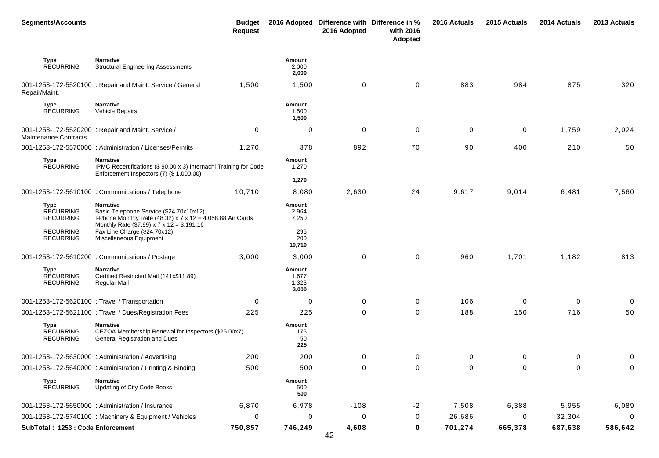| <b>Segments/Accounts</b>                                                                    |                                                                                                                                                                                                                                      | <b>Budget</b><br><b>Request</b> |                                        | 2016 Adopted Difference with Difference in %<br>2016 Adopted | with 2016<br>Adopted | 2016 Actuals | 2015 Actuals | 2014 Actuals | 2013 Actuals |
|---------------------------------------------------------------------------------------------|--------------------------------------------------------------------------------------------------------------------------------------------------------------------------------------------------------------------------------------|---------------------------------|----------------------------------------|--------------------------------------------------------------|----------------------|--------------|--------------|--------------|--------------|
| Type<br><b>RECURRING</b>                                                                    | <b>Narrative</b><br><b>Structural Engineering Assessments</b>                                                                                                                                                                        |                                 | Amount<br>2,000<br>2,000               |                                                              |                      |              |              |              |              |
| Repair/Maint.                                                                               | 001-1253-172-5520100 : Repair and Maint. Service / General                                                                                                                                                                           | 1,500                           | 1,500                                  | 0                                                            | 0                    | 883          | 984          | 875          | 320          |
| Type<br><b>RECURRING</b>                                                                    | <b>Narrative</b><br>Vehicle Repairs                                                                                                                                                                                                  |                                 | Amount<br>1,500<br>1,500               |                                                              |                      |              |              |              |              |
| <b>Maintenance Contracts</b>                                                                | 001-1253-172-5520200 : Repair and Maint. Service /                                                                                                                                                                                   | 0                               | 0                                      | 0                                                            | $\mathbf 0$          | $\mathbf 0$  | 0            | 1,759        | 2,024        |
|                                                                                             | 001-1253-172-5570000: Administration / Licenses/Permits                                                                                                                                                                              | 1,270                           | 378                                    | 892                                                          | 70                   | 90           | 400          | 210          | 50           |
| Type<br><b>RECURRING</b>                                                                    | <b>Narrative</b><br>IPMC Recertifications (\$90.00 x 3) Internachi Training for Code<br>Enforcement Inspectors (7) (\$ 1,000.00)                                                                                                     |                                 | Amount<br>1,270                        |                                                              |                      |              |              |              |              |
|                                                                                             |                                                                                                                                                                                                                                      |                                 | 1,270                                  |                                                              |                      |              |              |              |              |
|                                                                                             | 001-1253-172-5610100 : Communications / Telephone                                                                                                                                                                                    | 10,710                          | 8,080                                  | 2,630                                                        | 24                   | 9,617        | 9,014        | 6,481        | 7,560        |
| <b>Type</b><br><b>RECURRING</b><br><b>RECURRING</b><br><b>RECURRING</b><br><b>RECURRING</b> | <b>Narrative</b><br>Basic Telephone Service (\$24.70x10x12)<br>I-Phone Monthly Rate (48.32) x 7 x 12 = 4,058.88 Air Cards<br>Monthly Rate (37.99) $x$ 7 $x$ 12 = 3,191.16<br>Fax Line Charge (\$24.70x12)<br>Miscellaneous Equipment |                                 | Amount<br>2,964<br>7,250<br>296<br>200 |                                                              |                      |              |              |              |              |
|                                                                                             |                                                                                                                                                                                                                                      |                                 | 10,710                                 |                                                              |                      |              |              |              |              |
|                                                                                             | 001-1253-172-5610200 : Communications / Postage                                                                                                                                                                                      | 3,000                           | 3,000                                  | $\mathbf 0$                                                  | 0                    | 960          | 1,701        | 1,182        | 813          |
| Type<br><b>RECURRING</b><br><b>RECURRING</b>                                                | <b>Narrative</b><br>Certified Restricted Mail (141x\$11.89)<br>Regular Mail                                                                                                                                                          |                                 | Amount<br>1,677<br>1,323<br>3,000      |                                                              |                      |              |              |              |              |
| 001-1253-172-5620100 : Travel / Transportation                                              |                                                                                                                                                                                                                                      | 0                               | $\mathbf 0$                            | 0                                                            | 0                    | 106          | 0            | $\mathbf 0$  | $\mathbf 0$  |
|                                                                                             | 001-1253-172-5621100 : Travel / Dues/Registration Fees                                                                                                                                                                               | 225                             | 225                                    | 0                                                            | 0                    | 188          | 150          | 716          | 50           |
| <b>Type</b><br><b>RECURRING</b><br><b>RECURRING</b>                                         | <b>Narrative</b><br>CEZOA Membership Renewal for Inspectors (\$25.00x7)<br>General Registration and Dues                                                                                                                             |                                 | Amount<br>175<br>50<br>225             |                                                              |                      |              |              |              |              |
|                                                                                             | 001-1253-172-5630000 : Administration / Advertising                                                                                                                                                                                  | 200                             | 200                                    | 0                                                            | 0                    | 0            | 0            | 0            | $\mathbf{0}$ |
|                                                                                             | 001-1253-172-5640000 : Administration / Printing & Binding                                                                                                                                                                           | 500                             | 500                                    | 0                                                            | 0                    | $\Omega$     | 0            | 0            | $\mathbf{0}$ |
| Type<br><b>RECURRING</b>                                                                    | <b>Narrative</b><br>Updating of City Code Books                                                                                                                                                                                      |                                 | Amount<br>500<br>500                   |                                                              |                      |              |              |              |              |
|                                                                                             | 001-1253-172-5650000 : Administration / Insurance                                                                                                                                                                                    | 6,870                           | 6,978                                  | $-108$                                                       | $-2$                 | 7,508        | 6,388        | 5,955        | 6,089        |
|                                                                                             | 001-1253-172-5740100 : Machinery & Equipment / Vehicles                                                                                                                                                                              | 0                               | 0                                      | 0                                                            | 0                    | 26,686       | 0            | 32,304       | 0            |
| SubTotal: 1253 : Code Enforcement                                                           |                                                                                                                                                                                                                                      | 750,857                         | 746,249                                | 4,608                                                        | $\mathbf 0$          | 701,274      | 665,378      | 687,638      | 586,642      |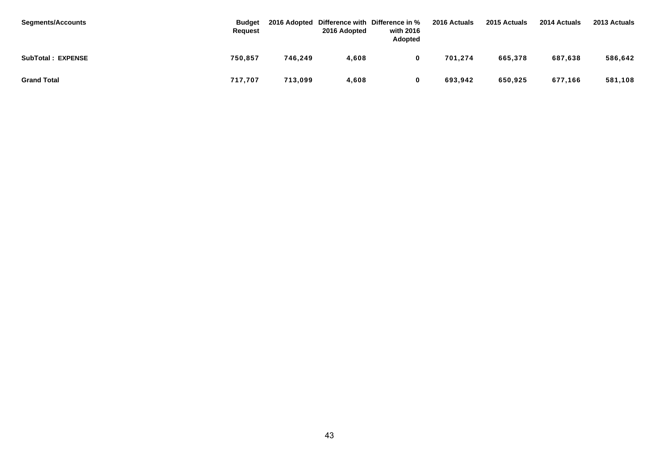| <b>Segments/Accounts</b> | <b>Budget</b><br>Request |         | 2016 Adopted | 2016 Adopted Difference with Difference in %<br>with 2016<br>Adopted | 2016 Actuals | 2015 Actuals | 2014 Actuals | 2013 Actuals |
|--------------------------|--------------------------|---------|--------------|----------------------------------------------------------------------|--------------|--------------|--------------|--------------|
| <b>SubTotal: EXPENSE</b> | 750,857                  | 746.249 | 4,608        |                                                                      | 701,274      | 665,378      | 687.638      | 586,642      |
| <b>Grand Total</b>       | 717,707                  | 713.099 | 4,608        |                                                                      | 693,942      | 650,925      | 677.166      | 581,108      |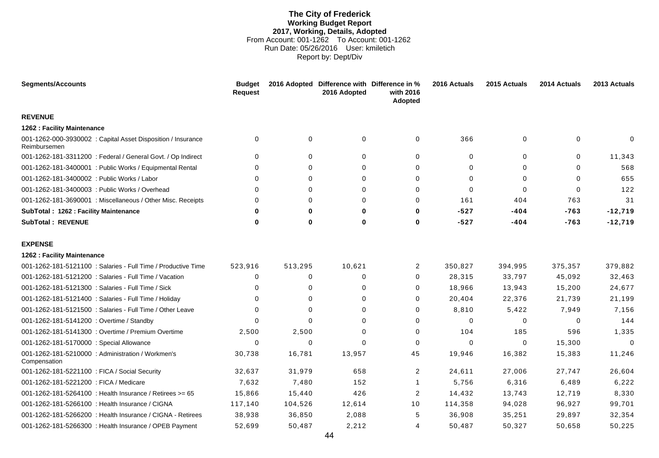# **The City of Frederick Working Budget Report 2017, Working, Details, Adopted** From Account: 001-1262 To Account: 001-1262 Run Date: 05/26/2016 User: kmiletich Report by: Dept/Div

| <b>Segments/Accounts</b>                                                     | <b>Budget</b><br><b>Request</b> |             | 2016 Adopted Difference with Difference in %<br>2016 Adopted | with 2016<br>Adopted | 2016 Actuals | 2015 Actuals | 2014 Actuals | 2013 Actuals |
|------------------------------------------------------------------------------|---------------------------------|-------------|--------------------------------------------------------------|----------------------|--------------|--------------|--------------|--------------|
| <b>REVENUE</b>                                                               |                                 |             |                                                              |                      |              |              |              |              |
| 1262 : Facility Maintenance                                                  |                                 |             |                                                              |                      |              |              |              |              |
| 001-1262-000-3930002 : Capital Asset Disposition / Insurance<br>Reimbursemen | $\Omega$                        | $\mathbf 0$ | 0                                                            | $\mathbf 0$          | 366          | $\mathbf 0$  | $\mathbf 0$  | $\Omega$     |
| 001-1262-181-3311200 : Federal / General Govt. / Op Indirect                 | $\Omega$                        | $\Omega$    | $\Omega$                                                     | $\Omega$             | $\Omega$     | $\mathbf{0}$ | $\Omega$     | 11,343       |
| 001-1262-181-3400001 : Public Works / Equipmental Rental                     | 0                               | $\mathbf 0$ | $\Omega$                                                     | $\Omega$             | 0            | $\Omega$     | 0            | 568          |
| 001-1262-181-3400002 : Public Works / Labor                                  | O                               | $\mathbf 0$ | $\Omega$                                                     | $\Omega$             | $\mathbf{0}$ | $\Omega$     | $\Omega$     | 655          |
| 001-1262-181-3400003 : Public Works / Overhead                               | O                               | $\Omega$    | 0                                                            | $\Omega$             | $\Omega$     | $\Omega$     | 0            | 122          |
| 001-1262-181-3690001 : Miscellaneous / Other Misc. Receipts                  | 0                               | $\mathbf 0$ | 0                                                            | $\Omega$             | 161          | 404          | 763          | 31           |
| SubTotal: 1262 : Facility Maintenance                                        | U                               | 0           | 0                                                            | 0                    | $-527$       | $-404$       | $-763$       | $-12,719$    |
| <b>SubTotal: REVENUE</b>                                                     | U                               | $\bf{0}$    | 0                                                            | 0                    | $-527$       | -404         | $-763$       | $-12,719$    |
| <b>EXPENSE</b>                                                               |                                 |             |                                                              |                      |              |              |              |              |
| 1262 : Facility Maintenance                                                  |                                 |             |                                                              |                      |              |              |              |              |
| 001-1262-181-5121100 : Salaries - Full Time / Productive Time                | 523,916                         | 513,295     | 10,621                                                       | $\overline{2}$       | 350,827      | 394,995      | 375,357      | 379,882      |
| 001-1262-181-5121200 : Salaries - Full Time / Vacation                       | 0                               | 0           | 0                                                            | 0                    | 28,315       | 33,797       | 45,092       | 32,463       |
| 001-1262-181-5121300 : Salaries - Full Time / Sick                           | U                               | 0           | $\Omega$                                                     | 0                    | 18,966       | 13,943       | 15,200       | 24,677       |
| 001-1262-181-5121400 : Salaries - Full Time / Holiday                        | O                               | $\Omega$    | $\Omega$                                                     | $\Omega$             | 20,404       | 22,376       | 21,739       | 21,199       |
| 001-1262-181-5121500 : Salaries - Full Time / Other Leave                    | $\Omega$                        | $\Omega$    | $\Omega$                                                     | $\Omega$             | 8,810        | 5,422        | 7,949        | 7,156        |
| 001-1262-181-5141200 : Overtime / Standby                                    | $\Omega$                        | $\Omega$    | $\Omega$                                                     | $\Omega$             | $\Omega$     | $\Omega$     | O            | 144          |
| 001-1262-181-5141300 : Overtime / Premium Overtime                           | 2,500                           | 2,500       |                                                              | 0                    | 104          | 185          | 596          | 1,335        |
| 001-1262-181-5170000 : Special Allowance                                     | 0                               | 0           | 0                                                            | 0                    | $\mathbf{0}$ | 0            | 15,300       | 0            |
| 001-1262-181-5210000 : Administration / Workmen's<br>Compensation            | 30,738                          | 16,781      | 13,957                                                       | 45                   | 19,946       | 16,382       | 15,383       | 11,246       |
| 001-1262-181-5221100 : FICA / Social Security                                | 32,637                          | 31,979      | 658                                                          | $\overline{2}$       | 24,611       | 27,006       | 27,747       | 26,604       |
| 001-1262-181-5221200 : FICA / Medicare                                       | 7,632                           | 7,480       | 152                                                          | -1                   | 5,756        | 6,316        | 6,489        | 6,222        |
| 001-1262-181-5264100 : Health Insurance / Retirees >= 65                     | 15,866                          | 15,440      | 426                                                          | 2                    | 14,432       | 13,743       | 12,719       | 8,330        |
| 001-1262-181-5266100 : Health Insurance / CIGNA                              | 117,140                         | 104,526     | 12,614                                                       | 10                   | 114,358      | 94,028       | 96,927       | 99,701       |
| 001-1262-181-5266200 : Health Insurance / CIGNA - Retirees                   | 38,938                          | 36,850      | 2,088                                                        | 5                    | 36,908       | 35,251       | 29,897       | 32,354       |
| 001-1262-181-5266300 : Health Insurance / OPEB Payment                       | 52,699                          | 50,487      | 2,212                                                        | 4                    | 50,487       | 50,327       | 50,658       | 50,225       |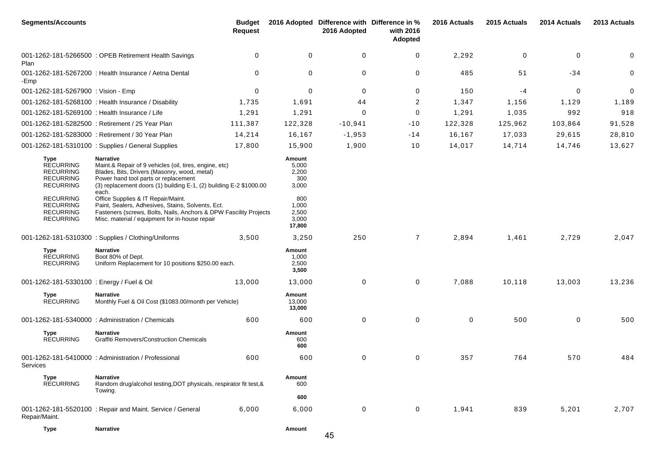| <b>Segments/Accounts</b>                                                                                                                         |                                                                                                                                                                                                                                                                                                                                                                                                                   | <b>Budget</b><br><b>Request</b> |                                                                   | 2016 Adopted Difference with Difference in %<br>2016 Adopted | with 2016<br><b>Adopted</b> | 2016 Actuals | 2015 Actuals | 2014 Actuals | 2013 Actuals |
|--------------------------------------------------------------------------------------------------------------------------------------------------|-------------------------------------------------------------------------------------------------------------------------------------------------------------------------------------------------------------------------------------------------------------------------------------------------------------------------------------------------------------------------------------------------------------------|---------------------------------|-------------------------------------------------------------------|--------------------------------------------------------------|-----------------------------|--------------|--------------|--------------|--------------|
| Plan                                                                                                                                             | 001-1262-181-5266500 : OPEB Retirement Health Savings                                                                                                                                                                                                                                                                                                                                                             | 0                               | 0                                                                 | 0                                                            | 0                           | 2,292        | 0            | 0            | 0            |
| -Emp                                                                                                                                             | 001-1262-181-5267200 : Health Insurance / Aetna Dental                                                                                                                                                                                                                                                                                                                                                            | 0                               | 0                                                                 | 0                                                            | 0                           | 485          | 51           | $-34$        | 0            |
| 001-1262-181-5267900 : Vision - Emp                                                                                                              |                                                                                                                                                                                                                                                                                                                                                                                                                   | $\mathbf 0$                     | 0                                                                 | $\mathbf 0$                                                  | 0                           | 150          | $-4$         | 0            | $\mathbf 0$  |
|                                                                                                                                                  | 001-1262-181-5268100 : Health Insurance / Disability                                                                                                                                                                                                                                                                                                                                                              | 1,735                           | 1,691                                                             | 44                                                           | 2                           | 1,347        | 1,156        | 1,129        | 1,189        |
| 001-1262-181-5269100 : Health Insurance / Life                                                                                                   |                                                                                                                                                                                                                                                                                                                                                                                                                   | 1,291                           | 1,291                                                             | $\Omega$                                                     | 0                           | 1,291        | 1,035        | 992          | 918          |
|                                                                                                                                                  | 001-1262-181-5282500 : Retirement / 25 Year Plan                                                                                                                                                                                                                                                                                                                                                                  | 111,387                         | 122,328                                                           | $-10,941$                                                    | $-10$                       | 122,328      | 125,962      | 103,864      | 91,528       |
|                                                                                                                                                  | 001-1262-181-5283000 : Retirement / 30 Year Plan                                                                                                                                                                                                                                                                                                                                                                  | 14,214                          | 16,167                                                            | $-1,953$                                                     | $-14$                       | 16,167       | 17,033       | 29,615       | 28,810       |
|                                                                                                                                                  | 001-1262-181-5310100 : Supplies / General Supplies                                                                                                                                                                                                                                                                                                                                                                | 17,800                          | 15,900                                                            | 1,900                                                        | 10                          | 14,017       | 14,714       | 14,746       | 13,627       |
| Type<br><b>RECURRING</b><br><b>RECURRING</b><br><b>RECURRING</b><br><b>RECURRING</b><br><b>RECURRING</b><br><b>RECURRING</b><br><b>RECURRING</b> | <b>Narrative</b><br>Maint.& Repair of 9 vehicles (oil, tires, engine, etc)<br>Blades, Bits, Drivers (Masonry, wood, metal)<br>Power hand tool parts or replacement<br>(3) replacement doors (1) building E-1, (2) building E-2 \$1000.00<br>each.<br>Office Supplies & IT Repair/Maint.<br>Paint, Sealers, Adhesives, Stains, Solvents, Ect.<br>Fasteners (screws, Bolts, Nails, Anchors & DPW Fascility Projects |                                 | Amount<br>5,000<br>2,200<br>300<br>3,000<br>800<br>1,000<br>2,500 |                                                              |                             |              |              |              |              |
| <b>RECURRING</b>                                                                                                                                 | Misc. material / equipment for in-house repair<br>001-1262-181-5310300 : Supplies / Clothing/Uniforms                                                                                                                                                                                                                                                                                                             | 3,500                           | 3,000<br>17,800<br>3,250                                          | 250                                                          | $\overline{7}$              | 2,894        | 1,461        | 2,729        | 2,047        |
| Type<br><b>RECURRING</b><br><b>RECURRING</b>                                                                                                     | <b>Narrative</b><br>Boot 80% of Dept.<br>Uniform Replacement for 10 positions \$250.00 each.                                                                                                                                                                                                                                                                                                                      |                                 | Amount<br>1,000<br>2,500<br>3,500                                 |                                                              |                             |              |              |              |              |
| 001-1262-181-5330100 : Energy / Fuel & Oil                                                                                                       |                                                                                                                                                                                                                                                                                                                                                                                                                   | 13,000                          | 13,000                                                            | 0                                                            | 0                           | 7,088        | 10,118       | 13,003       | 13,236       |
| <b>Type</b><br><b>RECURRING</b>                                                                                                                  | Narrative<br>Monthly Fuel & Oil Cost (\$1083.00/month per Vehicle)                                                                                                                                                                                                                                                                                                                                                |                                 | Amount<br>13,000<br>13,000                                        |                                                              |                             |              |              |              |              |
|                                                                                                                                                  | 001-1262-181-5340000 : Administration / Chemicals                                                                                                                                                                                                                                                                                                                                                                 | 600                             | 600                                                               | $\mathbf 0$                                                  | 0                           | 0            | 500          | 0            | 500          |
| Type<br><b>RECURRING</b>                                                                                                                         | <b>Narrative</b><br><b>Graffiti Removers/Construction Chemicals</b>                                                                                                                                                                                                                                                                                                                                               |                                 | Amount<br>600<br>600                                              |                                                              |                             |              |              |              |              |
| Services                                                                                                                                         | 001-1262-181-5410000 : Administration / Professional                                                                                                                                                                                                                                                                                                                                                              | 600                             | 600                                                               | $\mathbf 0$                                                  | $\pmb{0}$                   | 357          | 764          | 570          | 484          |
| Type<br><b>RECURRING</b>                                                                                                                         | <b>Narrative</b><br>Random drug/alcohol testing, DOT physicals, respirator fit test, &<br>Towing.                                                                                                                                                                                                                                                                                                                 |                                 | Amount<br>600                                                     |                                                              |                             |              |              |              |              |
|                                                                                                                                                  |                                                                                                                                                                                                                                                                                                                                                                                                                   |                                 | 600                                                               |                                                              |                             |              |              |              |              |
| Repair/Maint.                                                                                                                                    | 001-1262-181-5520100 : Repair and Maint. Service / General                                                                                                                                                                                                                                                                                                                                                        | 6,000                           | 6,000                                                             | 0                                                            | 0                           | 1,941        | 839          | 5,201        | 2,707        |
| Type                                                                                                                                             | <b>Narrative</b>                                                                                                                                                                                                                                                                                                                                                                                                  |                                 | Amount                                                            |                                                              |                             |              |              |              |              |

45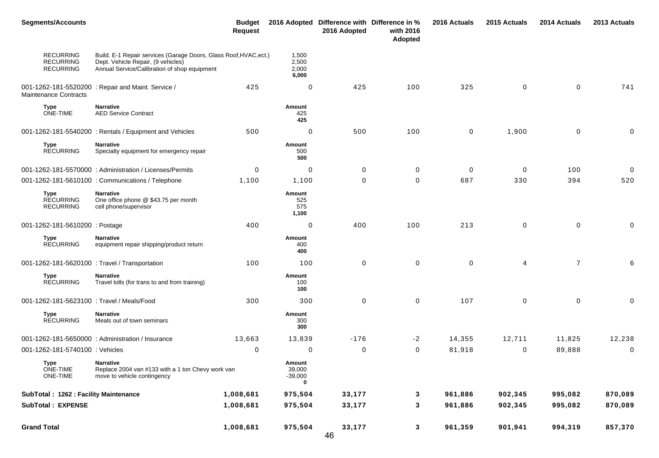| <b>Segments/Accounts</b>                                 |                                                                                                                                                         | <b>Budget</b><br><b>Request</b> |                                    | 2016 Adopted Difference with Difference in %<br>2016 Adopted | with 2016<br>Adopted | 2016 Actuals | 2015 Actuals | 2014 Actuals   | 2013 Actuals     |
|----------------------------------------------------------|---------------------------------------------------------------------------------------------------------------------------------------------------------|---------------------------------|------------------------------------|--------------------------------------------------------------|----------------------|--------------|--------------|----------------|------------------|
| <b>RECURRING</b><br><b>RECURRING</b><br><b>RECURRING</b> | Build. E-1 Repair services (Garage Doors, Glass Roof, HVAC, ect.)<br>Dept. Vehicle Repair, (9 vehicles)<br>Annual Service/Calibration of shop equipment |                                 | 1,500<br>2,500<br>2,000<br>6,000   |                                                              |                      |              |              |                |                  |
| <b>Maintenance Contracts</b>                             | 001-1262-181-5520200 : Repair and Maint. Service /                                                                                                      | 425                             | 0                                  | 425                                                          | 100                  | 325          | 0            | 0              | 741              |
| <b>Type</b><br>ONE-TIME                                  | <b>Narrative</b><br><b>AED Service Contract</b>                                                                                                         |                                 | Amount<br>425<br>425               |                                                              |                      |              |              |                |                  |
|                                                          | 001-1262-181-5540200: Rentals / Equipment and Vehicles                                                                                                  | 500                             | $\mathbf 0$                        | 500                                                          | 100                  | $\mathbf 0$  | 1,900        | 0              | 0                |
| Type<br><b>RECURRING</b>                                 | <b>Narrative</b><br>Specialty equipment for emergency repair                                                                                            |                                 | Amount<br>500<br>500               |                                                              |                      |              |              |                |                  |
|                                                          | 001-1262-181-5570000: Administration / Licenses/Permits                                                                                                 | 0                               | $\mathbf 0$                        | 0                                                            | 0                    | 0            | 0            | 100            | 0                |
|                                                          | 001-1262-181-5610100 : Communications / Telephone                                                                                                       | 1,100                           | 1,100                              | 0                                                            | 0                    | 687          | 330          | 394            | 520              |
| <b>Type</b><br><b>RECURRING</b><br><b>RECURRING</b>      | <b>Narrative</b><br>One office phone @ \$43.75 per month<br>cell phone/supervisor                                                                       |                                 | Amount<br>525<br>575<br>1,100      |                                                              |                      |              |              |                |                  |
| 001-1262-181-5610200 : Postage                           |                                                                                                                                                         | 400                             | $\mathbf 0$                        | 400                                                          | 100                  | 213          | $\mathbf 0$  | $\pmb{0}$      | 0                |
| Type<br><b>RECURRING</b>                                 | <b>Narrative</b><br>equipment repair shipping/product return                                                                                            |                                 | Amount<br>400<br>400               |                                                              |                      |              |              |                |                  |
| 001-1262-181-5620100 : Travel / Transportation           |                                                                                                                                                         | 100                             | 100                                | 0                                                            | $\pmb{0}$            | $\mathbf 0$  | 4            | $\overline{7}$ | 6                |
| Type<br><b>RECURRING</b>                                 | <b>Narrative</b><br>Travel tolls (for trans to and from training)                                                                                       |                                 | Amount<br>100<br>100               |                                                              |                      |              |              |                |                  |
| 001-1262-181-5623100 : Travel / Meals/Food               |                                                                                                                                                         | 300                             | 300                                | 0                                                            | $\mathbf 0$          | 107          | $\mathbf 0$  | $\mathbf 0$    | 0                |
| Type<br><b>RECURRING</b>                                 | <b>Narrative</b><br>Meals out of town seminars                                                                                                          |                                 | Amount<br>300<br>300               |                                                              |                      |              |              |                |                  |
|                                                          | 001-1262-181-5650000 : Administration / Insurance                                                                                                       | 13,663                          | 13,839                             | $-176$                                                       | $-2$                 | 14,355       | 12,711       | 11,825         | 12,238           |
| 001-1262-181-5740100 : Vehicles                          |                                                                                                                                                         | 0                               | 0                                  | 0                                                            | 0                    | 81,918       | 0            | 89,888         | $\boldsymbol{0}$ |
| Type<br>ONE-TIME<br>ONE-TIME                             | <b>Narrative</b><br>Replace 2004 van #133 with a 1 ton Chevy work van<br>move to vehicle contingency                                                    |                                 | Amount<br>39,000<br>$-39,000$<br>0 |                                                              |                      |              |              |                |                  |
| SubTotal: 1262 : Facility Maintenance                    |                                                                                                                                                         | 1,008,681                       | 975,504                            | 33,177                                                       | $\mathbf{3}$         | 961,886      | 902,345      | 995,082        | 870,089          |
| <b>SubTotal: EXPENSE</b>                                 |                                                                                                                                                         | 1,008,681                       | 975,504                            | 33,177                                                       | 3                    | 961,886      | 902,345      | 995,082        | 870,089          |
| <b>Grand Total</b>                                       |                                                                                                                                                         | 1,008,681                       | 975,504                            | 33,177                                                       | $\mathbf{3}$         | 961,359      | 901,941      | 994,319        | 857,370          |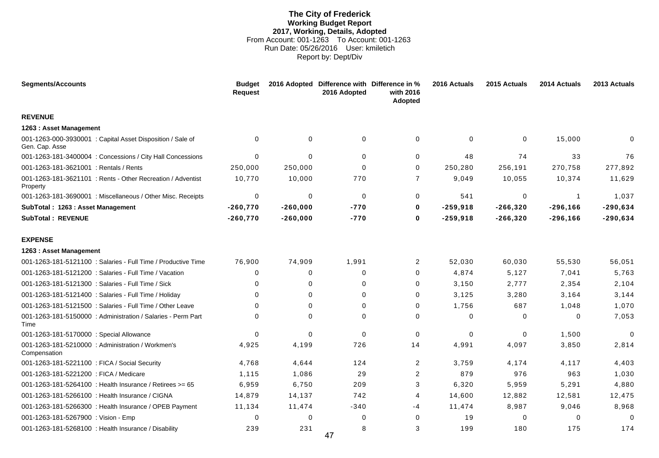# **The City of Frederick Working Budget Report 2017, Working, Details, Adopted** From Account: 001-1263 To Account: 001-1263 Run Date: 05/26/2016 User: kmiletich Report by: Dept/Div

| <b>Segments/Accounts</b>                      |                                                               | <b>Budget</b><br><b>Request</b> |            | 2016 Adopted Difference with Difference in %<br>2016 Adopted | with 2016<br><b>Adopted</b> | 2016 Actuals | 2015 Actuals | 2014 Actuals | 2013 Actuals |
|-----------------------------------------------|---------------------------------------------------------------|---------------------------------|------------|--------------------------------------------------------------|-----------------------------|--------------|--------------|--------------|--------------|
| <b>REVENUE</b>                                |                                                               |                                 |            |                                                              |                             |              |              |              |              |
| 1263 : Asset Management                       |                                                               |                                 |            |                                                              |                             |              |              |              |              |
| Gen. Cap. Asse                                | 001-1263-000-3930001 : Capital Asset Disposition / Sale of    | $\Omega$                        | 0          | 0                                                            | 0                           | 0            | 0            | 15,000       | $\Omega$     |
|                                               | 001-1263-181-3400004 : Concessions / City Hall Concessions    | $\Omega$                        | $\Omega$   | $\Omega$                                                     | 0                           | 48           | 74           | 33           | 76           |
| 001-1263-181-3621001 : Rentals / Rents        |                                                               | 250,000                         | 250,000    | $\Omega$                                                     | $\mathbf 0$                 | 250,280      | 256,191      | 270,758      | 277,892      |
| Property                                      | 001-1263-181-3621101 : Rents - Other Recreation / Adventist   | 10,770                          | 10,000     | 770                                                          | 7                           | 9,049        | 10,055       | 10,374       | 11,629       |
|                                               | 001-1263-181-3690001 : Miscellaneous / Other Misc. Receipts   | $\Omega$                        | 0          | $\Omega$                                                     | $\mathbf 0$                 | 541          | $\mathbf 0$  |              | 1,037        |
| SubTotal: 1263 : Asset Management             |                                                               | $-260,770$                      | $-260,000$ | $-770$                                                       | 0                           | $-259,918$   | $-266,320$   | $-296, 166$  | $-290,634$   |
| <b>SubTotal: REVENUE</b>                      |                                                               | $-260,770$                      | $-260,000$ | $-770$                                                       | 0                           | $-259,918$   | $-266,320$   | $-296, 166$  | $-290,634$   |
| <b>EXPENSE</b>                                |                                                               |                                 |            |                                                              |                             |              |              |              |              |
| 1263 : Asset Management                       |                                                               |                                 |            |                                                              |                             |              |              |              |              |
|                                               | 001-1263-181-5121100 : Salaries - Full Time / Productive Time | 76,900                          | 74,909     | 1,991                                                        | $\overline{2}$              | 52,030       | 60,030       | 55,530       | 56,051       |
|                                               | 001-1263-181-5121200 : Salaries - Full Time / Vacation        | $\Omega$                        | 0          | 0                                                            | 0                           | 4,874        | 5,127        | 7,041        | 5,763        |
|                                               | 001-1263-181-5121300 : Salaries - Full Time / Sick            | 0                               | 0          | $\Omega$                                                     | 0                           | 3,150        | 2,777        | 2,354        | 2,104        |
|                                               | 001-1263-181-5121400 : Salaries - Full Time / Holiday         | $\Omega$                        | $\Omega$   | $\Omega$                                                     | $\Omega$                    | 3.125        | 3,280        | 3.164        | 3,144        |
|                                               | 001-1263-181-5121500 : Salaries - Full Time / Other Leave     | $\Omega$                        | 0          | 0                                                            | 0                           | 1,756        | 687          | 1,048        | 1,070        |
| Time                                          | 001-1263-181-5150000: Administration / Salaries - Perm Part   | $\Omega$                        | 0          | 0                                                            | 0                           | 0            | 0            | 0            | 7,053        |
| 001-1263-181-5170000 : Special Allowance      |                                                               | $\Omega$                        | 0          | $\Omega$                                                     | $\mathbf 0$                 | 0            | 0            | 1,500        | $\Omega$     |
| Compensation                                  | 001-1263-181-5210000 : Administration / Workmen's             | 4,925                           | 4,199      | 726                                                          | 14                          | 4,991        | 4,097        | 3,850        | 2,814        |
| 001-1263-181-5221100 : FICA / Social Security |                                                               | 4,768                           | 4,644      | 124                                                          | 2                           | 3,759        | 4,174        | 4,117        | 4,403        |
| 001-1263-181-5221200 : FICA / Medicare        |                                                               | 1,115                           | 1,086      | 29                                                           | 2                           | 879          | 976          | 963          | 1,030        |
|                                               | 001-1263-181-5264100 : Health Insurance / Retirees >= 65      | 6,959                           | 6,750      | 209                                                          | 3                           | 6,320        | 5,959        | 5,291        | 4,880        |
|                                               | 001-1263-181-5266100 : Health Insurance / CIGNA               | 14,879                          | 14,137     | 742                                                          | 4                           | 14,600       | 12,882       | 12,581       | 12,475       |
|                                               | 001-1263-181-5266300 : Health Insurance / OPEB Payment        | 11,134                          | 11,474     | -340                                                         | -4                          | 11,474       | 8,987        | 9,046        | 8,968        |
| 001-1263-181-5267900 : Vision - Emp           |                                                               | $\Omega$                        | 0          | $\Omega$                                                     | $\mathbf 0$                 | 19           | 0            | $\Omega$     | $\Omega$     |
|                                               | 001-1263-181-5268100 : Health Insurance / Disability          | 239                             | 231        | 8<br>$\overline{a}$                                          | 3                           | 199          | 180          | 175          | 174          |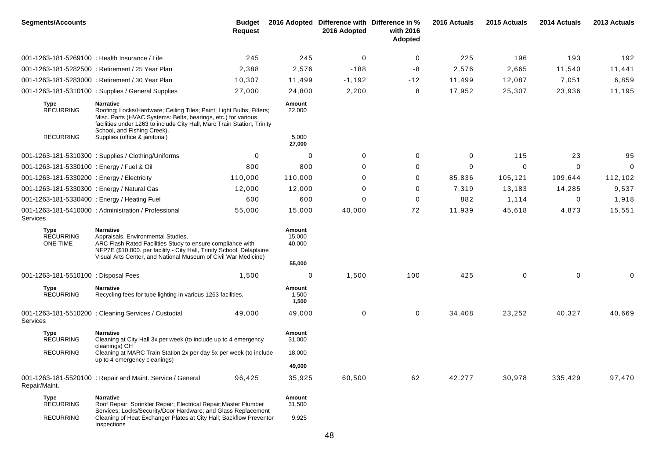| <b>Segments/Accounts</b>                       |                                                                                                                                                                                                                                                                                                       | <b>Budget</b><br><b>Request</b> |                                      | 2016 Adopted Difference with Difference in %<br>2016 Adopted | with 2016<br>Adopted | 2016 Actuals | 2015 Actuals | 2014 Actuals | 2013 Actuals |
|------------------------------------------------|-------------------------------------------------------------------------------------------------------------------------------------------------------------------------------------------------------------------------------------------------------------------------------------------------------|---------------------------------|--------------------------------------|--------------------------------------------------------------|----------------------|--------------|--------------|--------------|--------------|
| 001-1263-181-5269100 : Health Insurance / Life |                                                                                                                                                                                                                                                                                                       | 245                             | 245                                  | 0                                                            | 0                    | 225          | 196          | 193          | 192          |
|                                                | 001-1263-181-5282500 : Retirement / 25 Year Plan                                                                                                                                                                                                                                                      | 2,388                           | 2,576                                | $-188$                                                       | -8                   | 2,576        | 2,665        | 11,540       | 11,441       |
|                                                | 001-1263-181-5283000 : Retirement / 30 Year Plan                                                                                                                                                                                                                                                      | 10,307                          | 11,499                               | $-1,192$                                                     | $-12$                | 11,499       | 12,087       | 7,051        | 6,859        |
|                                                | 001-1263-181-5310100 : Supplies / General Supplies                                                                                                                                                                                                                                                    | 27,000                          | 24,800                               | 2,200                                                        | 8                    | 17,952       | 25,307       | 23,936       | 11,195       |
| Type<br><b>RECURRING</b><br><b>RECURRING</b>   | <b>Narrative</b><br>Roofing; Locks/Hardware; Ceiling Tiles; Paint; Light Bulbs; Filters;<br>Misc. Parts (HVAC Systems: Belts, bearings, etc.) for various<br>facilities under 1263 to include City Hall, Marc Train Station, Trinity<br>School, and Fishing Creek).<br>Supplies (office & janitorial) |                                 | Amount<br>22,000<br>5,000<br>27,000  |                                                              |                      |              |              |              |              |
|                                                | 001-1263-181-5310300: Supplies / Clothing/Uniforms                                                                                                                                                                                                                                                    | 0                               | 0                                    | 0                                                            | 0                    | 0            | 115          | 23           | 95           |
| 001-1263-181-5330100 : Energy / Fuel & Oil     |                                                                                                                                                                                                                                                                                                       | 800                             | 800                                  | 0                                                            | 0                    | 9            | $\mathbf 0$  | $\Omega$     | $\mathbf 0$  |
| 001-1263-181-5330200 : Energy / Electricity    |                                                                                                                                                                                                                                                                                                       | 110,000                         | 110,000                              | 0                                                            | 0                    | 85,836       | 105,121      | 109,644      | 112,102      |
| 001-1263-181-5330300 : Energy / Natural Gas    |                                                                                                                                                                                                                                                                                                       | 12,000                          | 12,000                               | 0                                                            | 0                    | 7,319        | 13,183       | 14,285       | 9,537        |
| 001-1263-181-5330400 : Energy / Heating Fuel   |                                                                                                                                                                                                                                                                                                       | 600                             | 600                                  | 0                                                            | 0                    | 882          | 1,114        | $\mathbf 0$  | 1,918        |
| Services                                       | 001-1263-181-5410000 : Administration / Professional                                                                                                                                                                                                                                                  | 55,000                          | 15,000                               | 40,000                                                       | 72                   | 11,939       | 45,618       | 4,873        | 15,551       |
| Type<br><b>RECURRING</b><br><b>ONE-TIME</b>    | <b>Narrative</b><br>Appraisals, Environmental Studies,<br>ARC Flash Rated Facilities Study to ensure compliance with<br>NFP7E (\$10,000. per facility - City Hall, Trinity School, Delaplaine<br>Visual Arts Center, and National Museum of Civil War Medicine)                                       |                                 | Amount<br>15,000<br>40,000<br>55,000 |                                                              |                      |              |              |              |              |
| 001-1263-181-5510100 : Disposal Fees           |                                                                                                                                                                                                                                                                                                       | 1,500                           | 0                                    | 1,500                                                        | 100                  | 425          | 0            | 0            | 0            |
| Type<br><b>RECURRING</b>                       | Narrative<br>Recycling fees for tube lighting in various 1263 facilities.                                                                                                                                                                                                                             |                                 | Amount<br>1,500<br>1,500             |                                                              |                      |              |              |              |              |
| Services                                       | 001-1263-181-5510200 : Cleaning Services / Custodial                                                                                                                                                                                                                                                  | 49,000                          | 49,000                               | 0                                                            | 0                    | 34,408       | 23,252       | 40,327       | 40,669       |
| Type<br><b>RECURRING</b>                       | <b>Narrative</b><br>Cleaning at City Hall 3x per week (to include up to 4 emergency                                                                                                                                                                                                                   |                                 | Amount<br>31,000                     |                                                              |                      |              |              |              |              |
| <b>RECURRING</b>                               | cleanings) CH<br>Cleaning at MARC Train Station 2x per day 5x per week (to include<br>up to 4 emergency cleanings)                                                                                                                                                                                    |                                 | 18,000                               |                                                              |                      |              |              |              |              |
|                                                |                                                                                                                                                                                                                                                                                                       |                                 | 49,000                               |                                                              |                      |              |              |              |              |
| Repair/Maint.                                  | 001-1263-181-5520100 : Repair and Maint. Service / General                                                                                                                                                                                                                                            | 96,425                          | 35,925                               | 60,500                                                       | 62                   | 42,277       | 30,978       | 335,429      | 97,470       |
| Type<br><b>RECURRING</b><br><b>RECURRING</b>   | <b>Narrative</b><br>Roof Repair; Sprinkler Repair; Electrical Repair; Master Plumber<br>Services; Locks/Security/Door Hardware; and Glass Replacement<br>Cleaning of Heat Exchanger Plates at City Hall; Backflow Preventor<br>Inspections                                                            |                                 | Amount<br>31,500<br>9,925            |                                                              |                      |              |              |              |              |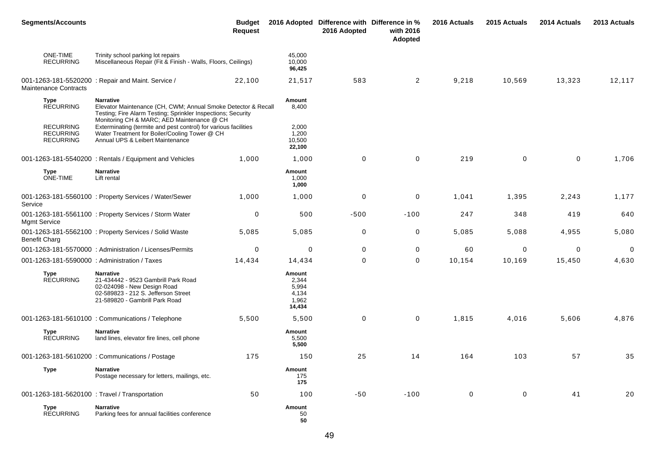| <b>Segments/Accounts</b>                                                                    |                                                                                                                                                                                                                                                                                                                                                         | <b>Budget</b><br><b>Request</b> |                                                       | 2016 Adopted Difference with Difference in %<br>2016 Adopted | with 2016<br>Adopted | 2016 Actuals | 2015 Actuals | 2014 Actuals | 2013 Actuals |
|---------------------------------------------------------------------------------------------|---------------------------------------------------------------------------------------------------------------------------------------------------------------------------------------------------------------------------------------------------------------------------------------------------------------------------------------------------------|---------------------------------|-------------------------------------------------------|--------------------------------------------------------------|----------------------|--------------|--------------|--------------|--------------|
| <b>ONE-TIME</b><br><b>RECURRING</b>                                                         | Trinity school parking lot repairs<br>Miscellaneous Repair (Fit & Finish - Walls, Floors, Ceilings)                                                                                                                                                                                                                                                     |                                 | 45,000<br>10,000<br>96,425                            |                                                              |                      |              |              |              |              |
| <b>Maintenance Contracts</b>                                                                | 001-1263-181-5520200 : Repair and Maint. Service /                                                                                                                                                                                                                                                                                                      | 22,100                          | 21,517                                                | 583                                                          | $\overline{2}$       | 9,218        | 10,569       | 13,323       | 12,117       |
| <b>Type</b><br><b>RECURRING</b><br><b>RECURRING</b><br><b>RECURRING</b><br><b>RECURRING</b> | <b>Narrative</b><br>Elevator Maintenance (CH, CWM; Annual Smoke Detector & Recall<br>Testing; Fire Alarm Testing; Sprinkler Inspections; Security<br>Monitoring CH & MARC; AED Maintenance @ CH<br>Exterminating (termite and pest control) for various facilities<br>Water Treatment for Boiler/Cooling Tower @ CH<br>Annual UPS & Leibert Maintenance |                                 | Amount<br>8,400<br>2,000<br>1,200<br>10,500<br>22,100 |                                                              |                      |              |              |              |              |
|                                                                                             | 001-1263-181-5540200: Rentals / Equipment and Vehicles                                                                                                                                                                                                                                                                                                  | 1,000                           | 1,000                                                 | $\mathbf 0$                                                  | $\mathbf 0$          | 219          | 0            | $\mathbf 0$  | 1,706        |
| Type<br>ONE-TIME                                                                            | <b>Narrative</b><br>Lift rental                                                                                                                                                                                                                                                                                                                         |                                 | Amount<br>1,000<br>1,000                              |                                                              |                      |              |              |              |              |
| Service                                                                                     | 001-1263-181-5560100 : Property Services / Water/Sewer                                                                                                                                                                                                                                                                                                  | 1,000                           | 1,000                                                 | 0                                                            | $\mathbf 0$          | 1,041        | 1,395        | 2,243        | 1,177        |
| <b>Mgmt Service</b>                                                                         | 001-1263-181-5561100 : Property Services / Storm Water                                                                                                                                                                                                                                                                                                  | $\mathbf 0$                     | 500                                                   | $-500$                                                       | $-100$               | 247          | 348          | 419          | 640          |
| <b>Benefit Charg</b>                                                                        | 001-1263-181-5562100 : Property Services / Solid Waste                                                                                                                                                                                                                                                                                                  | 5,085                           | 5,085                                                 | 0                                                            | 0                    | 5,085        | 5,088        | 4,955        | 5,080        |
|                                                                                             | 001-1263-181-5570000 : Administration / Licenses/Permits                                                                                                                                                                                                                                                                                                | 0                               | 0                                                     | $\mathbf 0$                                                  | 0                    | 60           | 0            | $\mathbf 0$  | $\mathbf 0$  |
| 001-1263-181-5590000 : Administration / Taxes                                               |                                                                                                                                                                                                                                                                                                                                                         | 14,434                          | 14,434                                                | $\mathbf 0$                                                  | $\pmb{0}$            | 10,154       | 10,169       | 15,450       | 4,630        |
| <b>Type</b><br><b>RECURRING</b>                                                             | <b>Narrative</b><br>21-434442 - 9523 Gambrill Park Road<br>02-024098 - New Design Road<br>02-589823 - 212 S. Jefferson Street<br>21-589820 - Gambrill Park Road                                                                                                                                                                                         |                                 | Amount<br>2,344<br>5,994<br>4,134<br>1,962<br>14,434  |                                                              |                      |              |              |              |              |
|                                                                                             | 001-1263-181-5610100 : Communications / Telephone                                                                                                                                                                                                                                                                                                       | 5,500                           | 5,500                                                 | $\mathbf 0$                                                  | 0                    | 1,815        | 4,016        | 5,606        | 4,876        |
| Type<br><b>RECURRING</b>                                                                    | <b>Narrative</b><br>land lines, elevator fire lines, cell phone                                                                                                                                                                                                                                                                                         |                                 | Amount<br>5,500<br>5,500                              |                                                              |                      |              |              |              |              |
|                                                                                             | 001-1263-181-5610200 : Communications / Postage                                                                                                                                                                                                                                                                                                         | 175                             | 150                                                   | 25                                                           | 14                   | 164          | 103          | 57           | 35           |
| <b>Type</b>                                                                                 | <b>Narrative</b><br>Postage necessary for letters, mailings, etc.                                                                                                                                                                                                                                                                                       |                                 | Amount<br>175<br>175                                  |                                                              |                      |              |              |              |              |
| 001-1263-181-5620100 : Travel / Transportation                                              |                                                                                                                                                                                                                                                                                                                                                         | 50                              | 100                                                   | $-50$                                                        | $-100$               | 0            | $\mathbf 0$  | 41           | 20           |
| Type<br>RECURRING                                                                           | <b>Narrative</b><br>Parking fees for annual facilities conference                                                                                                                                                                                                                                                                                       |                                 | Amount<br>50<br>50                                    |                                                              |                      |              |              |              |              |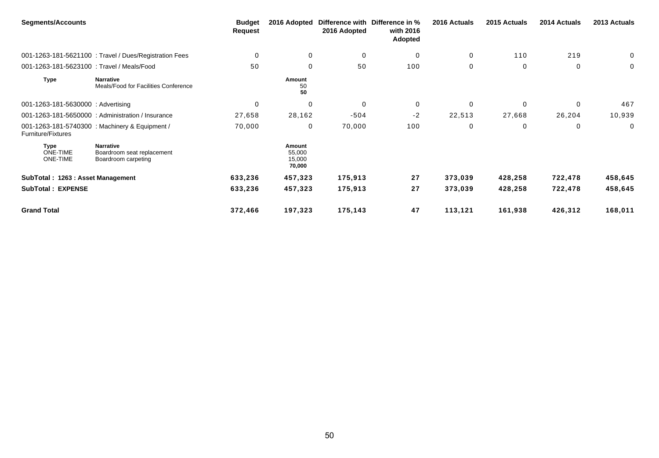| <b>Segments/Accounts</b>                          |                                                                       | Budget<br><b>Request</b> | 2016 Adopted                         | 2016 Adopted | Difference with Difference in %<br>with 2016<br><b>Adopted</b> | 2016 Actuals | 2015 Actuals | 2014 Actuals | 2013 Actuals |
|---------------------------------------------------|-----------------------------------------------------------------------|--------------------------|--------------------------------------|--------------|----------------------------------------------------------------|--------------|--------------|--------------|--------------|
|                                                   | 001-1263-181-5621100 : Travel / Dues/Registration Fees                | 0                        | 0                                    | 0            | 0                                                              | 0            | 110          | 219          | 0            |
| 001-1263-181-5623100 : Travel / Meals/Food        |                                                                       | 50                       | $\mathbf 0$                          | 50           | 100                                                            | 0            | 0            | 0            | 0            |
| Type                                              | <b>Narrative</b><br>Meals/Food for Facilities Conference              |                          | Amount<br>50<br>50                   |              |                                                                |              |              |              |              |
| 001-1263-181-5630000: Advertising                 |                                                                       | $\mathbf 0$              | 0                                    | $\mathbf 0$  | 0                                                              | $\Omega$     | $\Omega$     | $\Omega$     | 467          |
|                                                   | 001-1263-181-5650000 : Administration / Insurance                     | 27,658                   | 28,162                               | $-504$       | $-2$                                                           | 22,513       | 27,668       | 26,204       | 10,939       |
| Furniture/Fixtures                                | 001-1263-181-5740300 : Machinery & Equipment /                        | 70,000                   | 0                                    | 70,000       | 100                                                            | 0            | 0            | 0            | $\mathbf 0$  |
| <b>Type</b><br><b>ONE-TIME</b><br><b>ONE-TIME</b> | <b>Narrative</b><br>Boardroom seat replacement<br>Boardroom carpeting |                          | Amount<br>55,000<br>15,000<br>70,000 |              |                                                                |              |              |              |              |
| SubTotal: 1263 : Asset Management                 |                                                                       | 633,236                  | 457,323                              | 175,913      | 27                                                             | 373,039      | 428,258      | 722,478      | 458,645      |
| <b>SubTotal: EXPENSE</b>                          |                                                                       | 633,236                  | 457,323                              | 175,913      | 27                                                             | 373,039      | 428,258      | 722,478      | 458,645      |
| <b>Grand Total</b>                                |                                                                       | 372,466                  | 197,323                              | 175,143      | 47                                                             | 113,121      | 161,938      | 426,312      | 168,011      |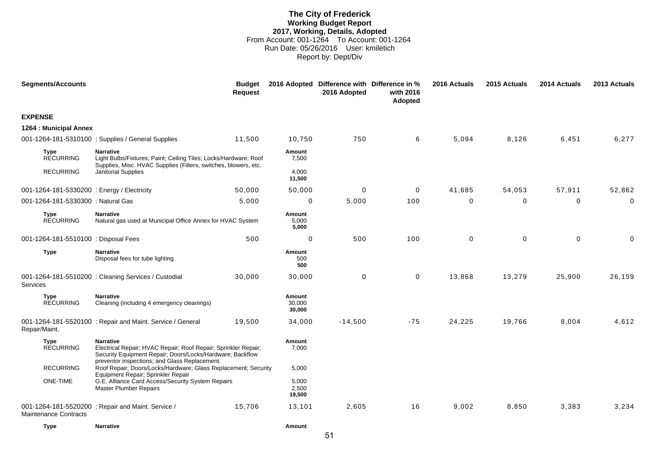# **The City of Frederick Working Budget Report 2017, Working, Details, Adopted** From Account: 001-1264 To Account: 001-1264 Run Date: 05/26/2016 User: kmiletich Report by: Dept/Div

| <b>Segments/Accounts</b>                    |                                                                                                                                                                                                  | <b>Budget</b><br><b>Request</b> |                            | 2016 Adopted Difference with Difference in %<br>2016 Adopted | with 2016<br>Adopted | 2016 Actuals | 2015 Actuals | 2014 Actuals | 2013 Actuals |
|---------------------------------------------|--------------------------------------------------------------------------------------------------------------------------------------------------------------------------------------------------|---------------------------------|----------------------------|--------------------------------------------------------------|----------------------|--------------|--------------|--------------|--------------|
| <b>EXPENSE</b>                              |                                                                                                                                                                                                  |                                 |                            |                                                              |                      |              |              |              |              |
| 1264 : Municipal Annex                      |                                                                                                                                                                                                  |                                 |                            |                                                              |                      |              |              |              |              |
|                                             | 001-1264-181-5310100 : Supplies / General Supplies                                                                                                                                               | 11,500                          | 10,750                     | 750                                                          | 6                    | 5,094        | 8,126        | 6,451        | 6,277        |
| <b>Type</b><br><b>RECURRING</b>             | <b>Narrative</b><br>Light Bulbs/Fixtures; Paint; Ceiling Tiles; Locks/Hardware; Roof<br>Supplies, Misc. HVAC Supplies (Filters, switches, blowers, etc.                                          |                                 | Amount<br>7,500            |                                                              |                      |              |              |              |              |
| <b>RECURRING</b>                            | Janitorial Supplies                                                                                                                                                                              |                                 | 4,000<br>11,500            |                                                              |                      |              |              |              |              |
| 001-1264-181-5330200 : Energy / Electricity |                                                                                                                                                                                                  | 50,000                          | 50,000                     | 0                                                            | 0                    | 41,685       | 54,053       | 57,911       | 52,862       |
| 001-1264-181-5330300 : Natural Gas          |                                                                                                                                                                                                  | 5,000                           | 0                          | 5,000                                                        | 100                  | 0            | 0            | 0            | 0            |
| <b>Type</b><br><b>RECURRING</b>             | <b>Narrative</b><br>Natural gas used at Municipal Office Annex for HVAC System                                                                                                                   |                                 | Amount<br>5,000<br>5,000   |                                                              |                      |              |              |              |              |
| 001-1264-181-5510100 : Disposal Fees        |                                                                                                                                                                                                  | 500                             | 0                          | 500                                                          | 100                  | 0            | $\pmb{0}$    | $\mathbf 0$  | 0            |
| <b>Type</b>                                 | <b>Narrative</b><br>Disposal fees for tube lighting                                                                                                                                              |                                 | Amount<br>500<br>500       |                                                              |                      |              |              |              |              |
| <b>Services</b>                             | 001-1264-181-5510200 : Cleaning Services / Custodial                                                                                                                                             | 30,000                          | 30,000                     | 0                                                            | $\mathbf 0$          | 13,868       | 13,279       | 25,900       | 26,159       |
| <b>Type</b><br><b>RECURRING</b>             | <b>Narrative</b><br>Cleaning (including 4 emergency cleanings)                                                                                                                                   |                                 | Amount<br>30,000<br>30,000 |                                                              |                      |              |              |              |              |
| Repair/Maint.                               | 001-1264-181-5520100 : Repair and Maint. Service / General                                                                                                                                       | 19,500                          | 34,000                     | $-14,500$                                                    | $-75$                | 24,225       | 19,766       | 8,004        | 4,612        |
| <b>Type</b><br><b>RECURRING</b>             | <b>Narrative</b><br>Electrical Repair; HVAC Repair; Roof Repair; Sprinkler Repair;<br>Security Equipment Repair; Doors/Locks/Hardware; Backflow<br>preventor inspections; and Glass Replacement. |                                 | Amount<br>7,000            |                                                              |                      |              |              |              |              |
| <b>RECURRING</b>                            | Roof Repair; Doors/Locks/Hardware; Glass Replacement; Security                                                                                                                                   |                                 | 5,000                      |                                                              |                      |              |              |              |              |
| ONE-TIME                                    | Equipment Repair; Sprinkler Repair<br>G.E. Alliance Card Access/Security System Repairs<br>Master Plumber Repairs                                                                                |                                 | 5,000<br>2,500<br>19,500   |                                                              |                      |              |              |              |              |
| Maintenance Contracts                       | 001-1264-181-5520200 : Repair and Maint. Service /                                                                                                                                               | 15,706                          | 13,101                     | 2,605                                                        | 16                   | 9,002        | 8,850        | 3,383        | 3,234        |
| <b>Type</b>                                 | Narrative                                                                                                                                                                                        |                                 | Amount                     |                                                              |                      |              |              |              |              |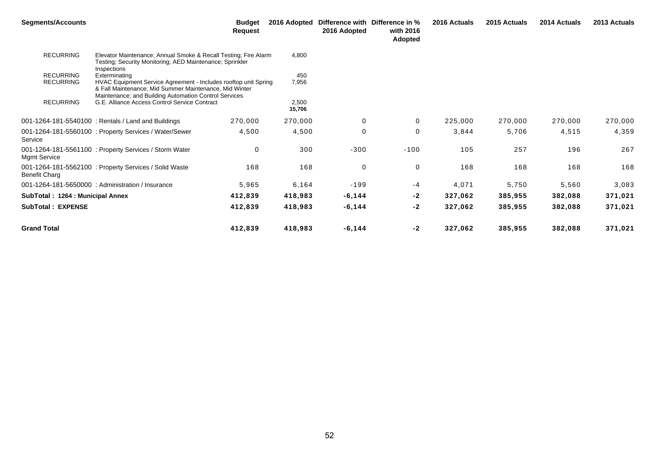| <b>Segments/Accounts</b>                                 |                                                                                                                                                                                                                                                      | <b>Budget</b><br>Request |                       | 2016 Adopted Difference with Difference in %<br>2016 Adopted | with 2016<br><b>Adopted</b> | 2016 Actuals | 2015 Actuals | 2014 Actuals | 2013 Actuals |
|----------------------------------------------------------|------------------------------------------------------------------------------------------------------------------------------------------------------------------------------------------------------------------------------------------------------|--------------------------|-----------------------|--------------------------------------------------------------|-----------------------------|--------------|--------------|--------------|--------------|
| <b>RECURRING</b>                                         | Elevator Maintenance; Annual Smoke & Recall Testing; Fire Alarm<br>Testing; Security Monitoring; AED Maintenance; Sprinkler<br>Inspections                                                                                                           |                          | 4,800                 |                                                              |                             |              |              |              |              |
| <b>RECURRING</b><br><b>RECURRING</b><br><b>RECURRING</b> | Exterminating<br>HVAC Equipment Service Agreement - Includes rooftop unit Spring<br>& Fall Maintenance; Mid Summer Maintenance, Mid Winter<br>Maintenance; and Building Automation Control Services<br>G.E. Alliance Access Control Service Contract |                          | 450<br>7,956<br>2,500 |                                                              |                             |              |              |              |              |
|                                                          |                                                                                                                                                                                                                                                      |                          | 15,706                |                                                              |                             |              |              |              |              |
|                                                          | 001-1264-181-5540100 : Rentals / Land and Buildings                                                                                                                                                                                                  | 270,000                  | 270,000               | $\mathbf 0$                                                  | 0                           | 225,000      | 270,000      | 270,000      | 270,000      |
| Service                                                  | 001-1264-181-5560100: Property Services / Water/Sewer                                                                                                                                                                                                | 4,500                    | 4,500                 | 0                                                            | 0                           | 3,844        | 5,706        | 4,515        | 4,359        |
| <b>Mgmt Service</b>                                      | 001-1264-181-5561100 : Property Services / Storm Water                                                                                                                                                                                               | 0                        | 300                   | $-300$                                                       | $-100$                      | 105          | 257          | 196          | 267          |
| Benefit Charg                                            | 001-1264-181-5562100 : Property Services / Solid Waste                                                                                                                                                                                               | 168                      | 168                   | 0                                                            | 0                           | 168          | 168          | 168          | 168          |
|                                                          | 001-1264-181-5650000 : Administration / Insurance                                                                                                                                                                                                    | 5,965                    | 6,164                 | $-199$                                                       | -4                          | 4,071        | 5,750        | 5,560        | 3,083        |
| SubTotal: 1264 : Municipal Annex                         |                                                                                                                                                                                                                                                      | 412,839                  | 418,983               | $-6, 144$                                                    | $-2$                        | 327,062      | 385,955      | 382,088      | 371,021      |
| <b>SubTotal: EXPENSE</b>                                 |                                                                                                                                                                                                                                                      | 412,839                  | 418,983               | $-6, 144$                                                    | $-2$                        | 327,062      | 385,955      | 382,088      | 371,021      |
| <b>Grand Total</b>                                       |                                                                                                                                                                                                                                                      | 412,839                  | 418,983               | $-6, 144$                                                    | $-2$                        | 327,062      | 385,955      | 382,088      | 371,021      |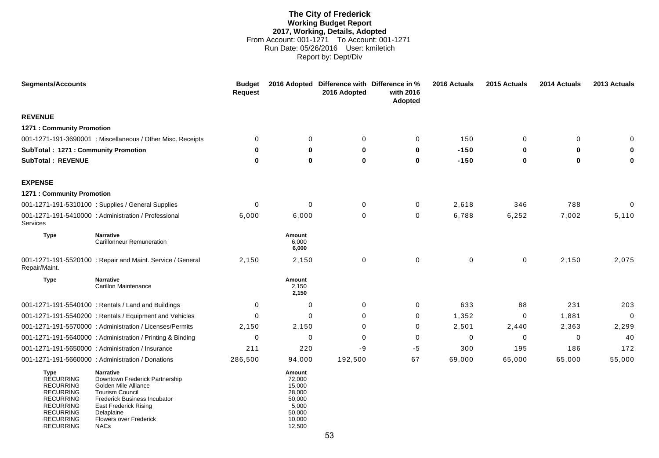# **The City of Frederick Working Budget Report 2017, Working, Details, Adopted** From Account: 001-1271 To Account: 001-1271 Run Date: 05/26/2016 User: kmiletich Report by: Dept/Div

| <b>Segments/Accounts</b>                                                                                                                                             |                                                                                                                                                                                                                      | <b>Budget</b><br><b>Request</b> |                                                                                       | 2016 Adopted Difference with Difference in %<br>2016 Adopted | with 2016<br>Adopted | 2016 Actuals | 2015 Actuals | 2014 Actuals | 2013 Actuals |
|----------------------------------------------------------------------------------------------------------------------------------------------------------------------|----------------------------------------------------------------------------------------------------------------------------------------------------------------------------------------------------------------------|---------------------------------|---------------------------------------------------------------------------------------|--------------------------------------------------------------|----------------------|--------------|--------------|--------------|--------------|
| <b>REVENUE</b>                                                                                                                                                       |                                                                                                                                                                                                                      |                                 |                                                                                       |                                                              |                      |              |              |              |              |
| 1271 : Community Promotion                                                                                                                                           |                                                                                                                                                                                                                      |                                 |                                                                                       |                                                              |                      |              |              |              |              |
|                                                                                                                                                                      | 001-1271-191-3690001 : Miscellaneous / Other Misc. Receipts                                                                                                                                                          | $\mathbf 0$                     | 0                                                                                     | $\mathbf 0$                                                  | 0                    | 150          | $\mathbf 0$  | $\mathbf 0$  |              |
| SubTotal: 1271: Community Promotion                                                                                                                                  |                                                                                                                                                                                                                      | 0                               | 0                                                                                     | $\bf{0}$                                                     | $\bf{0}$             | $-150$       | $\bf{0}$     | $\bf{0}$     |              |
| <b>SubTotal: REVENUE</b>                                                                                                                                             |                                                                                                                                                                                                                      | 0                               | 0                                                                                     | $\mathbf 0$                                                  | 0                    | $-150$       | $\bf{0}$     | $\mathbf 0$  | 0            |
| <b>EXPENSE</b>                                                                                                                                                       |                                                                                                                                                                                                                      |                                 |                                                                                       |                                                              |                      |              |              |              |              |
| 1271 : Community Promotion                                                                                                                                           |                                                                                                                                                                                                                      |                                 |                                                                                       |                                                              |                      |              |              |              |              |
|                                                                                                                                                                      | 001-1271-191-5310100 : Supplies / General Supplies                                                                                                                                                                   | $\mathbf 0$                     | $\mathbf 0$                                                                           | $\mathbf 0$                                                  | 0                    | 2,618        | 346          | 788          | $\mathbf 0$  |
| Services                                                                                                                                                             | 001-1271-191-5410000 : Administration / Professional                                                                                                                                                                 | 6,000                           | 6,000                                                                                 | $\mathbf 0$                                                  | $\mathbf 0$          | 6,788        | 6,252        | 7,002        | 5,110        |
| <b>Type</b>                                                                                                                                                          | <b>Narrative</b><br><b>Carillonneur Remuneration</b>                                                                                                                                                                 |                                 | Amount<br>6,000<br>6,000                                                              |                                                              |                      |              |              |              |              |
| Repair/Maint.                                                                                                                                                        | 001-1271-191-5520100 : Repair and Maint. Service / General                                                                                                                                                           | 2,150                           | 2,150                                                                                 | $\mathbf 0$                                                  | 0                    | $\mathbf 0$  | $\mathbf 0$  | 2,150        | 2,075        |
| <b>Type</b>                                                                                                                                                          | <b>Narrative</b><br><b>Carillon Maintenance</b>                                                                                                                                                                      |                                 | Amount<br>2,150<br>2,150                                                              |                                                              |                      |              |              |              |              |
|                                                                                                                                                                      | 001-1271-191-5540100 : Rentals / Land and Buildings                                                                                                                                                                  | 0                               | 0                                                                                     | 0                                                            | 0                    | 633          | 88           | 231          | 203          |
|                                                                                                                                                                      | 001-1271-191-5540200: Rentals / Equipment and Vehicles                                                                                                                                                               | $\Omega$                        | 0                                                                                     | $\Omega$                                                     | 0                    | 1,352        | 0            | 1,881        | $\mathbf 0$  |
|                                                                                                                                                                      | 001-1271-191-5570000 : Administration / Licenses/Permits                                                                                                                                                             | 2,150                           | 2,150                                                                                 | $\Omega$                                                     | 0                    | 2,501        | 2,440        | 2,363        | 2,299        |
|                                                                                                                                                                      | 001-1271-191-5640000: Administration / Printing & Binding                                                                                                                                                            | 0                               | $\mathbf 0$                                                                           | $\Omega$                                                     | 0                    | $\Omega$     | $\mathbf 0$  | $\Omega$     | 40           |
|                                                                                                                                                                      | 001-1271-191-5650000 : Administration / Insurance                                                                                                                                                                    | 211                             | 220                                                                                   | $-9$                                                         | $-5$                 | 300          | 195          | 186          | 172          |
|                                                                                                                                                                      | 001-1271-191-5660000 : Administration / Donations                                                                                                                                                                    | 286,500                         | 94,000                                                                                | 192,500                                                      | 67                   | 69,000       | 65,000       | 65,000       | 55,000       |
| Type<br><b>RECURRING</b><br><b>RECURRING</b><br><b>RECURRING</b><br><b>RECURRING</b><br><b>RECURRING</b><br><b>RECURRING</b><br><b>RECURRING</b><br><b>RECURRING</b> | <b>Narrative</b><br>Downtown Frederick Partnership<br>Golden Mile Alliance<br><b>Tourism Council</b><br>Frederick Business Incubator<br>East Frederick Rising<br>Delaplaine<br>Flowers over Frederick<br><b>NACs</b> |                                 | Amount<br>72,000<br>15,000<br>28,000<br>50,000<br>5,000<br>50,000<br>10,000<br>12,500 |                                                              |                      |              |              |              |              |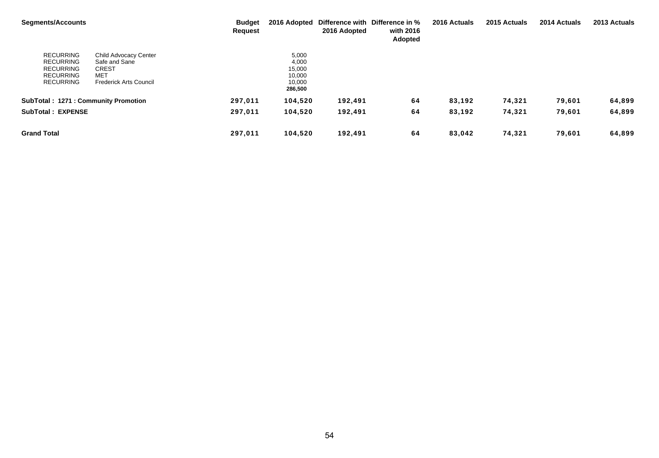| <b>Segments/Accounts</b>                                                                         |                                                                                                       | <b>Budget</b><br><b>Request</b> |                                                         | 2016 Adopted | 2016 Adopted Difference with Difference in %<br>with 2016<br><b>Adopted</b> | 2016 Actuals | 2015 Actuals | 2014 Actuals | 2013 Actuals |
|--------------------------------------------------------------------------------------------------|-------------------------------------------------------------------------------------------------------|---------------------------------|---------------------------------------------------------|--------------|-----------------------------------------------------------------------------|--------------|--------------|--------------|--------------|
| <b>RECURRING</b><br><b>RECURRING</b><br><b>RECURRING</b><br><b>RECURRING</b><br><b>RECURRING</b> | Child Advocacy Center<br>Safe and Sane<br><b>CREST</b><br><b>MET</b><br><b>Frederick Arts Council</b> |                                 | 5,000<br>4,000<br>15,000<br>10,000<br>10,000<br>286,500 |              |                                                                             |              |              |              |              |
| <b>SubTotal: 1271: Community Promotion</b>                                                       |                                                                                                       | 297,011                         | 104,520                                                 | 192,491      | 64                                                                          | 83,192       | 74,321       | 79,601       | 64,899       |
| <b>SubTotal: EXPENSE</b>                                                                         |                                                                                                       | 297,011                         | 104,520                                                 | 192,491      | 64                                                                          | 83,192       | 74,321       | 79,601       | 64,899       |
| <b>Grand Total</b>                                                                               |                                                                                                       | 297,011                         | 104,520                                                 | 192,491      | 64                                                                          | 83,042       | 74,321       | 79,601       | 64,899       |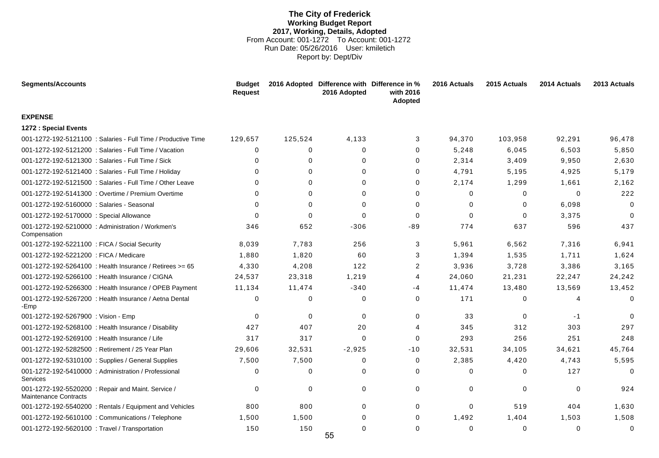# **The City of Frederick Working Budget Report 2017, Working, Details, Adopted** From Account: 001-1272 To Account: 001-1272 Run Date: 05/26/2016 User: kmiletich Report by: Dept/Div

| <b>Segments/Accounts</b>                                                    | <b>Budget</b><br><b>Request</b> |             | 2016 Adopted Difference with Difference in %<br>2016 Adopted | with 2016<br>Adopted | 2016 Actuals | 2015 Actuals | 2014 Actuals           | 2013 Actuals   |
|-----------------------------------------------------------------------------|---------------------------------|-------------|--------------------------------------------------------------|----------------------|--------------|--------------|------------------------|----------------|
| <b>EXPENSE</b>                                                              |                                 |             |                                                              |                      |              |              |                        |                |
| 1272 : Special Events                                                       |                                 |             |                                                              |                      |              |              |                        |                |
| 001-1272-192-5121100 : Salaries - Full Time / Productive Time               | 129,657                         | 125,524     | 4,133                                                        | 3                    | 94,370       | 103,958      | 92,291                 | 96,478         |
| 001-1272-192-5121200 : Salaries - Full Time / Vacation                      | $\Omega$                        | 0           | $\Omega$                                                     | $\Omega$             | 5,248        | 6,045        | 6,503                  | 5,850          |
| 001-1272-192-5121300 : Salaries - Full Time / Sick                          | $\Omega$                        | $\Omega$    | $\Omega$                                                     | $\Omega$             | 2,314        | 3,409        | 9,950                  | 2,630          |
| 001-1272-192-5121400 : Salaries - Full Time / Holiday                       | U                               | $\Omega$    | 0                                                            | 0                    | 4,791        | 5,195        | 4,925                  | 5,179          |
| 001-1272-192-5121500 : Salaries - Full Time / Other Leave                   | 0                               | $\mathbf 0$ | 0                                                            | 0                    | 2,174        | 1,299        | 1,661                  | 2,162          |
| 001-1272-192-5141300 : Overtime / Premium Overtime                          | O                               | $\Omega$    | $\Omega$                                                     | 0                    | $\Omega$     | $\mathbf 0$  | $\mathbf 0$            | 222            |
| 001-1272-192-5160000 : Salaries - Seasonal                                  | 0                               | $\Omega$    | $\Omega$                                                     | $\Omega$             | $\Omega$     | $\Omega$     | 6,098                  | $\Omega$       |
| 001-1272-192-5170000 : Special Allowance                                    | $\Omega$                        | $\Omega$    | $\Omega$                                                     | $\mathbf 0$          | $\Omega$     | $\Omega$     | 3,375                  | $\Omega$       |
| 001-1272-192-5210000 : Administration / Workmen's<br>Compensation           | 346                             | 652         | $-306$                                                       | $-89$                | 774          | 637          | 596                    | 437            |
| 001-1272-192-5221100 : FICA / Social Security                               | 8,039                           | 7,783       | 256                                                          | 3                    | 5,961        | 6,562        | 7,316                  | 6,941          |
| 001-1272-192-5221200 : FICA / Medicare                                      | 1,880                           | 1,820       | 60                                                           | 3                    | 1,394        | 1,535        | 1,711                  | 1,624          |
| 001-1272-192-5264100 : Health Insurance / Retirees >= 65                    | 4,330                           | 4,208       | 122                                                          | $\overline{2}$       | 3,936        | 3,728        | 3,386                  | 3,165          |
| 001-1272-192-5266100 : Health Insurance / CIGNA                             | 24,537                          | 23,318      | 1,219                                                        | 4                    | 24,060       | 21,231       | 22,247                 | 24,242         |
| 001-1272-192-5266300 : Health Insurance / OPEB Payment                      | 11,134                          | 11,474      | $-340$                                                       | -4                   | 11,474       | 13,480       | 13,569                 | 13,452         |
| 001-1272-192-5267200 : Health Insurance / Aetna Dental<br>-Emp              | $\Omega$                        | 0           | $\Omega$                                                     | 0                    | 171          | 0            | $\boldsymbol{\Lambda}$ | $\mathbf 0$    |
| 001-1272-192-5267900 : Vision - Emp                                         | $\Omega$                        | 0           | $\Omega$                                                     | 0                    | 33           | 0            | $-1$                   | $\Omega$       |
| 001-1272-192-5268100 : Health Insurance / Disability                        | 427                             | 407         | 20                                                           | 4                    | 345          | 312          | 303                    | 297            |
| 001-1272-192-5269100 : Health Insurance / Life                              | 317                             | 317         | $\Omega$                                                     | 0                    | 293          | 256          | 251                    | 248            |
| 001-1272-192-5282500 : Retirement / 25 Year Plan                            | 29,606                          | 32,531      | $-2,925$                                                     | $-10$                | 32,531       | 34,105       | 34,621                 | 45,764         |
| 001-1272-192-5310100 : Supplies / General Supplies                          | 7,500                           | 7,500       | $\Omega$                                                     | 0                    | 2,385        | 4,420        | 4,743                  | 5,595          |
| 001-1272-192-5410000 : Administration / Professional<br><b>Services</b>     | $\Omega$                        | $\mathbf 0$ | $\Omega$                                                     | 0                    | 0            | $\Omega$     | 127                    | $\overline{0}$ |
| 001-1272-192-5520200 : Repair and Maint. Service /<br>Maintenance Contracts | $\Omega$                        | 0           | $\Omega$                                                     | 0                    | $\mathbf{0}$ | $\mathbf 0$  | $\mathbf 0$            | 924            |
| 001-1272-192-5540200: Rentals / Equipment and Vehicles                      | 800                             | 800         | $\Omega$                                                     | 0                    | $\Omega$     | 519          | 404                    | 1,630          |
| 001-1272-192-5610100 : Communications / Telephone                           | 1,500                           | 1,500       | 0                                                            | 0                    | 1,492        | 1,404        | 1,503                  | 1,508          |
| 001-1272-192-5620100 : Travel / Transportation                              | 150                             | 150         | $\Omega$<br>$\mathbf{r}$                                     | $\Omega$             | $\Omega$     | $\mathbf 0$  | 0                      | 0              |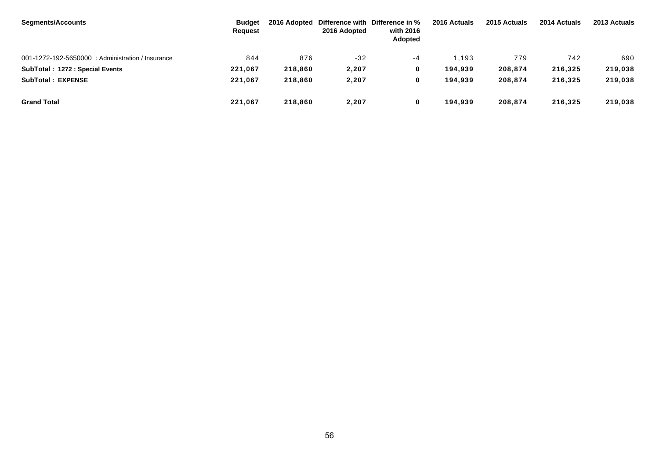| Segments/Accounts                                 | <b>Budget</b><br><b>Request</b> | 2016 Adopted | 2016 Adopted | Difference with Difference in %<br>with 2016<br>Adopted | 2016 Actuals | 2015 Actuals | 2014 Actuals | 2013 Actuals |
|---------------------------------------------------|---------------------------------|--------------|--------------|---------------------------------------------------------|--------------|--------------|--------------|--------------|
| 001-1272-192-5650000 : Administration / Insurance | 844                             | 876          | $-32$        | -4                                                      | 1.193        | 779          | 742          | 690          |
| SubTotal: 1272 : Special Events                   | 221,067                         | 218,860      | 2,207        | 0                                                       | 194,939      | 208,874      | 216,325      | 219,038      |
| <b>SubTotal: EXPENSE</b>                          | 221,067                         | 218,860      | 2,207        | 0                                                       | 194,939      | 208,874      | 216,325      | 219,038      |
| <b>Grand Total</b>                                | 221,067                         | 218,860      | 2,207        | 0                                                       | 194,939      | 208,874      | 216,325      | 219,038      |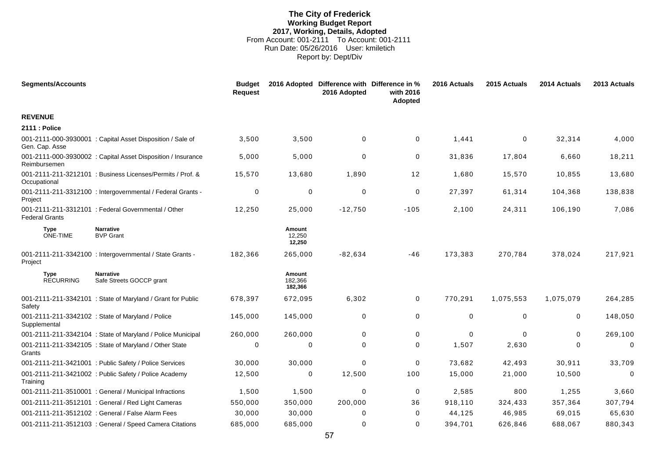# **The City of Frederick Working Budget Report 2017, Working, Details, Adopted** From Account: 001-2111 To Account: 001-2111 Run Date: 05/26/2016 User: kmiletich Report by: Dept/Div

| <b>Segments/Accounts</b>        |                                                              | <b>Budget</b><br><b>Request</b> |                              | 2016 Adopted Difference with Difference in %<br>2016 Adopted | with 2016<br>Adopted | 2016 Actuals | 2015 Actuals | 2014 Actuals | 2013 Actuals |
|---------------------------------|--------------------------------------------------------------|---------------------------------|------------------------------|--------------------------------------------------------------|----------------------|--------------|--------------|--------------|--------------|
| <b>REVENUE</b>                  |                                                              |                                 |                              |                                                              |                      |              |              |              |              |
| <b>2111 : Police</b>            |                                                              |                                 |                              |                                                              |                      |              |              |              |              |
| Gen. Cap. Asse                  | 001-2111-000-3930001 : Capital Asset Disposition / Sale of   | 3,500                           | 3,500                        | $\mathbf 0$                                                  | $\pmb{0}$            | 1,441        | 0            | 32,314       | 4,000        |
| Reimbursemen                    | 001-2111-000-3930002 : Capital Asset Disposition / Insurance | 5.000                           | 5,000                        | $\Omega$                                                     | 0                    | 31,836       | 17,804       | 6,660        | 18,211       |
| Occupational                    | 001-2111-211-3212101 : Business Licenses/Permits / Prof. &   | 15,570                          | 13,680                       | 1,890                                                        | 12                   | 1,680        | 15,570       | 10,855       | 13,680       |
| Project                         | 001-2111-211-3312100 : Intergovernmental / Federal Grants -  | 0                               | 0                            | $\Omega$                                                     | 0                    | 27,397       | 61,314       | 104,368      | 138,838      |
| <b>Federal Grants</b>           | 001-2111-211-3312101 : Federal Governmental / Other          | 12,250                          | 25,000                       | $-12,750$                                                    | $-105$               | 2,100        | 24,311       | 106,190      | 7,086        |
| <b>Type</b><br><b>ONE-TIME</b>  | <b>Narrative</b><br><b>BVP Grant</b>                         |                                 | Amount<br>12,250<br>12,250   |                                                              |                      |              |              |              |              |
| Project                         | 001-2111-211-3342100 : Intergovernmental / State Grants -    | 182,366                         | 265,000                      | $-82,634$                                                    | $-46$                | 173,383      | 270,784      | 378,024      | 217,921      |
| <b>Type</b><br><b>RECURRING</b> | <b>Narrative</b><br>Safe Streets GOCCP grant                 |                                 | Amount<br>182,366<br>182,366 |                                                              |                      |              |              |              |              |
| Safety                          | 001-2111-211-3342101 : State of Maryland / Grant for Public  | 678,397                         | 672,095                      | 6,302                                                        | 0                    | 770,291      | 1,075,553    | 1,075,079    | 264,285      |
| Supplemental                    | 001-2111-211-3342102 : State of Maryland / Police            | 145,000                         | 145,000                      | 0                                                            | $\pmb{0}$            | 0            | $\mathbf 0$  | 0            | 148,050      |
|                                 | 001-2111-211-3342104 : State of Maryland / Police Municipal  | 260,000                         | 260,000                      | $\mathbf 0$                                                  | $\mathbf 0$          | $\Omega$     | $\Omega$     | 0            | 269,100      |
| Grants                          | 001-2111-211-3342105 : State of Maryland / Other State       | 0                               | 0                            | $\Omega$                                                     | 0                    | 1,507        | 2,630        | 0            | 0            |
|                                 | 001-2111-211-3421001 : Public Safety / Police Services       | 30,000                          | 30,000                       | $\Omega$                                                     | 0                    | 73.682       | 42,493       | 30,911       | 33,709       |
| Training                        | 001-2111-211-3421002 : Public Safety / Police Academy        | 12,500                          | 0                            | 12,500                                                       | 100                  | 15,000       | 21,000       | 10,500       | $\mathbf 0$  |
|                                 | 001-2111-211-3510001 : General / Municipal Infractions       | 1,500                           | 1,500                        | $\Omega$                                                     | 0                    | 2,585        | 800          | 1,255        | 3,660        |
|                                 | 001-2111-211-3512101 : General / Red Light Cameras           | 550,000                         | 350,000                      | 200,000                                                      | 36                   | 918,110      | 324,433      | 357,364      | 307,794      |
|                                 | 001-2111-211-3512102 : General / False Alarm Fees            | 30,000                          | 30,000                       | $\Omega$                                                     | 0                    | 44,125       | 46,985       | 69,015       | 65,630       |
|                                 | 001-2111-211-3512103 : General / Speed Camera Citations      | 685,000                         | 685,000                      | $\Omega$                                                     | $\Omega$             | 394,701      | 626,846      | 688.067      | 880,343      |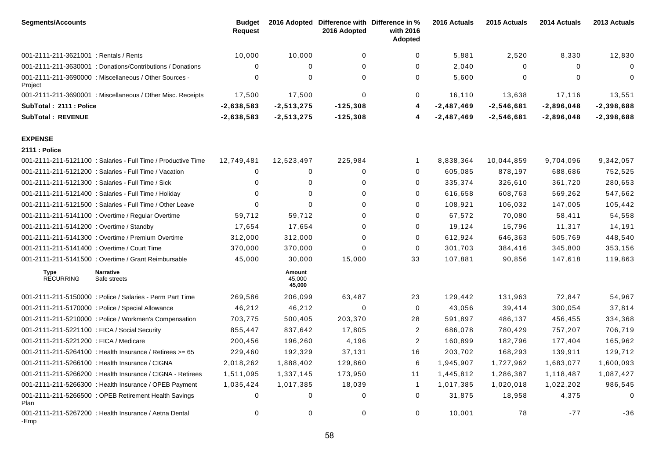| <b>Segments/Accounts</b>                      |                                                               | <b>Budget</b><br><b>Request</b> |                            | 2016 Adopted Difference with Difference in %<br>2016 Adopted | with 2016<br>Adopted | 2016 Actuals | 2015 Actuals | 2014 Actuals | 2013 Actuals |
|-----------------------------------------------|---------------------------------------------------------------|---------------------------------|----------------------------|--------------------------------------------------------------|----------------------|--------------|--------------|--------------|--------------|
| 001-2111-211-3621001 : Rentals / Rents        |                                                               | 10,000                          | 10,000                     | $\mathbf 0$                                                  | 0                    | 5,881        | 2,520        | 8,330        | 12,830       |
|                                               | 001-2111-211-3630001 : Donations/Contributions / Donations    | 0                               | 0                          | 0                                                            | 0                    | 2,040        | 0            | 0            | $\Omega$     |
| Project                                       | 001-2111-211-3690000 : Miscellaneous / Other Sources -        | $\Omega$                        | $\mathbf 0$                | $\mathbf{0}$                                                 | 0                    | 5,600        | 0            | $\Omega$     | 0            |
|                                               | 001-2111-211-3690001 : Miscellaneous / Other Misc. Receipts   | 17,500                          | 17,500                     | $\Omega$                                                     | 0                    | 16,110       | 13,638       | 17,116       | 13,551       |
| SubTotal: 2111 : Police                       |                                                               | $-2,638,583$                    | $-2,513,275$               | $-125,308$                                                   | 4                    | $-2,487,469$ | $-2,546,681$ | $-2,896,048$ | $-2,398,688$ |
| <b>SubTotal: REVENUE</b>                      |                                                               | $-2,638,583$                    | $-2,513,275$               | $-125,308$                                                   | 4                    | $-2,487,469$ | $-2,546,681$ | $-2,896,048$ | $-2,398,688$ |
| <b>EXPENSE</b>                                |                                                               |                                 |                            |                                                              |                      |              |              |              |              |
| 2111 : Police                                 |                                                               |                                 |                            |                                                              |                      |              |              |              |              |
|                                               | 001-2111-211-5121100 : Salaries - Full Time / Productive Time | 12,749,481                      | 12,523,497                 | 225,984                                                      | 1                    | 8,838,364    | 10,044,859   | 9,704,096    | 9,342,057    |
|                                               | 001-2111-211-5121200 : Salaries - Full Time / Vacation        | 0                               | 0                          | 0                                                            | 0                    | 605,085      | 878,197      | 688,686      | 752,525      |
|                                               | 001-2111-211-5121300 : Salaries - Full Time / Sick            | 0                               | 0                          | 0                                                            | 0                    | 335,374      | 326,610      | 361,720      | 280,653      |
|                                               | 001-2111-211-5121400 : Salaries - Full Time / Holiday         | $\Omega$                        | $\mathbf{0}$               | $\Omega$                                                     | $\mathbf{0}$         | 616,658      | 608,763      | 569,262      | 547,662      |
|                                               | 001-2111-211-5121500 : Salaries - Full Time / Other Leave     | $\Omega$                        | $\mathbf 0$                | 0                                                            | 0                    | 108,921      | 106,032      | 147,005      | 105,442      |
|                                               | 001-2111-211-5141100 : Overtime / Regular Overtime            | 59,712                          | 59,712                     | $\Omega$                                                     | 0                    | 67,572       | 70,080       | 58,411       | 54,558       |
| 001-2111-211-5141200 : Overtime / Standby     |                                                               | 17,654                          | 17,654                     | $\Omega$                                                     | 0                    | 19,124       | 15,796       | 11,317       | 14,191       |
|                                               | 001-2111-211-5141300 : Overtime / Premium Overtime            | 312,000                         | 312,000                    | $\Omega$                                                     | 0                    | 612,924      | 646,363      | 505,769      | 448,540      |
| 001-2111-211-5141400 : Overtime / Court Time  |                                                               | 370,000                         | 370,000                    | $\Omega$                                                     | 0                    | 301,703      | 384,416      | 345,800      | 353,156      |
|                                               | 001-2111-211-5141500 : Overtime / Grant Reimbursable          | 45,000                          | 30,000                     | 15,000                                                       | 33                   | 107,881      | 90,856       | 147,618      | 119,863      |
| Type<br><b>RECURRING</b>                      | <b>Narrative</b><br>Safe streets                              |                                 | Amount<br>45,000<br>45,000 |                                                              |                      |              |              |              |              |
|                                               | 001-2111-211-5150000 : Police / Salaries - Perm Part Time     | 269,586                         | 206,099                    | 63,487                                                       | 23                   | 129,442      | 131,963      | 72,847       | 54,967       |
|                                               | 001-2111-211-5170000 : Police / Special Allowance             | 46,212                          | 46,212                     | 0                                                            | 0                    | 43,056       | 39,414       | 300,054      | 37,814       |
|                                               | 001-2111-211-5210000: Police / Workmen's Compensation         | 703,775                         | 500,405                    | 203,370                                                      | 28                   | 591,897      | 486,137      | 456,455      | 334,368      |
| 001-2111-211-5221100 : FICA / Social Security |                                                               | 855,447                         | 837,642                    | 17,805                                                       | $\overline{2}$       | 686,078      | 780,429      | 757,207      | 706,719      |
| 001-2111-211-5221200 : FICA / Medicare        |                                                               | 200,456                         | 196,260                    | 4,196                                                        | $\overline{2}$       | 160,899      | 182,796      | 177,404      | 165,962      |
|                                               | 001-2111-211-5264100 : Health Insurance / Retirees >= 65      | 229,460                         | 192,329                    | 37,131                                                       | 16                   | 203,702      | 168,293      | 139,911      | 129,712      |
|                                               | 001-2111-211-5266100 : Health Insurance / CIGNA               | 2,018,262                       | 1,888,402                  | 129,860                                                      | 6                    | 1,945,907    | 1,727,962    | 1,683,077    | 1,600,093    |
|                                               | 001-2111-211-5266200 : Health Insurance / CIGNA - Retirees    | 1,511,095                       | 1,337,145                  | 173,950                                                      | 11                   | 1,445,812    | 1,286,387    | 1,118,487    | 1,087,427    |
|                                               | 001-2111-211-5266300 : Health Insurance / OPEB Payment        | 1,035,424                       | 1,017,385                  | 18,039                                                       | $\mathbf{1}$         | 1,017,385    | 1,020,018    | 1,022,202    | 986,545      |
| Plan                                          | 001-2111-211-5266500 : OPEB Retirement Health Savings         | 0                               | 0                          | 0                                                            | 0                    | 31,875       | 18,958       | 4,375        | 0            |
| -Emp                                          | 001-2111-211-5267200 : Health Insurance / Aetna Dental        | 0                               | 0                          | 0                                                            | $\mathbf 0$          | 10,001       | 78           | $-77$        | $-36$        |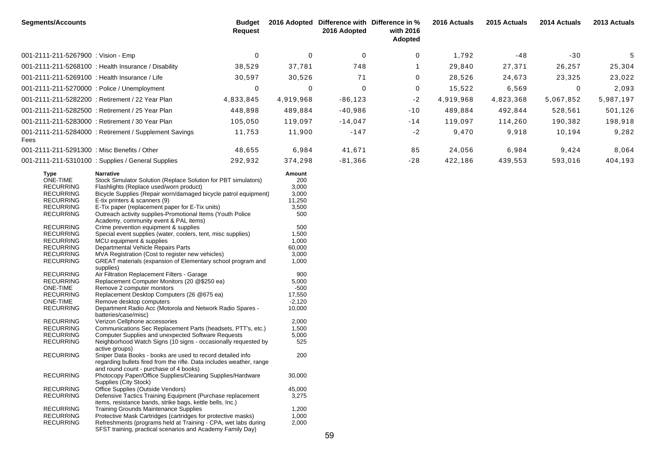| <b>Segments/Accounts</b>                                                                                                                                                                                                                                                                                                                             |                                                                                                                                                                                                                                                                                                                                                                                                                                                                                                                                                                                                                                                                                                                                                                                                                                                                                                                                                                                             | <b>Budget</b><br><b>Request</b> |                                                                                                                                                                          | 2016 Adopted Difference with Difference in %<br>2016 Adopted | with 2016<br>Adopted | 2016 Actuals | 2015 Actuals | 2014 Actuals | 2013 Actuals |
|------------------------------------------------------------------------------------------------------------------------------------------------------------------------------------------------------------------------------------------------------------------------------------------------------------------------------------------------------|---------------------------------------------------------------------------------------------------------------------------------------------------------------------------------------------------------------------------------------------------------------------------------------------------------------------------------------------------------------------------------------------------------------------------------------------------------------------------------------------------------------------------------------------------------------------------------------------------------------------------------------------------------------------------------------------------------------------------------------------------------------------------------------------------------------------------------------------------------------------------------------------------------------------------------------------------------------------------------------------|---------------------------------|--------------------------------------------------------------------------------------------------------------------------------------------------------------------------|--------------------------------------------------------------|----------------------|--------------|--------------|--------------|--------------|
| 001-2111-211-5267900 : Vision - Emp                                                                                                                                                                                                                                                                                                                  |                                                                                                                                                                                                                                                                                                                                                                                                                                                                                                                                                                                                                                                                                                                                                                                                                                                                                                                                                                                             | 0                               | 0                                                                                                                                                                        | 0                                                            | 0                    | 1,792        | $-48$        | $-30$        | 5            |
|                                                                                                                                                                                                                                                                                                                                                      | 001-2111-211-5268100 : Health Insurance / Disability                                                                                                                                                                                                                                                                                                                                                                                                                                                                                                                                                                                                                                                                                                                                                                                                                                                                                                                                        | 38,529                          | 37,781                                                                                                                                                                   | 748                                                          | -1                   | 29,840       | 27,371       | 26,257       | 25,304       |
| 001-2111-211-5269100 : Health Insurance / Life                                                                                                                                                                                                                                                                                                       |                                                                                                                                                                                                                                                                                                                                                                                                                                                                                                                                                                                                                                                                                                                                                                                                                                                                                                                                                                                             | 30,597                          | 30,526                                                                                                                                                                   | 71                                                           | 0                    | 28,526       | 24,673       | 23,325       | 23,022       |
|                                                                                                                                                                                                                                                                                                                                                      | 001-2111-211-5270000 : Police / Unemployment                                                                                                                                                                                                                                                                                                                                                                                                                                                                                                                                                                                                                                                                                                                                                                                                                                                                                                                                                | 0                               | 0                                                                                                                                                                        | 0                                                            | 0                    | 15,522       | 6,569        | 0            | 2,093        |
|                                                                                                                                                                                                                                                                                                                                                      | 001-2111-211-5282200 : Retirement / 22 Year Plan                                                                                                                                                                                                                                                                                                                                                                                                                                                                                                                                                                                                                                                                                                                                                                                                                                                                                                                                            | 4,833,845                       | 4,919,968                                                                                                                                                                | $-86,123$                                                    | $-2$                 | 4,919,968    | 4,823,368    | 5,067,852    | 5,987,197    |
|                                                                                                                                                                                                                                                                                                                                                      | 001-2111-211-5282500 : Retirement / 25 Year Plan                                                                                                                                                                                                                                                                                                                                                                                                                                                                                                                                                                                                                                                                                                                                                                                                                                                                                                                                            | 448,898                         | 489,884                                                                                                                                                                  | $-40,986$                                                    | $-10$                | 489,884      | 492,844      | 528,561      | 501,126      |
|                                                                                                                                                                                                                                                                                                                                                      | 001-2111-211-5283000 : Retirement / 30 Year Plan                                                                                                                                                                                                                                                                                                                                                                                                                                                                                                                                                                                                                                                                                                                                                                                                                                                                                                                                            | 105,050                         | 119,097                                                                                                                                                                  | $-14,047$                                                    | $-14$                | 119,097      | 114,260      | 190,382      | 198,918      |
| Fees                                                                                                                                                                                                                                                                                                                                                 | 001-2111-211-5284000: Retirement / Supplement Savings                                                                                                                                                                                                                                                                                                                                                                                                                                                                                                                                                                                                                                                                                                                                                                                                                                                                                                                                       | 11,753                          | 11,900                                                                                                                                                                   | $-147$                                                       | $-2$                 | 9,470        | 9,918        | 10,194       | 9,282        |
| 001-2111-211-5291300 : Misc Benefits / Other                                                                                                                                                                                                                                                                                                         |                                                                                                                                                                                                                                                                                                                                                                                                                                                                                                                                                                                                                                                                                                                                                                                                                                                                                                                                                                                             | 48,655                          | 6,984                                                                                                                                                                    | 41,671                                                       | 85                   | 24,056       | 6,984        | 9,424        | 8,064        |
|                                                                                                                                                                                                                                                                                                                                                      | 001-2111-211-5310100 : Supplies / General Supplies                                                                                                                                                                                                                                                                                                                                                                                                                                                                                                                                                                                                                                                                                                                                                                                                                                                                                                                                          | 292,932                         | 374,298                                                                                                                                                                  | $-81,366$                                                    | $-28$                | 422,186      | 439,553      | 593,016      | 404,193      |
| Type<br>ONE-TIME<br><b>RECURRING</b><br><b>RECURRING</b><br><b>RECURRING</b><br><b>RECURRING</b><br><b>RECURRING</b><br><b>RECURRING</b><br><b>RECURRING</b><br><b>RECURRING</b><br><b>RECURRING</b><br><b>RECURRING</b><br><b>RECURRING</b><br><b>RECURRING</b><br><b>RECURRING</b><br>ONE-TIME<br><b>RECURRING</b><br>ONE-TIME<br><b>RECURRING</b> | Narrative<br>Stock Simulator Solution (Replace Solution for PBT simulators)<br>Flashlights (Replace used/worn product)<br>Bicycle Supplies (Repair worn/damaged bicycle patrol equipment)<br>E-tix printers & scanners (9)<br>E-Tix paper (replacement paper for E-Tix units)<br>Outreach activity supplies-Promotional Items (Youth Police<br>Academy, community event & PAL items)<br>Crime prevention equipment & supplies<br>Special event supplies (water, coolers, tent, misc supplies)<br>MCU equipment & supplies<br>Departmental Vehicle Repairs Parts<br>MVA Registration (Cost to register new vehicles)<br>GREAT materials (expansion of Elementary school program and<br>supplies)<br>Air Filtration Replacement Filters - Garage<br>Replacement Computer Monitors (20 @\$250 ea)<br>Remove 2 computer monitors<br>Replacement Desktop Computers (26 @675 ea)<br>Remove desktop computers<br>Department Radio Acc (Motorola and Network Radio Spares -<br>batteries/case/misc) |                                 | Amount<br>200<br>3,000<br>3,000<br>11,250<br>3,500<br>500<br>500<br>1,500<br>1,000<br>60,000<br>3,000<br>1,000<br>900<br>5,000<br>$-500$<br>17,550<br>$-2,120$<br>10,000 |                                                              |                      |              |              |              |              |
| <b>RECURRING</b><br><b>RECURRING</b>                                                                                                                                                                                                                                                                                                                 | Verizon Cellphone accessories<br>Communications Sec Replacement Parts (headsets, PTT's, etc.)                                                                                                                                                                                                                                                                                                                                                                                                                                                                                                                                                                                                                                                                                                                                                                                                                                                                                               |                                 | 2,000<br>1,500                                                                                                                                                           |                                                              |                      |              |              |              |              |
| <b>RECURRING</b>                                                                                                                                                                                                                                                                                                                                     | Computer Supplies and unexpected Software Requests                                                                                                                                                                                                                                                                                                                                                                                                                                                                                                                                                                                                                                                                                                                                                                                                                                                                                                                                          |                                 | 5,000                                                                                                                                                                    |                                                              |                      |              |              |              |              |
| <b>RECURRING</b>                                                                                                                                                                                                                                                                                                                                     | Neighborhood Watch Signs (10 signs - occasionally requested by<br>active groups)                                                                                                                                                                                                                                                                                                                                                                                                                                                                                                                                                                                                                                                                                                                                                                                                                                                                                                            |                                 | 525                                                                                                                                                                      |                                                              |                      |              |              |              |              |
| <b>RECURRING</b>                                                                                                                                                                                                                                                                                                                                     | Sniper Data Books - books are used to record detailed info<br>regarding bullets fired from the rifle. Data includes weather, range<br>and round count - purchase of 4 books)                                                                                                                                                                                                                                                                                                                                                                                                                                                                                                                                                                                                                                                                                                                                                                                                                |                                 | 200                                                                                                                                                                      |                                                              |                      |              |              |              |              |
| <b>RECURRING</b>                                                                                                                                                                                                                                                                                                                                     | Photocopy Paper/Office Supplies/Cleaning Supplies/Hardware<br>Supplies (City Stock)                                                                                                                                                                                                                                                                                                                                                                                                                                                                                                                                                                                                                                                                                                                                                                                                                                                                                                         |                                 | 30,000                                                                                                                                                                   |                                                              |                      |              |              |              |              |
| <b>RECURRING</b>                                                                                                                                                                                                                                                                                                                                     | Office Supplies (Outside Vendors)                                                                                                                                                                                                                                                                                                                                                                                                                                                                                                                                                                                                                                                                                                                                                                                                                                                                                                                                                           |                                 | 45,000                                                                                                                                                                   |                                                              |                      |              |              |              |              |
| <b>RECURRING</b>                                                                                                                                                                                                                                                                                                                                     | Defensive Tactics Training Equipment (Purchase replacement<br>items, resistance bands, strike bags, kettle bells, Inc.)                                                                                                                                                                                                                                                                                                                                                                                                                                                                                                                                                                                                                                                                                                                                                                                                                                                                     |                                 | 3,275                                                                                                                                                                    |                                                              |                      |              |              |              |              |
| <b>RECURRING</b><br><b>RECURRING</b>                                                                                                                                                                                                                                                                                                                 | <b>Training Grounds Maintenance Supplies</b><br>Protective Mask Cartridges (cartridges for protective masks)                                                                                                                                                                                                                                                                                                                                                                                                                                                                                                                                                                                                                                                                                                                                                                                                                                                                                |                                 | 1,200<br>1,000                                                                                                                                                           |                                                              |                      |              |              |              |              |
| <b>RECURRING</b>                                                                                                                                                                                                                                                                                                                                     | Refreshments (programs held at Training - CPA, wet labs during                                                                                                                                                                                                                                                                                                                                                                                                                                                                                                                                                                                                                                                                                                                                                                                                                                                                                                                              |                                 | 2,000                                                                                                                                                                    |                                                              |                      |              |              |              |              |

SFST training, practical scenarios and Academy Family Day)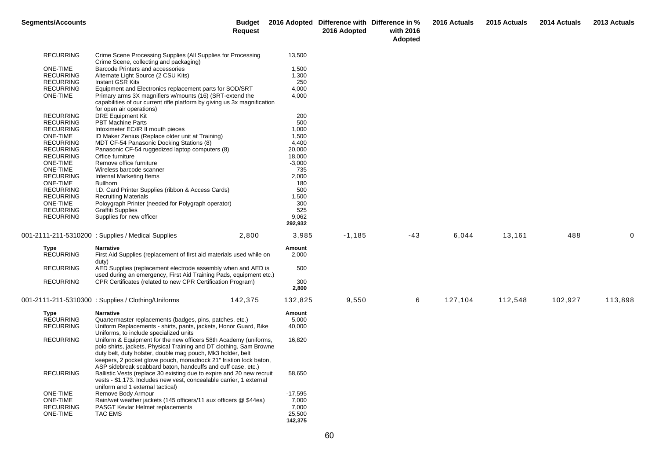| <b>Segments/Accounts</b> | <b>Budget</b><br><b>Request</b>                                                                                                   |                  | 2016 Adopted Difference with Difference in %<br>2016 Adopted | with 2016<br>Adopted | 2016 Actuals | 2015 Actuals | 2014 Actuals | 2013 Actuals |
|--------------------------|-----------------------------------------------------------------------------------------------------------------------------------|------------------|--------------------------------------------------------------|----------------------|--------------|--------------|--------------|--------------|
| <b>RECURRING</b>         | Crime Scene Processing Supplies (All Supplies for Processing                                                                      | 13,500           |                                                              |                      |              |              |              |              |
| <b>ONE-TIME</b>          | Crime Scene, collecting and packaging)                                                                                            |                  |                                                              |                      |              |              |              |              |
| <b>RECURRING</b>         | Barcode Printers and accessories<br>Alternate Light Source (2 CSU Kits)                                                           | 1,500<br>1,300   |                                                              |                      |              |              |              |              |
| <b>RECURRING</b>         | <b>Instant GSR Kits</b>                                                                                                           | 250              |                                                              |                      |              |              |              |              |
| <b>RECURRING</b>         | Equipment and Electronics replacement parts for SOD/SRT                                                                           | 4,000            |                                                              |                      |              |              |              |              |
| ONE-TIME                 | Primary arms 3X magnifiers w/mounts (16) (SRT-extend the                                                                          | 4,000            |                                                              |                      |              |              |              |              |
|                          | capabilities of our current rifle platform by giving us 3x magnification<br>for open air operations)                              |                  |                                                              |                      |              |              |              |              |
| <b>RECURRING</b>         | DRE Equipment Kit                                                                                                                 | 200              |                                                              |                      |              |              |              |              |
| <b>RECURRING</b>         | <b>PBT Machine Parts</b>                                                                                                          | 500              |                                                              |                      |              |              |              |              |
| <b>RECURRING</b>         | Intoximeter EC/IR II mouth pieces                                                                                                 | 1,000            |                                                              |                      |              |              |              |              |
| ONE-TIME                 | ID Maker Zenius (Replace older unit at Training)                                                                                  | 1,500            |                                                              |                      |              |              |              |              |
| <b>RECURRING</b>         | MDT CF-54 Panasonic Docking Stations (8)                                                                                          | 4,400            |                                                              |                      |              |              |              |              |
| <b>RECURRING</b>         | Panasonic CF-54 ruggedized laptop computers (8)                                                                                   | 20,000           |                                                              |                      |              |              |              |              |
| <b>RECURRING</b>         | Office furniture                                                                                                                  | 18,000           |                                                              |                      |              |              |              |              |
| ONE-TIME                 | Remove office furniture                                                                                                           | $-3,000$         |                                                              |                      |              |              |              |              |
| ONE-TIME                 | Wireless barcode scanner                                                                                                          | 735              |                                                              |                      |              |              |              |              |
| <b>RECURRING</b>         | Internal Marketing Items                                                                                                          | 2,000            |                                                              |                      |              |              |              |              |
| ONE-TIME                 | Bullhorn                                                                                                                          | 180              |                                                              |                      |              |              |              |              |
| <b>RECURRING</b>         | I.D. Card Printer Supplies (ribbon & Access Cards)                                                                                | 500              |                                                              |                      |              |              |              |              |
| <b>RECURRING</b>         | <b>Recruiting Materials</b>                                                                                                       | 1,500            |                                                              |                      |              |              |              |              |
| ONE-TIME                 | Poloygraph Printer (needed for Polygraph operator)                                                                                | 300              |                                                              |                      |              |              |              |              |
| <b>RECURRING</b>         | <b>Graffiti Supplies</b>                                                                                                          | 525              |                                                              |                      |              |              |              |              |
| <b>RECURRING</b>         | Supplies for new officer                                                                                                          | 9,062<br>292,932 |                                                              |                      |              |              |              |              |
|                          | 001-2111-211-5310200 : Supplies / Medical Supplies<br>2,800                                                                       | 3,985            | $-1,185$                                                     | $-43$                | 6,044        | 13,161       | 488          | 0            |
|                          | Narrative                                                                                                                         | Amount           |                                                              |                      |              |              |              |              |
| Type<br><b>RECURRING</b> | First Aid Supplies (replacement of first aid materials used while on<br>duty)                                                     | 2,000            |                                                              |                      |              |              |              |              |
| <b>RECURRING</b>         | AED Supplies (replacement electrode assembly when and AED is                                                                      | 500              |                                                              |                      |              |              |              |              |
| <b>RECURRING</b>         | used during an emergency, First Aid Training Pads, equipment etc.)<br>CPR Certificates (related to new CPR Certification Program) | 300              |                                                              |                      |              |              |              |              |
|                          |                                                                                                                                   | 2,800            |                                                              |                      |              |              |              |              |
|                          | 142,375<br>001-2111-211-5310300 : Supplies / Clothing/Uniforms                                                                    | 132,825          | 9,550                                                        | 6                    | 127,104      | 112,548      | 102,927      | 113,898      |
| Type                     | Narrative                                                                                                                         | Amount           |                                                              |                      |              |              |              |              |
| <b>RECURRING</b>         | Quartermaster replacements (badges, pins, patches, etc.)                                                                          | 5,000            |                                                              |                      |              |              |              |              |
| <b>RECURRING</b>         | Uniform Replacements - shirts, pants, jackets, Honor Guard, Bike                                                                  | 40,000           |                                                              |                      |              |              |              |              |
|                          | Uniforms, to include specialized units                                                                                            |                  |                                                              |                      |              |              |              |              |
| <b>RECURRING</b>         | Uniform & Equipment for the new officers 58th Academy (uniforms,                                                                  | 16,820           |                                                              |                      |              |              |              |              |
|                          | polo shirts, jackets, Physical Training and DT clothing, Sam Browne                                                               |                  |                                                              |                      |              |              |              |              |
|                          | duty belt, duty holster, double mag pouch, Mk3 holder, belt<br>keepers, 2 pocket glove pouch, monadnock 21" fristion lock baton,  |                  |                                                              |                      |              |              |              |              |
|                          | ASP sidebreak scabbard baton, handcuffs and cuff case, etc.)                                                                      |                  |                                                              |                      |              |              |              |              |
| <b>RECURRING</b>         | Ballistic Vests (replace 30 existing due to expire and 20 new recruit                                                             | 58,650           |                                                              |                      |              |              |              |              |
|                          | vests - \$1,173. Includes new vest, concealable carrier, 1 external                                                               |                  |                                                              |                      |              |              |              |              |
|                          | uniform and 1 external tactical)                                                                                                  |                  |                                                              |                      |              |              |              |              |
| ONE-TIME                 | Remove Body Armour                                                                                                                | $-17,595$        |                                                              |                      |              |              |              |              |
| ONE-TIME                 | Rain/wet weather jackets (145 officers/11 aux officers @ \$44ea)                                                                  | 7,000            |                                                              |                      |              |              |              |              |
| <b>RECURRING</b>         | PASGT Kevlar Helmet replacements                                                                                                  | 7,000            |                                                              |                      |              |              |              |              |
| ONE-TIME                 | <b>TAC EMS</b>                                                                                                                    | 25,500           |                                                              |                      |              |              |              |              |
|                          |                                                                                                                                   | 142,375          |                                                              |                      |              |              |              |              |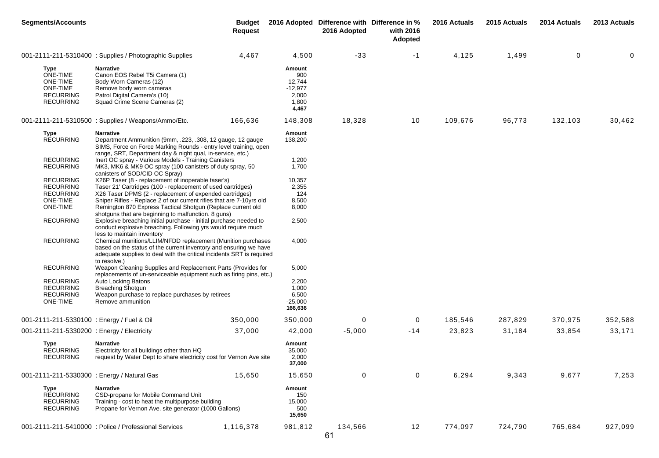| <b>Segments/Accounts</b>                                                         |                                                                                                                                                                                                                            | <b>Budget</b><br><b>Request</b> |                                                                 | 2016 Adopted Difference with Difference in %<br>2016 Adopted | with 2016<br>Adopted | 2016 Actuals | 2015 Actuals | 2014 Actuals | 2013 Actuals |
|----------------------------------------------------------------------------------|----------------------------------------------------------------------------------------------------------------------------------------------------------------------------------------------------------------------------|---------------------------------|-----------------------------------------------------------------|--------------------------------------------------------------|----------------------|--------------|--------------|--------------|--------------|
|                                                                                  | 001-2111-211-5310400: Supplies / Photographic Supplies                                                                                                                                                                     | 4,467                           | 4,500                                                           | $-33$                                                        | -1                   | 4,125        | 1,499        | 0            | $\Omega$     |
| Type<br>ONE-TIME<br>ONE-TIME<br>ONE-TIME<br><b>RECURRING</b><br><b>RECURRING</b> | <b>Narrative</b><br>Canon EOS Rebel T5i Camera (1)<br>Body Worn Cameras (12)<br>Remove body worn cameras<br>Patrol Digital Camera's (10)<br>Squad Crime Scene Cameras (2)                                                  |                                 | Amount<br>900<br>12,744<br>$-12,977$<br>2,000<br>1,800<br>4,467 |                                                              |                      |              |              |              |              |
|                                                                                  | 001-2111-211-5310500 : Supplies / Weapons/Ammo/Etc.                                                                                                                                                                        | 166,636                         | 148,308                                                         | 18,328                                                       | 10                   | 109,676      | 96,773       | 132,103      | 30,462       |
| Type<br><b>RECURRING</b>                                                         | <b>Narrative</b><br>Department Ammunition (9mm, .223, .308, 12 gauge, 12 gauge<br>SIMS, Force on Force Marking Rounds - entry level training, open<br>range, SRT, Department day & night qual, in-service, etc.)           |                                 | Amount<br>138,200                                               |                                                              |                      |              |              |              |              |
| <b>RECURRING</b><br><b>RECURRING</b>                                             | Inert OC spray - Various Models - Training Canisters<br>MK3, MK6 & MK9 OC spray (100 canisters of duty spray, 50<br>canisters of SOD/CID OC Spray)                                                                         |                                 | 1,200<br>1,700                                                  |                                                              |                      |              |              |              |              |
| <b>RECURRING</b><br><b>RECURRING</b><br><b>RECURRING</b>                         | X26P Taser (8 - replacement of inoperable taser's)<br>Taser 21' Cartridges (100 - replacement of used cartridges)<br>X26 Taser DPMS (2 - replacement of expended cartridges)                                               |                                 | 10,357<br>2,355<br>124                                          |                                                              |                      |              |              |              |              |
| ONE-TIME<br>ONE-TIME                                                             | Sniper Rifles - Replace 2 of our current rifles that are 7-10yrs old<br>Remington 870 Express Tactical Shotgun (Replace current old<br>shotguns that are beginning to malfunction. 8 guns)                                 |                                 | 8,500<br>8,000                                                  |                                                              |                      |              |              |              |              |
| <b>RECURRING</b>                                                                 | Explosive breaching initial purchase - initial purchase needed to<br>conduct explosive breaching. Following yrs would require much<br>less to maintain inventory                                                           |                                 | 2,500                                                           |                                                              |                      |              |              |              |              |
| <b>RECURRING</b>                                                                 | Chemical munitions/LLIM/NFDD replacement (Munition purchases<br>based on the status of the current inventory and ensuring we have<br>adequate supplies to deal with the critical incidents SRT is required<br>to resolve.) |                                 | 4,000                                                           |                                                              |                      |              |              |              |              |
| <b>RECURRING</b>                                                                 | Weapon Cleaning Supplies and Replacement Parts (Provides for<br>replacements of un-serviceable equipment such as firing pins, etc.)                                                                                        |                                 | 5,000                                                           |                                                              |                      |              |              |              |              |
| <b>RECURRING</b><br><b>RECURRING</b><br><b>RECURRING</b><br>ONE-TIME             | Auto Locking Batons<br><b>Breaching Shotgun</b><br>Weapon purchase to replace purchases by retirees<br>Remove ammunition                                                                                                   |                                 | 2,200<br>1,000<br>6,500<br>$-25,000$<br>166,636                 |                                                              |                      |              |              |              |              |
| 001-2111-211-5330100 : Energy / Fuel & Oil                                       |                                                                                                                                                                                                                            | 350,000                         | 350,000                                                         | 0                                                            | 0                    | 185,546      | 287,829      | 370,975      | 352,588      |
| 001-2111-211-5330200 : Energy / Electricity                                      |                                                                                                                                                                                                                            | 37,000                          | 42,000                                                          | $-5,000$                                                     | -14                  | 23,823       | 31,184       | 33,854       | 33,171       |
| Type<br><b>RECURRING</b><br><b>RECURRING</b>                                     | Narrative<br>Electricity for all buildings other than HQ<br>request by Water Dept to share electricity cost for Vernon Ave site                                                                                            |                                 | Amount<br>35,000<br>2,000<br>37,000                             |                                                              |                      |              |              |              |              |
| 001-2111-211-5330300 : Energy / Natural Gas                                      |                                                                                                                                                                                                                            | 15,650                          | 15,650                                                          | 0                                                            | 0                    | 6,294        | 9,343        | 9,677        | 7,253        |
| <b>Type</b><br><b>RECURRING</b><br><b>RECURRING</b><br><b>RECURRING</b>          | <b>Narrative</b><br>CSD-propane for Mobile Command Unit<br>Training - cost to heat the multipurpose building<br>Propane for Vernon Ave. site generator (1000 Gallons)                                                      |                                 | Amount<br>150<br>15,000<br>500<br>15,650                        |                                                              |                      |              |              |              |              |
|                                                                                  | 001-2111-211-5410000 : Police / Professional Services                                                                                                                                                                      | 1,116,378                       | 981,812                                                         | 134,566                                                      | 12                   | 774,097      | 724,790      | 765,684      | 927,099      |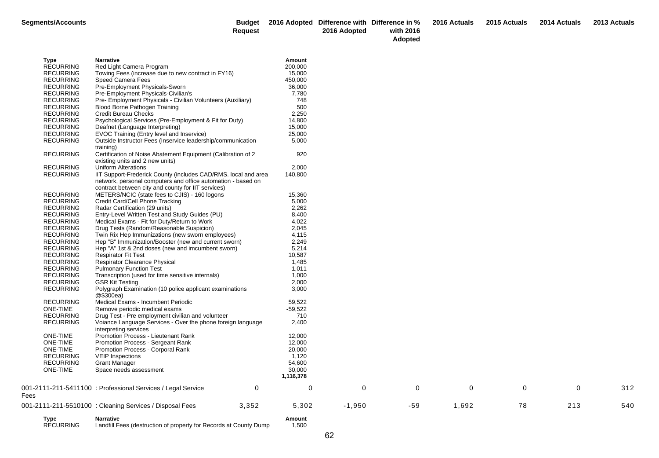**Adopted**

| <b>Type</b><br><b>RECURRING</b>      | <b>Narrative</b><br>Red Light Camera Program                                                                                   | Amount<br>200,000   |          |     |       |    |     |     |
|--------------------------------------|--------------------------------------------------------------------------------------------------------------------------------|---------------------|----------|-----|-------|----|-----|-----|
| <b>RECURRING</b>                     | Towing Fees (increase due to new contract in FY16)                                                                             | 15,000              |          |     |       |    |     |     |
| <b>RECURRING</b>                     | <b>Speed Camera Fees</b>                                                                                                       | 450,000             |          |     |       |    |     |     |
| <b>RECURRING</b>                     | Pre-Employment Physicals-Sworn                                                                                                 | 36,000              |          |     |       |    |     |     |
| <b>RECURRING</b>                     | Pre-Employment Physicals-Civilian's                                                                                            | 7,780               |          |     |       |    |     |     |
| <b>RECURRING</b>                     | Pre- Employment Physicals - Civilian Volunteers (Auxiliary)                                                                    | 748                 |          |     |       |    |     |     |
| <b>RECURRING</b>                     | Blood Borne Pathogen Training                                                                                                  | 500                 |          |     |       |    |     |     |
| <b>RECURRING</b>                     | <b>Credit Bureau Checks</b>                                                                                                    | 2,250               |          |     |       |    |     |     |
| <b>RECURRING</b>                     | Psychological Services (Pre-Employment & Fit for Duty)                                                                         | 14,800              |          |     |       |    |     |     |
| <b>RECURRING</b>                     | Deafnet (Language Interpreting)                                                                                                | 15,000              |          |     |       |    |     |     |
| <b>RECURRING</b>                     | EVOC Training (Entry level and Inservice)                                                                                      | 25,000              |          |     |       |    |     |     |
| <b>RECURRING</b>                     | Outside Instructor Fees (Inservice leadership/communication<br>training)                                                       | 5,000               |          |     |       |    |     |     |
| <b>RECURRING</b>                     | Certification of Noise Abatement Equipment (Calibration of 2<br>existing units and 2 new units)                                | 920                 |          |     |       |    |     |     |
| <b>RECURRING</b>                     | <b>Uniform Alterations</b>                                                                                                     | 2,000               |          |     |       |    |     |     |
| <b>RECURRING</b>                     | IIT Support-Frederick County (includes CAD/RMS. local and area<br>network, personal computers and office automation - based on | 140,800             |          |     |       |    |     |     |
|                                      | contract between city and county for IIT services)                                                                             |                     |          |     |       |    |     |     |
| <b>RECURRING</b>                     | METERS/NCIC (state fees to CJIS) - 160 logons                                                                                  | 15.360              |          |     |       |    |     |     |
| <b>RECURRING</b><br><b>RECURRING</b> | Credit Card/Cell Phone Tracking<br>Radar Certification (29 units)                                                              | 5,000<br>2,262      |          |     |       |    |     |     |
| <b>RECURRING</b>                     | Entry-Level Written Test and Study Guides (PU)                                                                                 | 8,400               |          |     |       |    |     |     |
| <b>RECURRING</b>                     | Medical Exams - Fit for Duty/Return to Work                                                                                    | 4,022               |          |     |       |    |     |     |
| <b>RECURRING</b>                     | Drug Tests (Random/Reasonable Suspicion)                                                                                       | 2,045               |          |     |       |    |     |     |
| <b>RECURRING</b>                     | Twin Rix Hep Immunizations (new sworn employees)                                                                               | 4,115               |          |     |       |    |     |     |
| <b>RECURRING</b>                     | Hep "B" Immunization/Booster (new and current sworn)                                                                           | 2.249               |          |     |       |    |     |     |
| <b>RECURRING</b>                     | Hep "A" 1st & 2nd doses (new and imcumbent sworn)                                                                              | 5,214               |          |     |       |    |     |     |
| <b>RECURRING</b>                     | <b>Respirator Fit Test</b>                                                                                                     | 10,587              |          |     |       |    |     |     |
| <b>RECURRING</b>                     | <b>Respirator Clearance Physical</b>                                                                                           | 1,485               |          |     |       |    |     |     |
| <b>RECURRING</b>                     | <b>Pulmonary Function Test</b>                                                                                                 | 1,011               |          |     |       |    |     |     |
| <b>RECURRING</b>                     | Transcription (used for time sensitive internals)                                                                              | 1,000               |          |     |       |    |     |     |
| <b>RECURRING</b>                     | <b>GSR Kit Testing</b>                                                                                                         | 2,000               |          |     |       |    |     |     |
| <b>RECURRING</b>                     | Polygraph Examination (10 police applicant examinations<br>@\$300ea)                                                           | 3,000               |          |     |       |    |     |     |
| <b>RECURRING</b>                     | Medical Exams - Incumbent Periodic                                                                                             | 59,522              |          |     |       |    |     |     |
| ONE-TIME                             | Remove periodic medical exams                                                                                                  | $-59,522$           |          |     |       |    |     |     |
| <b>RECURRING</b>                     | Drug Test - Pre employment civilian and volunteer                                                                              | 710                 |          |     |       |    |     |     |
| <b>RECURRING</b>                     | Voiance Language Services - Over the phone foreign language<br>interpreting services                                           | 2,400               |          |     |       |    |     |     |
| <b>ONE-TIME</b>                      | Promotion Process - Lieutenant Rank                                                                                            | 12,000              |          |     |       |    |     |     |
| ONE-TIME                             | Promotion Process - Sergeant Rank                                                                                              | 12,000              |          |     |       |    |     |     |
| ONE-TIME                             | Promotion Process - Corporal Rank                                                                                              | 20,000              |          |     |       |    |     |     |
| <b>RECURRING</b>                     | <b>VEIP Inspections</b>                                                                                                        | 1,120               |          |     |       |    |     |     |
| <b>RECURRING</b>                     | <b>Grant Manager</b>                                                                                                           | 54,600              |          |     |       |    |     |     |
| ONE-TIME                             | Space needs assessment                                                                                                         | 30,000<br>1,116,378 |          |     |       |    |     |     |
| Fees                                 | 001-2111-211-5411100 : Professional Services / Legal Service<br>0                                                              | 0                   | 0        | 0   | 0     | 0  | 0   | 312 |
|                                      | 001-2111-211-5510100 : Cleaning Services / Disposal Fees<br>3,352                                                              | 5,302               | $-1,950$ | -59 | 1,692 | 78 | 213 | 540 |
| Type                                 | <b>Narrative</b>                                                                                                               | Amount              |          |     |       |    |     |     |

| . 7.7     | .                                                                 | , ,,,,,,,,, |
|-----------|-------------------------------------------------------------------|-------------|
| RECURRING | Landfill Fees (destruction of property for Records at County Dump | 1,500       |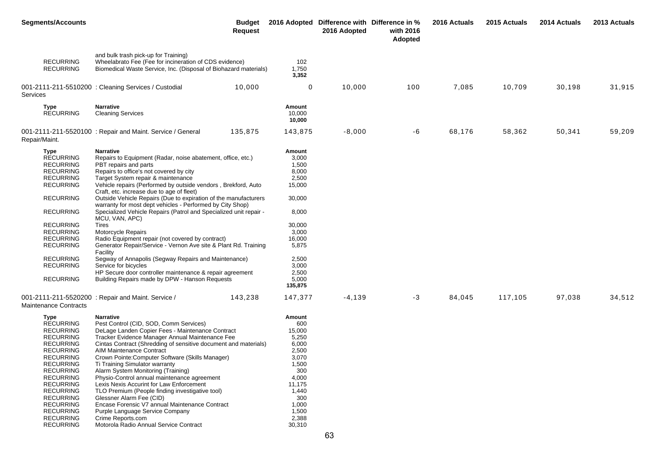| <b>Segments/Accounts</b>                                                                                                                                                                                                                                                                                                             |                                                                                                                                                                                                                                                                                                                                                                                                                                                                                                                                                                                                                                                                                                                                                                                                                                                                                                | <b>Budget</b><br><b>Request</b> |                                                                                                                                                              | 2016 Adopted Difference with Difference in %<br>2016 Adopted | with 2016<br>Adopted | 2016 Actuals | 2015 Actuals | 2014 Actuals | 2013 Actuals |
|--------------------------------------------------------------------------------------------------------------------------------------------------------------------------------------------------------------------------------------------------------------------------------------------------------------------------------------|------------------------------------------------------------------------------------------------------------------------------------------------------------------------------------------------------------------------------------------------------------------------------------------------------------------------------------------------------------------------------------------------------------------------------------------------------------------------------------------------------------------------------------------------------------------------------------------------------------------------------------------------------------------------------------------------------------------------------------------------------------------------------------------------------------------------------------------------------------------------------------------------|---------------------------------|--------------------------------------------------------------------------------------------------------------------------------------------------------------|--------------------------------------------------------------|----------------------|--------------|--------------|--------------|--------------|
| <b>RECURRING</b><br><b>RECURRING</b>                                                                                                                                                                                                                                                                                                 | and bulk trash pick-up for Training)<br>Wheelabrato Fee (Fee for incineration of CDS evidence)<br>Biomedical Waste Service, Inc. (Disposal of Biohazard materials)                                                                                                                                                                                                                                                                                                                                                                                                                                                                                                                                                                                                                                                                                                                             |                                 | 102<br>1,750<br>3,352                                                                                                                                        |                                                              |                      |              |              |              |              |
| Services                                                                                                                                                                                                                                                                                                                             | 001-2111-211-5510200 : Cleaning Services / Custodial                                                                                                                                                                                                                                                                                                                                                                                                                                                                                                                                                                                                                                                                                                                                                                                                                                           | 10,000                          | 0                                                                                                                                                            | 10,000                                                       | 100                  | 7,085        | 10,709       | 30,198       | 31,915       |
| Type<br><b>RECURRING</b>                                                                                                                                                                                                                                                                                                             | <b>Narrative</b><br><b>Cleaning Services</b>                                                                                                                                                                                                                                                                                                                                                                                                                                                                                                                                                                                                                                                                                                                                                                                                                                                   |                                 | Amount<br>10,000<br>10,000                                                                                                                                   |                                                              |                      |              |              |              |              |
| Repair/Maint.                                                                                                                                                                                                                                                                                                                        | 001-2111-211-5520100 : Repair and Maint. Service / General                                                                                                                                                                                                                                                                                                                                                                                                                                                                                                                                                                                                                                                                                                                                                                                                                                     | 135,875                         | 143,875                                                                                                                                                      | $-8,000$                                                     | -6                   | 68,176       | 58,362       | 50,341       | 59,209       |
| Type<br><b>RECURRING</b><br><b>RECURRING</b><br><b>RECURRING</b><br><b>RECURRING</b><br><b>RECURRING</b><br><b>RECURRING</b><br><b>RECURRING</b><br><b>RECURRING</b><br><b>RECURRING</b><br><b>RECURRING</b><br><b>RECURRING</b><br><b>RECURRING</b><br><b>RECURRING</b><br><b>RECURRING</b>                                         | <b>Narrative</b><br>Repairs to Equipment (Radar, noise abatement, office, etc.)<br>PBT repairs and parts<br>Repairs to office's not covered by city<br>Target System repair & maintenance<br>Vehicle repairs (Performed by outside vendors, Brekford, Auto<br>Craft, etc. increase due to age of fleet)<br>Outside Vehicle Repairs (Due to expiration of the manufacturers<br>warranty for most dept vehicles - Performed by City Shop)<br>Specialized Vehicle Repairs (Patrol and Specialized unit repair -<br>MCU, VAN, APC)<br>Tires<br>Motorcycle Repairs<br>Radio Equipment repair (not covered by contract)<br>Generator Repair/Service - Vernon Ave site & Plant Rd. Training<br>Facility<br>Segway of Annapolis (Segway Repairs and Maintenance)<br>Service for bicycles<br>HP Secure door controller maintenance & repair agreement<br>Building Repairs made by DPW - Hanson Requests |                                 | Amount<br>3,000<br>1,500<br>8,000<br>2,500<br>15,000<br>30,000<br>8,000<br>30,000<br>3,000<br>16,000<br>5,875<br>2,500<br>3,000<br>2,500<br>5,000<br>135,875 |                                                              |                      |              |              |              |              |
| Maintenance Contracts                                                                                                                                                                                                                                                                                                                | 001-2111-211-5520200 : Repair and Maint. Service /                                                                                                                                                                                                                                                                                                                                                                                                                                                                                                                                                                                                                                                                                                                                                                                                                                             | 143,238                         | 147,377                                                                                                                                                      | $-4,139$                                                     | $-3$                 | 84,045       | 117,105      | 97,038       | 34,512       |
| Type<br><b>RECURRING</b><br><b>RECURRING</b><br><b>RECURRING</b><br><b>RECURRING</b><br><b>RECURRING</b><br><b>RECURRING</b><br><b>RECURRING</b><br><b>RECURRING</b><br><b>RECURRING</b><br><b>RECURRING</b><br><b>RECURRING</b><br><b>RECURRING</b><br><b>RECURRING</b><br><b>RECURRING</b><br><b>RECURRING</b><br><b>RECURRING</b> | <b>Narrative</b><br>Pest Control (CID, SOD, Comm Services)<br>DeLage Landen Copier Fees - Maintenance Contract<br>Tracker Evidence Manager Annual Maintenance Fee<br>Cintas Contract (Shredding of sensitive document and materials)<br>AIM Maintenance Contract<br>Crown Pointe: Computer Software (Skills Manager)<br>Ti Training Simulator warranty<br>Alarm System Monitoring (Training)<br>Physio-Control annual maintenance agreement<br>Lexis Nexis Accurint for Law Enforcement<br>TLO Premium (People finding investigative tool)<br>Glessner Alarm Fee (CID)<br>Encase Forensic V7 annual Maintenance Contract<br>Purple Language Service Company<br>Crime Reports.com<br>Motorola Radio Annual Service Contract                                                                                                                                                                     |                                 | Amount<br>600<br>15,000<br>5,250<br>6,000<br>2,500<br>3,070<br>1,500<br>300<br>4,000<br>11,175<br>1,440<br>300<br>1,000<br>1,500<br>2,388<br>30,310          |                                                              |                      |              |              |              |              |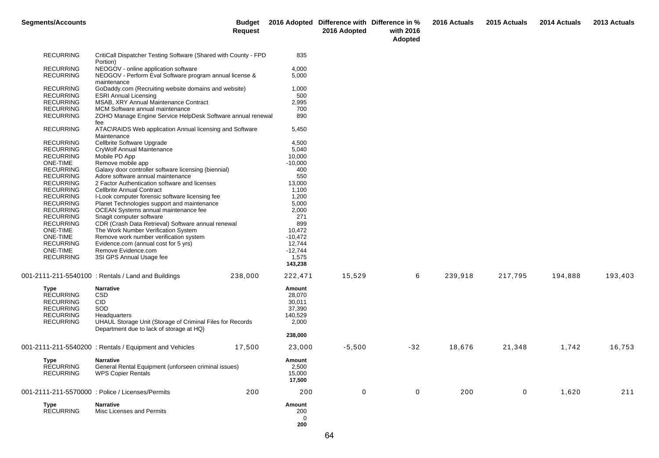| <b>Segments/Accounts</b>                     |                                                                                                       | Budget<br><b>Request</b> |                                     | 2016 Adopted Difference with Difference in %<br>2016 Adopted | with 2016<br>Adopted | 2016 Actuals | 2015 Actuals | 2014 Actuals | 2013 Actuals |
|----------------------------------------------|-------------------------------------------------------------------------------------------------------|--------------------------|-------------------------------------|--------------------------------------------------------------|----------------------|--------------|--------------|--------------|--------------|
| <b>RECURRING</b>                             | CritiCall Dispatcher Testing Software (Shared with County - FPD<br>Portion)                           |                          | 835                                 |                                                              |                      |              |              |              |              |
| <b>RECURRING</b>                             | NEOGOV - online application software                                                                  |                          | 4,000                               |                                                              |                      |              |              |              |              |
| <b>RECURRING</b>                             | NEOGOV - Perform Eval Software program annual license &<br>maintenance                                |                          | 5,000                               |                                                              |                      |              |              |              |              |
| <b>RECURRING</b>                             | GoDaddy.com (Recruiting website domains and website)                                                  |                          | 1,000                               |                                                              |                      |              |              |              |              |
| <b>RECURRING</b>                             | <b>ESRI Annual Licensing</b>                                                                          |                          | 500                                 |                                                              |                      |              |              |              |              |
| <b>RECURRING</b>                             | MSAB, XRY Annual Maintenance Contract                                                                 |                          | 2,995                               |                                                              |                      |              |              |              |              |
| <b>RECURRING</b>                             | MCM Software annual maintenance                                                                       |                          | 700                                 |                                                              |                      |              |              |              |              |
| <b>RECURRING</b>                             | ZOHO Manage Engine Service HelpDesk Software annual renewal<br>fee                                    |                          | 890                                 |                                                              |                      |              |              |              |              |
| <b>RECURRING</b>                             | ATAC\RAIDS Web application Annual licensing and Software<br>Maintenance                               |                          | 5,450                               |                                                              |                      |              |              |              |              |
| <b>RECURRING</b>                             | Cellbrite Software Upgrade                                                                            |                          | 4,500                               |                                                              |                      |              |              |              |              |
| <b>RECURRING</b>                             | CryWolf Annual Maintenance                                                                            |                          | 5,040                               |                                                              |                      |              |              |              |              |
| <b>RECURRING</b>                             | Mobile PD App                                                                                         |                          | 10,000                              |                                                              |                      |              |              |              |              |
| ONE-TIME                                     | Remove mobile app                                                                                     |                          | $-10,000$                           |                                                              |                      |              |              |              |              |
| <b>RECURRING</b>                             | Galaxy door controller software licensing (biennial)                                                  |                          | 400                                 |                                                              |                      |              |              |              |              |
| <b>RECURRING</b>                             | Adore software annual maintenance                                                                     |                          | 550                                 |                                                              |                      |              |              |              |              |
| <b>RECURRING</b>                             | 2 Factor Authentication software and licenses                                                         |                          | 13,000                              |                                                              |                      |              |              |              |              |
| <b>RECURRING</b>                             | <b>Cellbrite Annual Contract</b>                                                                      |                          | 1,100                               |                                                              |                      |              |              |              |              |
| <b>RECURRING</b><br><b>RECURRING</b>         | I-Look computer forensic software licensing fee<br>Planet Technologies support and maintenance        |                          | 1,200                               |                                                              |                      |              |              |              |              |
| <b>RECURRING</b>                             | OCEAN Systems annual maintenance fee                                                                  |                          | 5,000<br>2,000                      |                                                              |                      |              |              |              |              |
| <b>RECURRING</b>                             | Snagit computer software                                                                              |                          | 271                                 |                                                              |                      |              |              |              |              |
| <b>RECURRING</b>                             | CDR (Crash Data Retrieval) Software annual renewal                                                    |                          | 899                                 |                                                              |                      |              |              |              |              |
| <b>ONE-TIME</b>                              | The Work Number Verification System                                                                   |                          | 10,472                              |                                                              |                      |              |              |              |              |
| ONE-TIME                                     | Remove work number verification system                                                                |                          | $-10,472$                           |                                                              |                      |              |              |              |              |
| <b>RECURRING</b>                             | Evidence.com (annual cost for 5 yrs)                                                                  |                          | 12,744                              |                                                              |                      |              |              |              |              |
| ONE-TIME                                     | Remove Evidence.com                                                                                   |                          | $-12,744$                           |                                                              |                      |              |              |              |              |
| <b>RECURRING</b>                             | 3SI GPS Annual Usage fee                                                                              |                          | 1,575<br>143,238                    |                                                              |                      |              |              |              |              |
|                                              | 001-2111-211-5540100: Rentals / Land and Buildings                                                    | 238,000                  | 222,471                             | 15,529                                                       | 6                    | 239,918      | 217,795      | 194,888      | 193,403      |
| Type                                         | <b>Narrative</b>                                                                                      |                          | Amount                              |                                                              |                      |              |              |              |              |
| <b>RECURRING</b>                             | <b>CSD</b>                                                                                            |                          | 28,070                              |                                                              |                      |              |              |              |              |
| <b>RECURRING</b>                             | <b>CID</b>                                                                                            |                          | 30,011                              |                                                              |                      |              |              |              |              |
| <b>RECURRING</b>                             | SOD                                                                                                   |                          | 37,390                              |                                                              |                      |              |              |              |              |
| <b>RECURRING</b>                             | Headquarters                                                                                          |                          | 140,529                             |                                                              |                      |              |              |              |              |
| <b>RECURRING</b>                             | UHAUL Storage Unit (Storage of Criminal Files for Records<br>Department due to lack of storage at HQ) |                          | 2,000                               |                                                              |                      |              |              |              |              |
|                                              |                                                                                                       |                          | 238,000                             |                                                              |                      |              |              |              |              |
|                                              | 001-2111-211-5540200: Rentals / Equipment and Vehicles                                                | 17,500                   | 23,000                              | $-5,500$                                                     | $-32$                | 18,676       | 21,348       | 1,742        | 16,753       |
| Type<br><b>RECURRING</b><br><b>RECURRING</b> | <b>Narrative</b><br>General Rental Equipment (unforseen criminal issues)<br><b>WPS Copier Rentals</b> |                          | Amount<br>2,500<br>15,000<br>17,500 |                                                              |                      |              |              |              |              |
|                                              | 001-2111-211-5570000 : Police / Licenses/Permits                                                      | 200                      | 200                                 | $\mathbf 0$                                                  | $\mathbf 0$          | 200          | 0            | 1,620        | 211          |
| Type                                         | <b>Narrative</b>                                                                                      |                          | Amount                              |                                                              |                      |              |              |              |              |
| <b>RECURRING</b>                             | Misc Licenses and Permits                                                                             |                          | 200                                 |                                                              |                      |              |              |              |              |
|                                              |                                                                                                       |                          | 0<br>200                            |                                                              |                      |              |              |              |              |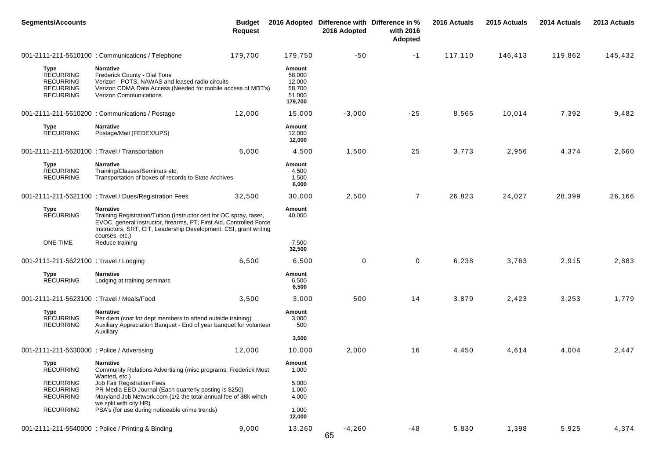| <b>Segments/Accounts</b>                                                                    |                                                                                                                                                                                                                                                       | <b>Budget</b><br><b>Request</b> |                                                           | 2016 Adopted Difference with Difference in %<br>2016 Adopted | with 2016<br>Adopted | 2016 Actuals | 2015 Actuals | 2014 Actuals | 2013 Actuals |
|---------------------------------------------------------------------------------------------|-------------------------------------------------------------------------------------------------------------------------------------------------------------------------------------------------------------------------------------------------------|---------------------------------|-----------------------------------------------------------|--------------------------------------------------------------|----------------------|--------------|--------------|--------------|--------------|
|                                                                                             | 001-2111-211-5610100 : Communications / Telephone                                                                                                                                                                                                     | 179,700                         | 179,750                                                   | $-50$                                                        | $-1$                 | 117,110      | 146,413      | 119,862      | 145,432      |
| <b>Type</b><br><b>RECURRING</b><br><b>RECURRING</b><br><b>RECURRING</b><br><b>RECURRING</b> | <b>Narrative</b><br>Frederick County - Dial Tone<br>Verizon - POTS, NAWAS and leased radio circuits<br>Verizon CDMA Data Access (Needed for mobile access of MDT's)<br><b>Verizon Communications</b>                                                  |                                 | Amount<br>58,000<br>12,000<br>58,700<br>51,000<br>179,700 |                                                              |                      |              |              |              |              |
|                                                                                             | 001-2111-211-5610200 : Communications / Postage                                                                                                                                                                                                       | 12,000                          | 15,000                                                    | $-3,000$                                                     | $-25$                | 8,565        | 10,014       | 7,392        | 9,482        |
| Type<br><b>RECURRING</b>                                                                    | <b>Narrative</b><br>Postage/Mail (FEDEX/UPS)                                                                                                                                                                                                          |                                 | Amount<br>12,000<br>12,000                                |                                                              |                      |              |              |              |              |
| 001-2111-211-5620100 : Travel / Transportation                                              |                                                                                                                                                                                                                                                       | 6,000                           | 4,500                                                     | 1,500                                                        | 25                   | 3,773        | 2,956        | 4,374        | 2,660        |
| Type<br><b>RECURRING</b><br><b>RECURRING</b>                                                | <b>Narrative</b><br>Training/Classes/Seminars etc.<br>Transportation of boxes of records to State Archives                                                                                                                                            |                                 | Amount<br>4,500<br>1,500<br>6,000                         |                                                              |                      |              |              |              |              |
|                                                                                             | 001-2111-211-5621100 : Travel / Dues/Registration Fees                                                                                                                                                                                                | 32,500                          | 30,000                                                    | 2,500                                                        | 7                    | 26,823       | 24,027       | 28,399       | 26,166       |
| Type<br><b>RECURRING</b>                                                                    | <b>Narrative</b><br>Training Registration/Tuition (Instructor cert for OC spray, taser,<br>EVOC, general instructor, firearms, PT, First Aid, Controlled Force<br>Instructors, SRT, CIT, Leadership Development, CSI, grant writing<br>courses, etc.) |                                 | Amount<br>40,000                                          |                                                              |                      |              |              |              |              |
| ONE-TIME                                                                                    | Reduce training                                                                                                                                                                                                                                       |                                 | $-7,500$<br>32,500                                        |                                                              |                      |              |              |              |              |
| 001-2111-211-5622100 : Travel / Lodging                                                     |                                                                                                                                                                                                                                                       | 6,500                           | 6,500                                                     | 0                                                            | 0                    | 6,238        | 3,763        | 2,915        | 2,883        |
| Type<br><b>RECURRING</b>                                                                    | <b>Narrative</b><br>Lodging at training seminars                                                                                                                                                                                                      |                                 | Amount<br>6,500<br>6,500                                  |                                                              |                      |              |              |              |              |
| 001-2111-211-5623100 : Travel / Meals/Food                                                  |                                                                                                                                                                                                                                                       | 3,500                           | 3,000                                                     | 500                                                          | 14                   | 3,879        | 2,423        | 3,253        | 1,779        |
| Type<br><b>RECURRING</b><br><b>RECURRING</b>                                                | <b>Narrative</b><br>Per diem (cost for dept members to attend outside training)<br>Auxiliary Appreciation Banquet - End of year banquet for volunteer<br>Auxiliary                                                                                    |                                 | Amount<br>3,000<br>500                                    |                                                              |                      |              |              |              |              |
|                                                                                             |                                                                                                                                                                                                                                                       |                                 | 3,500                                                     |                                                              |                      |              |              |              |              |
| 001-2111-211-5630000 : Police / Advertising                                                 |                                                                                                                                                                                                                                                       | 12,000                          | 10,000                                                    | 2,000                                                        | 16                   | 4,450        | 4,614        | 4,004        | 2,447        |
| Type<br><b>RECURRING</b>                                                                    | Narrative<br>Community Relations Advertising (misc programs, Frederick Most<br>Wanted, etc.)                                                                                                                                                          |                                 | Amount<br>1,000                                           |                                                              |                      |              |              |              |              |
| <b>RECURRING</b><br><b>RECURRING</b><br><b>RECURRING</b>                                    | Job Fair Registration Fees<br>PR-Media EEO Journal (Each quarterly posting is \$250)<br>Maryland Job Network.com (1/2 the total annual fee of \$8k wihch<br>we split with city HR)                                                                    |                                 | 5,000<br>1,000<br>4,000                                   |                                                              |                      |              |              |              |              |
| <b>RECURRING</b>                                                                            | PSA's (for use during noticeable crime trends)                                                                                                                                                                                                        |                                 | 1,000<br>12,000                                           |                                                              |                      |              |              |              |              |
|                                                                                             | 001-2111-211-5640000: Police / Printing & Binding                                                                                                                                                                                                     | 9,000                           | 13,260                                                    | $-4,260$<br>65                                               | $-48$                | 5,830        | 1,398        | 5,925        | 4,374        |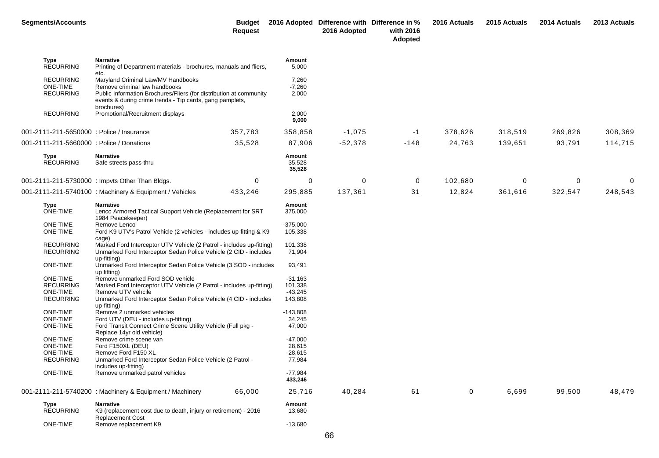| <b>Segments/Accounts</b>                                                  | <b>Budget</b><br><b>Request</b>                                                                                                                                                                       |                                            | 2016 Adopted Difference with Difference in %<br>2016 Adopted | with 2016<br>Adopted | 2016 Actuals | 2015 Actuals | 2014 Actuals | 2013 Actuals |
|---------------------------------------------------------------------------|-------------------------------------------------------------------------------------------------------------------------------------------------------------------------------------------------------|--------------------------------------------|--------------------------------------------------------------|----------------------|--------------|--------------|--------------|--------------|
| Type<br><b>RECURRING</b>                                                  | <b>Narrative</b><br>Printing of Department materials - brochures, manuals and fliers,<br>etc.                                                                                                         | Amount<br>5,000                            |                                                              |                      |              |              |              |              |
| <b>RECURRING</b><br><b>ONE-TIME</b><br><b>RECURRING</b>                   | Maryland Criminal Law/MV Handbooks<br>Remove criminal law handbooks<br>Public Information Brochures/Fliers (for distribution at community<br>events & during crime trends - Tip cards, gang pamplets, | 7,260<br>$-7,260$<br>2,000                 |                                                              |                      |              |              |              |              |
| <b>RECURRING</b>                                                          | brochures)<br>Promotional/Recruitment displays                                                                                                                                                        | 2,000<br>9,000                             |                                                              |                      |              |              |              |              |
| 001-2111-211-5650000 : Police / Insurance                                 | 357,783                                                                                                                                                                                               | 358,858                                    | $-1,075$                                                     | -1                   | 378,626      | 318,519      | 269,826      | 308,369      |
| 001-2111-211-5660000 : Police / Donations                                 | 35,528                                                                                                                                                                                                | 87,906                                     | $-52,378$                                                    | $-148$               | 24,763       | 139,651      | 93,791       | 114,715      |
| Type<br><b>RECURRING</b>                                                  | <b>Narrative</b><br>Safe streets pass-thru                                                                                                                                                            | Amount<br>35,528<br>35,528                 |                                                              |                      |              |              |              |              |
|                                                                           | 001-2111-211-5730000 : Impvts Other Than Bldgs.<br>0                                                                                                                                                  | 0                                          | 0                                                            | 0                    | 102,680      | 0            | 0            | 0            |
|                                                                           | 001-2111-211-5740100 : Machinery & Equipment / Vehicles<br>433,246                                                                                                                                    | 295,885                                    | 137,361                                                      | 31                   | 12,824       | 361,616      | 322,547      | 248,543      |
| Type<br>ONE-TIME                                                          | <b>Narrative</b><br>Lenco Armored Tactical Support Vehicle (Replacement for SRT<br>1984 Peacekeeper)                                                                                                  | Amount<br>375,000                          |                                                              |                      |              |              |              |              |
| <b>ONE-TIME</b><br><b>ONE-TIME</b>                                        | Remove Lenco<br>Ford K9 UTV's Patrol Vehicle (2 vehicles - includes up-fitting & K9<br>cage)                                                                                                          | $-375,000$<br>105,338                      |                                                              |                      |              |              |              |              |
| <b>RECURRING</b><br><b>RECURRING</b>                                      | Marked Ford Interceptor UTV Vehicle (2 Patrol - includes up-fitting)<br>Unmarked Ford Interceptor Sedan Police Vehicle (2 CID - includes<br>up-fitting)                                               | 101,338<br>71,904                          |                                                              |                      |              |              |              |              |
| ONE-TIME                                                                  | Unmarked Ford Interceptor Sedan Police Vehicle (3 SOD - includes<br>up fitting)                                                                                                                       | 93,491                                     |                                                              |                      |              |              |              |              |
| ONE-TIME<br><b>RECURRING</b><br><b>ONE-TIME</b>                           | Remove unmarked Ford SOD vehicle<br>Marked Ford Interceptor UTV Vehicle (2 Patrol - includes up-fitting)<br>Remove UTV vehcile                                                                        | $-31,163$<br>101,338<br>$-43,245$          |                                                              |                      |              |              |              |              |
| <b>RECURRING</b>                                                          | Unmarked Ford Interceptor Sedan Police Vehicle (4 CID - includes<br>up-fitting)                                                                                                                       | 143,808                                    |                                                              |                      |              |              |              |              |
| <b>ONE-TIME</b><br>ONE-TIME<br><b>ONE-TIME</b>                            | Remove 2 unmarked vehicles<br>Ford UTV (DEU - includes up-fitting)<br>Ford Transit Connect Crime Scene Utility Vehicle (Full pkg -<br>Replace 14yr old vehicle)                                       | $-143,808$<br>34,245<br>47,000             |                                                              |                      |              |              |              |              |
| <b>ONE-TIME</b><br><b>ONE-TIME</b><br><b>ONE-TIME</b><br><b>RECURRING</b> | Remove crime scene van<br>Ford F150XL (DEU)<br>Remove Ford F150 XL<br>Unmarked Ford Interceptor Sedan Police Vehicle (2 Patrol -                                                                      | $-47,000$<br>28,615<br>$-28,615$<br>77,984 |                                                              |                      |              |              |              |              |
| ONE-TIME                                                                  | includes up-fitting)<br>Remove unmarked patrol vehicles                                                                                                                                               | $-77,984$<br>433,246                       |                                                              |                      |              |              |              |              |
|                                                                           | 001-2111-211-5740200 : Machinery & Equipment / Machinery<br>66,000                                                                                                                                    | 25,716                                     | 40,284                                                       | 61                   | 0            | 6,699        | 99,500       | 48,479       |
| Type<br><b>RECURRING</b>                                                  | <b>Narrative</b><br>K9 (replacement cost due to death, injury or retirement) - 2016<br><b>Replacement Cost</b>                                                                                        | Amount<br>13,680                           |                                                              |                      |              |              |              |              |
| ONE-TIME                                                                  | Remove replacement K9                                                                                                                                                                                 | $-13,680$                                  |                                                              |                      |              |              |              |              |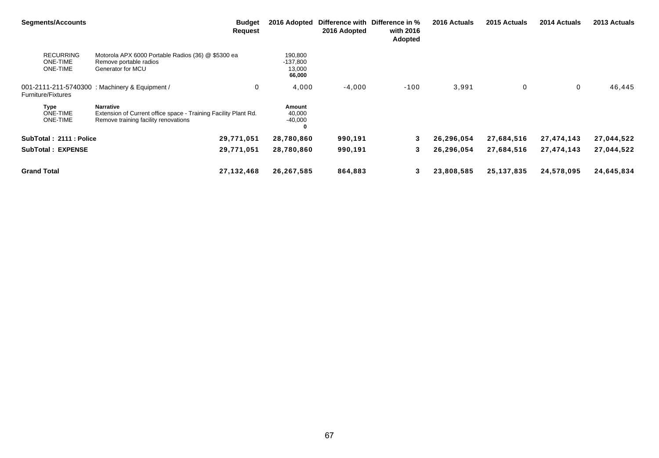| <b>Segments/Accounts</b>                               |                                                                                                                             | <b>Budget</b><br>Request | 2016 Adopted                              | Difference with Difference in %<br>2016 Adopted | with 2016<br>Adopted | 2016 Actuals | 2015 Actuals | 2014 Actuals | 2013 Actuals |
|--------------------------------------------------------|-----------------------------------------------------------------------------------------------------------------------------|--------------------------|-------------------------------------------|-------------------------------------------------|----------------------|--------------|--------------|--------------|--------------|
| <b>RECURRING</b><br><b>ONE-TIME</b><br><b>ONE-TIME</b> | Motorola APX 6000 Portable Radios (36) @ \$5300 ea<br>Remove portable radios<br>Generator for MCU                           |                          | 190,800<br>$-137,800$<br>13,000<br>66,000 |                                                 |                      |              |              |              |              |
| <b>Furniture/Fixtures</b>                              | 001-2111-211-5740300 : Machinery & Equipment /                                                                              | 0                        | 4,000                                     | $-4,000$                                        | $-100$               | 3,991        | 0            | 0            | 46,445       |
| <b>Type</b><br><b>ONE-TIME</b><br><b>ONE-TIME</b>      | <b>Narrative</b><br>Extension of Current office space - Training Facility Plant Rd.<br>Remove training facility renovations |                          | Amount<br>40,000<br>$-40,000$<br>0        |                                                 |                      |              |              |              |              |
| SubTotal: 2111 : Police                                |                                                                                                                             | 29,771,051               | 28,780,860                                | 990,191                                         | 3                    | 26,296,054   | 27,684,516   | 27,474,143   | 27,044,522   |
| <b>SubTotal: EXPENSE</b>                               |                                                                                                                             | 29,771,051               | 28,780,860                                | 990,191                                         | 3                    | 26,296,054   | 27,684,516   | 27,474,143   | 27,044,522   |
| <b>Grand Total</b>                                     |                                                                                                                             | 27,132,468               | 26,267,585                                | 864,883                                         | 3                    | 23,808,585   | 25,137,835   | 24,578,095   | 24,645,834   |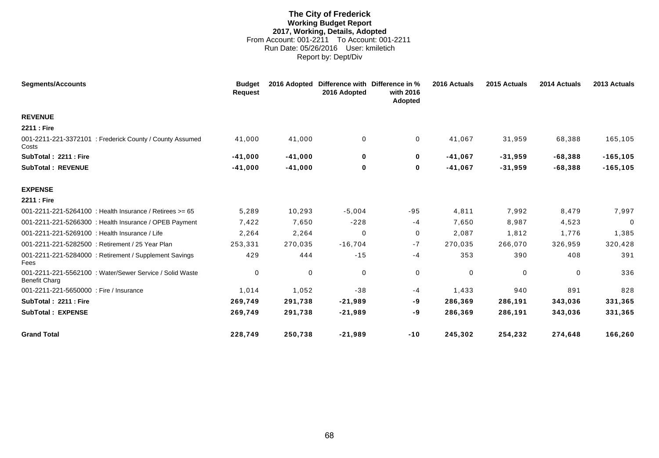# **The City of Frederick Working Budget Report 2017, Working, Details, Adopted** From Account: 001-2211 To Account: 001-2211 Run Date: 05/26/2016 User: kmiletich Report by: Dept/Div

| <b>Segments/Accounts</b>                       |                                                          | <b>Budget</b><br><b>Request</b> |             | 2016 Adopted Difference with Difference in %<br>2016 Adopted | with 2016<br><b>Adopted</b> | 2016 Actuals | 2015 Actuals | 2014 Actuals | 2013 Actuals |
|------------------------------------------------|----------------------------------------------------------|---------------------------------|-------------|--------------------------------------------------------------|-----------------------------|--------------|--------------|--------------|--------------|
| <b>REVENUE</b>                                 |                                                          |                                 |             |                                                              |                             |              |              |              |              |
| 2211 : Fire                                    |                                                          |                                 |             |                                                              |                             |              |              |              |              |
| Costs                                          | 001-2211-221-3372101: Frederick County / County Assumed  | 41,000                          | 41,000      | 0                                                            | 0                           | 41,067       | 31,959       | 68,388       | 165,105      |
| SubTotal: 2211 : Fire                          |                                                          | $-41,000$                       | $-41,000$   | 0                                                            | $\mathbf 0$                 | $-41,067$    | $-31,959$    | $-68,388$    | $-165, 105$  |
| <b>SubTotal: REVENUE</b>                       |                                                          | $-41,000$                       | $-41,000$   | 0                                                            | 0                           | $-41,067$    | $-31,959$    | $-68,388$    | $-165, 105$  |
| <b>EXPENSE</b>                                 |                                                          |                                 |             |                                                              |                             |              |              |              |              |
| 2211 : Fire                                    |                                                          |                                 |             |                                                              |                             |              |              |              |              |
|                                                | 001-2211-221-5264100 : Health Insurance / Retirees >= 65 | 5,289                           | 10,293      | $-5,004$                                                     | -95                         | 4,811        | 7,992        | 8,479        | 7,997        |
|                                                | 001-2211-221-5266300 : Health Insurance / OPEB Payment   | 7,422                           | 7,650       | $-228$                                                       | -4                          | 7,650        | 8,987        | 4,523        | 0            |
| 001-2211-221-5269100 : Health Insurance / Life |                                                          | 2,264                           | 2,264       | $\Omega$                                                     | 0                           | 2,087        | 1,812        | 1,776        | 1,385        |
|                                                | 001-2211-221-5282500 : Retirement / 25 Year Plan         | 253,331                         | 270,035     | $-16,704$                                                    | $-7$                        | 270.035      | 266,070      | 326,959      | 320,428      |
| Fees                                           | 001-2211-221-5284000: Retirement / Supplement Savings    | 429                             | 444         | $-15$                                                        | $-4$                        | 353          | 390          | 408          | 391          |
| <b>Benefit Charg</b>                           | 001-2211-221-5562100 : Water/Sewer Service / Solid Waste | 0                               | $\mathbf 0$ | 0                                                            | $\mathbf 0$                 | 0            | 0            | 0            | 336          |
| 001-2211-221-5650000 : Fire / Insurance        |                                                          | 1,014                           | 1,052       | $-38$                                                        | -4                          | 1,433        | 940          | 891          | 828          |
| SubTotal: 2211 : Fire                          |                                                          | 269,749                         | 291,738     | $-21,989$                                                    | -9                          | 286,369      | 286,191      | 343,036      | 331,365      |
| SubTotal: EXPENSE                              |                                                          | 269,749                         | 291,738     | $-21,989$                                                    | -9                          | 286,369      | 286,191      | 343,036      | 331,365      |
| <b>Grand Total</b>                             |                                                          | 228,749                         | 250,738     | $-21,989$                                                    | $-10$                       | 245,302      | 254,232      | 274,648      | 166,260      |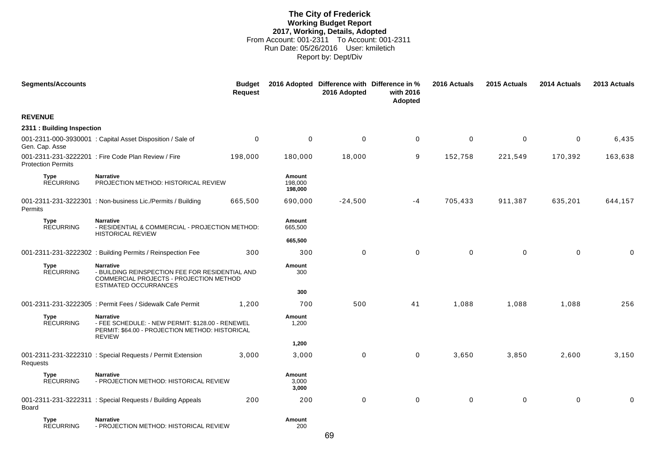# **The City of Frederick Working Budget Report 2017, Working, Details, Adopted** From Account: 001-2311 To Account: 001-2311 Run Date: 05/26/2016 User: kmiletich Report by: Dept/Div

| <b>Segments/Accounts</b>        |                                                                                                                                          | <b>Budget</b><br><b>Request</b> |                              | 2016 Adopted Difference with Difference in %<br>2016 Adopted | with 2016<br>Adopted | 2016 Actuals | 2015 Actuals        | 2014 Actuals | 2013 Actuals |
|---------------------------------|------------------------------------------------------------------------------------------------------------------------------------------|---------------------------------|------------------------------|--------------------------------------------------------------|----------------------|--------------|---------------------|--------------|--------------|
| <b>REVENUE</b>                  |                                                                                                                                          |                                 |                              |                                                              |                      |              |                     |              |              |
| 2311 : Building Inspection      |                                                                                                                                          |                                 |                              |                                                              |                      |              |                     |              |              |
| Gen. Cap. Asse                  | 001-2311-000-3930001 : Capital Asset Disposition / Sale of                                                                               | $\mathbf 0$                     | $\mathbf 0$                  | $\mathbf 0$                                                  | $\mathbf 0$          | 0            | $\mathsf{O}\xspace$ | 0            | 6,435        |
| <b>Protection Permits</b>       | 001-2311-231-3222201 : Fire Code Plan Review / Fire                                                                                      | 198,000                         | 180,000                      | 18,000                                                       | 9                    | 152,758      | 221,549             | 170,392      | 163,638      |
| Type<br><b>RECURRING</b>        | <b>Narrative</b><br>PROJECTION METHOD: HISTORICAL REVIEW                                                                                 |                                 | Amount<br>198,000<br>198,000 |                                                              |                      |              |                     |              |              |
| Permits                         | 001-2311-231-3222301 : Non-business Lic./Permits / Building                                                                              | 665,500                         | 690,000                      | $-24,500$                                                    | -4                   | 705,433      | 911,387             | 635,201      | 644,157      |
| <b>Type</b><br><b>RECURRING</b> | <b>Narrative</b><br>- RESIDENTIAL & COMMERCIAL - PROJECTION METHOD:<br><b>HISTORICAL REVIEW</b>                                          |                                 | Amount<br>665,500            |                                                              |                      |              |                     |              |              |
|                                 |                                                                                                                                          |                                 | 665,500                      |                                                              |                      |              |                     |              |              |
|                                 | 001-2311-231-3222302 : Building Permits / Reinspection Fee                                                                               | 300                             | 300                          | $\mathbf 0$                                                  | $\mathbf 0$          | $\Omega$     | $\mathbf 0$         | $\mathbf 0$  | 0            |
| Type<br><b>RECURRING</b>        | <b>Narrative</b><br>- BUILDING REINSPECTION FEE FOR RESIDENTIAL AND<br>COMMERCIAL PROJECTS - PROJECTION METHOD<br>ESTIMATED OCCURRANCES  |                                 | Amount<br>300<br>300         |                                                              |                      |              |                     |              |              |
|                                 | 001-2311-231-3222305 : Permit Fees / Sidewalk Cafe Permit                                                                                | 1,200                           | 700                          | 500                                                          | 41                   | 1,088        | 1,088               | 1,088        | 256          |
| Type<br><b>RECURRING</b>        | <b>Narrative</b><br>- FEE SCHEDULE: - NEW PERMIT: \$128.00 - RENEWEL<br>PERMIT: \$64.00 - PROJECTION METHOD: HISTORICAL<br><b>REVIEW</b> |                                 | Amount<br>1,200              |                                                              |                      |              |                     |              |              |
|                                 |                                                                                                                                          |                                 | 1,200                        |                                                              |                      |              |                     |              |              |
| Requests                        | 001-2311-231-3222310 : Special Requests / Permit Extension                                                                               | 3,000                           | 3,000                        | $\mathbf 0$                                                  | $\mathbf 0$          | 3,650        | 3,850               | 2,600        | 3,150        |
| <b>Type</b><br><b>RECURRING</b> | <b>Narrative</b><br>- PROJECTION METHOD: HISTORICAL REVIEW                                                                               |                                 | Amount<br>3,000<br>3,000     |                                                              |                      |              |                     |              |              |
| Board                           | 001-2311-231-3222311 : Special Requests / Building Appeals                                                                               | 200                             | 200                          | $\mathbf 0$                                                  | $\mathbf 0$          | $\mathbf 0$  | 0                   | $\mathbf 0$  | 0            |
| <b>Type</b><br><b>RECURRING</b> | <b>Narrative</b><br>- PROJECTION METHOD: HISTORICAL REVIEW                                                                               |                                 | Amount<br>200                |                                                              |                      |              |                     |              |              |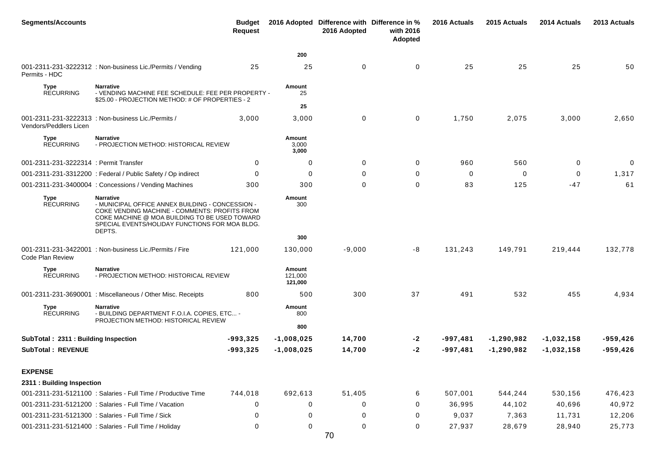| <b>Segments/Accounts</b>               |                                                                                                                                                                                                                             | <b>Budget</b><br><b>Request</b> |                              | 2016 Adopted Difference with Difference in %<br>2016 Adopted | with 2016<br>Adopted | 2016 Actuals | 2015 Actuals | 2014 Actuals | 2013 Actuals |
|----------------------------------------|-----------------------------------------------------------------------------------------------------------------------------------------------------------------------------------------------------------------------------|---------------------------------|------------------------------|--------------------------------------------------------------|----------------------|--------------|--------------|--------------|--------------|
|                                        |                                                                                                                                                                                                                             |                                 | 200                          |                                                              |                      |              |              |              |              |
| Permits - HDC                          | 001-2311-231-3222312 : Non-business Lic./Permits / Vending                                                                                                                                                                  | 25                              | 25                           | 0                                                            | 0                    | 25           | 25           | 25           | 50           |
| Type<br><b>RECURRING</b>               | <b>Narrative</b><br>- VENDING MACHINE FEE SCHEDULE: FEE PER PROPERTY -<br>\$25.00 - PROJECTION METHOD: # OF PROPERTIES - 2                                                                                                  |                                 | Amount<br>25                 |                                                              |                      |              |              |              |              |
|                                        |                                                                                                                                                                                                                             |                                 | 25                           |                                                              |                      |              |              |              |              |
| Vendors/Peddlers Licen                 | 001-2311-231-3222313 : Non-business Lic./Permits /                                                                                                                                                                          | 3,000                           | 3,000                        | $\mathbf 0$                                                  | 0                    | 1,750        | 2,075        | 3,000        | 2,650        |
| Type<br><b>RECURRING</b>               | <b>Narrative</b><br>- PROJECTION METHOD: HISTORICAL REVIEW                                                                                                                                                                  |                                 | Amount<br>3,000<br>3,000     |                                                              |                      |              |              |              |              |
| 001-2311-231-3222314 : Permit Transfer |                                                                                                                                                                                                                             | 0                               | 0                            | 0                                                            | 0                    | 960          | 560          | 0            | 0            |
|                                        | 001-2311-231-3312200 : Federal / Public Safety / Op indirect                                                                                                                                                                | $\Omega$                        | 0                            | 0                                                            | 0                    | 0            | 0            | $\Omega$     | 1,317        |
|                                        | 001-2311-231-3400004 : Concessions / Vending Machines                                                                                                                                                                       | 300                             | 300                          | 0                                                            | 0                    | 83           | 125          | $-47$        | 61           |
| Type<br><b>RECURRING</b>               | Narrative<br>- MUNICIPAL OFFICE ANNEX BUILDING - CONCESSION -<br>COKE VENDING MACHINE - COMMENTS: PROFITS FROM<br>COKE MACHINE @ MOA BUILDING TO BE USED TOWARD<br>SPECIAL EVENTS/HOLIDAY FUNCTIONS FOR MOA BLDG.<br>DEPTS. |                                 | Amount<br>300                |                                                              |                      |              |              |              |              |
|                                        |                                                                                                                                                                                                                             |                                 | 300                          |                                                              |                      |              |              |              |              |
| Code Plan Review                       | 001-2311-231-3422001 : Non-business Lic./Permits / Fire                                                                                                                                                                     | 121,000                         | 130,000                      | $-9,000$                                                     | -8                   | 131,243      | 149,791      | 219,444      | 132,778      |
| Type<br><b>RECURRING</b>               | <b>Narrative</b><br>- PROJECTION METHOD: HISTORICAL REVIEW                                                                                                                                                                  |                                 | Amount<br>121,000<br>121,000 |                                                              |                      |              |              |              |              |
|                                        | 001-2311-231-3690001 : Miscellaneous / Other Misc. Receipts                                                                                                                                                                 | 800                             | 500                          | 300                                                          | 37                   | 491          | 532          | 455          | 4,934        |
| Type<br><b>RECURRING</b>               | <b>Narrative</b><br>- BUILDING DEPARTMENT F.O.I.A. COPIES, ETC -<br>PROJECTION METHOD: HISTORICAL REVIEW                                                                                                                    |                                 | Amount<br>800                |                                                              |                      |              |              |              |              |
|                                        |                                                                                                                                                                                                                             |                                 | 800                          |                                                              |                      |              |              |              |              |
| SubTotal: 2311 : Building Inspection   |                                                                                                                                                                                                                             | $-993,325$                      | $-1,008,025$                 | 14,700                                                       | -2                   | $-997,481$   | $-1,290,982$ | $-1,032,158$ | $-959,426$   |
| <b>SubTotal: REVENUE</b>               |                                                                                                                                                                                                                             | $-993,325$                      | $-1,008,025$                 | 14,700                                                       | $-2$                 | $-997,481$   | $-1,290,982$ | $-1,032,158$ | $-959,426$   |
| <b>EXPENSE</b>                         |                                                                                                                                                                                                                             |                                 |                              |                                                              |                      |              |              |              |              |
| 2311 : Building Inspection             |                                                                                                                                                                                                                             |                                 |                              |                                                              |                      |              |              |              |              |
|                                        | 001-2311-231-5121100 : Salaries - Full Time / Productive Time                                                                                                                                                               | 744,018                         | 692,613                      | 51,405                                                       | 6                    | 507,001      | 544,244      | 530,156      | 476,423      |
|                                        | 001-2311-231-5121200 : Salaries - Full Time / Vacation                                                                                                                                                                      | 0                               | 0                            | 0                                                            | 0                    | 36,995       | 44,102       | 40,696       | 40,972       |
|                                        | 001-2311-231-5121300 : Salaries - Full Time / Sick                                                                                                                                                                          | 0                               | 0                            | 0                                                            | 0                    | 9,037        | 7,363        | 11,731       | 12,206       |
|                                        | 001-2311-231-5121400 : Salaries - Full Time / Holiday                                                                                                                                                                       | 0                               | 0                            | 0                                                            | 0                    | 27,937       | 28,679       | 28,940       | 25,773       |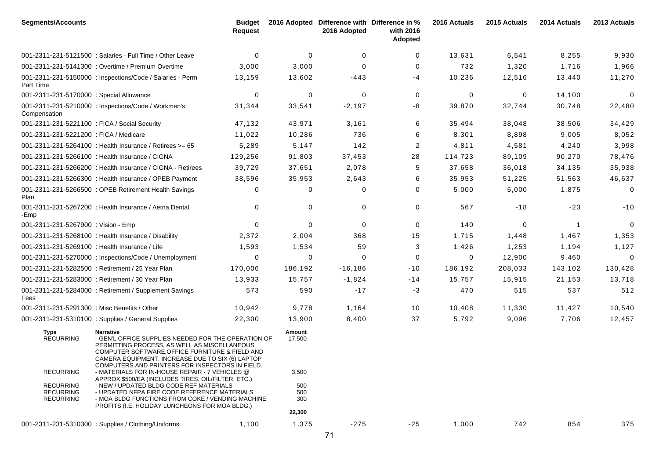| 001-2311-231-5121500 : Salaries - Full Time / Other Leave<br>$\Omega$<br>0<br>0<br>13,631<br>6,541<br>8,255<br>9,930<br>0<br>3,000<br>732<br>001-2311-231-5141300 : Overtime / Premium Overtime<br>3,000<br>$\Omega$<br>0<br>1,320<br>1,716<br>1,966<br>13,602<br>10,236<br>11,270<br>001-2311-231-5150000 : Inspections/Code / Salaries - Perm<br>13,159<br>$-443$<br>12,516<br>13,440<br>-4<br>Part Time<br>$\mathbf 0$<br>0<br>0<br>14,100<br>0<br>001-2311-231-5170000 : Special Allowance<br>$\Omega$<br>0<br>0<br>33,541<br>32,744<br>001-2311-231-5210000 : Inspections/Code / Workmen's<br>31,344<br>$-2,197$<br>-8<br>39,870<br>30,748<br>22,480<br>Compensation<br>47,132<br>6<br>001-2311-231-5221100 : FICA / Social Security<br>43,971<br>3,161<br>35,494<br>38,048<br>38,506<br>34,429<br>001-2311-231-5221200 : FICA / Medicare<br>10,286<br>736<br>11,022<br>6<br>8,301<br>8,898<br>9,005<br>8,052<br>5,147<br>142<br>$\overline{2}$<br>3,998<br>001-2311-231-5264100 : Health Insurance / Retirees >= 65<br>5,289<br>4,811<br>4,581<br>4,240<br>28<br>001-2311-231-5266100 : Health Insurance / CIGNA<br>129,256<br>91,803<br>37,453<br>114,723<br>89,109<br>90,270<br>78,476<br>39,729<br>37,658<br>34,135<br>001-2311-231-5266200 : Health Insurance / CIGNA - Retirees<br>37,651<br>2,078<br>5<br>36,018<br>35,938<br>001-2311-231-5266300 : Health Insurance / OPEB Payment<br>38,596<br>35,953<br>2,643<br>6<br>35,953<br>51,225<br>51,563<br>46,637<br>0<br>001-2311-231-5266500 : OPEB Retirement Health Savings<br>0<br>0<br>$\Omega$<br>0<br>5,000<br>5,000<br>1,875<br>Plan<br>001-2311-231-5267200 : Health Insurance / Aetna Dental<br>$-23$<br>$-10$<br>0<br>0<br>$\Omega$<br>0<br>567<br>$-18$<br>-Emp<br>001-2311-231-5267900 : Vision - Emp<br>$\mathbf 0$<br>0<br>$\mathbf 0$<br>$\Omega$<br>$\Omega$<br>140<br>0<br>-1<br>2,004<br>368<br>15<br>1,715<br>1,353<br>001-2311-231-5268100 : Health Insurance / Disability<br>2,372<br>1,448<br>1,467<br>59<br>1,127<br>001-2311-231-5269100 : Health Insurance / Life<br>1,593<br>1,534<br>3<br>1,426<br>1,253<br>1,194<br>$\mathbf 0$<br>001-2311-231-5270000 : Inspections/Code / Unemployment<br>0<br>0<br>0<br>12,900<br>9,460<br>$\Omega$<br>0<br>186,192<br>001-2311-231-5282500 : Retirement / 25 Year Plan<br>170,006<br>$-16,186$<br>$-10$<br>186,192<br>208,033<br>143,102<br>130,428<br>001-2311-231-5283000 : Retirement / 30 Year Plan<br>15,757<br>13,718<br>13,933<br>$-1,824$<br>$-14$<br>15,757<br>15,915<br>21,153<br>573<br>590<br>$-17$<br>$-3$<br>470<br>515<br>537<br>512<br>001-2311-231-5284000: Retirement / Supplement Savings<br>Fees<br>001-2311-231-5291300 : Misc Benefits / Other<br>10,942<br>9,778<br>1,164<br>10<br>10,408<br>11,330<br>11,427<br>10,540<br>37<br>9,096<br>7,706<br>001-2311-231-5310100 : Supplies / General Supplies<br>22,300<br>13,900<br>8,400<br>5,792<br>12,457<br><b>Narrative</b><br>Amount<br>Type<br><b>RECURRING</b><br>- GEN'L OFFICE SUPPLIES NEEDED FOR THE OPERATION OF<br>17,500<br>PERMITTING PROCESS, AS WELL AS MISCELLANEOUS<br>COMPUTER SOFTWARE, OFFICE FURNITURE & FIELD AND<br>CAMERA EQUIPMENT. INCREASE DUE TO SIX (6) LAPTOP<br>COMPUTERS AND PRINTERS FOR INSPECTORS IN FIELD.<br><b>RECURRING</b><br>- MATERIALS FOR IN-HOUSE REPAIR - 7 VEHICLES @<br>3,500<br>APPROX \$500/EA (INCLUDES TIRES, OIL/FILTER, ETC.)<br><b>RECURRING</b><br>- NEW / UPDATED BLDG CODE REF MATERIALS<br>500<br><b>RECURRING</b><br>- UPDATED NFPA FIRE CODE REFERENCE MATERIALS<br>500<br><b>RECURRING</b><br>- MOA BLDG FUNCTIONS FROM COKE / VENDING MACHINE<br>300<br>PROFITS (I.E. HOLIDAY LUNCHEONS FOR MOA BLDG.) | <b>Segments/Accounts</b> | <b>Budget</b><br><b>Request</b> |        | 2016 Adopted Difference with Difference in %<br>2016 Adopted | with 2016<br><b>Adopted</b> | 2016 Actuals | 2015 Actuals | 2014 Actuals | 2013 Actuals |
|----------------------------------------------------------------------------------------------------------------------------------------------------------------------------------------------------------------------------------------------------------------------------------------------------------------------------------------------------------------------------------------------------------------------------------------------------------------------------------------------------------------------------------------------------------------------------------------------------------------------------------------------------------------------------------------------------------------------------------------------------------------------------------------------------------------------------------------------------------------------------------------------------------------------------------------------------------------------------------------------------------------------------------------------------------------------------------------------------------------------------------------------------------------------------------------------------------------------------------------------------------------------------------------------------------------------------------------------------------------------------------------------------------------------------------------------------------------------------------------------------------------------------------------------------------------------------------------------------------------------------------------------------------------------------------------------------------------------------------------------------------------------------------------------------------------------------------------------------------------------------------------------------------------------------------------------------------------------------------------------------------------------------------------------------------------------------------------------------------------------------------------------------------------------------------------------------------------------------------------------------------------------------------------------------------------------------------------------------------------------------------------------------------------------------------------------------------------------------------------------------------------------------------------------------------------------------------------------------------------------------------------------------------------------------------------------------------------------------------------------------------------------------------------------------------------------------------------------------------------------------------------------------------------------------------------------------------------------------------------------------------------------------------------------------------------------------------------------------------------------------------------------------------------------------------------------------------------------------------------------------------------------------------------------------------------------------------------------------------------------------------------------------------------------------------------------------------------------------------------------------------------------------------------------------------------------------------------------------------------------------------------------------------------------|--------------------------|---------------------------------|--------|--------------------------------------------------------------|-----------------------------|--------------|--------------|--------------|--------------|
|                                                                                                                                                                                                                                                                                                                                                                                                                                                                                                                                                                                                                                                                                                                                                                                                                                                                                                                                                                                                                                                                                                                                                                                                                                                                                                                                                                                                                                                                                                                                                                                                                                                                                                                                                                                                                                                                                                                                                                                                                                                                                                                                                                                                                                                                                                                                                                                                                                                                                                                                                                                                                                                                                                                                                                                                                                                                                                                                                                                                                                                                                                                                                                                                                                                                                                                                                                                                                                                                                                                                                                                                                                                                      |                          |                                 |        |                                                              |                             |              |              |              |              |
|                                                                                                                                                                                                                                                                                                                                                                                                                                                                                                                                                                                                                                                                                                                                                                                                                                                                                                                                                                                                                                                                                                                                                                                                                                                                                                                                                                                                                                                                                                                                                                                                                                                                                                                                                                                                                                                                                                                                                                                                                                                                                                                                                                                                                                                                                                                                                                                                                                                                                                                                                                                                                                                                                                                                                                                                                                                                                                                                                                                                                                                                                                                                                                                                                                                                                                                                                                                                                                                                                                                                                                                                                                                                      |                          |                                 |        |                                                              |                             |              |              |              |              |
|                                                                                                                                                                                                                                                                                                                                                                                                                                                                                                                                                                                                                                                                                                                                                                                                                                                                                                                                                                                                                                                                                                                                                                                                                                                                                                                                                                                                                                                                                                                                                                                                                                                                                                                                                                                                                                                                                                                                                                                                                                                                                                                                                                                                                                                                                                                                                                                                                                                                                                                                                                                                                                                                                                                                                                                                                                                                                                                                                                                                                                                                                                                                                                                                                                                                                                                                                                                                                                                                                                                                                                                                                                                                      |                          |                                 |        |                                                              |                             |              |              |              |              |
|                                                                                                                                                                                                                                                                                                                                                                                                                                                                                                                                                                                                                                                                                                                                                                                                                                                                                                                                                                                                                                                                                                                                                                                                                                                                                                                                                                                                                                                                                                                                                                                                                                                                                                                                                                                                                                                                                                                                                                                                                                                                                                                                                                                                                                                                                                                                                                                                                                                                                                                                                                                                                                                                                                                                                                                                                                                                                                                                                                                                                                                                                                                                                                                                                                                                                                                                                                                                                                                                                                                                                                                                                                                                      |                          |                                 |        |                                                              |                             |              |              |              |              |
|                                                                                                                                                                                                                                                                                                                                                                                                                                                                                                                                                                                                                                                                                                                                                                                                                                                                                                                                                                                                                                                                                                                                                                                                                                                                                                                                                                                                                                                                                                                                                                                                                                                                                                                                                                                                                                                                                                                                                                                                                                                                                                                                                                                                                                                                                                                                                                                                                                                                                                                                                                                                                                                                                                                                                                                                                                                                                                                                                                                                                                                                                                                                                                                                                                                                                                                                                                                                                                                                                                                                                                                                                                                                      |                          |                                 |        |                                                              |                             |              |              |              |              |
|                                                                                                                                                                                                                                                                                                                                                                                                                                                                                                                                                                                                                                                                                                                                                                                                                                                                                                                                                                                                                                                                                                                                                                                                                                                                                                                                                                                                                                                                                                                                                                                                                                                                                                                                                                                                                                                                                                                                                                                                                                                                                                                                                                                                                                                                                                                                                                                                                                                                                                                                                                                                                                                                                                                                                                                                                                                                                                                                                                                                                                                                                                                                                                                                                                                                                                                                                                                                                                                                                                                                                                                                                                                                      |                          |                                 |        |                                                              |                             |              |              |              |              |
|                                                                                                                                                                                                                                                                                                                                                                                                                                                                                                                                                                                                                                                                                                                                                                                                                                                                                                                                                                                                                                                                                                                                                                                                                                                                                                                                                                                                                                                                                                                                                                                                                                                                                                                                                                                                                                                                                                                                                                                                                                                                                                                                                                                                                                                                                                                                                                                                                                                                                                                                                                                                                                                                                                                                                                                                                                                                                                                                                                                                                                                                                                                                                                                                                                                                                                                                                                                                                                                                                                                                                                                                                                                                      |                          |                                 |        |                                                              |                             |              |              |              |              |
|                                                                                                                                                                                                                                                                                                                                                                                                                                                                                                                                                                                                                                                                                                                                                                                                                                                                                                                                                                                                                                                                                                                                                                                                                                                                                                                                                                                                                                                                                                                                                                                                                                                                                                                                                                                                                                                                                                                                                                                                                                                                                                                                                                                                                                                                                                                                                                                                                                                                                                                                                                                                                                                                                                                                                                                                                                                                                                                                                                                                                                                                                                                                                                                                                                                                                                                                                                                                                                                                                                                                                                                                                                                                      |                          |                                 |        |                                                              |                             |              |              |              |              |
|                                                                                                                                                                                                                                                                                                                                                                                                                                                                                                                                                                                                                                                                                                                                                                                                                                                                                                                                                                                                                                                                                                                                                                                                                                                                                                                                                                                                                                                                                                                                                                                                                                                                                                                                                                                                                                                                                                                                                                                                                                                                                                                                                                                                                                                                                                                                                                                                                                                                                                                                                                                                                                                                                                                                                                                                                                                                                                                                                                                                                                                                                                                                                                                                                                                                                                                                                                                                                                                                                                                                                                                                                                                                      |                          |                                 |        |                                                              |                             |              |              |              |              |
|                                                                                                                                                                                                                                                                                                                                                                                                                                                                                                                                                                                                                                                                                                                                                                                                                                                                                                                                                                                                                                                                                                                                                                                                                                                                                                                                                                                                                                                                                                                                                                                                                                                                                                                                                                                                                                                                                                                                                                                                                                                                                                                                                                                                                                                                                                                                                                                                                                                                                                                                                                                                                                                                                                                                                                                                                                                                                                                                                                                                                                                                                                                                                                                                                                                                                                                                                                                                                                                                                                                                                                                                                                                                      |                          |                                 |        |                                                              |                             |              |              |              |              |
|                                                                                                                                                                                                                                                                                                                                                                                                                                                                                                                                                                                                                                                                                                                                                                                                                                                                                                                                                                                                                                                                                                                                                                                                                                                                                                                                                                                                                                                                                                                                                                                                                                                                                                                                                                                                                                                                                                                                                                                                                                                                                                                                                                                                                                                                                                                                                                                                                                                                                                                                                                                                                                                                                                                                                                                                                                                                                                                                                                                                                                                                                                                                                                                                                                                                                                                                                                                                                                                                                                                                                                                                                                                                      |                          |                                 |        |                                                              |                             |              |              |              |              |
|                                                                                                                                                                                                                                                                                                                                                                                                                                                                                                                                                                                                                                                                                                                                                                                                                                                                                                                                                                                                                                                                                                                                                                                                                                                                                                                                                                                                                                                                                                                                                                                                                                                                                                                                                                                                                                                                                                                                                                                                                                                                                                                                                                                                                                                                                                                                                                                                                                                                                                                                                                                                                                                                                                                                                                                                                                                                                                                                                                                                                                                                                                                                                                                                                                                                                                                                                                                                                                                                                                                                                                                                                                                                      |                          |                                 |        |                                                              |                             |              |              |              |              |
|                                                                                                                                                                                                                                                                                                                                                                                                                                                                                                                                                                                                                                                                                                                                                                                                                                                                                                                                                                                                                                                                                                                                                                                                                                                                                                                                                                                                                                                                                                                                                                                                                                                                                                                                                                                                                                                                                                                                                                                                                                                                                                                                                                                                                                                                                                                                                                                                                                                                                                                                                                                                                                                                                                                                                                                                                                                                                                                                                                                                                                                                                                                                                                                                                                                                                                                                                                                                                                                                                                                                                                                                                                                                      |                          |                                 |        |                                                              |                             |              |              |              |              |
|                                                                                                                                                                                                                                                                                                                                                                                                                                                                                                                                                                                                                                                                                                                                                                                                                                                                                                                                                                                                                                                                                                                                                                                                                                                                                                                                                                                                                                                                                                                                                                                                                                                                                                                                                                                                                                                                                                                                                                                                                                                                                                                                                                                                                                                                                                                                                                                                                                                                                                                                                                                                                                                                                                                                                                                                                                                                                                                                                                                                                                                                                                                                                                                                                                                                                                                                                                                                                                                                                                                                                                                                                                                                      |                          |                                 |        |                                                              |                             |              |              |              |              |
|                                                                                                                                                                                                                                                                                                                                                                                                                                                                                                                                                                                                                                                                                                                                                                                                                                                                                                                                                                                                                                                                                                                                                                                                                                                                                                                                                                                                                                                                                                                                                                                                                                                                                                                                                                                                                                                                                                                                                                                                                                                                                                                                                                                                                                                                                                                                                                                                                                                                                                                                                                                                                                                                                                                                                                                                                                                                                                                                                                                                                                                                                                                                                                                                                                                                                                                                                                                                                                                                                                                                                                                                                                                                      |                          |                                 |        |                                                              |                             |              |              |              |              |
|                                                                                                                                                                                                                                                                                                                                                                                                                                                                                                                                                                                                                                                                                                                                                                                                                                                                                                                                                                                                                                                                                                                                                                                                                                                                                                                                                                                                                                                                                                                                                                                                                                                                                                                                                                                                                                                                                                                                                                                                                                                                                                                                                                                                                                                                                                                                                                                                                                                                                                                                                                                                                                                                                                                                                                                                                                                                                                                                                                                                                                                                                                                                                                                                                                                                                                                                                                                                                                                                                                                                                                                                                                                                      |                          |                                 |        |                                                              |                             |              |              |              |              |
|                                                                                                                                                                                                                                                                                                                                                                                                                                                                                                                                                                                                                                                                                                                                                                                                                                                                                                                                                                                                                                                                                                                                                                                                                                                                                                                                                                                                                                                                                                                                                                                                                                                                                                                                                                                                                                                                                                                                                                                                                                                                                                                                                                                                                                                                                                                                                                                                                                                                                                                                                                                                                                                                                                                                                                                                                                                                                                                                                                                                                                                                                                                                                                                                                                                                                                                                                                                                                                                                                                                                                                                                                                                                      |                          |                                 |        |                                                              |                             |              |              |              |              |
|                                                                                                                                                                                                                                                                                                                                                                                                                                                                                                                                                                                                                                                                                                                                                                                                                                                                                                                                                                                                                                                                                                                                                                                                                                                                                                                                                                                                                                                                                                                                                                                                                                                                                                                                                                                                                                                                                                                                                                                                                                                                                                                                                                                                                                                                                                                                                                                                                                                                                                                                                                                                                                                                                                                                                                                                                                                                                                                                                                                                                                                                                                                                                                                                                                                                                                                                                                                                                                                                                                                                                                                                                                                                      |                          |                                 |        |                                                              |                             |              |              |              |              |
|                                                                                                                                                                                                                                                                                                                                                                                                                                                                                                                                                                                                                                                                                                                                                                                                                                                                                                                                                                                                                                                                                                                                                                                                                                                                                                                                                                                                                                                                                                                                                                                                                                                                                                                                                                                                                                                                                                                                                                                                                                                                                                                                                                                                                                                                                                                                                                                                                                                                                                                                                                                                                                                                                                                                                                                                                                                                                                                                                                                                                                                                                                                                                                                                                                                                                                                                                                                                                                                                                                                                                                                                                                                                      |                          |                                 |        |                                                              |                             |              |              |              |              |
|                                                                                                                                                                                                                                                                                                                                                                                                                                                                                                                                                                                                                                                                                                                                                                                                                                                                                                                                                                                                                                                                                                                                                                                                                                                                                                                                                                                                                                                                                                                                                                                                                                                                                                                                                                                                                                                                                                                                                                                                                                                                                                                                                                                                                                                                                                                                                                                                                                                                                                                                                                                                                                                                                                                                                                                                                                                                                                                                                                                                                                                                                                                                                                                                                                                                                                                                                                                                                                                                                                                                                                                                                                                                      |                          |                                 |        |                                                              |                             |              |              |              |              |
|                                                                                                                                                                                                                                                                                                                                                                                                                                                                                                                                                                                                                                                                                                                                                                                                                                                                                                                                                                                                                                                                                                                                                                                                                                                                                                                                                                                                                                                                                                                                                                                                                                                                                                                                                                                                                                                                                                                                                                                                                                                                                                                                                                                                                                                                                                                                                                                                                                                                                                                                                                                                                                                                                                                                                                                                                                                                                                                                                                                                                                                                                                                                                                                                                                                                                                                                                                                                                                                                                                                                                                                                                                                                      |                          |                                 |        |                                                              |                             |              |              |              |              |
|                                                                                                                                                                                                                                                                                                                                                                                                                                                                                                                                                                                                                                                                                                                                                                                                                                                                                                                                                                                                                                                                                                                                                                                                                                                                                                                                                                                                                                                                                                                                                                                                                                                                                                                                                                                                                                                                                                                                                                                                                                                                                                                                                                                                                                                                                                                                                                                                                                                                                                                                                                                                                                                                                                                                                                                                                                                                                                                                                                                                                                                                                                                                                                                                                                                                                                                                                                                                                                                                                                                                                                                                                                                                      |                          |                                 |        |                                                              |                             |              |              |              |              |
|                                                                                                                                                                                                                                                                                                                                                                                                                                                                                                                                                                                                                                                                                                                                                                                                                                                                                                                                                                                                                                                                                                                                                                                                                                                                                                                                                                                                                                                                                                                                                                                                                                                                                                                                                                                                                                                                                                                                                                                                                                                                                                                                                                                                                                                                                                                                                                                                                                                                                                                                                                                                                                                                                                                                                                                                                                                                                                                                                                                                                                                                                                                                                                                                                                                                                                                                                                                                                                                                                                                                                                                                                                                                      |                          |                                 |        |                                                              |                             |              |              |              |              |
|                                                                                                                                                                                                                                                                                                                                                                                                                                                                                                                                                                                                                                                                                                                                                                                                                                                                                                                                                                                                                                                                                                                                                                                                                                                                                                                                                                                                                                                                                                                                                                                                                                                                                                                                                                                                                                                                                                                                                                                                                                                                                                                                                                                                                                                                                                                                                                                                                                                                                                                                                                                                                                                                                                                                                                                                                                                                                                                                                                                                                                                                                                                                                                                                                                                                                                                                                                                                                                                                                                                                                                                                                                                                      |                          |                                 | 22,300 |                                                              |                             |              |              |              |              |
| 001-2311-231-5310300: Supplies / Clothing/Uniforms<br>1,100<br>1,375<br>$-275$<br>$-25$<br>1,000<br>742<br>854<br>375                                                                                                                                                                                                                                                                                                                                                                                                                                                                                                                                                                                                                                                                                                                                                                                                                                                                                                                                                                                                                                                                                                                                                                                                                                                                                                                                                                                                                                                                                                                                                                                                                                                                                                                                                                                                                                                                                                                                                                                                                                                                                                                                                                                                                                                                                                                                                                                                                                                                                                                                                                                                                                                                                                                                                                                                                                                                                                                                                                                                                                                                                                                                                                                                                                                                                                                                                                                                                                                                                                                                                |                          |                                 |        |                                                              |                             |              |              |              |              |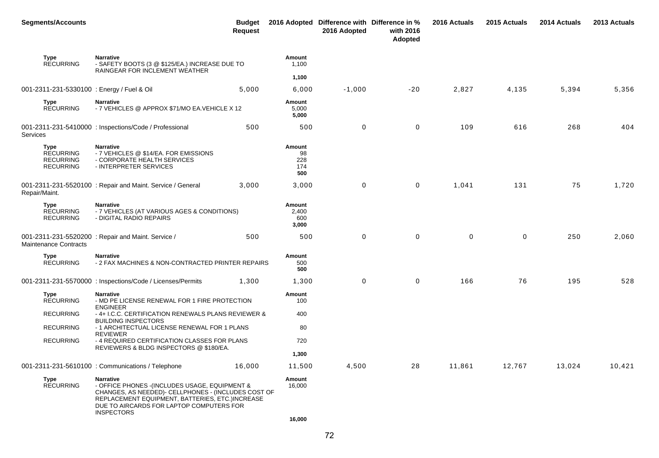| <b>Segments/Accounts</b>                                         |                                                                                                                                                                                                                                               | <b>Budget</b><br><b>Request</b> |                                   | 2016 Adopted Difference with Difference in %<br>2016 Adopted | with 2016<br>Adopted | 2016 Actuals | 2015 Actuals | 2014 Actuals | 2013 Actuals |
|------------------------------------------------------------------|-----------------------------------------------------------------------------------------------------------------------------------------------------------------------------------------------------------------------------------------------|---------------------------------|-----------------------------------|--------------------------------------------------------------|----------------------|--------------|--------------|--------------|--------------|
| Type<br><b>RECURRING</b>                                         | <b>Narrative</b><br>- SAFETY BOOTS (3 @ \$125/EA.) INCREASE DUE TO                                                                                                                                                                            |                                 | Amount<br>1,100                   |                                                              |                      |              |              |              |              |
|                                                                  | RAINGEAR FOR INCLEMENT WEATHER                                                                                                                                                                                                                |                                 | 1,100                             |                                                              |                      |              |              |              |              |
| 001-2311-231-5330100 : Energy / Fuel & Oil                       |                                                                                                                                                                                                                                               | 5,000                           | 6,000                             | $-1,000$                                                     | $-20$                | 2,827        | 4,135        | 5,394        | 5,356        |
| Type<br><b>RECURRING</b>                                         | <b>Narrative</b><br>- 7 VEHICLES @ APPROX \$71/MO EA. VEHICLE X 12                                                                                                                                                                            |                                 | Amount<br>5,000<br>5,000          |                                                              |                      |              |              |              |              |
| Services                                                         | 001-2311-231-5410000 : Inspections/Code / Professional                                                                                                                                                                                        | 500                             | 500                               | 0                                                            | 0                    | 109          | 616          | 268          | 404          |
| Type<br><b>RECURRING</b><br><b>RECURRING</b><br><b>RECURRING</b> | <b>Narrative</b><br>- 7 VEHICLES @ \$14/EA. FOR EMISSIONS<br>- CORPORATE HEALTH SERVICES<br>- INTERPRETER SERVICES                                                                                                                            |                                 | Amount<br>98<br>228<br>174<br>500 |                                                              |                      |              |              |              |              |
| Repair/Maint.                                                    | 001-2311-231-5520100 : Repair and Maint. Service / General                                                                                                                                                                                    | 3,000                           | 3,000                             | 0                                                            | 0                    | 1,041        | 131          | 75           | 1,720        |
| Type<br><b>RECURRING</b><br><b>RECURRING</b>                     | <b>Narrative</b><br>- 7 VEHICLES (AT VARIOUS AGES & CONDITIONS)<br>- DIGITAL RADIO REPAIRS                                                                                                                                                    |                                 | Amount<br>2,400<br>600<br>3,000   |                                                              |                      |              |              |              |              |
| <b>Maintenance Contracts</b>                                     | 001-2311-231-5520200 : Repair and Maint. Service /                                                                                                                                                                                            | 500                             | 500                               | 0                                                            | 0                    | 0            | $\mathbf 0$  | 250          | 2,060        |
| Type<br><b>RECURRING</b>                                         | <b>Narrative</b><br>- 2 FAX MACHINES & NON-CONTRACTED PRINTER REPAIRS                                                                                                                                                                         |                                 | Amount<br>500<br>500              |                                                              |                      |              |              |              |              |
|                                                                  | 001-2311-231-5570000 : Inspections/Code / Licenses/Permits                                                                                                                                                                                    | 1,300                           | 1,300                             | 0                                                            | 0                    | 166          | 76           | 195          | 528          |
| Type<br><b>RECURRING</b>                                         | <b>Narrative</b><br>- MD PE LICENSE RENEWAL FOR 1 FIRE PROTECTION<br><b>ENGINEER</b>                                                                                                                                                          |                                 | Amount<br>100                     |                                                              |                      |              |              |              |              |
| <b>RECURRING</b>                                                 | - 4+ I.C.C. CERTIFICATION RENEWALS PLANS REVIEWER &<br><b>BUILDING INSPECTORS</b>                                                                                                                                                             |                                 | 400                               |                                                              |                      |              |              |              |              |
| <b>RECURRING</b>                                                 | - 1 ARCHITECTUAL LICENSE RENEWAL FOR 1 PLANS                                                                                                                                                                                                  |                                 | 80                                |                                                              |                      |              |              |              |              |
| <b>RECURRING</b>                                                 | <b>REVIEWER</b><br>- 4 REQUIRED CERTIFICATION CLASSES FOR PLANS<br>REVIEWERS & BLDG INSPECTORS @ \$180/EA.                                                                                                                                    |                                 | 720                               |                                                              |                      |              |              |              |              |
|                                                                  |                                                                                                                                                                                                                                               |                                 | 1,300                             |                                                              |                      |              |              |              |              |
|                                                                  | 001-2311-231-5610100 : Communications / Telephone                                                                                                                                                                                             | 16,000                          | 11,500                            | 4,500                                                        | 28                   | 11,861       | 12,767       | 13,024       | 10,421       |
| Type<br><b>RECURRING</b>                                         | <b>Narrative</b><br>- OFFICE PHONES - (INCLUDES USAGE, EQUIPMENT &<br>CHANGES, AS NEEDED)- CELLPHONES - (INCLUDES COST OF<br>REPLACEMENT EQUIPMENT, BATTERIES, ETC.)INCREASE<br>DUE TO AIRCARDS FOR LAPTOP COMPUTERS FOR<br><b>INSPECTORS</b> |                                 | Amount<br>16,000                  |                                                              |                      |              |              |              |              |
|                                                                  |                                                                                                                                                                                                                                               |                                 | 16,000                            |                                                              |                      |              |              |              |              |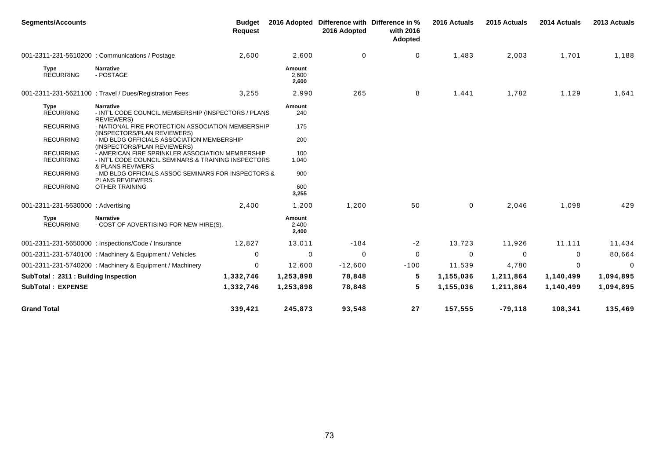| <b>Segments/Accounts</b>             |                                                                                                                             | <b>Budget</b><br><b>Request</b> | 2016 Adopted                    | 2016 Adopted | Difference with Difference in %<br>with 2016<br>Adopted | 2016 Actuals | 2015 Actuals | 2014 Actuals | 2013 Actuals |
|--------------------------------------|-----------------------------------------------------------------------------------------------------------------------------|---------------------------------|---------------------------------|--------------|---------------------------------------------------------|--------------|--------------|--------------|--------------|
|                                      | 001-2311-231-5610200 : Communications / Postage                                                                             | 2,600                           | 2,600                           | $\mathbf 0$  | 0                                                       | 1,483        | 2,003        | 1,701        | 1,188        |
| <b>Type</b><br><b>RECURRING</b>      | <b>Narrative</b><br>- POSTAGE                                                                                               |                                 | <b>Amount</b><br>2,600<br>2,600 |              |                                                         |              |              |              |              |
|                                      | 001-2311-231-5621100 : Travel / Dues/Registration Fees                                                                      | 3,255                           | 2,990                           | 265          | 8                                                       | 1,441        | 1,782        | 1,129        | 1,641        |
| <b>Type</b><br><b>RECURRING</b>      | <b>Narrative</b><br>- INT'L CODE COUNCIL MEMBERSHIP (INSPECTORS / PLANS<br>REVIEWERS)                                       |                                 | Amount<br>240                   |              |                                                         |              |              |              |              |
| <b>RECURRING</b>                     | - NATIONAL FIRE PROTECTION ASSOCIATION MEMBERSHIP<br>(INSPECTORS/PLAN REVIEWERS)                                            |                                 | 175                             |              |                                                         |              |              |              |              |
| <b>RECURRING</b>                     | - MD BLDG OFFICIALS ASSOCIATION MEMBERSHIP<br>(INSPECTORS/PLAN REVIEWERS)                                                   |                                 | 200                             |              |                                                         |              |              |              |              |
| <b>RECURRING</b><br><b>RECURRING</b> | - AMERICAN FIRE SPRINKLER ASSOCIATION MEMBERSHIP<br>- INT'L CODE COUNCIL SEMINARS & TRAINING INSPECTORS<br>& PLANS REVIWERS |                                 | 100<br>1,040                    |              |                                                         |              |              |              |              |
| <b>RECURRING</b>                     | - MD BLDG OFFICIALS ASSOC SEMINARS FOR INSPECTORS &<br><b>PLANS REVIEWERS</b>                                               |                                 | 900                             |              |                                                         |              |              |              |              |
| <b>RECURRING</b>                     | <b>OTHER TRAINING</b>                                                                                                       |                                 | 600<br>3,255                    |              |                                                         |              |              |              |              |
| 001-2311-231-5630000: Advertising    |                                                                                                                             | 2,400                           | 1,200                           | 1,200        | 50                                                      | $\mathbf{0}$ | 2,046        | 1,098        | 429          |
| <b>Type</b><br><b>RECURRING</b>      | <b>Narrative</b><br>- COST OF ADVERTISING FOR NEW HIRE(S).                                                                  |                                 | Amount<br>2,400<br>2,400        |              |                                                         |              |              |              |              |
|                                      | 001-2311-231-5650000 : Inspections/Code / Insurance                                                                         | 12,827                          | 13,011                          | $-184$       | $-2$                                                    | 13,723       | 11,926       | 11,111       | 11,434       |
|                                      | 001-2311-231-5740100 : Machinery & Equipment / Vehicles                                                                     | 0                               | $\mathbf 0$                     | 0            | $\mathbf 0$                                             | 0            | $\mathbf 0$  | $\Omega$     | 80,664       |
|                                      | 001-2311-231-5740200 : Machinery & Equipment / Machinery                                                                    | 0                               | 12,600                          | $-12,600$    | $-100$                                                  | 11,539       | 4,780        | 0            | 0            |
| SubTotal: 2311: Building Inspection  |                                                                                                                             | 1,332,746                       | 1,253,898                       | 78,848       | 5                                                       | 1,155,036    | 1,211,864    | 1,140,499    | 1,094,895    |
| <b>SubTotal: EXPENSE</b>             |                                                                                                                             | 1,332,746                       | 1,253,898                       | 78,848       | 5                                                       | 1,155,036    | 1,211,864    | 1,140,499    | 1,094,895    |
| <b>Grand Total</b>                   |                                                                                                                             | 339,421                         | 245,873                         | 93,548       | 27                                                      | 157,555      | $-79,118$    | 108,341      | 135,469      |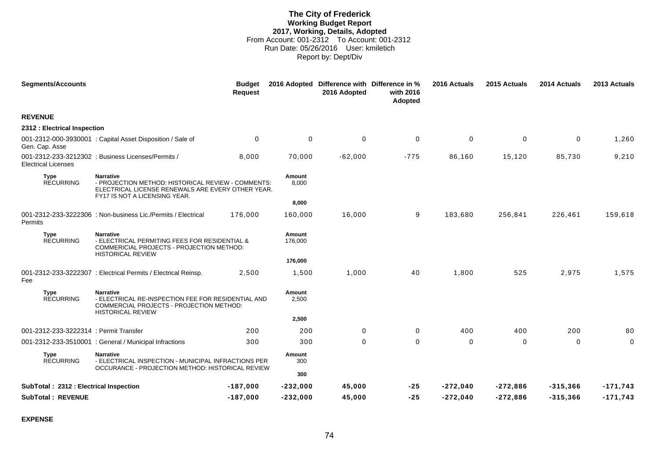# **The City of Frederick Working Budget Report 2017, Working, Details, Adopted** From Account: 001-2312 To Account: 001-2312 Run Date: 05/26/2016 User: kmiletich Report by: Dept/Div

| <b>Segments/Accounts</b>               |                                                                                                                                                              | <b>Budget</b><br><b>Request</b> |                      | 2016 Adopted Difference with Difference in %<br>2016 Adopted | with 2016<br>Adopted | 2016 Actuals | 2015 Actuals | 2014 Actuals | 2013 Actuals |
|----------------------------------------|--------------------------------------------------------------------------------------------------------------------------------------------------------------|---------------------------------|----------------------|--------------------------------------------------------------|----------------------|--------------|--------------|--------------|--------------|
| <b>REVENUE</b>                         |                                                                                                                                                              |                                 |                      |                                                              |                      |              |              |              |              |
| 2312 : Electrical Inspection           |                                                                                                                                                              |                                 |                      |                                                              |                      |              |              |              |              |
| Gen. Cap. Asse                         | 001-2312-000-3930001 : Capital Asset Disposition / Sale of                                                                                                   | $\mathbf 0$                     | $\pmb{0}$            | $\mathbf 0$                                                  | $\pmb{0}$            | $\mathbf 0$  | $\mathbf 0$  | $\mathbf 0$  | 1,260        |
| <b>Electrical Licenses</b>             | 001-2312-233-3212302 : Business Licenses/Permits /                                                                                                           | 8.000                           | 70,000               | $-62,000$                                                    | $-775$               | 86,160       | 15,120       | 85,730       | 9,210        |
| <b>Type</b><br><b>RECURRING</b>        | <b>Narrative</b><br>- PROJECTION METHOD: HISTORICAL REVIEW - COMMENTS:<br>ELECTRICAL LICENSE RENEWALS ARE EVERY OTHER YEAR.<br>FY17 IS NOT A LICENSING YEAR. |                                 | Amount<br>8,000      |                                                              |                      |              |              |              |              |
|                                        |                                                                                                                                                              |                                 | 8,000                |                                                              |                      |              |              |              |              |
| Permits                                | 001-2312-233-3222306 : Non-business Lic./Permits / Electrical                                                                                                | 176.000                         | 160,000              | 16,000                                                       | 9                    | 183,680      | 256,841      | 226,461      | 159,618      |
| <b>Type</b><br><b>RECURRING</b>        | <b>Narrative</b><br>- ELECTRICAL PERMITING FEES FOR RESIDENTIAL &<br>COMMERICIAL PROJECTS - PROJECTION METHOD:<br><b>HISTORICAL REVIEW</b>                   |                                 | Amount<br>176,000    |                                                              |                      |              |              |              |              |
|                                        |                                                                                                                                                              |                                 | 176,000              |                                                              |                      |              |              |              |              |
| Fee                                    | 001-2312-233-3222307 : Electrical Permits / Electrical Reinsp.                                                                                               | 2,500                           | 1,500                | 1,000                                                        | 40                   | 1,800        | 525          | 2,975        | 1,575        |
| <b>Type</b><br><b>RECURRING</b>        | <b>Narrative</b><br>- ELECTRICAL RE-INSPECTION FEE FOR RESIDENTIAL AND<br>COMMERCIAL PROJECTS - PROJECTION METHOD:<br><b>HISTORICAL REVIEW</b>               |                                 | Amount<br>2,500      |                                                              |                      |              |              |              |              |
|                                        |                                                                                                                                                              |                                 | 2,500                |                                                              |                      |              |              |              |              |
| 001-2312-233-3222314 : Permit Transfer |                                                                                                                                                              | 200                             | 200                  | $\Omega$                                                     | 0                    | 400          | 400          | 200          | 80           |
|                                        | 001-2312-233-3510001 : General / Municipal Infractions                                                                                                       | 300                             | 300                  | 0                                                            | $\mathbf 0$          | $\mathbf 0$  | 0            | $\mathbf 0$  | 0            |
| Type<br><b>RECURRING</b>               | <b>Narrative</b><br>- ELECTRICAL INSPECTION - MUNICIPAL INFRACTIONS PER<br>OCCURANCE - PROJECTION METHOD: HISTORICAL REVIEW                                  |                                 | Amount<br>300<br>300 |                                                              |                      |              |              |              |              |
| SubTotal: 2312 : Electrical Inspection |                                                                                                                                                              | $-187,000$                      | $-232,000$           | 45,000                                                       | $-25$                | $-272,040$   | $-272,886$   | $-315,366$   | $-171,743$   |
| <b>SubTotal: REVENUE</b>               |                                                                                                                                                              | $-187,000$                      | $-232,000$           | 45,000                                                       | $-25$                | $-272,040$   | $-272,886$   | $-315,366$   | $-171,743$   |

**EXPENSE**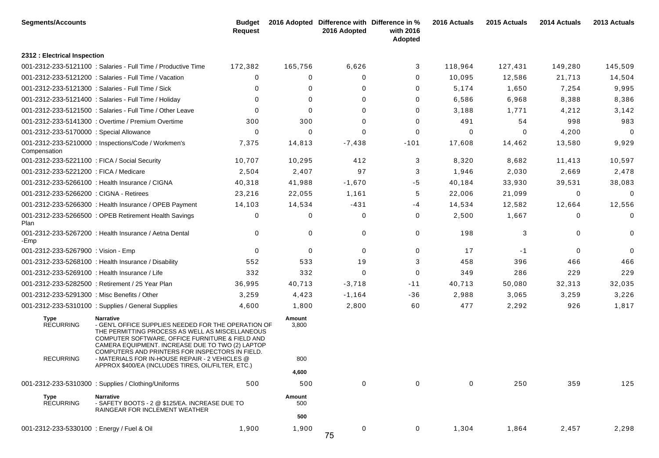| <b>Segments/Accounts</b>                            |                                                                                                                                                                                                                                                                                                                                                                                              | <b>Budget</b><br><b>Request</b> |                                 | 2016 Adopted Difference with Difference in %<br>2016 Adopted | with 2016<br>Adopted | 2016 Actuals | 2015 Actuals | 2014 Actuals | 2013 Actuals |
|-----------------------------------------------------|----------------------------------------------------------------------------------------------------------------------------------------------------------------------------------------------------------------------------------------------------------------------------------------------------------------------------------------------------------------------------------------------|---------------------------------|---------------------------------|--------------------------------------------------------------|----------------------|--------------|--------------|--------------|--------------|
| 2312 : Electrical Inspection                        |                                                                                                                                                                                                                                                                                                                                                                                              |                                 |                                 |                                                              |                      |              |              |              |              |
|                                                     | 001-2312-233-5121100 : Salaries - Full Time / Productive Time                                                                                                                                                                                                                                                                                                                                | 172,382                         | 165,756                         | 6,626                                                        | 3                    | 118,964      | 127,431      | 149,280      | 145,509      |
|                                                     | 001-2312-233-5121200 : Salaries - Full Time / Vacation                                                                                                                                                                                                                                                                                                                                       | 0                               | 0                               | 0                                                            | 0                    | 10,095       | 12,586       | 21,713       | 14,504       |
|                                                     | 001-2312-233-5121300 : Salaries - Full Time / Sick                                                                                                                                                                                                                                                                                                                                           | 0                               | 0                               | 0                                                            | 0                    | 5,174        | 1,650        | 7,254        | 9,995        |
|                                                     | 001-2312-233-5121400 : Salaries - Full Time / Holiday                                                                                                                                                                                                                                                                                                                                        | $\Omega$                        | 0                               | $\Omega$                                                     | 0                    | 6,586        | 6,968        | 8,388        | 8,386        |
|                                                     | 001-2312-233-5121500 : Salaries - Full Time / Other Leave                                                                                                                                                                                                                                                                                                                                    | $\Omega$                        | 0                               | 0                                                            | 0                    | 3,188        | 1,771        | 4,212        | 3,142        |
|                                                     | 001-2312-233-5141300 : Overtime / Premium Overtime                                                                                                                                                                                                                                                                                                                                           | 300                             | 300                             | $\Omega$                                                     | 0                    | 491          | 54           | 998          | 983          |
| 001-2312-233-5170000 : Special Allowance            |                                                                                                                                                                                                                                                                                                                                                                                              | 0                               | 0                               | 0                                                            | 0                    | 0            | 0            | 4,200        | $\mathbf 0$  |
| Compensation                                        | 001-2312-233-5210000 : Inspections/Code / Workmen's                                                                                                                                                                                                                                                                                                                                          | 7,375                           | 14,813                          | $-7,438$                                                     | $-101$               | 17,608       | 14,462       | 13,580       | 9,929        |
| 001-2312-233-5221100 : FICA / Social Security       |                                                                                                                                                                                                                                                                                                                                                                                              | 10,707                          | 10,295                          | 412                                                          | 3                    | 8,320        | 8,682        | 11,413       | 10,597       |
| 001-2312-233-5221200 : FICA / Medicare              |                                                                                                                                                                                                                                                                                                                                                                                              | 2,504                           | 2,407                           | 97                                                           | 3                    | 1,946        | 2,030        | 2,669        | 2,478        |
|                                                     | 001-2312-233-5266100 : Health Insurance / CIGNA                                                                                                                                                                                                                                                                                                                                              | 40,318                          | 41,988                          | $-1,670$                                                     | -5                   | 40,184       | 33,930       | 39,531       | 38,083       |
| 001-2312-233-5266200 : CIGNA - Retirees             |                                                                                                                                                                                                                                                                                                                                                                                              | 23,216                          | 22,055                          | 1,161                                                        | 5                    | 22,006       | 21,099       | 0            | 0            |
|                                                     | 001-2312-233-5266300 : Health Insurance / OPEB Payment                                                                                                                                                                                                                                                                                                                                       | 14,103                          | 14,534                          | $-431$                                                       | -4                   | 14,534       | 12,582       | 12,664       | 12,556       |
| Plan                                                | 001-2312-233-5266500 : OPEB Retirement Health Savings                                                                                                                                                                                                                                                                                                                                        | 0                               | 0                               | 0                                                            | 0                    | 2,500        | 1,667        | $\Omega$     | 0            |
| -Emp                                                | 001-2312-233-5267200 : Health Insurance / Aetna Dental                                                                                                                                                                                                                                                                                                                                       | 0                               | 0                               | $\mathbf 0$                                                  | 0                    | 198          | 3            | $\Omega$     | $\mathbf 0$  |
| 001-2312-233-5267900 : Vision - Emp                 |                                                                                                                                                                                                                                                                                                                                                                                              | 0                               | 0                               | $\Omega$                                                     | 0                    | 17           | $-1$         | $\Omega$     | $\mathbf 0$  |
|                                                     | 001-2312-233-5268100 : Health Insurance / Disability                                                                                                                                                                                                                                                                                                                                         | 552                             | 533                             | 19                                                           | 3                    | 458          | 396          | 466          | 466          |
| 001-2312-233-5269100 : Health Insurance / Life      |                                                                                                                                                                                                                                                                                                                                                                                              | 332                             | 332                             | $\Omega$                                                     | 0                    | 349          | 286          | 229          | 229          |
|                                                     | 001-2312-233-5282500 : Retirement / 25 Year Plan                                                                                                                                                                                                                                                                                                                                             | 36,995                          | 40,713                          | $-3,718$                                                     | $-11$                | 40,713       | 50,080       | 32,313       | 32,035       |
| 001-2312-233-5291300 : Misc Benefits / Other        |                                                                                                                                                                                                                                                                                                                                                                                              | 3,259                           | 4,423                           | $-1,164$                                                     | $-36$                | 2,988        | 3,065        | 3,259        | 3,226        |
|                                                     | 001-2312-233-5310100 : Supplies / General Supplies                                                                                                                                                                                                                                                                                                                                           | 4,600                           | 1,800                           | 2,800                                                        | 60                   | 477          | 2,292        | 926          | 1,817        |
| <b>Type</b><br><b>RECURRING</b><br><b>RECURRING</b> | <b>Narrative</b><br>- GEN'L OFFICE SUPPLIES NEEDED FOR THE OPERATION OF<br>THE PERMITTING PROCESS AS WELL AS MISCELLANEOUS<br>COMPUTER SOFTWARE, OFFICE FURNITURE & FIELD AND<br>CAMERA EQUIPMENT. INCREASE DUE TO TWO (2) LAPTOP<br>COMPUTERS AND PRINTERS FOR INSPECTORS IN FIELD.<br>- MATERIALS FOR IN-HOUSE REPAIR - 2 VEHICLES @<br>APPROX \$400/EA (INCLUDES TIRES, OIL/FILTER, ETC.) |                                 | Amount<br>3,800<br>800<br>4,600 |                                                              |                      |              |              |              |              |
|                                                     | 001-2312-233-5310300: Supplies / Clothing/Uniforms                                                                                                                                                                                                                                                                                                                                           | 500                             | 500                             | $\mathbf 0$                                                  | $\mathbf 0$          | $\mathbf 0$  | 250          | 359          | 125          |
| <b>Type</b><br><b>RECURRING</b>                     | <b>Narrative</b><br>- SAFETY BOOTS - 2 @ \$125/EA. INCREASE DUE TO<br>RAINGEAR FOR INCLEMENT WEATHER                                                                                                                                                                                                                                                                                         |                                 | Amount<br>500<br>500            |                                                              |                      |              |              |              |              |
| 001-2312-233-5330100 : Energy / Fuel & Oil          |                                                                                                                                                                                                                                                                                                                                                                                              | 1,900                           | 1,900                           | 0                                                            |                      | 1,304        | 1,864        | 2,457        | 2,298        |
|                                                     |                                                                                                                                                                                                                                                                                                                                                                                              |                                 |                                 |                                                              | 0                    |              |              |              |              |

75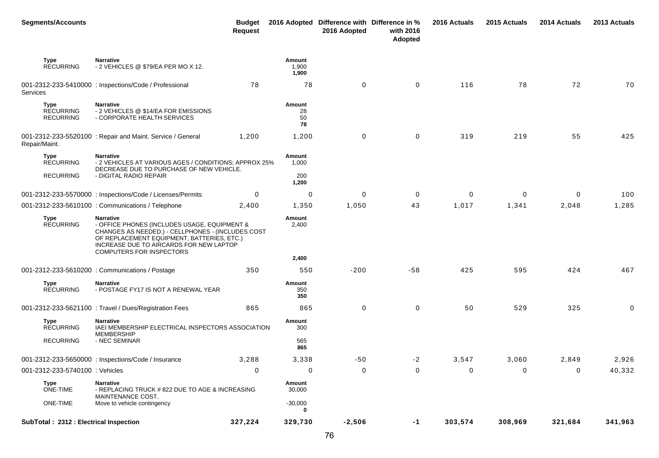| <b>Segments/Accounts</b>                     |                                                                                                                                                                                                                                                   | Budget<br><b>Request</b> |                          | 2016 Adopted Difference with Difference in %<br>2016 Adopted | with 2016<br>Adopted | 2016 Actuals | 2015 Actuals | 2014 Actuals | 2013 Actuals |
|----------------------------------------------|---------------------------------------------------------------------------------------------------------------------------------------------------------------------------------------------------------------------------------------------------|--------------------------|--------------------------|--------------------------------------------------------------|----------------------|--------------|--------------|--------------|--------------|
| Type<br><b>RECURRING</b>                     | <b>Narrative</b><br>- 2 VEHICLES @ \$79/EA PER MO X 12.                                                                                                                                                                                           |                          | Amount<br>1,900<br>1,900 |                                                              |                      |              |              |              |              |
| Services                                     | 001-2312-233-5410000 : Inspections/Code / Professional                                                                                                                                                                                            | 78                       | 78                       | 0                                                            | $\mathbf 0$          | 116          | 78           | 72           | 70           |
| Type<br><b>RECURRING</b><br><b>RECURRING</b> | <b>Narrative</b><br>- 2 VEHICLES @ \$14/EA FOR EMISSIONS<br>- CORPORATE HEALTH SERVICES                                                                                                                                                           |                          | Amount<br>28<br>50<br>78 |                                                              |                      |              |              |              |              |
| Repair/Maint.                                | 001-2312-233-5520100 : Repair and Maint. Service / General                                                                                                                                                                                        | 1,200                    | 1,200                    | 0                                                            | 0                    | 319          | 219          | 55           | 425          |
| Type<br><b>RECURRING</b>                     | <b>Narrative</b><br>- 2 VEHICLES AT VARIOUS AGES / CONDITIONS; APPROX 25%<br>DECREASE DUE TO PURCHASE OF NEW VEHICLE.                                                                                                                             |                          | Amount<br>1,000          |                                                              |                      |              |              |              |              |
| <b>RECURRING</b>                             | - DIGITAL RADIO REPAIR                                                                                                                                                                                                                            |                          | 200<br>1,200             |                                                              |                      |              |              |              |              |
|                                              | 001-2312-233-5570000 : Inspections/Code / Licenses/Permits                                                                                                                                                                                        | 0                        | 0                        | 0                                                            | 0                    | 0            | 0            | $\Omega$     | 100          |
|                                              | 001-2312-233-5610100 : Communications / Telephone                                                                                                                                                                                                 | 2,400                    | 1,350                    | 1,050                                                        | 43                   | 1,017        | 1,341        | 2,048        | 1,285        |
| <b>Type</b><br><b>RECURRING</b>              | <b>Narrative</b><br>- OFFICE PHONES (INCLUDES USAGE, EQUIPMENT &<br>CHANGES AS NEEDED.) - CELLPHONES - (INCLUDES COST<br>OF REPLACEMENT EQUIPMENT, BATTERIES, ETC.)<br>INCREASE DUE TO AIRCARDS FOR NEW LAPTOP<br><b>COMPUTERS FOR INSPECTORS</b> |                          | Amount<br>2,400          |                                                              |                      |              |              |              |              |
|                                              |                                                                                                                                                                                                                                                   |                          | 2,400                    |                                                              |                      |              |              |              |              |
|                                              | 001-2312-233-5610200 : Communications / Postage                                                                                                                                                                                                   | 350                      | 550                      | $-200$                                                       | $-58$                | 425          | 595          | 424          | 467          |
| Type<br><b>RECURRING</b>                     | <b>Narrative</b><br>- POSTAGE FY17 IS NOT A RENEWAL YEAR                                                                                                                                                                                          |                          | Amount<br>350<br>350     |                                                              |                      |              |              |              |              |
|                                              | 001-2312-233-5621100 : Travel / Dues/Registration Fees                                                                                                                                                                                            | 865                      | 865                      | 0                                                            | 0                    | 50           | 529          | 325          | 0            |
| Type<br><b>RECURRING</b>                     | <b>Narrative</b><br>IAEI MEMBERSHIP ELECTRICAL INSPECTORS ASSOCIATION<br><b>MEMBERSHIP</b>                                                                                                                                                        |                          | Amount<br>300            |                                                              |                      |              |              |              |              |
| <b>RECURRING</b>                             | - NEC SEMINAR                                                                                                                                                                                                                                     |                          | 565<br>865               |                                                              |                      |              |              |              |              |
|                                              | 001-2312-233-5650000 : Inspections/Code / Insurance                                                                                                                                                                                               | 3,288                    | 3,338                    | $-50$                                                        | $-2$                 | 3,547        | 3,060        | 2,849        | 2,926        |
| 001-2312-233-5740100 : Vehicles              |                                                                                                                                                                                                                                                   | 0                        | 0                        | $\mathbf 0$                                                  | 0                    | 0            | 0            | $\mathbf 0$  | 40,332       |
| Type<br>ONE-TIME                             | <b>Narrative</b><br>- REPLACING TRUCK # 822 DUE TO AGE & INCREASING<br>MAINTENANCE COST.                                                                                                                                                          |                          | Amount<br>30,000         |                                                              |                      |              |              |              |              |
| ONE-TIME                                     | Move to vehicle contingency                                                                                                                                                                                                                       |                          | $-30,000$<br>0           |                                                              |                      |              |              |              |              |
| SubTotal: 2312 : Electrical Inspection       |                                                                                                                                                                                                                                                   | 327,224                  | 329,730                  | $-2,506$                                                     | $-1$                 | 303,574      | 308,969      | 321,684      | 341,963      |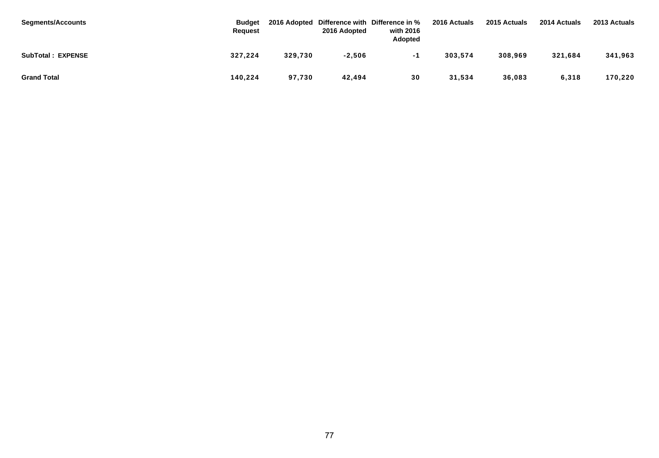| <b>Segments/Accounts</b> | <b>Budget</b><br>Request |         | 2016 Adopted | 2016 Adopted Difference with Difference in %<br>with 2016<br><b>Adopted</b> | 2016 Actuals | 2015 Actuals | 2014 Actuals | 2013 Actuals |
|--------------------------|--------------------------|---------|--------------|-----------------------------------------------------------------------------|--------------|--------------|--------------|--------------|
| <b>SubTotal: EXPENSE</b> | 327,224                  | 329,730 | $-2,506$     | - 1                                                                         | 303,574      | 308,969      | 321,684      | 341,963      |
| <b>Grand Total</b>       | 140.224                  | 97.730  | 42.494       | 30                                                                          | 31,534       | 36,083       | 6,318        | 170,220      |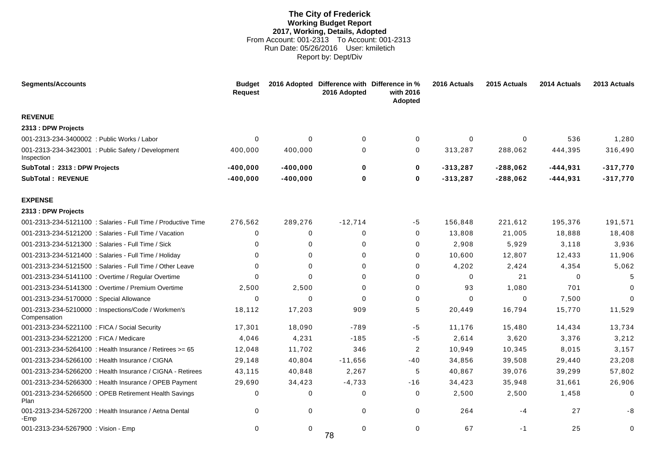# **The City of Frederick Working Budget Report 2017, Working, Details, Adopted** From Account: 001-2313 To Account: 001-2313 Run Date: 05/26/2016 User: kmiletich Report by: Dept/Div

| <b>Segments/Accounts</b>                                            | <b>Budget</b><br><b>Request</b> |            | 2016 Adopted Difference with Difference in %<br>2016 Adopted | with 2016<br>Adopted | 2016 Actuals | 2015 Actuals | 2014 Actuals | 2013 Actuals |
|---------------------------------------------------------------------|---------------------------------|------------|--------------------------------------------------------------|----------------------|--------------|--------------|--------------|--------------|
| <b>REVENUE</b>                                                      |                                 |            |                                                              |                      |              |              |              |              |
| 2313 : DPW Projects                                                 |                                 |            |                                                              |                      |              |              |              |              |
| 001-2313-234-3400002 : Public Works / Labor                         | $\Omega$                        | 0          | $\mathbf 0$                                                  | $\mathbf 0$          | $\Omega$     | $\mathbf 0$  | 536          | 1,280        |
| 001-2313-234-3423001 : Public Safety / Development<br>Inspection    | 400,000                         | 400,000    | $\Omega$                                                     | 0                    | 313,287      | 288,062      | 444,395      | 316,490      |
| SubTotal: 2313: DPW Projects                                        | $-400,000$                      | $-400,000$ | $\mathbf{0}$                                                 | 0                    | $-313,287$   | $-288,062$   | $-444,931$   | $-317,770$   |
| <b>SubTotal: REVENUE</b>                                            | $-400,000$                      | $-400,000$ | 0                                                            | 0                    | $-313,287$   | $-288,062$   | $-444,931$   | $-317,770$   |
| <b>EXPENSE</b>                                                      |                                 |            |                                                              |                      |              |              |              |              |
| 2313 : DPW Projects                                                 |                                 |            |                                                              |                      |              |              |              |              |
| 001-2313-234-5121100 : Salaries - Full Time / Productive Time       | 276,562                         | 289,276    | $-12,714$                                                    | $-5$                 | 156,848      | 221,612      | 195,376      | 191,571      |
| 001-2313-234-5121200 : Salaries - Full Time / Vacation              | 0                               | 0          | 0                                                            | 0                    | 13,808       | 21,005       | 18,888       | 18,408       |
| 001-2313-234-5121300 : Salaries - Full Time / Sick                  | $\Omega$                        | 0          | $\Omega$                                                     | 0                    | 2,908        | 5,929        | 3,118        | 3,936        |
| 001-2313-234-5121400 : Salaries - Full Time / Holiday               | $\Omega$                        | 0          | $\Omega$                                                     | 0                    | 10,600       | 12,807       | 12,433       | 11,906       |
| 001-2313-234-5121500 : Salaries - Full Time / Other Leave           | 0                               | $\Omega$   | 0                                                            | 0                    | 4,202        | 2,424        | 4,354        | 5,062        |
| 001-2313-234-5141100 : Overtime / Regular Overtime                  | $\Omega$                        | $\Omega$   | $\Omega$                                                     | 0                    | 0            | 21           | 0            | 5            |
| 001-2313-234-5141300 : Overtime / Premium Overtime                  | 2,500                           | 2,500      | $\Omega$                                                     | 0                    | 93           | 1,080        | 701          | $\Omega$     |
| 001-2313-234-5170000 : Special Allowance                            | 0                               | 0          | $\Omega$                                                     | 0                    | 0            | 0            | 7,500        | $\mathbf 0$  |
| 001-2313-234-5210000 : Inspections/Code / Workmen's<br>Compensation | 18,112                          | 17,203     | 909                                                          | 5                    | 20,449       | 16,794       | 15,770       | 11,529       |
| 001-2313-234-5221100 : FICA / Social Security                       | 17,301                          | 18,090     | $-789$                                                       | $-5$                 | 11,176       | 15,480       | 14,434       | 13,734       |
| 001-2313-234-5221200 : FICA / Medicare                              | 4,046                           | 4,231      | $-185$                                                       | $-5$                 | 2,614        | 3,620        | 3,376        | 3,212        |
| 001-2313-234-5264100 : Health Insurance / Retirees $>= 65$          | 12,048                          | 11,702     | 346                                                          | $\overline{c}$       | 10,949       | 10,345       | 8,015        | 3,157        |
| 001-2313-234-5266100 : Health Insurance / CIGNA                     | 29,148                          | 40,804     | $-11,656$                                                    | $-40$                | 34,856       | 39,508       | 29,440       | 23,208       |
| 001-2313-234-5266200 : Health Insurance / CIGNA - Retirees          | 43,115                          | 40.848     | 2,267                                                        | 5                    | 40,867       | 39,076       | 39,299       | 57,802       |
| 001-2313-234-5266300 : Health Insurance / OPEB Payment              | 29,690                          | 34,423     | $-4,733$                                                     | $-16$                | 34,423       | 35,948       | 31,661       | 26,906       |
| 001-2313-234-5266500 : OPEB Retirement Health Savings<br>Plan       | 0                               | 0          | 0                                                            | 0                    | 2,500        | 2,500        | 1,458        | 0            |
| 001-2313-234-5267200 : Health Insurance / Aetna Dental<br>-Emp      | 0                               | 0          | 0                                                            | 0                    | 264          | -4           | 27           | -8           |
| 001-2313-234-5267900 : Vision - Emp                                 | 0                               | 0          | 0<br>70                                                      | 0                    | 67           | $-1$         | 25           | 0            |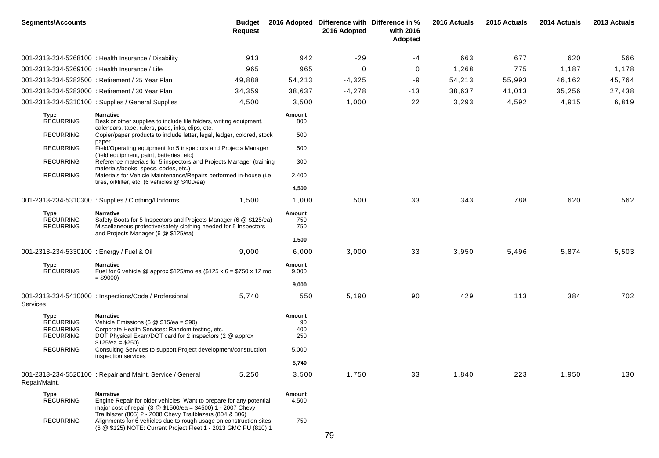| <b>Segments/Accounts</b>                                         |                                                                                                                                                                                                                        | <b>Budget</b><br><b>Request</b> |                            | 2016 Adopted Difference with Difference in %<br>2016 Adopted | with 2016<br>Adopted | 2016 Actuals | 2015 Actuals | 2014 Actuals | 2013 Actuals |
|------------------------------------------------------------------|------------------------------------------------------------------------------------------------------------------------------------------------------------------------------------------------------------------------|---------------------------------|----------------------------|--------------------------------------------------------------|----------------------|--------------|--------------|--------------|--------------|
|                                                                  | 001-2313-234-5268100 : Health Insurance / Disability                                                                                                                                                                   | 913                             | 942                        | $-29$                                                        | -4                   | 663          | 677          | 620          | 566          |
|                                                                  | 001-2313-234-5269100 : Health Insurance / Life                                                                                                                                                                         | 965                             | 965                        | 0                                                            | 0                    | 1,268        | 775          | 1,187        | 1,178        |
|                                                                  | 001-2313-234-5282500 : Retirement / 25 Year Plan                                                                                                                                                                       | 49,888                          | 54,213                     | $-4,325$                                                     | -9                   | 54,213       | 55,993       | 46,162       | 45,764       |
|                                                                  | 001-2313-234-5283000 : Retirement / 30 Year Plan                                                                                                                                                                       | 34,359                          | 38,637                     | $-4,278$                                                     | $-13$                | 38,637       | 41,013       | 35,256       | 27,438       |
|                                                                  | 001-2313-234-5310100 : Supplies / General Supplies                                                                                                                                                                     | 4,500                           | 3,500                      | 1,000                                                        | 22                   | 3,293        | 4,592        | 4,915        | 6,819        |
| Type<br><b>RECURRING</b>                                         | <b>Narrative</b><br>Desk or other supplies to include file folders, writing equipment,<br>calendars, tape, rulers, pads, inks, clips, etc.                                                                             |                                 | Amount<br>800              |                                                              |                      |              |              |              |              |
| <b>RECURRING</b>                                                 | Copier/paper products to include letter, legal, ledger, colored, stock                                                                                                                                                 |                                 | 500                        |                                                              |                      |              |              |              |              |
| <b>RECURRING</b>                                                 | paper<br>Field/Operating equipment for 5 inspectors and Projects Manager<br>(field equipment, paint, batteries, etc)                                                                                                   |                                 | 500                        |                                                              |                      |              |              |              |              |
| <b>RECURRING</b>                                                 | Reference materials for 5 inspectors and Projects Manager (training<br>materials/books, specs, codes, etc.)                                                                                                            |                                 | 300                        |                                                              |                      |              |              |              |              |
| <b>RECURRING</b>                                                 | Materials for Vehicle Maintenance/Repairs performed in-house (i.e.<br>tires, oil/filter, etc. (6 vehicles @ \$400/ea)                                                                                                  |                                 | 2,400                      |                                                              |                      |              |              |              |              |
|                                                                  |                                                                                                                                                                                                                        |                                 | 4,500                      |                                                              |                      |              |              |              |              |
|                                                                  | 001-2313-234-5310300: Supplies / Clothing/Uniforms                                                                                                                                                                     | 1,500                           | 1,000                      | 500                                                          | 33                   | 343          | 788          | 620          | 562          |
| Type<br><b>RECURRING</b><br><b>RECURRING</b>                     | <b>Narrative</b><br>Safety Boots for 5 Inspectors and Projects Manager (6 @ \$125/ea)<br>Miscellaneous protective/safety clothing needed for 5 Inspectors<br>and Projects Manager (6 @ \$125/ea)                       |                                 | Amount<br>750<br>750       |                                                              |                      |              |              |              |              |
|                                                                  |                                                                                                                                                                                                                        |                                 | 1,500                      |                                                              |                      |              |              |              |              |
| 001-2313-234-5330100 : Energy / Fuel & Oil                       |                                                                                                                                                                                                                        | 9,000                           | 6,000                      | 3,000                                                        | 33                   | 3,950        | 5,496        | 5,874        | 5,503        |
| Type<br><b>RECURRING</b>                                         | Narrative<br>Fuel for 6 vehicle @ approx $$125/m$ o ea (\$125 x 6 = \$750 x 12 mo<br>$= $9000$                                                                                                                         |                                 | Amount<br>9,000            |                                                              |                      |              |              |              |              |
|                                                                  |                                                                                                                                                                                                                        |                                 | 9,000                      |                                                              |                      |              |              |              |              |
| Services                                                         | 001-2313-234-5410000 : Inspections/Code / Professional                                                                                                                                                                 | 5,740                           | 550                        | 5,190                                                        | 90                   | 429          | 113          | 384          | 702          |
| Type<br><b>RECURRING</b><br><b>RECURRING</b><br><b>RECURRING</b> | <b>Narrative</b><br>Vehicle Emissions (6 $@$ \$15/ea = \$90)<br>Corporate Health Services: Random testing, etc.<br>DOT Physical Exam/DOT card for 2 inspectors (2 @ approx                                             |                                 | Amount<br>90<br>400<br>250 |                                                              |                      |              |              |              |              |
| <b>RECURRING</b>                                                 | $$125/ea = $250$<br>Consulting Services to support Project development/construction<br>inspection services                                                                                                             |                                 | 5,000                      |                                                              |                      |              |              |              |              |
|                                                                  |                                                                                                                                                                                                                        |                                 | 5,740                      |                                                              |                      |              |              |              |              |
| Repair/Maint.                                                    | 001-2313-234-5520100 : Repair and Maint. Service / General                                                                                                                                                             | 5,250                           | 3,500                      | 1,750                                                        | 33                   | 1,840        | 223          | 1,950        | 130          |
| Type<br><b>RECURRING</b>                                         | <b>Narrative</b><br>Engine Repair for older vehicles. Want to prepare for any potential<br>major cost of repair (3 $@$ \$1500/ea = \$4500) 1 - 2007 Chevy<br>Trailblazer (805) 2 - 2008 Chevy Trailblazers (804 & 806) |                                 | Amount<br>4,500            |                                                              |                      |              |              |              |              |
| <b>RECURRING</b>                                                 | Alignments for 6 vehicles due to rough usage on construction sites<br>(6 @ \$125) NOTE: Current Project Fleet 1 - 2013 GMC PU (810) 1                                                                                  |                                 | 750                        |                                                              |                      |              |              |              |              |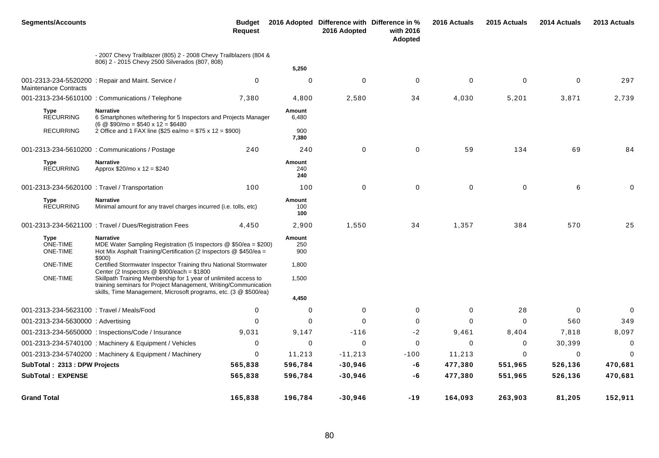| <b>Segments/Accounts</b>                          |                                                                                                                                                                                                                                                        | <b>Budget</b><br><b>Request</b> |                      | 2016 Adopted Difference with Difference in %<br>2016 Adopted | with 2016<br>Adopted | 2016 Actuals | 2015 Actuals | 2014 Actuals | 2013 Actuals |
|---------------------------------------------------|--------------------------------------------------------------------------------------------------------------------------------------------------------------------------------------------------------------------------------------------------------|---------------------------------|----------------------|--------------------------------------------------------------|----------------------|--------------|--------------|--------------|--------------|
|                                                   | - 2007 Chevy Trailblazer (805) 2 - 2008 Chevy Trailblazers (804 &<br>806) 2 - 2015 Chevy 2500 Silverados (807, 808)                                                                                                                                    |                                 | 5,250                |                                                              |                      |              |              |              |              |
| <b>Maintenance Contracts</b>                      | 001-2313-234-5520200 : Repair and Maint. Service /                                                                                                                                                                                                     | 0                               | $\mathbf 0$          | $\mathbf 0$                                                  | $\mathbf 0$          | 0            | $\mathbf 0$  | $\Omega$     | 297          |
|                                                   | 001-2313-234-5610100 : Communications / Telephone                                                                                                                                                                                                      | 7,380                           | 4,800                | 2,580                                                        | 34                   | 4,030        | 5,201        | 3,871        | 2,739        |
| Type<br><b>RECURRING</b>                          | <b>Narrative</b><br>6 Smartphones w/tethering for 5 Inspectors and Projects Manager<br>$(6 \t{0} \t$90/mo = $540 \times 12 = $6480$                                                                                                                    |                                 | Amount<br>6,480      |                                                              |                      |              |              |              |              |
| <b>RECURRING</b>                                  | 2 Office and 1 FAX line (\$25 ea/mo = $$75 \times 12 = $900$ )                                                                                                                                                                                         |                                 | 900<br>7,380         |                                                              |                      |              |              |              |              |
|                                                   | 001-2313-234-5610200 : Communications / Postage                                                                                                                                                                                                        | 240                             | 240                  | $\mathbf 0$                                                  | $\mathbf 0$          | 59           | 134          | 69           | 84           |
| Type<br><b>RECURRING</b>                          | Narrative<br>Approx $$20/mo \times 12 = $240$                                                                                                                                                                                                          |                                 | Amount<br>240<br>240 |                                                              |                      |              |              |              |              |
| 001-2313-234-5620100 : Travel / Transportation    |                                                                                                                                                                                                                                                        | 100                             | 100                  | 0                                                            | $\mathbf 0$          | $\mathbf 0$  | $\mathbf 0$  | 6            |              |
| Type<br><b>RECURRING</b>                          | <b>Narrative</b><br>Minimal amount for any travel charges incurred (i.e. tolls, etc)                                                                                                                                                                   |                                 | Amount<br>100<br>100 |                                                              |                      |              |              |              |              |
|                                                   | 001-2313-234-5621100 : Travel / Dues/Registration Fees                                                                                                                                                                                                 | 4.450                           | 2,900                | 1,550                                                        | 34                   | 1,357        | 384          | 570          | 25           |
| <b>Type</b><br><b>ONE-TIME</b><br><b>ONE-TIME</b> | <b>Narrative</b><br>MDE Water Sampling Registration (5 Inspectors @ \$50/ea = \$200)<br>Hot Mix Asphalt Training/Certification (2 Inspectors @ \$450/ea =                                                                                              |                                 | Amount<br>250<br>900 |                                                              |                      |              |              |              |              |
| <b>ONE-TIME</b>                                   | \$900<br>Certified Stormwater Inspector Training thru National Stormwater                                                                                                                                                                              |                                 | 1,800                |                                                              |                      |              |              |              |              |
| <b>ONE-TIME</b>                                   | Center (2 Inspectors $@$ \$900/each = \$1800<br>Skillpath Training Membership for 1 year of unlimited access to<br>training seminars for Project Management, Writing/Communication<br>skills, Time Management, Microsoft programs, etc. (3 @ \$500/ea) |                                 | 1,500                |                                                              |                      |              |              |              |              |
|                                                   |                                                                                                                                                                                                                                                        |                                 | 4,450                |                                                              |                      |              |              |              |              |
| 001-2313-234-5623100 : Travel / Meals/Food        |                                                                                                                                                                                                                                                        | 0                               | 0                    | 0                                                            | 0                    | 0            | 28           | $\Omega$     | $\Omega$     |
| 001-2313-234-5630000 : Advertising                |                                                                                                                                                                                                                                                        | $\Omega$                        | 0                    | $\Omega$                                                     | 0                    | $\Omega$     | 0            | 560          | 349          |
|                                                   | 001-2313-234-5650000 : Inspections/Code / Insurance                                                                                                                                                                                                    | 9,031                           | 9,147                | $-116$                                                       | -2                   | 9,461        | 8,404        | 7,818        | 8,097        |
|                                                   | 001-2313-234-5740100 : Machinery & Equipment / Vehicles                                                                                                                                                                                                | 0                               | 0                    | $\Omega$                                                     | 0                    | $\Omega$     | 0            | 30,399       | $\mathbf 0$  |
|                                                   | 001-2313-234-5740200 : Machinery & Equipment / Machinery                                                                                                                                                                                               | 0                               | 11,213               | $-11,213$                                                    | $-100$               | 11,213       | 0            | $\Omega$     | $\Omega$     |
| SubTotal: 2313: DPW Projects                      |                                                                                                                                                                                                                                                        | 565,838                         | 596,784              | $-30,946$                                                    | -6                   | 477,380      | 551,965      | 526,136      | 470,681      |
| <b>SubTotal: EXPENSE</b>                          |                                                                                                                                                                                                                                                        | 565,838                         | 596,784              | $-30,946$                                                    | -6                   | 477,380      | 551,965      | 526,136      | 470,681      |
| <b>Grand Total</b>                                |                                                                                                                                                                                                                                                        | 165,838                         | 196,784              | $-30,946$                                                    | -19                  | 164,093      | 263,903      | 81,205       | 152,911      |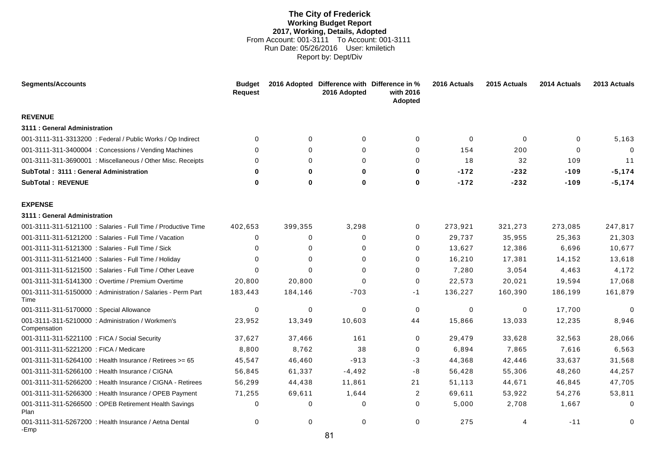# **The City of Frederick Working Budget Report 2017, Working, Details, Adopted** From Account: 001-3111 To Account: 001-3111 Run Date: 05/26/2016 User: kmiletich Report by: Dept/Div

| <b>Segments/Accounts</b>                                             | Budget<br><b>Request</b> |             | 2016 Adopted Difference with Difference in %<br>2016 Adopted | with 2016<br>Adopted | 2016 Actuals | 2015 Actuals | 2014 Actuals | 2013 Actuals |
|----------------------------------------------------------------------|--------------------------|-------------|--------------------------------------------------------------|----------------------|--------------|--------------|--------------|--------------|
| <b>REVENUE</b>                                                       |                          |             |                                                              |                      |              |              |              |              |
| 3111 : General Administration                                        |                          |             |                                                              |                      |              |              |              |              |
| 001-3111-311-3313200 : Federal / Public Works / Op Indirect          | $\Omega$                 | $\mathbf 0$ | $\mathbf 0$                                                  | $\mathbf 0$          | $\Omega$     | $\mathbf 0$  | $\Omega$     | 5,163        |
| 001-3111-311-3400004 : Concessions / Vending Machines                | $\Omega$                 | $\Omega$    | $\Omega$                                                     | $\Omega$             | 154          | 200          | $\Omega$     | $\Omega$     |
| 001-3111-311-3690001 : Miscellaneous / Other Misc. Receipts          | $\Omega$                 | $\Omega$    | $\Omega$                                                     | 0                    | 18           | 32           | 109          | 11           |
| SubTotal: 3111 : General Administration                              | 0                        | 0           | $\bf{0}$                                                     | 0                    | $-172$       | $-232$       | $-109$       | $-5,174$     |
| <b>SubTotal: REVENUE</b>                                             | $\bf{0}$                 | $\bf{0}$    | $\bf{0}$                                                     | 0                    | $-172$       | $-232$       | $-109$       | $-5,174$     |
| <b>EXPENSE</b>                                                       |                          |             |                                                              |                      |              |              |              |              |
| 3111 : General Administration                                        |                          |             |                                                              |                      |              |              |              |              |
| 001-3111-311-5121100 : Salaries - Full Time / Productive Time        | 402,653                  | 399,355     | 3,298                                                        | 0                    | 273,921      | 321,273      | 273,085      | 247,817      |
| 001-3111-311-5121200 : Salaries - Full Time / Vacation               | 0                        | 0           | $\Omega$                                                     | 0                    | 29,737       | 35,955       | 25,363       | 21,303       |
| 001-3111-311-5121300 : Salaries - Full Time / Sick                   | 0                        | 0           | 0                                                            | 0                    | 13,627       | 12,386       | 6,696        | 10,677       |
| 001-3111-311-5121400 : Salaries - Full Time / Holiday                | $\Omega$                 | $\Omega$    | $\Omega$                                                     | 0                    | 16,210       | 17,381       | 14,152       | 13,618       |
| 001-3111-311-5121500 : Salaries - Full Time / Other Leave            | 0                        | $\Omega$    | $\Omega$                                                     | 0                    | 7,280        | 3,054        | 4,463        | 4,172        |
| 001-3111-311-5141300 : Overtime / Premium Overtime                   | 20,800                   | 20,800      | $\Omega$                                                     | 0                    | 22,573       | 20,021       | 19,594       | 17,068       |
| 001-3111-311-5150000 : Administration / Salaries - Perm Part<br>Time | 183,443                  | 184,146     | $-703$                                                       | -1                   | 136,227      | 160,390      | 186,199      | 161,879      |
| 001-3111-311-5170000 : Special Allowance                             | $\Omega$                 | 0           | $\Omega$                                                     | 0                    | $\Omega$     | 0            | 17,700       | $\Omega$     |
| 001-3111-311-5210000 : Administration / Workmen's<br>Compensation    | 23,952                   | 13,349      | 10,603                                                       | 44                   | 15,866       | 13,033       | 12,235       | 8,946        |
| 001-3111-311-5221100 : FICA / Social Security                        | 37,627                   | 37,466      | 161                                                          | 0                    | 29,479       | 33,628       | 32,563       | 28,066       |
| 001-3111-311-5221200 : FICA / Medicare                               | 8,800                    | 8,762       | 38                                                           | 0                    | 6,894        | 7,865        | 7,616        | 6,563        |
| 001-3111-311-5264100 : Health Insurance / Retirees $>= 65$           | 45,547                   | 46,460      | $-913$                                                       | -3                   | 44,368       | 42,446       | 33,637       | 31,568       |
| 001-3111-311-5266100 : Health Insurance / CIGNA                      | 56,845                   | 61,337      | $-4,492$                                                     | -8                   | 56,428       | 55,306       | 48,260       | 44,257       |
| 001-3111-311-5266200 : Health Insurance / CIGNA - Retirees           | 56,299                   | 44,438      | 11,861                                                       | 21                   | 51,113       | 44,671       | 46,845       | 47,705       |
| 001-3111-311-5266300 : Health Insurance / OPEB Payment               | 71,255                   | 69,611      | 1,644                                                        | $\overline{c}$       | 69,611       | 53,922       | 54,276       | 53,811       |
| 001-3111-311-5266500 : OPEB Retirement Health Savings<br>Plan        | 0                        | 0           | $\Omega$                                                     | 0                    | 5,000        | 2,708        | 1,667        | 0            |
| 001-3111-311-5267200 : Health Insurance / Aetna Dental<br>-Emp       | $\Omega$                 | $\Omega$    | $\Omega$<br>$\sim$ $\sim$                                    | 0                    | 275          | 4            | $-11$        | 0            |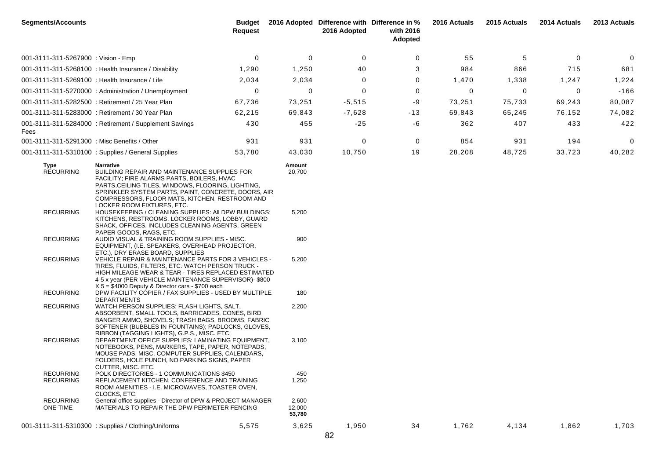| <b>Segments/Accounts</b>                       |                                                                                                                                                                                                                                                                                                             | <b>Budget</b><br><b>Request</b> |                           | 2016 Adopted Difference with Difference in %<br>2016 Adopted | with 2016<br>Adopted | 2016 Actuals | 2015 Actuals | 2014 Actuals | 2013 Actuals |
|------------------------------------------------|-------------------------------------------------------------------------------------------------------------------------------------------------------------------------------------------------------------------------------------------------------------------------------------------------------------|---------------------------------|---------------------------|--------------------------------------------------------------|----------------------|--------------|--------------|--------------|--------------|
| 001-3111-311-5267900 : Vision - Emp            |                                                                                                                                                                                                                                                                                                             | $\mathbf 0$                     | 0                         | 0                                                            | 0                    | 55           | 5            | 0            | 0            |
|                                                | 001-3111-311-5268100 : Health Insurance / Disability                                                                                                                                                                                                                                                        | 1,290                           | 1,250                     | 40                                                           | 3                    | 984          | 866          | 715          | 681          |
| 001-3111-311-5269100 : Health Insurance / Life |                                                                                                                                                                                                                                                                                                             | 2,034                           | 2,034                     | 0                                                            | 0                    | 1,470        | 1,338        | 1,247        | 1,224        |
|                                                | 001-3111-311-5270000: Administration / Unemployment                                                                                                                                                                                                                                                         | 0                               | 0                         | 0                                                            | 0                    | 0            | 0            | $\mathbf 0$  | $-166$       |
|                                                | 001-3111-311-5282500 : Retirement / 25 Year Plan                                                                                                                                                                                                                                                            | 67,736                          | 73,251                    | $-5,515$                                                     | -9                   | 73,251       | 75,733       | 69,243       | 80,087       |
|                                                | 001-3111-311-5283000 : Retirement / 30 Year Plan                                                                                                                                                                                                                                                            | 62,215                          | 69,843                    | $-7,628$                                                     | $-13$                | 69,843       | 65,245       | 76,152       | 74,082       |
| Fees                                           | 001-3111-311-5284000: Retirement / Supplement Savings                                                                                                                                                                                                                                                       | 430                             | 455                       | $-25$                                                        | -6                   | 362          | 407          | 433          | 422          |
| 001-3111-311-5291300 : Misc Benefits / Other   |                                                                                                                                                                                                                                                                                                             | 931                             | 931                       | $\mathbf 0$                                                  | 0                    | 854          | 931          | 194          | $\mathbf 0$  |
|                                                | 001-3111-311-5310100 : Supplies / General Supplies                                                                                                                                                                                                                                                          | 53,780                          | 43,030                    | 10,750                                                       | 19                   | 28,208       | 48,725       | 33,723       | 40,282       |
| <b>Type</b><br><b>RECURRING</b>                | <b>Narrative</b><br>BUILDING REPAIR AND MAINTENANCE SUPPLIES FOR<br>FACILITY; FIRE ALARMS PARTS, BOILERS, HVAC<br>PARTS, CEILING TILES, WINDOWS, FLOORING, LIGHTING,<br>SPRINKLER SYSTEM PARTS, PAINT, CONCRETE, DOORS, AIR<br>COMPRESSORS, FLOOR MATS, KITCHEN, RESTROOM AND<br>LOCKER ROOM FIXTURES, ETC. |                                 | Amount<br>20,700          |                                                              |                      |              |              |              |              |
| <b>RECURRING</b>                               | HOUSEKEEPING / CLEANING SUPPLIES: AII DPW BUILDINGS:<br>KITCHENS, RESTROOMS, LOCKER ROOMS, LOBBY, GUARD<br>SHACK, OFFICES. INCLUDES CLEANING AGENTS, GREEN<br>PAPER GOODS, RAGS, ETC.                                                                                                                       |                                 | 5,200                     |                                                              |                      |              |              |              |              |
| <b>RECURRING</b>                               | AUDIO VISUAL & TRAINING ROOM SUPPLIES - MISC.<br>EQUIPMENT, (I.E. SPEAKERS, OVERHEAD PROJECTOR,<br>ETC.), DRY ERASE BOARD, SUPPLIES                                                                                                                                                                         |                                 | 900                       |                                                              |                      |              |              |              |              |
| <b>RECURRING</b>                               | VEHICLE REPAIR & MAINTENANCE PARTS FOR 3 VEHICLES -<br>TIRES, FLUIDS, FILTERS, ETC. WATCH PERSON TRUCK -<br>HIGH MILEAGE WEAR & TEAR - TIRES REPLACED ESTIMATED<br>4-5 x year (PER VEHICLE MAINTENANCE SUPERVISOR)- \$800<br>$X$ 5 = \$4000 Deputy & Director cars - \$700 each                             |                                 | 5,200                     |                                                              |                      |              |              |              |              |
| <b>RECURRING</b>                               | DPW FACILITY COPIER / FAX SUPPLIES - USED BY MULTIPLE                                                                                                                                                                                                                                                       |                                 | 180                       |                                                              |                      |              |              |              |              |
| <b>RECURRING</b>                               | <b>DEPARTMENTS</b><br>WATCH PERSON SUPPLIES: FLASH LIGHTS, SALT,<br>ABSORBENT, SMALL TOOLS, BARRICADES, CONES, BIRD<br>BANGER AMMO, SHOVELS; TRASH BAGS, BROOMS, FABRIC<br>SOFTENER (BUBBLES IN FOUNTAINS); PADLOCKS, GLOVES,<br>RIBBON (TAGGING LIGHTS), G.P.S., MISC. ETC.                                |                                 | 2,200                     |                                                              |                      |              |              |              |              |
| <b>RECURRING</b>                               | DEPARTMENT OFFICE SUPPLIES: LAMINATING EQUIPMENT,<br>NOTEBOOKS, PENS, MARKERS, TAPE, PAPER, NOTEPADS,<br>MOUSE PADS, MISC. COMPUTER SUPPLIES, CALENDARS,<br>FOLDERS, HOLE PUNCH, NO PARKING SIGNS, PAPER<br>CUTTER, MISC. ETC.                                                                              |                                 | 3,100                     |                                                              |                      |              |              |              |              |
| <b>RECURRING</b><br><b>RECURRING</b>           | POLK DIRECTORIES - 1 COMMUNICATIONS \$450<br>REPLACEMENT KITCHEN, CONFERENCE AND TRAINING<br>ROOM AMENITIES - I.E. MICROWAVES, TOASTER OVEN,<br>CLOCKS, ETC.                                                                                                                                                |                                 | 450<br>1,250              |                                                              |                      |              |              |              |              |
| <b>RECURRING</b><br>ONE-TIME                   | General office supplies - Director of DPW & PROJECT MANAGER<br>MATERIALS TO REPAIR THE DPW PERIMETER FENCING                                                                                                                                                                                                |                                 | 2,600<br>12,000<br>53,780 |                                                              |                      |              |              |              |              |
|                                                | 001-3111-311-5310300: Supplies / Clothing/Uniforms                                                                                                                                                                                                                                                          | 5,575                           | 3,625                     | 1,950<br>82                                                  | 34                   | 1,762        | 4,134        | 1,862        | 1,703        |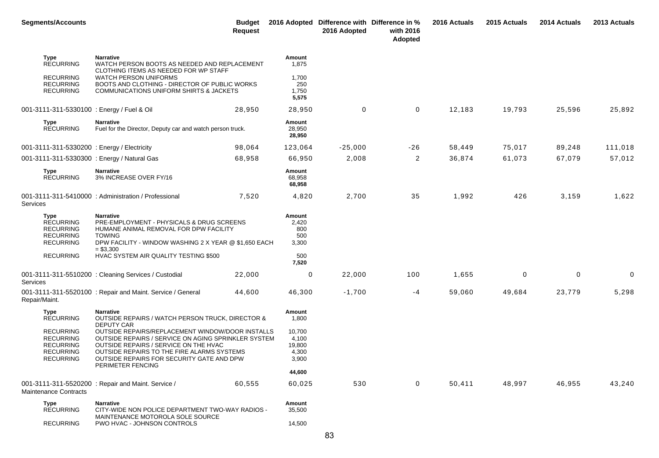| <b>Segments/Accounts</b>                                                                         |                                                                                                                                                                                                                                                                         | Budget<br><b>Request</b> |                                             | 2016 Adopted Difference with Difference in %<br>2016 Adopted | with 2016<br>Adopted | 2016 Actuals | 2015 Actuals | 2014 Actuals | 2013 Actuals |
|--------------------------------------------------------------------------------------------------|-------------------------------------------------------------------------------------------------------------------------------------------------------------------------------------------------------------------------------------------------------------------------|--------------------------|---------------------------------------------|--------------------------------------------------------------|----------------------|--------------|--------------|--------------|--------------|
| <b>Type</b><br><b>RECURRING</b>                                                                  | <b>Narrative</b><br>WATCH PERSON BOOTS AS NEEDED AND REPLACEMENT<br>CLOTHING ITEMS AS NEEDED FOR WP STAFF                                                                                                                                                               |                          | Amount<br>1,875                             |                                                              |                      |              |              |              |              |
| <b>RECURRING</b><br><b>RECURRING</b><br><b>RECURRING</b>                                         | <b>WATCH PERSON UNIFORMS</b><br>BOOTS AND CLOTHING - DIRECTOR OF PUBLIC WORKS<br>COMMUNICATIONS UNIFORM SHIRTS & JACKETS                                                                                                                                                |                          | 1,700<br>250<br>1,750<br>5,575              |                                                              |                      |              |              |              |              |
| 001-3111-311-5330100 : Energy / Fuel & Oil                                                       |                                                                                                                                                                                                                                                                         | 28,950                   | 28,950                                      | $\mathbf 0$                                                  | 0                    | 12,183       | 19,793       | 25,596       | 25,892       |
| Type<br><b>RECURRING</b>                                                                         | <b>Narrative</b><br>Fuel for the Director, Deputy car and watch person truck.                                                                                                                                                                                           |                          | Amount<br>28,950<br>28,950                  |                                                              |                      |              |              |              |              |
| 001-3111-311-5330200 : Energy / Electricity                                                      |                                                                                                                                                                                                                                                                         | 98,064                   | 123,064                                     | $-25,000$                                                    | $-26$                | 58,449       | 75,017       | 89,248       | 111,018      |
| 001-3111-311-5330300 : Energy / Natural Gas                                                      |                                                                                                                                                                                                                                                                         | 68,958                   | 66,950                                      | 2,008                                                        | $\overline{2}$       | 36,874       | 61,073       | 67,079       | 57,012       |
| Type<br><b>RECURRING</b>                                                                         | <b>Narrative</b><br>3% INCREASE OVER FY/16                                                                                                                                                                                                                              |                          | Amount<br>68,958<br>68,958                  |                                                              |                      |              |              |              |              |
| Services                                                                                         | 001-3111-311-5410000 : Administration / Professional                                                                                                                                                                                                                    | 7,520                    | 4,820                                       | 2,700                                                        | 35                   | 1,992        | 426          | 3,159        | 1,622        |
| Type<br><b>RECURRING</b><br><b>RECURRING</b><br><b>RECURRING</b><br><b>RECURRING</b>             | <b>Narrative</b><br>PRE-EMPLOYMENT - PHYSICALS & DRUG SCREENS<br>HUMANE ANIMAL REMOVAL FOR DPW FACILITY<br><b>TOWING</b><br>DPW FACILITY - WINDOW WASHING 2 X YEAR @ \$1,650 EACH                                                                                       |                          | Amount<br>2,420<br>800<br>500<br>3,300      |                                                              |                      |              |              |              |              |
| <b>RECURRING</b>                                                                                 | $= $3,300$<br>HVAC SYSTEM AIR QUALITY TESTING \$500                                                                                                                                                                                                                     |                          | 500<br>7,520                                |                                                              |                      |              |              |              |              |
| Services                                                                                         | 001-3111-311-5510200 : Cleaning Services / Custodial                                                                                                                                                                                                                    | 22,000                   | 0                                           | 22,000                                                       | 100                  | 1,655        | 0            | 0            | 0            |
| Repair/Maint.                                                                                    | 001-3111-311-5520100 : Repair and Maint. Service / General                                                                                                                                                                                                              | 44,600                   | 46,300                                      | $-1,700$                                                     | -4                   | 59,060       | 49,684       | 23,779       | 5,298        |
| Type<br><b>RECURRING</b>                                                                         | <b>Narrative</b><br><b>OUTSIDE REPAIRS / WATCH PERSON TRUCK, DIRECTOR &amp;</b><br>DEPUTY CAR                                                                                                                                                                           |                          | Amount<br>1,800                             |                                                              |                      |              |              |              |              |
| <b>RECURRING</b><br><b>RECURRING</b><br><b>RECURRING</b><br><b>RECURRING</b><br><b>RECURRING</b> | OUTSIDE REPAIRS/REPLACEMENT WINDOW/DOOR INSTALLS<br>OUTSIDE REPAIRS / SERVICE ON AGING SPRINKLER SYSTEM<br>OUTSIDE REPAIRS / SERVICE ON THE HVAC<br><b>OUTSIDE REPAIRS TO THE FIRE ALARMS SYSTEMS</b><br>OUTSIDE REPAIRS FOR SECURITY GATE AND DPW<br>PERIMETER FENCING |                          | 10,700<br>4,100<br>19,800<br>4,300<br>3,900 |                                                              |                      |              |              |              |              |
|                                                                                                  |                                                                                                                                                                                                                                                                         |                          | 44,600                                      |                                                              |                      |              |              |              |              |
| <b>Maintenance Contracts</b>                                                                     | 001-3111-311-5520200 : Repair and Maint. Service /                                                                                                                                                                                                                      | 60,555                   | 60,025                                      | 530                                                          | $\mathbf 0$          | 50,411       | 48,997       | 46,955       | 43,240       |
| Type<br><b>RECURRING</b>                                                                         | <b>Narrative</b><br>CITY-WIDE NON POLICE DEPARTMENT TWO-WAY RADIOS -<br>MAINTENANCE MOTOROLA SOLE SOURCE                                                                                                                                                                |                          | Amount<br>35,500                            |                                                              |                      |              |              |              |              |
| <b>RECURRING</b>                                                                                 | PWO HVAC - JOHNSON CONTROLS                                                                                                                                                                                                                                             |                          | 14,500                                      |                                                              |                      |              |              |              |              |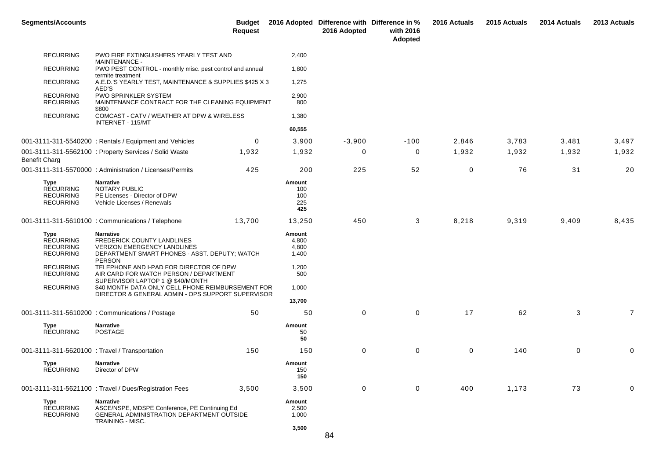| <b>Segments/Accounts</b>                                         |                                                                                                                                                        | Budget<br><b>Request</b> |                                    | 2016 Adopted Difference with Difference in %<br>2016 Adopted | with 2016<br>Adopted | 2016 Actuals | 2015 Actuals | 2014 Actuals | 2013 Actuals |
|------------------------------------------------------------------|--------------------------------------------------------------------------------------------------------------------------------------------------------|--------------------------|------------------------------------|--------------------------------------------------------------|----------------------|--------------|--------------|--------------|--------------|
| <b>RECURRING</b>                                                 | PWO FIRE EXTINGUISHERS YEARLY TEST AND                                                                                                                 |                          | 2,400                              |                                                              |                      |              |              |              |              |
| <b>RECURRING</b>                                                 | <b>MAINTENANCE -</b><br>PWO PEST CONTROL - monthly misc. pest control and annual                                                                       |                          | 1,800                              |                                                              |                      |              |              |              |              |
| <b>RECURRING</b>                                                 | termite treatment<br>A.E.D.'S YEARLY TEST, MAINTENANCE & SUPPLIES \$425 X 3<br>AED'S                                                                   |                          | 1,275                              |                                                              |                      |              |              |              |              |
| <b>RECURRING</b><br><b>RECURRING</b>                             | <b>PWO SPRINKLER SYSTEM</b><br>MAINTENANCE CONTRACT FOR THE CLEANING EQUIPMENT<br>\$800                                                                |                          | 2,900<br>800                       |                                                              |                      |              |              |              |              |
| <b>RECURRING</b>                                                 | COMCAST - CATV / WEATHER AT DPW & WIRELESS<br>INTERNET - 115/MT                                                                                        |                          | 1,380                              |                                                              |                      |              |              |              |              |
|                                                                  |                                                                                                                                                        |                          | 60,555                             |                                                              |                      |              |              |              |              |
|                                                                  | 001-3111-311-5540200: Rentals / Equipment and Vehicles                                                                                                 | 0                        | 3,900                              | $-3,900$                                                     | $-100$               | 2,846        | 3,783        | 3,481        | 3,497        |
| <b>Benefit Charg</b>                                             | 001-3111-311-5562100 : Property Services / Solid Waste                                                                                                 | 1,932                    | 1,932                              | 0                                                            | 0                    | 1,932        | 1,932        | 1,932        | 1,932        |
|                                                                  | 001-3111-311-5570000: Administration / Licenses/Permits                                                                                                | 425                      | 200                                | 225                                                          | 52                   | 0            | 76           | 31           | 20           |
| Type<br><b>RECURRING</b><br><b>RECURRING</b><br><b>RECURRING</b> | <b>Narrative</b><br>NOTARY PUBLIC<br>PE Licenses - Director of DPW<br>Vehicle Licenses / Renewals                                                      |                          | Amount<br>100<br>100<br>225<br>425 |                                                              |                      |              |              |              |              |
|                                                                  | 001-3111-311-5610100 : Communications / Telephone                                                                                                      | 13,700                   | 13,250                             | 450                                                          | 3                    | 8,218        | 9,319        | 9,409        | 8,435        |
| Type<br><b>RECURRING</b><br><b>RECURRING</b><br><b>RECURRING</b> | <b>Narrative</b><br>FREDERICK COUNTY LANDLINES<br><b>VERIZON EMERGENCY LANDLINES</b><br>DEPARTMENT SMART PHONES - ASST. DEPUTY; WATCH<br><b>PERSON</b> |                          | Amount<br>4,800<br>4,800<br>1,400  |                                                              |                      |              |              |              |              |
| <b>RECURRING</b><br><b>RECURRING</b>                             | TELEPHONE AND I-PAD FOR DIRECTOR OF DPW<br>AIR CARD FOR WATCH PERSON / DEPARTMENT<br>SUPERVISOR LAPTOP 1 @ \$40/MONTH                                  |                          | 1,200<br>500                       |                                                              |                      |              |              |              |              |
| <b>RECURRING</b>                                                 | \$40 MONTH DATA ONLY CELL PHONE REIMBURSEMENT FOR<br>DIRECTOR & GENERAL ADMIN - OPS SUPPORT SUPERVISOR                                                 |                          | 1,000                              |                                                              |                      |              |              |              |              |
|                                                                  |                                                                                                                                                        |                          | 13,700                             |                                                              |                      |              |              |              |              |
|                                                                  | 001-3111-311-5610200 : Communications / Postage                                                                                                        | 50                       | 50                                 | 0                                                            | 0                    | 17           | 62           | 3            | 7            |
| Type<br><b>RECURRING</b>                                         | <b>Narrative</b><br><b>POSTAGE</b>                                                                                                                     |                          | Amount<br>50<br>50                 |                                                              |                      |              |              |              |              |
| 001-3111-311-5620100 : Travel / Transportation                   |                                                                                                                                                        | 150                      | 150                                | 0                                                            | 0                    | 0            | 140          | 0            | 0            |
| Type<br><b>RECURRING</b>                                         | Narrative<br>Director of DPW                                                                                                                           |                          | Amount<br>150<br>150               |                                                              |                      |              |              |              |              |
|                                                                  | 001-3111-311-5621100 : Travel / Dues/Registration Fees                                                                                                 | 3,500                    | 3,500                              | $\mathbf 0$                                                  | 0                    | 400          | 1,173        | 73           | $\Omega$     |
| Type<br><b>RECURRING</b><br><b>RECURRING</b>                     | Narrative<br>ASCE/NSPE, MDSPE Conference, PE Continuing Ed<br>GENERAL ADMINISTRATION DEPARTMENT OUTSIDE<br>TRAINING - MISC.                            |                          | Amount<br>2,500<br>1,000           |                                                              |                      |              |              |              |              |
|                                                                  |                                                                                                                                                        |                          | 3,500                              |                                                              |                      |              |              |              |              |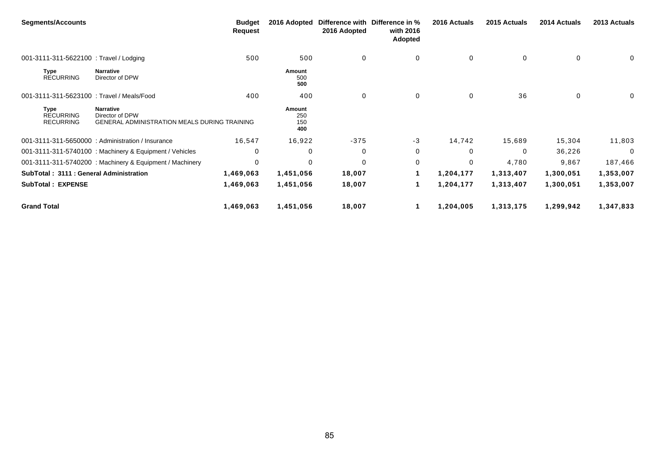| <b>Segments/Accounts</b>                            |                                                                                     | <b>Budget</b><br>Request | 2016 Adopted                | 2016 Adopted | Difference with Difference in %<br>with 2016<br><b>Adopted</b> | 2016 Actuals | 2015 Actuals | 2014 Actuals | 2013 Actuals |
|-----------------------------------------------------|-------------------------------------------------------------------------------------|--------------------------|-----------------------------|--------------|----------------------------------------------------------------|--------------|--------------|--------------|--------------|
| 001-3111-311-5622100 : Travel / Lodging             |                                                                                     | 500                      | 500                         | 0            | 0                                                              | $\mathbf 0$  | 0            | 0            | 0            |
| <b>Type</b><br><b>RECURRING</b>                     | <b>Narrative</b><br>Director of DPW                                                 |                          | Amount<br>500<br>500        |              |                                                                |              |              |              |              |
| 001-3111-311-5623100 : Travel / Meals/Food          |                                                                                     | 400                      | 400                         | $\mathbf 0$  | $\mathbf 0$                                                    | $\mathbf 0$  | 36           | 0            | 0            |
| <b>Type</b><br><b>RECURRING</b><br><b>RECURRING</b> | <b>Narrative</b><br>Director of DPW<br>GENERAL ADMINISTRATION MEALS DURING TRAINING |                          | Amount<br>250<br>150<br>400 |              |                                                                |              |              |              |              |
|                                                     | 001-3111-311-5650000 : Administration / Insurance                                   | 16,547                   | 16,922                      | $-375$       | $-3$                                                           | 14,742       | 15,689       | 15,304       | 11,803       |
|                                                     | 001-3111-311-5740100 : Machinery & Equipment / Vehicles                             | 0                        | 0                           | 0            | 0                                                              | $\Omega$     | 0            | 36,226       | $\Omega$     |
|                                                     | 001-3111-311-5740200 : Machinery & Equipment / Machinery                            | 0                        | $\Omega$                    | $\Omega$     | 0                                                              | $\Omega$     | 4,780        | 9,867        | 187,466      |
| SubTotal: 3111 : General Administration             |                                                                                     | 1,469,063                | 1,451,056                   | 18,007       |                                                                | 1,204,177    | 1,313,407    | 1,300,051    | 1,353,007    |
| <b>SubTotal: EXPENSE</b>                            |                                                                                     | 1,469,063                | 1,451,056                   | 18,007       |                                                                | 1,204,177    | 1,313,407    | 1,300,051    | 1,353,007    |
| <b>Grand Total</b>                                  |                                                                                     | 1,469,063                | 1,451,056                   | 18,007       |                                                                | 1,204,005    | 1,313,175    | 1,299,942    | 1,347,833    |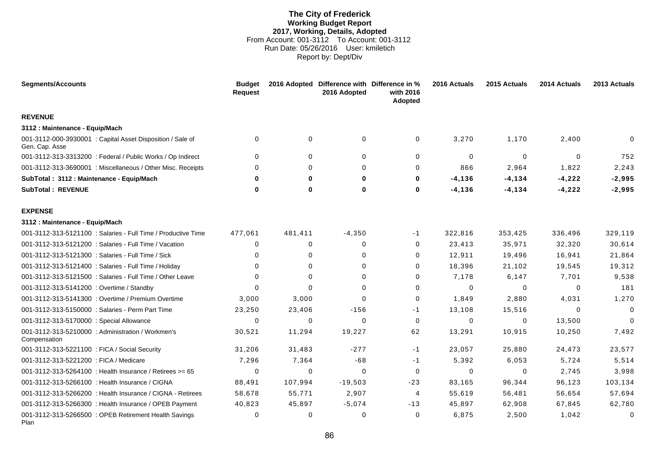# **The City of Frederick Working Budget Report 2017, Working, Details, Adopted** From Account: 001-3112 To Account: 001-3112 Run Date: 05/26/2016 User: kmiletich Report by: Dept/Div

| <b>Segments/Accounts</b>                                                     | <b>Budget</b><br><b>Request</b> |              | 2016 Adopted Difference with Difference in %<br>2016 Adopted | with 2016<br>Adopted | 2016 Actuals | 2015 Actuals | 2014 Actuals | 2013 Actuals |
|------------------------------------------------------------------------------|---------------------------------|--------------|--------------------------------------------------------------|----------------------|--------------|--------------|--------------|--------------|
| <b>REVENUE</b>                                                               |                                 |              |                                                              |                      |              |              |              |              |
| 3112 : Maintenance - Equip/Mach                                              |                                 |              |                                                              |                      |              |              |              |              |
| 001-3112-000-3930001 : Capital Asset Disposition / Sale of<br>Gen. Cap. Asse | $\Omega$                        | 0            | $\Omega$                                                     | 0                    | 3,270        | 1,170        | 2,400        | $\Omega$     |
| 001-3112-313-3313200 : Federal / Public Works / Op Indirect                  | $\Omega$                        | $\Omega$     | $\Omega$                                                     | $\mathbf 0$          | $\Omega$     | $\mathbf 0$  | $\Omega$     | 752          |
| 001-3112-313-3690001 : Miscellaneous / Other Misc. Receipts                  | $\Omega$                        | $\Omega$     | $\Omega$                                                     | $\Omega$             | 866          | 2,964        | 1,822        | 2,243        |
| SubTotal: 3112: Maintenance - Equip/Mach                                     | 0                               | $\mathbf{0}$ | 0                                                            | 0                    | $-4, 136$    | $-4, 134$    | $-4,222$     | $-2,995$     |
| <b>SubTotal: REVENUE</b>                                                     | 0                               | 0            | 0                                                            | 0                    | $-4, 136$    | $-4, 134$    | $-4,222$     | $-2,995$     |
| <b>EXPENSE</b>                                                               |                                 |              |                                                              |                      |              |              |              |              |
| 3112 : Maintenance - Equip/Mach                                              |                                 |              |                                                              |                      |              |              |              |              |
| 001-3112-313-5121100 : Salaries - Full Time / Productive Time                | 477,061                         | 481,411      | $-4,350$                                                     | -1                   | 322,816      | 353,425      | 336,496      | 329,119      |
| 001-3112-313-5121200 : Salaries - Full Time / Vacation                       | 0                               | 0            | 0                                                            | 0                    | 23,413       | 35,971       | 32,320       | 30,614       |
| 001-3112-313-5121300 : Salaries - Full Time / Sick                           | $\Omega$                        | 0            | $\Omega$                                                     | 0                    | 12,911       | 19,496       | 16,941       | 21,864       |
| 001-3112-313-5121400 : Salaries - Full Time / Holiday                        | $\Omega$                        | 0            | $\Omega$                                                     | $\Omega$             | 18,396       | 21,102       | 19,545       | 19,312       |
| 001-3112-313-5121500 : Salaries - Full Time / Other Leave                    | $\Omega$                        | 0            | $\Omega$                                                     | 0                    | 7,178        | 6,147        | 7,701        | 9,538        |
| 001-3112-313-5141200 : Overtime / Standby                                    | $\Omega$                        | $\Omega$     | $\Omega$                                                     | 0                    | $\Omega$     | $\mathbf 0$  | $\Omega$     | 181          |
| 001-3112-313-5141300 : Overtime / Premium Overtime                           | 3.000                           | 3.000        | $\Omega$                                                     | 0                    | 1.849        | 2.880        | 4.031        | 1,270        |
| 001-3112-313-5150000 : Salaries - Perm Part Time                             | 23,250                          | 23,406       | $-156$                                                       | $-1$                 | 13,108       | 15,516       | $\Omega$     | $\mathbf 0$  |
| 001-3112-313-5170000 : Special Allowance                                     | $\Omega$                        | 0            | $\Omega$                                                     | $\mathbf 0$          | $\Omega$     | $\mathbf 0$  | 13,500       | $\Omega$     |
| 001-3112-313-5210000 : Administration / Workmen's<br>Compensation            | 30,521                          | 11,294       | 19,227                                                       | 62                   | 13,291       | 10,915       | 10,250       | 7,492        |
| 001-3112-313-5221100 : FICA / Social Security                                | 31,206                          | 31,483       | $-277$                                                       | $-1$                 | 23,057       | 25,880       | 24,473       | 23,577       |
| 001-3112-313-5221200 : FICA / Medicare                                       | 7,296                           | 7,364        | $-68$                                                        | $-1$                 | 5,392        | 6,053        | 5,724        | 5,514        |
| 001-3112-313-5264100 : Health Insurance / Retirees >= 65                     | 0                               | 0            | $\Omega$                                                     | 0                    | 0            | $\mathbf 0$  | 2,745        | 3,998        |
| 001-3112-313-5266100 : Health Insurance / CIGNA                              | 88,491                          | 107,994      | $-19,503$                                                    | $-23$                | 83,165       | 96,344       | 96,123       | 103,134      |
| 001-3112-313-5266200 : Health Insurance / CIGNA - Retirees                   | 58,678                          | 55,771       | 2,907                                                        | 4                    | 55,619       | 56,481       | 56,654       | 57,694       |
| 001-3112-313-5266300 : Health Insurance / OPEB Payment                       | 40,823                          | 45,897       | $-5,074$                                                     | $-13$                | 45,897       | 62,908       | 67,845       | 62,780       |
| 001-3112-313-5266500 : OPEB Retirement Health Savings<br>Plan                | 0                               | 0            | $\Omega$                                                     | 0                    | 6,875        | 2,500        | 1,042        | 0            |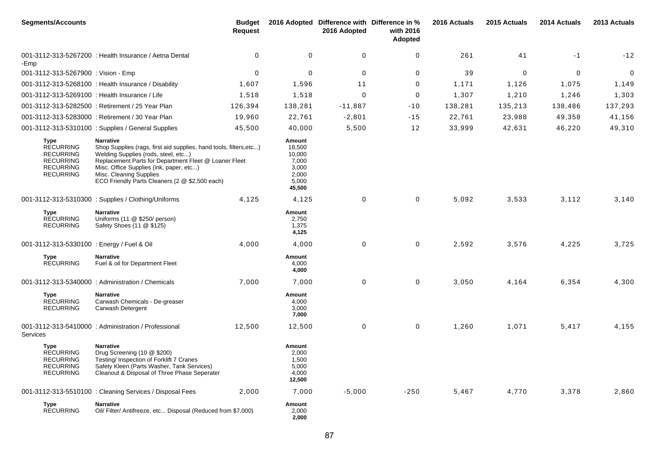| <b>Segments/Accounts</b>                                                                                 |                                                                                                                                                                                                                                                                                                                | Budget<br><b>Request</b> |                                                                          | 2016 Adopted Difference with Difference in %<br>2016 Adopted | with 2016<br>Adopted | 2016 Actuals | 2015 Actuals | 2014 Actuals | 2013 Actuals |
|----------------------------------------------------------------------------------------------------------|----------------------------------------------------------------------------------------------------------------------------------------------------------------------------------------------------------------------------------------------------------------------------------------------------------------|--------------------------|--------------------------------------------------------------------------|--------------------------------------------------------------|----------------------|--------------|--------------|--------------|--------------|
| -Emp                                                                                                     | 001-3112-313-5267200 : Health Insurance / Aetna Dental                                                                                                                                                                                                                                                         | 0                        | 0                                                                        | 0                                                            | 0                    | 261          | 41           | $-1$         | $-12$        |
| 001-3112-313-5267900 : Vision - Emp                                                                      |                                                                                                                                                                                                                                                                                                                | 0                        | 0                                                                        | $\mathbf 0$                                                  | 0                    | 39           | 0            | 0            | $\pmb{0}$    |
|                                                                                                          | 001-3112-313-5268100 : Health Insurance / Disability                                                                                                                                                                                                                                                           | 1,607                    | 1,596                                                                    | 11                                                           | 0                    | 1,171        | 1,126        | 1,075        | 1,149        |
| 001-3112-313-5269100 : Health Insurance / Life                                                           |                                                                                                                                                                                                                                                                                                                | 1,518                    | 1,518                                                                    | $\Omega$                                                     | 0                    | 1,307        | 1,210        | 1,246        | 1,303        |
|                                                                                                          | 001-3112-313-5282500 : Retirement / 25 Year Plan                                                                                                                                                                                                                                                               | 126,394                  | 138,281                                                                  | $-11,887$                                                    | $-10$                | 138,281      | 135,213      | 138,486      | 137,293      |
|                                                                                                          | 001-3112-313-5283000 : Retirement / 30 Year Plan                                                                                                                                                                                                                                                               | 19,960                   | 22,761                                                                   | $-2,801$                                                     | $-15$                | 22,761       | 23,988       | 49,358       | 41,156       |
|                                                                                                          | 001-3112-313-5310100 : Supplies / General Supplies                                                                                                                                                                                                                                                             | 45,500                   | 40,000                                                                   | 5,500                                                        | 12                   | 33,999       | 42,631       | 46,220       | 49,310       |
| Type<br><b>RECURRING</b><br><b>RECURRING</b><br><b>RECURRING</b><br><b>RECURRING</b><br><b>RECURRING</b> | <b>Narrative</b><br>Shop Supplies (rags, first aid supplies, hand tools, filters, etc)<br>Welding Supplies (rods, steel, etc)<br>Replacement Parts for Department Fleet @ Loaner Fleet<br>Misc. Office Supplies (ink, paper, etc)<br>Misc. Cleaning Supplies<br>ECO Friendly Parts Cleaners (2 @ \$2,500 each) |                          | Amount<br>18,500<br>10,000<br>7,000<br>3,000<br>2,000<br>5,000<br>45,500 |                                                              |                      |              |              |              |              |
|                                                                                                          | 001-3112-313-5310300: Supplies / Clothing/Uniforms                                                                                                                                                                                                                                                             | 4,125                    | 4,125                                                                    | 0                                                            | 0                    | 5,092        | 3,533        | 3,112        | 3,140        |
| Type<br><b>RECURRING</b><br><b>RECURRING</b>                                                             | <b>Narrative</b><br>Uniforms (11 @ \$250/ person)<br>Safety Shoes (11 @ \$125)                                                                                                                                                                                                                                 |                          | Amount<br>2,750<br>1,375<br>4,125                                        |                                                              |                      |              |              |              |              |
| 001-3112-313-5330100 : Energy / Fuel & Oil                                                               |                                                                                                                                                                                                                                                                                                                | 4,000                    | 4,000                                                                    | 0                                                            | 0                    | 2,592        | 3,576        | 4,225        | 3,725        |
| Type<br><b>RECURRING</b>                                                                                 | <b>Narrative</b><br>Fuel & oil for Department Fleet                                                                                                                                                                                                                                                            |                          | Amount<br>4,000<br>4,000                                                 |                                                              |                      |              |              |              |              |
|                                                                                                          | 001-3112-313-5340000 : Administration / Chemicals                                                                                                                                                                                                                                                              | 7,000                    | 7,000                                                                    | 0                                                            | 0                    | 3,050        | 4,164        | 6,354        | 4,300        |
| Type<br><b>RECURRING</b><br><b>RECURRING</b>                                                             | <b>Narrative</b><br>Carwash Chemicals - De-greaser<br>Carwash Detergent                                                                                                                                                                                                                                        |                          | Amount<br>4,000<br>3,000<br>7,000                                        |                                                              |                      |              |              |              |              |
| Services                                                                                                 | 001-3112-313-5410000 : Administration / Professional                                                                                                                                                                                                                                                           | 12,500                   | 12,500                                                                   | 0                                                            | 0                    | 1,260        | 1,071        | 5,417        | 4,155        |
| Type<br><b>RECURRING</b><br><b>RECURRING</b><br><b>RECURRING</b><br><b>RECURRING</b>                     | <b>Narrative</b><br>Drug Screening (10 @ \$200)<br>Testing/ Inspection of Forklift 7 Cranes<br>Safety Kleen (Parts Washer, Tank Services)<br>Cleanout & Disposal of Three Phase Seperater                                                                                                                      |                          | Amount<br>2,000<br>1,500<br>5,000<br>4,000<br>12,500                     |                                                              |                      |              |              |              |              |
|                                                                                                          | 001-3112-313-5510100 : Cleaning Services / Disposal Fees                                                                                                                                                                                                                                                       | 2,000                    | 7,000                                                                    | $-5,000$                                                     | $-250$               | 5,467        | 4,770        | 3,378        | 2,860        |
| Type<br><b>RECURRING</b>                                                                                 | <b>Narrative</b><br>Oil/Filter/Antifreeze, etc Disposal (Reduced from \$7,000)                                                                                                                                                                                                                                 |                          | Amount<br>2,000<br>2,000                                                 |                                                              |                      |              |              |              |              |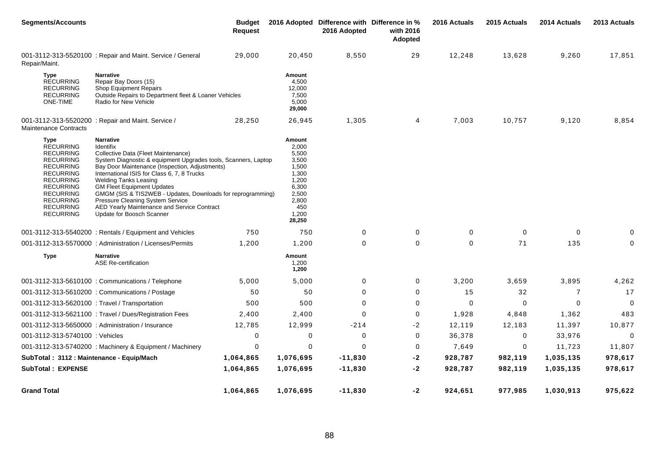| <b>Segments/Accounts</b>                                                                                                                                                                                                         |                                                                                                                                                                                                                                                                                                                                                                                                                                                                                             | <b>Budget</b><br><b>Request</b> |                                                                                                                   | 2016 Adopted Difference with Difference in %<br>2016 Adopted | with 2016<br><b>Adopted</b> | 2016 Actuals | 2015 Actuals | 2014 Actuals   | 2013 Actuals |
|----------------------------------------------------------------------------------------------------------------------------------------------------------------------------------------------------------------------------------|---------------------------------------------------------------------------------------------------------------------------------------------------------------------------------------------------------------------------------------------------------------------------------------------------------------------------------------------------------------------------------------------------------------------------------------------------------------------------------------------|---------------------------------|-------------------------------------------------------------------------------------------------------------------|--------------------------------------------------------------|-----------------------------|--------------|--------------|----------------|--------------|
| Repair/Maint.                                                                                                                                                                                                                    | 001-3112-313-5520100 : Repair and Maint. Service / General                                                                                                                                                                                                                                                                                                                                                                                                                                  | 29,000                          | 20,450                                                                                                            | 8,550                                                        | 29                          | 12,248       | 13,628       | 9,260          | 17,851       |
| Type<br><b>RECURRING</b><br><b>RECURRING</b><br><b>RECURRING</b><br>ONE-TIME                                                                                                                                                     | <b>Narrative</b><br>Repair Bay Doors (15)<br>Shop Equipment Repairs<br>Outside Repairs to Department fleet & Loaner Vehicles<br>Radio for New Vehicle                                                                                                                                                                                                                                                                                                                                       |                                 | Amount<br>4,500<br>12,000<br>7,500<br>5,000<br>29,000                                                             |                                                              |                             |              |              |                |              |
| <b>Maintenance Contracts</b>                                                                                                                                                                                                     | 001-3112-313-5520200 : Repair and Maint. Service /                                                                                                                                                                                                                                                                                                                                                                                                                                          | 28,250                          | 26,945                                                                                                            | 1,305                                                        | 4                           | 7,003        | 10,757       | 9,120          | 8,854        |
| Type<br><b>RECURRING</b><br><b>RECURRING</b><br><b>RECURRING</b><br><b>RECURRING</b><br><b>RECURRING</b><br><b>RECURRING</b><br><b>RECURRING</b><br><b>RECURRING</b><br><b>RECURRING</b><br><b>RECURRING</b><br><b>RECURRING</b> | <b>Narrative</b><br>Identifix<br>Collective Data (Fleet Maintenance)<br>System Diagnostic & equipment Upgrades tools, Scanners, Laptop<br>Bay Door Maintenance (Inspection, Adjustments)<br>International ISIS for Class 6, 7, 8 Trucks<br><b>Welding Tanks Leasing</b><br><b>GM Fleet Equipment Updates</b><br>GMGM (SIS & TIS2WEB - Updates, Downloads for reprogramming)<br>Pressure Cleaning System Service<br>AED Yearly Maintenance and Service Contract<br>Update for Boosch Scanner |                                 | Amount<br>2,000<br>5,500<br>3,500<br>1,500<br>1,300<br>1,200<br>6,300<br>2,500<br>2,800<br>450<br>1,200<br>28,250 |                                                              |                             |              |              |                |              |
|                                                                                                                                                                                                                                  | 001-3112-313-5540200: Rentals / Equipment and Vehicles                                                                                                                                                                                                                                                                                                                                                                                                                                      | 750                             | 750                                                                                                               | 0                                                            | 0                           | $\Omega$     | 0            | $\Omega$       | 0            |
|                                                                                                                                                                                                                                  | 001-3112-313-5570000: Administration / Licenses/Permits                                                                                                                                                                                                                                                                                                                                                                                                                                     | 1,200                           | 1,200                                                                                                             | 0                                                            | 0                           | $\Omega$     | 71           | 135            | $\mathbf{0}$ |
| <b>Type</b>                                                                                                                                                                                                                      | <b>Narrative</b><br><b>ASE Re-certification</b>                                                                                                                                                                                                                                                                                                                                                                                                                                             |                                 | Amount<br>1,200<br>1,200                                                                                          |                                                              |                             |              |              |                |              |
|                                                                                                                                                                                                                                  | 001-3112-313-5610100 : Communications / Telephone                                                                                                                                                                                                                                                                                                                                                                                                                                           | 5,000                           | 5,000                                                                                                             | 0                                                            | 0                           | 3,200        | 3,659        | 3,895          | 4,262        |
|                                                                                                                                                                                                                                  | 001-3112-313-5610200 : Communications / Postage                                                                                                                                                                                                                                                                                                                                                                                                                                             | 50                              | 50                                                                                                                | $\Omega$                                                     | 0                           | 15           | 32           | $\overline{7}$ | 17           |
| 001-3112-313-5620100 : Travel / Transportation                                                                                                                                                                                   |                                                                                                                                                                                                                                                                                                                                                                                                                                                                                             | 500                             | 500                                                                                                               | $\Omega$                                                     | 0                           | $\Omega$     | $\Omega$     | $\Omega$       | $\mathbf 0$  |
|                                                                                                                                                                                                                                  | 001-3112-313-5621100 : Travel / Dues/Registration Fees                                                                                                                                                                                                                                                                                                                                                                                                                                      | 2,400                           | 2,400                                                                                                             | $\Omega$                                                     | 0                           | 1,928        | 4,848        | 1,362          | 483          |
|                                                                                                                                                                                                                                  | 001-3112-313-5650000 : Administration / Insurance                                                                                                                                                                                                                                                                                                                                                                                                                                           | 12,785                          | 12,999                                                                                                            | $-214$                                                       | $-2$                        | 12,119       | 12,183       | 11,397         | 10,877       |
| 001-3112-313-5740100 : Vehicles                                                                                                                                                                                                  |                                                                                                                                                                                                                                                                                                                                                                                                                                                                                             | 0                               | 0                                                                                                                 | 0                                                            | $\mathbf 0$                 | 36,378       | 0            | 33,976         | $\Omega$     |
|                                                                                                                                                                                                                                  | 001-3112-313-5740200 : Machinery & Equipment / Machinery                                                                                                                                                                                                                                                                                                                                                                                                                                    | 0                               | $\mathbf 0$                                                                                                       | $\Omega$                                                     | 0                           | 7,649        | 0            | 11,723         | 11,807       |
| SubTotal: 3112: Maintenance - Equip/Mach                                                                                                                                                                                         |                                                                                                                                                                                                                                                                                                                                                                                                                                                                                             | 1,064,865                       | 1,076,695                                                                                                         | $-11,830$                                                    | $-2$                        | 928,787      | 982,119      | 1,035,135      | 978,617      |
| <b>SubTotal: EXPENSE</b>                                                                                                                                                                                                         |                                                                                                                                                                                                                                                                                                                                                                                                                                                                                             | 1,064,865                       | 1,076,695                                                                                                         | $-11,830$                                                    | $-2$                        | 928,787      | 982,119      | 1,035,135      | 978,617      |
| <b>Grand Total</b>                                                                                                                                                                                                               |                                                                                                                                                                                                                                                                                                                                                                                                                                                                                             | 1,064,865                       | 1,076,695                                                                                                         | $-11,830$                                                    | $-2$                        | 924,651      | 977,985      | 1,030,913      | 975,622      |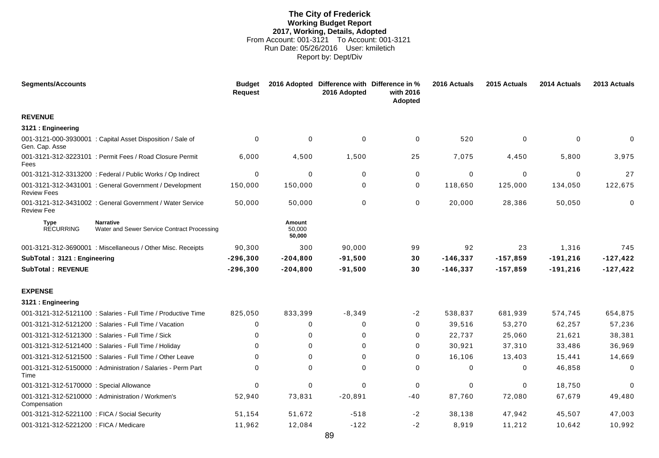# **The City of Frederick Working Budget Report 2017, Working, Details, Adopted** From Account: 001-3121 To Account: 001-3121 Run Date: 05/26/2016 User: kmiletich Report by: Dept/Div

| <b>Segments/Accounts</b>                                          |                                                                 | <b>Budget</b><br><b>Request</b> |                            | 2016 Adopted Difference with Difference in %<br>2016 Adopted | with 2016<br>Adopted | 2016 Actuals | 2015 Actuals | 2014 Actuals | 2013 Actuals |
|-------------------------------------------------------------------|-----------------------------------------------------------------|---------------------------------|----------------------------|--------------------------------------------------------------|----------------------|--------------|--------------|--------------|--------------|
| <b>REVENUE</b>                                                    |                                                                 |                                 |                            |                                                              |                      |              |              |              |              |
| 3121 : Engineering                                                |                                                                 |                                 |                            |                                                              |                      |              |              |              |              |
| Gen. Cap. Asse                                                    | 001-3121-000-3930001 : Capital Asset Disposition / Sale of      | $\Omega$                        | 0                          | $\mathbf 0$                                                  | 0                    | 520          | $\mathbf 0$  | $\mathbf 0$  | $\Omega$     |
| Fees                                                              | 001-3121-312-3223101 : Permit Fees / Road Closure Permit        | 6,000                           | 4,500                      | 1,500                                                        | 25                   | 7,075        | 4,450        | 5,800        | 3,975        |
|                                                                   | 001-3121-312-3313200 : Federal / Public Works / Op Indirect     | $\Omega$                        | 0                          | $\Omega$                                                     | 0                    | $\Omega$     | $\mathbf 0$  | $\Omega$     | 27           |
| <b>Review Fees</b>                                                | 001-3121-312-3431001 : General Government / Development         | 150,000                         | 150,000                    | $\Omega$                                                     | 0                    | 118,650      | 125,000      | 134,050      | 122,675      |
| <b>Review Fee</b>                                                 | 001-3121-312-3431002 : General Government / Water Service       | 50,000                          | 50,000                     | 0                                                            | $\mathbf 0$          | 20,000       | 28,386       | 50,050       | $\mathbf 0$  |
| <b>Type</b><br><b>RECURRING</b>                                   | <b>Narrative</b><br>Water and Sewer Service Contract Processing |                                 | Amount<br>50,000<br>50,000 |                                                              |                      |              |              |              |              |
|                                                                   | 001-3121-312-3690001 : Miscellaneous / Other Misc. Receipts     | 90,300                          | 300                        | 90,000                                                       | 99                   | 92           | 23           | 1,316        | 745          |
| SubTotal: 3121: Engineering                                       |                                                                 | $-296,300$                      | $-204,800$                 | $-91,500$                                                    | 30                   | $-146,337$   | $-157,859$   | $-191,216$   | $-127,422$   |
| <b>SubTotal: REVENUE</b>                                          |                                                                 | $-296,300$                      | $-204,800$                 | $-91,500$                                                    | 30                   | $-146,337$   | $-157,859$   | $-191,216$   | $-127,422$   |
| <b>EXPENSE</b>                                                    |                                                                 |                                 |                            |                                                              |                      |              |              |              |              |
| 3121 : Engineering                                                |                                                                 |                                 |                            |                                                              |                      |              |              |              |              |
|                                                                   | 001-3121-312-5121100 : Salaries - Full Time / Productive Time   | 825,050                         | 833,399                    | $-8,349$                                                     | -2                   | 538,837      | 681,939      | 574,745      | 654,875      |
|                                                                   | 001-3121-312-5121200 : Salaries - Full Time / Vacation          | $\Omega$                        | 0                          | $\Omega$                                                     | 0                    | 39,516       | 53,270       | 62,257       | 57,236       |
| 001-3121-312-5121300 : Salaries - Full Time / Sick                |                                                                 | 0                               | 0                          | $\Omega$                                                     | $\Omega$             | 22,737       | 25,060       | 21,621       | 38,381       |
|                                                                   | 001-3121-312-5121400 : Salaries - Full Time / Holiday           | 0                               | 0                          | $\Omega$                                                     | 0                    | 30,921       | 37,310       | 33,486       | 36,969       |
|                                                                   | 001-3121-312-5121500 : Salaries - Full Time / Other Leave       | $\Omega$                        | $\Omega$                   | $\Omega$                                                     | $\Omega$             | 16,106       | 13,403       | 15,441       | 14,669       |
| Time                                                              | 001-3121-312-5150000 : Administration / Salaries - Perm Part    | 0                               | $\Omega$                   | $\Omega$                                                     | $\Omega$             | $\Omega$     | 0            | 46,858       | $\mathbf 0$  |
| 001-3121-312-5170000 : Special Allowance                          |                                                                 | $\Omega$                        | $\Omega$                   | $\Omega$                                                     | 0                    | $\Omega$     | $\Omega$     | 18,750       | $\Omega$     |
| 001-3121-312-5210000 : Administration / Workmen's<br>Compensation |                                                                 | 52,940                          | 73,831                     | $-20,891$                                                    | $-40$                | 87,760       | 72,080       | 67,679       | 49,480       |
| 001-3121-312-5221100 : FICA / Social Security                     |                                                                 | 51,154                          | 51,672                     | $-518$                                                       | -2                   | 38,138       | 47,942       | 45,507       | 47,003       |
| 001-3121-312-5221200 : FICA / Medicare                            |                                                                 | 11.962                          | 12.084                     | $-122$                                                       | $-2$                 | 8,919        | 11.212       | 10.642       | 10,992       |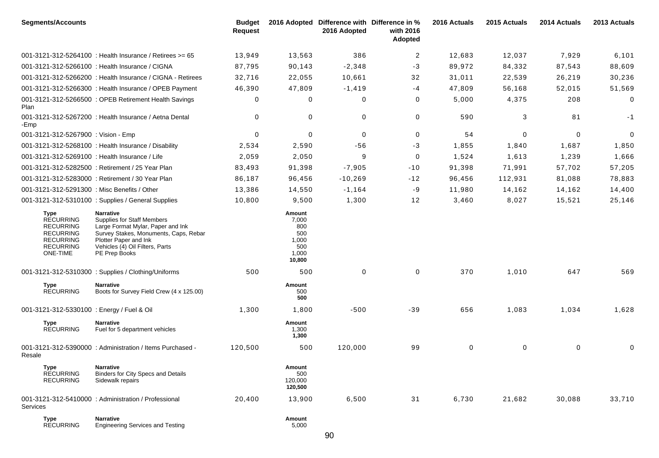| <b>Segments/Accounts</b>                                                                                             |                                                                                                                                                                                                                  | <b>Budget</b><br><b>Request</b> |                                                                  | 2016 Adopted Difference with Difference in %<br>2016 Adopted | with 2016<br>Adopted | 2016 Actuals | 2015 Actuals | 2014 Actuals | 2013 Actuals |
|----------------------------------------------------------------------------------------------------------------------|------------------------------------------------------------------------------------------------------------------------------------------------------------------------------------------------------------------|---------------------------------|------------------------------------------------------------------|--------------------------------------------------------------|----------------------|--------------|--------------|--------------|--------------|
|                                                                                                                      | 001-3121-312-5264100 : Health Insurance / Retirees >= 65                                                                                                                                                         | 13,949                          | 13,563                                                           | 386                                                          | $\overline{c}$       | 12,683       | 12,037       | 7,929        | 6,101        |
|                                                                                                                      | 001-3121-312-5266100 : Health Insurance / CIGNA                                                                                                                                                                  | 87,795                          | 90,143                                                           | $-2,348$                                                     | $-3$                 | 89,972       | 84,332       | 87,543       | 88,609       |
|                                                                                                                      | 001-3121-312-5266200 : Health Insurance / CIGNA - Retirees                                                                                                                                                       | 32,716                          | 22,055                                                           | 10,661                                                       | 32                   | 31,011       | 22,539       | 26,219       | 30,236       |
|                                                                                                                      | 001-3121-312-5266300 : Health Insurance / OPEB Payment                                                                                                                                                           | 46,390                          | 47,809                                                           | $-1,419$                                                     | -4                   | 47,809       | 56,168       | 52,015       | 51,569       |
| Plan                                                                                                                 | 001-3121-312-5266500 : OPEB Retirement Health Savings                                                                                                                                                            | 0                               | 0                                                                | 0                                                            | 0                    | 5,000        | 4,375        | 208          | 0            |
| -Emp                                                                                                                 | 001-3121-312-5267200 : Health Insurance / Aetna Dental                                                                                                                                                           | 0                               | 0                                                                | 0                                                            | 0                    | 590          | 3            | 81           | -1           |
| 001-3121-312-5267900 : Vision - Emp                                                                                  |                                                                                                                                                                                                                  | 0                               | 0                                                                | 0                                                            | 0                    | 54           | 0            | 0            | 0            |
|                                                                                                                      | 001-3121-312-5268100 : Health Insurance / Disability                                                                                                                                                             | 2,534                           | 2,590                                                            | -56                                                          | -3                   | 1,855        | 1,840        | 1,687        | 1,850        |
| 001-3121-312-5269100 : Health Insurance / Life                                                                       |                                                                                                                                                                                                                  | 2,059                           | 2,050                                                            | 9                                                            | 0                    | 1,524        | 1,613        | 1,239        | 1,666        |
|                                                                                                                      | 001-3121-312-5282500 : Retirement / 25 Year Plan                                                                                                                                                                 | 83,493                          | 91,398                                                           | $-7,905$                                                     | $-10$                | 91,398       | 71,991       | 57,702       | 57,205       |
|                                                                                                                      | 001-3121-312-5283000 : Retirement / 30 Year Plan                                                                                                                                                                 | 86,187                          | 96,456                                                           | $-10,269$                                                    | $-12$                | 96,456       | 112,931      | 81,088       | 78,883       |
| 001-3121-312-5291300 : Misc Benefits / Other                                                                         |                                                                                                                                                                                                                  | 13,386                          | 14,550                                                           | $-1,164$                                                     | -9                   | 11,980       | 14,162       | 14,162       | 14,400       |
|                                                                                                                      | 001-3121-312-5310100 : Supplies / General Supplies                                                                                                                                                               | 10,800                          | 9,500                                                            | 1,300                                                        | 12                   | 3,460        | 8,027        | 15,521       | 25,146       |
| Type<br><b>RECURRING</b><br><b>RECURRING</b><br><b>RECURRING</b><br><b>RECURRING</b><br><b>RECURRING</b><br>ONE-TIME | <b>Narrative</b><br><b>Supplies for Staff Members</b><br>Large Format Mylar, Paper and Ink<br>Survey Stakes, Monuments, Caps, Rebar<br>Plotter Paper and Ink<br>Vehicles (4) Oil Filters, Parts<br>PE Prep Books |                                 | Amount<br>7,000<br>800<br>500<br>1,000<br>500<br>1,000<br>10,800 |                                                              |                      |              |              |              |              |
|                                                                                                                      | 001-3121-312-5310300: Supplies / Clothing/Uniforms                                                                                                                                                               | 500                             | 500                                                              | 0                                                            | 0                    | 370          | 1,010        | 647          | 569          |
| Type<br><b>RECURRING</b>                                                                                             | <b>Narrative</b><br>Boots for Survey Field Crew (4 x 125.00)                                                                                                                                                     |                                 | Amount<br>500<br>500                                             |                                                              |                      |              |              |              |              |
| 001-3121-312-5330100 : Energy / Fuel & Oil                                                                           |                                                                                                                                                                                                                  | 1,300                           | 1,800                                                            | $-500$                                                       | $-39$                | 656          | 1,083        | 1,034        | 1,628        |
| Type<br><b>RECURRING</b>                                                                                             | <b>Narrative</b><br>Fuel for 5 department vehicles                                                                                                                                                               |                                 | Amount<br>1,300<br>1,300                                         |                                                              |                      |              |              |              |              |
| Resale                                                                                                               | 001-3121-312-5390000 : Administration / Items Purchased -                                                                                                                                                        | 120,500                         | 500                                                              | 120,000                                                      | 99                   | 0            | 0            | 0            | 0            |
| Type<br><b>RECURRING</b><br><b>RECURRING</b>                                                                         | <b>Narrative</b><br><b>Binders for City Specs and Details</b><br>Sidewalk repairs                                                                                                                                |                                 | Amount<br>500<br>120,000<br>120,500                              |                                                              |                      |              |              |              |              |
| Services                                                                                                             | 001-3121-312-5410000 : Administration / Professional                                                                                                                                                             | 20,400                          | 13,900                                                           | 6,500                                                        | 31                   | 6,730        | 21,682       | 30,088       | 33,710       |
| <b>Type</b><br><b>RECURRING</b>                                                                                      | <b>Narrative</b><br><b>Engineering Services and Testing</b>                                                                                                                                                      |                                 | Amount<br>5,000                                                  |                                                              |                      |              |              |              |              |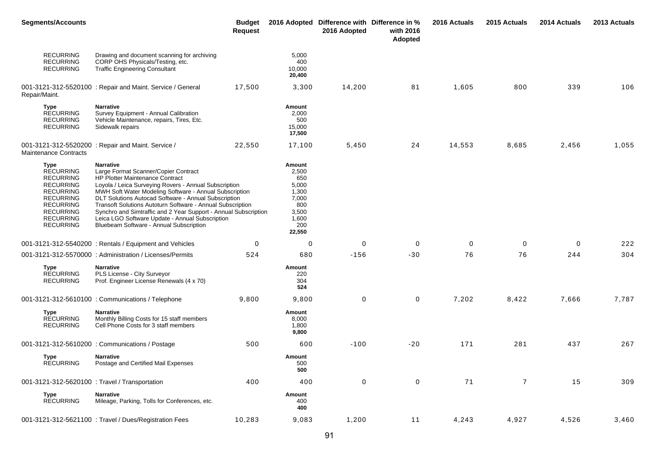| <b>Segments/Accounts</b>                                                                                                                                                                        |                                                                                                                                                                                                                                                                                                                                                                                                                                                                                                              | <b>Budget</b><br><b>Request</b> |                                                                                             | 2016 Adopted Difference with Difference in %<br>2016 Adopted | with 2016<br>Adopted | 2016 Actuals | 2015 Actuals   | 2014 Actuals | 2013 Actuals |
|-------------------------------------------------------------------------------------------------------------------------------------------------------------------------------------------------|--------------------------------------------------------------------------------------------------------------------------------------------------------------------------------------------------------------------------------------------------------------------------------------------------------------------------------------------------------------------------------------------------------------------------------------------------------------------------------------------------------------|---------------------------------|---------------------------------------------------------------------------------------------|--------------------------------------------------------------|----------------------|--------------|----------------|--------------|--------------|
| <b>RECURRING</b><br><b>RECURRING</b><br><b>RECURRING</b>                                                                                                                                        | Drawing and document scanning for archiving<br>CORP OHS Physicals/Testing, etc.<br><b>Traffic Engineering Consultant</b>                                                                                                                                                                                                                                                                                                                                                                                     |                                 | 5,000<br>400<br>10,000<br>20,400                                                            |                                                              |                      |              |                |              |              |
| Repair/Maint.                                                                                                                                                                                   | 001-3121-312-5520100 : Repair and Maint. Service / General                                                                                                                                                                                                                                                                                                                                                                                                                                                   | 17,500                          | 3,300                                                                                       | 14,200                                                       | 81                   | 1,605        | 800            | 339          | 106          |
| Type<br><b>RECURRING</b><br><b>RECURRING</b><br><b>RECURRING</b>                                                                                                                                | <b>Narrative</b><br>Survey Equipment - Annual Calibration<br>Vehicle Maintenance, repairs, Tires, Etc.<br>Sidewalk repairs                                                                                                                                                                                                                                                                                                                                                                                   |                                 | Amount<br>2,000<br>500<br>15,000<br>17,500                                                  |                                                              |                      |              |                |              |              |
| <b>Maintenance Contracts</b>                                                                                                                                                                    | 001-3121-312-5520200 : Repair and Maint. Service /                                                                                                                                                                                                                                                                                                                                                                                                                                                           | 22,550                          | 17,100                                                                                      | 5,450                                                        | 24                   | 14,553       | 8,685          | 2,456        | 1,055        |
| <b>Type</b><br><b>RECURRING</b><br><b>RECURRING</b><br><b>RECURRING</b><br><b>RECURRING</b><br><b>RECURRING</b><br><b>RECURRING</b><br><b>RECURRING</b><br><b>RECURRING</b><br><b>RECURRING</b> | <b>Narrative</b><br>Large Format Scanner/Copier Contract<br><b>HP Plotter Maintenance Contract</b><br>Loyola / Leica Surveying Rovers - Annual Subscription<br>MWH Soft Water Modeling Software - Annual Subscription<br>DLT Solutions Autocad Software - Annual Subscription<br>Transoft Solutions Autoturn Software - Annual Subscription<br>Synchro and Simtraffic and 2 Year Support - Annual Subscription<br>Leica LGO Software Update - Annual Subscription<br>Bluebeam Software - Annual Subscription |                                 | Amount<br>2,500<br>650<br>5,000<br>1,300<br>7,000<br>800<br>3,500<br>1,600<br>200<br>22,550 |                                                              |                      |              |                |              |              |
|                                                                                                                                                                                                 | 001-3121-312-5540200: Rentals / Equipment and Vehicles                                                                                                                                                                                                                                                                                                                                                                                                                                                       | 0                               | 0                                                                                           | 0                                                            | 0                    | 0            | 0              | $\mathbf 0$  | 222          |
|                                                                                                                                                                                                 | 001-3121-312-5570000 : Administration / Licenses/Permits                                                                                                                                                                                                                                                                                                                                                                                                                                                     | 524                             | 680                                                                                         | $-156$                                                       | $-30$                | 76           | 76             | 244          | 304          |
| Type<br><b>RECURRING</b><br><b>RECURRING</b>                                                                                                                                                    | <b>Narrative</b><br>PLS License - City Surveyor<br>Prof. Engineer License Renewals (4 x 70)                                                                                                                                                                                                                                                                                                                                                                                                                  |                                 | Amount<br>220<br>304<br>524                                                                 |                                                              |                      |              |                |              |              |
|                                                                                                                                                                                                 | 001-3121-312-5610100 : Communications / Telephone                                                                                                                                                                                                                                                                                                                                                                                                                                                            | 9,800                           | 9,800                                                                                       | 0                                                            | 0                    | 7,202        | 8,422          | 7,666        | 7,787        |
| Type<br><b>RECURRING</b><br><b>RECURRING</b>                                                                                                                                                    | <b>Narrative</b><br>Monthly Billing Costs for 15 staff members<br>Cell Phone Costs for 3 staff members                                                                                                                                                                                                                                                                                                                                                                                                       |                                 | Amount<br>8,000<br>1,800<br>9,800                                                           |                                                              |                      |              |                |              |              |
|                                                                                                                                                                                                 | 001-3121-312-5610200 : Communications / Postage                                                                                                                                                                                                                                                                                                                                                                                                                                                              | 500                             | 600                                                                                         | $-100$                                                       | $-20$                | 171          | 281            | 437          | 267          |
| Type<br><b>RECURRING</b>                                                                                                                                                                        | <b>Narrative</b><br>Postage and Certified Mail Expenses                                                                                                                                                                                                                                                                                                                                                                                                                                                      |                                 | Amount<br>500<br>500                                                                        |                                                              |                      |              |                |              |              |
| 001-3121-312-5620100 : Travel / Transportation                                                                                                                                                  |                                                                                                                                                                                                                                                                                                                                                                                                                                                                                                              | 400                             | 400                                                                                         | $\mathbf 0$                                                  | $\mathbf 0$          | 71           | $\overline{7}$ | 15           | 309          |
| <b>Type</b><br><b>RECURRING</b>                                                                                                                                                                 | <b>Narrative</b><br>Mileage, Parking, Tolls for Conferences, etc.                                                                                                                                                                                                                                                                                                                                                                                                                                            |                                 | Amount<br>400<br>400                                                                        |                                                              |                      |              |                |              |              |
|                                                                                                                                                                                                 | 001-3121-312-5621100 : Travel / Dues/Registration Fees                                                                                                                                                                                                                                                                                                                                                                                                                                                       | 10,283                          | 9,083                                                                                       | 1,200                                                        | 11                   | 4,243        | 4,927          | 4,526        | 3,460        |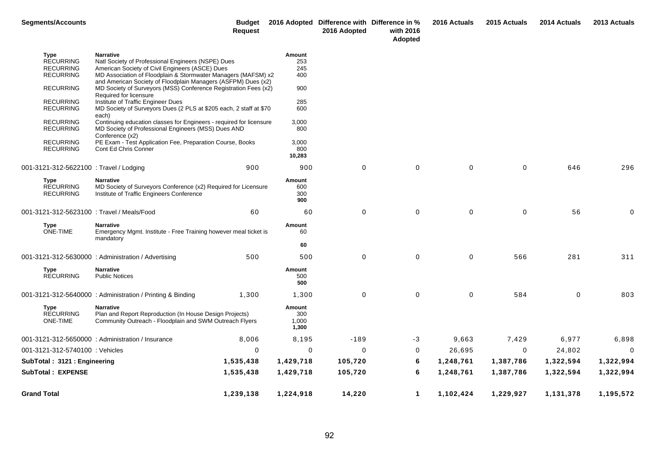| <b>Segments/Accounts</b>                                                |                                                                                                                                                                                            | <b>Budget</b><br><b>Request</b> |                                 | 2016 Adopted | 2016 Adopted Difference with Difference in %<br>with 2016<br>Adopted | 2016 Actuals | 2015 Actuals | 2014 Actuals | 2013 Actuals |
|-------------------------------------------------------------------------|--------------------------------------------------------------------------------------------------------------------------------------------------------------------------------------------|---------------------------------|---------------------------------|--------------|----------------------------------------------------------------------|--------------|--------------|--------------|--------------|
| <b>Type</b><br><b>RECURRING</b><br><b>RECURRING</b><br><b>RECURRING</b> | <b>Narrative</b><br>Natl Society of Professional Engineers (NSPE) Dues<br>American Society of Civil Engineers (ASCE) Dues<br>MD Association of Floodplain & Stormwater Managers (MAFSM) x2 |                                 | Amount<br>253<br>245<br>400     |              |                                                                      |              |              |              |              |
| <b>RECURRING</b>                                                        | and American Society of Floodplain Managers (ASFPM) Dues (x2)<br>MD Society of Surveyors (MSS) Conference Registration Fees (x2)<br>Required for licensure                                 |                                 | 900                             |              |                                                                      |              |              |              |              |
| <b>RECURRING</b><br><b>RECURRING</b>                                    | Institute of Traffic Engineer Dues<br>MD Society of Surveyors Dues (2 PLS at \$205 each, 2 staff at \$70<br>each)                                                                          |                                 | 285<br>600                      |              |                                                                      |              |              |              |              |
| <b>RECURRING</b><br><b>RECURRING</b>                                    | Continuing education classes for Engineers - required for licensure<br>MD Society of Professional Engineers (MSS) Dues AND<br>Conference (x2)                                              |                                 | 3,000<br>800                    |              |                                                                      |              |              |              |              |
| <b>RECURRING</b><br><b>RECURRING</b>                                    | PE Exam - Test Application Fee, Preparation Course, Books<br>Cont Ed Chris Conner                                                                                                          |                                 | 3,000<br>800<br>10,283          |              |                                                                      |              |              |              |              |
| 001-3121-312-5622100 : Travel / Lodging                                 |                                                                                                                                                                                            | 900                             | 900                             | $\mathbf 0$  | 0                                                                    | $\mathbf 0$  | $\mathbf 0$  | 646          | 296          |
| Type<br><b>RECURRING</b><br><b>RECURRING</b>                            | <b>Narrative</b><br>MD Society of Surveyors Conference (x2) Required for Licensure<br>Institute of Traffic Engineers Conference                                                            |                                 | Amount<br>600<br>300<br>900     |              |                                                                      |              |              |              |              |
| 001-3121-312-5623100 : Travel / Meals/Food                              |                                                                                                                                                                                            | 60                              | 60                              | $\mathbf 0$  | $\pmb{0}$                                                            | $\mathbf 0$  | $\pmb{0}$    | 56           | $\mathbf 0$  |
| <b>Type</b><br>ONE-TIME                                                 | <b>Narrative</b><br>Emergency Mgmt. Institute - Free Training however meal ticket is<br>mandatory                                                                                          |                                 | Amount<br>60                    |              |                                                                      |              |              |              |              |
|                                                                         |                                                                                                                                                                                            |                                 | 60                              |              |                                                                      |              |              |              |              |
|                                                                         | 001-3121-312-5630000 : Administration / Advertising                                                                                                                                        | 500                             | 500                             | $\mathbf 0$  | $\mathbf 0$                                                          | $\mathbf 0$  | 566          | 281          | 311          |
| Type<br><b>RECURRING</b>                                                | <b>Narrative</b><br><b>Public Notices</b>                                                                                                                                                  |                                 | Amount<br>500<br>500            |              |                                                                      |              |              |              |              |
|                                                                         | 001-3121-312-5640000: Administration / Printing & Binding                                                                                                                                  | 1,300                           | 1,300                           | $\mathbf 0$  | $\mathbf 0$                                                          | $\mathbf 0$  | 584          | $\mathbf 0$  | 803          |
| Type<br><b>RECURRING</b><br>ONE-TIME                                    | <b>Narrative</b><br>Plan and Report Reproduction (In House Design Projects)<br>Community Outreach - Floodplain and SWM Outreach Flyers                                                     |                                 | Amount<br>300<br>1,000<br>1,300 |              |                                                                      |              |              |              |              |
|                                                                         | 001-3121-312-5650000 : Administration / Insurance                                                                                                                                          | 8,006                           | 8,195                           | $-189$       | -3                                                                   | 9,663        | 7,429        | 6,977        | 6,898        |
| 001-3121-312-5740100 : Vehicles                                         |                                                                                                                                                                                            | 0                               | 0                               | 0            | $\pmb{0}$                                                            | 26,695       | 0            | 24,802       | $\Omega$     |
| SubTotal: 3121: Engineering                                             |                                                                                                                                                                                            | 1,535,438                       | 1,429,718                       | 105,720      | 6                                                                    | 1,248,761    | 1,387,786    | 1,322,594    | 1,322,994    |
| <b>SubTotal: EXPENSE</b>                                                |                                                                                                                                                                                            | 1,535,438                       | 1,429,718                       | 105,720      | 6                                                                    | 1,248,761    | 1,387,786    | 1,322,594    | 1,322,994    |
| <b>Grand Total</b>                                                      |                                                                                                                                                                                            | 1,239,138                       | 1,224,918                       | 14,220       | 1                                                                    | 1,102,424    | 1,229,927    | 1,131,378    | 1,195,572    |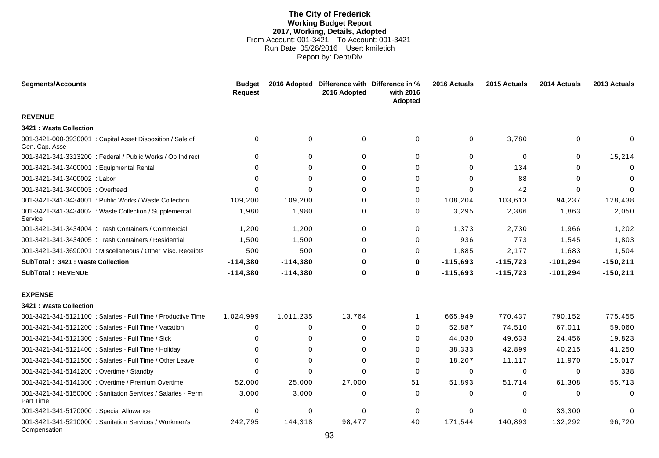# **The City of Frederick Working Budget Report 2017, Working, Details, Adopted** From Account: 001-3421 To Account: 001-3421 Run Date: 05/26/2016 User: kmiletich Report by: Dept/Div

| <b>Segments/Accounts</b>                                                     | <b>Budget</b><br><b>Request</b> |             | 2016 Adopted Difference with Difference in %<br>2016 Adopted | with 2016<br>Adopted | 2016 Actuals | 2015 Actuals | 2014 Actuals | 2013 Actuals |
|------------------------------------------------------------------------------|---------------------------------|-------------|--------------------------------------------------------------|----------------------|--------------|--------------|--------------|--------------|
| <b>REVENUE</b>                                                               |                                 |             |                                                              |                      |              |              |              |              |
| 3421 : Waste Collection                                                      |                                 |             |                                                              |                      |              |              |              |              |
| 001-3421-000-3930001 : Capital Asset Disposition / Sale of<br>Gen. Cap. Asse | $\Omega$                        | $\mathbf 0$ | $\Omega$                                                     | $\mathbf 0$          | 0            | 3,780        | $\Omega$     |              |
| 001-3421-341-3313200 : Federal / Public Works / Op Indirect                  | $\Omega$                        | $\Omega$    | $\Omega$                                                     | 0                    | 0            | $\Omega$     | $\Omega$     | 15,214       |
| 001-3421-341-3400001 : Equipmental Rental                                    | $\Omega$                        | $\Omega$    | $\Omega$                                                     | $\Omega$             | 0            | 134          | ∩            |              |
| 001-3421-341-3400002 : Labor                                                 | $\Omega$                        | $\Omega$    | $\Omega$                                                     | $\Omega$             | 0            | 88           | $\Omega$     |              |
| 001-3421-341-3400003 : Overhead                                              | U                               | $\Omega$    | $\Omega$                                                     | $\Omega$             | 0            | 42           | ∩            |              |
| 001-3421-341-3434001 : Public Works / Waste Collection                       | 109,200                         | 109,200     | $\Omega$                                                     | $\mathbf 0$          | 108,204      | 103,613      | 94,237       | 128,438      |
| 001-3421-341-3434002 : Waste Collection / Supplemental<br>Service            | 1,980                           | 1,980       | $\Omega$                                                     | 0                    | 3,295        | 2,386        | 1,863        | 2,050        |
| 001-3421-341-3434004 : Trash Containers / Commercial                         | 1,200                           | 1,200       | 0                                                            | 0                    | 1,373        | 2,730        | 1,966        | 1,202        |
| 001-3421-341-3434005 : Trash Containers / Residential                        | 1,500                           | 1,500       | 0                                                            | 0                    | 936          | 773          | 1,545        | 1,803        |
| 001-3421-341-3690001 : Miscellaneous / Other Misc. Receipts                  | 500                             | 500         | $\Omega$                                                     | 0                    | 1,885        | 2,177        | 1,683        | 1,504        |
| SubTotal: 3421: Waste Collection                                             | $-114,380$                      | $-114,380$  | 0                                                            | 0                    | $-115,693$   | $-115,723$   | $-101, 294$  | $-150,211$   |
| <b>SubTotal: REVENUE</b>                                                     | $-114,380$                      | $-114,380$  | 0                                                            | 0                    | $-115,693$   | $-115,723$   | $-101, 294$  | $-150,211$   |
| <b>EXPENSE</b>                                                               |                                 |             |                                                              |                      |              |              |              |              |
| 3421 : Waste Collection                                                      |                                 |             |                                                              |                      |              |              |              |              |
| 001-3421-341-5121100 : Salaries - Full Time / Productive Time                | 1,024,999                       | 1,011,235   | 13,764                                                       | 1                    | 665,949      | 770,437      | 790,152      | 775,455      |
| 001-3421-341-5121200 : Salaries - Full Time / Vacation                       | $\Omega$                        | 0           | $\Omega$                                                     | 0                    | 52,887       | 74,510       | 67,011       | 59,060       |
| 001-3421-341-5121300 : Salaries - Full Time / Sick                           | $\Omega$                        | 0           | $\Omega$                                                     | 0                    | 44,030       | 49,633       | 24,456       | 19,823       |
| 001-3421-341-5121400 : Salaries - Full Time / Holiday                        | $\Omega$                        | $\Omega$    | $\Omega$                                                     | 0                    | 38,333       | 42,899       | 40,215       | 41,250       |
| 001-3421-341-5121500 : Salaries - Full Time / Other Leave                    | $\Omega$                        | $\Omega$    | $\Omega$                                                     | 0                    | 18,207       | 11,117       | 11,970       | 15,017       |
| 001-3421-341-5141200 : Overtime / Standby                                    | 0                               | $\Omega$    | $\Omega$                                                     | $\mathbf 0$          | 0            | $\mathbf 0$  | 0            | 338          |
| 001-3421-341-5141300 : Overtime / Premium Overtime                           | 52,000                          | 25,000      | 27,000                                                       | 51                   | 51,893       | 51,714       | 61,308       | 55,713       |
| 001-3421-341-5150000 : Sanitation Services / Salaries - Perm<br>Part Time    | 3,000                           | 3,000       | $\Omega$                                                     | 0                    | 0            | 0            | 0            | $\Omega$     |
| 001-3421-341-5170000 : Special Allowance                                     | $\Omega$                        | 0           | $\Omega$                                                     | 0                    | 0            | 0            | 33,300       | $\Omega$     |
| 001-3421-341-5210000: Sanitation Services / Workmen's<br>Compensation        | 242,795                         | 144,318     | 98,477                                                       | 40                   | 171,544      | 140,893      | 132,292      | 96,720       |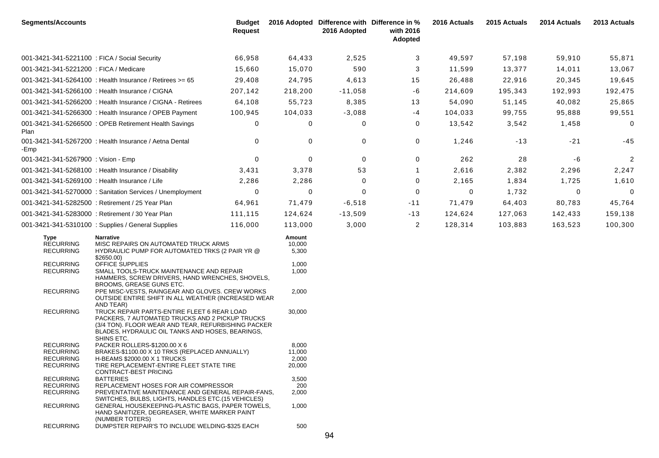| <b>Segments/Accounts</b>                                                                                                                                                                                                                                                              | <b>Budget</b><br><b>Request</b> |                                             | 2016 Adopted Difference with Difference in %<br>2016 Adopted | with 2016<br>Adopted | 2016 Actuals | 2015 Actuals | 2014 Actuals | 2013 Actuals   |
|---------------------------------------------------------------------------------------------------------------------------------------------------------------------------------------------------------------------------------------------------------------------------------------|---------------------------------|---------------------------------------------|--------------------------------------------------------------|----------------------|--------------|--------------|--------------|----------------|
| 001-3421-341-5221100 : FICA / Social Security                                                                                                                                                                                                                                         | 66,958                          | 64,433                                      | 2,525                                                        | 3                    | 49,597       | 57,198       | 59,910       | 55,871         |
| 001-3421-341-5221200 : FICA / Medicare                                                                                                                                                                                                                                                | 15,660                          | 15,070                                      | 590                                                          | 3                    | 11,599       | 13,377       | 14,011       | 13,067         |
| 001-3421-341-5264100 : Health Insurance / Retirees >= 65                                                                                                                                                                                                                              | 29,408                          | 24,795                                      | 4,613                                                        | 15                   | 26,488       | 22,916       | 20,345       | 19,645         |
| 001-3421-341-5266100 : Health Insurance / CIGNA                                                                                                                                                                                                                                       | 207,142                         | 218,200                                     | $-11,058$                                                    | -6                   | 214,609      | 195,343      | 192,993      | 192,475        |
| 001-3421-341-5266200 : Health Insurance / CIGNA - Retirees                                                                                                                                                                                                                            | 64,108                          | 55,723                                      | 8,385                                                        | 13                   | 54,090       | 51,145       | 40,082       | 25,865         |
| 001-3421-341-5266300 : Health Insurance / OPEB Payment                                                                                                                                                                                                                                | 100,945                         | 104,033                                     | $-3,088$                                                     | $-4$                 | 104,033      | 99,755       | 95,888       | 99,551         |
| 001-3421-341-5266500 : OPEB Retirement Health Savings<br>Plan                                                                                                                                                                                                                         | 0                               | 0                                           | 0                                                            | 0                    | 13,542       | 3,542        | 1,458        | 0              |
| 001-3421-341-5267200 : Health Insurance / Aetna Dental<br>-Emp                                                                                                                                                                                                                        | 0                               | 0                                           | 0                                                            | 0                    | 1,246        | $-13$        | $-21$        | $-45$          |
| 001-3421-341-5267900 : Vision - Emp                                                                                                                                                                                                                                                   | 0                               | 0                                           | 0                                                            | 0                    | 262          | 28           | -6           | $\overline{c}$ |
| 001-3421-341-5268100 : Health Insurance / Disability                                                                                                                                                                                                                                  | 3,431                           | 3,378                                       | 53                                                           | -1                   | 2,616        | 2,382        | 2,296        | 2,247          |
| 001-3421-341-5269100 : Health Insurance / Life                                                                                                                                                                                                                                        | 2,286                           | 2,286                                       | 0                                                            | 0                    | 2,165        | 1,834        | 1,725        | 1,610          |
| 001-3421-341-5270000: Sanitation Services / Unemployment                                                                                                                                                                                                                              | 0                               | 0                                           | 0                                                            | 0                    | 0            | 1,732        | 0            | 0              |
| 001-3421-341-5282500 : Retirement / 25 Year Plan                                                                                                                                                                                                                                      | 64,961                          | 71,479                                      | $-6,518$                                                     | $-11$                | 71,479       | 64,403       | 80,783       | 45,764         |
| 001-3421-341-5283000 : Retirement / 30 Year Plan                                                                                                                                                                                                                                      | 111,115                         | 124,624                                     | $-13,509$                                                    | $-13$                | 124,624      | 127,063      | 142,433      | 159,138        |
| 001-3421-341-5310100 : Supplies / General Supplies                                                                                                                                                                                                                                    | 116,000                         | 113.000                                     | 3,000                                                        | $\overline{2}$       | 128,314      | 103,883      | 163,523      | 100,300        |
| Type<br><b>Narrative</b><br><b>RECURRING</b><br>MISC REPAIRS ON AUTOMATED TRUCK ARMS<br><b>RECURRING</b><br>HYDRAULIC PUMP FOR AUTOMATED TRKS (2 PAIR YR @<br>\$2650.00<br><b>RECURRING</b><br><b>OFFICE SUPPLIES</b><br><b>RECURRING</b><br>SMALL TOOLS-TRUCK MAINTENANCE AND REPAIR |                                 | Amount<br>10,000<br>5,300<br>1,000<br>1,000 |                                                              |                      |              |              |              |                |
| HAMMERS, SCREW DRIVERS, HAND WRENCHES, SHOVELS,<br>BROOMS, GREASE GUNS ETC.<br><b>RECURRING</b><br>PPE MISC-VESTS, RAINGEAR AND GLOVES. CREW WORKS<br>OUTSIDE ENTIRE SHIFT IN ALL WEATHER (INCREASED WEAR                                                                             |                                 | 2,000                                       |                                                              |                      |              |              |              |                |
| AND TEAR)<br><b>RECURRING</b><br>TRUCK REPAIR PARTS-ENTIRE FLEET 6 REAR LOAD<br>PACKERS, 7 AUTOMATED TRUCKS AND 2 PICKUP TRUCKS<br>(3/4 TON). FLOOR WEAR AND TEAR, REFURBISHING PACKER<br>BLADES, HYDRAULIC OIL TANKS AND HOSES, BEARINGS,<br>SHINS ETC.                              |                                 | 30,000                                      |                                                              |                      |              |              |              |                |
| PACKER ROLLERS-\$1200.00 X 6<br><b>RECURRING</b><br>BRAKES-\$1100.00 X 10 TRKS (REPLACED ANNUALLY)<br><b>RECURRING</b><br><b>RECURRING</b><br>H-BEAMS \$2000.00 X 1 TRUCKS<br>TIRE REPLACEMENT-ENTIRE FLEET STATE TIRE<br><b>RECURRING</b>                                            |                                 | 8,000<br>11,000<br>2,000<br>20,000          |                                                              |                      |              |              |              |                |
| CONTRACT-BEST PRICING<br><b>RECURRING</b><br><b>BATTERIES</b><br><b>RECURRING</b><br>REPLACEMENT HOSES FOR AIR COMPRESSOR<br><b>RECURRING</b><br>PREVENTATIVE MAINTENANCE AND GENERAL REPAIR-FANS.                                                                                    |                                 | 3,500<br>200<br>2,000                       |                                                              |                      |              |              |              |                |
| SWITCHES, BULBS, LIGHTS, HANDLES ETC.(15 VEHICLES)<br><b>RECURRING</b><br>GENERAL HOUSEKEEPING-PLASTIC BAGS, PAPER TOWELS,<br>HAND SANITIZER, DEGREASER, WHITE MARKER PAINT<br>(NUMBER TOTERS)                                                                                        |                                 | 1,000                                       |                                                              |                      |              |              |              |                |
| DUMPSTER REPAIR'S TO INCLUDE WELDING-\$325 EACH<br><b>RECURRING</b>                                                                                                                                                                                                                   |                                 | 500                                         |                                                              |                      |              |              |              |                |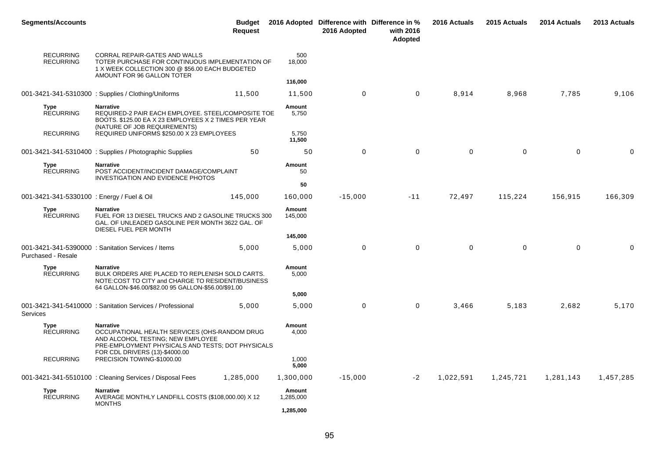| <b>Segments/Accounts</b>                   |                                                                                                                                                                                               | Budget<br><b>Request</b> |                     | 2016 Adopted Difference with Difference in %<br>2016 Adopted | with 2016<br>Adopted | 2016 Actuals | 2015 Actuals | 2014 Actuals | 2013 Actuals |
|--------------------------------------------|-----------------------------------------------------------------------------------------------------------------------------------------------------------------------------------------------|--------------------------|---------------------|--------------------------------------------------------------|----------------------|--------------|--------------|--------------|--------------|
| <b>RECURRING</b><br><b>RECURRING</b>       | CORRAL REPAIR-GATES AND WALLS<br>TOTER PURCHASE FOR CONTINUOUS IMPLEMENTATION OF<br>1 X WEEK COLLECTION 300 @ \$56.00 EACH BUDGETED<br>AMOUNT FOR 96 GALLON TOTER                             |                          | 500<br>18,000       |                                                              |                      |              |              |              |              |
|                                            |                                                                                                                                                                                               |                          | 116,000             |                                                              |                      |              |              |              |              |
|                                            | 001-3421-341-5310300 : Supplies / Clothing/Uniforms                                                                                                                                           | 11,500                   | 11,500              | $\mathbf 0$                                                  | $\mathbf 0$          | 8,914        | 8,968        | 7,785        | 9,106        |
| Type<br><b>RECURRING</b>                   | <b>Narrative</b><br>REQUIRED-2 PAIR EACH EMPLOYEE. STEEL/COMPOSITE TOE<br>BOOTS. \$125.00 EA X 23 EMPLOYEES X 2 TIMES PER YEAR<br>(NATURE OF JOB REQUIREMENTS)                                |                          | Amount<br>5,750     |                                                              |                      |              |              |              |              |
| <b>RECURRING</b>                           | REQUIRED UNIFORMS \$250.00 X 23 EMPLOYEES                                                                                                                                                     |                          | 5,750<br>11,500     |                                                              |                      |              |              |              |              |
|                                            | 001-3421-341-5310400: Supplies / Photographic Supplies                                                                                                                                        | 50                       | 50                  | $\mathbf 0$                                                  | $\mathbf 0$          | $\mathbf 0$  | $\mathbf 0$  | $\mathbf 0$  | 0            |
| Type<br><b>RECURRING</b>                   | <b>Narrative</b><br>POST ACCIDENT/INCIDENT DAMAGE/COMPLAINT<br>INVESTIGATION AND EVIDENCE PHOTOS                                                                                              |                          | Amount<br>50        |                                                              |                      |              |              |              |              |
|                                            |                                                                                                                                                                                               |                          | 50                  |                                                              |                      |              |              |              |              |
| 001-3421-341-5330100 : Energy / Fuel & Oil |                                                                                                                                                                                               | 145.000                  | 160,000             | $-15,000$                                                    | $-11$                | 72,497       | 115,224      | 156,915      | 166,309      |
| Type<br><b>RECURRING</b>                   | <b>Narrative</b><br>FUEL FOR 13 DIESEL TRUCKS AND 2 GASOLINE TRUCKS 300<br>GAL. OF UNLEADED GASOLINE PER MONTH 3622 GAL. OF<br>DIESEL FUEL PER MONTH                                          |                          | Amount<br>145,000   |                                                              |                      |              |              |              |              |
|                                            |                                                                                                                                                                                               |                          | 145,000             |                                                              |                      |              |              |              |              |
| Purchased - Resale                         | 001-3421-341-5390000 : Sanitation Services / Items                                                                                                                                            | 5,000                    | 5,000               | 0                                                            | $\mathbf 0$          | $\mathbf 0$  | 0            | $\mathbf 0$  | $\mathbf 0$  |
| <b>Type</b><br><b>RECURRING</b>            | <b>Narrative</b><br>BULK ORDERS ARE PLACED TO REPLENISH SOLD CARTS.<br>NOTE:COST TO CITY and CHARGE TO RESIDENT/BUSINESS<br>64 GALLON-\$46.00/\$82.00 95 GALLON-\$56.00/\$91.00               |                          | Amount<br>5,000     |                                                              |                      |              |              |              |              |
|                                            |                                                                                                                                                                                               |                          | 5,000               |                                                              |                      |              |              |              |              |
| Services                                   | 001-3421-341-5410000 : Sanitation Services / Professional                                                                                                                                     | 5,000                    | 5,000               | 0                                                            | 0                    | 3,466        | 5,183        | 2,682        | 5,170        |
| Type<br><b>RECURRING</b>                   | <b>Narrative</b><br>OCCUPATIONAL HEALTH SERVICES (OHS-RANDOM DRUG<br>AND ALCOHOL TESTING; NEW EMPLOYEE<br>PRE-EMPLOYMENT PHYSICALS AND TESTS; DOT PHYSICALS<br>FOR CDL DRIVERS (13)-\$4000.00 |                          | Amount<br>4,000     |                                                              |                      |              |              |              |              |
| <b>RECURRING</b>                           | PRECISION TOWING-\$1000.00                                                                                                                                                                    |                          | 1,000<br>5,000      |                                                              |                      |              |              |              |              |
|                                            | 001-3421-341-5510100 : Cleaning Services / Disposal Fees                                                                                                                                      | 1,285,000                | 1,300,000           | $-15,000$                                                    | $-2$                 | 1,022,591    | 1,245,721    | 1,281,143    | 1,457,285    |
| Type<br>RECURRING                          | <b>Narrative</b><br>AVERAGE MONTHLY LANDFILL COSTS (\$108,000.00) X 12<br><b>MONTHS</b>                                                                                                       |                          | Amount<br>1,285,000 |                                                              |                      |              |              |              |              |
|                                            |                                                                                                                                                                                               |                          | 1,285,000           |                                                              |                      |              |              |              |              |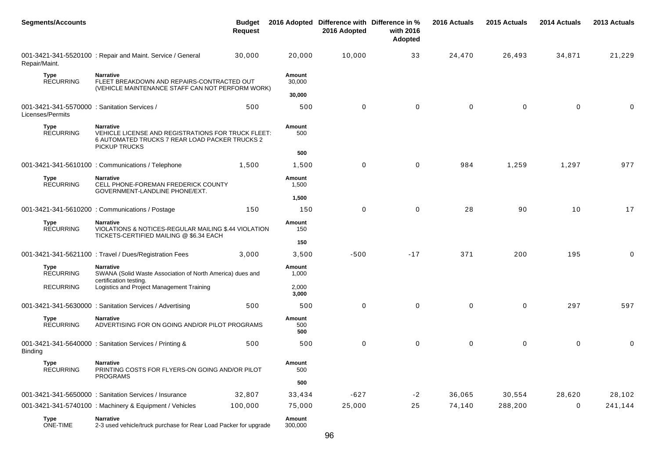| <b>Segments/Accounts</b>                                         |                                                                                                                                           | <b>Budget</b><br><b>Request</b> |                      | 2016 Adopted Difference with Difference in %<br>2016 Adopted | with 2016<br>Adopted | 2016 Actuals | 2015 Actuals | 2014 Actuals | 2013 Actuals |
|------------------------------------------------------------------|-------------------------------------------------------------------------------------------------------------------------------------------|---------------------------------|----------------------|--------------------------------------------------------------|----------------------|--------------|--------------|--------------|--------------|
| Repair/Maint.                                                    | 001-3421-341-5520100 : Repair and Maint. Service / General                                                                                | 30,000                          | 20,000               | 10,000                                                       | 33                   | 24,470       | 26,493       | 34,871       | 21,229       |
| <b>Type</b><br><b>RECURRING</b>                                  | <b>Narrative</b><br>FLEET BREAKDOWN AND REPAIRS-CONTRACTED OUT<br>(VEHICLE MAINTENANCE STAFF CAN NOT PERFORM WORK)                        |                                 | Amount<br>30,000     |                                                              |                      |              |              |              |              |
|                                                                  |                                                                                                                                           |                                 | 30,000               |                                                              |                      |              |              |              |              |
| 001-3421-341-5570000 : Sanitation Services /<br>Licenses/Permits |                                                                                                                                           | 500                             | 500                  | $\mathbf 0$                                                  | 0                    | $\mathbf 0$  | $\mathbf 0$  | 0            | $\Omega$     |
| <b>Type</b><br><b>RECURRING</b>                                  | <b>Narrative</b><br>VEHICLE LICENSE AND REGISTRATIONS FOR TRUCK FLEET:<br>6 AUTOMATED TRUCKS 7 REAR LOAD PACKER TRUCKS 2<br>PICKUP TRUCKS |                                 | Amount<br>500        |                                                              |                      |              |              |              |              |
|                                                                  |                                                                                                                                           |                                 | 500                  |                                                              |                      |              |              |              |              |
|                                                                  | 001-3421-341-5610100 : Communications / Telephone                                                                                         | 1,500                           | 1,500                | 0                                                            | 0                    | 984          | 1,259        | 1,297        | 977          |
| Type<br><b>RECURRING</b>                                         | <b>Narrative</b><br>CELL PHONE-FOREMAN FREDERICK COUNTY<br>GOVERNMENT-LANDLINE PHONE/EXT.                                                 |                                 | Amount<br>1,500      |                                                              |                      |              |              |              |              |
|                                                                  |                                                                                                                                           |                                 | 1,500                |                                                              |                      |              |              |              |              |
|                                                                  | 001-3421-341-5610200 : Communications / Postage                                                                                           | 150                             | 150                  | $\mathbf 0$                                                  | $\mathbf 0$          | 28           | 90           | 10           | 17           |
| Type<br><b>RECURRING</b>                                         | <b>Narrative</b><br>VIOLATIONS & NOTICES-REGULAR MAILING \$.44 VIOLATION<br>TICKETS-CERTIFIED MAILING @ \$6.34 EACH                       |                                 | Amount<br>150        |                                                              |                      |              |              |              |              |
|                                                                  |                                                                                                                                           |                                 | 150                  |                                                              |                      |              |              |              |              |
|                                                                  | 001-3421-341-5621100 : Travel / Dues/Registration Fees                                                                                    | 3,000                           | 3,500                | $-500$                                                       | $-17$                | 371          | 200          | 195          | 0            |
| Type<br><b>RECURRING</b>                                         | <b>Narrative</b><br>SWANA (Solid Waste Association of North America) dues and<br>certification testing.                                   |                                 | Amount<br>1,000      |                                                              |                      |              |              |              |              |
| <b>RECURRING</b>                                                 | Logistics and Project Management Training                                                                                                 |                                 | 2,000<br>3,000       |                                                              |                      |              |              |              |              |
|                                                                  | 001-3421-341-5630000 : Sanitation Services / Advertising                                                                                  | 500                             | 500                  | $\mathbf 0$                                                  | 0                    | $\mathbf 0$  | 0            | 297          | 597          |
| Type<br><b>RECURRING</b>                                         | <b>Narrative</b><br>ADVERTISING FOR ON GOING AND/OR PILOT PROGRAMS                                                                        |                                 | Amount<br>500<br>500 |                                                              |                      |              |              |              |              |
| <b>Binding</b>                                                   | 001-3421-341-5640000 : Sanitation Services / Printing &                                                                                   | 500                             | 500                  | 0                                                            | 0                    | 0            | 0            | $\mathbf 0$  | 0            |
| Type<br><b>RECURRING</b>                                         | Narrative<br>PRINTING COSTS FOR FLYERS-ON GOING AND/OR PILOT<br><b>PROGRAMS</b>                                                           |                                 | Amount<br>500        |                                                              |                      |              |              |              |              |
|                                                                  |                                                                                                                                           |                                 | 500                  |                                                              |                      |              |              |              |              |
|                                                                  | 001-3421-341-5650000 : Sanitation Services / Insurance                                                                                    | 32,807                          | 33,434               | $-627$                                                       | $-2$                 | 36,065       | 30,554       | 28,620       | 28,102       |
|                                                                  | 001-3421-341-5740100 : Machinery & Equipment / Vehicles                                                                                   | 100,000                         | 75,000               | 25,000                                                       | 25                   | 74,140       | 288,200      | 0            | 241,144      |
| Type<br>ONE-TIME                                                 | <b>Narrative</b><br>2-3 used vehicle/truck purchase for Rear Load Packer for upgrade                                                      |                                 | Amount<br>300,000    |                                                              |                      |              |              |              |              |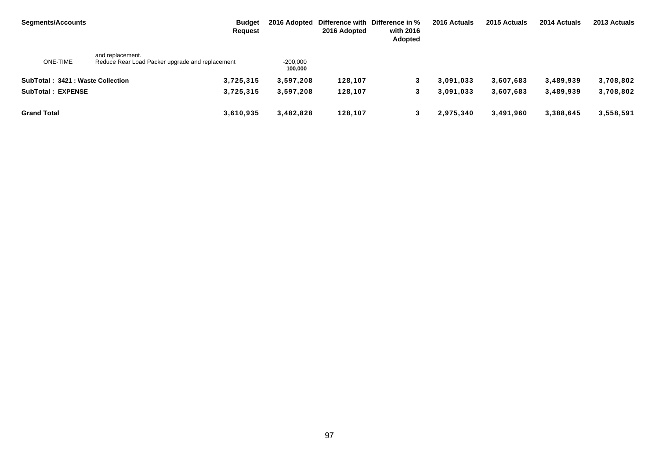| <b>Segments/Accounts</b>          |                                                                     | <b>Budget</b><br><b>Request</b> |                       | 2016 Adopted Difference with Difference in %<br>2016 Adopted | with 2016<br><b>Adopted</b> | 2016 Actuals | 2015 Actuals | 2014 Actuals | 2013 Actuals |
|-----------------------------------|---------------------------------------------------------------------|---------------------------------|-----------------------|--------------------------------------------------------------|-----------------------------|--------------|--------------|--------------|--------------|
| <b>ONE-TIME</b>                   | and replacement.<br>Reduce Rear Load Packer upgrade and replacement |                                 | $-200,000$<br>100,000 |                                                              |                             |              |              |              |              |
| SubTotal: 3421 : Waste Collection |                                                                     | 3,725,315                       | 3,597,208             | 128,107                                                      | 3                           | 3,091,033    | 3,607,683    | 3,489,939    | 3,708,802    |
| <b>SubTotal: EXPENSE</b>          |                                                                     | 3,725,315                       | 3,597,208             | 128,107                                                      | 3                           | 3,091,033    | 3,607,683    | 3,489,939    | 3,708,802    |
| <b>Grand Total</b>                |                                                                     | 3,610,935                       | 3,482,828             | 128,107                                                      | 3                           | 2,975,340    | 3,491,960    | 3,388,645    | 3,558,591    |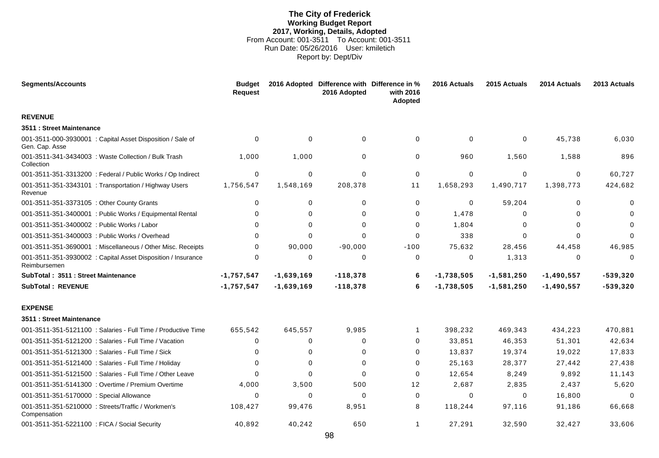# **The City of Frederick Working Budget Report 2017, Working, Details, Adopted** From Account: 001-3511 To Account: 001-3511 Run Date: 05/26/2016 User: kmiletich Report by: Dept/Div

| <b>Segments/Accounts</b>                                                     | <b>Budget</b><br><b>Request</b> |              | 2016 Adopted Difference with Difference in %<br>2016 Adopted | with 2016<br>Adopted | 2016 Actuals | 2015 Actuals | 2014 Actuals | 2013 Actuals |
|------------------------------------------------------------------------------|---------------------------------|--------------|--------------------------------------------------------------|----------------------|--------------|--------------|--------------|--------------|
| <b>REVENUE</b>                                                               |                                 |              |                                                              |                      |              |              |              |              |
| 3511 : Street Maintenance                                                    |                                 |              |                                                              |                      |              |              |              |              |
| 001-3511-000-3930001 : Capital Asset Disposition / Sale of<br>Gen. Cap. Asse | $\Omega$                        | $\mathbf 0$  | $\Omega$                                                     | 0                    | $\Omega$     | $\mathbf 0$  | 45,738       | 6,030        |
| 001-3511-341-3434003 : Waste Collection / Bulk Trash<br>Collection           | 1,000                           | 1,000        | $\Omega$                                                     | $\mathbf 0$          | 960          | 1,560        | 1,588        | 896          |
| 001-3511-351-3313200 : Federal / Public Works / Op Indirect                  | 0                               | $\Omega$     | $\Omega$                                                     | $\mathbf 0$          | $\Omega$     | $\mathbf 0$  | $\Omega$     | 60,727       |
| 001-3511-351-3343101 : Transportation / Highway Users<br>Revenue             | 1,756,547                       | 1,548,169    | 208,378                                                      | 11                   | 1,658,293    | 1,490,717    | 1,398,773    | 424,682      |
| 001-3511-351-3373105 : Other County Grants                                   | $\Omega$                        | 0            | $\Omega$                                                     | $\Omega$             | $\Omega$     | 59,204       | $\Omega$     | $\Omega$     |
| 001-3511-351-3400001 : Public Works / Equipmental Rental                     | $\Omega$                        | $\Omega$     | $\Omega$                                                     | $\Omega$             | 1,478        | 0            | 0            |              |
| 001-3511-351-3400002 : Public Works / Labor                                  | 0                               | $\Omega$     | $\Omega$                                                     | 0                    | 1,804        | $\Omega$     | $\Omega$     | $\Omega$     |
| 001-3511-351-3400003 : Public Works / Overhead                               | ∩                               | $\Omega$     | $\Omega$                                                     | 0                    | 338          | $\Omega$     | $\Omega$     | $\Omega$     |
| 001-3511-351-3690001 : Miscellaneous / Other Misc. Receipts                  | 0                               | 90,000       | $-90,000$                                                    | $-100$               | 75,632       | 28,456       | 44,458       | 46,985       |
| 001-3511-351-3930002 : Capital Asset Disposition / Insurance<br>Reimbursemen | 0                               | 0            | $\Omega$                                                     | 0                    | 0            | 1,313        | $\Omega$     | $\Omega$     |
| SubTotal: 3511: Street Maintenance                                           | $-1,757,547$                    | $-1,639,169$ | $-118,378$                                                   | 6                    | $-1,738,505$ | $-1,581,250$ | $-1,490,557$ | $-539,320$   |
| <b>SubTotal: REVENUE</b>                                                     | $-1,757,547$                    | $-1,639,169$ | $-118,378$                                                   | 6                    | $-1,738,505$ | $-1,581,250$ | $-1,490,557$ | $-539,320$   |
| <b>EXPENSE</b>                                                               |                                 |              |                                                              |                      |              |              |              |              |
| 3511 : Street Maintenance                                                    |                                 |              |                                                              |                      |              |              |              |              |
| 001-3511-351-5121100 : Salaries - Full Time / Productive Time                | 655,542                         | 645,557      | 9,985                                                        | -1                   | 398,232      | 469,343      | 434,223      | 470,881      |
| 001-3511-351-5121200 : Salaries - Full Time / Vacation                       | 0                               | 0            | $\Omega$                                                     | 0                    | 33,851       | 46,353       | 51,301       | 42,634       |
| 001-3511-351-5121300 : Salaries - Full Time / Sick                           | 0                               | 0            | $\Omega$                                                     | $\Omega$             | 13,837       | 19,374       | 19,022       | 17,833       |
| 001-3511-351-5121400 : Salaries - Full Time / Holiday                        | $\Omega$                        | $\Omega$     | $\Omega$                                                     | $\Omega$             | 25,163       | 28,377       | 27,442       | 27,438       |
| 001-3511-351-5121500 : Salaries - Full Time / Other Leave                    | $\Omega$                        | $\Omega$     | $\Omega$                                                     | $\Omega$             | 12,654       | 8,249        | 9,892        | 11,143       |
| 001-3511-351-5141300 : Overtime / Premium Overtime                           | 4,000                           | 3,500        | 500                                                          | 12                   | 2,687        | 2,835        | 2,437        | 5,620        |
| 001-3511-351-5170000 : Special Allowance                                     | $\Omega$                        | 0            | $\Omega$                                                     | 0                    | $\Omega$     | 0            | 16,800       | $\Omega$     |
| 001-3511-351-5210000 : Streets/Traffic / Workmen's<br>Compensation           | 108,427                         | 99,476       | 8,951                                                        | 8                    | 118,244      | 97,116       | 91,186       | 66,668       |
| 001-3511-351-5221100 : FICA / Social Security                                | 40,892                          | 40,242       | 650                                                          | $\mathbf{1}$         | 27,291       | 32,590       | 32,427       | 33,606       |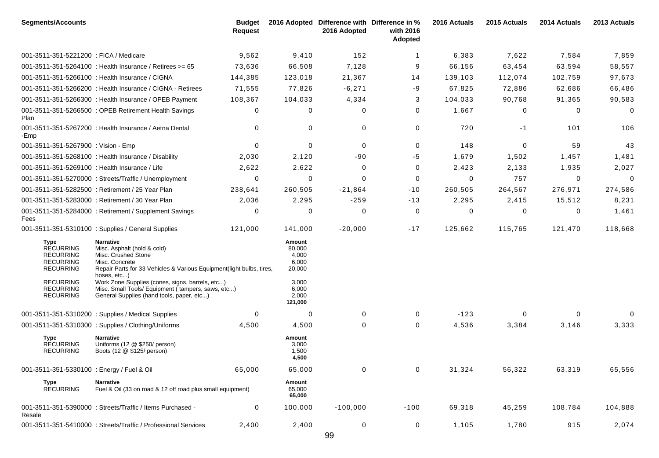| <b>Segments/Accounts</b>                                                             |                                                                                                                                                                          | <b>Budget</b><br><b>Request</b> |                                              | 2016 Adopted Difference with Difference in %<br>2016 Adopted | with 2016<br>Adopted | 2016 Actuals | 2015 Actuals | 2014 Actuals | 2013 Actuals |
|--------------------------------------------------------------------------------------|--------------------------------------------------------------------------------------------------------------------------------------------------------------------------|---------------------------------|----------------------------------------------|--------------------------------------------------------------|----------------------|--------------|--------------|--------------|--------------|
| 001-3511-351-5221200 : FICA / Medicare                                               |                                                                                                                                                                          | 9,562                           | 9,410                                        | 152                                                          | -1                   | 6,383        | 7,622        | 7,584        | 7,859        |
|                                                                                      | 001-3511-351-5264100 : Health Insurance / Retirees >= 65                                                                                                                 | 73,636                          | 66,508                                       | 7,128                                                        | 9                    | 66,156       | 63,454       | 63,594       | 58,557       |
|                                                                                      | 001-3511-351-5266100 : Health Insurance / CIGNA                                                                                                                          | 144,385                         | 123,018                                      | 21,367                                                       | 14                   | 139,103      | 112,074      | 102,759      | 97,673       |
|                                                                                      | 001-3511-351-5266200 : Health Insurance / CIGNA - Retirees                                                                                                               | 71,555                          | 77,826                                       | $-6,271$                                                     | -9                   | 67,825       | 72,886       | 62,686       | 66,486       |
|                                                                                      | 001-3511-351-5266300 : Health Insurance / OPEB Payment                                                                                                                   | 108,367                         | 104,033                                      | 4,334                                                        | 3                    | 104,033      | 90,768       | 91,365       | 90,583       |
| Plan                                                                                 | 001-3511-351-5266500 : OPEB Retirement Health Savings                                                                                                                    | 0                               | 0                                            | 0                                                            | 0                    | 1,667        | 0            | 0            | 0            |
| -Emp                                                                                 | 001-3511-351-5267200 : Health Insurance / Aetna Dental                                                                                                                   | 0                               | 0                                            | 0                                                            | 0                    | 720          | $-1$         | 101          | 106          |
| 001-3511-351-5267900 : Vision - Emp                                                  |                                                                                                                                                                          | $\Omega$                        | 0                                            | $\Omega$                                                     | 0                    | 148          | 0            | 59           | 43           |
|                                                                                      | 001-3511-351-5268100 : Health Insurance / Disability                                                                                                                     | 2,030                           | 2,120                                        | -90                                                          | -5                   | 1,679        | 1,502        | 1,457        | 1,481        |
| 001-3511-351-5269100 : Health Insurance / Life                                       |                                                                                                                                                                          | 2,622                           | 2,622                                        | $\Omega$                                                     | 0                    | 2,423        | 2,133        | 1,935        | 2,027        |
|                                                                                      | 001-3511-351-5270000: Streets/Traffic / Unemployment                                                                                                                     | 0                               | 0                                            | 0                                                            | 0                    | 0            | 757          | 0            | 0            |
|                                                                                      | 001-3511-351-5282500 : Retirement / 25 Year Plan                                                                                                                         | 238,641                         | 260,505                                      | $-21,864$                                                    | $-10$                | 260,505      | 264,567      | 276,971      | 274,586      |
|                                                                                      | 001-3511-351-5283000 : Retirement / 30 Year Plan                                                                                                                         | 2,036                           | 2,295                                        | $-259$                                                       | $-13$                | 2,295        | 2,415        | 15,512       | 8,231        |
| Fees                                                                                 | 001-3511-351-5284000: Retirement / Supplement Savings                                                                                                                    | 0                               | 0                                            | 0                                                            | 0                    | 0            | $\mathbf 0$  | 0            | 1,461        |
|                                                                                      | 001-3511-351-5310100 : Supplies / General Supplies                                                                                                                       | 121,000                         | 141,000                                      | $-20,000$                                                    | $-17$                | 125,662      | 115,765      | 121,470      | 118,668      |
| Type<br><b>RECURRING</b><br><b>RECURRING</b><br><b>RECURRING</b><br><b>RECURRING</b> | Narrative<br>Misc. Asphalt (hold & cold)<br>Misc. Crushed Stone<br>Misc. Concrete<br>Repair Parts for 33 Vehicles & Various Equipment(light bulbs, tires,<br>hoses, etc) |                                 | Amount<br>80,000<br>4,000<br>6,000<br>20,000 |                                                              |                      |              |              |              |              |
| <b>RECURRING</b><br><b>RECURRING</b><br><b>RECURRING</b>                             | Work Zone Supplies (cones, signs, barrels, etc)<br>Misc. Small Tools/ Equipment (tampers, saws, etc)<br>General Supplies (hand tools, paper, etc)                        |                                 | 3,000<br>6,000<br>2,000<br>121,000           |                                                              |                      |              |              |              |              |
|                                                                                      | 001-3511-351-5310200 : Supplies / Medical Supplies                                                                                                                       | 0                               | 0                                            | 0                                                            | 0                    | $-123$       | 0            | 0            | 0            |
|                                                                                      | 001-3511-351-5310300: Supplies / Clothing/Uniforms                                                                                                                       | 4,500                           | 4,500                                        | 0                                                            | 0                    | 4,536        | 3,384        | 3,146        | 3,333        |
| Type<br><b>RECURRING</b><br><b>RECURRING</b>                                         | <b>Narrative</b><br>Uniforms (12 @ \$250/ person)<br>Boots (12 @ \$125/ person)                                                                                          |                                 | Amount<br>3,000<br>1,500<br>4,500            |                                                              |                      |              |              |              |              |
| 001-3511-351-5330100 : Energy / Fuel & Oil                                           |                                                                                                                                                                          | 65,000                          | 65,000                                       | 0                                                            | 0                    | 31,324       | 56,322       | 63,319       | 65,556       |
| Type<br><b>RECURRING</b>                                                             | <b>Narrative</b><br>Fuel & Oil (33 on road & 12 off road plus small equipment)                                                                                           |                                 | Amount<br>65,000<br>65,000                   |                                                              |                      |              |              |              |              |
| Resale                                                                               | 001-3511-351-5390000: Streets/Traffic / Items Purchased -                                                                                                                | 0                               | 100,000                                      | $-100,000$                                                   | $-100$               | 69,318       | 45,259       | 108,784      | 104,888      |
|                                                                                      | 001-3511-351-5410000: Streets/Traffic / Professional Services                                                                                                            | 2,400                           | 2,400                                        | $\mathbf 0$                                                  | $\mathbf 0$          | 1,105        | 1,780        | 915          | 2,074        |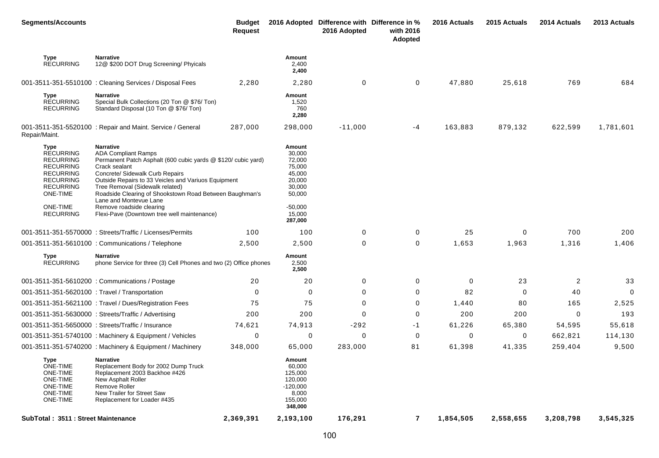| <b>Segments/Accounts</b>                                                                                                                                                               |                                                                                                                                                                                                                                                                                                                                                                                                                               | <b>Budget</b><br><b>Request</b> |                                                                                                                | 2016 Adopted Difference with Difference in %<br>2016 Adopted | with 2016<br>Adopted | 2016 Actuals | 2015 Actuals | 2014 Actuals | 2013 Actuals |
|----------------------------------------------------------------------------------------------------------------------------------------------------------------------------------------|-------------------------------------------------------------------------------------------------------------------------------------------------------------------------------------------------------------------------------------------------------------------------------------------------------------------------------------------------------------------------------------------------------------------------------|---------------------------------|----------------------------------------------------------------------------------------------------------------|--------------------------------------------------------------|----------------------|--------------|--------------|--------------|--------------|
| Type<br><b>RECURRING</b>                                                                                                                                                               | <b>Narrative</b><br>12@ \$200 DOT Drug Screening/ Phyicals                                                                                                                                                                                                                                                                                                                                                                    |                                 | Amount<br>2,400<br>2,400                                                                                       |                                                              |                      |              |              |              |              |
|                                                                                                                                                                                        | 001-3511-351-5510100 : Cleaning Services / Disposal Fees                                                                                                                                                                                                                                                                                                                                                                      | 2,280                           | 2,280                                                                                                          | 0                                                            | 0                    | 47,880       | 25,618       | 769          | 684          |
| Type<br><b>RECURRING</b><br><b>RECURRING</b>                                                                                                                                           | <b>Narrative</b><br>Special Bulk Collections (20 Ton @ \$76/ Ton)<br>Standard Disposal (10 Ton @ \$76/ Ton)                                                                                                                                                                                                                                                                                                                   |                                 | Amount<br>1,520<br>760<br>2,280                                                                                |                                                              |                      |              |              |              |              |
| Repair/Maint.                                                                                                                                                                          | 001-3511-351-5520100 : Repair and Maint. Service / General                                                                                                                                                                                                                                                                                                                                                                    | 287,000                         | 298,000                                                                                                        | $-11,000$                                                    | -4                   | 163,883      | 879,132      | 622,599      | 1,781,601    |
| Type<br><b>RECURRING</b><br><b>RECURRING</b><br><b>RECURRING</b><br><b>RECURRING</b><br><b>RECURRING</b><br><b>RECURRING</b><br><b>ONE-TIME</b><br><b>ONE-TIME</b><br><b>RECURRING</b> | <b>Narrative</b><br><b>ADA Compliant Ramps</b><br>Permanent Patch Asphalt (600 cubic yards @ \$120/ cubic yard)<br>Crack sealant<br>Concrete/ Sidewalk Curb Repairs<br>Outside Repairs to 33 Veicles and Variuos Equipment<br>Tree Removal (Sidewalk related)<br>Roadside Clearing of Shookstown Road Between Baughman's<br>Lane and Montevue Lane<br>Remove roadside clearing<br>Flexi-Pave (Downtown tree well maintenance) |                                 | Amount<br>30,000<br>72,000<br>75,000<br>45,000<br>20,000<br>30,000<br>50,000<br>$-50,000$<br>15,000<br>287,000 |                                                              |                      |              |              |              |              |
|                                                                                                                                                                                        | 001-3511-351-5570000: Streets/Traffic / Licenses/Permits                                                                                                                                                                                                                                                                                                                                                                      | 100                             | 100                                                                                                            | 0                                                            | 0                    | 25           | $\mathbf 0$  | 700          | 200          |
|                                                                                                                                                                                        | 001-3511-351-5610100 : Communications / Telephone                                                                                                                                                                                                                                                                                                                                                                             | 2,500                           | 2,500                                                                                                          | 0                                                            | 0                    | 1,653        | 1,963        | 1,316        | 1,406        |
| Type<br><b>RECURRING</b>                                                                                                                                                               | <b>Narrative</b><br>phone Service for three (3) Cell Phones and two (2) Office phones                                                                                                                                                                                                                                                                                                                                         |                                 | Amount<br>2,500<br>2,500                                                                                       |                                                              |                      |              |              |              |              |
|                                                                                                                                                                                        | 001-3511-351-5610200 : Communications / Postage                                                                                                                                                                                                                                                                                                                                                                               | 20                              | 20                                                                                                             | 0                                                            | 0                    | 0            | 23           | 2            | 33           |
| 001-3511-351-5620100 : Travel / Transportation                                                                                                                                         |                                                                                                                                                                                                                                                                                                                                                                                                                               | 0                               | 0                                                                                                              | 0                                                            | 0                    | 82           | $\mathbf 0$  | 40           | 0            |
|                                                                                                                                                                                        | 001-3511-351-5621100 : Travel / Dues/Registration Fees                                                                                                                                                                                                                                                                                                                                                                        | 75                              | 75                                                                                                             | $\Omega$                                                     | 0                    | 1,440        | 80           | 165          | 2,525        |
|                                                                                                                                                                                        | 001-3511-351-5630000: Streets/Traffic / Advertising                                                                                                                                                                                                                                                                                                                                                                           | 200                             | 200                                                                                                            | $\mathbf 0$                                                  | 0                    | 200          | 200          | 0            | 193          |
|                                                                                                                                                                                        | 001-3511-351-5650000 : Streets/Traffic / Insurance                                                                                                                                                                                                                                                                                                                                                                            | 74,621                          | 74,913                                                                                                         | $-292$                                                       | $-1$                 | 61,226       | 65,380       | 54,595       | 55,618       |
|                                                                                                                                                                                        | 001-3511-351-5740100 : Machinery & Equipment / Vehicles                                                                                                                                                                                                                                                                                                                                                                       | 0                               | 0                                                                                                              | $\mathbf 0$                                                  | $\mathbf 0$          | 0            | $\mathbf 0$  | 662,821      | 114,130      |
|                                                                                                                                                                                        | 001-3511-351-5740200 : Machinery & Equipment / Machinery                                                                                                                                                                                                                                                                                                                                                                      | 348,000                         | 65,000                                                                                                         | 283,000                                                      | 81                   | 61,398       | 41,335       | 259,404      | 9,500        |
| <b>Type</b><br><b>ONE-TIME</b><br><b>ONE-TIME</b><br><b>ONE-TIME</b><br><b>ONE-TIME</b><br><b>ONE-TIME</b><br><b>ONE-TIME</b>                                                          | <b>Narrative</b><br>Replacement Body for 2002 Dump Truck<br>Replacement 2003 Backhoe #426<br>New Asphalt Roller<br>Remove Roller<br>New Trailer for Street Saw<br>Replacement for Loader #435                                                                                                                                                                                                                                 |                                 | Amount<br>60,000<br>125,000<br>120,000<br>$-120,000$<br>8,000<br>155,000<br>348,000                            |                                                              |                      |              |              |              |              |
| SubTotal: 3511 : Street Maintenance                                                                                                                                                    |                                                                                                                                                                                                                                                                                                                                                                                                                               | 2,369,391                       | 2,193,100                                                                                                      | 176,291                                                      | $\mathbf{7}$         | 1,854,505    | 2,558,655    | 3,208,798    | 3,545,325    |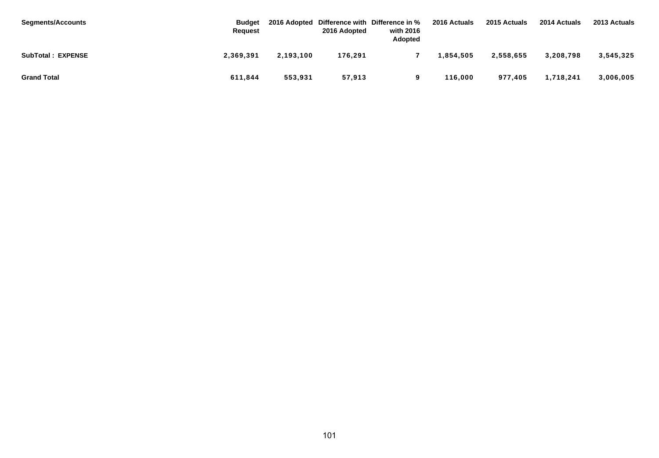| <b>Segments/Accounts</b> | <b>Budget</b><br><b>Request</b> |           | 2016 Adopted | 2016 Adopted Difference with Difference in %<br>with 2016<br><b>Adopted</b> | 2016 Actuals | 2015 Actuals | 2014 Actuals | 2013 Actuals |
|--------------------------|---------------------------------|-----------|--------------|-----------------------------------------------------------------------------|--------------|--------------|--------------|--------------|
| <b>SubTotal: EXPENSE</b> | 2,369,391                       | 2,193,100 | 176,291      |                                                                             | 1.854.505    | 2,558,655    | 3,208,798    | 3,545,325    |
| <b>Grand Total</b>       | 611,844                         | 553,931   | 57,913       | 9                                                                           | 116,000      | 977,405      | 1,718,241    | 3,006,005    |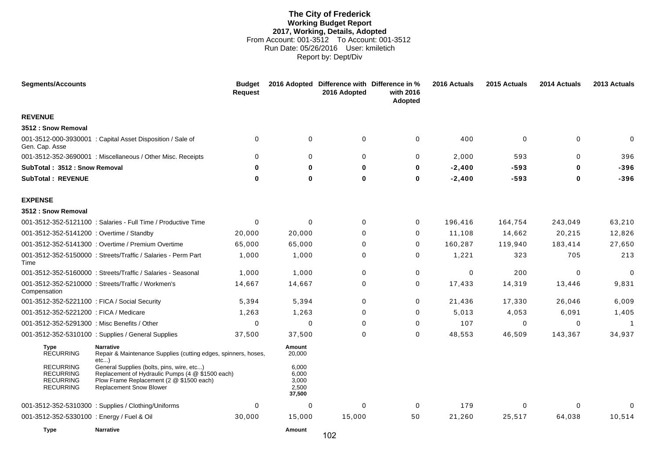# **The City of Frederick Working Budget Report 2017, Working, Details, Adopted** From Account: 001-3512 To Account: 001-3512 Run Date: 05/26/2016 User: kmiletich Report by: Dept/Div

| <b>Segments/Accounts</b>                                                     |                                                                                                                                                                                     | <b>Budget</b><br><b>Request</b> |                                            | 2016 Adopted Difference with Difference in %<br>2016 Adopted | with 2016<br>Adopted | 2016 Actuals | 2015 Actuals | 2014 Actuals | 2013 Actuals |
|------------------------------------------------------------------------------|-------------------------------------------------------------------------------------------------------------------------------------------------------------------------------------|---------------------------------|--------------------------------------------|--------------------------------------------------------------|----------------------|--------------|--------------|--------------|--------------|
| <b>REVENUE</b>                                                               |                                                                                                                                                                                     |                                 |                                            |                                                              |                      |              |              |              |              |
| 3512 : Snow Removal                                                          |                                                                                                                                                                                     |                                 |                                            |                                                              |                      |              |              |              |              |
| Gen. Cap. Asse                                                               | 001-3512-000-3930001 : Capital Asset Disposition / Sale of                                                                                                                          | $\Omega$                        | 0                                          | 0                                                            | $\mathbf 0$          | 400          | $\mathbf 0$  | $\mathbf 0$  | $\mathbf 0$  |
|                                                                              | 001-3512-352-3690001 : Miscellaneous / Other Misc. Receipts                                                                                                                         | $\Omega$                        | 0                                          | $\Omega$                                                     | 0                    | 2,000        | 593          | $\mathbf 0$  | 396          |
| SubTotal: 3512: Snow Removal                                                 |                                                                                                                                                                                     | 0                               | $\bf{0}$                                   | $\bf{0}$                                                     | 0                    | $-2,400$     | $-593$       | 0            | $-396$       |
| <b>SubTotal: REVENUE</b>                                                     |                                                                                                                                                                                     | $\bf{0}$                        | $\bf{0}$                                   | $\bf{0}$                                                     | 0                    | $-2,400$     | $-593$       | $\mathbf{0}$ | $-396$       |
| <b>EXPENSE</b>                                                               |                                                                                                                                                                                     |                                 |                                            |                                                              |                      |              |              |              |              |
| 3512 : Snow Removal                                                          |                                                                                                                                                                                     |                                 |                                            |                                                              |                      |              |              |              |              |
|                                                                              | 001-3512-352-5121100 : Salaries - Full Time / Productive Time                                                                                                                       | $\Omega$                        | 0                                          | $\Omega$                                                     | 0                    | 196,416      | 164,754      | 243,049      | 63,210       |
| 001-3512-352-5141200 : Overtime / Standby                                    |                                                                                                                                                                                     | 20,000                          | 20,000                                     | $\Omega$                                                     | 0                    | 11,108       | 14,662       | 20,215       | 12,826       |
|                                                                              | 001-3512-352-5141300 : Overtime / Premium Overtime                                                                                                                                  | 65,000                          | 65,000                                     | 0                                                            | 0                    | 160,287      | 119,940      | 183,414      | 27,650       |
| Time                                                                         | 001-3512-352-5150000 : Streets/Traffic / Salaries - Perm Part                                                                                                                       | 1,000                           | 1,000                                      | $\Omega$                                                     | $\mathbf 0$          | 1,221        | 323          | 705          | 213          |
|                                                                              | 001-3512-352-5160000: Streets/Traffic / Salaries - Seasonal                                                                                                                         | 1,000                           | 1,000                                      | 0                                                            | $\mathbf 0$          | 0            | 200          | $\mathbf 0$  | $\mathbf 0$  |
| Compensation                                                                 | 001-3512-352-5210000 : Streets/Traffic / Workmen's                                                                                                                                  | 14,667                          | 14,667                                     | 0                                                            | 0                    | 17,433       | 14,319       | 13,446       | 9,831        |
| 001-3512-352-5221100 : FICA / Social Security                                |                                                                                                                                                                                     | 5,394                           | 5,394                                      | $\Omega$                                                     | $\mathbf 0$          | 21,436       | 17,330       | 26,046       | 6,009        |
| 001-3512-352-5221200 : FICA / Medicare                                       |                                                                                                                                                                                     | 1,263                           | 1,263                                      | $\Omega$                                                     | $\mathbf 0$          | 5,013        | 4,053        | 6,091        | 1,405        |
| 001-3512-352-5291300 : Misc Benefits / Other                                 |                                                                                                                                                                                     | $\Omega$                        | 0                                          | $\Omega$                                                     | $\Omega$             | 107          | $\mathbf 0$  | $\mathbf 0$  | $\mathbf{1}$ |
|                                                                              | 001-3512-352-5310100 : Supplies / General Supplies                                                                                                                                  | 37,500                          | 37,500                                     | $\Omega$                                                     | $\mathbf 0$          | 48,553       | 46,509       | 143,367      | 34,937       |
| <b>Type</b><br><b>RECURRING</b>                                              | <b>Narrative</b><br>Repair & Maintenance Supplies (cutting edges, spinners, hoses,                                                                                                  |                                 | Amount<br>20,000                           |                                                              |                      |              |              |              |              |
| <b>RECURRING</b><br><b>RECURRING</b><br><b>RECURRING</b><br><b>RECURRING</b> | etc)<br>General Supplies (bolts, pins, wire, etc)<br>Replacement of Hydraulic Pumps (4 @ \$1500 each)<br>Plow Frame Replacement (2 @ \$1500 each)<br><b>Replacement Snow Blower</b> |                                 | 6,000<br>6,000<br>3,000<br>2,500<br>37,500 |                                                              |                      |              |              |              |              |
|                                                                              | 001-3512-352-5310300 : Supplies / Clothing/Uniforms                                                                                                                                 | $\Omega$                        | $\mathbf 0$                                | $\Omega$                                                     | 0                    | 179          | $\Omega$     | $\Omega$     | $\Omega$     |
| 001-3512-352-5330100 : Energy / Fuel & Oil                                   |                                                                                                                                                                                     | 30,000                          | 15,000                                     | 15,000                                                       | 50                   | 21,260       | 25,517       | 64,038       | 10,514       |
| <b>Type</b>                                                                  | <b>Narrative</b>                                                                                                                                                                    |                                 | <b>Amount</b>                              | $\overline{1}$                                               |                      |              |              |              |              |

102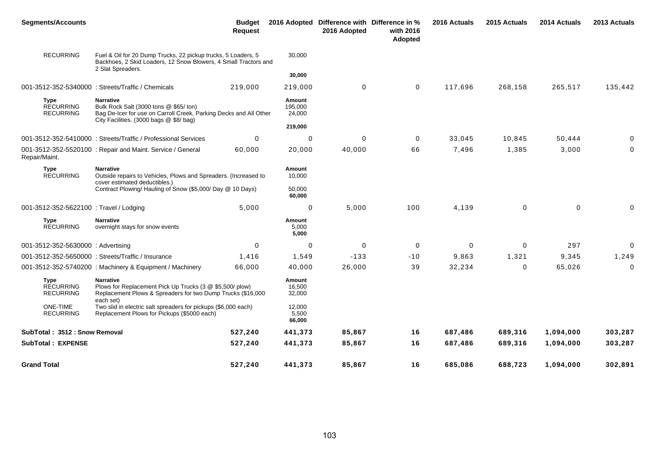| <b>Segments/Accounts</b>                     |                                                                                                                                                                            | <b>Budget</b><br><b>Request</b> |                             | 2016 Adopted Difference with Difference in %<br>2016 Adopted | with 2016<br>Adopted | 2016 Actuals | 2015 Actuals | 2014 Actuals | 2013 Actuals |
|----------------------------------------------|----------------------------------------------------------------------------------------------------------------------------------------------------------------------------|---------------------------------|-----------------------------|--------------------------------------------------------------|----------------------|--------------|--------------|--------------|--------------|
| <b>RECURRING</b>                             | Fuel & Oil for 20 Dump Trucks, 22 pickup trucks, 5 Loaders, 5<br>Backhoes, 2 Skid Loaders, 12 Snow Blowers, 4 Small Tractors and<br>2 Slat Spreaders.                      |                                 | 30,000                      |                                                              |                      |              |              |              |              |
|                                              |                                                                                                                                                                            |                                 | 30,000                      |                                                              |                      |              |              |              |              |
|                                              | 001-3512-352-5340000 : Streets/Traffic / Chemicals                                                                                                                         | 219,000                         | 219,000                     | $\mathbf 0$                                                  | $\mathbf 0$          | 117,696      | 268,158      | 265,517      | 135,442      |
| Type<br><b>RECURRING</b><br><b>RECURRING</b> | <b>Narrative</b><br>Bulk Rock Salt (3000 tons @ \$65/ ton)<br>Bag De-Icer for use on Carroll Creek, Parking Decks and All Other<br>City Facilities. (3000 bags @ \$8/ bag) |                                 | Amount<br>195,000<br>24,000 |                                                              |                      |              |              |              |              |
|                                              |                                                                                                                                                                            |                                 | 219,000                     |                                                              |                      |              |              |              |              |
|                                              | 001-3512-352-5410000: Streets/Traffic / Professional Services                                                                                                              | $\Omega$                        | 0                           | $\Omega$                                                     | 0                    | 33,045       | 10,845       | 50,444       | 0            |
| Repair/Maint.                                | 001-3512-352-5520100 : Repair and Maint. Service / General                                                                                                                 | 60,000                          | 20,000                      | 40,000                                                       | 66                   | 7,496        | 1,385        | 3,000        | 0            |
| Type<br><b>RECURRING</b>                     | <b>Narrative</b><br>Outside repairs to Vehicles, Plows and Spreaders. (Increased to<br>cover estimated deductibles.)                                                       |                                 | Amount<br>10,000            |                                                              |                      |              |              |              |              |
|                                              | Contract Plowing/ Hauling of Snow (\$5,000/ Day @ 10 Days)                                                                                                                 |                                 | 50,000<br>60,000            |                                                              |                      |              |              |              |              |
| 001-3512-352-5622100 : Travel / Lodging      |                                                                                                                                                                            | 5,000                           | 0                           | 5,000                                                        | 100                  | 4,139        | $\mathbf 0$  | $\mathbf 0$  | 0            |
| Type<br><b>RECURRING</b>                     | <b>Narrative</b><br>overnight stays for snow events                                                                                                                        |                                 | Amount<br>5,000<br>5,000    |                                                              |                      |              |              |              |              |
| 001-3512-352-5630000: Advertising            |                                                                                                                                                                            | $\Omega$                        | 0                           | $\mathbf 0$                                                  | 0                    | $\mathbf 0$  | $\mathbf 0$  | 297          | $\mathbf 0$  |
|                                              | 001-3512-352-5650000 : Streets/Traffic / Insurance                                                                                                                         | 1,416                           | 1,549                       | $-133$                                                       | $-10$                | 9,863        | 1,321        | 9,345        | 1,249        |
|                                              | 001-3512-352-5740200 : Machinery & Equipment / Machinery                                                                                                                   | 66,000                          | 40,000                      | 26,000                                                       | 39                   | 32,234       | $\mathbf 0$  | 65,026       | $\mathbf 0$  |
| Type<br><b>RECURRING</b><br><b>RECURRING</b> | <b>Narrative</b><br>Plows for Replacement Pick Up Trucks (3 @ \$5,500/ plow)<br>Replacement Plows & Spreaders for two Dump Trucks (\$16,000<br>each set)                   |                                 | Amount<br>16,500<br>32,000  |                                                              |                      |              |              |              |              |
| ONE-TIME<br><b>RECURRING</b>                 | Two slid in electric salt spreaders for pickups (\$6,000 each)<br>Replacement Plows for Pickups (\$5000 each)                                                              |                                 | 12,000<br>5,500<br>66,000   |                                                              |                      |              |              |              |              |
| SubTotal: 3512 : Snow Removal                |                                                                                                                                                                            | 527,240                         | 441,373                     | 85,867                                                       | 16                   | 687,486      | 689,316      | 1,094,000    | 303,287      |
| <b>SubTotal: EXPENSE</b>                     |                                                                                                                                                                            | 527,240                         | 441,373                     | 85,867                                                       | 16                   | 687,486      | 689,316      | 1,094,000    | 303,287      |
| <b>Grand Total</b>                           |                                                                                                                                                                            | 527,240                         | 441.373                     | 85.867                                                       | 16                   | 685,086      | 688,723      | 1,094,000    | 302,891      |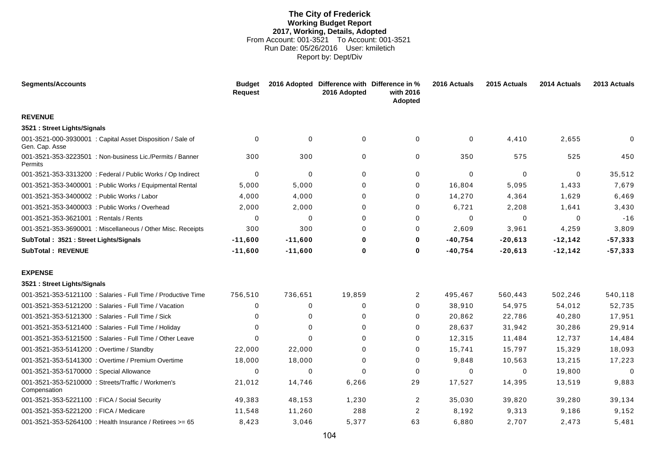# **The City of Frederick Working Budget Report 2017, Working, Details, Adopted** From Account: 001-3521 To Account: 001-3521 Run Date: 05/26/2016 User: kmiletich Report by: Dept/Div

| <b>Segments/Accounts</b>                                                    | <b>Budget</b><br><b>Request</b> |             | 2016 Adopted Difference with Difference in %<br>2016 Adopted | with 2016<br>Adopted | 2016 Actuals | 2015 Actuals | 2014 Actuals | 2013 Actuals |
|-----------------------------------------------------------------------------|---------------------------------|-------------|--------------------------------------------------------------|----------------------|--------------|--------------|--------------|--------------|
| <b>REVENUE</b>                                                              |                                 |             |                                                              |                      |              |              |              |              |
| 3521 : Street Lights/Signals                                                |                                 |             |                                                              |                      |              |              |              |              |
| 001-3521-000-3930001: Capital Asset Disposition / Sale of<br>Gen. Cap. Asse | $\Omega$                        | $\mathbf 0$ | $\mathbf 0$                                                  | $\mathbf 0$          | $\Omega$     | 4,410        | 2,655        | $\Omega$     |
| 001-3521-353-3223501: Non-business Lic./Permits / Banner<br>Permits         | 300                             | 300         | $\Omega$                                                     | $\mathbf 0$          | 350          | 575          | 525          | 450          |
| 001-3521-353-3313200 : Federal / Public Works / Op Indirect                 | 0                               | 0           | $\Omega$                                                     | 0                    | $\mathbf 0$  | 0            | 0            | 35,512       |
| 001-3521-353-3400001: Public Works / Equipmental Rental                     | 5,000                           | 5,000       | 0                                                            | 0                    | 16,804       | 5,095        | 1,433        | 7,679        |
| 001-3521-353-3400002 : Public Works / Labor                                 | 4,000                           | 4,000       | $\Omega$                                                     | 0                    | 14,270       | 4,364        | 1,629        | 6,469        |
| 001-3521-353-3400003 : Public Works / Overhead                              | 2,000                           | 2,000       | $\Omega$                                                     | 0                    | 6,721        | 2,208        | 1,641        | 3,430        |
| 001-3521-353-3621001 : Rentals / Rents                                      | 0                               | 0           | $\mathbf 0$                                                  | $\mathbf 0$          | $\mathbf 0$  | $\mathbf 0$  | 0            | $-16$        |
| 001-3521-353-3690001 : Miscellaneous / Other Misc. Receipts                 | 300                             | 300         | $\Omega$                                                     | $\Omega$             | 2,609        | 3,961        | 4,259        | 3,809        |
| SubTotal: 3521: Street Lights/Signals                                       | $-11,600$                       | $-11,600$   | $\bf{0}$                                                     | 0                    | $-40,754$    | $-20,613$    | $-12, 142$   | $-57,333$    |
| <b>SubTotal: REVENUE</b>                                                    | $-11,600$                       | $-11,600$   | $\bf{0}$                                                     | 0                    | $-40,754$    | $-20,613$    | $-12, 142$   | $-57,333$    |
| <b>EXPENSE</b>                                                              |                                 |             |                                                              |                      |              |              |              |              |
| 3521 : Street Lights/Signals                                                |                                 |             |                                                              |                      |              |              |              |              |
| 001-3521-353-5121100 : Salaries - Full Time / Productive Time               | 756,510                         | 736,651     | 19,859                                                       | $\overline{2}$       | 495,467      | 560,443      | 502,246      | 540,118      |
| 001-3521-353-5121200 : Salaries - Full Time / Vacation                      | $\Omega$                        | 0           | $\Omega$                                                     | 0                    | 38,910       | 54,975       | 54,012       | 52,735       |
| 001-3521-353-5121300 : Salaries - Full Time / Sick                          | $\Omega$                        | 0           | $\Omega$                                                     | 0                    | 20,862       | 22,786       | 40,280       | 17,951       |
| 001-3521-353-5121400 : Salaries - Full Time / Holiday                       | $\Omega$                        | $\Omega$    | $\Omega$                                                     | 0                    | 28,637       | 31,942       | 30,286       | 29,914       |
| 001-3521-353-5121500 : Salaries - Full Time / Other Leave                   | $\Omega$                        | $\Omega$    | $\Omega$                                                     | 0                    | 12,315       | 11,484       | 12,737       | 14,484       |
| 001-3521-353-5141200 : Overtime / Standby                                   | 22,000                          | 22,000      | $\Omega$                                                     | 0                    | 15,741       | 15,797       | 15,329       | 18,093       |
| 001-3521-353-5141300 : Overtime / Premium Overtime                          | 18,000                          | 18,000      | $\Omega$                                                     | 0                    | 9,848        | 10,563       | 13,215       | 17,223       |
| 001-3521-353-5170000 : Special Allowance                                    | $\mathbf 0$                     | $\mathbf 0$ | $\Omega$                                                     | $\mathbf 0$          | $\Omega$     | 0            | 19,800       | $\Omega$     |
| 001-3521-353-5210000 : Streets/Traffic / Workmen's<br>Compensation          | 21,012                          | 14,746      | 6,266                                                        | 29                   | 17,527       | 14,395       | 13,519       | 9,883        |
| 001-3521-353-5221100 : FICA / Social Security                               | 49,383                          | 48,153      | 1,230                                                        | $\overline{c}$       | 35,030       | 39,820       | 39,280       | 39,134       |
| 001-3521-353-5221200 : FICA / Medicare                                      | 11,548                          | 11,260      | 288                                                          | 2                    | 8,192        | 9,313        | 9,186        | 9,152        |
| 001-3521-353-5264100 : Health Insurance / Retirees >= 65                    | 8,423                           | 3,046       | 5,377                                                        | 63                   | 6,880        | 2,707        | 2,473        | 5,481        |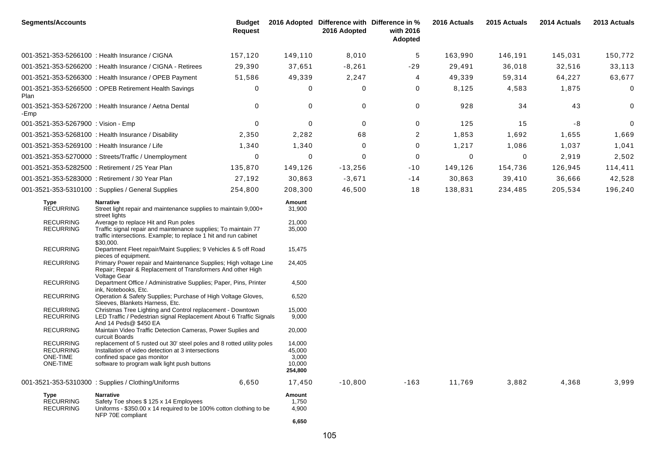| <b>Segments/Accounts</b>                                     |                                                                                                                                                                                                           | <b>Budget</b><br><b>Request</b> |                                                | 2016 Adopted Difference with Difference in %<br>2016 Adopted | with 2016<br>Adopted | 2016 Actuals | 2015 Actuals | 2014 Actuals | 2013 Actuals |
|--------------------------------------------------------------|-----------------------------------------------------------------------------------------------------------------------------------------------------------------------------------------------------------|---------------------------------|------------------------------------------------|--------------------------------------------------------------|----------------------|--------------|--------------|--------------|--------------|
|                                                              | 001-3521-353-5266100 : Health Insurance / CIGNA                                                                                                                                                           | 157,120                         | 149,110                                        | 8,010                                                        | 5                    | 163,990      | 146,191      | 145,031      | 150,772      |
|                                                              | 001-3521-353-5266200 : Health Insurance / CIGNA - Retirees                                                                                                                                                | 29,390                          | 37,651                                         | $-8,261$                                                     | $-29$                | 29,491       | 36,018       | 32,516       | 33,113       |
|                                                              | 001-3521-353-5266300 : Health Insurance / OPEB Payment                                                                                                                                                    | 51,586                          | 49,339                                         | 2,247                                                        | 4                    | 49,339       | 59,314       | 64,227       | 63,677       |
| Plan                                                         | 001-3521-353-5266500 : OPEB Retirement Health Savings                                                                                                                                                     | 0                               | 0                                              | 0                                                            | 0                    | 8,125        | 4,583        | 1,875        | 0            |
| -Emp                                                         | 001-3521-353-5267200 : Health Insurance / Aetna Dental                                                                                                                                                    | 0                               | 0                                              | 0                                                            | 0                    | 928          | 34           | 43           | 0            |
| 001-3521-353-5267900 : Vision - Emp                          |                                                                                                                                                                                                           | $\Omega$                        | 0                                              | $\mathbf 0$                                                  | 0                    | 125          | 15           | -8           | $\mathbf 0$  |
|                                                              | 001-3521-353-5268100 : Health Insurance / Disability                                                                                                                                                      | 2,350                           | 2,282                                          | 68                                                           | $\overline{a}$       | 1,853        | 1,692        | 1,655        | 1,669        |
| 001-3521-353-5269100 : Health Insurance / Life               |                                                                                                                                                                                                           | 1,340                           | 1,340                                          | $\Omega$                                                     | 0                    | 1,217        | 1,086        | 1,037        | 1,041        |
|                                                              | 001-3521-353-5270000 : Streets/Traffic / Unemployment                                                                                                                                                     | 0                               | 0                                              | 0                                                            | 0                    | 0            | $\mathbf 0$  | 2,919        | 2,502        |
|                                                              | 001-3521-353-5282500 : Retirement / 25 Year Plan                                                                                                                                                          | 135,870                         | 149,126                                        | $-13,256$                                                    | $-10$                | 149,126      | 154,736      | 126,945      | 114,411      |
|                                                              | 001-3521-353-5283000 : Retirement / 30 Year Plan                                                                                                                                                          | 27,192                          | 30,863                                         | $-3,671$                                                     | $-14$                | 30,863       | 39,410       | 36,666       | 42,528       |
|                                                              | 001-3521-353-5310100 : Supplies / General Supplies                                                                                                                                                        | 254,800                         | 208,300                                        | 46,500                                                       | 18                   | 138,831      | 234,485      | 205,534      | 196,240      |
| Type<br><b>RECURRING</b><br><b>RECURRING</b>                 | Narrative<br>Street light repair and maintenance supplies to maintain 9,000+<br>street lights<br>Average to replace Hit and Run poles                                                                     |                                 | Amount<br>31,900<br>21,000                     |                                                              |                      |              |              |              |              |
| <b>RECURRING</b>                                             | Traffic signal repair and maintenance supplies; To maintain 77<br>traffic intersections. Example; to replace 1 hit and run cabinet<br>\$30,000.                                                           |                                 | 35,000                                         |                                                              |                      |              |              |              |              |
| <b>RECURRING</b>                                             | Department Fleet repair/Maint Supplies; 9 Vehicles & 5 off Road<br>pieces of equipment.                                                                                                                   |                                 | 15,475                                         |                                                              |                      |              |              |              |              |
| <b>RECURRING</b>                                             | Primary Power repair and Maintenance Supplies; High voltage Line<br>Repair; Repair & Replacement of Transformers And other High<br>Voltage Gear                                                           |                                 | 24,405                                         |                                                              |                      |              |              |              |              |
| <b>RECURRING</b>                                             | Department Office / Administrative Supplies; Paper, Pins, Printer<br>ink, Notebooks, Etc.                                                                                                                 |                                 | 4,500                                          |                                                              |                      |              |              |              |              |
| <b>RECURRING</b>                                             | Operation & Safety Supplies; Purchase of High Voltage Gloves,<br>Sleeves, Blankets Harness, Etc.                                                                                                          |                                 | 6,520                                          |                                                              |                      |              |              |              |              |
| <b>RECURRING</b><br><b>RECURRING</b>                         | Christmas Tree Lighting and Control replacement - Downtown<br>LED Traffic / Pedestrian signal Replacement About 6 Traffic Signals<br>And 14 Peds@ \$450 EA                                                |                                 | 15,000<br>9,000                                |                                                              |                      |              |              |              |              |
| <b>RECURRING</b>                                             | Maintain Video Traffic Detection Cameras, Power Suplies and<br>curcuit Boards                                                                                                                             |                                 | 20,000                                         |                                                              |                      |              |              |              |              |
| <b>RECURRING</b><br><b>RECURRING</b><br>ONE-TIME<br>ONE-TIME | replacement of 5 rusted out 30' steel poles and 8 rotted utility poles<br>Installation of video detection at 3 intersections<br>confined space gas monitor<br>software to program walk light push buttons |                                 | 14,000<br>45,000<br>3,000<br>10,000<br>254,800 |                                                              |                      |              |              |              |              |
|                                                              | 001-3521-353-5310300: Supplies / Clothing/Uniforms                                                                                                                                                        | 6,650                           | 17,450                                         | $-10,800$                                                    | $-163$               | 11,769       | 3,882        | 4,368        | 3,999        |
| Type<br><b>RECURRING</b><br><b>RECURRING</b>                 | <b>Narrative</b><br>Safety Toe shoes \$125 x 14 Employees<br>Uniforms - \$350.00 x 14 required to be 100% cotton clothing to be<br>NFP 70E compliant                                                      |                                 | Amount<br>1,750<br>4,900<br>6,650              |                                                              |                      |              |              |              |              |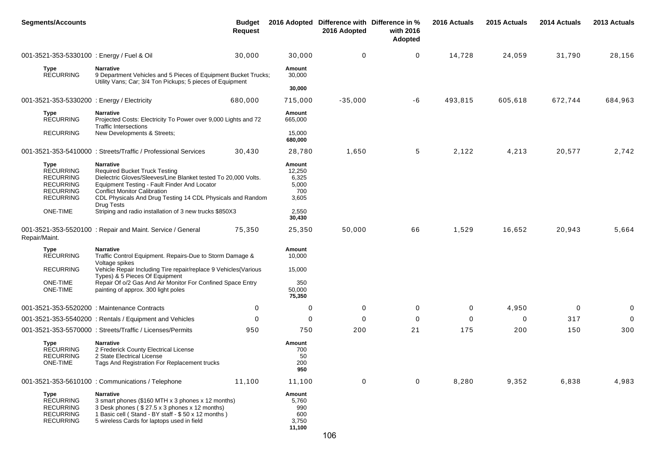| <b>Segments/Accounts</b>                                                                                 |                                                                                                                                                                                                                                                                                               | Budget<br><b>Request</b> |                                                    | 2016 Adopted Difference with Difference in %<br>2016 Adopted | with 2016<br><b>Adopted</b> | 2016 Actuals | 2015 Actuals | 2014 Actuals | 2013 Actuals |
|----------------------------------------------------------------------------------------------------------|-----------------------------------------------------------------------------------------------------------------------------------------------------------------------------------------------------------------------------------------------------------------------------------------------|--------------------------|----------------------------------------------------|--------------------------------------------------------------|-----------------------------|--------------|--------------|--------------|--------------|
| 001-3521-353-5330100 : Energy / Fuel & Oil                                                               |                                                                                                                                                                                                                                                                                               | 30,000                   | 30,000                                             | 0                                                            | 0                           | 14,728       | 24,059       | 31,790       | 28,156       |
| Type<br><b>RECURRING</b>                                                                                 | Narrative<br>9 Department Vehicles and 5 Pieces of Equipment Bucket Trucks;<br>Utility Vans; Car; 3/4 Ton Pickups; 5 pieces of Equipment                                                                                                                                                      |                          | Amount<br>30,000<br>30,000                         |                                                              |                             |              |              |              |              |
| 001-3521-353-5330200 : Energy / Electricity                                                              |                                                                                                                                                                                                                                                                                               | 680,000                  | 715,000                                            | $-35,000$                                                    | $-6$                        | 493.815      | 605.618      | 672,744      | 684,963      |
| Type<br><b>RECURRING</b><br><b>RECURRING</b>                                                             | <b>Narrative</b><br>Projected Costs: Electricity To Power over 9,000 Lights and 72<br><b>Traffic Intersections</b><br>New Developments & Streets;                                                                                                                                             |                          | Amount<br>665,000<br>15,000                        |                                                              |                             |              |              |              |              |
|                                                                                                          |                                                                                                                                                                                                                                                                                               |                          | 680,000                                            |                                                              |                             |              |              |              |              |
|                                                                                                          | 001-3521-353-5410000: Streets/Traffic / Professional Services                                                                                                                                                                                                                                 | 30,430                   | 28,780                                             | 1,650                                                        | 5                           | 2,122        | 4,213        | 20,577       | 2,742        |
| Type<br><b>RECURRING</b><br><b>RECURRING</b><br><b>RECURRING</b><br><b>RECURRING</b><br><b>RECURRING</b> | <b>Narrative</b><br><b>Required Bucket Truck Testing</b><br>Dielectric Gloves/Sleeves/Line Blanket tested To 20,000 Volts.<br>Equipment Testing - Fault Finder And Locator<br><b>Conflict Monitor Calibration</b><br>CDL Physicals And Drug Testing 14 CDL Physicals and Random<br>Drug Tests |                          | Amount<br>12,250<br>6,325<br>5,000<br>700<br>3,605 |                                                              |                             |              |              |              |              |
| <b>ONE-TIME</b>                                                                                          | Striping and radio installation of 3 new trucks \$850X3                                                                                                                                                                                                                                       |                          | 2,550<br>30,430                                    |                                                              |                             |              |              |              |              |
| Repair/Maint.                                                                                            | 001-3521-353-5520100 : Repair and Maint. Service / General                                                                                                                                                                                                                                    | 75,350                   | 25,350                                             | 50,000                                                       | 66                          | 1,529        | 16,652       | 20,943       | 5,664        |
| Type<br><b>RECURRING</b>                                                                                 | <b>Narrative</b><br>Traffic Control Equipment. Repairs-Due to Storm Damage &<br>Voltage spikes                                                                                                                                                                                                |                          | Amount<br>10,000                                   |                                                              |                             |              |              |              |              |
| <b>RECURRING</b>                                                                                         | Vehicle Repair Including Tire repair/replace 9 Vehicles(Various<br>Types) & 5 Pieces Of Equipment                                                                                                                                                                                             |                          | 15,000                                             |                                                              |                             |              |              |              |              |
| <b>ONE-TIME</b><br><b>ONE-TIME</b>                                                                       | Repair Of o/2 Gas And Air Monitor For Confined Space Entry<br>painting of approx. 300 light poles                                                                                                                                                                                             |                          | 350<br>50,000<br>75,350                            |                                                              |                             |              |              |              |              |
| 001-3521-353-5520200 : Maintenance Contracts                                                             |                                                                                                                                                                                                                                                                                               | 0                        | 0                                                  | 0                                                            | 0                           | 0            | 4,950        | $\Omega$     | 0            |
|                                                                                                          | 001-3521-353-5540200 : Rentals / Equipment and Vehicles                                                                                                                                                                                                                                       | 0                        | 0                                                  | 0                                                            | 0                           | 0            | 0            | 317          | $\mathbf 0$  |
|                                                                                                          | 001-3521-353-5570000 : Streets/Traffic / Licenses/Permits                                                                                                                                                                                                                                     | 950                      | 750                                                | 200                                                          | 21                          | 175          | 200          | 150          | 300          |
| Type<br><b>RECURRING</b><br>RECURRING<br>ONE-TIME                                                        | Narrative<br>2 Frederick County Electrical License<br>2 State Electrical License<br>Tags And Registration For Replacement trucks                                                                                                                                                              |                          | Amount<br>700<br>50<br>200<br>950                  |                                                              |                             |              |              |              |              |
|                                                                                                          | 001-3521-353-5610100 : Communications / Telephone                                                                                                                                                                                                                                             | 11,100                   | 11,100                                             | $\mathbf 0$                                                  | $\mathbf 0$                 | 8,280        | 9,352        | 6,838        | 4,983        |
| Type<br><b>RECURRING</b><br><b>RECURRING</b><br><b>RECURRING</b><br><b>RECURRING</b>                     | <b>Narrative</b><br>3 smart phones (\$160 MTH x 3 phones x 12 months)<br>3 Desk phones (\$27.5 x 3 phones x 12 months)<br>1 Basic cell (Stand - BY staff - \$50 x 12 months)<br>5 wireless Cards for laptops used in field                                                                    |                          | Amount<br>5,760<br>990<br>600<br>3,750<br>11,100   |                                                              |                             |              |              |              |              |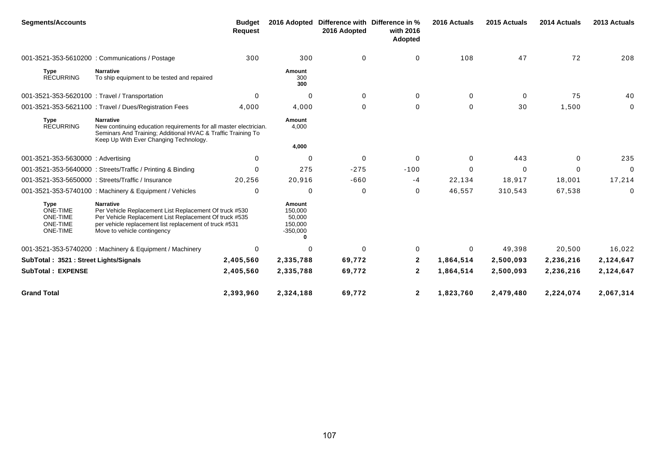| <b>Segments/Accounts</b>                                                                |                                                                                                                                                                                                                               | <b>Budget</b><br><b>Request</b> | 2016 Adopted                                              | 2016 Adopted | Difference with Difference in %<br>with 2016<br>Adopted | 2016 Actuals | 2015 Actuals | 2014 Actuals | 2013 Actuals |
|-----------------------------------------------------------------------------------------|-------------------------------------------------------------------------------------------------------------------------------------------------------------------------------------------------------------------------------|---------------------------------|-----------------------------------------------------------|--------------|---------------------------------------------------------|--------------|--------------|--------------|--------------|
|                                                                                         | 001-3521-353-5610200 : Communications / Postage                                                                                                                                                                               | 300                             | 300                                                       | 0            | 0                                                       | 108          | 47           | 72           | 208          |
| <b>Type</b><br><b>RECURRING</b>                                                         | <b>Narrative</b><br>To ship equipment to be tested and repaired                                                                                                                                                               |                                 | Amount<br>300<br>300                                      |              |                                                         |              |              |              |              |
| 001-3521-353-5620100 : Travel / Transportation                                          |                                                                                                                                                                                                                               | $\Omega$                        | 0                                                         | $\mathbf 0$  | 0                                                       | $\mathbf 0$  | $\mathbf 0$  | 75           | 40           |
|                                                                                         | 001-3521-353-5621100 : Travel / Dues/Registration Fees                                                                                                                                                                        | 4,000                           | 4,000                                                     | $\mathbf 0$  | $\mathbf 0$                                             | 0            | 30           | 1,500        | 0            |
| <b>Type</b><br><b>RECURRING</b>                                                         | <b>Narrative</b><br>New continuing education requirements for all master electrician.<br>Seminars And Training; Additional HVAC & Traffic Training To<br>Keep Up With Ever Changing Technology.                               |                                 | Amount<br>4,000<br>4,000                                  |              |                                                         |              |              |              |              |
| 001-3521-353-5630000: Advertising                                                       |                                                                                                                                                                                                                               | 0                               | 0                                                         | 0            | 0                                                       | 0            | 443          | $\Omega$     | 235          |
|                                                                                         | 001-3521-353-5640000: Streets/Traffic / Printing & Binding                                                                                                                                                                    | $\Omega$                        | 275                                                       | $-275$       | $-100$                                                  | $\Omega$     | $\Omega$     | $\Omega$     | $\Omega$     |
|                                                                                         | 001-3521-353-5650000: Streets/Traffic / Insurance                                                                                                                                                                             | 20,256                          | 20,916                                                    | $-660$       | -4                                                      | 22,134       | 18,917       | 18,001       | 17,214       |
|                                                                                         | 001-3521-353-5740100 : Machinery & Equipment / Vehicles                                                                                                                                                                       | $\Omega$                        | 0                                                         | 0            | 0                                                       | 46,557       | 310,543      | 67,538       | 0            |
| <b>Type</b><br><b>ONE-TIME</b><br><b>ONE-TIME</b><br><b>ONE-TIME</b><br><b>ONE-TIME</b> | <b>Narrative</b><br>Per Vehicle Replacement List Replacement Of truck #530<br>Per Vehicle Replacement List Replacement Of truck #535<br>per vehicle replacement list replacement of truck #531<br>Move to vehicle contingency |                                 | Amount<br>150,000<br>50,000<br>150,000<br>$-350,000$<br>0 |              |                                                         |              |              |              |              |
|                                                                                         | 001-3521-353-5740200 : Machinery & Equipment / Machinery                                                                                                                                                                      | $\Omega$                        | 0                                                         | $\Omega$     | 0                                                       | 0            | 49,398       | 20,500       | 16,022       |
| SubTotal: 3521: Street Lights/Signals                                                   |                                                                                                                                                                                                                               | 2,405,560                       | 2,335,788                                                 | 69,772       | $\mathbf{2}$                                            | 1,864,514    | 2,500,093    | 2,236,216    | 2,124,647    |
| <b>SubTotal: EXPENSE</b>                                                                |                                                                                                                                                                                                                               | 2,405,560                       | 2,335,788                                                 | 69,772       | $\mathbf{2}$                                            | 1,864,514    | 2,500,093    | 2,236,216    | 2,124,647    |
| <b>Grand Total</b>                                                                      |                                                                                                                                                                                                                               | 2,393,960                       | 2.324.188                                                 | 69.772       | $\mathbf{2}$                                            | 1,823,760    | 2,479,480    | 2.224.074    | 2,067,314    |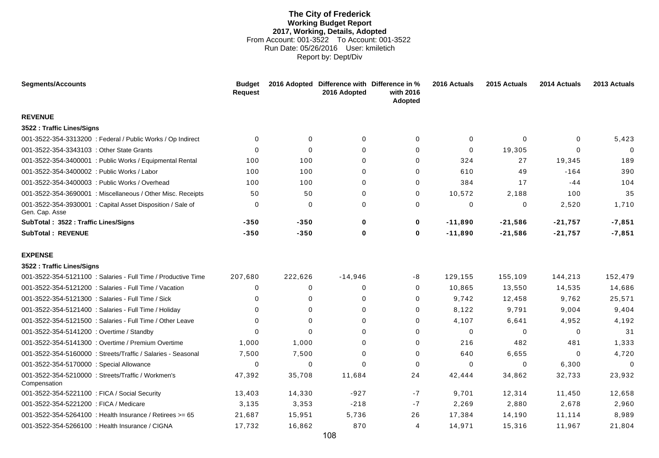# **The City of Frederick Working Budget Report 2017, Working, Details, Adopted** From Account: 001-3522 To Account: 001-3522 Run Date: 05/26/2016 User: kmiletich Report by: Dept/Div

| <b>Segments/Accounts</b>                                                     | <b>Budget</b><br><b>Request</b> |             | 2016 Adopted Difference with Difference in %<br>2016 Adopted | with 2016<br>Adopted | 2016 Actuals | 2015 Actuals | 2014 Actuals | 2013 Actuals |
|------------------------------------------------------------------------------|---------------------------------|-------------|--------------------------------------------------------------|----------------------|--------------|--------------|--------------|--------------|
| <b>REVENUE</b>                                                               |                                 |             |                                                              |                      |              |              |              |              |
| 3522 : Traffic Lines/Signs                                                   |                                 |             |                                                              |                      |              |              |              |              |
| 001-3522-354-3313200 : Federal / Public Works / Op Indirect                  | $\Omega$                        | $\mathbf 0$ | $\Omega$                                                     | $\mathbf 0$          | $\Omega$     | $\mathbf 0$  | $\mathbf 0$  | 5,423        |
| 001-3522-354-3343103 : Other State Grants                                    | $\Omega$                        | $\Omega$    | $\Omega$                                                     | $\Omega$             | 0            | 19,305       | $\Omega$     | $\Omega$     |
| 001-3522-354-3400001 : Public Works / Equipmental Rental                     | 100                             | 100         | $\Omega$                                                     | 0                    | 324          | 27           | 19,345       | 189          |
| 001-3522-354-3400002 : Public Works / Labor                                  | 100                             | 100         | $\Omega$                                                     | 0                    | 610          | 49           | $-164$       | 390          |
| 001-3522-354-3400003 : Public Works / Overhead                               | 100                             | 100         | 0                                                            | 0                    | 384          | 17           | $-44$        | 104          |
| 001-3522-354-3690001 : Miscellaneous / Other Misc. Receipts                  | 50                              | 50          | $\Omega$                                                     | 0                    | 10,572       | 2,188        | 100          | 35           |
| 001-3522-354-3930001 : Capital Asset Disposition / Sale of<br>Gen. Cap. Asse | 0                               | 0           | 0                                                            | 0                    | $\Omega$     | 0            | 2,520        | 1,710        |
| SubTotal: 3522 : Traffic Lines/Signs                                         | $-350$                          | $-350$      | 0                                                            | 0                    | $-11,890$    | $-21,586$    | $-21,757$    | $-7,851$     |
| <b>SubTotal: REVENUE</b>                                                     | $-350$                          | $-350$      | $\bf{0}$                                                     | $\mathbf 0$          | $-11,890$    | $-21,586$    | $-21,757$    | $-7,851$     |
| <b>EXPENSE</b>                                                               |                                 |             |                                                              |                      |              |              |              |              |
| 3522 : Traffic Lines/Signs                                                   |                                 |             |                                                              |                      |              |              |              |              |
| 001-3522-354-5121100 : Salaries - Full Time / Productive Time                | 207,680                         | 222,626     | $-14,946$                                                    | -8                   | 129,155      | 155,109      | 144,213      | 152,479      |
| 001-3522-354-5121200 : Salaries - Full Time / Vacation                       | 0                               | 0           | 0                                                            | 0                    | 10,865       | 13,550       | 14,535       | 14,686       |
| 001-3522-354-5121300 : Salaries - Full Time / Sick                           | O                               | $\Omega$    | $\Omega$                                                     | 0                    | 9,742        | 12,458       | 9,762        | 25,571       |
| 001-3522-354-5121400 : Salaries - Full Time / Holiday                        | $\Omega$                        | $\Omega$    | $\Omega$                                                     | 0                    | 8,122        | 9,791        | 9,004        | 9,404        |
| 001-3522-354-5121500 : Salaries - Full Time / Other Leave                    | $\Omega$                        | $\Omega$    | $\Omega$                                                     | 0                    | 4,107        | 6,641        | 4,952        | 4,192        |
| 001-3522-354-5141200 : Overtime / Standby                                    | $\Omega$                        | $\Omega$    | $\Omega$                                                     | 0                    | $\Omega$     | $\mathbf 0$  | $\Omega$     | 31           |
| 001-3522-354-5141300 : Overtime / Premium Overtime                           | 1,000                           | 1,000       | 0                                                            | 0                    | 216          | 482          | 481          | 1,333        |
| 001-3522-354-5160000: Streets/Traffic / Salaries - Seasonal                  | 7,500                           | 7,500       | $\Omega$                                                     | 0                    | 640          | 6,655        | $\Omega$     | 4,720        |
| 001-3522-354-5170000 : Special Allowance                                     | 0                               | 0           | $\Omega$                                                     | 0                    | 0            | $\mathbf 0$  | 6,300        | $\Omega$     |
| 001-3522-354-5210000 : Streets/Traffic / Workmen's<br>Compensation           | 47,392                          | 35,708      | 11,684                                                       | 24                   | 42,444       | 34,862       | 32,733       | 23,932       |
| 001-3522-354-5221100 : FICA / Social Security                                | 13,403                          | 14,330      | $-927$                                                       | $-7$                 | 9,701        | 12,314       | 11,450       | 12,658       |
| 001-3522-354-5221200 : FICA / Medicare                                       | 3,135                           | 3,353       | $-218$                                                       | $-7$                 | 2,269        | 2,880        | 2,678        | 2,960        |
| 001-3522-354-5264100 : Health Insurance / Retirees >= 65                     | 21,687                          | 15,951      | 5,736                                                        | 26                   | 17,384       | 14,190       | 11,114       | 8,989        |
| 001-3522-354-5266100 : Health Insurance / CIGNA                              | 17,732                          | 16.862      | 870                                                          | 4                    | 14,971       | 15,316       | 11,967       | 21,804       |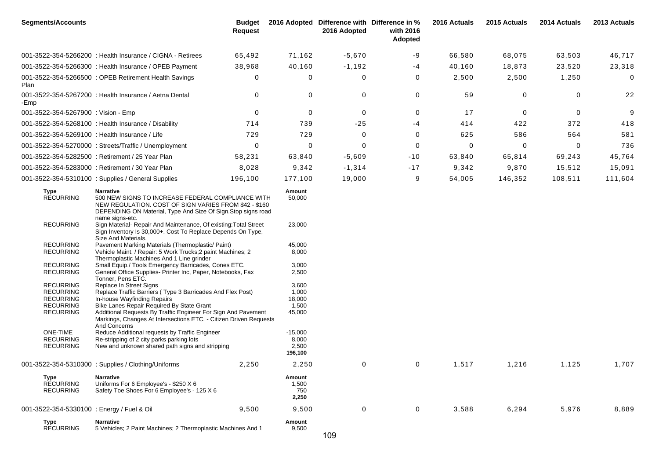| <b>Segments/Accounts</b>                         |                                                                                                                                                                                                 | <b>Budget</b><br><b>Request</b> |                                        | 2016 Adopted Difference with Difference in %<br>2016 Adopted | with 2016<br>Adopted | 2016 Actuals | 2015 Actuals | 2014 Actuals | 2013 Actuals |
|--------------------------------------------------|-------------------------------------------------------------------------------------------------------------------------------------------------------------------------------------------------|---------------------------------|----------------------------------------|--------------------------------------------------------------|----------------------|--------------|--------------|--------------|--------------|
|                                                  | 001-3522-354-5266200 : Health Insurance / CIGNA - Retirees                                                                                                                                      | 65,492                          | 71,162                                 | $-5,670$                                                     | -9                   | 66,580       | 68,075       | 63,503       | 46,717       |
|                                                  | 001-3522-354-5266300 : Health Insurance / OPEB Payment                                                                                                                                          | 38,968                          | 40,160                                 | $-1,192$                                                     | -4                   | 40,160       | 18,873       | 23,520       | 23,318       |
| Plan                                             | 001-3522-354-5266500 : OPEB Retirement Health Savings                                                                                                                                           | 0                               | 0                                      | 0                                                            | 0                    | 2,500        | 2,500        | 1,250        | 0            |
| -Emp                                             | 001-3522-354-5267200 : Health Insurance / Aetna Dental                                                                                                                                          | $\mathbf 0$                     | 0                                      | 0                                                            | 0                    | 59           | 0            | 0            | 22           |
| 001-3522-354-5267900 : Vision - Emp              |                                                                                                                                                                                                 | $\Omega$                        | $\mathbf 0$                            | $\mathbf 0$                                                  | 0                    | 17           | 0            | $\mathbf 0$  | 9            |
|                                                  | 001-3522-354-5268100 : Health Insurance / Disability                                                                                                                                            | 714                             | 739                                    | $-25$                                                        | -4                   | 414          | 422          | 372          | 418          |
| 001-3522-354-5269100 : Health Insurance / Life   |                                                                                                                                                                                                 | 729                             | 729                                    | $\mathbf 0$                                                  | 0                    | 625          | 586          | 564          | 581          |
|                                                  | 001-3522-354-5270000 : Streets/Traffic / Unemployment                                                                                                                                           | 0                               | 0                                      | 0                                                            | 0                    | 0            | 0            | $\mathbf 0$  | 736          |
|                                                  | 001-3522-354-5282500 : Retirement / 25 Year Plan                                                                                                                                                | 58,231                          | 63,840                                 | $-5,609$                                                     | $-10$                | 63,840       | 65,814       | 69,243       | 45,764       |
|                                                  | 001-3522-354-5283000 : Retirement / 30 Year Plan                                                                                                                                                | 8,028                           | 9,342                                  | $-1,314$                                                     | $-17$                | 9,342        | 9,870        | 15,512       | 15,091       |
|                                                  | 001-3522-354-5310100 : Supplies / General Supplies                                                                                                                                              | 196,100                         | 177,100                                | 19,000                                                       | 9                    | 54,005       | 146,352      | 108,511      | 111,604      |
| Type<br><b>RECURRING</b>                         | <b>Narrative</b><br>500 NEW SIGNS TO INCREASE FEDERAL COMPLIANCE WITH<br>NEW REGULATION. COST OF SIGN VARIES FROM \$42 - \$160<br>DEPENDING ON Material, Type And Size Of Sign. Stop signs road |                                 | Amount<br>50,000                       |                                                              |                      |              |              |              |              |
| <b>RECURRING</b>                                 | name signs-etc.<br>Sign Material- Repair And Maintenance, Of existing: Total Street<br>Sign Inventory Is 30,000+. Cost To Replace Depends On Type,<br>Size And Materials.                       |                                 | 23,000                                 |                                                              |                      |              |              |              |              |
| <b>RECURRING</b><br><b>RECURRING</b>             | Pavement Marking Materials (Thermoplastic/ Paint)<br>Vehicle Maint. / Repair: 5 Work Trucks; 2 paint Machines; 2<br>Thermoplastic Machines And 1 Line grinder                                   |                                 | 45,000<br>8,000                        |                                                              |                      |              |              |              |              |
| <b>RECURRING</b><br><b>RECURRING</b>             | Small Equip./ Tools Emergency Barricades, Cones ETC.<br>General Office Supplies- Printer Inc, Paper, Notebooks, Fax<br>Tonner, Pens ETC.                                                        |                                 | 3,000<br>2,500                         |                                                              |                      |              |              |              |              |
| <b>RECURRING</b><br><b>RECURRING</b>             | Replace In Street Signs<br>Replace Traffic Barriers (Type 3 Barricades And Flex Post)                                                                                                           |                                 | 3,600<br>1,000                         |                                                              |                      |              |              |              |              |
| <b>RECURRING</b>                                 | In-house Wayfinding Repairs                                                                                                                                                                     |                                 | 18,000                                 |                                                              |                      |              |              |              |              |
| <b>RECURRING</b><br><b>RECURRING</b>             | Bike Lanes Repair Required By State Grant<br>Additional Requests By Traffic Engineer For Sign And Pavement<br>Markings, Changes At Intersections ETC. - Citizen Driven Requests<br>And Concerns |                                 | 1,500<br>45,000                        |                                                              |                      |              |              |              |              |
| ONE-TIME<br><b>RECURRING</b><br><b>RECURRING</b> | Reduce Additional requests by Traffic Engineer<br>Re-stripping of 2 city parks parking lots<br>New and unknown shared path signs and stripping                                                  |                                 | $-15,000$<br>8,000<br>2,500<br>196,100 |                                                              |                      |              |              |              |              |
|                                                  | 001-3522-354-5310300: Supplies / Clothing/Uniforms                                                                                                                                              | 2,250                           | 2,250                                  | 0                                                            | $\mathbf 0$          | 1,517        | 1,216        | 1,125        | 1,707        |
| Type<br><b>RECURRING</b><br><b>RECURRING</b>     | <b>Narrative</b><br>Uniforms For 6 Employee's - \$250 X 6<br>Safety Toe Shoes For 6 Employee's - 125 X 6                                                                                        |                                 | Amount<br>1,500<br>750<br>2,250        |                                                              |                      |              |              |              |              |
| 001-3522-354-5330100 : Energy / Fuel & Oil       |                                                                                                                                                                                                 | 9,500                           | 9,500                                  | 0                                                            | $\mathbf 0$          | 3,588        | 6,294        | 5,976        | 8,889        |
| Type<br><b>RECURRING</b>                         | <b>Narrative</b><br>5 Vehicles; 2 Paint Machines; 2 Thermoplastic Machines And 1                                                                                                                |                                 | Amount<br>9,500                        |                                                              |                      |              |              |              |              |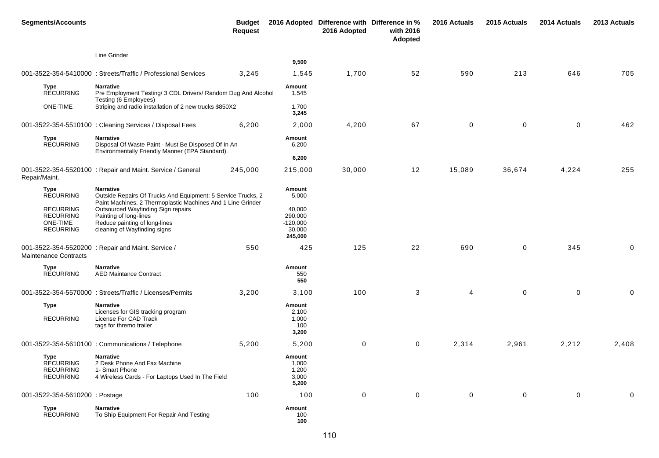| <b>Segments/Accounts</b>                                             |                                                                                                                                                 | <b>Budget</b><br><b>Request</b> |                                                      | 2016 Adopted Difference with Difference in %<br>2016 Adopted | with 2016<br>Adopted | 2016 Actuals   | 2015 Actuals | 2014 Actuals | 2013 Actuals |
|----------------------------------------------------------------------|-------------------------------------------------------------------------------------------------------------------------------------------------|---------------------------------|------------------------------------------------------|--------------------------------------------------------------|----------------------|----------------|--------------|--------------|--------------|
|                                                                      | Line Grinder                                                                                                                                    |                                 | 9,500                                                |                                                              |                      |                |              |              |              |
|                                                                      | 001-3522-354-5410000: Streets/Traffic / Professional Services                                                                                   | 3,245                           | 1,545                                                | 1,700                                                        | 52                   | 590            | 213          | 646          | 705          |
| <b>Type</b><br><b>RECURRING</b>                                      | <b>Narrative</b><br>Pre Employment Testing/ 3 CDL Drivers/ Random Dug And Alcohol<br>Testing (6 Employees)                                      |                                 | Amount<br>1,545                                      |                                                              |                      |                |              |              |              |
| ONE-TIME                                                             | Striping and radio installation of 2 new trucks \$850X2                                                                                         |                                 | 1,700<br>3,245                                       |                                                              |                      |                |              |              |              |
|                                                                      | 001-3522-354-5510100 : Cleaning Services / Disposal Fees                                                                                        | 6,200                           | 2,000                                                | 4,200                                                        | 67                   | $\mathbf 0$    | $\mathbf 0$  | 0            | 462          |
| <b>Type</b><br><b>RECURRING</b>                                      | <b>Narrative</b><br>Disposal Of Waste Paint - Must Be Disposed Of In An<br>Environmentally Friendly Manner (EPA Standard).                      |                                 | Amount<br>6,200                                      |                                                              |                      |                |              |              |              |
|                                                                      |                                                                                                                                                 |                                 | 6,200                                                |                                                              |                      |                |              |              |              |
| Repair/Maint.                                                        | 001-3522-354-5520100 : Repair and Maint. Service / General                                                                                      | 245,000                         | 215,000                                              | 30,000                                                       | 12                   | 15,089         | 36,674       | 4,224        | 255          |
| Type<br><b>RECURRING</b>                                             | <b>Narrative</b><br>Outside Repairs Of Trucks And Equipment: 5 Service Trucks, 2<br>Paint Machines, 2 Thermoplastic Machines And 1 Line Grinder |                                 | Amount<br>5,000                                      |                                                              |                      |                |              |              |              |
| <b>RECURRING</b><br><b>RECURRING</b><br>ONE-TIME<br><b>RECURRING</b> | Outsourced Wayfinding Sign repairs<br>Painting of long-lines<br>Reduce painting of long-lines<br>cleaning of Wayfinding signs                   |                                 | 40,000<br>290,000<br>$-120,000$<br>30,000<br>245,000 |                                                              |                      |                |              |              |              |
| <b>Maintenance Contracts</b>                                         | 001-3522-354-5520200 : Repair and Maint. Service /                                                                                              | 550                             | 425                                                  | 125                                                          | 22                   | 690            | 0            | 345          | 0            |
| <b>Type</b><br><b>RECURRING</b>                                      | <b>Narrative</b><br><b>AED Maintance Contract</b>                                                                                               |                                 | Amount<br>550<br>550                                 |                                                              |                      |                |              |              |              |
|                                                                      | 001-3522-354-5570000 : Streets/Traffic / Licenses/Permits                                                                                       | 3,200                           | 3,100                                                | 100                                                          | 3                    | $\overline{4}$ | $\mathbf 0$  | 0            | 0            |
| Type<br><b>RECURRING</b>                                             | <b>Narrative</b><br>Licenses for GIS tracking program<br>License For CAD Track<br>tags for thremo trailer                                       |                                 | <b>Amount</b><br>2,100<br>1,000<br>100               |                                                              |                      |                |              |              |              |
|                                                                      |                                                                                                                                                 |                                 | 3,200                                                | $\mathbf 0$                                                  | 0                    | 2,314          | 2,961        | 2,212        | 2,408        |
| Type                                                                 | 001-3522-354-5610100 : Communications / Telephone<br><b>Narrative</b>                                                                           | 5,200                           | 5,200<br>Amount                                      |                                                              |                      |                |              |              |              |
| <b>RECURRING</b><br><b>RECURRING</b><br><b>RECURRING</b>             | 2 Desk Phone And Fax Machine<br>1- Smart Phone<br>4 Wireless Cards - For Laptops Used In The Field                                              |                                 | 1,000<br>1,200<br>3,000<br>5,200                     |                                                              |                      |                |              |              |              |
| 001-3522-354-5610200 : Postage                                       |                                                                                                                                                 | 100                             | 100                                                  | $\mathbf 0$                                                  | $\overline{0}$       | $\overline{0}$ | $\mathbf 0$  | $\mathbf 0$  | $\mathbf 0$  |
| Type<br><b>RECURRING</b>                                             | <b>Narrative</b><br>To Ship Equipment For Repair And Testing                                                                                    |                                 | Amount<br>100<br>100                                 |                                                              |                      |                |              |              |              |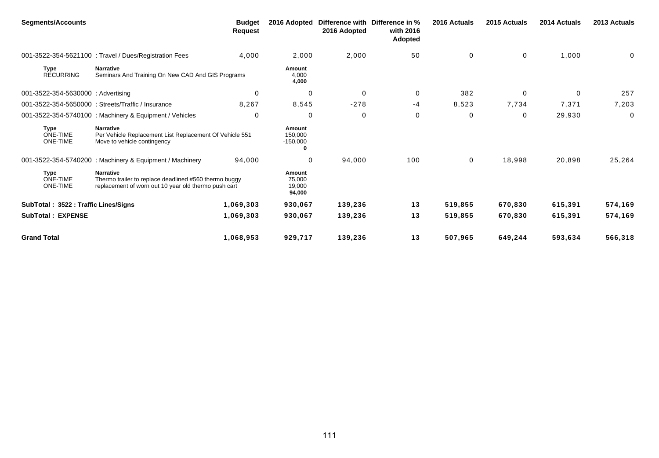| <b>Segments/Accounts</b>                          |                                                                                                                                   | <b>Budget</b><br>Request | 2016 Adopted                         | 2016 Adopted | Difference with Difference in %<br>with 2016<br>Adopted | 2016 Actuals | 2015 Actuals | 2014 Actuals | 2013 Actuals |
|---------------------------------------------------|-----------------------------------------------------------------------------------------------------------------------------------|--------------------------|--------------------------------------|--------------|---------------------------------------------------------|--------------|--------------|--------------|--------------|
|                                                   | 001-3522-354-5621100 : Travel / Dues/Registration Fees                                                                            | 4,000                    | 2,000                                | 2,000        | 50                                                      | $\mathbf 0$  | 0            | 1,000        | 0            |
| <b>Type</b><br><b>RECURRING</b>                   | <b>Narrative</b><br>Seminars And Training On New CAD And GIS Programs                                                             |                          | Amount<br>4,000<br>4,000             |              |                                                         |              |              |              |              |
| 001-3522-354-5630000: Advertising                 |                                                                                                                                   | $\mathbf 0$              | $\mathbf 0$                          | $\Omega$     | 0                                                       | 382          | $\Omega$     | 0            | 257          |
|                                                   | 001-3522-354-5650000: Streets/Traffic / Insurance                                                                                 | 8,267                    | 8,545                                | $-278$       | -4                                                      | 8,523        | 7,734        | 7,371        | 7,203        |
|                                                   | 001-3522-354-5740100 : Machinery & Equipment / Vehicles                                                                           | 0                        | $\mathbf 0$                          | 0            | 0                                                       | 0            | 0            | 29,930       | $\mathbf 0$  |
| <b>Type</b><br><b>ONE-TIME</b><br>ONE-TIME        | <b>Narrative</b><br>Per Vehicle Replacement List Replacement Of Vehicle 551<br>Move to vehicle contingency                        |                          | Amount<br>150,000<br>$-150,000$<br>0 |              |                                                         |              |              |              |              |
|                                                   | 001-3522-354-5740200 : Machinery & Equipment / Machinery                                                                          | 94,000                   | 0                                    | 94,000       | 100                                                     | 0            | 18,998       | 20,898       | 25,264       |
| <b>Type</b><br><b>ONE-TIME</b><br><b>ONE-TIME</b> | <b>Narrative</b><br>Thermo trailer to replace deadlined #560 thermo buggy<br>replacement of worn out 10 year old thermo push cart |                          | Amount<br>75,000<br>19,000<br>94,000 |              |                                                         |              |              |              |              |
| SubTotal: 3522 : Traffic Lines/Signs              |                                                                                                                                   | 1,069,303                | 930,067                              | 139,236      | 13                                                      | 519,855      | 670,830      | 615,391      | 574,169      |
| <b>SubTotal: EXPENSE</b>                          |                                                                                                                                   | 1,069,303                | 930,067                              | 139,236      | 13                                                      | 519,855      | 670,830      | 615,391      | 574,169      |
| <b>Grand Total</b>                                |                                                                                                                                   | 1,068,953                | 929,717                              | 139,236      | 13                                                      | 507,965      | 649,244      | 593,634      | 566,318      |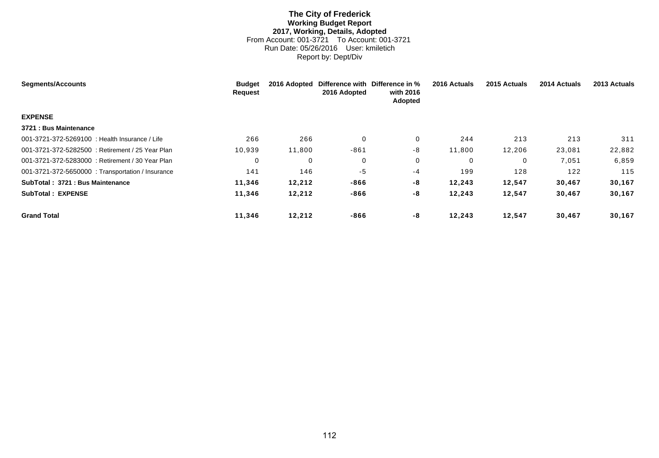# **The City of Frederick Working Budget Report 2017, Working, Details, Adopted** From Account: 001-3721 To Account: 001-3721 Run Date: 05/26/2016 User: kmiletich Report by: Dept/Div

| <b>Segments/Accounts</b>                          | <b>Budget</b><br>Request | 2016 Adopted | Difference with<br>2016 Adopted | Difference in %<br>with 2016<br>Adopted | 2016 Actuals | 2015 Actuals | 2014 Actuals | 2013 Actuals |
|---------------------------------------------------|--------------------------|--------------|---------------------------------|-----------------------------------------|--------------|--------------|--------------|--------------|
| <b>EXPENSE</b>                                    |                          |              |                                 |                                         |              |              |              |              |
| 3721 : Bus Maintenance                            |                          |              |                                 |                                         |              |              |              |              |
| 001-3721-372-5269100 : Health Insurance / Life    | 266                      | 266          | $\mathbf 0$                     | 0                                       | 244          | 213          | 213          | 311          |
| 001-3721-372-5282500 : Retirement / 25 Year Plan  | 10,939                   | 11,800       | $-861$                          | -8                                      | 11,800       | 12,206       | 23,081       | 22,882       |
| 001-3721-372-5283000 : Retirement / 30 Year Plan  | 0                        | $\mathbf{0}$ | $\mathbf{0}$                    | 0                                       | $\Omega$     | $\Omega$     | 7,051        | 6,859        |
| 001-3721-372-5650000 : Transportation / Insurance | 141                      | 146          | -5                              | -4                                      | 199          | 128          | 122          | 115          |
| SubTotal: 3721 : Bus Maintenance                  | 11,346                   | 12,212       | -866                            | -8                                      | 12,243       | 12,547       | 30,467       | 30,167       |
| <b>SubTotal: EXPENSE</b>                          | 11,346                   | 12,212       | -866                            | -8                                      | 12,243       | 12,547       | 30,467       | 30,167       |
| <b>Grand Total</b>                                | 11,346                   | 12,212       | $-866$                          | -8                                      | 12,243       | 12,547       | 30,467       | 30,167       |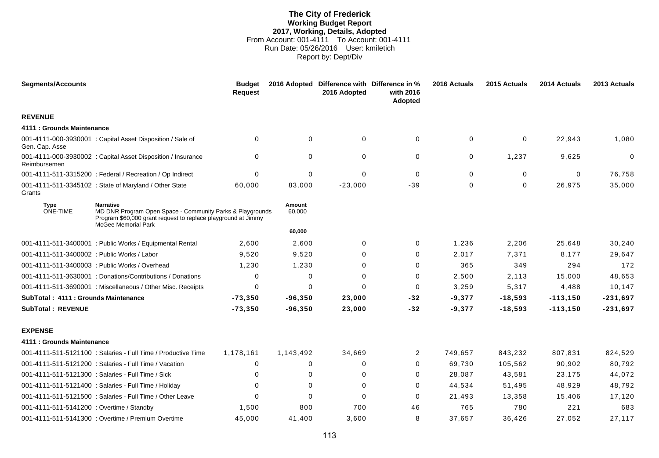# **The City of Frederick Working Budget Report 2017, Working, Details, Adopted** From Account: 001-4111 To Account: 001-4111 Run Date: 05/26/2016 User: kmiletich Report by: Dept/Div

| <b>Segments/Accounts</b>                    |                                                                                                                                                                              | <b>Budget</b><br><b>Request</b> |                  | 2016 Adopted Difference with Difference in %<br>2016 Adopted | with 2016<br>Adopted | 2016 Actuals | 2015 Actuals | 2014 Actuals | 2013 Actuals |
|---------------------------------------------|------------------------------------------------------------------------------------------------------------------------------------------------------------------------------|---------------------------------|------------------|--------------------------------------------------------------|----------------------|--------------|--------------|--------------|--------------|
| <b>REVENUE</b>                              |                                                                                                                                                                              |                                 |                  |                                                              |                      |              |              |              |              |
| 4111 : Grounds Maintenance                  |                                                                                                                                                                              |                                 |                  |                                                              |                      |              |              |              |              |
| Gen. Cap. Asse                              | 001-4111-000-3930001 : Capital Asset Disposition / Sale of                                                                                                                   | $\Omega$                        | 0                | 0                                                            | 0                    | 0            | 0            | 22,943       | 1,080        |
| Reimbursemen                                | 001-4111-000-3930002 : Capital Asset Disposition / Insurance                                                                                                                 | 0                               | 0                | 0                                                            | $\mathbf 0$          | 0            | 1,237        | 9,625        | $\Omega$     |
|                                             | 001-4111-511-3315200 : Federal / Recreation / Op Indirect                                                                                                                    | $\Omega$                        | 0                | $\Omega$                                                     | $\mathbf 0$          | 0            | 0            | $\Omega$     | 76,758       |
| Grants                                      | 001-4111-511-3345102 : State of Maryland / Other State                                                                                                                       | 60,000                          | 83,000           | $-23,000$                                                    | $-39$                | $\Omega$     | $\Omega$     | 26,975       | 35,000       |
| <b>Type</b><br><b>ONE-TIME</b>              | <b>Narrative</b><br>MD DNR Program Open Space - Community Parks & Playgrounds<br>Program \$60,000 grant request to replace playground at Jimmy<br><b>McGee Memorial Park</b> |                                 | Amount<br>60.000 |                                                              |                      |              |              |              |              |
|                                             |                                                                                                                                                                              |                                 | 60,000           |                                                              |                      |              |              |              |              |
|                                             | 001-4111-511-3400001: Public Works / Equipmental Rental                                                                                                                      | 2,600                           | 2,600            | 0                                                            | 0                    | 1,236        | 2,206        | 25,648       | 30,240       |
| 001-4111-511-3400002 : Public Works / Labor |                                                                                                                                                                              | 9,520                           | 9,520            | 0                                                            | 0                    | 2,017        | 7,371        | 8,177        | 29,647       |
|                                             | 001-4111-511-3400003 : Public Works / Overhead                                                                                                                               | 1,230                           | 1,230            | 0                                                            | 0                    | 365          | 349          | 294          | 172          |
|                                             | 001-4111-511-3630001: Donations/Contributions / Donations                                                                                                                    | $\Omega$                        | 0                | $\Omega$                                                     | 0                    | 2,500        | 2,113        | 15,000       | 48,653       |
|                                             | 001-4111-511-3690001 : Miscellaneous / Other Misc. Receipts                                                                                                                  | $\Omega$                        | $\Omega$         | $\Omega$                                                     | $\mathbf 0$          | 3,259        | 5,317        | 4,488        | 10,147       |
| SubTotal: 4111: Grounds Maintenance         |                                                                                                                                                                              | $-73,350$                       | $-96,350$        | 23,000                                                       | $-32$                | $-9,377$     | $-18,593$    | $-113,150$   | $-231,697$   |
| <b>SubTotal: REVENUE</b>                    |                                                                                                                                                                              | $-73,350$                       | $-96,350$        | 23,000                                                       | $-32$                | $-9,377$     | $-18,593$    | $-113,150$   | $-231,697$   |
| <b>EXPENSE</b>                              |                                                                                                                                                                              |                                 |                  |                                                              |                      |              |              |              |              |
| 4111 : Grounds Maintenance                  |                                                                                                                                                                              |                                 |                  |                                                              |                      |              |              |              |              |
|                                             | 001-4111-511-5121100 : Salaries - Full Time / Productive Time                                                                                                                | 1,178,161                       | 1,143,492        | 34,669                                                       | $\overline{2}$       | 749,657      | 843,232      | 807,831      | 824,529      |
|                                             | 001-4111-511-5121200 : Salaries - Full Time / Vacation                                                                                                                       | 0                               | 0                | 0                                                            | 0                    | 69,730       | 105,562      | 90,902       | 80,792       |
|                                             | 001-4111-511-5121300 : Salaries - Full Time / Sick                                                                                                                           | $\Omega$                        | 0                | $\Omega$                                                     | 0                    | 28,087       | 43,581       | 23,175       | 44,072       |
|                                             | 001-4111-511-5121400 : Salaries - Full Time / Holiday                                                                                                                        | $\Omega$                        | $\Omega$         | $\Omega$                                                     | 0                    | 44,534       | 51.495       | 48,929       | 48,792       |
|                                             | 001-4111-511-5121500 : Salaries - Full Time / Other Leave                                                                                                                    | $\Omega$                        | $\Omega$         | 0                                                            | 0                    | 21,493       | 13,358       | 15,406       | 17,120       |
| 001-4111-511-5141200 : Overtime / Standby   |                                                                                                                                                                              | 1,500                           | 800              | 700                                                          | 46                   | 765          | 780          | 221          | 683          |
|                                             | 001-4111-511-5141300 : Overtime / Premium Overtime                                                                                                                           | 45.000                          | 41.400           | 3.600                                                        | 8                    | 37.657       | 36.426       | 27.052       | 27,117       |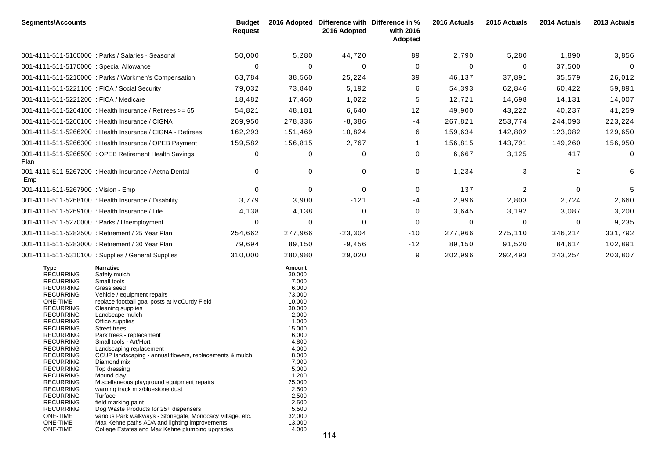| <b>Budget</b><br><b>Request</b>            |                                                                                                                                                                                                           | 2016 Adopted                 | with 2016<br>Adopted | 2016 Actuals                                 | 2015 Actuals       | 2014 Actuals                 | 2013 Actuals                           |
|--------------------------------------------|-----------------------------------------------------------------------------------------------------------------------------------------------------------------------------------------------------------|------------------------------|----------------------|----------------------------------------------|--------------------|------------------------------|----------------------------------------|
| 50,000                                     | 5,280                                                                                                                                                                                                     | 44,720                       | 89                   | 2,790                                        | 5,280              | 1,890                        | 3,856                                  |
| $\mathbf 0$                                | $\mathbf 0$                                                                                                                                                                                               | $\Omega$                     | 0                    | $\Omega$                                     | $\mathbf{0}$       | 37,500                       | $\Omega$                               |
| 63,784                                     | 38,560                                                                                                                                                                                                    | 25,224                       | 39                   | 46,137                                       | 37,891             | 35,579                       | 26,012                                 |
| 79,032                                     | 73,840                                                                                                                                                                                                    | 5,192                        | 6                    | 54,393                                       | 62,846             | 60,422                       | 59,891                                 |
| 18,482                                     | 17,460                                                                                                                                                                                                    | 1,022                        | 5                    | 12,721                                       | 14,698             |                              | 14,007                                 |
|                                            | 48,181                                                                                                                                                                                                    | 6,640                        | 12                   | 49,900                                       |                    |                              | 41,259                                 |
| 269,950                                    | 278,336                                                                                                                                                                                                   | $-8,386$                     | -4                   | 267,821                                      | 253,774            | 244,093                      | 223,224                                |
|                                            |                                                                                                                                                                                                           |                              | 6                    |                                              |                    |                              | 129,650                                |
|                                            |                                                                                                                                                                                                           |                              | 1                    |                                              |                    |                              | 156,950                                |
| 0                                          | 0                                                                                                                                                                                                         | 0                            | 0                    | 6,667                                        | 3,125              | 417                          | $\mathbf 0$                            |
| 0                                          | $\pmb{0}$                                                                                                                                                                                                 | 0                            | 0                    | 1,234                                        | $-3$               | $-2$                         | -6                                     |
| $\mathbf 0$                                | 0                                                                                                                                                                                                         | $\mathbf 0$                  | 0                    | 137                                          | $\overline{2}$     | 0                            | 5                                      |
| 3,779                                      | 3,900                                                                                                                                                                                                     | $-121$                       | -4                   | 2,996                                        | 2,803              | 2,724                        | 2,660                                  |
| 4,138                                      | 4,138                                                                                                                                                                                                     | 0                            | 0                    | 3,645                                        | 3,192              | 3,087                        | 3,200                                  |
| 0                                          | 0                                                                                                                                                                                                         | 0                            | 0                    | 0                                            | 0                  | 0                            | 9,235                                  |
| 254,662                                    | 277,966                                                                                                                                                                                                   | $-23,304$                    | $-10$                | 277,966                                      | 275,110            | 346,214                      | 331,792                                |
| 79,694                                     | 89,150                                                                                                                                                                                                    | $-9,456$                     | $-12$                | 89,150                                       | 91,520             | 84,614                       | 102,891                                |
| 310,000                                    | 280,980                                                                                                                                                                                                   | 29,020                       | 9                    | 202,996                                      | 292,493            | 243,254                      | 203,807                                |
|                                            | Amount<br>30,000<br>7,000<br>6,000<br>73,000<br>10,000<br>30,000<br>2,000<br>1,000<br>15,000<br>6,000<br>4,800<br>4,000<br>8,000<br>7,000<br>5,000<br>1,200<br>25,000<br>2,500<br>2,500<br>2,500<br>5,500 |                              |                      |                                              |                    |                              |                                        |
| Miscellaneous playground equipment repairs | 54,821<br>162,293<br>159,582<br>CCUP landscaping - annual flowers, replacements & mulch<br>various Park walkways - Stonegate, Monocacy Village, etc.                                                      | 151,469<br>156,815<br>32,000 | 10,824<br>2,767      | 2016 Adopted Difference with Difference in % | 159,634<br>156,815 | 43,222<br>142,802<br>143,791 | 14,131<br>40,237<br>123,082<br>149,260 |

ONE-TIME Max Kehne paths ADA and lighting improvements 13,000 ONE-TIME College Estates and Max Kehne plumbing upgrades 4,000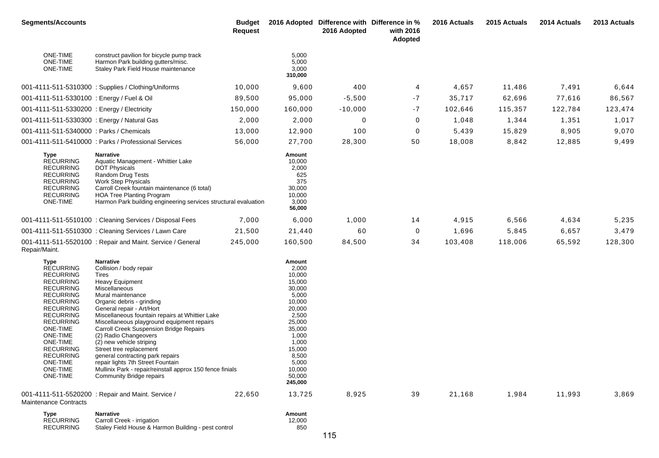| <b>Segments/Accounts</b>                                                                                                                                                                                                                                                                                        |                                                                                                                                                                                                                                                                                                                                                                                                                                                                                                                                                                                     | <b>Budget</b><br><b>Request</b> |                                                                                                                                                                                      | 2016 Adopted Difference with Difference in %<br>2016 Adopted | with 2016<br>Adopted | 2016 Actuals | 2015 Actuals | 2014 Actuals | 2013 Actuals |
|-----------------------------------------------------------------------------------------------------------------------------------------------------------------------------------------------------------------------------------------------------------------------------------------------------------------|-------------------------------------------------------------------------------------------------------------------------------------------------------------------------------------------------------------------------------------------------------------------------------------------------------------------------------------------------------------------------------------------------------------------------------------------------------------------------------------------------------------------------------------------------------------------------------------|---------------------------------|--------------------------------------------------------------------------------------------------------------------------------------------------------------------------------------|--------------------------------------------------------------|----------------------|--------------|--------------|--------------|--------------|
| <b>ONE-TIME</b><br>ONE-TIME<br>ONE-TIME                                                                                                                                                                                                                                                                         | construct pavilion for bicycle pump track<br>Harmon Park building gutters/misc.<br>Staley Park Field House maintenance                                                                                                                                                                                                                                                                                                                                                                                                                                                              |                                 | 5,000<br>5,000<br>3,000<br>310,000                                                                                                                                                   |                                                              |                      |              |              |              |              |
|                                                                                                                                                                                                                                                                                                                 | 001-4111-511-5310300: Supplies / Clothing/Uniforms                                                                                                                                                                                                                                                                                                                                                                                                                                                                                                                                  | 10,000                          | 9,600                                                                                                                                                                                | 400                                                          | 4                    | 4,657        | 11,486       | 7,491        | 6,644        |
| 001-4111-511-5330100 : Energy / Fuel & Oil                                                                                                                                                                                                                                                                      |                                                                                                                                                                                                                                                                                                                                                                                                                                                                                                                                                                                     | 89,500                          | 95,000                                                                                                                                                                               | $-5,500$                                                     | -7                   | 35,717       | 62,696       | 77,616       | 86,567       |
| 001-4111-511-5330200 : Energy / Electricity                                                                                                                                                                                                                                                                     |                                                                                                                                                                                                                                                                                                                                                                                                                                                                                                                                                                                     | 150,000                         | 160,000                                                                                                                                                                              | $-10,000$                                                    | -7                   | 102,646      | 115,357      | 122,784      | 123,474      |
| 001-4111-511-5330300 : Energy / Natural Gas                                                                                                                                                                                                                                                                     |                                                                                                                                                                                                                                                                                                                                                                                                                                                                                                                                                                                     | 2,000                           | 2,000                                                                                                                                                                                | $\mathbf 0$                                                  | 0                    | 1,048        | 1,344        | 1,351        | 1,017        |
| 001-4111-511-5340000 : Parks / Chemicals                                                                                                                                                                                                                                                                        |                                                                                                                                                                                                                                                                                                                                                                                                                                                                                                                                                                                     | 13,000                          | 12,900                                                                                                                                                                               | 100                                                          | 0                    | 5,439        | 15,829       | 8,905        | 9,070        |
|                                                                                                                                                                                                                                                                                                                 | 001-4111-511-5410000 : Parks / Professional Services                                                                                                                                                                                                                                                                                                                                                                                                                                                                                                                                | 56,000                          | 27,700                                                                                                                                                                               | 28,300                                                       | 50                   | 18,008       | 8,842        | 12,885       | 9,499        |
| Type<br><b>RECURRING</b><br><b>RECURRING</b><br><b>RECURRING</b><br><b>RECURRING</b><br><b>RECURRING</b><br><b>RECURRING</b><br>ONE-TIME                                                                                                                                                                        | <b>Narrative</b><br>Aquatic Management - Whittier Lake<br><b>DOT Physicals</b><br>Random Drug Tests<br>Work Step Physicals<br>Carroll Creek fountain maintenance (6 total)<br>HOA Tree Planting Program<br>Harmon Park building engineering services structural evaluation                                                                                                                                                                                                                                                                                                          |                                 | Amount<br>10,000<br>2,000<br>625<br>375<br>30,000<br>10,000<br>3,000<br>56,000                                                                                                       |                                                              |                      |              |              |              |              |
|                                                                                                                                                                                                                                                                                                                 | 001-4111-511-5510100 : Cleaning Services / Disposal Fees                                                                                                                                                                                                                                                                                                                                                                                                                                                                                                                            | 7,000                           | 6,000                                                                                                                                                                                | 1,000                                                        | 14                   | 4,915        | 6,566        | 4,634        | 5,235        |
|                                                                                                                                                                                                                                                                                                                 | 001-4111-511-5510300 : Cleaning Services / Lawn Care                                                                                                                                                                                                                                                                                                                                                                                                                                                                                                                                | 21,500                          | 21,440                                                                                                                                                                               | 60                                                           | 0                    | 1,696        | 5,845        | 6,657        | 3,479        |
| Repair/Maint.                                                                                                                                                                                                                                                                                                   | 001-4111-511-5520100 : Repair and Maint. Service / General                                                                                                                                                                                                                                                                                                                                                                                                                                                                                                                          | 245,000                         | 160,500                                                                                                                                                                              | 84,500                                                       | 34                   | 103,408      | 118,006      | 65,592       | 128,300      |
| Type<br><b>RECURRING</b><br><b>RECURRING</b><br><b>RECURRING</b><br><b>RECURRING</b><br><b>RECURRING</b><br><b>RECURRING</b><br><b>RECURRING</b><br><b>RECURRING</b><br><b>RECURRING</b><br>ONE-TIME<br><b>ONE-TIME</b><br>ONE-TIME<br><b>RECURRING</b><br>RECURRING<br>ONE-TIME<br><b>ONE-TIME</b><br>ONE-TIME | Narrative<br>Collision / body repair<br>Tires<br><b>Heavy Equipment</b><br>Miscellaneous<br>Mural maintenance<br>Organic debris - grinding<br>General repair - Art/Hort<br>Miscellaneous fountain repairs at Whittier Lake<br>Miscellaneous playground equipment repairs<br><b>Carroll Creek Suspension Bridge Repairs</b><br>(2) Radio Changeovers<br>(2) new vehicle striping<br>Street tree replacement<br>general contracting park repairs<br>repair lights 7th Street Fountain<br>Mullinix Park - repair/reinstall approx 150 fence finials<br><b>Community Bridge repairs</b> |                                 | Amount<br>2,000<br>10,000<br>15,000<br>30,000<br>5,000<br>10,000<br>20,000<br>2,500<br>25,000<br>35,000<br>1,000<br>1,000<br>15,000<br>8,500<br>5,000<br>10,000<br>50,000<br>245,000 |                                                              |                      |              |              |              |              |
| <b>Maintenance Contracts</b>                                                                                                                                                                                                                                                                                    | 001-4111-511-5520200 : Repair and Maint. Service /                                                                                                                                                                                                                                                                                                                                                                                                                                                                                                                                  | 22,650                          | 13,725                                                                                                                                                                               | 8,925                                                        | 39                   | 21,168       | 1,984        | 11,993       | 3,869        |
| Type<br><b>RECURRING</b><br><b>RECURRING</b>                                                                                                                                                                                                                                                                    | <b>Narrative</b><br>Carroll Creek - irrigation<br>Staley Field House & Harmon Building - pest control                                                                                                                                                                                                                                                                                                                                                                                                                                                                               |                                 | Amount<br>12,000<br>850                                                                                                                                                              |                                                              |                      |              |              |              |              |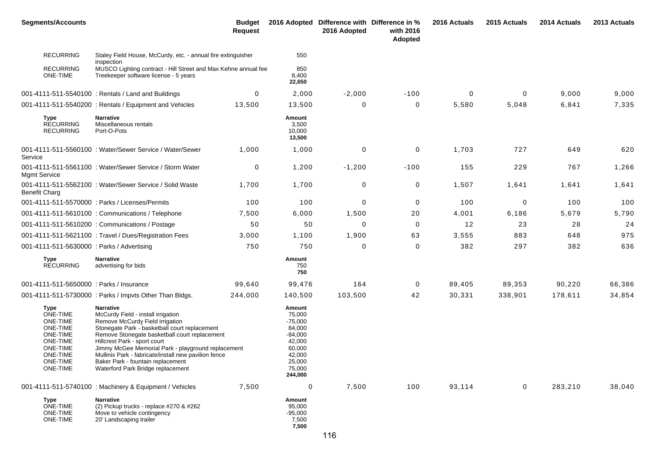| <b>Segments/Accounts</b>                                                                                                                                                               |                                                                                                                                                                                                                                                                                                                                                                                                                     | <b>Budget</b><br><b>Request</b> |                                                                                                                   | 2016 Adopted Difference with Difference in %<br>2016 Adopted | with 2016<br><b>Adopted</b> | 2016 Actuals | 2015 Actuals | 2014 Actuals | 2013 Actuals |
|----------------------------------------------------------------------------------------------------------------------------------------------------------------------------------------|---------------------------------------------------------------------------------------------------------------------------------------------------------------------------------------------------------------------------------------------------------------------------------------------------------------------------------------------------------------------------------------------------------------------|---------------------------------|-------------------------------------------------------------------------------------------------------------------|--------------------------------------------------------------|-----------------------------|--------------|--------------|--------------|--------------|
| <b>RECURRING</b>                                                                                                                                                                       | Staley Field House, McCurdy, etc. - annual fire extinguisher                                                                                                                                                                                                                                                                                                                                                        |                                 | 550                                                                                                               |                                                              |                             |              |              |              |              |
| <b>RECURRING</b><br><b>ONE-TIME</b>                                                                                                                                                    | inspection<br>MUSCO Lighting contract - Hill Street and Max Kehne annual fee<br>Treekeeper software license - 5 years                                                                                                                                                                                                                                                                                               |                                 | 850<br>8,400<br>22,650                                                                                            |                                                              |                             |              |              |              |              |
|                                                                                                                                                                                        | 001-4111-511-5540100 : Rentals / Land and Buildings                                                                                                                                                                                                                                                                                                                                                                 | 0                               | 2,000                                                                                                             | $-2,000$                                                     | $-100$                      | 0            | 0            | 9,000        | 9,000        |
|                                                                                                                                                                                        | 001-4111-511-5540200: Rentals / Equipment and Vehicles                                                                                                                                                                                                                                                                                                                                                              | 13,500                          | 13,500                                                                                                            | 0                                                            | 0                           | 5,580        | 5,048        | 6,841        | 7,335        |
| <b>Type</b><br><b>RECURRING</b><br><b>RECURRING</b>                                                                                                                                    | Narrative<br>Miscellaneous rentals<br>Port-O-Pots                                                                                                                                                                                                                                                                                                                                                                   |                                 | Amount<br>3,500<br>10,000<br>13,500                                                                               |                                                              |                             |              |              |              |              |
| Service                                                                                                                                                                                | 001-4111-511-5560100 : Water/Sewer Service / Water/Sewer                                                                                                                                                                                                                                                                                                                                                            | 1,000                           | 1,000                                                                                                             | 0                                                            | 0                           | 1,703        | 727          | 649          | 620          |
| <b>Mgmt Service</b>                                                                                                                                                                    | 001-4111-511-5561100 : Water/Sewer Service / Storm Water                                                                                                                                                                                                                                                                                                                                                            | 0                               | 1,200                                                                                                             | $-1,200$                                                     | $-100$                      | 155          | 229          | 767          | 1,266        |
| <b>Benefit Charg</b>                                                                                                                                                                   | 001-4111-511-5562100 : Water/Sewer Service / Solid Waste                                                                                                                                                                                                                                                                                                                                                            | 1,700                           | 1,700                                                                                                             | 0                                                            | 0                           | 1,507        | 1,641        | 1,641        | 1,641        |
|                                                                                                                                                                                        | 001-4111-511-5570000 : Parks / Licenses/Permits                                                                                                                                                                                                                                                                                                                                                                     | 100                             | 100                                                                                                               | 0                                                            | 0                           | 100          | 0            | 100          | 100          |
|                                                                                                                                                                                        | 001-4111-511-5610100 : Communications / Telephone                                                                                                                                                                                                                                                                                                                                                                   | 7,500                           | 6,000                                                                                                             | 1,500                                                        | 20                          | 4,001        | 6,186        | 5,679        | 5,790        |
|                                                                                                                                                                                        | 001-4111-511-5610200 : Communications / Postage                                                                                                                                                                                                                                                                                                                                                                     | 50                              | 50                                                                                                                | $\mathbf 0$                                                  | 0                           | 12           | 23           | 28           | 24           |
|                                                                                                                                                                                        | 001-4111-511-5621100 : Travel / Dues/Registration Fees                                                                                                                                                                                                                                                                                                                                                              | 3,000                           | 1,100                                                                                                             | 1,900                                                        | 63                          | 3,555        | 883          | 648          | 975          |
| 001-4111-511-5630000: Parks / Advertising                                                                                                                                              |                                                                                                                                                                                                                                                                                                                                                                                                                     | 750                             | 750                                                                                                               | $\mathbf 0$                                                  | 0                           | 382          | 297          | 382          | 636          |
| Type<br><b>RECURRING</b>                                                                                                                                                               | Narrative<br>advertising for bids                                                                                                                                                                                                                                                                                                                                                                                   |                                 | Amount<br>750<br>750                                                                                              |                                                              |                             |              |              |              |              |
| 001-4111-511-5650000 : Parks / Insurance                                                                                                                                               |                                                                                                                                                                                                                                                                                                                                                                                                                     | 99,640                          | 99,476                                                                                                            | 164                                                          | 0                           | 89,405       | 89,353       | 90,220       | 66,386       |
|                                                                                                                                                                                        | 001-4111-511-5730000: Parks / Impvts Other Than Bldgs.                                                                                                                                                                                                                                                                                                                                                              | 244,000                         | 140,500                                                                                                           | 103,500                                                      | 42                          | 30,331       | 338,901      | 178,611      | 34,854       |
| <b>Type</b><br><b>ONE-TIME</b><br><b>ONE-TIME</b><br><b>ONE-TIME</b><br><b>ONE-TIME</b><br><b>ONE-TIME</b><br><b>ONE-TIME</b><br><b>ONE-TIME</b><br><b>ONE-TIME</b><br><b>ONE-TIME</b> | <b>Narrative</b><br>McCurdy Field - install irrigation<br>Remove McCurdy Field irrigation<br>Stonegate Park - basketball court replacement<br>Remove Stonegate basketball court replacement<br>Hillcrest Park - sport court<br>Jimmy McGee Memorial Park - playground replacement<br>Mullinix Park - fabricate/install new pavilion fence<br>Baker Park - fountain replacement<br>Waterford Park Bridge replacement |                                 | Amount<br>75,000<br>$-75,000$<br>84,000<br>$-84,000$<br>42,000<br>60,000<br>42,000<br>25,000<br>75,000<br>244,000 |                                                              |                             |              |              |              |              |
|                                                                                                                                                                                        | 001-4111-511-5740100 : Machinery & Equipment / Vehicles                                                                                                                                                                                                                                                                                                                                                             | 7,500                           | 0                                                                                                                 | 7,500                                                        | 100                         | 93,114       | $\mathbf{0}$ | 283,210      | 38,040       |
| Type<br><b>ONE-TIME</b><br><b>ONE-TIME</b><br>ONE-TIME                                                                                                                                 | <b>Narrative</b><br>(2) Pickup trucks - replace #270 & #262<br>Move to vehicle contingency<br>20' Landscaping trailer                                                                                                                                                                                                                                                                                               |                                 | Amount<br>95,000<br>$-95,000$<br>7,500<br>7,500                                                                   |                                                              |                             |              |              |              |              |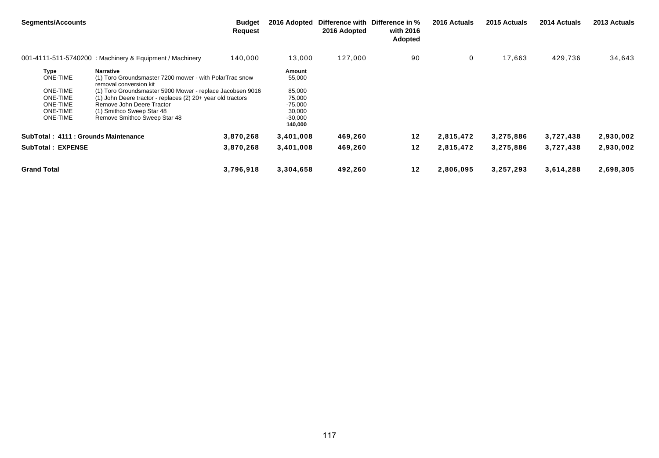| <b>Segments/Accounts</b>                                                                            |                                                                                                                                                                                                                                                                                                 | <b>Budget</b><br><b>Request</b> | 2016 Adopted                                                | 2016 Adopted | Difference with Difference in %<br>with 2016<br>Adopted | 2016 Actuals | 2015 Actuals | 2014 Actuals | 2013 Actuals |
|-----------------------------------------------------------------------------------------------------|-------------------------------------------------------------------------------------------------------------------------------------------------------------------------------------------------------------------------------------------------------------------------------------------------|---------------------------------|-------------------------------------------------------------|--------------|---------------------------------------------------------|--------------|--------------|--------------|--------------|
|                                                                                                     | 001-4111-511-5740200 : Machinery & Equipment / Machinery                                                                                                                                                                                                                                        | 140,000                         | 13,000                                                      | 127,000      | 90                                                      | 0            | 17,663       | 429,736      | 34,643       |
| <b>Type</b><br>ONE-TIME<br><b>ONE-TIME</b><br><b>ONE-TIME</b><br><b>ONE-TIME</b><br><b>ONE-TIME</b> | <b>Narrative</b><br>(1) Toro Groundsmaster 7200 mower - with PolarTrac snow<br>removal conversion kit<br>(1) Toro Groundsmaster 5900 Mower - replace Jacobsen 9016<br>$(1)$ John Deere tractor - replaces $(2)$ 20+ year old tractors<br>Remove John Deere Tractor<br>(1) Smithco Sweep Star 48 |                                 | Amount<br>55,000<br>85,000<br>75,000<br>$-75,000$<br>30,000 |              |                                                         |              |              |              |              |
| <b>ONE-TIME</b>                                                                                     | Remove Smithco Sweep Star 48                                                                                                                                                                                                                                                                    |                                 | $-30,000$<br>140,000                                        |              |                                                         |              |              |              |              |
| SubTotal: 4111 : Grounds Maintenance                                                                |                                                                                                                                                                                                                                                                                                 | 3,870,268                       | 3,401,008                                                   | 469,260      | 12                                                      | 2,815,472    | 3,275,886    | 3,727,438    | 2,930,002    |
| <b>SubTotal: EXPENSE</b>                                                                            |                                                                                                                                                                                                                                                                                                 | 3,870,268                       | 3,401,008                                                   | 469,260      | $12$                                                    | 2,815,472    | 3,275,886    | 3,727,438    | 2,930,002    |
| <b>Grand Total</b>                                                                                  |                                                                                                                                                                                                                                                                                                 | 3,796,918                       | 3,304,658                                                   | 492,260      | 12                                                      | 2,806,095    | 3,257,293    | 3,614,288    | 2,698,305    |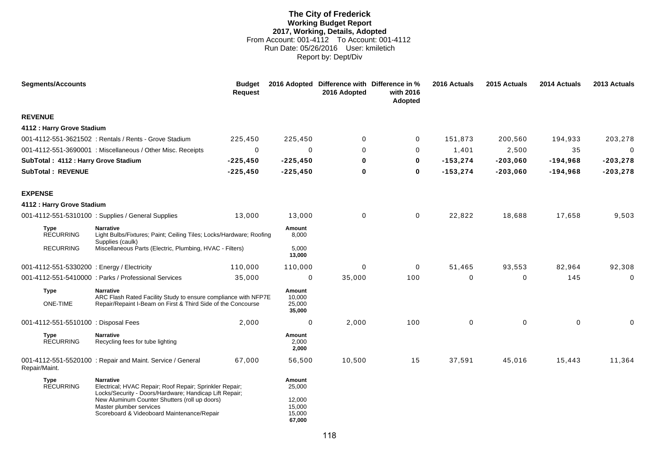# **The City of Frederick Working Budget Report 2017, Working, Details, Adopted** From Account: 001-4112 To Account: 001-4112 Run Date: 05/26/2016 User: kmiletich Report by: Dept/Div

| <b>Segments/Accounts</b>                    |                                                                                                                                                                                                                                                                 | <b>Budget</b><br><b>Request</b> |                                                          | 2016 Adopted Difference with Difference in %<br>2016 Adopted | with 2016<br>Adopted | 2016 Actuals | 2015 Actuals | 2014 Actuals | 2013 Actuals |
|---------------------------------------------|-----------------------------------------------------------------------------------------------------------------------------------------------------------------------------------------------------------------------------------------------------------------|---------------------------------|----------------------------------------------------------|--------------------------------------------------------------|----------------------|--------------|--------------|--------------|--------------|
| <b>REVENUE</b>                              |                                                                                                                                                                                                                                                                 |                                 |                                                          |                                                              |                      |              |              |              |              |
| 4112 : Harry Grove Stadium                  |                                                                                                                                                                                                                                                                 |                                 |                                                          |                                                              |                      |              |              |              |              |
|                                             | 001-4112-551-3621502 : Rentals / Rents - Grove Stadium                                                                                                                                                                                                          | 225,450                         | 225,450                                                  | $\Omega$                                                     | $\mathbf 0$          | 151.873      | 200,560      | 194,933      | 203,278      |
|                                             | 001-4112-551-3690001 : Miscellaneous / Other Misc. Receipts                                                                                                                                                                                                     | $\Omega$                        | $\Omega$                                                 | $\Omega$                                                     | $\mathbf 0$          | 1,401        | 2,500        | 35           | $\mathbf 0$  |
| SubTotal: 4112: Harry Grove Stadium         |                                                                                                                                                                                                                                                                 | $-225,450$                      | $-225,450$                                               | $\bf{0}$                                                     | $\mathbf 0$          | $-153,274$   | $-203,060$   | $-194,968$   | $-203,278$   |
| <b>SubTotal: REVENUE</b>                    |                                                                                                                                                                                                                                                                 | $-225,450$                      | $-225,450$                                               | $\bf{0}$                                                     | 0                    | $-153,274$   | $-203,060$   | $-194,968$   | $-203,278$   |
| <b>EXPENSE</b>                              |                                                                                                                                                                                                                                                                 |                                 |                                                          |                                                              |                      |              |              |              |              |
| 4112 : Harry Grove Stadium                  |                                                                                                                                                                                                                                                                 |                                 |                                                          |                                                              |                      |              |              |              |              |
|                                             | 001-4112-551-5310100 : Supplies / General Supplies                                                                                                                                                                                                              | 13,000                          | 13,000                                                   | 0                                                            | $\pmb{0}$            | 22,822       | 18,688       | 17,658       | 9,503        |
| <b>Type</b><br><b>RECURRING</b>             | <b>Narrative</b><br>Light Bulbs/Fixtures; Paint; Ceiling Tiles; Locks/Hardware; Roofing                                                                                                                                                                         |                                 | Amount<br>8,000                                          |                                                              |                      |              |              |              |              |
| <b>RECURRING</b>                            | Supplies (caulk)<br>Miscellaneous Parts (Electric, Plumbing, HVAC - Filters)                                                                                                                                                                                    |                                 | 5,000<br>13,000                                          |                                                              |                      |              |              |              |              |
| 001-4112-551-5330200 : Energy / Electricity |                                                                                                                                                                                                                                                                 | 110,000                         | 110,000                                                  | 0                                                            | 0                    | 51,465       | 93,553       | 82.964       | 92,308       |
|                                             | 001-4112-551-5410000: Parks / Professional Services                                                                                                                                                                                                             | 35,000                          | $\Omega$                                                 | 35,000                                                       | 100                  | $\Omega$     | 0            | 145          | $\mathbf 0$  |
| <b>Type</b>                                 | <b>Narrative</b>                                                                                                                                                                                                                                                |                                 | Amount                                                   |                                                              |                      |              |              |              |              |
| ONE-TIME                                    | ARC Flash Rated Facility Study to ensure compliance with NFP7E<br>Repair/Repaint I-Beam on First & Third Side of the Concourse                                                                                                                                  |                                 | 10,000<br>25,000<br>35,000                               |                                                              |                      |              |              |              |              |
| 001-4112-551-5510100 : Disposal Fees        |                                                                                                                                                                                                                                                                 | 2,000                           | $\mathbf 0$                                              | 2,000                                                        | 100                  | $\Omega$     | $\mathbf 0$  | $\Omega$     | 0            |
| Type<br><b>RECURRING</b>                    | <b>Narrative</b><br>Recycling fees for tube lighting                                                                                                                                                                                                            |                                 | Amount<br>2,000<br>2,000                                 |                                                              |                      |              |              |              |              |
| Repair/Maint.                               | 001-4112-551-5520100 : Repair and Maint. Service / General                                                                                                                                                                                                      | 67,000                          | 56,500                                                   | 10,500                                                       | 15                   | 37,591       | 45,016       | 15,443       | 11,364       |
| <b>Type</b><br><b>RECURRING</b>             | <b>Narrative</b><br>Electrical; HVAC Repair; Roof Repair; Sprinkler Repair;<br>Locks/Security - Doors/Hardware; Handicap Lift Repair;<br>New Aluminum Counter Shutters (roll up doors)<br>Master plumber services<br>Scoreboard & Videoboard Maintenance/Repair |                                 | Amount<br>25,000<br>12,000<br>15,000<br>15,000<br>67.000 |                                                              |                      |              |              |              |              |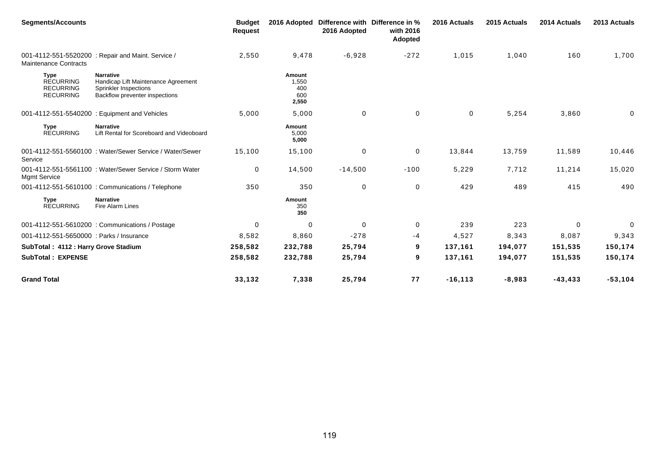| <b>Segments/Accounts</b>                                                |                                                                                                                    | <b>Budget</b><br><b>Request</b> |                                        | 2016 Adopted Difference with Difference in %<br>2016 Adopted | with 2016<br>Adopted | 2016 Actuals | 2015 Actuals | 2014 Actuals | 2013 Actuals |
|-------------------------------------------------------------------------|--------------------------------------------------------------------------------------------------------------------|---------------------------------|----------------------------------------|--------------------------------------------------------------|----------------------|--------------|--------------|--------------|--------------|
| <b>Maintenance Contracts</b>                                            | 001-4112-551-5520200 : Repair and Maint. Service /                                                                 | 2,550                           | 9,478                                  | $-6,928$                                                     | $-272$               | 1,015        | 1,040        | 160          | 1,700        |
| <b>Type</b><br><b>RECURRING</b><br><b>RECURRING</b><br><b>RECURRING</b> | <b>Narrative</b><br>Handicap Lift Maintenance Agreement<br>Sprinkler Inspections<br>Backflow preventer inspections |                                 | Amount<br>1,550<br>400<br>600<br>2,550 |                                                              |                      |              |              |              |              |
|                                                                         | 001-4112-551-5540200 : Equipment and Vehicles                                                                      | 5,000                           | 5,000                                  | $\mathbf 0$                                                  | $\mathbf 0$          | $\mathbf 0$  | 5,254        | 3,860        | 0            |
| <b>Type</b><br><b>RECURRING</b>                                         | <b>Narrative</b><br>Lift Rental for Scoreboard and Videoboard                                                      |                                 | Amount<br>5,000<br>5,000               |                                                              |                      |              |              |              |              |
| Service                                                                 | 001-4112-551-5560100 : Water/Sewer Service / Water/Sewer                                                           | 15,100                          | 15,100                                 | 0                                                            | 0                    | 13,844       | 13,759       | 11,589       | 10,446       |
| <b>Mgmt Service</b>                                                     | 001-4112-551-5561100 : Water/Sewer Service / Storm Water                                                           | 0                               | 14,500                                 | $-14,500$                                                    | $-100$               | 5,229        | 7,712        | 11,214       | 15,020       |
|                                                                         | 001-4112-551-5610100 : Communications / Telephone                                                                  | 350                             | 350                                    | 0                                                            | 0                    | 429          | 489          | 415          | 490          |
| <b>Type</b><br><b>RECURRING</b>                                         | <b>Narrative</b><br>Fire Alarm Lines                                                                               |                                 | Amount<br>350<br>350                   |                                                              |                      |              |              |              |              |
|                                                                         | 001-4112-551-5610200 : Communications / Postage                                                                    | $\Omega$                        | $\mathbf 0$                            | $\Omega$                                                     | 0                    | 239          | 223          | $\Omega$     | 0            |
| 001-4112-551-5650000 : Parks / Insurance                                |                                                                                                                    | 8,582                           | 8,860                                  | $-278$                                                       | $-4$                 | 4,527        | 8,343        | 8,087        | 9,343        |
| SubTotal: 4112: Harry Grove Stadium                                     |                                                                                                                    | 258,582                         | 232,788                                | 25,794                                                       | 9                    | 137,161      | 194,077      | 151,535      | 150,174      |
| <b>SubTotal: EXPENSE</b>                                                |                                                                                                                    | 258,582                         | 232,788                                | 25,794                                                       | 9                    | 137,161      | 194,077      | 151,535      | 150,174      |
| <b>Grand Total</b>                                                      |                                                                                                                    | 33,132                          | 7,338                                  | 25,794                                                       | 77                   | $-16, 113$   | $-8,983$     | $-43, 433$   | $-53,104$    |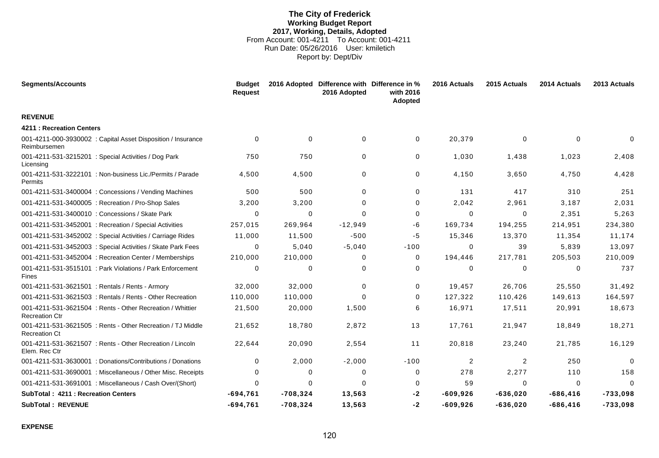# **The City of Frederick Working Budget Report 2017, Working, Details, Adopted** From Account: 001-4211 To Account: 001-4211 Run Date: 05/26/2016 User: kmiletich Report by: Dept/Div

| <b>Segments/Accounts</b>                                                            | <b>Budget</b><br><b>Request</b> | 2016 Adopted | Difference with Difference in %<br>2016 Adopted | with 2016<br>Adopted | 2016 Actuals | 2015 Actuals   | 2014 Actuals | 2013 Actuals |
|-------------------------------------------------------------------------------------|---------------------------------|--------------|-------------------------------------------------|----------------------|--------------|----------------|--------------|--------------|
| <b>REVENUE</b>                                                                      |                                 |              |                                                 |                      |              |                |              |              |
| 4211 : Recreation Centers                                                           |                                 |              |                                                 |                      |              |                |              |              |
| 001-4211-000-3930002 : Capital Asset Disposition / Insurance<br>Reimbursemen        | $\Omega$                        | $\mathbf 0$  | $\mathbf 0$                                     | 0                    | 20,379       | $\mathbf 0$    | $\Omega$     | $\Omega$     |
| 001-4211-531-3215201 : Special Activities / Dog Park<br>Licensing                   | 750                             | 750          | $\Omega$                                        | 0                    | 1,030        | 1,438          | 1,023        | 2,408        |
| 001-4211-531-3222101 : Non-business Lic./Permits / Parade<br>Permits                | 4.500                           | 4,500        | $\Omega$                                        | 0                    | 4.150        | 3,650          | 4.750        | 4,428        |
| 001-4211-531-3400004 : Concessions / Vending Machines                               | 500                             | 500          | $\Omega$                                        | 0                    | 131          | 417            | 310          | 251          |
| 001-4211-531-3400005 : Recreation / Pro-Shop Sales                                  | 3,200                           | 3,200        | $\Omega$                                        | 0                    | 2,042        | 2,961          | 3,187        | 2,031        |
| 001-4211-531-3400010 : Concessions / Skate Park                                     | 0                               | 0            | $\Omega$                                        | 0                    | 0            | 0              | 2,351        | 5,263        |
| 001-4211-531-3452001 : Recreation / Special Activities                              | 257,015                         | 269,964      | $-12,949$                                       | -6                   | 169,734      | 194,255        | 214,951      | 234,380      |
| 001-4211-531-3452002 : Special Activities / Carriage Rides                          | 11,000                          | 11,500       | $-500$                                          | -5                   | 15,346       | 13,370         | 11,354       | 11,174       |
| 001-4211-531-3452003 : Special Activities / Skate Park Fees                         | 0                               | 5,040        | $-5,040$                                        | $-100$               | 0            | 39             | 5,839        | 13,097       |
| 001-4211-531-3452004 : Recreation Center / Memberships                              | 210,000                         | 210,000      | $\Omega$                                        | 0                    | 194,446      | 217,781        | 205,503      | 210,009      |
| 001-4211-531-3515101 : Park Violations / Park Enforcement<br>Fines                  | 0                               | 0            | 0                                               | 0                    | 0            | 0              | 0            | 737          |
| 001-4211-531-3621501 : Rentals / Rents - Armory                                     | 32,000                          | 32,000       | $\Omega$                                        | 0                    | 19,457       | 26,706         | 25,550       | 31,492       |
| 001-4211-531-3621503 : Rentals / Rents - Other Recreation                           | 110,000                         | 110,000      | $\Omega$                                        | $\mathbf 0$          | 127,322      | 110,426        | 149,613      | 164,597      |
| 001-4211-531-3621504 : Rents - Other Recreation / Whittier<br><b>Recreation Ctr</b> | 21,500                          | 20,000       | 1,500                                           | 6                    | 16,971       | 17,511         | 20,991       | 18,673       |
| 001-4211-531-3621505 : Rents - Other Recreation / TJ Middle<br><b>Recreation Ct</b> | 21,652                          | 18,780       | 2,872                                           | 13                   | 17,761       | 21,947         | 18,849       | 18,271       |
| 001-4211-531-3621507 : Rents - Other Recreation / Lincoln<br>Elem. Rec Ctr          | 22,644                          | 20,090       | 2,554                                           | 11                   | 20,818       | 23,240         | 21,785       | 16,129       |
| 001-4211-531-3630001 : Donations/Contributions / Donations                          | 0                               | 2,000        | $-2,000$                                        | $-100$               | 2            | $\overline{2}$ | 250          | $\Omega$     |
| 001-4211-531-3690001: Miscellaneous / Other Misc. Receipts                          | $\Omega$                        | $\Omega$     | $\Omega$                                        | 0                    | 278          | 2,277          | 110          | 158          |
| 001-4211-531-3691001 : Miscellaneous / Cash Over/(Short)                            | 0                               | 0            | $\Omega$                                        | 0                    | 59           | 0              | 0            | $\Omega$     |
| <b>SubTotal: 4211: Recreation Centers</b>                                           | $-694,761$                      | $-708,324$   | 13,563                                          | -2                   | $-609,926$   | $-636,020$     | $-686, 416$  | $-733,098$   |
| <b>SubTotal: REVENUE</b>                                                            | $-694,761$                      | $-708,324$   | 13,563                                          | -2                   | $-609,926$   | $-636,020$     | $-686, 416$  | $-733,098$   |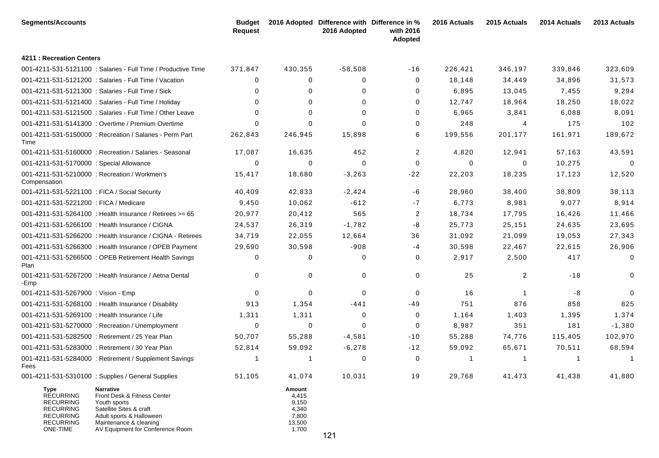| <b>Segments/Accounts</b>                                                                                             |                                                                                                                                                                                      | <b>Budget</b><br><b>Request</b> |                                                               | 2016 Adopted Difference with Difference in %<br>2016 Adopted | with 2016<br>Adopted | 2016 Actuals | 2015 Actuals   | 2014 Actuals | 2013 Actuals |
|----------------------------------------------------------------------------------------------------------------------|--------------------------------------------------------------------------------------------------------------------------------------------------------------------------------------|---------------------------------|---------------------------------------------------------------|--------------------------------------------------------------|----------------------|--------------|----------------|--------------|--------------|
| 4211 : Recreation Centers                                                                                            |                                                                                                                                                                                      |                                 |                                                               |                                                              |                      |              |                |              |              |
|                                                                                                                      | 001-4211-531-5121100 : Salaries - Full Time / Productive Time                                                                                                                        | 371,847                         | 430,355                                                       | $-58,508$                                                    | $-16$                | 226,421      | 346,197        | 339,846      | 323,609      |
|                                                                                                                      | 001-4211-531-5121200 : Salaries - Full Time / Vacation                                                                                                                               | 0                               | 0                                                             | 0                                                            | 0                    | 18,148       | 34,449         | 34,896       | 31,573       |
|                                                                                                                      | 001-4211-531-5121300 : Salaries - Full Time / Sick                                                                                                                                   | 0                               | 0                                                             | 0                                                            | 0                    | 6,895        | 13,045         | 7,455        | 9,294        |
|                                                                                                                      | 001-4211-531-5121400 : Salaries - Full Time / Holiday                                                                                                                                | 0                               | $\mathbf 0$                                                   | $\mathbf 0$                                                  | 0                    | 12,747       | 18,964         | 18,250       | 18,022       |
|                                                                                                                      | 001-4211-531-5121500 : Salaries - Full Time / Other Leave                                                                                                                            | $\Omega$                        | $\mathbf{0}$                                                  | $\Omega$                                                     | 0                    | 6,965        | 3,841          | 6,088        | 8,091        |
|                                                                                                                      | 001-4211-531-5141300 : Overtime / Premium Overtime                                                                                                                                   | $\Omega$                        | $\mathbf{0}$                                                  | $\Omega$                                                     | 0                    | 248          | $\overline{4}$ | 175          | 102          |
| Time                                                                                                                 | 001-4211-531-5150000 : Recreation / Salaries - Perm Part                                                                                                                             | 262,843                         | 246,945                                                       | 15,898                                                       | 6                    | 199,556      | 201,177        | 161,971      | 189,672      |
|                                                                                                                      | 001-4211-531-5160000 : Recreation / Salaries - Seasonal                                                                                                                              | 17,087                          | 16,635                                                        | 452                                                          | $\overline{2}$       | 4,820        | 12,941         | 57,163       | 43,591       |
| 001-4211-531-5170000 : Special Allowance                                                                             |                                                                                                                                                                                      | 0                               | 0                                                             | $\Omega$                                                     | 0                    | $\Omega$     | 0              | 10,275       | $\Omega$     |
| Compensation                                                                                                         | 001-4211-531-5210000 : Recreation / Workmen's                                                                                                                                        | 15,417                          | 18,680                                                        | $-3,263$                                                     | $-22$                | 22,203       | 18,235         | 17,123       | 12,520       |
| 001-4211-531-5221100 : FICA / Social Security                                                                        |                                                                                                                                                                                      | 40,409                          | 42,833                                                        | $-2,424$                                                     | -6                   | 28,960       | 38,400         | 38,809       | 38,113       |
| 001-4211-531-5221200 : FICA / Medicare                                                                               |                                                                                                                                                                                      | 9,450                           | 10,062                                                        | $-612$                                                       | $-7$                 | 6,773        | 8,981          | 9,077        | 8,914        |
|                                                                                                                      | 001-4211-531-5264100 : Health Insurance / Retirees >= 65                                                                                                                             | 20,977                          | 20,412                                                        | 565                                                          | $\overline{2}$       | 18,734       | 17,795         | 16,426       | 11,466       |
|                                                                                                                      | 001-4211-531-5266100 : Health Insurance / CIGNA                                                                                                                                      | 24,537                          | 26,319                                                        | $-1,782$                                                     | -8                   | 25,773       | 25,151         | 24,635       | 23,695       |
|                                                                                                                      | 001-4211-531-5266200 : Health Insurance / CIGNA - Retirees                                                                                                                           | 34,719                          | 22,055                                                        | 12,664                                                       | 36                   | 31,092       | 21,099         | 19,053       | 27,343       |
|                                                                                                                      | 001-4211-531-5266300 : Health Insurance / OPEB Payment                                                                                                                               | 29,690                          | 30,598                                                        | $-908$                                                       | -4                   | 30,598       | 22,467         | 22,615       | 26,906       |
| Plan                                                                                                                 | 001-4211-531-5266500 : OPEB Retirement Health Savings                                                                                                                                | 0                               | 0                                                             | 0                                                            | 0                    | 2,917        | 2,500          | 417          | 0            |
| -Emp                                                                                                                 | 001-4211-531-5267200 : Health Insurance / Aetna Dental                                                                                                                               | 0                               | $\mathbf 0$                                                   | $\mathbf 0$                                                  | 0                    | 25           | 2              | $-18$        | 0            |
| 001-4211-531-5267900 : Vision - Emp                                                                                  |                                                                                                                                                                                      | $\Omega$                        | $\mathbf 0$                                                   | $\mathbf 0$                                                  | 0                    | 16           | -1             | -8           | $\Omega$     |
|                                                                                                                      | 001-4211-531-5268100 : Health Insurance / Disability                                                                                                                                 | 913                             | 1,354                                                         | $-441$                                                       | $-49$                | 751          | 876            | 858          | 825          |
| 001-4211-531-5269100 : Health Insurance / Life                                                                       |                                                                                                                                                                                      | 1,311                           | 1,311                                                         | 0                                                            | 0                    | 1,164        | 1,403          | 1,395        | 1,374        |
|                                                                                                                      | 001-4211-531-5270000 : Recreation / Unemployment                                                                                                                                     | 0                               | $\mathbf 0$                                                   | $\Omega$                                                     | 0                    | 8,987        | 351            | 181          | $-1,380$     |
|                                                                                                                      | 001-4211-531-5282500 : Retirement / 25 Year Plan                                                                                                                                     | 50,707                          | 55,288                                                        | $-4,581$                                                     | $-10$                | 55,288       | 74,776         | 115,405      | 102,970      |
|                                                                                                                      | 001-4211-531-5283000 : Retirement / 30 Year Plan                                                                                                                                     | 52,814                          | 59,092                                                        | $-6,278$                                                     | $-12$                | 59,092       | 65,671         | 70,511       | 68,594       |
| Fees                                                                                                                 | 001-4211-531-5284000: Retirement / Supplement Savings                                                                                                                                | -1                              | -1                                                            | $\pmb{0}$                                                    | $\pmb{0}$            | $\mathbf 1$  | -1             | -1           | -1           |
|                                                                                                                      | 001-4211-531-5310100 : Supplies / General Supplies                                                                                                                                   | 51,105                          | 41,074                                                        | 10,031                                                       | 19                   | 29,768       | 41,473         | 41,438       | 41,880       |
| Type<br><b>RECURRING</b><br><b>RECURRING</b><br><b>RECURRING</b><br><b>RECURRING</b><br><b>RECURRING</b><br>ONE-TIME | <b>Narrative</b><br>Front Desk & Fitness Center<br>Youth sports<br>Satellite Sites & craft<br>Adult sports & Halloween<br>Maintenance & cleaning<br>AV Equipment for Conference Room |                                 | Amount<br>4,415<br>9,150<br>4,340<br>7,800<br>13,500<br>1,700 |                                                              |                      |              |                |              |              |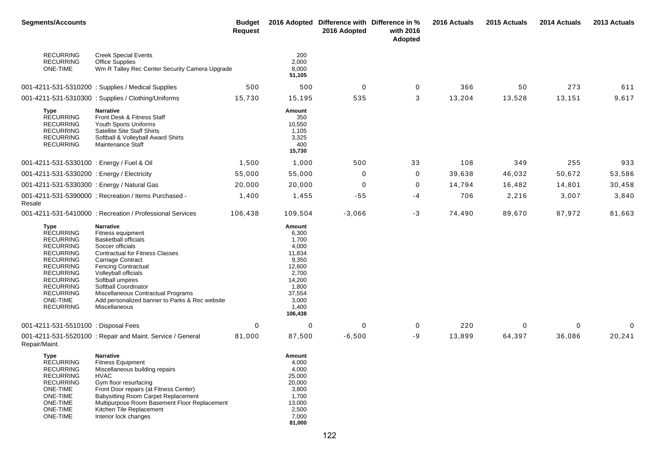| <b>Segments/Accounts</b>                                                                                                                                                                                                                            |                                                                                                                                                                                                                                                                                                                                                                    | <b>Budget</b><br><b>Request</b> |                                                                                                                                   | 2016 Adopted Difference with Difference in %<br>2016 Adopted | with 2016<br>Adopted | 2016 Actuals | 2015 Actuals | 2014 Actuals | 2013 Actuals |
|-----------------------------------------------------------------------------------------------------------------------------------------------------------------------------------------------------------------------------------------------------|--------------------------------------------------------------------------------------------------------------------------------------------------------------------------------------------------------------------------------------------------------------------------------------------------------------------------------------------------------------------|---------------------------------|-----------------------------------------------------------------------------------------------------------------------------------|--------------------------------------------------------------|----------------------|--------------|--------------|--------------|--------------|
| <b>RECURRING</b><br><b>RECURRING</b><br>ONE-TIME                                                                                                                                                                                                    | <b>Creek Special Events</b><br><b>Office Supplies</b><br>Wm R Talley Rec Center Security Camera Upgrade                                                                                                                                                                                                                                                            |                                 | 200<br>2,000<br>8,000<br>51,105                                                                                                   |                                                              |                      |              |              |              |              |
|                                                                                                                                                                                                                                                     | 001-4211-531-5310200 : Supplies / Medical Supplies                                                                                                                                                                                                                                                                                                                 | 500                             | 500                                                                                                                               | $\mathbf 0$                                                  | 0                    | 366          | 50           | 273          | 611          |
|                                                                                                                                                                                                                                                     | 001-4211-531-5310300 : Supplies / Clothing/Uniforms                                                                                                                                                                                                                                                                                                                | 15,730                          | 15,195                                                                                                                            | 535                                                          | 3                    | 13,204       | 13,528       | 13,151       | 9,617        |
| <b>Type</b><br><b>RECURRING</b><br><b>RECURRING</b><br><b>RECURRING</b><br><b>RECURRING</b><br><b>RECURRING</b>                                                                                                                                     | <b>Narrative</b><br>Front Desk & Fitness Staff<br>Youth Sports Uniforms<br>Satellite Site Staff Shirts<br>Softball & Volleyball Award Shirts<br>Maintenance Staff                                                                                                                                                                                                  |                                 | Amount<br>350<br>10,550<br>1,105<br>3,325<br>400<br>15,730                                                                        |                                                              |                      |              |              |              |              |
| 001-4211-531-5330100 : Energy / Fuel & Oil                                                                                                                                                                                                          |                                                                                                                                                                                                                                                                                                                                                                    | 1,500                           | 1,000                                                                                                                             | 500                                                          | 33                   | 108          | 349          | 255          | 933          |
| 001-4211-531-5330200 : Energy / Electricity                                                                                                                                                                                                         |                                                                                                                                                                                                                                                                                                                                                                    | 55,000                          | 55,000                                                                                                                            | 0                                                            | 0                    | 39,638       | 46,032       | 50,672       | 53,586       |
| 001-4211-531-5330300 : Energy / Natural Gas                                                                                                                                                                                                         |                                                                                                                                                                                                                                                                                                                                                                    | 20,000                          | 20,000                                                                                                                            | $\mathbf 0$                                                  | 0                    | 14,794       | 16,482       | 14,801       | 30,458       |
| Resale                                                                                                                                                                                                                                              | 001-4211-531-5390000 : Recreation / Items Purchased -                                                                                                                                                                                                                                                                                                              | 1,400                           | 1,455                                                                                                                             | $-55$                                                        | -4                   | 706          | 2,216        | 3,007        | 3,840        |
|                                                                                                                                                                                                                                                     | 001-4211-531-5410000 : Recreation / Professional Services                                                                                                                                                                                                                                                                                                          | 106,438                         | 109,504                                                                                                                           | $-3,066$                                                     | $-3$                 | 74,490       | 89,670       | 87,972       | 81,663       |
| <b>Type</b><br><b>RECURRING</b><br><b>RECURRING</b><br><b>RECURRING</b><br><b>RECURRING</b><br><b>RECURRING</b><br><b>RECURRING</b><br><b>RECURRING</b><br><b>RECURRING</b><br><b>RECURRING</b><br><b>RECURRING</b><br>ONE-TIME<br><b>RECURRING</b> | <b>Narrative</b><br>Fitness equipment<br><b>Basketball officials</b><br>Soccer officials<br><b>Contractual for Fitness Classes</b><br>Carriage Contract<br><b>Fencing Contractual</b><br>Volleyball officials<br>Softball umpires<br>Softball Coordinator<br>Miscellaneous Contractual Programs<br>Add personalized banner to Parks & Rec website<br>Miscellaneous |                                 | Amount<br>6,300<br>1,700<br>4,000<br>11,834<br>9,350<br>12,600<br>2,700<br>14,200<br>1,800<br>37,554<br>3,000<br>1,400<br>106,438 |                                                              |                      |              |              |              |              |
| 001-4211-531-5510100 : Disposal Fees                                                                                                                                                                                                                |                                                                                                                                                                                                                                                                                                                                                                    | 0                               | 0                                                                                                                                 | $\Omega$                                                     | 0                    | 220          | 0            | 0            | 0            |
| Repair/Maint.                                                                                                                                                                                                                                       | 001-4211-531-5520100 : Repair and Maint. Service / General                                                                                                                                                                                                                                                                                                         | 81,000                          | 87,500                                                                                                                            | $-6,500$                                                     | -9                   | 13,899       | 64,397       | 36,086       | 20,241       |
| Type<br><b>RECURRING</b><br><b>RECURRING</b><br><b>RECURRING</b><br><b>RECURRING</b><br>ONE-TIME<br><b>ONE-TIME</b><br><b>ONE-TIME</b><br><b>ONE-TIME</b><br><b>ONE-TIME</b>                                                                        | <b>Narrative</b><br><b>Fitness Equipment</b><br>Miscellaneous building repairs<br><b>HVAC</b><br>Gym floor resurfacing<br>Front Door repairs (at Fitness Center)<br>Babysitting Room Carpet Replacement<br>Multipurpose Room Basement Floor Replacement<br>Kitchen Tile Replacement<br>Interior lock changes                                                       |                                 | Amount<br>4,000<br>4,000<br>25,000<br>20,000<br>3,800<br>1,700<br>13,000<br>2,500<br>7,000<br>81,000                              |                                                              |                      |              |              |              |              |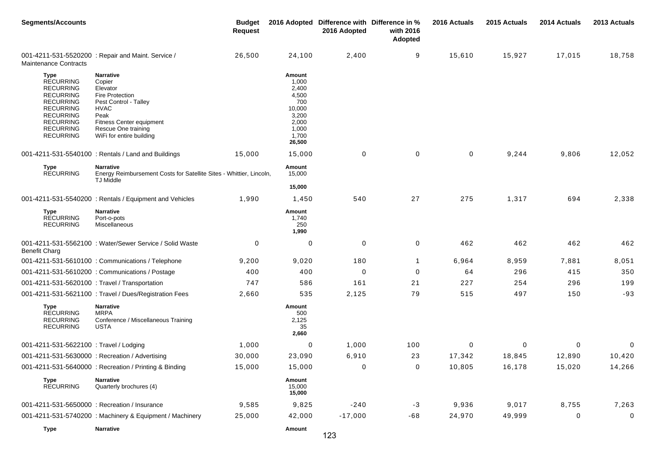| <b>Segments/Accounts</b>                                                                                                                                                                        |                                                                                                                                                                                                 | <b>Budget</b><br><b>Request</b> |                                                                                                  | 2016 Adopted Difference with Difference in %<br>2016 Adopted | with 2016<br>Adopted | 2016 Actuals | 2015 Actuals | 2014 Actuals | 2013 Actuals |
|-------------------------------------------------------------------------------------------------------------------------------------------------------------------------------------------------|-------------------------------------------------------------------------------------------------------------------------------------------------------------------------------------------------|---------------------------------|--------------------------------------------------------------------------------------------------|--------------------------------------------------------------|----------------------|--------------|--------------|--------------|--------------|
| <b>Maintenance Contracts</b>                                                                                                                                                                    | 001-4211-531-5520200 : Repair and Maint. Service /                                                                                                                                              | 26,500                          | 24,100                                                                                           | 2,400                                                        | 9                    | 15,610       | 15,927       | 17,015       | 18,758       |
| <b>Type</b><br><b>RECURRING</b><br><b>RECURRING</b><br><b>RECURRING</b><br><b>RECURRING</b><br><b>RECURRING</b><br><b>RECURRING</b><br><b>RECURRING</b><br><b>RECURRING</b><br><b>RECURRING</b> | <b>Narrative</b><br>Copier<br>Elevator<br><b>Fire Protection</b><br>Pest Control - Talley<br><b>HVAC</b><br>Peak<br>Fitness Center equipment<br>Rescue One training<br>WiFi for entire building |                                 | Amount<br>1,000<br>2,400<br>4,500<br>700<br>10,000<br>3,200<br>2,000<br>1,000<br>1,700<br>26,500 |                                                              |                      |              |              |              |              |
|                                                                                                                                                                                                 | 001-4211-531-5540100 : Rentals / Land and Buildings                                                                                                                                             | 15,000                          | 15,000                                                                                           | $\mathbf 0$                                                  | 0                    | 0            | 9,244        | 9,806        | 12,052       |
| <b>Type</b><br><b>RECURRING</b>                                                                                                                                                                 | <b>Narrative</b><br>Energy Reimbursement Costs for Satellite Sites - Whittier, Lincoln,<br><b>TJ Middle</b>                                                                                     |                                 | Amount<br>15,000                                                                                 |                                                              |                      |              |              |              |              |
|                                                                                                                                                                                                 |                                                                                                                                                                                                 |                                 | 15,000                                                                                           |                                                              |                      |              |              |              |              |
|                                                                                                                                                                                                 | 001-4211-531-5540200: Rentals / Equipment and Vehicles                                                                                                                                          | 1,990                           | 1,450                                                                                            | 540                                                          | 27                   | 275          | 1,317        | 694          | 2,338        |
| Type<br><b>RECURRING</b><br><b>RECURRING</b>                                                                                                                                                    | Narrative<br>Port-o-pots<br>Miscellaneous                                                                                                                                                       |                                 | Amount<br>1,740<br>250<br>1,990                                                                  |                                                              |                      |              |              |              |              |
| <b>Benefit Charg</b>                                                                                                                                                                            | 001-4211-531-5562100 : Water/Sewer Service / Solid Waste                                                                                                                                        | 0                               | 0                                                                                                | 0                                                            | 0                    | 462          | 462          | 462          | 462          |
|                                                                                                                                                                                                 | 001-4211-531-5610100 : Communications / Telephone                                                                                                                                               | 9,200                           | 9,020                                                                                            | 180                                                          | $\mathbf{1}$         | 6,964        | 8,959        | 7,881        | 8,051        |
|                                                                                                                                                                                                 | 001-4211-531-5610200 : Communications / Postage                                                                                                                                                 | 400                             | 400                                                                                              | $\mathbf 0$                                                  | 0                    | 64           | 296          | 415          | 350          |
| 001-4211-531-5620100 : Travel / Transportation                                                                                                                                                  |                                                                                                                                                                                                 | 747                             | 586                                                                                              | 161                                                          | 21                   | 227          | 254          | 296          | 199          |
|                                                                                                                                                                                                 | 001-4211-531-5621100 : Travel / Dues/Registration Fees                                                                                                                                          | 2,660                           | 535                                                                                              | 2,125                                                        | 79                   | 515          | 497          | 150          | $-93$        |
| Type<br><b>RECURRING</b><br><b>RECURRING</b><br><b>RECURRING</b>                                                                                                                                | <b>Narrative</b><br><b>MRPA</b><br>Conference / Miscellaneous Training<br><b>USTA</b>                                                                                                           |                                 | Amount<br>500<br>2,125<br>35<br>2,660                                                            |                                                              |                      |              |              |              |              |
| 001-4211-531-5622100 : Travel / Lodging                                                                                                                                                         |                                                                                                                                                                                                 | 1,000                           | 0                                                                                                | 1,000                                                        | 100                  | 0            | 0            | 0            | 0            |
|                                                                                                                                                                                                 | 001-4211-531-5630000 : Recreation / Advertising                                                                                                                                                 | 30,000                          | 23,090                                                                                           | 6,910                                                        | 23                   | 17,342       | 18,845       | 12,890       | 10,420       |
|                                                                                                                                                                                                 | 001-4211-531-5640000 : Recreation / Printing & Binding                                                                                                                                          | 15,000                          | 15,000                                                                                           | 0                                                            | $\pmb{0}$            | 10,805       | 16,178       | 15,020       | 14,266       |
| <b>Type</b><br><b>RECURRING</b>                                                                                                                                                                 | <b>Narrative</b><br>Quarterly brochures (4)                                                                                                                                                     |                                 | Amount<br>15,000<br>15,000                                                                       |                                                              |                      |              |              |              |              |
| 001-4211-531-5650000 : Recreation / Insurance                                                                                                                                                   |                                                                                                                                                                                                 | 9,585                           | 9,825                                                                                            | $-240$                                                       | $-3$                 | 9,936        | 9,017        | 8,755        | 7,263        |
|                                                                                                                                                                                                 | 001-4211-531-5740200 : Machinery & Equipment / Machinery                                                                                                                                        | 25,000                          | 42,000                                                                                           | $-17,000$                                                    | $-68$                | 24,970       | 49,999       | 0            | $\mathbf 0$  |
| <b>Type</b>                                                                                                                                                                                     | <b>Narrative</b>                                                                                                                                                                                |                                 | Amount                                                                                           |                                                              |                      |              |              |              |              |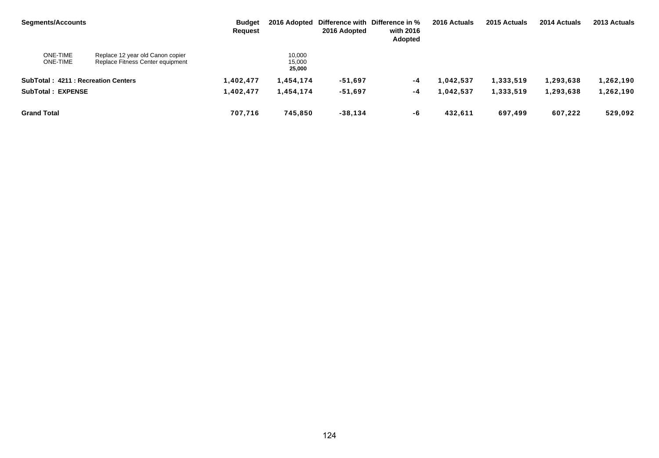| <b>Segments/Accounts</b>                  |                                                                      | <b>Budget</b><br><b>Request</b> |                            | 2016 Adopted Difference with Difference in %<br>2016 Adopted | with 2016<br><b>Adopted</b> | 2016 Actuals | 2015 Actuals | 2014 Actuals | 2013 Actuals |
|-------------------------------------------|----------------------------------------------------------------------|---------------------------------|----------------------------|--------------------------------------------------------------|-----------------------------|--------------|--------------|--------------|--------------|
| <b>ONE-TIME</b><br><b>ONE-TIME</b>        | Replace 12 year old Canon copier<br>Replace Fitness Center equipment |                                 | 10,000<br>15,000<br>25,000 |                                                              |                             |              |              |              |              |
| <b>SubTotal: 4211: Recreation Centers</b> |                                                                      | 1,402,477                       | 1,454,174                  | -51,697                                                      | -4                          | 042.537 ا    | 1,333,519    | 1,293,638    | .262,190     |
| <b>SubTotal: EXPENSE</b>                  |                                                                      | 1,402,477                       | 1,454,174                  | $-51,697$                                                    | -4                          | 1,042,537    | 1,333,519    | 1,293,638    | ,262,190     |
| <b>Grand Total</b>                        |                                                                      | 707,716                         | 745,850                    | $-38,134$                                                    | -6                          | 432,611      | 697,499      | 607,222      | 529,092      |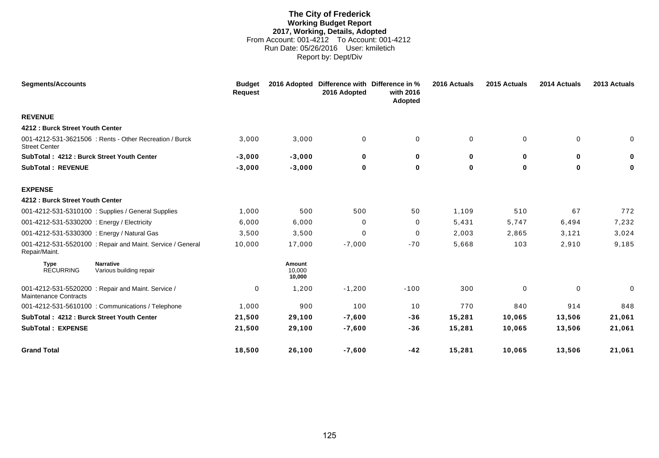# **The City of Frederick Working Budget Report 2017, Working, Details, Adopted** From Account: 001-4212 To Account: 001-4212 Run Date: 05/26/2016 User: kmiletich Report by: Dept/Div

| <b>Segments/Accounts</b>                                                        | <b>Budget</b><br><b>Request</b> | 2016 Adopted               | 2016 Adopted | Difference with Difference in %<br>with 2016<br>Adopted | 2016 Actuals | 2015 Actuals | 2014 Actuals | 2013 Actuals |
|---------------------------------------------------------------------------------|---------------------------------|----------------------------|--------------|---------------------------------------------------------|--------------|--------------|--------------|--------------|
| <b>REVENUE</b>                                                                  |                                 |                            |              |                                                         |              |              |              |              |
| 4212 : Burck Street Youth Center                                                |                                 |                            |              |                                                         |              |              |              |              |
| 001-4212-531-3621506 : Rents - Other Recreation / Burck<br><b>Street Center</b> | 3,000                           | 3,000                      | $\mathbf 0$  | 0                                                       | $\mathbf 0$  | $\mathbf 0$  | $\mathbf 0$  | 0            |
| SubTotal: 4212: Burck Street Youth Center                                       | $-3,000$                        | $-3,000$                   | $\bf{0}$     | 0                                                       | $\bf{0}$     | $\bf{0}$     | $\bf{0}$     | 0            |
| <b>SubTotal: REVENUE</b>                                                        | $-3,000$                        | $-3,000$                   | $\bf{0}$     | 0                                                       | $\mathbf 0$  | $\mathbf 0$  | $\mathbf 0$  | 0            |
| <b>EXPENSE</b>                                                                  |                                 |                            |              |                                                         |              |              |              |              |
| 4212 : Burck Street Youth Center                                                |                                 |                            |              |                                                         |              |              |              |              |
| 001-4212-531-5310100 : Supplies / General Supplies                              | 1,000                           | 500                        | 500          | 50                                                      | 1,109        | 510          | 67           | 772          |
| 001-4212-531-5330200 : Energy / Electricity                                     | 6,000                           | 6,000                      | $\Omega$     | 0                                                       | 5,431        | 5,747        | 6,494        | 7,232        |
| 001-4212-531-5330300 : Energy / Natural Gas                                     | 3,500                           | 3,500                      | 0            | 0                                                       | 2,003        | 2,865        | 3,121        | 3,024        |
| 001-4212-531-5520100 : Repair and Maint. Service / General<br>Repair/Maint.     | 10,000                          | 17,000                     | $-7,000$     | $-70$                                                   | 5,668        | 103          | 2,910        | 9,185        |
| <b>Narrative</b><br><b>Type</b><br><b>RECURRING</b><br>Various building repair  |                                 | Amount<br>10,000<br>10,000 |              |                                                         |              |              |              |              |
| 001-4212-531-5520200 : Repair and Maint. Service /<br>Maintenance Contracts     | 0                               | 1,200                      | $-1,200$     | $-100$                                                  | 300          | $\mathbf 0$  | $\mathbf 0$  | 0            |
| 001-4212-531-5610100 : Communications / Telephone                               | 1,000                           | 900                        | 100          | 10                                                      | 770          | 840          | 914          | 848          |
| SubTotal: 4212: Burck Street Youth Center                                       | 21,500                          | 29,100                     | $-7,600$     | $-36$                                                   | 15,281       | 10,065       | 13,506       | 21,061       |
| <b>SubTotal: EXPENSE</b>                                                        | 21,500                          | 29,100                     | $-7,600$     | $-36$                                                   | 15,281       | 10,065       | 13,506       | 21,061       |
| <b>Grand Total</b>                                                              | 18,500                          | 26,100                     | $-7,600$     | $-42$                                                   | 15,281       | 10,065       | 13,506       | 21,061       |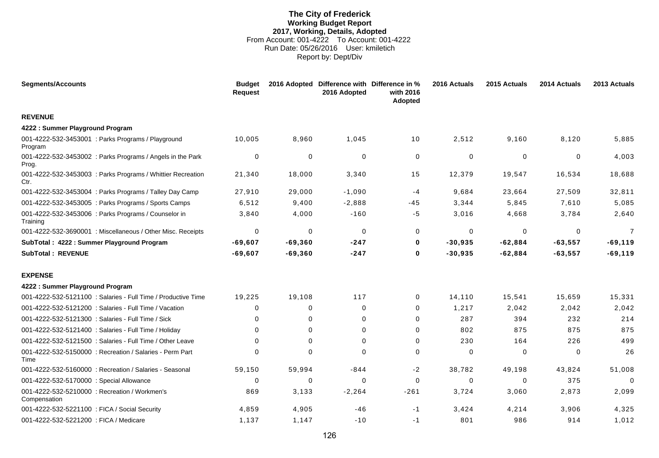# **The City of Frederick Working Budget Report 2017, Working, Details, Adopted** From Account: 001-4222 To Account: 001-4222 Run Date: 05/26/2016 User: kmiletich Report by: Dept/Div

| <b>Segments/Accounts</b>                                            | <b>Budget</b><br><b>Request</b> |             | 2016 Adopted Difference with Difference in %<br>2016 Adopted | with 2016<br><b>Adopted</b> | 2016 Actuals | 2015 Actuals | 2014 Actuals | 2013 Actuals   |
|---------------------------------------------------------------------|---------------------------------|-------------|--------------------------------------------------------------|-----------------------------|--------------|--------------|--------------|----------------|
| <b>REVENUE</b>                                                      |                                 |             |                                                              |                             |              |              |              |                |
| 4222 : Summer Playground Program                                    |                                 |             |                                                              |                             |              |              |              |                |
| 001-4222-532-3453001 : Parks Programs / Playground<br>Program       | 10,005                          | 8,960       | 1,045                                                        | 10                          | 2,512        | 9,160        | 8,120        | 5,885          |
| 001-4222-532-3453002 : Parks Programs / Angels in the Park<br>Prog. | $\mathbf 0$                     | $\mathbf 0$ | 0                                                            | $\mathbf 0$                 | $\mathbf 0$  | $\mathbf 0$  | 0            | 4,003          |
| 001-4222-532-3453003 : Parks Programs / Whittier Recreation<br>Ctr. | 21,340                          | 18,000      | 3,340                                                        | 15                          | 12,379       | 19,547       | 16,534       | 18,688         |
| 001-4222-532-3453004 : Parks Programs / Talley Day Camp             | 27,910                          | 29,000      | $-1,090$                                                     | -4                          | 9,684        | 23,664       | 27,509       | 32,811         |
| 001-4222-532-3453005 : Parks Programs / Sports Camps                | 6,512                           | 9,400       | $-2,888$                                                     | $-45$                       | 3,344        | 5,845        | 7,610        | 5,085          |
| 001-4222-532-3453006 : Parks Programs / Counselor in<br>Training    | 3,840                           | 4,000       | $-160$                                                       | -5                          | 3,016        | 4,668        | 3,784        | 2,640          |
| 001-4222-532-3690001 : Miscellaneous / Other Misc. Receipts         | $\mathbf 0$                     | $\mathbf 0$ | $\mathbf 0$                                                  | 0                           | $\mathbf 0$  | $\mathbf 0$  | $\Omega$     | $\overline{7}$ |
| SubTotal: 4222: Summer Playground Program                           | $-69,607$                       | $-69,360$   | $-247$                                                       | 0                           | $-30,935$    | $-62,884$    | $-63,557$    | $-69,119$      |
| <b>SubTotal: REVENUE</b>                                            | $-69,607$                       | $-69,360$   | $-247$                                                       | 0                           | $-30,935$    | $-62,884$    | $-63,557$    | $-69,119$      |
| <b>EXPENSE</b>                                                      |                                 |             |                                                              |                             |              |              |              |                |
| 4222 : Summer Playground Program                                    |                                 |             |                                                              |                             |              |              |              |                |
| 001-4222-532-5121100 : Salaries - Full Time / Productive Time       | 19.225                          | 19.108      | 117                                                          | 0                           | 14.110       | 15,541       | 15,659       | 15,331         |
| 001-4222-532-5121200 : Salaries - Full Time / Vacation              | $\Omega$                        | 0           | $\Omega$                                                     | 0                           | 1,217        | 2,042        | 2,042        | 2,042          |
| 001-4222-532-5121300 : Salaries - Full Time / Sick                  | $\Omega$                        | 0           | $\Omega$                                                     | 0                           | 287          | 394          | 232          | 214            |
| 001-4222-532-5121400 : Salaries - Full Time / Holiday               | 0                               | $\Omega$    | $\Omega$                                                     | 0                           | 802          | 875          | 875          | 875            |
| 001-4222-532-5121500 : Salaries - Full Time / Other Leave           | $\Omega$                        | $\Omega$    | 0                                                            | 0                           | 230          | 164          | 226          | 499            |
| 001-4222-532-5150000 : Recreation / Salaries - Perm Part<br>Time    | $\Omega$                        | 0           | $\Omega$                                                     | 0                           | 0            | 0            | 0            | 26             |
| 001-4222-532-5160000 : Recreation / Salaries - Seasonal             | 59,150                          | 59,994      | $-844$                                                       | $-2$                        | 38,782       | 49,198       | 43,824       | 51,008         |
| 001-4222-532-5170000 : Special Allowance                            | $\Omega$                        | 0           | $\Omega$                                                     | 0                           | $\Omega$     | $\Omega$     | 375          |                |
| 001-4222-532-5210000 : Recreation / Workmen's<br>Compensation       | 869                             | 3,133       | $-2,264$                                                     | $-261$                      | 3,724        | 3,060        | 2,873        | 2,099          |
| 001-4222-532-5221100 : FICA / Social Security                       | 4,859                           | 4,905       | $-46$                                                        | $-1$                        | 3,424        | 4,214        | 3,906        | 4,325          |
| 001-4222-532-5221200 : FICA / Medicare                              | 1,137                           | 1,147       | $-10$                                                        | $-1$                        | 801          | 986          | 914          | 1,012          |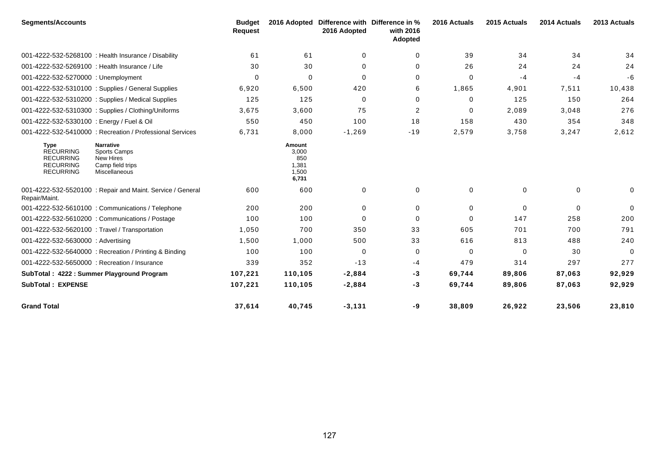| <b>Segments/Accounts</b>                                                                    |                                                                                           | <b>Budget</b><br><b>Request</b> | 2016 Adopted                                      | 2016 Adopted | Difference with Difference in %<br>with 2016<br>Adopted | 2016 Actuals | 2015 Actuals | 2014 Actuals | 2013 Actuals |
|---------------------------------------------------------------------------------------------|-------------------------------------------------------------------------------------------|---------------------------------|---------------------------------------------------|--------------|---------------------------------------------------------|--------------|--------------|--------------|--------------|
|                                                                                             | 001-4222-532-5268100 : Health Insurance / Disability                                      | 61                              | 61                                                | $\mathbf 0$  | 0                                                       | 39           | 34           | 34           | 34           |
| 001-4222-532-5269100 : Health Insurance / Life                                              |                                                                                           | 30                              | 30                                                | $\Omega$     | 0                                                       | 26           | 24           | 24           | 24           |
| 001-4222-532-5270000: Unemployment                                                          |                                                                                           | $\Omega$                        | $\Omega$                                          | $\Omega$     | $\mathbf 0$                                             | $\Omega$     | $-4$         | $-4$         | $-6$         |
|                                                                                             | 001-4222-532-5310100 : Supplies / General Supplies                                        | 6,920                           | 6,500                                             | 420          | 6                                                       | 1,865        | 4,901        | 7,511        | 10,438       |
|                                                                                             | 001-4222-532-5310200 : Supplies / Medical Supplies                                        | 125                             | 125                                               | $\Omega$     | 0                                                       | $\Omega$     | 125          | 150          | 264          |
|                                                                                             | 001-4222-532-5310300: Supplies / Clothing/Uniforms                                        | 3,675                           | 3,600                                             | 75           | $\overline{2}$                                          | 0            | 2,089        | 3,048        | 276          |
| 001-4222-532-5330100 : Energy / Fuel & Oil                                                  |                                                                                           | 550                             | 450                                               | 100          | 18                                                      | 158          | 430          | 354          | 348          |
|                                                                                             | 001-4222-532-5410000 : Recreation / Professional Services                                 | 6,731                           | 8,000                                             | $-1,269$     | $-19$                                                   | 2,579        | 3,758        | 3,247        | 2,612        |
| <b>Type</b><br><b>RECURRING</b><br><b>RECURRING</b><br><b>RECURRING</b><br><b>RECURRING</b> | <b>Narrative</b><br>Sports Camps<br><b>New Hires</b><br>Camp field trips<br>Miscellaneous |                                 | Amount<br>3,000<br>850<br>1,381<br>1,500<br>6,731 |              |                                                         |              |              |              |              |
| Repair/Maint.                                                                               | 001-4222-532-5520100 : Repair and Maint. Service / General                                | 600                             | 600                                               | $\mathbf{0}$ | 0                                                       | $\mathbf 0$  | $\mathbf 0$  | $\mathbf 0$  | 0            |
|                                                                                             | 001-4222-532-5610100 : Communications / Telephone                                         | 200                             | 200                                               | $\Omega$     | $\mathbf 0$                                             | $\mathbf 0$  | $\mathbf 0$  | $\mathbf 0$  | $\mathbf 0$  |
|                                                                                             | 001-4222-532-5610200 : Communications / Postage                                           | 100                             | 100                                               | $\Omega$     | 0                                                       | $\Omega$     | 147          | 258          | 200          |
| 001-4222-532-5620100 : Travel / Transportation                                              |                                                                                           | 1,050                           | 700                                               | 350          | 33                                                      | 605          | 701          | 700          | 791          |
| 001-4222-532-5630000: Advertising                                                           |                                                                                           | 1,500                           | 1,000                                             | 500          | 33                                                      | 616          | 813          | 488          | 240          |
|                                                                                             | 001-4222-532-5640000 : Recreation / Printing & Binding                                    | 100                             | 100                                               | 0            | 0                                                       | 0            | 0            | 30           | $\mathbf 0$  |
| 001-4222-532-5650000 : Recreation / Insurance                                               |                                                                                           | 339                             | 352                                               | $-13$        | -4                                                      | 479          | 314          | 297          | 277          |
|                                                                                             | SubTotal: 4222: Summer Playground Program                                                 | 107,221                         | 110,105                                           | $-2,884$     | $-3$                                                    | 69,744       | 89,806       | 87,063       | 92,929       |
| <b>SubTotal: EXPENSE</b>                                                                    |                                                                                           | 107,221                         | 110,105                                           | $-2,884$     | -3                                                      | 69,744       | 89,806       | 87,063       | 92,929       |
| <b>Grand Total</b>                                                                          |                                                                                           | 37,614                          | 40.745                                            | $-3, 131$    | -9                                                      | 38,809       | 26,922       | 23,506       | 23,810       |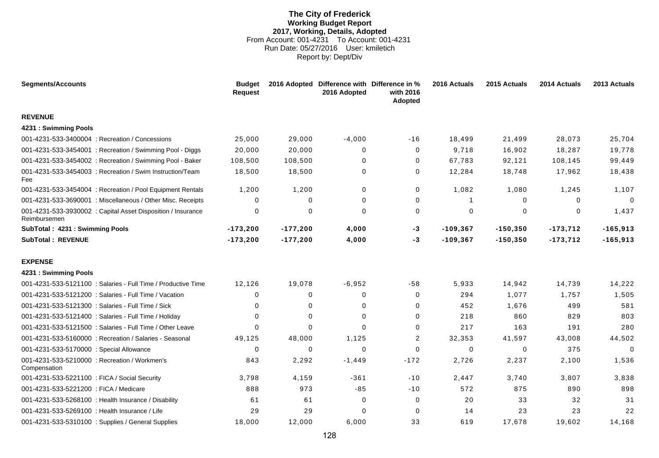# **The City of Frederick Working Budget Report 2017, Working, Details, Adopted** From Account: 001-4231 To Account: 001-4231 Run Date: 05/27/2016 User: kmiletich Report by: Dept/Div

| <b>Segments/Accounts</b>                                                     | <b>Budget</b><br><b>Request</b> |            | 2016 Adopted Difference with Difference in %<br>2016 Adopted | with 2016<br>Adopted | 2016 Actuals | 2015 Actuals | 2014 Actuals | 2013 Actuals |
|------------------------------------------------------------------------------|---------------------------------|------------|--------------------------------------------------------------|----------------------|--------------|--------------|--------------|--------------|
| <b>REVENUE</b>                                                               |                                 |            |                                                              |                      |              |              |              |              |
| 4231: Swimming Pools                                                         |                                 |            |                                                              |                      |              |              |              |              |
| 001-4231-533-3400004 : Recreation / Concessions                              | 25,000                          | 29,000     | $-4,000$                                                     | -16                  | 18,499       | 21,499       | 28,073       | 25,704       |
| 001-4231-533-3454001 : Recreation / Swimming Pool - Diggs                    | 20,000                          | 20,000     | 0                                                            | 0                    | 9,718        | 16,902       | 18,287       | 19,778       |
| 001-4231-533-3454002 : Recreation / Swimming Pool - Baker                    | 108,500                         | 108,500    | 0                                                            | 0                    | 67,783       | 92,121       | 108,145      | 99,449       |
| 001-4231-533-3454003 : Recreation / Swim Instruction/Team<br>Fee             | 18,500                          | 18,500     | 0                                                            | 0                    | 12,284       | 18,748       | 17,962       | 18,438       |
| 001-4231-533-3454004 : Recreation / Pool Equipment Rentals                   | 1,200                           | 1,200      | 0                                                            | 0                    | 1,082        | 1,080        | 1,245        | 1,107        |
| 001-4231-533-3690001 : Miscellaneous / Other Misc. Receipts                  | $\Omega$                        | $\Omega$   | 0                                                            | 0                    | -1           | $\Omega$     | $\Omega$     | 0            |
| 001-4231-533-3930002 : Capital Asset Disposition / Insurance<br>Reimbursemen | $\Omega$                        | 0          | $\Omega$                                                     | 0                    | $\Omega$     | $\Omega$     | $\Omega$     | 1,437        |
| SubTotal: 4231: Swimming Pools                                               | $-173,200$                      | $-177,200$ | 4,000                                                        | -3                   | $-109, 367$  | $-150,350$   | $-173,712$   | $-165,913$   |
| <b>SubTotal: REVENUE</b>                                                     | $-173,200$                      | $-177,200$ | 4,000                                                        | -3                   | $-109,367$   | $-150,350$   | $-173,712$   | $-165,913$   |
| <b>EXPENSE</b>                                                               |                                 |            |                                                              |                      |              |              |              |              |
| 4231: Swimming Pools                                                         |                                 |            |                                                              |                      |              |              |              |              |
| 001-4231-533-5121100 : Salaries - Full Time / Productive Time                | 12,126                          | 19,078     | $-6,952$                                                     | $-58$                | 5,933        | 14,942       | 14,739       | 14,222       |
| 001-4231-533-5121200 : Salaries - Full Time / Vacation                       | $\Omega$                        | 0          | $\Omega$                                                     | 0                    | 294          | 1,077        | 1,757        | 1,505        |
| 001-4231-533-5121300 : Salaries - Full Time / Sick                           | $\Omega$                        | $\Omega$   | $\Omega$                                                     | 0                    | 452          | 1.676        | 499          | 581          |
| 001-4231-533-5121400 : Salaries - Full Time / Holiday                        | $\Omega$                        | $\Omega$   | $\Omega$                                                     | 0                    | 218          | 860          | 829          | 803          |
| 001-4231-533-5121500 : Salaries - Full Time / Other Leave                    | $\Omega$                        | $\Omega$   | $\Omega$                                                     | 0                    | 217          | 163          | 191          | 280          |
| 001-4231-533-5160000 : Recreation / Salaries - Seasonal                      | 49,125                          | 48,000     | 1,125                                                        | $\overline{2}$       | 32,353       | 41,597       | 43,008       | 44,502       |
| 001-4231-533-5170000 : Special Allowance                                     | 0                               | 0          | $\mathbf 0$                                                  | 0                    | 0            | 0            | 375          | $\mathbf 0$  |
| 001-4231-533-5210000 : Recreation / Workmen's<br>Compensation                | 843                             | 2,292      | $-1,449$                                                     | $-172$               | 2,726        | 2,237        | 2,100        | 1,536        |
| 001-4231-533-5221100 : FICA / Social Security                                | 3,798                           | 4,159      | $-361$                                                       | $-10$                | 2,447        | 3,740        | 3,807        | 3,838        |
| 001-4231-533-5221200 : FICA / Medicare                                       | 888                             | 973        | $-85$                                                        | $-10$                | 572          | 875          | 890          | 898          |
| 001-4231-533-5268100 : Health Insurance / Disability                         | 61                              | 61         | $\mathbf{0}$                                                 | 0                    | 20           | 33           | 32           | 31           |
| 001-4231-533-5269100 : Health Insurance / Life                               | 29                              | 29         | $\Omega$                                                     | $\Omega$             | 14           | 23           | 23           | 22           |
| 001-4231-533-5310100 : Supplies / General Supplies                           | 18,000                          | 12,000     | 6,000                                                        | 33                   | 619          | 17,678       | 19,602       | 14,168       |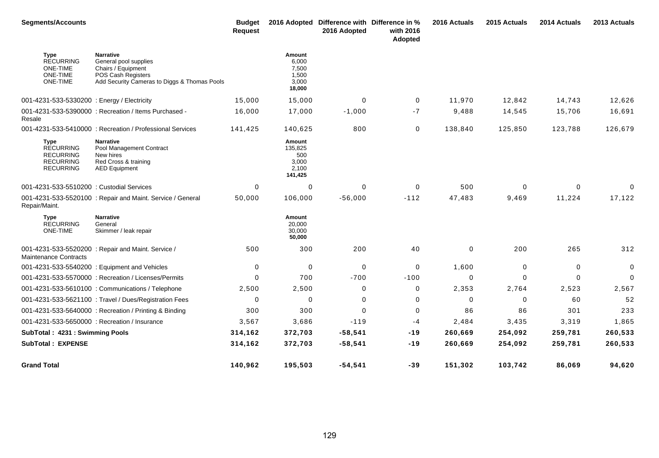| <b>Segments/Accounts</b>                                                                 |                                                                                                                                       | <b>Budget</b><br><b>Request</b> |                                                       | 2016 Adopted Difference with Difference in %<br>2016 Adopted | with 2016<br>Adopted | 2016 Actuals | 2015 Actuals | 2014 Actuals | 2013 Actuals |
|------------------------------------------------------------------------------------------|---------------------------------------------------------------------------------------------------------------------------------------|---------------------------------|-------------------------------------------------------|--------------------------------------------------------------|----------------------|--------------|--------------|--------------|--------------|
| <b>Type</b><br><b>RECURRING</b><br><b>ONE-TIME</b><br><b>ONE-TIME</b><br><b>ONE-TIME</b> | <b>Narrative</b><br>General pool supplies<br>Chairs / Equipment<br>POS Cash Registers<br>Add Security Cameras to Diggs & Thomas Pools |                                 | Amount<br>6,000<br>7,500<br>1,500<br>3,000<br>18,000  |                                                              |                      |              |              |              |              |
| 001-4231-533-5330200 : Energy / Electricity                                              |                                                                                                                                       | 15,000                          | 15,000                                                | $\Omega$                                                     | 0                    | 11,970       | 12,842       | 14.743       | 12,626       |
| Resale                                                                                   | 001-4231-533-5390000 : Recreation / Items Purchased -                                                                                 | 16,000                          | 17,000                                                | $-1,000$                                                     | $-7$                 | 9,488        | 14,545       | 15,706       | 16,691       |
|                                                                                          | 001-4231-533-5410000 : Recreation / Professional Services                                                                             | 141,425                         | 140,625                                               | 800                                                          | $\mathbf 0$          | 138,840      | 125,850      | 123,788      | 126,679      |
| Type<br><b>RECURRING</b><br><b>RECURRING</b><br><b>RECURRING</b><br><b>RECURRING</b>     | <b>Narrative</b><br>Pool Management Contract<br>New hires<br>Red Cross & training<br><b>AED Equipment</b>                             |                                 | Amount<br>135,825<br>500<br>3,000<br>2,100<br>141,425 |                                                              |                      |              |              |              |              |
| 001-4231-533-5510200 : Custodial Services                                                |                                                                                                                                       | 0                               | 0                                                     | $\mathbf 0$                                                  | $\mathbf 0$          | 500          | $\mathbf 0$  | $\mathbf 0$  | $\Omega$     |
| Repair/Maint.                                                                            | 001-4231-533-5520100 : Repair and Maint. Service / General                                                                            | 50,000                          | 106,000                                               | $-56,000$                                                    | $-112$               | 47,483       | 9,469        | 11,224       | 17,122       |
| <b>Type</b><br><b>RECURRING</b><br><b>ONE-TIME</b>                                       | <b>Narrative</b><br>General<br>Skimmer / leak repair                                                                                  |                                 | Amount<br>20,000<br>30,000<br>50,000                  |                                                              |                      |              |              |              |              |
| <b>Maintenance Contracts</b>                                                             | 001-4231-533-5520200 : Repair and Maint. Service /                                                                                    | 500                             | 300                                                   | 200                                                          | 40                   | $\mathbf 0$  | 200          | 265          | 312          |
|                                                                                          | 001-4231-533-5540200 : Equipment and Vehicles                                                                                         | 0                               | 0                                                     | $\mathbf 0$                                                  | 0                    | 1,600        | 0            | $\mathbf 0$  | 0            |
|                                                                                          | 001-4231-533-5570000 : Recreation / Licenses/Permits                                                                                  | $\Omega$                        | 700                                                   | $-700$                                                       | $-100$               | $\Omega$     | $\mathbf 0$  | $\Omega$     | $\mathbf 0$  |
|                                                                                          | 001-4231-533-5610100 : Communications / Telephone                                                                                     | 2,500                           | 2,500                                                 | 0                                                            | $\mathbf 0$          | 2,353        | 2,764        | 2,523        | 2,567        |
|                                                                                          | 001-4231-533-5621100 : Travel / Dues/Registration Fees                                                                                | 0                               | 0                                                     | $\mathbf 0$                                                  | 0                    | 0            | 0            | 60           | 52           |
|                                                                                          | 001-4231-533-5640000 : Recreation / Printing & Binding                                                                                | 300                             | 300                                                   | $\mathbf 0$                                                  | $\mathbf 0$          | 86           | 86           | 301          | 233          |
| 001-4231-533-5650000 : Recreation / Insurance                                            |                                                                                                                                       | 3,567                           | 3,686                                                 | $-119$                                                       | -4                   | 2,484        | 3,435        | 3,319        | 1,865        |
| SubTotal: 4231: Swimming Pools                                                           |                                                                                                                                       | 314,162                         | 372,703                                               | $-58,541$                                                    | $-19$                | 260,669      | 254,092      | 259,781      | 260,533      |
| <b>SubTotal: EXPENSE</b>                                                                 |                                                                                                                                       | 314,162                         | 372,703                                               | $-58,541$                                                    | $-19$                | 260,669      | 254,092      | 259,781      | 260,533      |
| <b>Grand Total</b>                                                                       |                                                                                                                                       | 140,962                         | 195,503                                               | $-54,541$                                                    | $-39$                | 151,302      | 103,742      | 86,069       | 94,620       |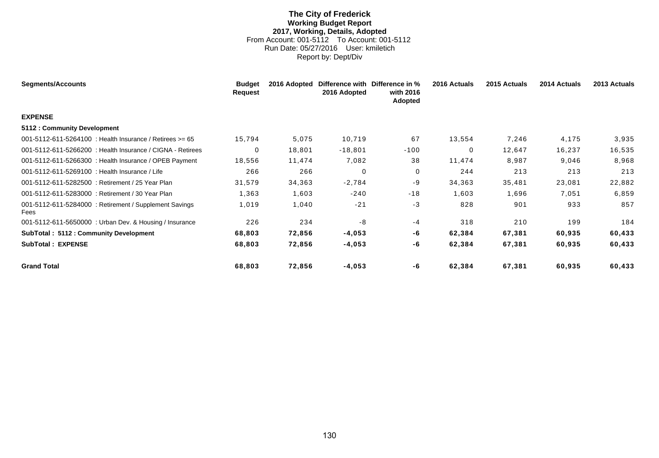# **The City of Frederick Working Budget Report 2017, Working, Details, Adopted** From Account: 001-5112 To Account: 001-5112 Run Date: 05/27/2016 User: kmiletich Report by: Dept/Div

| <b>Segments/Accounts</b>                                      | <b>Budget</b><br><b>Request</b> | 2016 Adopted | 2016 Adopted | Difference with Difference in %<br>with 2016<br>Adopted | 2016 Actuals | 2015 Actuals | 2014 Actuals | 2013 Actuals |
|---------------------------------------------------------------|---------------------------------|--------------|--------------|---------------------------------------------------------|--------------|--------------|--------------|--------------|
| <b>EXPENSE</b>                                                |                                 |              |              |                                                         |              |              |              |              |
| 5112 : Community Development                                  |                                 |              |              |                                                         |              |              |              |              |
| 001-5112-611-5264100 : Health Insurance / Retirees >= 65      | 15,794                          | 5,075        | 10,719       | 67                                                      | 13,554       | 7,246        | 4,175        | 3,935        |
| 001-5112-611-5266200 : Health Insurance / CIGNA - Retirees    | 0                               | 18,801       | $-18,801$    | $-100$                                                  | 0            | 12,647       | 16,237       | 16,535       |
| 001-5112-611-5266300 : Health Insurance / OPEB Payment        | 18,556                          | 11,474       | 7,082        | 38                                                      | 11,474       | 8,987        | 9,046        | 8,968        |
| 001-5112-611-5269100 : Health Insurance / Life                | 266                             | 266          | $\mathbf 0$  | 0                                                       | 244          | 213          | 213          | 213          |
| 001-5112-611-5282500: Retirement / 25 Year Plan               | 31,579                          | 34,363       | $-2,784$     | $-9$                                                    | 34,363       | 35,481       | 23,081       | 22,882       |
| 001-5112-611-5283000: Retirement / 30 Year Plan               | 1,363                           | 1,603        | $-240$       | $-18$                                                   | 1,603        | 1,696        | 7,051        | 6,859        |
| 001-5112-611-5284000: Retirement / Supplement Savings<br>Fees | 1,019                           | 1,040        | $-21$        | $-3$                                                    | 828          | 901          | 933          | 857          |
| 001-5112-611-5650000 : Urban Dev. & Housing / Insurance       | 226                             | 234          | -8           | $-4$                                                    | 318          | 210          | 199          | 184          |
| <b>SubTotal: 5112: Community Development</b>                  | 68,803                          | 72,856       | $-4,053$     | -6                                                      | 62,384       | 67,381       | 60,935       | 60,433       |
| <b>SubTotal: EXPENSE</b>                                      | 68,803                          | 72,856       | $-4,053$     | -6                                                      | 62,384       | 67,381       | 60,935       | 60,433       |
| <b>Grand Total</b>                                            | 68,803                          | 72,856       | $-4,053$     | -6                                                      | 62,384       | 67,381       | 60,935       | 60,433       |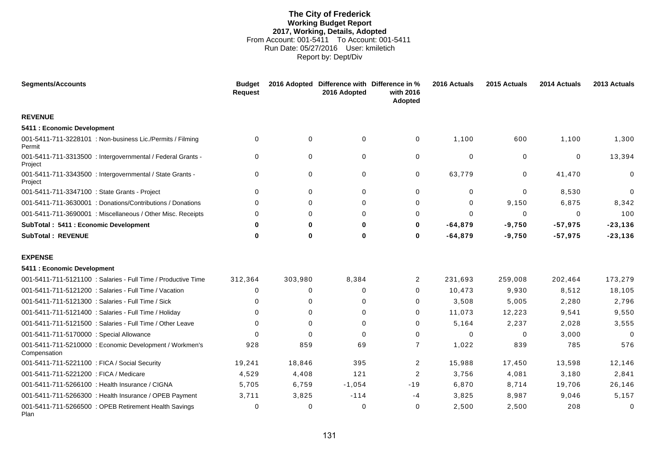# **The City of Frederick Working Budget Report 2017, Working, Details, Adopted** From Account: 001-5411 To Account: 001-5411 Run Date: 05/27/2016 User: kmiletich Report by: Dept/Div

| <b>Segments/Accounts</b>                                                | <b>Budget</b><br><b>Request</b> |             | 2016 Adopted Difference with Difference in %<br>2016 Adopted | with 2016<br>Adopted | 2016 Actuals | 2015 Actuals | 2014 Actuals | 2013 Actuals |
|-------------------------------------------------------------------------|---------------------------------|-------------|--------------------------------------------------------------|----------------------|--------------|--------------|--------------|--------------|
| <b>REVENUE</b>                                                          |                                 |             |                                                              |                      |              |              |              |              |
| 5411 : Economic Development                                             |                                 |             |                                                              |                      |              |              |              |              |
| 001-5411-711-3228101 : Non-business Lic./Permits / Filming<br>Permit    | $\Omega$                        | $\mathbf 0$ | $\Omega$                                                     | 0                    | 1.100        | 600          | 1,100        | 1,300        |
| 001-5411-711-3313500 : Intergovernmental / Federal Grants -<br>Project  | $\Omega$                        | $\mathbf 0$ | $\mathbf 0$                                                  | $\mathbf 0$          | $\mathbf 0$  | 0            | 0            | 13,394       |
| 001-5411-711-3343500 : Intergovernmental / State Grants -<br>Project    | $\Omega$                        | $\mathbf 0$ | $\Omega$                                                     | $\mathbf 0$          | 63,779       | 0            | 41,470       | $\Omega$     |
| 001-5411-711-3347100 : State Grants - Project                           | $\Omega$                        | $\Omega$    | $\Omega$                                                     | 0                    | $\Omega$     | $\Omega$     | 8,530        | $\Omega$     |
| 001-5411-711-3630001 : Donations/Contributions / Donations              | $\Omega$                        | $\Omega$    | $\Omega$                                                     | 0                    | $\Omega$     | 9,150        | 6,875        | 8,342        |
| 001-5411-711-3690001 : Miscellaneous / Other Misc. Receipts             | 0                               | 0           | $\Omega$                                                     | 0                    | 0            | 0            | 0            | 100          |
| SubTotal: 5411 : Economic Development                                   | 0                               | 0           | $\bf{0}$                                                     | 0                    | $-64,879$    | $-9,750$     | $-57,975$    | $-23, 136$   |
| <b>SubTotal: REVENUE</b>                                                | $\bf{0}$                        | $\mathbf 0$ | $\bf{0}$                                                     | 0                    | $-64,879$    | $-9,750$     | $-57,975$    | $-23, 136$   |
| <b>EXPENSE</b>                                                          |                                 |             |                                                              |                      |              |              |              |              |
| 5411 : Economic Development                                             |                                 |             |                                                              |                      |              |              |              |              |
| 001-5411-711-5121100 : Salaries - Full Time / Productive Time           | 312,364                         | 303,980     | 8,384                                                        | $\overline{2}$       | 231.693      | 259,008      | 202,464      | 173,279      |
| 001-5411-711-5121200 : Salaries - Full Time / Vacation                  | 0                               | 0           | 0                                                            | 0                    | 10,473       | 9,930        | 8,512        | 18,105       |
| 001-5411-711-5121300 : Salaries - Full Time / Sick                      | $\Omega$                        | $\Omega$    | $\Omega$                                                     | $\Omega$             | 3,508        | 5,005        | 2,280        | 2,796        |
| 001-5411-711-5121400 : Salaries - Full Time / Holiday                   | $\Omega$                        | $\Omega$    | $\Omega$                                                     | 0                    | 11,073       | 12,223       | 9,541        | 9,550        |
| 001-5411-711-5121500 : Salaries - Full Time / Other Leave               | $\Omega$                        | $\Omega$    | $\Omega$                                                     | 0                    | 5,164        | 2,237        | 2,028        | 3,555        |
| 001-5411-711-5170000 : Special Allowance                                | $\Omega$                        | $\Omega$    | $\Omega$                                                     | $\Omega$             | $\Omega$     | $\Omega$     | 3,000        | $\Omega$     |
| 001-5411-711-5210000 : Economic Development / Workmen's<br>Compensation | 928                             | 859         | 69                                                           | $\overline{7}$       | 1,022        | 839          | 785          | 576          |
| 001-5411-711-5221100 : FICA / Social Security                           | 19,241                          | 18,846      | 395                                                          | $\overline{a}$       | 15,988       | 17,450       | 13,598       | 12,146       |
| 001-5411-711-5221200 : FICA / Medicare                                  | 4,529                           | 4,408       | 121                                                          | $\overline{c}$       | 3,756        | 4,081        | 3,180        | 2,841        |
| 001-5411-711-5266100 : Health Insurance / CIGNA                         | 5,705                           | 6,759       | $-1,054$                                                     | $-19$                | 6,870        | 8,714        | 19,706       | 26,146       |
| 001-5411-711-5266300 : Health Insurance / OPEB Payment                  | 3,711                           | 3,825       | $-114$                                                       | -4                   | 3,825        | 8,987        | 9,046        | 5,157        |
| 001-5411-711-5266500 : OPEB Retirement Health Savings<br>Plan           | 0                               | 0           | $\Omega$                                                     | 0                    | 2,500        | 2,500        | 208          | $\Omega$     |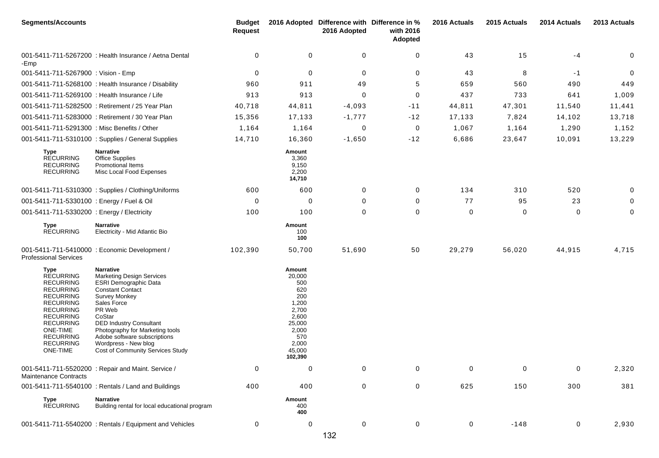| <b>Segments/Accounts</b>                                                                                                                                                                                                             |                                                                                                                                                                                                                                                                                                                               | <b>Budget</b><br><b>Request</b> |                                                                                                                          | 2016 Adopted Difference with Difference in %<br>2016 Adopted | with 2016<br>Adopted | 2016 Actuals   | 2015 Actuals | 2014 Actuals | 2013 Actuals |
|--------------------------------------------------------------------------------------------------------------------------------------------------------------------------------------------------------------------------------------|-------------------------------------------------------------------------------------------------------------------------------------------------------------------------------------------------------------------------------------------------------------------------------------------------------------------------------|---------------------------------|--------------------------------------------------------------------------------------------------------------------------|--------------------------------------------------------------|----------------------|----------------|--------------|--------------|--------------|
| -Emp                                                                                                                                                                                                                                 | 001-5411-711-5267200 : Health Insurance / Aetna Dental                                                                                                                                                                                                                                                                        | 0                               | 0                                                                                                                        | 0                                                            | 0                    | 43             | 15           | -4           | 0            |
| 001-5411-711-5267900 : Vision - Emp                                                                                                                                                                                                  |                                                                                                                                                                                                                                                                                                                               | 0                               | 0                                                                                                                        | $\mathbf 0$                                                  | 0                    | 43             | 8            | $-1$         | 0            |
|                                                                                                                                                                                                                                      | 001-5411-711-5268100 : Health Insurance / Disability                                                                                                                                                                                                                                                                          | 960                             | 911                                                                                                                      | 49                                                           | 5                    | 659            | 560          | 490          | 449          |
| 001-5411-711-5269100 : Health Insurance / Life                                                                                                                                                                                       |                                                                                                                                                                                                                                                                                                                               | 913                             | 913                                                                                                                      | $\Omega$                                                     | 0                    | 437            | 733          | 641          | 1,009        |
|                                                                                                                                                                                                                                      | 001-5411-711-5282500 : Retirement / 25 Year Plan                                                                                                                                                                                                                                                                              | 40,718                          | 44,811                                                                                                                   | $-4,093$                                                     | $-11$                | 44,811         | 47,301       | 11,540       | 11,441       |
|                                                                                                                                                                                                                                      | 001-5411-711-5283000 : Retirement / 30 Year Plan                                                                                                                                                                                                                                                                              | 15,356                          | 17,133                                                                                                                   | $-1,777$                                                     | $-12$                | 17,133         | 7,824        | 14,102       | 13,718       |
| 001-5411-711-5291300 : Misc Benefits / Other                                                                                                                                                                                         |                                                                                                                                                                                                                                                                                                                               | 1,164                           | 1,164                                                                                                                    | 0                                                            | 0                    | 1,067          | 1,164        | 1,290        | 1,152        |
|                                                                                                                                                                                                                                      | 001-5411-711-5310100 : Supplies / General Supplies                                                                                                                                                                                                                                                                            | 14,710                          | 16,360                                                                                                                   | $-1,650$                                                     | $-12$                | 6,686          | 23,647       | 10,091       | 13,229       |
| Type<br><b>RECURRING</b><br><b>RECURRING</b><br><b>RECURRING</b>                                                                                                                                                                     | <b>Narrative</b><br><b>Office Supplies</b><br>Promotional Items<br>Misc Local Food Expenses                                                                                                                                                                                                                                   |                                 | Amount<br>3,360<br>9,150<br>2,200<br>14,710                                                                              |                                                              |                      |                |              |              |              |
|                                                                                                                                                                                                                                      | 001-5411-711-5310300 : Supplies / Clothing/Uniforms                                                                                                                                                                                                                                                                           | 600                             | 600                                                                                                                      | 0                                                            | 0                    | 134            | 310          | 520          | 0            |
| 001-5411-711-5330100 : Energy / Fuel & Oil                                                                                                                                                                                           |                                                                                                                                                                                                                                                                                                                               | 0                               | 0                                                                                                                        | 0                                                            | 0                    | 77             | 95           | 23           | $\mathbf{0}$ |
| 001-5411-711-5330200 : Energy / Electricity                                                                                                                                                                                          |                                                                                                                                                                                                                                                                                                                               | 100                             | 100                                                                                                                      | $\mathbf 0$                                                  | $\mathbf 0$          | $\mathbf 0$    | 0            | $\mathbf 0$  | 0            |
| Type<br><b>RECURRING</b>                                                                                                                                                                                                             | <b>Narrative</b><br>Electricity - Mid Atlantic Bio                                                                                                                                                                                                                                                                            |                                 | Amount<br>100<br>100                                                                                                     |                                                              |                      |                |              |              |              |
| <b>Professional Services</b>                                                                                                                                                                                                         | 001-5411-711-5410000 : Economic Development /                                                                                                                                                                                                                                                                                 | 102,390                         | 50,700                                                                                                                   | 51,690                                                       | 50                   | 29,279         | 56,020       | 44,915       | 4,715        |
| Type<br><b>RECURRING</b><br><b>RECURRING</b><br><b>RECURRING</b><br><b>RECURRING</b><br><b>RECURRING</b><br><b>RECURRING</b><br><b>RECURRING</b><br><b>RECURRING</b><br>ONE-TIME<br><b>RECURRING</b><br><b>RECURRING</b><br>ONE-TIME | <b>Narrative</b><br><b>Marketing Design Services</b><br>ESRI Demographic Data<br>Constant Contact<br><b>Survey Monkey</b><br>Sales Force<br>PR Web<br>CoStar<br><b>DED Industry Consultant</b><br>Photography for Marketing tools<br>Adobe software subscriptions<br>Wordpress - New blog<br>Cost of Community Services Study |                                 | Amount<br>20,000<br>500<br>620<br>200<br>1,200<br>2,700<br>2,600<br>25,000<br>2,000<br>570<br>2,000<br>45,000<br>102,390 |                                                              |                      |                |              |              |              |
| <b>Maintenance Contracts</b>                                                                                                                                                                                                         | 001-5411-711-5520200 : Repair and Maint. Service /                                                                                                                                                                                                                                                                            | $\mathbf 0$                     | 0                                                                                                                        | 0                                                            | 0                    | $\mathbf 0$    | 0            | 0            | 2,320        |
|                                                                                                                                                                                                                                      | 001-5411-711-5540100 : Rentals / Land and Buildings                                                                                                                                                                                                                                                                           | 400                             | 400                                                                                                                      | $\mathbf 0$                                                  | 0                    | 625            | 150          | 300          | 381          |
| Type<br><b>RECURRING</b>                                                                                                                                                                                                             | <b>Narrative</b><br>Building rental for local educational program                                                                                                                                                                                                                                                             |                                 | Amount<br>400<br>400                                                                                                     |                                                              |                      |                |              |              |              |
|                                                                                                                                                                                                                                      | 001-5411-711-5540200: Rentals / Equipment and Vehicles                                                                                                                                                                                                                                                                        | 0                               | 0                                                                                                                        | $\mathbf 0$                                                  | $\mathbf 0$          | $\overline{0}$ | $-148$       | $\mathbf 0$  | 2,930        |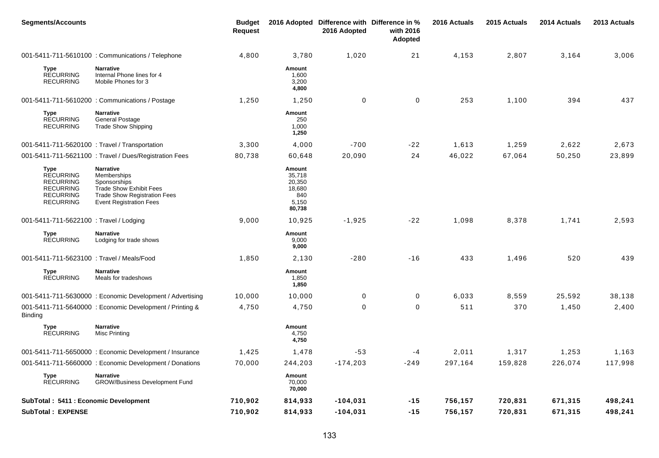| <b>Segments/Accounts</b>                                                                                        |                                                                                                                                                     | <b>Budget</b><br><b>Request</b> |                                                                | 2016 Adopted Difference with Difference in %<br>2016 Adopted | with 2016<br>Adopted | 2016 Actuals | 2015 Actuals | 2014 Actuals | 2013 Actuals |
|-----------------------------------------------------------------------------------------------------------------|-----------------------------------------------------------------------------------------------------------------------------------------------------|---------------------------------|----------------------------------------------------------------|--------------------------------------------------------------|----------------------|--------------|--------------|--------------|--------------|
|                                                                                                                 | 001-5411-711-5610100 : Communications / Telephone                                                                                                   | 4,800                           | 3,780                                                          | 1,020                                                        | 21                   | 4,153        | 2,807        | 3,164        | 3,006        |
| Type<br><b>RECURRING</b><br><b>RECURRING</b>                                                                    | <b>Narrative</b><br>Internal Phone lines for 4<br>Mobile Phones for 3                                                                               |                                 | Amount<br>1,600<br>3,200<br>4,800                              |                                                              |                      |              |              |              |              |
|                                                                                                                 | 001-5411-711-5610200 : Communications / Postage                                                                                                     | 1,250                           | 1,250                                                          | 0                                                            | $\boldsymbol{0}$     | 253          | 1,100        | 394          | 437          |
| <b>Type</b><br><b>RECURRING</b><br><b>RECURRING</b>                                                             | <b>Narrative</b><br>General Postage<br><b>Trade Show Shipping</b>                                                                                   |                                 | Amount<br>250<br>1,000<br>1,250                                |                                                              |                      |              |              |              |              |
| 001-5411-711-5620100 : Travel / Transportation                                                                  |                                                                                                                                                     | 3,300                           | 4,000                                                          | $-700$                                                       | $-22$                | 1,613        | 1,259        | 2,622        | 2,673        |
|                                                                                                                 | 001-5411-711-5621100 : Travel / Dues/Registration Fees                                                                                              | 80,738                          | 60,648                                                         | 20,090                                                       | 24                   | 46,022       | 67,064       | 50,250       | 23,899       |
| <b>Type</b><br><b>RECURRING</b><br><b>RECURRING</b><br><b>RECURRING</b><br><b>RECURRING</b><br><b>RECURRING</b> | Narrative<br>Memberships<br>Sponsorships<br><b>Trade Show Exhibit Fees</b><br><b>Trade Show Registration Fees</b><br><b>Event Registration Fees</b> |                                 | Amount<br>35,718<br>20,350<br>18,680<br>840<br>5,150<br>80,738 |                                                              |                      |              |              |              |              |
| 001-5411-711-5622100 : Travel / Lodging                                                                         |                                                                                                                                                     | 9,000                           | 10,925                                                         | $-1,925$                                                     | $-22$                | 1,098        | 8,378        | 1,741        | 2,593        |
| Type<br><b>RECURRING</b>                                                                                        | <b>Narrative</b><br>Lodging for trade shows                                                                                                         |                                 | Amount<br>9,000<br>9,000                                       |                                                              |                      |              |              |              |              |
| 001-5411-711-5623100 : Travel / Meals/Food                                                                      |                                                                                                                                                     | 1,850                           | 2,130                                                          | $-280$                                                       | $-16$                | 433          | 1,496        | 520          | 439          |
| Type<br><b>RECURRING</b>                                                                                        | <b>Narrative</b><br>Meals for tradeshows                                                                                                            |                                 | Amount<br>1,850<br>1,850                                       |                                                              |                      |              |              |              |              |
|                                                                                                                 | 001-5411-711-5630000: Economic Development / Advertising                                                                                            | 10,000                          | 10,000                                                         | 0                                                            | 0                    | 6,033        | 8,559        | 25,592       | 38,138       |
| Binding                                                                                                         | 001-5411-711-5640000 : Economic Development / Printing &                                                                                            | 4,750                           | 4,750                                                          | 0                                                            | 0                    | 511          | 370          | 1,450        | 2,400        |
| Type<br><b>RECURRING</b>                                                                                        | Narrative<br><b>Misc Printing</b>                                                                                                                   |                                 | Amount<br>4,750<br>4,750                                       |                                                              |                      |              |              |              |              |
|                                                                                                                 | 001-5411-711-5650000 : Economic Development / Insurance                                                                                             | 1,425                           | 1,478                                                          | -53                                                          | -4                   | 2,011        | 1,317        | 1,253        | 1,163        |
|                                                                                                                 | 001-5411-711-5660000: Economic Development / Donations                                                                                              | 70,000                          | 244,203                                                        | $-174,203$                                                   | $-249$               | 297,164      | 159,828      | 226,074      | 117,998      |
| Type<br><b>RECURRING</b>                                                                                        | <b>Narrative</b><br><b>GROW/Business Development Fund</b>                                                                                           |                                 | Amount<br>70,000<br>70,000                                     |                                                              |                      |              |              |              |              |
| SubTotal: 5411: Economic Development                                                                            |                                                                                                                                                     | 710,902                         | 814,933                                                        | $-104,031$                                                   | $-15$                | 756,157      | 720,831      | 671,315      | 498,241      |
| <b>SubTotal: EXPENSE</b>                                                                                        |                                                                                                                                                     | 710,902                         | 814,933                                                        | $-104,031$                                                   | $-15$                | 756,157      | 720,831      | 671,315      | 498,241      |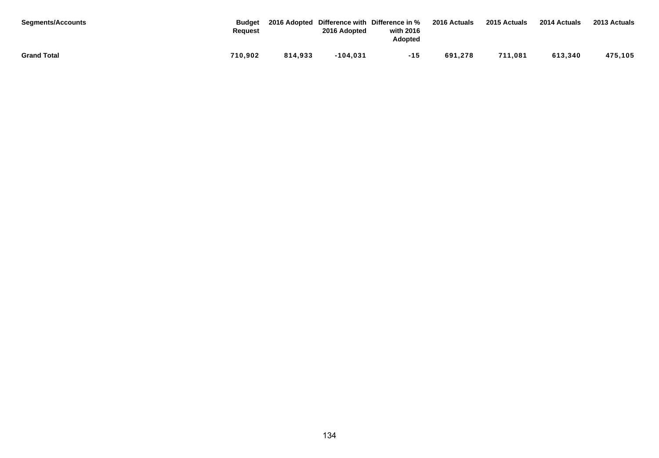| <b>Segments/Accounts</b> | <b>Budget</b><br>Reauest |         | 2016 Adopted | 2016 Adopted Difference with Difference in %<br>with 2016<br>Adopted | 2016 Actuals | 2015 Actuals | 2014 Actuals | 2013 Actuals |
|--------------------------|--------------------------|---------|--------------|----------------------------------------------------------------------|--------------|--------------|--------------|--------------|
| <b>Grand Total</b>       | 710.902                  | 814,933 | $-104.031$   | $-15$                                                                | 691.278      | 711,081      | 613,340      | 475,105      |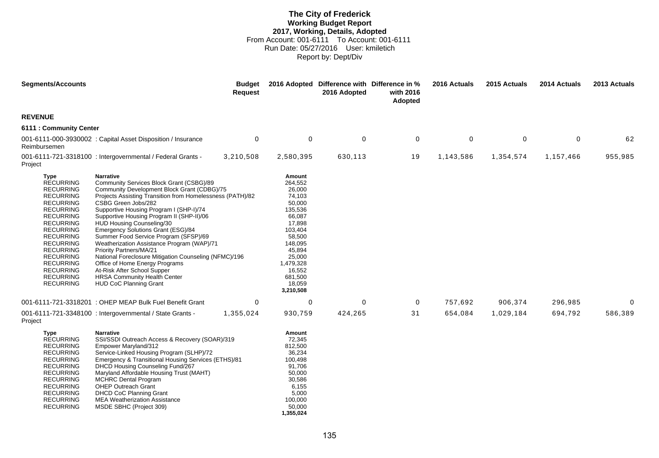## **The City of Frederick Working Budget Report 2017, Working, Details, Adopted** From Account: 001-6111 To Account: 001-6111 Run Date: 05/27/2016 User: kmiletich Report by: Dept/Div

| <b>Segments/Accounts</b>                                                                                                                                                                                                                                                                                                             |                                                                                                                                                                                                                                                                                                                                                                                                                                                                                                                                                                                                                                                                                       | <b>Budget</b><br><b>Request</b> |                                                                                                                                                                                             | 2016 Adopted Difference with Difference in %<br>2016 Adopted | with 2016<br>Adopted | 2016 Actuals | 2015 Actuals | 2014 Actuals | 2013 Actuals |
|--------------------------------------------------------------------------------------------------------------------------------------------------------------------------------------------------------------------------------------------------------------------------------------------------------------------------------------|---------------------------------------------------------------------------------------------------------------------------------------------------------------------------------------------------------------------------------------------------------------------------------------------------------------------------------------------------------------------------------------------------------------------------------------------------------------------------------------------------------------------------------------------------------------------------------------------------------------------------------------------------------------------------------------|---------------------------------|---------------------------------------------------------------------------------------------------------------------------------------------------------------------------------------------|--------------------------------------------------------------|----------------------|--------------|--------------|--------------|--------------|
| <b>REVENUE</b>                                                                                                                                                                                                                                                                                                                       |                                                                                                                                                                                                                                                                                                                                                                                                                                                                                                                                                                                                                                                                                       |                                 |                                                                                                                                                                                             |                                                              |                      |              |              |              |              |
| 6111 : Community Center                                                                                                                                                                                                                                                                                                              |                                                                                                                                                                                                                                                                                                                                                                                                                                                                                                                                                                                                                                                                                       |                                 |                                                                                                                                                                                             |                                                              |                      |              |              |              |              |
| Reimbursemen                                                                                                                                                                                                                                                                                                                         | 001-6111-000-3930002 : Capital Asset Disposition / Insurance                                                                                                                                                                                                                                                                                                                                                                                                                                                                                                                                                                                                                          | $\mathbf 0$                     | $\mathbf 0$                                                                                                                                                                                 | $\mathbf 0$                                                  | $\mathbf 0$          | $\mathbf 0$  | $\mathbf 0$  | $\Omega$     | 62           |
| Project                                                                                                                                                                                                                                                                                                                              | 001-6111-721-3318100 : Intergovernmental / Federal Grants -                                                                                                                                                                                                                                                                                                                                                                                                                                                                                                                                                                                                                           | 3,210,508                       | 2,580,395                                                                                                                                                                                   | 630,113                                                      | 19                   | 1,143,586    | 1,354,574    | 1,157,466    | 955,985      |
| Type<br><b>RECURRING</b><br><b>RECURRING</b><br><b>RECURRING</b><br><b>RECURRING</b><br><b>RECURRING</b><br><b>RECURRING</b><br><b>RECURRING</b><br><b>RECURRING</b><br><b>RECURRING</b><br><b>RECURRING</b><br><b>RECURRING</b><br><b>RECURRING</b><br><b>RECURRING</b><br><b>RECURRING</b><br><b>RECURRING</b><br><b>RECURRING</b> | <b>Narrative</b><br>Community Services Block Grant (CSBG)/89<br>Community Development Block Grant (CDBG)/75<br>Projects Assisting Transition from Homelessness (PATH)/82<br>CSBG Green Jobs/282<br>Supportive Housing Program I (SHP-I)/74<br>Supportive Housing Program II (SHP-II)/06<br>HUD Housing Counseling/30<br>Emergency Solutions Grant (ESG)/84<br>Summer Food Service Program (SFSP)/69<br>Weatherization Assistance Program (WAP)/71<br><b>Priority Partners/MA/21</b><br>National Foreclosure Mitigation Counseling (NFMC)/196<br>Office of Home Energy Programs<br>At-Risk After School Supper<br><b>HRSA Community Health Center</b><br><b>HUD CoC Planning Grant</b> |                                 | Amount<br>264,552<br>26,000<br>74,103<br>50,000<br>135,536<br>66,087<br>17,898<br>103,404<br>58,500<br>148,095<br>45,894<br>25,000<br>1,479,328<br>16,552<br>681,500<br>18,059<br>3,210,508 |                                                              |                      |              |              |              |              |
|                                                                                                                                                                                                                                                                                                                                      | 001-6111-721-3318201 : OHEP MEAP Bulk Fuel Benefit Grant                                                                                                                                                                                                                                                                                                                                                                                                                                                                                                                                                                                                                              | $\Omega$                        | $\mathbf 0$                                                                                                                                                                                 | 0                                                            | 0                    | 757,692      | 906,374      | 296,985      | 0            |
| Project                                                                                                                                                                                                                                                                                                                              | 001-6111-721-3348100 : Intergovernmental / State Grants -                                                                                                                                                                                                                                                                                                                                                                                                                                                                                                                                                                                                                             | 1,355,024                       | 930,759                                                                                                                                                                                     | 424,265                                                      | 31                   | 654,084      | 1,029,184    | 694,792      | 586,389      |
| Type<br><b>RECURRING</b><br><b>RECURRING</b><br><b>RECURRING</b><br><b>RECURRING</b><br><b>RECURRING</b><br><b>RECURRING</b><br><b>RECURRING</b><br><b>RECURRING</b><br><b>RECURRING</b><br><b>RECURRING</b><br><b>RECURRING</b>                                                                                                     | <b>Narrative</b><br>SSI/SSDI Outreach Access & Recovery (SOAR)/319<br>Empower Maryland/312<br>Service-Linked Housing Program (SLHP)/72<br>Emergency & Transitional Housing Services (ETHS)/81<br>DHCD Housing Counseling Fund/267<br>Maryland Affordable Housing Trust (MAHT)<br><b>MCHRC Dental Program</b><br><b>OHEP Outreach Grant</b><br>DHCD CoC Planning Grant<br><b>MEA Weatherization Assistance</b><br>MSDE SBHC (Project 309)                                                                                                                                                                                                                                              |                                 | Amount<br>72,345<br>812,500<br>36,234<br>100,498<br>91,706<br>50,000<br>30,586<br>6,155<br>5,000<br>100,000<br>50,000<br>1,355,024                                                          |                                                              |                      |              |              |              |              |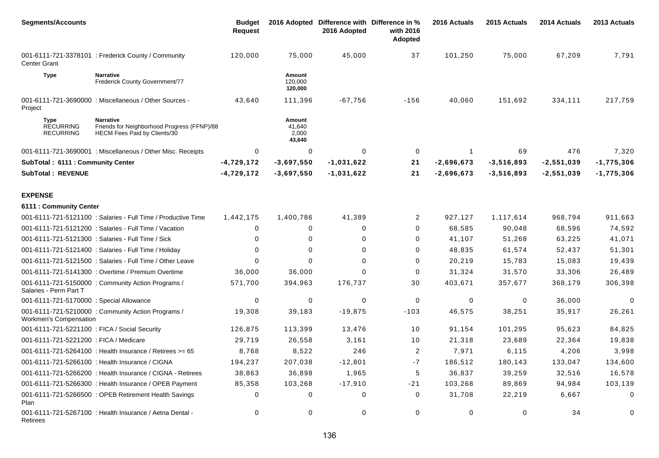| <b>Segments/Accounts</b>                      |                                                                                                 | <b>Budget</b><br><b>Request</b> |                                     | 2016 Adopted Difference with Difference in %<br>2016 Adopted | with 2016<br>Adopted | 2016 Actuals | 2015 Actuals | 2014 Actuals | 2013 Actuals |
|-----------------------------------------------|-------------------------------------------------------------------------------------------------|---------------------------------|-------------------------------------|--------------------------------------------------------------|----------------------|--------------|--------------|--------------|--------------|
| <b>Center Grant</b>                           | 001-6111-721-3378101 : Frederick County / Community                                             | 120,000                         | 75,000                              | 45,000                                                       | 37                   | 101,250      | 75,000       | 67,209       | 7,791        |
| <b>Type</b>                                   | <b>Narrative</b><br>Frederick County Government/77                                              |                                 | Amount<br>120,000<br>120,000        |                                                              |                      |              |              |              |              |
| Project                                       | 001-6111-721-3690000 : Miscellaneous / Other Sources -                                          | 43,640                          | 111,396                             | $-67,756$                                                    | $-156$               | 40,060       | 151,692      | 334,111      | 217,759      |
| Type<br><b>RECURRING</b><br><b>RECURRING</b>  | <b>Narrative</b><br>Friends for Neighborhood Progress (FFNP)/88<br>HECM Fees Paid by Clients/30 |                                 | Amount<br>41,640<br>2,000<br>43,640 |                                                              |                      |              |              |              |              |
|                                               | 001-6111-721-3690001 : Miscellaneous / Other Misc. Receipts                                     | 0                               | 0                                   | 0                                                            | $\mathbf 0$          | -1           | 69           | 476          | 7,320        |
| SubTotal: 6111 : Community Center             |                                                                                                 | $-4,729,172$                    | $-3,697,550$                        | $-1,031,622$                                                 | 21                   | $-2,696,673$ | $-3,516,893$ | $-2,551,039$ | $-1,775,306$ |
| <b>SubTotal: REVENUE</b>                      |                                                                                                 | $-4,729,172$                    | $-3,697,550$                        | $-1,031,622$                                                 | 21                   | $-2,696,673$ | $-3,516,893$ | $-2,551,039$ | $-1,775,306$ |
| <b>EXPENSE</b>                                |                                                                                                 |                                 |                                     |                                                              |                      |              |              |              |              |
| 6111 : Community Center                       |                                                                                                 |                                 |                                     |                                                              |                      |              |              |              |              |
|                                               | 001-6111-721-5121100 : Salaries - Full Time / Productive Time                                   | 1,442,175                       | 1,400,786                           | 41,389                                                       | 2                    | 927,127      | 1,117,614    | 968,794      | 911,663      |
|                                               | 001-6111-721-5121200 : Salaries - Full Time / Vacation                                          | 0                               | 0                                   | 0                                                            | 0                    | 68,585       | 90,048       | 68,596       | 74,592       |
|                                               | 001-6111-721-5121300 : Salaries - Full Time / Sick                                              | 0                               | $\Omega$                            | $\Omega$                                                     | 0                    | 41,107       | 51,268       | 63,225       | 41,071       |
|                                               | 001-6111-721-5121400 : Salaries - Full Time / Holiday                                           | 0                               | $\mathbf 0$                         | $\Omega$                                                     | 0                    | 48,835       | 61,574       | 52,437       | 51,301       |
|                                               | 001-6111-721-5121500 : Salaries - Full Time / Other Leave                                       | ∩                               | $\Omega$                            | $\Omega$                                                     | 0                    | 20,219       | 15,783       | 15,083       | 19,439       |
|                                               | 001-6111-721-5141300 : Overtime / Premium Overtime                                              | 36,000                          | 36,000                              | $\Omega$                                                     | 0                    | 31,324       | 31,570       | 33,306       | 26,489       |
| Salaries - Perm Part T                        | 001-6111-721-5150000 : Community Action Programs /                                              | 571,700                         | 394,963                             | 176,737                                                      | 30                   | 403,671      | 357,677      | 368,179      | 306,398      |
| 001-6111-721-5170000 : Special Allowance      |                                                                                                 | 0                               | 0                                   | 0                                                            | 0                    | 0            | 0            | 36,000       | $\Omega$     |
| <b>Workmen's Compensation</b>                 | 001-6111-721-5210000 : Community Action Programs /                                              | 19,308                          | 39,183                              | $-19,875$                                                    | $-103$               | 46,575       | 38,251       | 35,917       | 26,261       |
| 001-6111-721-5221100 : FICA / Social Security |                                                                                                 | 126,875                         | 113,399                             | 13,476                                                       | 10                   | 91,154       | 101,295      | 95,623       | 84,825       |
| 001-6111-721-5221200 : FICA / Medicare        |                                                                                                 | 29,719                          | 26,558                              | 3,161                                                        | 10                   | 21,318       | 23,689       | 22,364       | 19,838       |
|                                               | 001-6111-721-5264100 : Health Insurance / Retirees >= 65                                        | 8,768                           | 8,522                               | 246                                                          | 2                    | 7,971        | 6,115        | 4,206        | 3,998        |
|                                               | 001-6111-721-5266100 : Health Insurance / CIGNA                                                 | 194,237                         | 207,038                             | $-12,801$                                                    | $-7$                 | 186,512      | 180,143      | 133,047      | 134,600      |
|                                               | 001-6111-721-5266200 : Health Insurance / CIGNA - Retirees                                      | 38,863                          | 36,898                              | 1,965                                                        | 5                    | 36,837       | 39,259       | 32,516       | 16,578       |
|                                               | 001-6111-721-5266300 : Health Insurance / OPEB Payment                                          | 85,358                          | 103,268                             | $-17,910$                                                    | $-21$                | 103,268      | 89,869       | 94,984       | 103,139      |
| Plan                                          | 001-6111-721-5266500 : OPEB Retirement Health Savings                                           | 0                               | 0                                   | 0                                                            | 0                    | 31,708       | 22,219       | 6,667        | 0            |
| Retirees                                      | 001-6111-721-5267100 : Health Insurance / Aetna Dental -                                        | 0                               | 0                                   | 0                                                            | 0                    | 0            | 0            | 34           | 0            |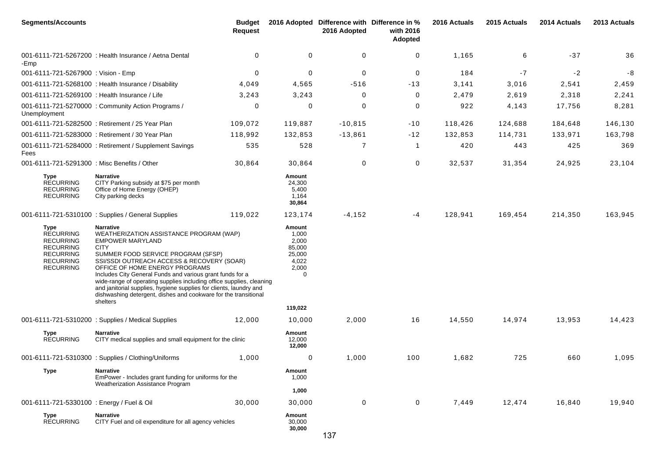| <b>Segments/Accounts</b>                                                                                                     |                                                                                                                                                                                                                                                                                                                                                                                                                                                                                                           | <b>Budget</b><br><b>Request</b> |                                                                            | 2016 Adopted Difference with Difference in %<br>2016 Adopted | with 2016<br>Adopted | 2016 Actuals | 2015 Actuals | 2014 Actuals | 2013 Actuals |
|------------------------------------------------------------------------------------------------------------------------------|-----------------------------------------------------------------------------------------------------------------------------------------------------------------------------------------------------------------------------------------------------------------------------------------------------------------------------------------------------------------------------------------------------------------------------------------------------------------------------------------------------------|---------------------------------|----------------------------------------------------------------------------|--------------------------------------------------------------|----------------------|--------------|--------------|--------------|--------------|
| -Emp                                                                                                                         | 001-6111-721-5267200 : Health Insurance / Aetna Dental                                                                                                                                                                                                                                                                                                                                                                                                                                                    | $\mathbf 0$                     | 0                                                                          | 0                                                            | 0                    | 1,165        | 6            | $-37$        | 36           |
| 001-6111-721-5267900 : Vision - Emp                                                                                          |                                                                                                                                                                                                                                                                                                                                                                                                                                                                                                           | $\mathbf 0$                     | 0                                                                          | 0                                                            | 0                    | 184          | $-7$         | $-2$         | $-8$         |
|                                                                                                                              | 001-6111-721-5268100 : Health Insurance / Disability                                                                                                                                                                                                                                                                                                                                                                                                                                                      | 4,049                           | 4,565                                                                      | $-516$                                                       | $-13$                | 3,141        | 3,016        | 2,541        | 2,459        |
| 001-6111-721-5269100 : Health Insurance / Life                                                                               |                                                                                                                                                                                                                                                                                                                                                                                                                                                                                                           | 3,243                           | 3,243                                                                      | $\Omega$                                                     | 0                    | 2,479        | 2,619        | 2,318        | 2,241        |
| Unemployment                                                                                                                 | 001-6111-721-5270000 : Community Action Programs /                                                                                                                                                                                                                                                                                                                                                                                                                                                        | 0                               | 0                                                                          | 0                                                            | 0                    | 922          | 4,143        | 17,756       | 8,281        |
|                                                                                                                              | 001-6111-721-5282500 : Retirement / 25 Year Plan                                                                                                                                                                                                                                                                                                                                                                                                                                                          | 109,072                         | 119,887                                                                    | $-10,815$                                                    | $-10$                | 118,426      | 124,688      | 184,648      | 146,130      |
|                                                                                                                              | 001-6111-721-5283000 : Retirement / 30 Year Plan                                                                                                                                                                                                                                                                                                                                                                                                                                                          | 118,992                         | 132,853                                                                    | $-13,861$                                                    | $-12$                | 132,853      | 114,731      | 133,971      | 163,798      |
| Fees                                                                                                                         | 001-6111-721-5284000: Retirement / Supplement Savings                                                                                                                                                                                                                                                                                                                                                                                                                                                     | 535                             | 528                                                                        | $\overline{7}$                                               | $\mathbf 1$          | 420          | 443          | 425          | 369          |
| 001-6111-721-5291300 : Misc Benefits / Other                                                                                 |                                                                                                                                                                                                                                                                                                                                                                                                                                                                                                           | 30,864                          | 30,864                                                                     | 0                                                            | 0                    | 32,537       | 31,354       | 24,925       | 23,104       |
| Type<br><b>RECURRING</b><br><b>RECURRING</b><br><b>RECURRING</b>                                                             | <b>Narrative</b><br>CITY Parking subsidy at \$75 per month<br>Office of Home Energy (OHEP)<br>City parking decks                                                                                                                                                                                                                                                                                                                                                                                          |                                 | Amount<br>24,300<br>5,400<br>1,164<br>30,864                               |                                                              |                      |              |              |              |              |
|                                                                                                                              | 001-6111-721-5310100 : Supplies / General Supplies                                                                                                                                                                                                                                                                                                                                                                                                                                                        | 119,022                         | 123,174                                                                    | $-4,152$                                                     | -4                   | 128,941      | 169,454      | 214,350      | 163,945      |
| Type<br><b>RECURRING</b><br><b>RECURRING</b><br><b>RECURRING</b><br><b>RECURRING</b><br><b>RECURRING</b><br><b>RECURRING</b> | <b>Narrative</b><br>WEATHERIZATION ASSISTANCE PROGRAM (WAP)<br><b>EMPOWER MARYLAND</b><br><b>CITY</b><br>SUMMER FOOD SERVICE PROGRAM (SFSP)<br>SSI/SSDI OUTREACH ACCESS & RECOVERY (SOAR)<br>OFFICE OF HOME ENERGY PROGRAMS<br>Includes City General Funds and various grant funds for a<br>wide-range of operating supplies including office supplies, cleaning<br>and janitorial supplies, hygiene supplies for clients, laundry and<br>dishwashing detergent, dishes and cookware for the transitional |                                 | Amount<br>1,000<br>2,000<br>85,000<br>25,000<br>4,022<br>2,000<br>$\Omega$ |                                                              |                      |              |              |              |              |
|                                                                                                                              |                                                                                                                                                                                                                                                                                                                                                                                                                                                                                                           |                                 | 119,022                                                                    |                                                              |                      |              |              |              |              |
|                                                                                                                              | 001-6111-721-5310200 : Supplies / Medical Supplies                                                                                                                                                                                                                                                                                                                                                                                                                                                        | 12,000                          | 10,000                                                                     | 2,000                                                        | 16                   | 14,550       | 14,974       | 13,953       | 14,423       |
| Type<br><b>RECURRING</b>                                                                                                     | Narrative<br>CITY medical supplies and small equipment for the clinic                                                                                                                                                                                                                                                                                                                                                                                                                                     |                                 | Amount<br>12,000<br>12,000                                                 |                                                              |                      |              |              |              |              |
|                                                                                                                              | 001-6111-721-5310300: Supplies / Clothing/Uniforms                                                                                                                                                                                                                                                                                                                                                                                                                                                        | 1,000                           | $\mathbf 0$                                                                | 1,000                                                        | 100                  | 1,682        | 725          | 660          | 1,095        |
| <b>Type</b>                                                                                                                  | <b>Narrative</b><br>EmPower - Includes grant funding for uniforms for the<br>Weatherization Assistance Program                                                                                                                                                                                                                                                                                                                                                                                            |                                 | Amount<br>1,000<br>1,000                                                   |                                                              |                      |              |              |              |              |
|                                                                                                                              |                                                                                                                                                                                                                                                                                                                                                                                                                                                                                                           |                                 |                                                                            |                                                              |                      |              |              |              |              |
| 001-6111-721-5330100 : Energy / Fuel & Oil                                                                                   |                                                                                                                                                                                                                                                                                                                                                                                                                                                                                                           | 30,000                          | 30,000                                                                     | 0                                                            | 0                    | 7,449        | 12,474       | 16,840       | 19,940       |
| Type<br><b>RECURRING</b>                                                                                                     | <b>Narrative</b><br>CITY Fuel and oil expenditure for all agency vehicles                                                                                                                                                                                                                                                                                                                                                                                                                                 |                                 | Amount<br>30,000<br>30,000                                                 |                                                              |                      |              |              |              |              |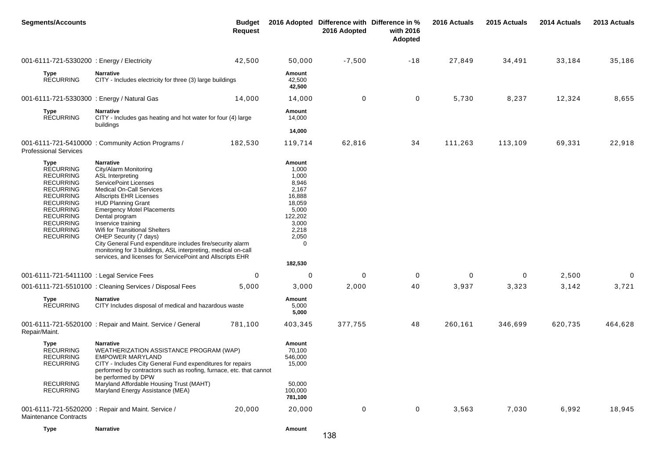| <b>Segments/Accounts</b>                                                                                                                                                                                                         |                                                                                                                                                                                                                                                                                                                                                                                                                                                                                                                                | <b>Budget</b><br><b>Request</b> |                                                                                                                               | 2016 Adopted Difference with Difference in %<br>2016 Adopted | with 2016<br>Adopted | 2016 Actuals | 2015 Actuals | 2014 Actuals | 2013 Actuals |
|----------------------------------------------------------------------------------------------------------------------------------------------------------------------------------------------------------------------------------|--------------------------------------------------------------------------------------------------------------------------------------------------------------------------------------------------------------------------------------------------------------------------------------------------------------------------------------------------------------------------------------------------------------------------------------------------------------------------------------------------------------------------------|---------------------------------|-------------------------------------------------------------------------------------------------------------------------------|--------------------------------------------------------------|----------------------|--------------|--------------|--------------|--------------|
| 001-6111-721-5330200 : Energy / Electricity                                                                                                                                                                                      |                                                                                                                                                                                                                                                                                                                                                                                                                                                                                                                                | 42,500                          | 50,000                                                                                                                        | $-7,500$                                                     | $-18$                | 27,849       | 34,491       | 33,184       | 35,186       |
| Type<br><b>RECURRING</b>                                                                                                                                                                                                         | <b>Narrative</b><br>CITY - Includes electricity for three (3) large buildings                                                                                                                                                                                                                                                                                                                                                                                                                                                  |                                 | Amount<br>42,500<br>42,500                                                                                                    |                                                              |                      |              |              |              |              |
| 001-6111-721-5330300 : Energy / Natural Gas                                                                                                                                                                                      |                                                                                                                                                                                                                                                                                                                                                                                                                                                                                                                                | 14,000                          | 14,000                                                                                                                        | 0                                                            | $\mathbf 0$          | 5,730        | 8,237        | 12,324       | 8,655        |
| Type<br><b>RECURRING</b>                                                                                                                                                                                                         | <b>Narrative</b><br>CITY - Includes gas heating and hot water for four (4) large<br>buildings                                                                                                                                                                                                                                                                                                                                                                                                                                  |                                 | Amount<br>14,000<br>14,000                                                                                                    |                                                              |                      |              |              |              |              |
| <b>Professional Services</b>                                                                                                                                                                                                     | 001-6111-721-5410000 : Community Action Programs /                                                                                                                                                                                                                                                                                                                                                                                                                                                                             | 182,530                         | 119,714                                                                                                                       | 62,816                                                       | 34                   | 111,263      | 113,109      | 69,331       | 22,918       |
| Type<br><b>RECURRING</b><br><b>RECURRING</b><br><b>RECURRING</b><br><b>RECURRING</b><br><b>RECURRING</b><br><b>RECURRING</b><br><b>RECURRING</b><br><b>RECURRING</b><br><b>RECURRING</b><br><b>RECURRING</b><br><b>RECURRING</b> | <b>Narrative</b><br>City/Alarm Monitoring<br>ASL Interpreting<br>ServicePoint Licenses<br><b>Medical On-Call Services</b><br><b>Allscripts EHR Licenses</b><br><b>HUD Planning Grant</b><br><b>Emergency Motel Placements</b><br>Dental program<br>Inservice training<br>Wifi for Transitional Shelters<br>OHEP Security (7 days)<br>City General Fund expenditure includes fire/security alarm<br>monitoring for 3 buildings, ASL interpreting, medical on-call<br>services, and licenses for ServicePoint and Allscripts EHR |                                 | Amount<br>1,000<br>1,000<br>8,946<br>2,167<br>16,888<br>18,059<br>5,000<br>122,202<br>3,000<br>2,218<br>2,050<br>0<br>182,530 |                                                              |                      |              |              |              |              |
| 001-6111-721-5411100 : Legal Service Fees                                                                                                                                                                                        |                                                                                                                                                                                                                                                                                                                                                                                                                                                                                                                                | $\mathbf 0$                     | 0                                                                                                                             | 0                                                            | 0                    | $\mathbf 0$  | 0            | 2,500        | 0            |
|                                                                                                                                                                                                                                  | 001-6111-721-5510100 : Cleaning Services / Disposal Fees                                                                                                                                                                                                                                                                                                                                                                                                                                                                       | 5,000                           | 3,000                                                                                                                         | 2,000                                                        | 40                   | 3,937        | 3,323        | 3,142        | 3,721        |
| Type<br><b>RECURRING</b>                                                                                                                                                                                                         | <b>Narrative</b><br>CITY Includes disposal of medical and hazardous waste                                                                                                                                                                                                                                                                                                                                                                                                                                                      |                                 | Amount<br>5,000<br>5,000                                                                                                      |                                                              |                      |              |              |              |              |
| Repair/Maint.                                                                                                                                                                                                                    | 001-6111-721-5520100 : Repair and Maint. Service / General                                                                                                                                                                                                                                                                                                                                                                                                                                                                     | 781,100                         | 403,345                                                                                                                       | 377,755                                                      | 48                   | 260,161      | 346,699      | 620,735      | 464,628      |
| Type<br><b>RECURRING</b><br><b>RECURRING</b><br><b>RECURRING</b><br><b>RECURRING</b>                                                                                                                                             | <b>Narrative</b><br>WEATHERIZATION ASSISTANCE PROGRAM (WAP)<br><b>EMPOWER MARYLAND</b><br>CITY - Includes City General Fund expenditures for repairs<br>performed by contractors such as roofing, furnace, etc. that cannot<br>be performed by DPW<br>Maryland Affordable Housing Trust (MAHT)                                                                                                                                                                                                                                 |                                 | Amount<br>70,100<br>546,000<br>15,000<br>50,000                                                                               |                                                              |                      |              |              |              |              |
| <b>RECURRING</b>                                                                                                                                                                                                                 | Maryland Energy Assistance (MEA)                                                                                                                                                                                                                                                                                                                                                                                                                                                                                               |                                 | 100,000<br>781,100                                                                                                            |                                                              |                      |              |              |              |              |
| <b>Maintenance Contracts</b>                                                                                                                                                                                                     | 001-6111-721-5520200 : Repair and Maint. Service /                                                                                                                                                                                                                                                                                                                                                                                                                                                                             | 20,000                          | 20,000                                                                                                                        | 0                                                            | $\mathbf 0$          | 3,563        | 7,030        | 6,992        | 18,945       |
| Type                                                                                                                                                                                                                             | <b>Narrative</b>                                                                                                                                                                                                                                                                                                                                                                                                                                                                                                               |                                 | Amount                                                                                                                        |                                                              |                      |              |              |              |              |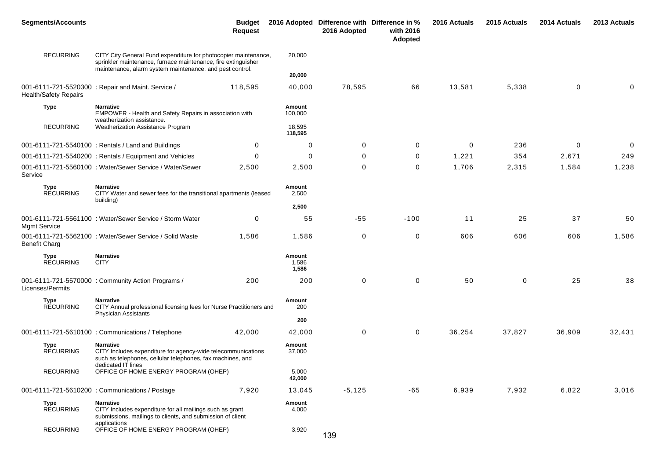| <b>Segments/Accounts</b>        |                                                                                                                                                                                              | <b>Budget</b><br><b>Request</b> |                                        | 2016 Adopted Difference with Difference in %<br>2016 Adopted | with 2016<br>Adopted | 2016 Actuals | 2015 Actuals | 2014 Actuals | 2013 Actuals |
|---------------------------------|----------------------------------------------------------------------------------------------------------------------------------------------------------------------------------------------|---------------------------------|----------------------------------------|--------------------------------------------------------------|----------------------|--------------|--------------|--------------|--------------|
| <b>RECURRING</b>                | CITY City General Fund expenditure for photocopier maintenance,<br>sprinkler maintenance, furnace maintenance, fire extinguisher<br>maintenance, alarm system maintenance, and pest control. |                                 | 20,000<br>20,000                       |                                                              |                      |              |              |              |              |
| <b>Health/Safety Repairs</b>    | 001-6111-721-5520300 : Repair and Maint. Service /                                                                                                                                           | 118,595                         | 40,000                                 | 78,595                                                       | 66                   | 13,581       | 5,338        | 0            | 0            |
| <b>Type</b><br><b>RECURRING</b> | <b>Narrative</b><br>EMPOWER - Health and Safety Repairs in association with<br>weatherization assistance.<br>Weatherization Assistance Program                                               |                                 | Amount<br>100,000<br>18,595<br>118,595 |                                                              |                      |              |              |              |              |
|                                 | 001-6111-721-5540100 : Rentals / Land and Buildings                                                                                                                                          | 0                               | 0                                      | 0                                                            | 0                    | 0            | 236          | 0            | 0            |
|                                 | 001-6111-721-5540200: Rentals / Equipment and Vehicles                                                                                                                                       | $\Omega$                        | 0                                      | 0                                                            | 0                    | 1,221        | 354          | 2,671        | 249          |
| Service                         | 001-6111-721-5560100 : Water/Sewer Service / Water/Sewer                                                                                                                                     | 2,500                           | 2,500                                  | $\mathbf 0$                                                  | 0                    | 1,706        | 2,315        | 1,584        | 1,238        |
| Type<br><b>RECURRING</b>        | <b>Narrative</b><br>CITY Water and sewer fees for the transitional apartments (leased<br>building)                                                                                           |                                 | Amount<br>2,500<br>2,500               |                                                              |                      |              |              |              |              |
|                                 |                                                                                                                                                                                              |                                 |                                        |                                                              |                      |              |              |              |              |
| <b>Mgmt Service</b>             | 001-6111-721-5561100 : Water/Sewer Service / Storm Water                                                                                                                                     | 0                               | 55                                     | $-55$                                                        | $-100$               | 11           | 25           | 37           | 50           |
| <b>Benefit Charg</b>            | 001-6111-721-5562100 : Water/Sewer Service / Solid Waste                                                                                                                                     | 1,586                           | 1,586                                  | $\mathbf 0$                                                  | 0                    | 606          | 606          | 606          | 1,586        |
| Type<br><b>RECURRING</b>        | <b>Narrative</b><br><b>CITY</b>                                                                                                                                                              |                                 | Amount<br>1,586<br>1,586               |                                                              |                      |              |              |              |              |
| Licenses/Permits                | 001-6111-721-5570000 : Community Action Programs /                                                                                                                                           | 200                             | 200                                    | 0                                                            | 0                    | 50           | 0            | 25           | 38           |
| <b>Type</b><br><b>RECURRING</b> | <b>Narrative</b><br>CITY Annual professional licensing fees for Nurse Practitioners and<br>Physician Assistants                                                                              |                                 | Amount<br>200                          |                                                              |                      |              |              |              |              |
|                                 |                                                                                                                                                                                              |                                 | 200                                    |                                                              |                      |              |              |              |              |
|                                 | 001-6111-721-5610100 : Communications / Telephone                                                                                                                                            | 42,000                          | 42,000                                 | 0                                                            | 0                    | 36,254       | 37,827       | 36,909       | 32,431       |
| Type<br><b>RECURRING</b>        | Narrative<br>CITY Includes expenditure for agency-wide telecommunications<br>such as telephones, cellular telephones, fax machines, and<br>dedicated IT lines                                |                                 | Amount<br>37,000                       |                                                              |                      |              |              |              |              |
| <b>RECURRING</b>                | OFFICE OF HOME ENERGY PROGRAM (OHEP)                                                                                                                                                         |                                 | 5,000<br>42,000                        |                                                              |                      |              |              |              |              |
|                                 | 001-6111-721-5610200 : Communications / Postage                                                                                                                                              | 7,920                           | 13,045                                 | $-5,125$                                                     | $-65$                | 6,939        | 7,932        | 6,822        | 3,016        |
| Type<br><b>RECURRING</b>        | <b>Narrative</b><br>CITY Includes expenditure for all mailings such as grant<br>submissions, mailings to clients, and submission of client                                                   |                                 | Amount<br>4,000                        |                                                              |                      |              |              |              |              |
| <b>RECURRING</b>                | applications<br>OFFICE OF HOME ENERGY PROGRAM (OHEP)                                                                                                                                         |                                 | 3,920                                  | 139                                                          |                      |              |              |              |              |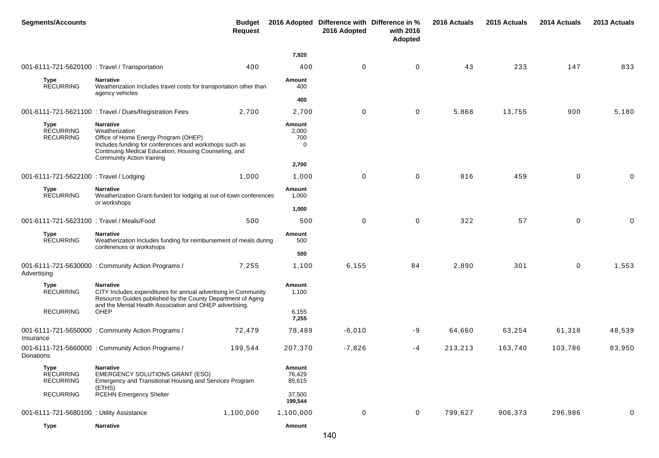| <b>Segments/Accounts</b>                       |                                                                                                                                                                                                                                   | <b>Budget</b><br><b>Request</b> |                                                | 2016 Adopted Difference with Difference in %<br>2016 Adopted | with 2016<br>Adopted | 2016 Actuals | 2015 Actuals | 2014 Actuals | 2013 Actuals |
|------------------------------------------------|-----------------------------------------------------------------------------------------------------------------------------------------------------------------------------------------------------------------------------------|---------------------------------|------------------------------------------------|--------------------------------------------------------------|----------------------|--------------|--------------|--------------|--------------|
|                                                |                                                                                                                                                                                                                                   |                                 | 7,920                                          |                                                              |                      |              |              |              |              |
| 001-6111-721-5620100 : Travel / Transportation |                                                                                                                                                                                                                                   | 400                             | 400                                            | 0                                                            | 0                    | 43           | 233          | 147          | 833          |
| <b>Type</b><br><b>RECURRING</b>                | <b>Narrative</b><br>Weatherization Includes travel costs for transportation other than<br>agency vehicles                                                                                                                         |                                 | Amount<br>400                                  |                                                              |                      |              |              |              |              |
|                                                |                                                                                                                                                                                                                                   |                                 | 400                                            |                                                              |                      |              |              |              |              |
|                                                | 001-6111-721-5621100 : Travel / Dues/Registration Fees                                                                                                                                                                            | 2,700                           | 2,700                                          | 0                                                            | 0                    | 5,868        | 13,755       | 900          | 5,180        |
| Type<br><b>RECURRING</b><br><b>RECURRING</b>   | <b>Narrative</b><br>Weatherization<br>Office of Home Energy Program (OHEP)<br>Includes funding for conferences and workshops such as<br>Continuing Medical Education, Housing Counseling, and<br><b>Community Action training</b> |                                 | Amount<br>2,000<br>700<br>$\mathbf 0$<br>2,700 |                                                              |                      |              |              |              |              |
| 001-6111-721-5622100 : Travel / Lodging        |                                                                                                                                                                                                                                   | 1,000                           | 1,000                                          | $\mathbf 0$                                                  | 0                    | 816          | 459          | $\mathbf 0$  | 0            |
| Type<br><b>RECURRING</b>                       | <b>Narrative</b><br>Weatherization Grant-funded for lodging at out-of-town conferences<br>or workshops                                                                                                                            |                                 | Amount<br>1,000                                |                                                              |                      |              |              |              |              |
|                                                |                                                                                                                                                                                                                                   |                                 | 1,000                                          |                                                              |                      |              |              |              |              |
| 001-6111-721-5623100 : Travel / Meals/Food     |                                                                                                                                                                                                                                   | 500                             | 500                                            | $\mathbf 0$                                                  | 0                    | 322          | 57           | 0            | 0            |
| <b>Type</b><br><b>RECURRING</b>                | <b>Narrative</b><br>Weatherization Includes funding for reimbursement of meals during<br>conferences or workshops                                                                                                                 |                                 | Amount<br>500                                  |                                                              |                      |              |              |              |              |
|                                                |                                                                                                                                                                                                                                   |                                 | 500                                            |                                                              |                      |              |              |              |              |
| Advertising                                    | 001-6111-721-5630000 : Community Action Programs /                                                                                                                                                                                | 7,255                           | 1,100                                          | 6,155                                                        | 84                   | 2,890        | 301          | 0            | 1,553        |
| Type<br><b>RECURRING</b>                       | <b>Narrative</b><br>CITY Includes expenditures for annual advertising in Community<br>Resource Guides published by the County Department of Aging<br>and the Mental Health Association and OHEP advertising.                      |                                 | Amount<br>1,100                                |                                                              |                      |              |              |              |              |
| <b>RECURRING</b>                               | OHEP                                                                                                                                                                                                                              |                                 | 6,155<br>7,255                                 |                                                              |                      |              |              |              |              |
| Insurance                                      | 001-6111-721-5650000 : Community Action Programs /                                                                                                                                                                                | 72,479                          | 78,489                                         | $-6,010$                                                     | -9                   | 64,660       | 63,254       | 61,318       | 48,539       |
| Donations                                      | 001-6111-721-5660000 : Community Action Programs /                                                                                                                                                                                | 199,544                         | 207,370                                        | $-7,826$                                                     | -4                   | 213,213      | 163,740      | 103,786      | 83,950       |
| Type<br><b>RECURRING</b><br><b>RECURRING</b>   | Narrative<br><b>EMERGENCY SOLUTIONS GRANT (ESG)</b><br>Emergency and Transitional Housing and Services Program<br>(ETHS)                                                                                                          |                                 | Amount<br>76,429<br>85,615                     |                                                              |                      |              |              |              |              |
| <b>RECURRING</b>                               | <b>RCEHN Emergency Shelter</b>                                                                                                                                                                                                    |                                 | 37,500<br>199,544                              |                                                              |                      |              |              |              |              |
| 001-6111-721-5680100 : Utility Assistance      |                                                                                                                                                                                                                                   | 1,100,000                       | 1,100,000                                      | 0                                                            | $\mathbf 0$          | 799,627      | 906,373      | 296,986      | 0            |
| Type                                           | <b>Narrative</b>                                                                                                                                                                                                                  |                                 | Amount                                         |                                                              |                      |              |              |              |              |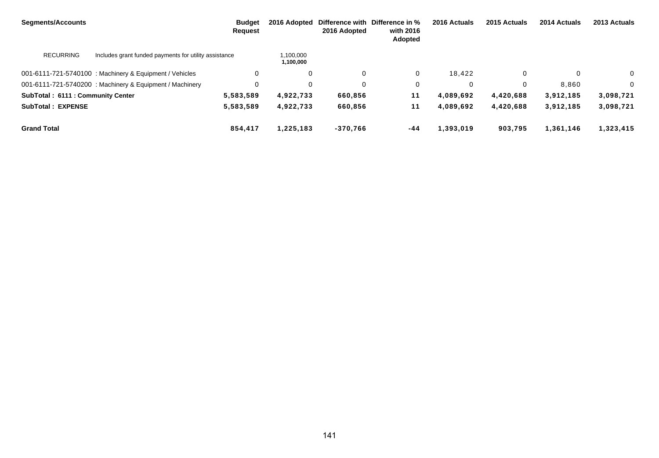| <b>Segments/Accounts</b>         |                                                          | <b>Budget</b><br><b>Request</b> | 2016 Adopted           | 2016 Adopted | Difference with Difference in %<br>with 2016<br>Adopted | 2016 Actuals | 2015 Actuals | 2014 Actuals | 2013 Actuals   |
|----------------------------------|----------------------------------------------------------|---------------------------------|------------------------|--------------|---------------------------------------------------------|--------------|--------------|--------------|----------------|
| <b>RECURRING</b>                 | Includes grant funded payments for utility assistance    |                                 | 1,100,000<br>1,100,000 |              |                                                         |              |              |              |                |
|                                  | 001-6111-721-5740100 : Machinery & Equipment / Vehicles  |                                 |                        |              | 0                                                       | 18.422       |              |              | $\overline{0}$ |
|                                  | 001-6111-721-5740200 : Machinery & Equipment / Machinery |                                 |                        |              | 0                                                       |              |              | 8,860        | $\Omega$       |
| SubTotal: 6111: Community Center |                                                          | 5,583,589                       | 4,922,733              | 660,856      | 11                                                      | 4,089,692    | 4,420,688    | 3,912,185    | 3,098,721      |
| <b>SubTotal: EXPENSE</b>         |                                                          | 5,583,589                       | 4,922,733              | 660,856      | 11                                                      | 4,089,692    | 4,420,688    | 3,912,185    | 3,098,721      |
| <b>Grand Total</b>               |                                                          | 854,417                         | 1.225.183              | $-370,766$   | $-44$                                                   | 1,393,019    | 903.795      | 1,361,146    | 1,323,415      |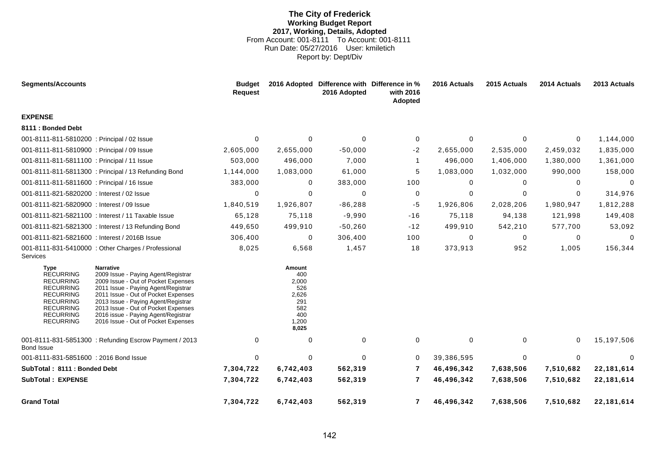### **The City of Frederick Working Budget Report 2017, Working, Details, Adopted** From Account: 001-8111 To Account: 001-8111 Run Date: 05/27/2016 User: kmiletich Report by: Dept/Div

| <b>Segments/Accounts</b>                                                                                                                                             |                                                                                                                                                                                                                                                                                                                                          | <b>Budget</b><br><b>Request</b> |                                                                               | 2016 Adopted Difference with Difference in %<br>2016 Adopted | with 2016<br>Adopted | 2016 Actuals | 2015 Actuals | 2014 Actuals | 2013 Actuals |
|----------------------------------------------------------------------------------------------------------------------------------------------------------------------|------------------------------------------------------------------------------------------------------------------------------------------------------------------------------------------------------------------------------------------------------------------------------------------------------------------------------------------|---------------------------------|-------------------------------------------------------------------------------|--------------------------------------------------------------|----------------------|--------------|--------------|--------------|--------------|
| <b>EXPENSE</b>                                                                                                                                                       |                                                                                                                                                                                                                                                                                                                                          |                                 |                                                                               |                                                              |                      |              |              |              |              |
| 8111 : Bonded Debt                                                                                                                                                   |                                                                                                                                                                                                                                                                                                                                          |                                 |                                                                               |                                                              |                      |              |              |              |              |
| 001-8111-811-5810200 : Principal / 02 Issue                                                                                                                          |                                                                                                                                                                                                                                                                                                                                          | $\mathbf 0$                     | $\mathbf 0$                                                                   | $\Omega$                                                     | $\pmb{0}$            | $\mathbf 0$  | $\mathbf 0$  | $\Omega$     | 1,144,000    |
| 001-8111-811-5810900 : Principal / 09 Issue                                                                                                                          |                                                                                                                                                                                                                                                                                                                                          | 2,605,000                       | 2,655,000                                                                     | $-50,000$                                                    | $-2$                 | 2,655,000    | 2,535,000    | 2,459,032    | 1,835,000    |
| 001-8111-811-5811100 : Principal / 11 Issue                                                                                                                          |                                                                                                                                                                                                                                                                                                                                          | 503.000                         | 496,000                                                                       | 7,000                                                        | $\mathbf{1}$         | 496.000      | 1,406,000    | 1,380,000    | 1,361,000    |
|                                                                                                                                                                      | 001-8111-811-5811300 : Principal / 13 Refunding Bond                                                                                                                                                                                                                                                                                     | 1,144,000                       | 1,083,000                                                                     | 61,000                                                       | 5                    | 1,083,000    | 1,032,000    | 990,000      | 158,000      |
| 001-8111-811-5811600 : Principal / 16 Issue                                                                                                                          |                                                                                                                                                                                                                                                                                                                                          | 383,000                         | 0                                                                             | 383,000                                                      | 100                  | $\Omega$     | $\Omega$     | $\Omega$     | $\mathbf 0$  |
| 001-8111-821-5820200 : Interest / 02 Issue                                                                                                                           |                                                                                                                                                                                                                                                                                                                                          | 0                               | 0                                                                             | $\Omega$                                                     | 0                    | 0            | 0            | $\Omega$     | 314,976      |
| 001-8111-821-5820900 : Interest / 09 Issue                                                                                                                           |                                                                                                                                                                                                                                                                                                                                          | 1,840,519                       | 1,926,807                                                                     | $-86,288$                                                    | -5                   | 1,926,806    | 2,028,206    | 1,980,947    | 1,812,288    |
|                                                                                                                                                                      | 001-8111-821-5821100 : Interest / 11 Taxable Issue                                                                                                                                                                                                                                                                                       | 65,128                          | 75,118                                                                        | $-9,990$                                                     | $-16$                | 75,118       | 94,138       | 121,998      | 149,408      |
|                                                                                                                                                                      | 001-8111-821-5821300 : Interest / 13 Refunding Bond                                                                                                                                                                                                                                                                                      | 449,650                         | 499,910                                                                       | $-50,260$                                                    | $-12$                | 499,910      | 542,210      | 577,700      | 53,092       |
| 001-8111-821-5821600 : Interest / 2016B Issue                                                                                                                        |                                                                                                                                                                                                                                                                                                                                          | 306,400                         | 0                                                                             | 306,400                                                      | 100                  | 0            | 0            | 0            | 0            |
| Services                                                                                                                                                             | 001-8111-831-5410000 : Other Charges / Professional                                                                                                                                                                                                                                                                                      | 8,025                           | 6,568                                                                         | 1,457                                                        | 18                   | 373,913      | 952          | 1,005        | 156,344      |
| Type<br><b>RECURRING</b><br><b>RECURRING</b><br><b>RECURRING</b><br><b>RECURRING</b><br><b>RECURRING</b><br><b>RECURRING</b><br><b>RECURRING</b><br><b>RECURRING</b> | <b>Narrative</b><br>2009 Issue - Paying Agent/Registrar<br>2009 Issue - Out of Pocket Expenses<br>2011 Issue - Paying Agent/Registrar<br>2011 Issue - Out of Pocket Expenses<br>2013 Issue - Paying Agent/Registrar<br>2013 Issue - Out of Pocket Expenses<br>2016 issue - Paying Agent/Registrar<br>2016 Issue - Out of Pocket Expenses |                                 | Amount<br>400<br>2,000<br>526<br>2,626<br>291<br>582<br>400<br>1,200<br>8,025 |                                                              |                      |              |              |              |              |
| <b>Bond Issue</b>                                                                                                                                                    | 001-8111-831-5851300 : Refunding Escrow Payment / 2013                                                                                                                                                                                                                                                                                   | 0                               | 0                                                                             | 0                                                            | 0                    | $\mathbf 0$  | 0            | 0            | 15,197,506   |
| 001-8111-831-5851600 : 2016 Bond Issue                                                                                                                               |                                                                                                                                                                                                                                                                                                                                          | 0                               | $\mathbf 0$                                                                   | $\Omega$                                                     | $\Omega$             | 39,386,595   | $\Omega$     | $\Omega$     | $\Omega$     |
| SubTotal: 8111: Bonded Debt                                                                                                                                          |                                                                                                                                                                                                                                                                                                                                          | 7,304,722                       | 6,742,403                                                                     | 562,319                                                      | $\overline{7}$       | 46,496,342   | 7,638,506    | 7,510,682    | 22,181,614   |
| <b>SubTotal: EXPENSE</b>                                                                                                                                             |                                                                                                                                                                                                                                                                                                                                          | 7,304,722                       | 6,742,403                                                                     | 562,319                                                      | 7                    | 46,496,342   | 7,638,506    | 7,510,682    | 22,181,614   |
| <b>Grand Total</b>                                                                                                                                                   |                                                                                                                                                                                                                                                                                                                                          | 7,304,722                       | 6,742,403                                                                     | 562,319                                                      | $\mathbf{7}$         | 46,496,342   | 7,638,506    | 7,510,682    | 22,181,614   |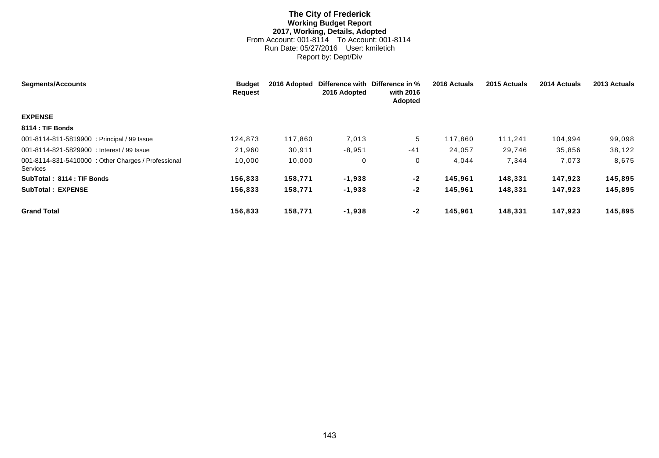# **The City of Frederick Working Budget Report 2017, Working, Details, Adopted** From Account: 001-8114 To Account: 001-8114 Run Date: 05/27/2016 User: kmiletich Report by: Dept/Div

| <b>Segments/Accounts</b>                                       | <b>Budget</b><br>Request | 2016 Adopted | 2016 Adopted | Difference with Difference in %<br>with 2016<br>Adopted | 2016 Actuals | 2015 Actuals | 2014 Actuals | 2013 Actuals |
|----------------------------------------------------------------|--------------------------|--------------|--------------|---------------------------------------------------------|--------------|--------------|--------------|--------------|
| <b>EXPENSE</b>                                                 |                          |              |              |                                                         |              |              |              |              |
| 8114 : TIF Bonds                                               |                          |              |              |                                                         |              |              |              |              |
| 001-8114-811-5819900 : Principal / 99 Issue                    | 124,873                  | 117,860      | 7,013        | 5                                                       | 117,860      | 111,241      | 104,994      | 99,098       |
| 001-8114-821-5829900 : Interest / 99 Issue                     | 21,960                   | 30,911       | $-8,951$     | $-41$                                                   | 24,057       | 29,746       | 35,856       | 38,122       |
| 001-8114-831-5410000: Other Charges / Professional<br>Services | 10.000                   | 10,000       | 0            | 0                                                       | 4,044        | 7,344        | 7,073        | 8,675        |
| SubTotal: 8114: TIF Bonds                                      | 156,833                  | 158,771      | -1,938       | $-2$                                                    | 145,961      | 148,331      | 147,923      | 145,895      |
| <b>SubTotal: EXPENSE</b>                                       | 156,833                  | 158,771      | $-1,938$     | $-2$                                                    | 145,961      | 148,331      | 147,923      | 145,895      |
| <b>Grand Total</b>                                             | 156,833                  | 158,771      | $-1,938$     | $-2$                                                    | 145,961      | 148,331      | 147,923      | 145,895      |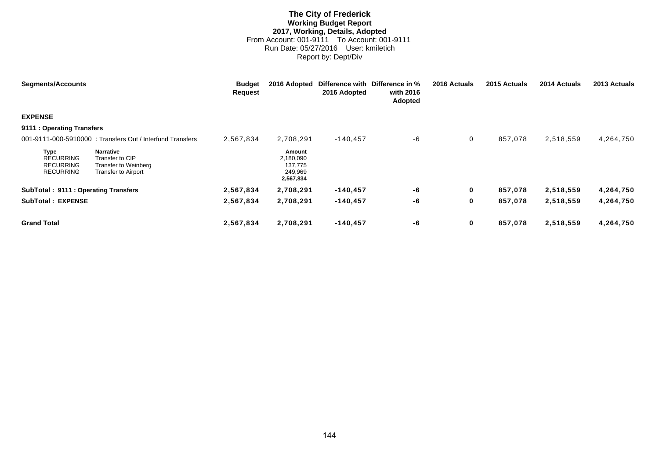# **The City of Frederick Working Budget Report 2017, Working, Details, Adopted** From Account: 001-9111 To Account: 001-9111 Run Date: 05/27/2016 User: kmiletich Report by: Dept/Div

| <b>Segments/Accounts</b>                                                |                                                                                           | <b>Budget</b><br><b>Request</b> | 2016 Adopted                                           | 2016 Adopted | Difference with Difference in %<br>with 2016<br>Adopted | 2016 Actuals | 2015 Actuals | 2014 Actuals | 2013 Actuals |
|-------------------------------------------------------------------------|-------------------------------------------------------------------------------------------|---------------------------------|--------------------------------------------------------|--------------|---------------------------------------------------------|--------------|--------------|--------------|--------------|
| <b>EXPENSE</b>                                                          |                                                                                           |                                 |                                                        |              |                                                         |              |              |              |              |
| 9111 : Operating Transfers                                              |                                                                                           |                                 |                                                        |              |                                                         |              |              |              |              |
|                                                                         | 001-9111-000-5910000: Transfers Out / Interfund Transfers                                 | 2,567,834                       | 2,708,291                                              | $-140, 457$  | -6                                                      | $\mathbf 0$  | 857,078      | 2,518,559    | 4,264,750    |
| <b>Type</b><br><b>RECURRING</b><br><b>RECURRING</b><br><b>RECURRING</b> | <b>Narrative</b><br>Transfer to CIP<br>Transfer to Weinberg<br><b>Transfer to Airport</b> |                                 | Amount<br>2,180,090<br>137,775<br>249,969<br>2,567,834 |              |                                                         |              |              |              |              |
| SubTotal: 9111: Operating Transfers                                     |                                                                                           | 2,567,834                       | 2,708,291                                              | $-140, 457$  | -6                                                      | $\mathbf 0$  | 857,078      | 2,518,559    | 4,264,750    |
| <b>SubTotal: EXPENSE</b>                                                |                                                                                           | 2,567,834                       | 2,708,291                                              | $-140, 457$  | -6                                                      | $\mathbf 0$  | 857,078      | 2,518,559    | 4,264,750    |
| <b>Grand Total</b>                                                      |                                                                                           | 2,567,834                       | 2,708,291                                              | $-140, 457$  | -6                                                      | 0            | 857,078      | 2,518,559    | 4,264,750    |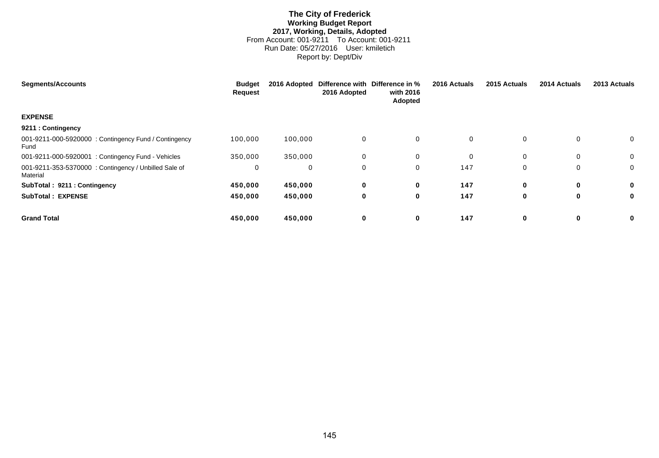# **The City of Frederick Working Budget Report 2017, Working, Details, Adopted** From Account: 001-9211 To Account: 001-9211 Run Date: 05/27/2016 User: kmiletich Report by: Dept/Div

| <b>Segments/Accounts</b>                                         | <b>Budget</b><br>Request | 2016 Adopted | 2016 Adopted | Difference with Difference in %<br>with 2016<br>Adopted | 2016 Actuals | 2015 Actuals | 2014 Actuals | 2013 Actuals   |
|------------------------------------------------------------------|--------------------------|--------------|--------------|---------------------------------------------------------|--------------|--------------|--------------|----------------|
| <b>EXPENSE</b>                                                   |                          |              |              |                                                         |              |              |              |                |
| 9211 : Contingency                                               |                          |              |              |                                                         |              |              |              |                |
| 001-9211-000-5920000: Contingency Fund / Contingency<br>Fund     | 100,000                  | 100,000      | 0            | 0                                                       | $\mathbf 0$  | 0            | 0            | $\overline{0}$ |
| 001-9211-000-5920001 : Contingency Fund - Vehicles               | 350,000                  | 350,000      | $\mathbf 0$  | 0                                                       | $\Omega$     | 0            | 0            | $\mathbf 0$    |
| 001-9211-353-5370000: Contingency / Unbilled Sale of<br>Material | 0                        | $\mathbf 0$  | $\mathbf 0$  | 0                                                       | 147          | $\Omega$     | 0            | $\Omega$       |
| SubTotal: 9211: Contingency                                      | 450,000                  | 450,000      | 0            | 0                                                       | 147          | 0            | $\mathbf 0$  | $\mathbf 0$    |
| <b>SubTotal: EXPENSE</b>                                         | 450,000                  | 450,000      | 0            | 0                                                       | 147          | $\bf{0}$     | 0            | 0              |
| <b>Grand Total</b>                                               | 450,000                  | 450,000      | 0            | 0                                                       | 147          | 0            | 0            | 0              |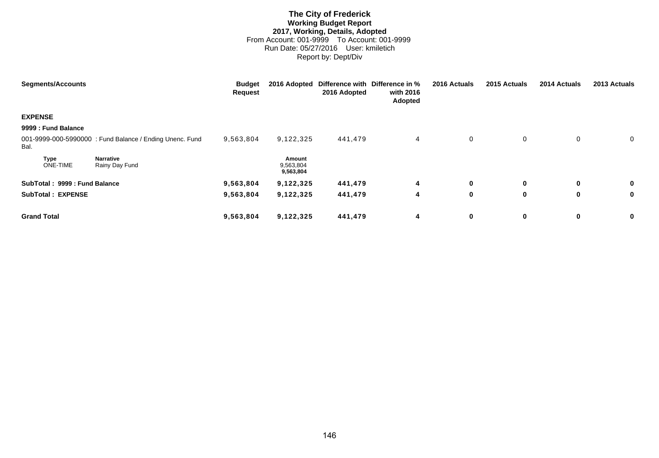# **The City of Frederick Working Budget Report 2017, Working, Details, Adopted** From Account: 001-9999 To Account: 001-9999 Run Date: 05/27/2016 User: kmiletich Report by: Dept/Div

| <b>Segments/Accounts</b>      |                                                          | <b>Budget</b><br><b>Request</b> | 2016 Adopted                     | 2016 Adopted | Difference with Difference in %<br>with 2016<br>Adopted | 2016 Actuals | 2015 Actuals | 2014 Actuals | 2013 Actuals |
|-------------------------------|----------------------------------------------------------|---------------------------------|----------------------------------|--------------|---------------------------------------------------------|--------------|--------------|--------------|--------------|
| <b>EXPENSE</b>                |                                                          |                                 |                                  |              |                                                         |              |              |              |              |
| 9999 : Fund Balance           |                                                          |                                 |                                  |              |                                                         |              |              |              |              |
| Bal.                          | 001-9999-000-5990000 : Fund Balance / Ending Unenc. Fund | 9,563,804                       | 9,122,325                        | 441,479      | 4                                                       | 0            | 0            | 0            | 0            |
| Type<br><b>ONE-TIME</b>       | <b>Narrative</b><br>Rainy Day Fund                       |                                 | Amount<br>9,563,804<br>9,563,804 |              |                                                         |              |              |              |              |
| SubTotal: 9999 : Fund Balance |                                                          | 9,563,804                       | 9,122,325                        | 441,479      | 4                                                       | $\mathbf 0$  | 0            | 0            | 0            |
| <b>SubTotal: EXPENSE</b>      |                                                          | 9,563,804                       | 9,122,325                        | 441,479      | 4                                                       | 0            | 0            | 0            | 0            |
| <b>Grand Total</b>            |                                                          | 9,563,804                       | 9,122,325                        | 441,479      | 4                                                       | 0            | 0            | 0            | 0            |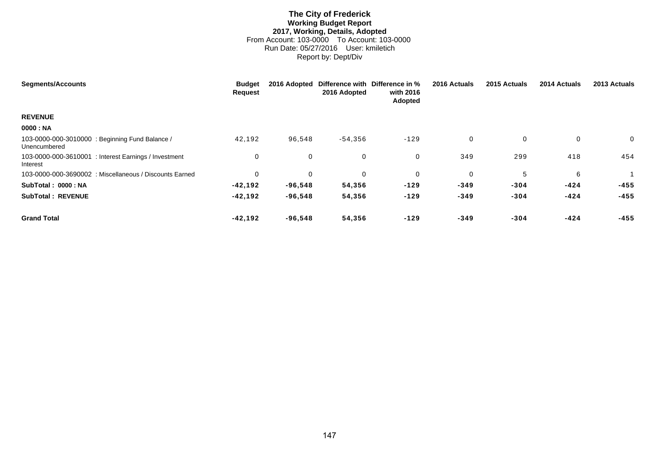# **The City of Frederick Working Budget Report 2017, Working, Details, Adopted** From Account: 103-0000 To Account: 103-0000 Run Date: 05/27/2016 User: kmiletich Report by: Dept/Div

| <b>Segments/Accounts</b>                                          | <b>Budget</b><br><b>Request</b> | 2016 Adopted | 2016 Adopted | Difference with Difference in %<br>with 2016<br>Adopted | 2016 Actuals | 2015 Actuals | 2014 Actuals | 2013 Actuals |
|-------------------------------------------------------------------|---------------------------------|--------------|--------------|---------------------------------------------------------|--------------|--------------|--------------|--------------|
| <b>REVENUE</b>                                                    |                                 |              |              |                                                         |              |              |              |              |
| 0000 : NA                                                         |                                 |              |              |                                                         |              |              |              |              |
| 103-0000-000-3010000 : Beginning Fund Balance /<br>Unencumbered   | 42,192                          | 96,548       | $-54,356$    | $-129$                                                  | $\mathbf 0$  | 0            | 0            | $\mathbf{0}$ |
| 103-0000-000-3610001 : Interest Earnings / Investment<br>Interest | 0                               | 0            | $\mathbf 0$  | 0                                                       | 349          | 299          | 418          | 454          |
| 103-0000-000-3690002 : Miscellaneous / Discounts Earned           | $\mathbf 0$                     | $\mathbf 0$  | $\mathbf 0$  | 0                                                       | $\mathbf 0$  | 5            | 6            |              |
| SubTotal: 0000: NA                                                | $-42,192$                       | $-96,548$    | 54,356       | $-129$                                                  | $-349$       | $-304$       | $-424$       | $-455$       |
| <b>SubTotal: REVENUE</b>                                          | $-42,192$                       | $-96,548$    | 54,356       | $-129$                                                  | $-349$       | $-304$       | $-424$       | $-455$       |
| <b>Grand Total</b>                                                | $-42,192$                       | $-96,548$    | 54,356       | $-129$                                                  | $-349$       | $-304$       | $-424$       | $-455$       |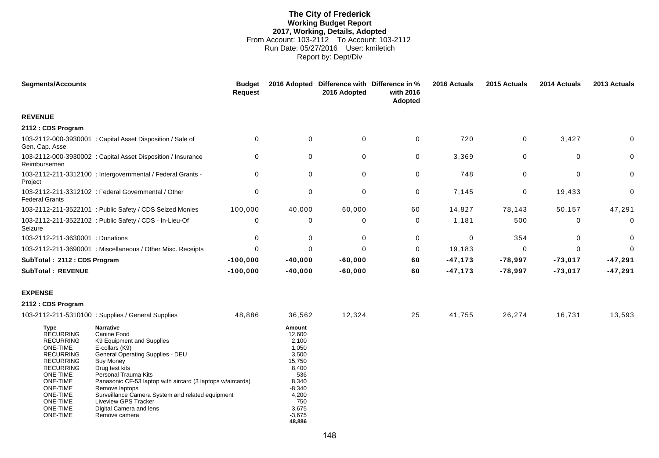# **The City of Frederick Working Budget Report 2017, Working, Details, Adopted** From Account: 103-2112 To Account: 103-2112 Run Date: 05/27/2016 User: kmiletich Report by: Dept/Div

| <b>Segments/Accounts</b>                                                                                                                                                                                                             |                                                                                                                                                                                                                                                                                                                                                                                                 | <b>Budget</b><br><b>Request</b> |                                                                                                                                           | 2016 Adopted Difference with Difference in %<br>2016 Adopted | with 2016<br>Adopted | 2016 Actuals | 2015 Actuals | 2014 Actuals | 2013 Actuals |
|--------------------------------------------------------------------------------------------------------------------------------------------------------------------------------------------------------------------------------------|-------------------------------------------------------------------------------------------------------------------------------------------------------------------------------------------------------------------------------------------------------------------------------------------------------------------------------------------------------------------------------------------------|---------------------------------|-------------------------------------------------------------------------------------------------------------------------------------------|--------------------------------------------------------------|----------------------|--------------|--------------|--------------|--------------|
| <b>REVENUE</b>                                                                                                                                                                                                                       |                                                                                                                                                                                                                                                                                                                                                                                                 |                                 |                                                                                                                                           |                                                              |                      |              |              |              |              |
| 2112 : CDS Program                                                                                                                                                                                                                   |                                                                                                                                                                                                                                                                                                                                                                                                 |                                 |                                                                                                                                           |                                                              |                      |              |              |              |              |
| Gen. Cap. Asse                                                                                                                                                                                                                       | 103-2112-000-3930001: Capital Asset Disposition / Sale of                                                                                                                                                                                                                                                                                                                                       | $\mathbf 0$                     | $\mathbf 0$                                                                                                                               | $\mathbf 0$                                                  | $\mathbf 0$          | 720          | $\mathbf 0$  | 3,427        | $\Omega$     |
| Reimbursemen                                                                                                                                                                                                                         | 103-2112-000-3930002 : Capital Asset Disposition / Insurance                                                                                                                                                                                                                                                                                                                                    | $\mathbf 0$                     | $\mathbf 0$                                                                                                                               | $\mathbf 0$                                                  | 0                    | 3,369        | 0            | $\mathbf 0$  | $\Omega$     |
| Project                                                                                                                                                                                                                              | 103-2112-211-3312100 : Intergovernmental / Federal Grants -                                                                                                                                                                                                                                                                                                                                     | $\mathbf 0$                     | $\mathbf 0$                                                                                                                               | $\mathbf 0$                                                  | 0                    | 748          | 0            | $\mathbf 0$  | $\Omega$     |
| <b>Federal Grants</b>                                                                                                                                                                                                                | 103-2112-211-3312102 : Federal Governmental / Other                                                                                                                                                                                                                                                                                                                                             | $\mathbf 0$                     | $\mathbf 0$                                                                                                                               | $\mathbf 0$                                                  | 0                    | 7,145        | 0            | 19,433       | 0            |
|                                                                                                                                                                                                                                      | 103-2112-211-3522101 : Public Safety / CDS Seized Monies                                                                                                                                                                                                                                                                                                                                        | 100,000                         | 40,000                                                                                                                                    | 60,000                                                       | 60                   | 14,827       | 78,143       | 50,157       | 47,291       |
| Seizure                                                                                                                                                                                                                              | 103-2112-211-3522102 : Public Safety / CDS - In-Lieu-Of                                                                                                                                                                                                                                                                                                                                         | $\mathbf 0$                     | $\mathbf 0$                                                                                                                               | $\Omega$                                                     | 0                    | 1,181        | 500          | $\Omega$     | $\Omega$     |
| 103-2112-211-3630001 : Donations                                                                                                                                                                                                     |                                                                                                                                                                                                                                                                                                                                                                                                 | $\mathbf 0$                     | $\mathbf 0$                                                                                                                               | $\Omega$                                                     | 0                    | $\mathbf 0$  | 354          | 0            | $\Omega$     |
|                                                                                                                                                                                                                                      | 103-2112-211-3690001 : Miscellaneous / Other Misc. Receipts                                                                                                                                                                                                                                                                                                                                     | $\Omega$                        | $\mathbf 0$                                                                                                                               | $\Omega$                                                     | 0                    | 19,183       | 0            | $\Omega$     | $\Omega$     |
| SubTotal: 2112: CDS Program                                                                                                                                                                                                          |                                                                                                                                                                                                                                                                                                                                                                                                 | $-100,000$                      | $-40,000$                                                                                                                                 | $-60,000$                                                    | 60                   | $-47, 173$   | $-78,997$    | $-73,017$    | $-47,291$    |
| <b>SubTotal: REVENUE</b>                                                                                                                                                                                                             |                                                                                                                                                                                                                                                                                                                                                                                                 | $-100,000$                      | $-40,000$                                                                                                                                 | $-60,000$                                                    | 60                   | $-47, 173$   | $-78,997$    | $-73,017$    | $-47,291$    |
| <b>EXPENSE</b>                                                                                                                                                                                                                       |                                                                                                                                                                                                                                                                                                                                                                                                 |                                 |                                                                                                                                           |                                                              |                      |              |              |              |              |
| 2112 : CDS Program                                                                                                                                                                                                                   |                                                                                                                                                                                                                                                                                                                                                                                                 |                                 |                                                                                                                                           |                                                              |                      |              |              |              |              |
|                                                                                                                                                                                                                                      | 103-2112-211-5310100 : Supplies / General Supplies                                                                                                                                                                                                                                                                                                                                              | 48,886                          | 36,562                                                                                                                                    | 12,324                                                       | 25                   | 41,755       | 26,274       | 16,731       | 13,593       |
| Type<br><b>RECURRING</b><br><b>RECURRING</b><br><b>ONE-TIME</b><br><b>RECURRING</b><br><b>RECURRING</b><br><b>RECURRING</b><br><b>ONE-TIME</b><br><b>ONE-TIME</b><br><b>ONE-TIME</b><br>ONE-TIME<br>ONE-TIME<br>ONE-TIME<br>ONE-TIME | <b>Narrative</b><br>Canine Food<br>K9 Equipment and Supplies<br>E-collars (K9)<br>General Operating Supplies - DEU<br><b>Buy Money</b><br>Drug test kits<br>Personal Trauma Kits<br>Panasonic CF-53 laptop with aircard (3 laptops w/aircards)<br>Remove laptops<br>Surveillance Camera System and related equipment<br><b>Liveview GPS Tracker</b><br>Digital Camera and lens<br>Remove camera |                                 | Amount<br>12,600<br>2,100<br>1,050<br>3,500<br>15,750<br>8,400<br>536<br>8,340<br>$-8,340$<br>4,200<br>750<br>3,675<br>$-3,675$<br>48,886 |                                                              |                      |              |              |              |              |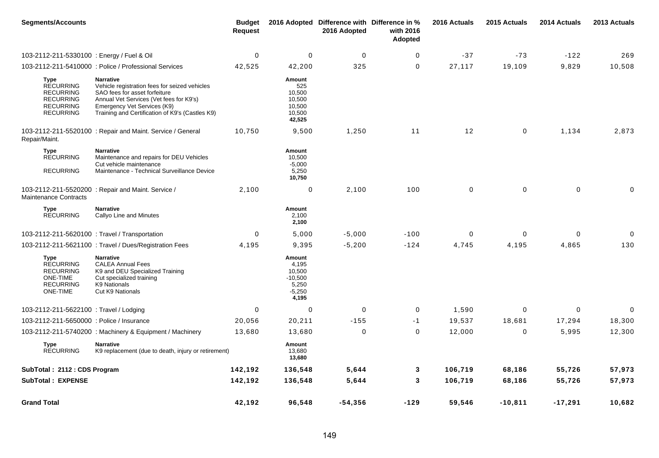| <b>Segments/Accounts</b>                                                                                 |                                                                                                                                                                                                                                 | <b>Budget</b><br><b>Request</b> |                                                                      | 2016 Adopted Difference with Difference in %<br>2016 Adopted | with 2016<br>Adopted | 2016 Actuals | 2015 Actuals        | 2014 Actuals | 2013 Actuals |
|----------------------------------------------------------------------------------------------------------|---------------------------------------------------------------------------------------------------------------------------------------------------------------------------------------------------------------------------------|---------------------------------|----------------------------------------------------------------------|--------------------------------------------------------------|----------------------|--------------|---------------------|--------------|--------------|
| 103-2112-211-5330100 : Energy / Fuel & Oil                                                               |                                                                                                                                                                                                                                 | $\mathbf 0$                     | 0                                                                    | $\mathbf 0$                                                  | $\pmb{0}$            | $-37$        | $-73$               | $-122$       | 269          |
|                                                                                                          | 103-2112-211-5410000 : Police / Professional Services                                                                                                                                                                           | 42,525                          | 42,200                                                               | 325                                                          | 0                    | 27,117       | 19,109              | 9,829        | 10,508       |
| Type<br><b>RECURRING</b><br><b>RECURRING</b><br><b>RECURRING</b><br><b>RECURRING</b><br><b>RECURRING</b> | <b>Narrative</b><br>Vehicle registration fees for seized vehicles<br>SAO fees for asset forfeiture<br>Annual Vet Services (Vet fees for K9's)<br>Emergency Vet Services (K9)<br>Training and Certification of K9's (Castles K9) |                                 | Amount<br>525<br>10,500<br>10,500<br>10,500<br>10,500<br>42,525      |                                                              |                      |              |                     |              |              |
| Repair/Maint.                                                                                            | 103-2112-211-5520100 : Repair and Maint. Service / General                                                                                                                                                                      | 10,750                          | 9,500                                                                | 1,250                                                        | 11                   | 12           | $\pmb{0}$           | 1,134        | 2,873        |
| <b>Type</b><br><b>RECURRING</b><br><b>RECURRING</b>                                                      | <b>Narrative</b><br>Maintenance and repairs for DEU Vehicles<br>Cut vehicle maintenance<br>Maintenance - Technical Surveillance Device                                                                                          |                                 | Amount<br>10,500<br>$-5,000$<br>5,250                                |                                                              |                      |              |                     |              |              |
| Maintenance Contracts                                                                                    | 103-2112-211-5520200 : Repair and Maint. Service /                                                                                                                                                                              | 2,100                           | 10,750<br>$\mathbf 0$                                                | 2,100                                                        | 100                  | 0            | $\mathsf{O}\xspace$ | $\mathbf 0$  | 0            |
| Type<br><b>RECURRING</b>                                                                                 | <b>Narrative</b><br>Callyo Line and Minutes                                                                                                                                                                                     |                                 | <b>Amount</b><br>2,100<br>2,100                                      |                                                              |                      |              |                     |              |              |
| 103-2112-211-5620100 : Travel / Transportation                                                           |                                                                                                                                                                                                                                 | $\mathbf{0}$                    | 5,000                                                                | $-5,000$                                                     | $-100$               | 0            | $\mathbf 0$         | $\mathbf 0$  | 0            |
|                                                                                                          | 103-2112-211-5621100 : Travel / Dues/Registration Fees                                                                                                                                                                          | 4,195                           | 9,395                                                                | $-5,200$                                                     | $-124$               | 4,745        | 4,195               | 4,865        | 130          |
| Type<br><b>RECURRING</b><br><b>RECURRING</b><br>ONE-TIME<br><b>RECURRING</b><br>ONE-TIME                 | <b>Narrative</b><br><b>CALEA Annual Fees</b><br>K9 and DEU Specialized Training<br>Cut specialized training<br><b>K9 Nationals</b><br>Cut K9 Nationals                                                                          |                                 | Amount<br>4,195<br>10,500<br>$-10,500$<br>5,250<br>$-5,250$<br>4,195 |                                                              |                      |              |                     |              |              |
| 103-2112-211-5622100 : Travel / Lodging                                                                  |                                                                                                                                                                                                                                 | 0                               | $\mathbf 0$                                                          | $\mathbf 0$                                                  | 0                    | 1,590        | 0                   | $\mathbf 0$  | $\mathbf 0$  |
| 103-2112-211-5650000 : Police / Insurance                                                                |                                                                                                                                                                                                                                 | 20,056                          | 20,211                                                               | $-155$                                                       | $-1$                 | 19,537       | 18,681              | 17,294       | 18,300       |
|                                                                                                          | 103-2112-211-5740200 : Machinery & Equipment / Machinery                                                                                                                                                                        | 13,680                          | 13,680                                                               | $\mathbf 0$                                                  | 0                    | 12,000       | 0                   | 5,995        | 12,300       |
| <b>Type</b><br><b>RECURRING</b>                                                                          | <b>Narrative</b><br>K9 replacement (due to death, injury or retirement)                                                                                                                                                         |                                 | Amount<br>13,680<br>13,680                                           |                                                              |                      |              |                     |              |              |
| SubTotal: 2112: CDS Program                                                                              |                                                                                                                                                                                                                                 | 142,192                         | 136,548                                                              | 5,644                                                        | 3                    | 106,719      | 68,186              | 55,726       | 57,973       |
| <b>SubTotal: EXPENSE</b>                                                                                 |                                                                                                                                                                                                                                 | 142,192                         | 136,548                                                              | 5,644                                                        | 3                    | 106,719      | 68,186              | 55,726       | 57,973       |
| <b>Grand Total</b>                                                                                       |                                                                                                                                                                                                                                 | 42,192                          | 96,548                                                               | $-54,356$                                                    | $-129$               | 59,546       | $-10,811$           | -17,291      | 10,682       |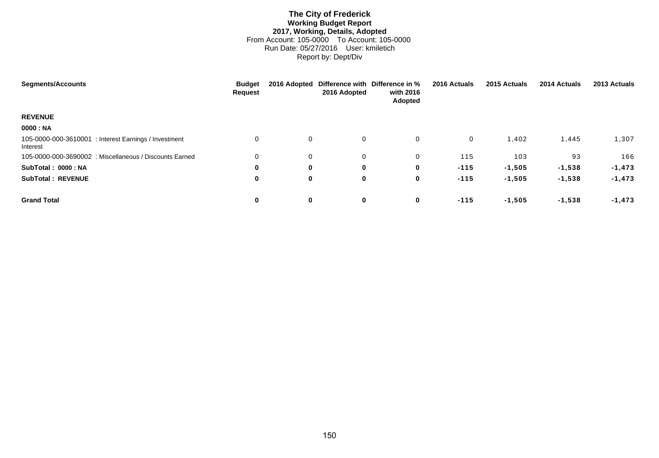# **The City of Frederick Working Budget Report 2017, Working, Details, Adopted** From Account: 105-0000 To Account: 105-0000 Run Date: 05/27/2016 User: kmiletich Report by: Dept/Div

| <b>Segments/Accounts</b>                                          | <b>Budget</b><br><b>Request</b> | 2016 Adopted | 2016 Adopted | Difference with Difference in %<br>with 2016<br>Adopted | 2016 Actuals | 2015 Actuals | 2014 Actuals | 2013 Actuals |
|-------------------------------------------------------------------|---------------------------------|--------------|--------------|---------------------------------------------------------|--------------|--------------|--------------|--------------|
| <b>REVENUE</b>                                                    |                                 |              |              |                                                         |              |              |              |              |
| 0000 : NA                                                         |                                 |              |              |                                                         |              |              |              |              |
| 105-0000-000-3610001 : Interest Earnings / Investment<br>Interest | 0                               | 0            | $\mathbf 0$  | 0                                                       | $\mathbf{0}$ | 1,402        | 1,445        | 1,307        |
| 105-0000-000-3690002 : Miscellaneous / Discounts Earned           | $\Omega$                        | $\mathbf 0$  | $\mathbf 0$  | 0                                                       | 115          | 103          | 93           | 166          |
| SubTotal: 0000: NA                                                | 0                               | $\mathbf 0$  | $\mathbf 0$  | 0                                                       | $-115$       | $-1,505$     | $-1,538$     | $-1,473$     |
| <b>SubTotal: REVENUE</b>                                          | 0                               | 0            | 0            | 0                                                       | $-115$       | $-1,505$     | $-1,538$     | $-1,473$     |
| <b>Grand Total</b>                                                | $\mathbf 0$                     | $\mathbf 0$  | $\mathbf 0$  | $\mathbf 0$                                             | $-115$       | $-1,505$     | $-1,538$     | $-1,473$     |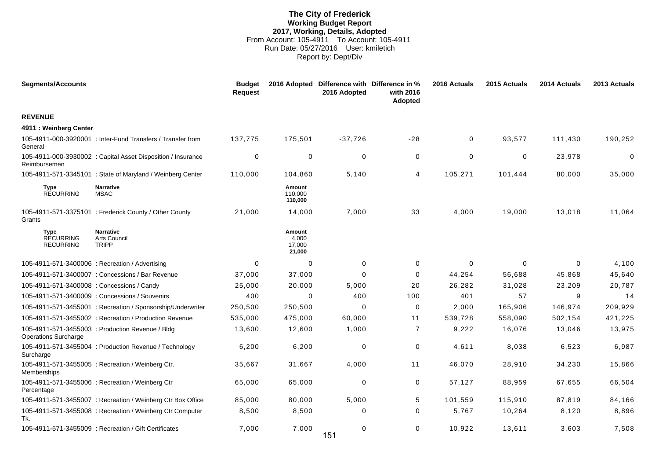# **The City of Frederick Working Budget Report 2017, Working, Details, Adopted** From Account: 105-4911 To Account: 105-4911 Run Date: 05/27/2016 User: kmiletich Report by: Dept/Div

| <b>Segments/Accounts</b>                            |                                                              | <b>Budget</b><br><b>Request</b> |                                     | 2016 Adopted Difference with Difference in %<br>2016 Adopted | with 2016<br>Adopted | 2016 Actuals | 2015 Actuals | 2014 Actuals | 2013 Actuals |
|-----------------------------------------------------|--------------------------------------------------------------|---------------------------------|-------------------------------------|--------------------------------------------------------------|----------------------|--------------|--------------|--------------|--------------|
| <b>REVENUE</b>                                      |                                                              |                                 |                                     |                                                              |                      |              |              |              |              |
| 4911 : Weinberg Center                              |                                                              |                                 |                                     |                                                              |                      |              |              |              |              |
| General                                             | 105-4911-000-3920001: Inter-Fund Transfers / Transfer from   | 137,775                         | 175,501                             | $-37,726$                                                    | $-28$                | 0            | 93,577       | 111,430      | 190,252      |
| Reimbursemen                                        | 105-4911-000-3930002 : Capital Asset Disposition / Insurance | $\pmb{0}$                       | $\pmb{0}$                           | $\mathbf 0$                                                  | 0                    | 0            | 0            | 23,978       | 0            |
|                                                     | 105-4911-571-3345101 : State of Maryland / Weinberg Center   | 110,000                         | 104,860                             | 5,140                                                        | 4                    | 105,271      | 101,444      | 80,000       | 35,000       |
| <b>Type</b><br><b>RECURRING</b>                     | <b>Narrative</b><br><b>MSAC</b>                              |                                 | Amount<br>110,000<br>110,000        |                                                              |                      |              |              |              |              |
| Grants                                              | 105-4911-571-3375101 : Frederick County / Other County       | 21,000                          | 14,000                              | 7,000                                                        | 33                   | 4,000        | 19,000       | 13,018       | 11,064       |
| <b>Type</b><br><b>RECURRING</b><br><b>RECURRING</b> | <b>Narrative</b><br><b>Arts Council</b><br><b>TRIPP</b>      |                                 | Amount<br>4,000<br>17,000<br>21,000 |                                                              |                      |              |              |              |              |
|                                                     | 105-4911-571-3400006 : Recreation / Advertising              | $\Omega$                        | $\mathbf 0$                         | $\Omega$                                                     | $\mathbf 0$          | $\Omega$     | $\mathbf 0$  | $\mathbf{0}$ | 4,100        |
|                                                     | 105-4911-571-3400007 : Concessions / Bar Revenue             | 37,000                          | 37,000                              | $\Omega$                                                     | $\mathbf 0$          | 44,254       | 56,688       | 45,868       | 45,640       |
| 105-4911-571-3400008 : Concessions / Candy          |                                                              | 25,000                          | 20,000                              | 5,000                                                        | 20                   | 26,282       | 31,028       | 23,209       | 20,787       |
|                                                     | 105-4911-571-3400009 : Concessions / Souvenirs               | 400                             | 0                                   | 400                                                          | 100                  | 401          | 57           | 9            | 14           |
|                                                     | 105-4911-571-3455001 : Recreation / Sponsorship/Underwriter  | 250,500                         | 250,500                             | $\Omega$                                                     | $\mathbf 0$          | 2,000        | 165,906      | 146,974      | 209,929      |
|                                                     | 105-4911-571-3455002 : Recreation / Production Revenue       | 535,000                         | 475,000                             | 60,000                                                       | 11                   | 539,728      | 558,090      | 502,154      | 421,225      |
| <b>Operations Surcharge</b>                         | 105-4911-571-3455003 : Production Revenue / Bldg             | 13,600                          | 12,600                              | 1,000                                                        | $\overline{7}$       | 9,222        | 16,076       | 13,046       | 13,975       |
| Surcharge                                           | 105-4911-571-3455004 : Production Revenue / Technology       | 6,200                           | 6,200                               | 0                                                            | 0                    | 4,611        | 8,038        | 6,523        | 6,987        |
| <b>Memberships</b>                                  | 105-4911-571-3455005 : Recreation / Weinberg Ctr.            | 35,667                          | 31,667                              | 4,000                                                        | 11                   | 46,070       | 28,910       | 34,230       | 15,866       |
| Percentage                                          | 105-4911-571-3455006 : Recreation / Weinberg Ctr             | 65,000                          | 65,000                              | 0                                                            | 0                    | 57,127       | 88,959       | 67,655       | 66,504       |
|                                                     | 105-4911-571-3455007 : Recreation / Weinberg Ctr Box Office  | 85,000                          | 80,000                              | 5,000                                                        | 5                    | 101,559      | 115,910      | 87,819       | 84,166       |
| Tk.                                                 | 105-4911-571-3455008 : Recreation / Weinberg Ctr Computer    | 8,500                           | 8,500                               | 0                                                            | 0                    | 5,767        | 10,264       | 8,120        | 8,896        |
|                                                     | 105-4911-571-3455009 : Recreation / Gift Certificates        | 7,000                           | 7,000                               | $\Omega$<br>151                                              | $\mathbf 0$          | 10,922       | 13,611       | 3,603        | 7,508        |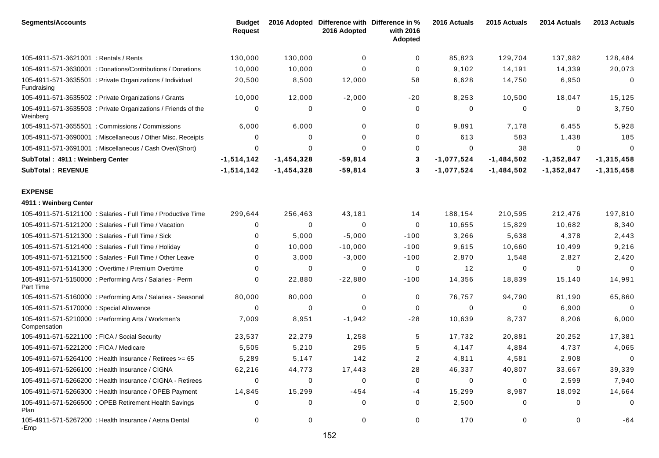| <b>Segments/Accounts</b>                           |                                                               | <b>Budget</b><br><b>Request</b> |              | 2016 Adopted Difference with Difference in %<br>2016 Adopted | with 2016<br>Adopted | 2016 Actuals | 2015 Actuals | 2014 Actuals | 2013 Actuals   |
|----------------------------------------------------|---------------------------------------------------------------|---------------------------------|--------------|--------------------------------------------------------------|----------------------|--------------|--------------|--------------|----------------|
| 105-4911-571-3621001 : Rentals / Rents             |                                                               | 130,000                         | 130,000      | $\Omega$                                                     | 0                    | 85,823       | 129,704      | 137,982      | 128,484        |
|                                                    | 105-4911-571-3630001 : Donations/Contributions / Donations    | 10,000                          | 10,000       | ∩                                                            | 0                    | 9,102        | 14,191       | 14,339       | 20,073         |
| Fundraising                                        | 105-4911-571-3635501 : Private Organizations / Individual     | 20,500                          | 8,500        | 12,000                                                       | 58                   | 6,628        | 14,750       | 6,950        | 0              |
|                                                    | 105-4911-571-3635502 : Private Organizations / Grants         | 10,000                          | 12,000       | $-2,000$                                                     | $-20$                | 8,253        | 10,500       | 18,047       | 15,125         |
| Weinberg                                           | 105-4911-571-3635503 : Private Organizations / Friends of the | 0                               | 0            | 0                                                            | 0                    | 0            | 0            | 0            | 3,750          |
|                                                    | 105-4911-571-3655501 : Commissions / Commissions              | 6,000                           | 6,000        | $\Omega$                                                     | 0                    | 9,891        | 7,178        | 6,455        | 5,928          |
|                                                    | 105-4911-571-3690001 : Miscellaneous / Other Misc. Receipts   | 0                               | 0            | $\Omega$                                                     | 0                    | 613          | 583          | 1,438        | 185            |
|                                                    | 105-4911-571-3691001 : Miscellaneous / Cash Over/(Short)      | 0                               | 0            | $\Omega$                                                     | 0                    | 0            | 38           | $\Omega$     | $\Omega$       |
| SubTotal: 4911: Weinberg Center                    |                                                               | $-1,514,142$                    | $-1,454,328$ | $-59,814$                                                    | 3                    | $-1,077,524$ | $-1,484,502$ | $-1,352,847$ | $-1, 315, 458$ |
| <b>SubTotal: REVENUE</b>                           |                                                               | $-1,514,142$                    | $-1,454,328$ | $-59,814$                                                    | 3                    | $-1,077,524$ | $-1,484,502$ | $-1,352,847$ | $-1, 315, 458$ |
| <b>EXPENSE</b>                                     |                                                               |                                 |              |                                                              |                      |              |              |              |                |
| 4911 : Weinberg Center                             |                                                               |                                 |              |                                                              |                      |              |              |              |                |
|                                                    | 105-4911-571-5121100 : Salaries - Full Time / Productive Time | 299,644                         | 256,463      | 43,181                                                       | 14                   | 188,154      | 210,595      | 212,476      | 197,810        |
|                                                    | 105-4911-571-5121200 : Salaries - Full Time / Vacation        | 0                               | 0            | $\Omega$                                                     | 0                    | 10,655       | 15,829       | 10,682       | 8,340          |
| 105-4911-571-5121300 : Salaries - Full Time / Sick |                                                               | $\Omega$                        | 5,000        | $-5,000$                                                     | $-100$               | 3,266        | 5,638        | 4,378        | 2,443          |
|                                                    | 105-4911-571-5121400 : Salaries - Full Time / Holiday         | 0                               | 10,000       | $-10,000$                                                    | $-100$               | 9,615        | 10,660       | 10,499       | 9,216          |
|                                                    | 105-4911-571-5121500 : Salaries - Full Time / Other Leave     | 0                               | 3,000        | $-3,000$                                                     | $-100$               | 2,870        | 1,548        | 2,827        | 2,420          |
|                                                    | 105-4911-571-5141300 : Overtime / Premium Overtime            | 0                               | 0            | 0                                                            | 0                    | 12           | 0            | 0            | $\mathbf 0$    |
| Part Time                                          | 105-4911-571-5150000 : Performing Arts / Salaries - Perm      | 0                               | 22,880       | $-22,880$                                                    | $-100$               | 14,356       | 18,839       | 15,140       | 14,991         |
|                                                    | 105-4911-571-5160000: Performing Arts / Salaries - Seasonal   | 80,000                          | 80,000       | 0                                                            | 0                    | 76,757       | 94,790       | 81,190       | 65,860         |
| 105-4911-571-5170000 : Special Allowance           |                                                               | 0                               | 0            | $\Omega$                                                     | 0                    | 0            | 0            | 6,900        | $\Omega$       |
| Compensation                                       | 105-4911-571-5210000: Performing Arts / Workmen's             | 7,009                           | 8,951        | $-1,942$                                                     | $-28$                | 10,639       | 8,737        | 8,206        | 6,000          |
| 105-4911-571-5221100 : FICA / Social Security      |                                                               | 23,537                          | 22,279       | 1,258                                                        | 5                    | 17,732       | 20,881       | 20,252       | 17,381         |
| 105-4911-571-5221200 : FICA / Medicare             |                                                               | 5,505                           | 5,210        | 295                                                          | 5                    | 4,147        | 4,884        | 4,737        | 4,065          |
|                                                    | 105-4911-571-5264100 : Health Insurance / Retirees >= 65      | 5,289                           | 5,147        | 142                                                          | 2                    | 4,811        | 4,581        | 2,908        | 0              |
| 105-4911-571-5266100 : Health Insurance / CIGNA    |                                                               | 62,216                          | 44,773       | 17,443                                                       | 28                   | 46,337       | 40,807       | 33,667       | 39,339         |
|                                                    | 105-4911-571-5266200 : Health Insurance / CIGNA - Retirees    | 0                               | 0            | 0                                                            | 0                    | 0            | 0            | 2,599        | 7,940          |
|                                                    | 105-4911-571-5266300 : Health Insurance / OPEB Payment        | 14,845                          | 15,299       | $-454$                                                       | -4                   | 15,299       | 8,987        | 18,092       | 14,664         |
| Plan                                               | 105-4911-571-5266500 : OPEB Retirement Health Savings         | 0                               | 0            | 0                                                            | 0                    | 2,500        | 0            | $\mathbf 0$  | 0              |
| -Emp                                               | 105-4911-571-5267200 : Health Insurance / Aetna Dental        | 0                               | 0            | 0                                                            | 0                    | 170          | 0            | 0            | $-64$          |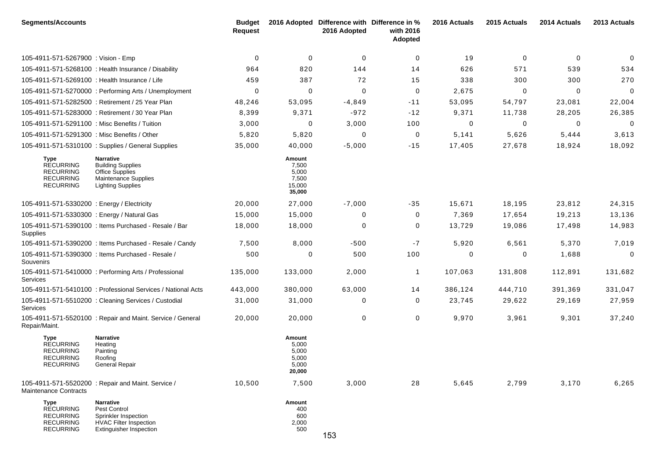| <b>Segments/Accounts</b>                                                                    |                                                                                                                                   | <b>Budget</b><br><b>Request</b> |                                                       | 2016 Adopted Difference with Difference in %<br>2016 Adopted | with 2016<br>Adopted | 2016 Actuals | 2015 Actuals | 2014 Actuals | 2013 Actuals |
|---------------------------------------------------------------------------------------------|-----------------------------------------------------------------------------------------------------------------------------------|---------------------------------|-------------------------------------------------------|--------------------------------------------------------------|----------------------|--------------|--------------|--------------|--------------|
| 105-4911-571-5267900 : Vision - Emp                                                         |                                                                                                                                   | $\mathbf 0$                     | 0                                                     | 0                                                            | 0                    | 19           | 0            | 0            | 0            |
|                                                                                             | 105-4911-571-5268100 : Health Insurance / Disability                                                                              | 964                             | 820                                                   | 144                                                          | 14                   | 626          | 571          | 539          | 534          |
| 105-4911-571-5269100 : Health Insurance / Life                                              |                                                                                                                                   | 459                             | 387                                                   | 72                                                           | 15                   | 338          | 300          | 300          | 270          |
|                                                                                             | 105-4911-571-5270000 : Performing Arts / Unemployment                                                                             | 0                               | 0                                                     | $\mathbf 0$                                                  | 0                    | 2,675        | 0            | $\mathbf 0$  | 0            |
|                                                                                             | 105-4911-571-5282500 : Retirement / 25 Year Plan                                                                                  | 48,246                          | 53,095                                                | $-4,849$                                                     | $-11$                | 53,095       | 54,797       | 23,081       | 22,004       |
|                                                                                             | 105-4911-571-5283000 : Retirement / 30 Year Plan                                                                                  | 8,399                           | 9,371                                                 | $-972$                                                       | $-12$                | 9,371        | 11,738       | 28,205       | 26,385       |
| 105-4911-571-5291100 : Misc Benefits / Tuition                                              |                                                                                                                                   | 3,000                           | 0                                                     | 3,000                                                        | 100                  | $\Omega$     | 0            | 0            | $\Omega$     |
| 105-4911-571-5291300 : Misc Benefits / Other                                                |                                                                                                                                   | 5,820                           | 5,820                                                 | 0                                                            | 0                    | 5,141        | 5,626        | 5,444        | 3,613        |
|                                                                                             | 105-4911-571-5310100 : Supplies / General Supplies                                                                                | 35,000                          | 40,000                                                | $-5,000$                                                     | $-15$                | 17,405       | 27,678       | 18,924       | 18,092       |
| <b>Type</b><br><b>RECURRING</b><br><b>RECURRING</b><br><b>RECURRING</b><br><b>RECURRING</b> | <b>Narrative</b><br><b>Building Supplies</b><br><b>Office Supplies</b><br><b>Maintenance Supplies</b><br><b>Lighting Supplies</b> |                                 | Amount<br>7,500<br>5,000<br>7,500<br>15,000<br>35,000 |                                                              |                      |              |              |              |              |
| 105-4911-571-5330200 : Energy / Electricity                                                 |                                                                                                                                   | 20,000                          | 27,000                                                | $-7,000$                                                     | $-35$                | 15,671       | 18,195       | 23,812       | 24,315       |
| 105-4911-571-5330300 : Energy / Natural Gas                                                 |                                                                                                                                   | 15,000                          | 15,000                                                | 0                                                            | 0                    | 7,369        | 17,654       | 19,213       | 13,136       |
| Supplies                                                                                    | 105-4911-571-5390100 : Items Purchased - Resale / Bar                                                                             | 18,000                          | 18,000                                                | 0                                                            | 0                    | 13,729       | 19,086       | 17,498       | 14,983       |
|                                                                                             | 105-4911-571-5390200 : Items Purchased - Resale / Candy                                                                           | 7,500                           | 8,000                                                 | $-500$                                                       | -7                   | 5,920        | 6,561        | 5,370        | 7,019        |
| Souvenirs                                                                                   | 105-4911-571-5390300 : Items Purchased - Resale /                                                                                 | 500                             | 0                                                     | 500                                                          | 100                  | 0            | $\mathbf 0$  | 1,688        | $\Omega$     |
| <b>Services</b>                                                                             | 105-4911-571-5410000 : Performing Arts / Professional                                                                             | 135,000                         | 133,000                                               | 2,000                                                        | $\mathbf{1}$         | 107,063      | 131,808      | 112,891      | 131,682      |
|                                                                                             | 105-4911-571-5410100: Professional Services / National Acts                                                                       | 443,000                         | 380,000                                               | 63,000                                                       | 14                   | 386,124      | 444,710      | 391,369      | 331,047      |
| Services                                                                                    | 105-4911-571-5510200 : Cleaning Services / Custodial                                                                              | 31,000                          | 31,000                                                | 0                                                            | 0                    | 23,745       | 29,622       | 29,169       | 27,959       |
| Repair/Maint.                                                                               | 105-4911-571-5520100 : Repair and Maint. Service / General                                                                        | 20,000                          | 20,000                                                | 0                                                            | $\boldsymbol{0}$     | 9,970        | 3,961        | 9,301        | 37,240       |
| Type<br><b>RECURRING</b><br><b>RECURRING</b><br><b>RECURRING</b><br><b>RECURRING</b>        | Narrative<br>Heating<br>Painting<br>Roofing<br>General Repair                                                                     |                                 | Amount<br>5,000<br>5,000<br>5,000<br>5,000<br>20,000  |                                                              |                      |              |              |              |              |
| <b>Maintenance Contracts</b>                                                                | 105-4911-571-5520200 : Repair and Maint. Service /                                                                                | 10,500                          | 7,500                                                 | 3,000                                                        | 28                   | 5,645        | 2,799        | 3,170        | 6,265        |
| <b>Type</b><br><b>RECURRING</b><br><b>RECURRING</b><br><b>RECURRING</b><br><b>RECURRING</b> | <b>Narrative</b><br>Pest Control<br>Sprinkler Inspection<br><b>HVAC Filter Inspection</b><br><b>Extinguisher Inspection</b>       |                                 | Amount<br>400<br>600<br>2,000<br>500                  | 153                                                          |                      |              |              |              |              |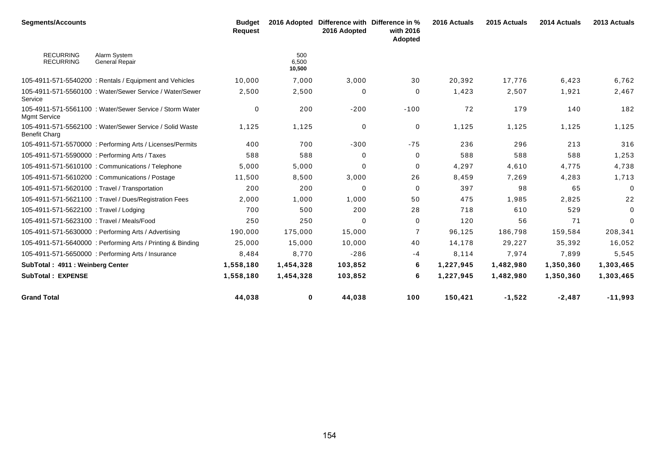| <b>Segments/Accounts</b>                       |                                                            | <b>Budget</b><br><b>Request</b> |                        | 2016 Adopted Difference with Difference in %<br>2016 Adopted | with 2016<br><b>Adopted</b> | 2016 Actuals | 2015 Actuals | 2014 Actuals | 2013 Actuals |
|------------------------------------------------|------------------------------------------------------------|---------------------------------|------------------------|--------------------------------------------------------------|-----------------------------|--------------|--------------|--------------|--------------|
| <b>RECURRING</b><br><b>RECURRING</b>           | Alarm System<br><b>General Repair</b>                      |                                 | 500<br>6,500<br>10,500 |                                                              |                             |              |              |              |              |
|                                                | 105-4911-571-5540200 : Rentals / Equipment and Vehicles    | 10,000                          | 7,000                  | 3,000                                                        | 30                          | 20,392       | 17,776       | 6,423        | 6,762        |
| Service                                        | 105-4911-571-5560100 : Water/Sewer Service / Water/Sewer   | 2,500                           | 2,500                  | 0                                                            | 0                           | 1,423        | 2,507        | 1,921        | 2,467        |
| <b>Mgmt Service</b>                            | 105-4911-571-5561100 : Water/Sewer Service / Storm Water   | 0                               | 200                    | $-200$                                                       | $-100$                      | 72           | 179          | 140          | 182          |
| <b>Benefit Charg</b>                           | 105-4911-571-5562100 : Water/Sewer Service / Solid Waste   | 1,125                           | 1,125                  | $\mathbf 0$                                                  | 0                           | 1,125        | 1,125        | 1,125        | 1,125        |
|                                                | 105-4911-571-5570000: Performing Arts / Licenses/Permits   | 400                             | 700                    | $-300$                                                       | $-75$                       | 236          | 296          | 213          | 316          |
|                                                | 105-4911-571-5590000 : Performing Arts / Taxes             | 588                             | 588                    | $\Omega$                                                     | 0                           | 588          | 588          | 588          | 1,253        |
|                                                | 105-4911-571-5610100 : Communications / Telephone          | 5,000                           | 5,000                  | $\Omega$                                                     | 0                           | 4,297        | 4,610        | 4,775        | 4,738        |
|                                                | 105-4911-571-5610200 : Communications / Postage            | 11,500                          | 8,500                  | 3,000                                                        | 26                          | 8,459        | 7,269        | 4,283        | 1,713        |
| 105-4911-571-5620100 : Travel / Transportation |                                                            | 200                             | 200                    | 0                                                            | 0                           | 397          | 98           | 65           | $\Omega$     |
|                                                | 105-4911-571-5621100 : Travel / Dues/Registration Fees     | 2,000                           | 1,000                  | 1,000                                                        | 50                          | 475          | 1,985        | 2,825        | 22           |
| 105-4911-571-5622100 : Travel / Lodging        |                                                            | 700                             | 500                    | 200                                                          | 28                          | 718          | 610          | 529          | 0            |
| 105-4911-571-5623100 : Travel / Meals/Food     |                                                            | 250                             | 250                    | 0                                                            | 0                           | 120          | 56           | 71           | 0            |
|                                                | 105-4911-571-5630000 : Performing Arts / Advertising       | 190,000                         | 175,000                | 15,000                                                       | $\overline{7}$              | 96.125       | 186,798      | 159,584      | 208,341      |
|                                                | 105-4911-571-5640000: Performing Arts / Printing & Binding | 25,000                          | 15,000                 | 10,000                                                       | 40                          | 14.178       | 29,227       | 35,392       | 16,052       |
|                                                | 105-4911-571-5650000 : Performing Arts / Insurance         | 8,484                           | 8,770                  | $-286$                                                       | -4                          | 8,114        | 7,974        | 7,899        | 5,545        |
| SubTotal: 4911: Weinberg Center                |                                                            | 1,558,180                       | 1,454,328              | 103,852                                                      | 6                           | 1,227,945    | 1,482,980    | 1,350,360    | 1,303,465    |
| <b>SubTotal: EXPENSE</b>                       |                                                            | 1,558,180                       | 1,454,328              | 103,852                                                      | 6                           | 1,227,945    | 1,482,980    | 1,350,360    | 1,303,465    |
| <b>Grand Total</b>                             |                                                            | 44,038                          | 0                      | 44,038                                                       | 100                         | 150,421      | $-1,522$     | $-2,487$     | $-11,993$    |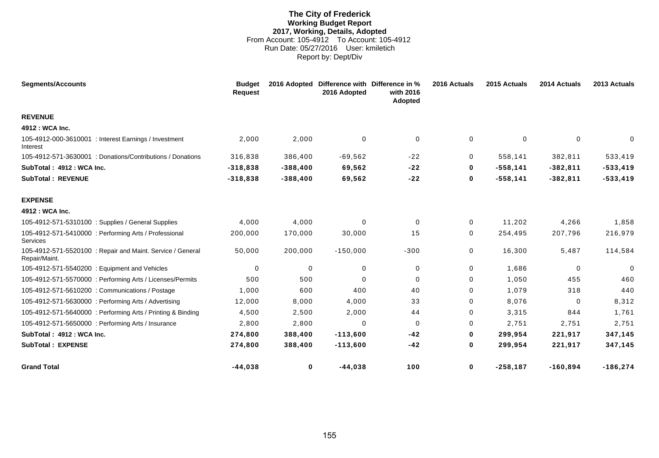# **The City of Frederick Working Budget Report 2017, Working, Details, Adopted** From Account: 105-4912 To Account: 105-4912 Run Date: 05/27/2016 User: kmiletich Report by: Dept/Div

| <b>Segments/Accounts</b>                                                    | <b>Budget</b><br><b>Request</b> | 2016 Adopted | 2016 Adopted | Difference with Difference in %<br>with 2016<br>Adopted | 2016 Actuals | 2015 Actuals | 2014 Actuals | 2013 Actuals |
|-----------------------------------------------------------------------------|---------------------------------|--------------|--------------|---------------------------------------------------------|--------------|--------------|--------------|--------------|
| <b>REVENUE</b>                                                              |                                 |              |              |                                                         |              |              |              |              |
| 4912 : WCA Inc.                                                             |                                 |              |              |                                                         |              |              |              |              |
| 105-4912-000-3610001 : Interest Earnings / Investment<br>Interest           | 2,000                           | 2,000        | $\mathbf 0$  | 0                                                       | $\mathbf 0$  | $\mathbf 0$  | 0            | 0            |
| 105-4912-571-3630001 : Donations/Contributions / Donations                  | 316,838                         | 386,400      | $-69,562$    | $-22$                                                   | 0            | 558,141      | 382,811      | 533,419      |
| SubTotal: 4912: WCA Inc.                                                    | $-318,838$                      | $-388,400$   | 69,562       | $-22$                                                   | $\bf{0}$     | $-558,141$   | $-382,811$   | $-533,419$   |
| <b>SubTotal: REVENUE</b>                                                    | $-318,838$                      | $-388,400$   | 69,562       | $-22$                                                   | 0            | $-558,141$   | $-382,811$   | $-533,419$   |
| <b>EXPENSE</b>                                                              |                                 |              |              |                                                         |              |              |              |              |
| 4912 : WCA Inc.                                                             |                                 |              |              |                                                         |              |              |              |              |
| 105-4912-571-5310100 : Supplies / General Supplies                          | 4,000                           | 4,000        | $\Omega$     | 0                                                       | 0            | 11,202       | 4,266        | 1,858        |
| 105-4912-571-5410000: Performing Arts / Professional<br>Services            | 200,000                         | 170,000      | 30,000       | 15                                                      | 0            | 254,495      | 207,796      | 216,979      |
| 105-4912-571-5520100 : Repair and Maint. Service / General<br>Repair/Maint. | 50,000                          | 200,000      | $-150,000$   | $-300$                                                  | 0            | 16,300       | 5,487        | 114,584      |
| 105-4912-571-5540200 : Equipment and Vehicles                               | 0                               | $\mathbf 0$  | 0            | 0                                                       | 0            | 1,686        | $\mathbf 0$  | 0            |
| 105-4912-571-5570000: Performing Arts / Licenses/Permits                    | 500                             | 500          | $\Omega$     | 0                                                       | 0            | 1,050        | 455          | 460          |
| 105-4912-571-5610200 : Communications / Postage                             | 1,000                           | 600          | 400          | 40                                                      | $\Omega$     | 1,079        | 318          | 440          |
| 105-4912-571-5630000: Performing Arts / Advertising                         | 12,000                          | 8,000        | 4,000        | 33                                                      | 0            | 8,076        | $\mathbf 0$  | 8,312        |
| 105-4912-571-5640000: Performing Arts / Printing & Binding                  | 4,500                           | 2,500        | 2,000        | 44                                                      | 0            | 3,315        | 844          | 1,761        |
| 105-4912-571-5650000 : Performing Arts / Insurance                          | 2,800                           | 2,800        | $\Omega$     | 0                                                       | $\Omega$     | 2.751        | 2,751        | 2,751        |
| SubTotal: 4912: WCA Inc.                                                    | 274,800                         | 388,400      | $-113.600$   | $-42$                                                   | $\bf{0}$     | 299,954      | 221,917      | 347,145      |
| <b>SubTotal: EXPENSE</b>                                                    | 274,800                         | 388,400      | $-113,600$   | $-42$                                                   | $\bf{0}$     | 299,954      | 221,917      | 347,145      |
| <b>Grand Total</b>                                                          | $-44,038$                       | 0            | $-44.038$    | 100                                                     | $\mathbf 0$  | $-258.187$   | $-160.894$   | $-186,274$   |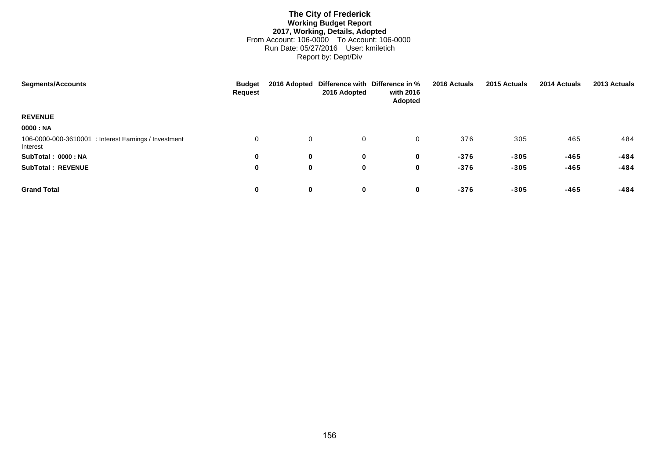# **The City of Frederick Working Budget Report 2017, Working, Details, Adopted** From Account: 106-0000 To Account: 106-0000 Run Date: 05/27/2016 User: kmiletich Report by: Dept/Div

| <b>Segments/Accounts</b>                                          | <b>Budget</b><br>Request |             | 2016 Adopted | 2016 Adopted Difference with Difference in %<br>with 2016<br>Adopted | 2016 Actuals | 2015 Actuals | 2014 Actuals | 2013 Actuals |
|-------------------------------------------------------------------|--------------------------|-------------|--------------|----------------------------------------------------------------------|--------------|--------------|--------------|--------------|
| <b>REVENUE</b>                                                    |                          |             |              |                                                                      |              |              |              |              |
| 0000 : NA                                                         |                          |             |              |                                                                      |              |              |              |              |
| 106-0000-000-3610001 : Interest Earnings / Investment<br>Interest | 0                        | 0           | 0            | 0                                                                    | 376          | 305          | 465          | 484          |
| SubTotal: 0000: NA                                                | 0                        | 0           | $\bf{0}$     | 0                                                                    | $-376$       | $-305$       | $-465$       | $-484$       |
| <b>SubTotal: REVENUE</b>                                          | 0                        | 0           | 0            | 0                                                                    | $-376$       | $-305$       | $-465$       | $-484$       |
|                                                                   |                          |             |              |                                                                      |              |              |              |              |
| <b>Grand Total</b>                                                | 0                        | $\mathbf 0$ | $\bf{0}$     | 0                                                                    | $-376$       | $-305$       | $-465$       | $-484$       |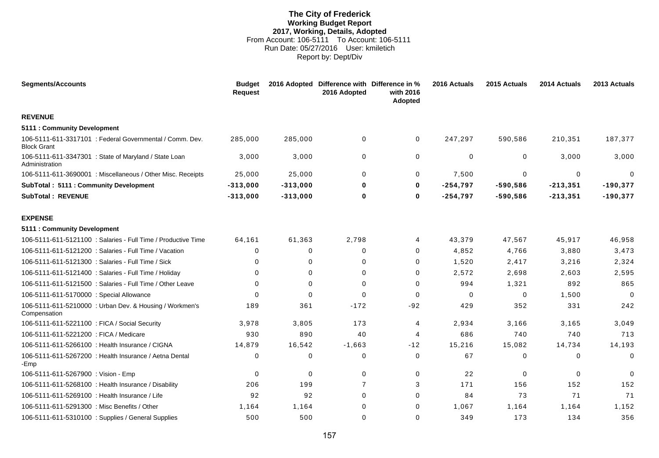# **The City of Frederick Working Budget Report 2017, Working, Details, Adopted** From Account: 106-5111 To Account: 106-5111 Run Date: 05/27/2016 User: kmiletich Report by: Dept/Div

| <b>Segments/Accounts</b>                                                       | <b>Budget</b><br><b>Request</b> |             | 2016 Adopted Difference with Difference in %<br>2016 Adopted | with 2016<br>Adopted | 2016 Actuals | 2015 Actuals | 2014 Actuals | 2013 Actuals |
|--------------------------------------------------------------------------------|---------------------------------|-------------|--------------------------------------------------------------|----------------------|--------------|--------------|--------------|--------------|
| <b>REVENUE</b>                                                                 |                                 |             |                                                              |                      |              |              |              |              |
| 5111 : Community Development                                                   |                                 |             |                                                              |                      |              |              |              |              |
| 106-5111-611-3317101 : Federal Governmental / Comm. Dev.<br><b>Block Grant</b> | 285,000                         | 285,000     | $\mathbf{0}$                                                 | 0                    | 247,297      | 590,586      | 210,351      | 187,377      |
| 106-5111-611-3347301 : State of Maryland / State Loan<br>Administration        | 3,000                           | 3,000       | 0                                                            | 0                    | 0            | 0            | 3,000        | 3,000        |
| 106-5111-611-3690001 : Miscellaneous / Other Misc. Receipts                    | 25,000                          | 25,000      | $\mathbf{0}$                                                 | $\mathbf 0$          | 7,500        | $\mathbf 0$  | $\Omega$     | 0            |
| SubTotal: 5111: Community Development                                          | $-313,000$                      | $-313,000$  | 0                                                            | 0                    | $-254,797$   | $-590,586$   | $-213,351$   | $-190,377$   |
| <b>SubTotal: REVENUE</b>                                                       | $-313,000$                      | $-313,000$  | 0                                                            | 0                    | $-254,797$   | $-590,586$   | $-213,351$   | $-190,377$   |
| <b>EXPENSE</b>                                                                 |                                 |             |                                                              |                      |              |              |              |              |
| 5111 : Community Development                                                   |                                 |             |                                                              |                      |              |              |              |              |
| 106-5111-611-5121100 : Salaries - Full Time / Productive Time                  | 64.161                          | 61,363      | 2.798                                                        | 4                    | 43,379       | 47,567       | 45,917       | 46,958       |
| 106-5111-611-5121200 : Salaries - Full Time / Vacation                         | $\Omega$                        | 0           | $\Omega$                                                     | $\Omega$             | 4,852        | 4,766        | 3,880        | 3,473        |
| 106-5111-611-5121300 : Salaries - Full Time / Sick                             | $\Omega$                        | 0           | $\Omega$                                                     | $\Omega$             | 1,520        | 2,417        | 3,216        | 2,324        |
| 106-5111-611-5121400 : Salaries - Full Time / Holiday                          | ∩                               | $\Omega$    | $\Omega$                                                     | 0                    | 2,572        | 2,698        | 2,603        | 2,595        |
| 106-5111-611-5121500 : Salaries - Full Time / Other Leave                      | $\Omega$                        | $\Omega$    | $\Omega$                                                     | $\Omega$             | 994          | 1,321        | 892          | 865          |
| 106-5111-611-5170000 : Special Allowance                                       | $\Omega$                        | $\mathbf 0$ | $\Omega$                                                     | $\mathbf 0$          | $\mathbf{0}$ | 0            | 1,500        | $\Omega$     |
| 106-5111-611-5210000 : Urban Dev. & Housing / Workmen's<br>Compensation        | 189                             | 361         | $-172$                                                       | $-92$                | 429          | 352          | 331          | 242          |
| 106-5111-611-5221100 : FICA / Social Security                                  | 3,978                           | 3,805       | 173                                                          | 4                    | 2,934        | 3,166        | 3,165        | 3,049        |
| 106-5111-611-5221200 : FICA / Medicare                                         | 930                             | 890         | 40                                                           | 4                    | 686          | 740          | 740          | 713          |
| 106-5111-611-5266100 : Health Insurance / CIGNA                                | 14,879                          | 16,542      | $-1,663$                                                     | $-12$                | 15,216       | 15,082       | 14,734       | 14,193       |
| 106-5111-611-5267200 : Health Insurance / Aetna Dental<br>-Emp                 | $\mathbf 0$                     | 0           | 0                                                            | $\mathbf 0$          | 67           | 0            | $\Omega$     | 0            |
| 106-5111-611-5267900 : Vision - Emp                                            | $\Omega$                        | 0           | $\Omega$                                                     | $\mathbf 0$          | 22           | 0            | $\mathbf{0}$ | $\mathbf 0$  |
| 106-5111-611-5268100 : Health Insurance / Disability                           | 206                             | 199         | $\overline{7}$                                               | 3                    | 171          | 156          | 152          | 152          |
| 106-5111-611-5269100 : Health Insurance / Life                                 | 92                              | 92          | $\mathbf{0}$                                                 | 0                    | 84           | 73           | 71           | 71           |
| 106-5111-611-5291300 : Misc Benefits / Other                                   | 1,164                           | 1,164       | $\Omega$                                                     | $\Omega$             | 1,067        | 1,164        | 1,164        | 1,152        |
| 106-5111-611-5310100 : Supplies / General Supplies                             | 500                             | 500         | $\Omega$                                                     | $\Omega$             | 349          | 173          | 134          | 356          |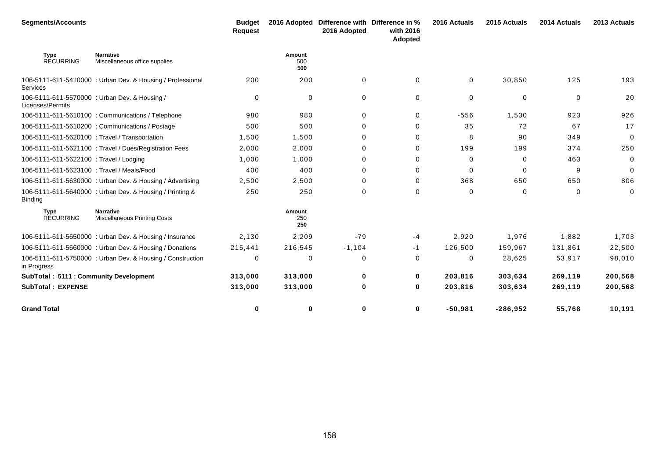| <b>Segments/Accounts</b>                       |                                                            | <b>Budget</b><br><b>Request</b> | 2016 Adopted         | 2016 Adopted | Difference with Difference in %<br>with 2016<br>Adopted | 2016 Actuals | 2015 Actuals | 2014 Actuals | 2013 Actuals |
|------------------------------------------------|------------------------------------------------------------|---------------------------------|----------------------|--------------|---------------------------------------------------------|--------------|--------------|--------------|--------------|
| <b>Type</b><br><b>RECURRING</b>                | <b>Narrative</b><br>Miscellaneous office supplies          |                                 | Amount<br>500<br>500 |              |                                                         |              |              |              |              |
| Services                                       | 106-5111-611-5410000 : Urban Dev. & Housing / Professional | 200                             | 200                  | 0            | $\mathbf 0$                                             | 0            | 30,850       | 125          | 193          |
| Licenses/Permits                               | 106-5111-611-5570000 : Urban Dev. & Housing /              | 0                               | 0                    | $\Omega$     | $\mathbf 0$                                             | 0            | 0            | $\Omega$     | 20           |
|                                                | 106-5111-611-5610100 : Communications / Telephone          | 980                             | 980                  | $\Omega$     | 0                                                       | $-556$       | 1,530        | 923          | 926          |
|                                                | 106-5111-611-5610200 : Communications / Postage            | 500                             | 500                  | 0            | 0                                                       | 35           | 72           | 67           | 17           |
| 106-5111-611-5620100 : Travel / Transportation |                                                            | 1,500                           | 1,500                | $\Omega$     | 0                                                       | 8            | 90           | 349          | $\mathbf 0$  |
|                                                | 106-5111-611-5621100 : Travel / Dues/Registration Fees     | 2,000                           | 2,000                | 0            | 0                                                       | 199          | 199          | 374          | 250          |
| 106-5111-611-5622100 : Travel / Lodging        |                                                            | 1,000                           | 1,000                | 0            | 0                                                       | $\Omega$     | 0            | 463          | $\Omega$     |
| 106-5111-611-5623100 : Travel / Meals/Food     |                                                            | 400                             | 400                  | $\Omega$     | 0                                                       | 0            | $\Omega$     | 9            | $\Omega$     |
|                                                | 106-5111-611-5630000 : Urban Dev. & Housing / Advertising  | 2,500                           | 2,500                | $\Omega$     | 0                                                       | 368          | 650          | 650          | 806          |
| Binding                                        | 106-5111-611-5640000 : Urban Dev. & Housing / Printing &   | 250                             | 250                  | 0            | 0                                                       | 0            | 0            | 0            | $\Omega$     |
| <b>Type</b><br><b>RECURRING</b>                | <b>Narrative</b><br><b>Miscellaneous Printing Costs</b>    |                                 | Amount<br>250<br>250 |              |                                                         |              |              |              |              |
|                                                | 106-5111-611-5650000 : Urban Dev. & Housing / Insurance    | 2,130                           | 2,209                | $-79$        | -4                                                      | 2,920        | 1,976        | 1,882        | 1,703        |
|                                                | 106-5111-611-5660000 : Urban Dev. & Housing / Donations    | 215,441                         | 216,545              | $-1,104$     | -1                                                      | 126,500      | 159,967      | 131,861      | 22,500       |
| in Progress                                    | 106-5111-611-5750000 : Urban Dev. & Housing / Construction | $\mathbf 0$                     | $\mathbf 0$          | 0            | 0                                                       | 0            | 28,625       | 53,917       | 98,010       |
| SubTotal: 5111: Community Development          |                                                            | 313,000                         | 313,000              | $\bf{0}$     | $\mathbf 0$                                             | 203,816      | 303,634      | 269,119      | 200,568      |
| <b>SubTotal: EXPENSE</b>                       |                                                            | 313,000                         | 313,000              | 0            | $\mathbf 0$                                             | 203,816      | 303,634      | 269,119      | 200,568      |
| <b>Grand Total</b>                             |                                                            | 0                               | 0                    | 0            | $\mathbf 0$                                             | $-50,981$    | $-286,952$   | 55,768       | 10,191       |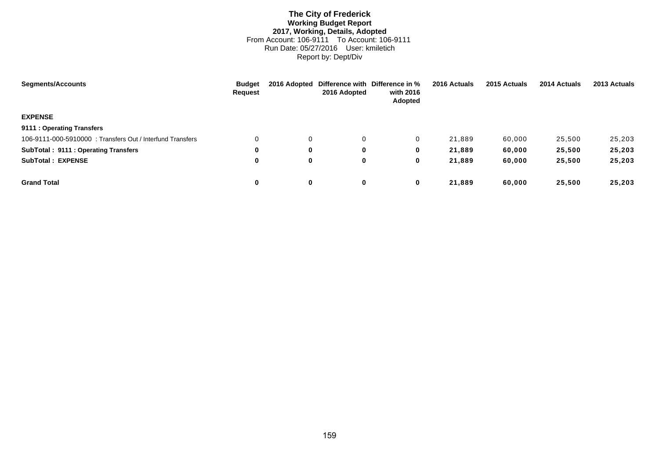# **The City of Frederick Working Budget Report 2017, Working, Details, Adopted** From Account: 106-9111 To Account: 106-9111 Run Date: 05/27/2016 User: kmiletich Report by: Dept/Div

| <b>Segments/Accounts</b>                                  | <b>Budget</b><br>Request | 2016 Adopted | 2016 Adopted | Difference with Difference in %<br>with 2016<br>Adopted | 2016 Actuals | 2015 Actuals | 2014 Actuals | 2013 Actuals |
|-----------------------------------------------------------|--------------------------|--------------|--------------|---------------------------------------------------------|--------------|--------------|--------------|--------------|
| <b>EXPENSE</b>                                            |                          |              |              |                                                         |              |              |              |              |
| 9111 : Operating Transfers                                |                          |              |              |                                                         |              |              |              |              |
| 106-9111-000-5910000: Transfers Out / Interfund Transfers | $\Omega$                 | 0            | $\Omega$     | 0                                                       | 21,889       | 60,000       | 25,500       | 25,203       |
| SubTotal: 9111: Operating Transfers                       | 0                        | 0            | 0            | 0                                                       | 21.889       | 60.000       | 25,500       | 25,203       |
| <b>SubTotal: EXPENSE</b>                                  | 0                        | 0            | 0            | 0                                                       | 21,889       | 60,000       | 25,500       | 25,203       |
| <b>Grand Total</b>                                        | 0                        | 0            | 0            | 0                                                       | 21.889       | 60.000       | 25.500       | 25,203       |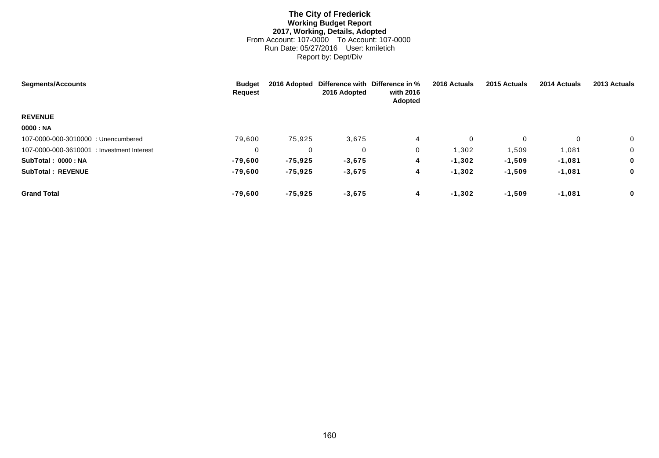# **The City of Frederick Working Budget Report 2017, Working, Details, Adopted** From Account: 107-0000 To Account: 107-0000 Run Date: 05/27/2016 User: kmiletich Report by: Dept/Div

| <b>Segments/Accounts</b>                   | <b>Budget</b><br><b>Request</b> |           | 2016 Adopted | 2016 Adopted Difference with Difference in %<br>with 2016<br>Adopted | 2016 Actuals | 2015 Actuals | 2014 Actuals | 2013 Actuals   |
|--------------------------------------------|---------------------------------|-----------|--------------|----------------------------------------------------------------------|--------------|--------------|--------------|----------------|
| <b>REVENUE</b>                             |                                 |           |              |                                                                      |              |              |              |                |
| 0000 : NA                                  |                                 |           |              |                                                                      |              |              |              |                |
| 107-0000-000-3010000 : Unencumbered        | 79,600                          | 75,925    | 3,675        | 4                                                                    | 0            | $\Omega$     | 0            | $\overline{0}$ |
| 107-0000-000-3610001 : Investment Interest | 0                               | 0         | 0            | 0                                                                    | 1,302        | 1,509        | 1,081        | $\mathbf{0}$   |
| SubTotal: 0000: NA                         | $-79,600$                       | $-75,925$ | $-3,675$     | 4                                                                    | $-1,302$     | $-1,509$     | $-1,081$     | $\mathbf 0$    |
| <b>SubTotal: REVENUE</b>                   | $-79,600$                       | -75,925   | $-3,675$     | 4                                                                    | $-1,302$     | $-1,509$     | $-1,081$     | $\mathbf 0$    |
| <b>Grand Total</b>                         | $-79,600$                       | $-75.925$ | $-3,675$     | 4                                                                    | $-1,302$     | $-1,509$     | $-1,081$     | $\mathbf 0$    |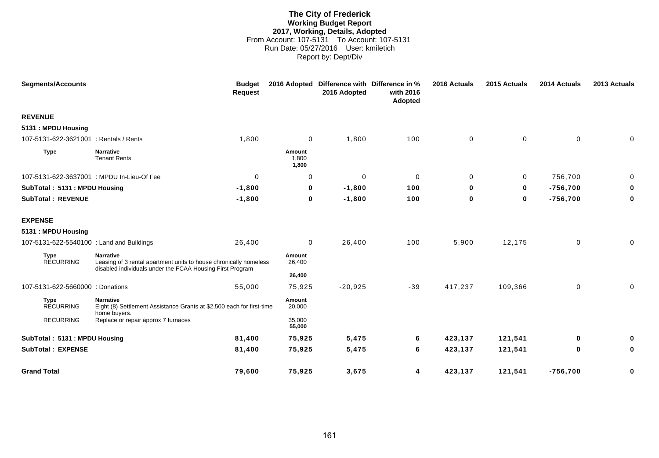# **The City of Frederick Working Budget Report 2017, Working, Details, Adopted** From Account: 107-5131 To Account: 107-5131 Run Date: 05/27/2016 User: kmiletich Report by: Dept/Div

| <b>Segments/Accounts</b>                   |                                                                                                           | <b>Budget</b><br><b>Request</b> | 2016 Adopted             | Difference with Difference in %<br>2016 Adopted | with 2016<br>Adopted | 2016 Actuals | 2015 Actuals | 2014 Actuals | 2013 Actuals |
|--------------------------------------------|-----------------------------------------------------------------------------------------------------------|---------------------------------|--------------------------|-------------------------------------------------|----------------------|--------------|--------------|--------------|--------------|
| <b>REVENUE</b>                             |                                                                                                           |                                 |                          |                                                 |                      |              |              |              |              |
| 5131 : MPDU Housing                        |                                                                                                           |                                 |                          |                                                 |                      |              |              |              |              |
| 107-5131-622-3621001 : Rentals / Rents     |                                                                                                           | 1,800                           | $\mathbf 0$              | 1,800                                           | 100                  | $\mathbf 0$  | 0            | $\mathbf 0$  | 0            |
| <b>Type</b>                                | <b>Narrative</b><br><b>Tenant Rents</b>                                                                   |                                 | Amount<br>1,800<br>1,800 |                                                 |                      |              |              |              |              |
| 107-5131-622-3637001 : MPDU In-Lieu-Of Fee |                                                                                                           | 0                               | 0                        | 0                                               | 0                    | 0            | 0            | 756,700      | 0            |
| SubTotal: 5131: MPDU Housing               |                                                                                                           | $-1,800$                        | $\bf{0}$                 | $-1,800$                                        | 100                  | 0            | $\mathbf 0$  | $-756,700$   | $\mathbf 0$  |
| <b>SubTotal: REVENUE</b>                   |                                                                                                           | $-1,800$                        | $\bf{0}$                 | $-1,800$                                        | 100                  | 0            | 0            | $-756,700$   | 0            |
| <b>EXPENSE</b>                             |                                                                                                           |                                 |                          |                                                 |                      |              |              |              |              |
| 5131 : MPDU Housing                        |                                                                                                           |                                 |                          |                                                 |                      |              |              |              |              |
| 107-5131-622-5540100 : Land and Buildings  |                                                                                                           | 26,400                          | $\mathbf 0$              | 26,400                                          | 100                  | 5,900        | 12,175       | $\mathbf 0$  | 0            |
| <b>Type</b><br><b>RECURRING</b>            | <b>Narrative</b><br>Leasing of 3 rental apartment units to house chronically homeless                     |                                 | Amount<br>26,400         |                                                 |                      |              |              |              |              |
|                                            | disabled individuals under the FCAA Housing First Program                                                 |                                 | 26,400                   |                                                 |                      |              |              |              |              |
| 107-5131-622-5660000 : Donations           |                                                                                                           | 55,000                          | 75,925                   | $-20,925$                                       | $-39$                | 417,237      | 109,366      | $\mathbf 0$  | 0            |
| <b>Type</b><br><b>RECURRING</b>            | <b>Narrative</b><br>Eight (8) Settlement Assistance Grants at \$2,500 each for first-time<br>home buyers. |                                 | Amount<br>20,000         |                                                 |                      |              |              |              |              |
| <b>RECURRING</b>                           | Replace or repair approx 7 furnaces                                                                       |                                 | 35,000<br>55,000         |                                                 |                      |              |              |              |              |
| SubTotal: 5131: MPDU Housing               |                                                                                                           | 81,400                          | 75,925                   | 5,475                                           | 6                    | 423,137      | 121,541      | $\bf{0}$     |              |
| <b>SubTotal: EXPENSE</b>                   |                                                                                                           | 81,400                          | 75,925                   | 5,475                                           | 6                    | 423,137      | 121,541      | 0            | 0            |
| <b>Grand Total</b>                         |                                                                                                           | 79,600                          | 75,925                   | 3,675                                           | 4                    | 423,137      | 121,541      | $-756,700$   | 0            |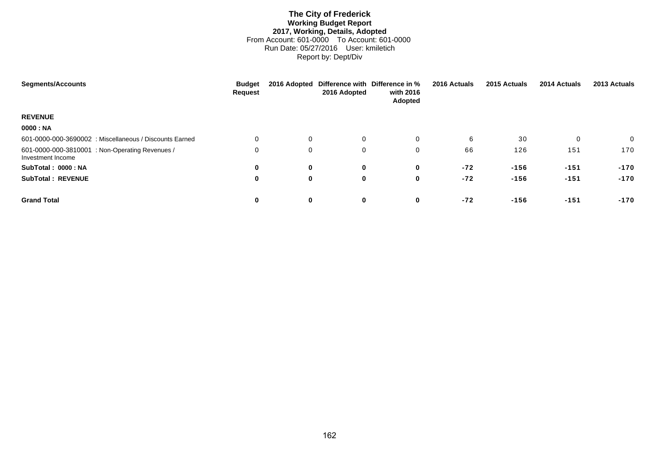# **The City of Frederick Working Budget Report 2017, Working, Details, Adopted** From Account: 601-0000 To Account: 601-0000 Run Date: 05/27/2016 User: kmiletich Report by: Dept/Div

| <b>Segments/Accounts</b>                                             | <b>Budget</b><br>Request | 2016 Adopted | 2016 Adopted | Difference with Difference in %<br>with 2016<br>Adopted | 2016 Actuals | 2015 Actuals | 2014 Actuals | 2013 Actuals   |
|----------------------------------------------------------------------|--------------------------|--------------|--------------|---------------------------------------------------------|--------------|--------------|--------------|----------------|
| <b>REVENUE</b>                                                       |                          |              |              |                                                         |              |              |              |                |
| 0000 : NA                                                            |                          |              |              |                                                         |              |              |              |                |
| 601-0000-000-3690002 : Miscellaneous / Discounts Earned              | $\Omega$                 | $\mathbf{0}$ | 0            | $\mathbf 0$                                             | 6            | 30           | 0            | $\overline{0}$ |
| 601-0000-000-3810001 : Non-Operating Revenues /<br>Investment Income | 0                        | $\mathbf 0$  | 0            | 0                                                       | 66           | 126          | 151          | 170            |
| SubTotal: 0000: NA                                                   | 0                        | 0            | $\bf{0}$     | $\mathbf 0$                                             | $-72$        | $-156$       | $-151$       | $-170$         |
| <b>SubTotal: REVENUE</b>                                             | 0                        | 0            | $\mathbf 0$  | 0                                                       | $-72$        | $-156$       | $-151$       | $-170$         |
| <b>Grand Total</b>                                                   | 0                        | $\bf{0}$     | $\bf{0}$     | 0                                                       | $-72$        | $-156$       | $-151$       | $-170$         |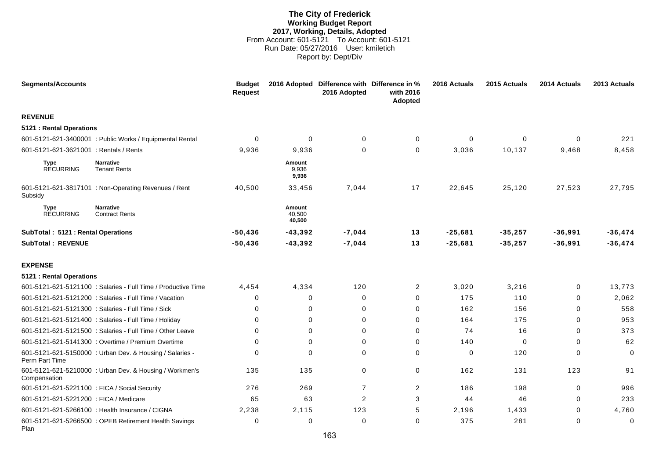# **The City of Frederick Working Budget Report 2017, Working, Details, Adopted** From Account: 601-5121 To Account: 601-5121 Run Date: 05/27/2016 User: kmiletich Report by: Dept/Div

| <b>Segments/Accounts</b>                      |                                                               | <b>Budget</b><br><b>Request</b> |                            | 2016 Adopted Difference with Difference in %<br>2016 Adopted | with 2016<br>Adopted | 2016 Actuals | 2015 Actuals | 2014 Actuals | 2013 Actuals |
|-----------------------------------------------|---------------------------------------------------------------|---------------------------------|----------------------------|--------------------------------------------------------------|----------------------|--------------|--------------|--------------|--------------|
| <b>REVENUE</b>                                |                                                               |                                 |                            |                                                              |                      |              |              |              |              |
| 5121 : Rental Operations                      |                                                               |                                 |                            |                                                              |                      |              |              |              |              |
|                                               | 601-5121-621-3400001 : Public Works / Equipmental Rental      | $\Omega$                        | $\mathbf 0$                | $\mathbf 0$                                                  | 0                    | $\mathbf 0$  | $\mathbf 0$  | $\Omega$     | 221          |
| 601-5121-621-3621001 : Rentals / Rents        |                                                               | 9,936                           | 9,936                      | $\Omega$                                                     | $\mathbf 0$          | 3,036        | 10,137       | 9,468        | 8,458        |
| <b>Type</b><br><b>RECURRING</b>               | <b>Narrative</b><br><b>Tenant Rents</b>                       |                                 | Amount<br>9,936<br>9,936   |                                                              |                      |              |              |              |              |
| Subsidy                                       | 601-5121-621-3817101 : Non-Operating Revenues / Rent          | 40,500                          | 33,456                     | 7,044                                                        | 17                   | 22,645       | 25,120       | 27,523       | 27,795       |
| <b>Type</b><br><b>RECURRING</b>               | <b>Narrative</b><br><b>Contract Rents</b>                     |                                 | Amount<br>40,500<br>40,500 |                                                              |                      |              |              |              |              |
| SubTotal: 5121: Rental Operations             |                                                               | $-50,436$                       | $-43,392$                  | $-7,044$                                                     | 13                   | $-25,681$    | $-35,257$    | $-36,991$    | $-36,474$    |
| <b>SubTotal: REVENUE</b>                      |                                                               | $-50,436$                       | $-43,392$                  | $-7,044$                                                     | 13                   | $-25,681$    | $-35,257$    | $-36,991$    | $-36,474$    |
| <b>EXPENSE</b>                                |                                                               |                                 |                            |                                                              |                      |              |              |              |              |
| 5121 : Rental Operations                      |                                                               |                                 |                            |                                                              |                      |              |              |              |              |
|                                               | 601-5121-621-5121100 : Salaries - Full Time / Productive Time | 4,454                           | 4,334                      | 120                                                          | $\overline{2}$       | 3,020        | 3,216        | 0            | 13,773       |
|                                               | 601-5121-621-5121200 : Salaries - Full Time / Vacation        | 0                               | $\mathbf 0$                | $\mathbf 0$                                                  | 0                    | 175          | 110          | $\Omega$     | 2,062        |
|                                               | 601-5121-621-5121300 : Salaries - Full Time / Sick            | 0                               | $\mathbf 0$                | $\mathbf 0$                                                  | $\mathbf 0$          | 162          | 156          | $\Omega$     | 558          |
|                                               | 601-5121-621-5121400 : Salaries - Full Time / Holiday         | $\Omega$                        | $\mathbf 0$                | 0                                                            | 0                    | 164          | 175          | $\mathbf 0$  | 953          |
|                                               | 601-5121-621-5121500 : Salaries - Full Time / Other Leave     | $\Omega$                        | $\Omega$                   | $\Omega$                                                     | 0                    | 74           | 16           | $\Omega$     | 373          |
|                                               | 601-5121-621-5141300 : Overtime / Premium Overtime            | 0                               | $\mathbf 0$                | $\mathbf 0$                                                  | $\mathbf 0$          | 140          | $\mathbf 0$  | $\mathbf 0$  | 62           |
| Perm Part Time                                | 601-5121-621-5150000 : Urban Dev. & Housing / Salaries -      | 0                               | $\mathbf 0$                | $\mathbf 0$                                                  | 0                    | $\mathbf 0$  | 120          | $\mathbf 0$  | 0            |
| Compensation                                  | 601-5121-621-5210000 : Urban Dev. & Housing / Workmen's       | 135                             | 135                        | 0                                                            | 0                    | 162          | 131          | 123          | 91           |
| 601-5121-621-5221100 : FICA / Social Security |                                                               | 276                             | 269                        | $\overline{7}$                                               | 2                    | 186          | 198          | $\mathbf 0$  | 996          |
| 601-5121-621-5221200 : FICA / Medicare        |                                                               | 65                              | 63                         | 2                                                            | 3                    | 44           | 46           | $\mathbf 0$  | 233          |
|                                               | 601-5121-621-5266100 : Health Insurance / CIGNA               | 2,238                           | 2,115                      | 123                                                          | 5                    | 2,196        | 1,433        | $\Omega$     | 4,760        |
| Plan                                          | 601-5121-621-5266500 : OPEB Retirement Health Savings         | $\mathbf 0$                     | 0                          | $\mathbf 0$                                                  | $\mathbf 0$          | 375          | 281          | 0            | 0            |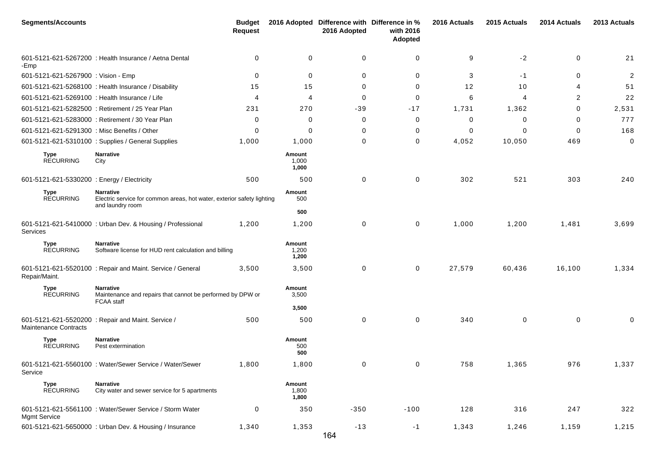| <b>Segments/Accounts</b>                       |                                                                                                                | <b>Budget</b><br><b>Request</b> |                          | 2016 Adopted Difference with Difference in %<br>2016 Adopted | with 2016<br><b>Adopted</b> | 2016 Actuals | 2015 Actuals   | 2014 Actuals   | 2013 Actuals   |
|------------------------------------------------|----------------------------------------------------------------------------------------------------------------|---------------------------------|--------------------------|--------------------------------------------------------------|-----------------------------|--------------|----------------|----------------|----------------|
| -Emp                                           | 601-5121-621-5267200 : Health Insurance / Aetna Dental                                                         | 0                               | 0                        | 0                                                            | 0                           | 9            | $-2$           | 0              | 21             |
| 601-5121-621-5267900 : Vision - Emp            |                                                                                                                | 0                               | 0                        | 0                                                            | 0                           | 3            | $-1$           | 0              | $\overline{2}$ |
|                                                | 601-5121-621-5268100 : Health Insurance / Disability                                                           | 15                              | 15                       | $\Omega$                                                     | 0                           | 12           | 10             | 4              | 51             |
| 601-5121-621-5269100 : Health Insurance / Life |                                                                                                                | 4                               | 4                        | $\Omega$                                                     | 0                           | 6            | $\overline{4}$ | $\overline{c}$ | 22             |
|                                                | 601-5121-621-5282500 : Retirement / 25 Year Plan                                                               | 231                             | 270                      | $-39$                                                        | $-17$                       | 1,731        | 1,362          | 0              | 2,531          |
|                                                | 601-5121-621-5283000 : Retirement / 30 Year Plan                                                               | 0                               | 0                        | 0                                                            | 0                           | 0            | 0              | 0              | 777            |
| 601-5121-621-5291300 : Misc Benefits / Other   |                                                                                                                | 0                               | 0                        | 0                                                            | 0                           | 0            | 0              | 0              | 168            |
|                                                | 601-5121-621-5310100 : Supplies / General Supplies                                                             | 1,000                           | 1,000                    | $\mathbf 0$                                                  | 0                           | 4,052        | 10,050         | 469            | $\mathbf 0$    |
| Type<br><b>RECURRING</b>                       | <b>Narrative</b><br>City                                                                                       |                                 | Amount<br>1,000<br>1,000 |                                                              |                             |              |                |                |                |
| 601-5121-621-5330200 : Energy / Electricity    |                                                                                                                | 500                             | 500                      | 0                                                            | 0                           | 302          | 521            | 303            | 240            |
| Type<br><b>RECURRING</b>                       | <b>Narrative</b><br>Electric service for common areas, hot water, exterior safety lighting<br>and laundry room |                                 | Amount<br>500            |                                                              |                             |              |                |                |                |
|                                                |                                                                                                                |                                 | 500                      |                                                              |                             |              |                |                |                |
| Services                                       | 601-5121-621-5410000 : Urban Dev. & Housing / Professional                                                     | 1,200                           | 1,200                    | 0                                                            | 0                           | 1,000        | 1,200          | 1,481          | 3,699          |
| Type<br><b>RECURRING</b>                       | <b>Narrative</b><br>Software license for HUD rent calculation and billing                                      |                                 | Amount<br>1,200<br>1,200 |                                                              |                             |              |                |                |                |
| Repair/Maint.                                  | 601-5121-621-5520100 : Repair and Maint. Service / General                                                     | 3,500                           | 3,500                    | 0                                                            | 0                           | 27,579       | 60,436         | 16,100         | 1,334          |
| Type<br><b>RECURRING</b>                       | <b>Narrative</b><br>Maintenance and repairs that cannot be performed by DPW or<br>FCAA staff                   |                                 | Amount<br>3,500          |                                                              |                             |              |                |                |                |
|                                                |                                                                                                                |                                 | 3,500                    |                                                              |                             |              |                |                |                |
| Maintenance Contracts                          | 601-5121-621-5520200 : Repair and Maint. Service /                                                             | 500                             | 500                      | 0                                                            | 0                           | 340          | 0              | 0              | $\Omega$       |
| Type<br><b>RECURRING</b>                       | <b>Narrative</b><br>Pest extermination                                                                         |                                 | Amount<br>500<br>500     |                                                              |                             |              |                |                |                |
| Service                                        | 601-5121-621-5560100 : Water/Sewer Service / Water/Sewer                                                       | 1,800                           | 1,800                    | 0                                                            | 0                           | 758          | 1,365          | 976            | 1,337          |
| Type<br><b>RECURRING</b>                       | <b>Narrative</b><br>City water and sewer service for 5 apartments                                              |                                 | Amount<br>1,800<br>1,800 |                                                              |                             |              |                |                |                |
| <b>Mgmt Service</b>                            | 601-5121-621-5561100 : Water/Sewer Service / Storm Water                                                       | 0                               | 350                      | $-350$                                                       | $-100$                      | 128          | 316            | 247            | 322            |
|                                                | 601-5121-621-5650000 : Urban Dev. & Housing / Insurance                                                        | 1,340                           | 1,353                    | $-13$                                                        | $-1$                        | 1,343        | 1,246          | 1,159          | 1,215          |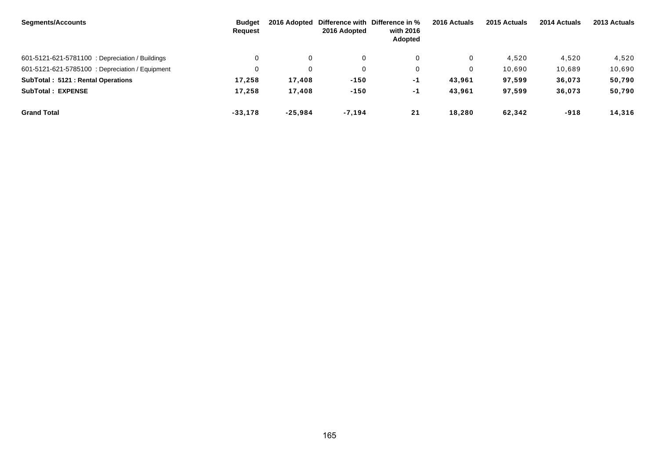| <b>Segments/Accounts</b>                        | Budget<br>Request |           | 2016 Adopted | 2016 Adopted Difference with Difference in %<br>with 2016<br><b>Adopted</b> | 2016 Actuals | 2015 Actuals | 2014 Actuals | 2013 Actuals |
|-------------------------------------------------|-------------------|-----------|--------------|-----------------------------------------------------------------------------|--------------|--------------|--------------|--------------|
| 601-5121-621-5781100 : Depreciation / Buildings | $\mathbf{0}$      | 0         | $\mathbf 0$  | 0                                                                           | 0            | 4.520        | 4,520        | 4,520        |
| 601-5121-621-5785100 : Depreciation / Equipment | $\mathbf 0$       | 0         | $\mathbf 0$  | 0                                                                           | 0            | 10.690       | 10,689       | 10,690       |
| SubTotal: 5121: Rental Operations               | 17.258            | 17.408    | $-150$       | -1                                                                          | 43,961       | 97,599       | 36,073       | 50,790       |
| <b>SubTotal: EXPENSE</b>                        | 17.258            | 17.408    | $-150$       | -1                                                                          | 43,961       | 97,599       | 36,073       | 50,790       |
| <b>Grand Total</b>                              | $-33,178$         | $-25,984$ | $-7.194$     | 21                                                                          | 18.280       | 62.342       | $-918$       | 14,316       |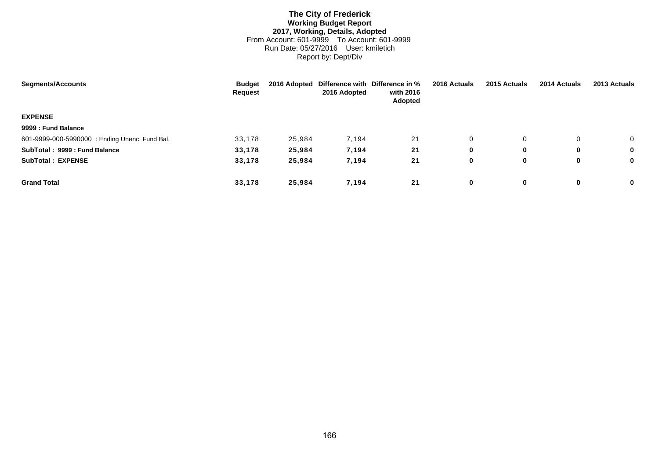# **The City of Frederick Working Budget Report 2017, Working, Details, Adopted** From Account: 601-9999 To Account: 601-9999 Run Date: 05/27/2016 User: kmiletich Report by: Dept/Div

| <b>Segments/Accounts</b>                       | <b>Budget</b><br><b>Request</b> |        | 2016 Adopted | 2016 Adopted Difference with Difference in %<br>with 2016<br>Adopted | 2016 Actuals | 2015 Actuals | 2014 Actuals | 2013 Actuals   |
|------------------------------------------------|---------------------------------|--------|--------------|----------------------------------------------------------------------|--------------|--------------|--------------|----------------|
| <b>EXPENSE</b>                                 |                                 |        |              |                                                                      |              |              |              |                |
| 9999 : Fund Balance                            |                                 |        |              |                                                                      |              |              |              |                |
| 601-9999-000-5990000 : Ending Unenc. Fund Bal. | 33,178                          | 25,984 | 7,194        | 21                                                                   | 0            | 0            |              | $\overline{0}$ |
| SubTotal: 9999 : Fund Balance                  | 33,178                          | 25,984 | 7,194        | 21                                                                   | 0            | 0            | 0            | $\mathbf{0}$   |
| <b>SubTotal: EXPENSE</b>                       | 33,178                          | 25,984 | 7,194        | 21                                                                   | 0            | 0            | 0            | $\mathbf 0$    |
| <b>Grand Total</b>                             | 33,178                          | 25,984 | 7,194        | 21                                                                   | 0            | $\mathbf 0$  | 0            | $\mathbf{0}$   |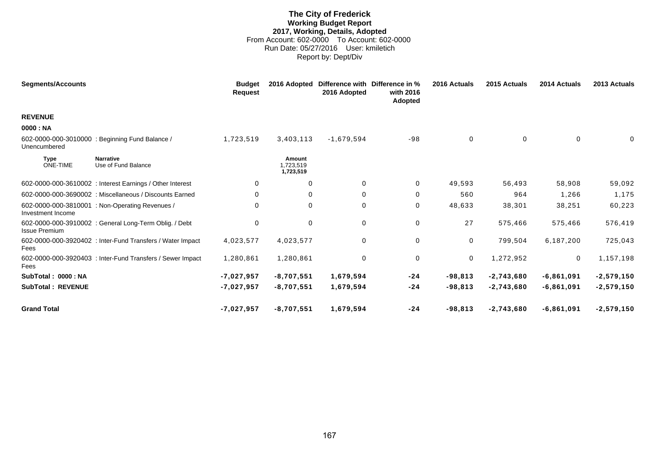# **The City of Frederick Working Budget Report 2017, Working, Details, Adopted** From Account: 602-0000 To Account: 602-0000 Run Date: 05/27/2016 User: kmiletich Report by: Dept/Div

| <b>Segments/Accounts</b>       |                                                            | <b>Budget</b><br><b>Request</b> | 2016 Adopted                     | <b>Difference with</b><br>2016 Adopted | Difference in %<br>with 2016<br><b>Adopted</b> | 2016 Actuals | 2015 Actuals | 2014 Actuals | 2013 Actuals |
|--------------------------------|------------------------------------------------------------|---------------------------------|----------------------------------|----------------------------------------|------------------------------------------------|--------------|--------------|--------------|--------------|
| <b>REVENUE</b>                 |                                                            |                                 |                                  |                                        |                                                |              |              |              |              |
| 0000 : NA                      |                                                            |                                 |                                  |                                        |                                                |              |              |              |              |
| Unencumbered                   | 602-0000-000-3010000 : Beginning Fund Balance /            | 1,723,519                       | 3,403,113                        | $-1,679,594$                           | $-98$                                          | $\mathbf 0$  | 0            | 0            | $\mathbf{0}$ |
| <b>Type</b><br><b>ONE-TIME</b> | <b>Narrative</b><br>Use of Fund Balance                    |                                 | Amount<br>1,723,519<br>1,723,519 |                                        |                                                |              |              |              |              |
|                                | 602-0000-000-3610002 : Interest Earnings / Other Interest  | $\Omega$                        | $\mathbf 0$                      | $\mathbf 0$                            | 0                                              | 49,593       | 56,493       | 58,908       | 59,092       |
|                                | 602-0000-000-3690002 : Miscellaneous / Discounts Earned    | 0                               | 0                                | $\mathbf 0$                            | 0                                              | 560          | 964          | 1,266        | 1,175        |
| Investment Income              | 602-0000-000-3810001 : Non-Operating Revenues /            | $\Omega$                        | 0                                | $\mathbf 0$                            | 0                                              | 48,633       | 38,301       | 38,251       | 60,223       |
| <b>Issue Premium</b>           | 602-0000-000-3910002 : General Long-Term Oblig. / Debt     | 0                               | 0                                | 0                                      | 0                                              | 27           | 575,466      | 575,466      | 576,419      |
| Fees                           | 602-0000-000-3920402 : Inter-Fund Transfers / Water Impact | 4,023,577                       | 4,023,577                        | 0                                      | $\pmb{0}$                                      | $\mathbf 0$  | 799,504      | 6,187,200    | 725,043      |
| Fees                           | 602-0000-000-3920403 : Inter-Fund Transfers / Sewer Impact | 1,280,861                       | 1,280,861                        | 0                                      | $\mathbf 0$                                    | 0            | 1,272,952    | 0            | 1,157,198    |
| SubTotal: 0000: NA             |                                                            | $-7,027,957$                    | $-8,707,551$                     | 1,679,594                              | $-24$                                          | $-98,813$    | $-2,743,680$ | $-6,861,091$ | $-2,579,150$ |
| <b>SubTotal: REVENUE</b>       |                                                            | $-7,027,957$                    | $-8,707,551$                     | 1,679,594                              | $-24$                                          | $-98,813$    | $-2,743,680$ | $-6,861,091$ | $-2,579,150$ |
| <b>Grand Total</b>             |                                                            | $-7,027,957$                    | $-8,707,551$                     | 1,679,594                              | $-24$                                          | $-98,813$    | $-2,743,680$ | $-6,861,091$ | $-2,579,150$ |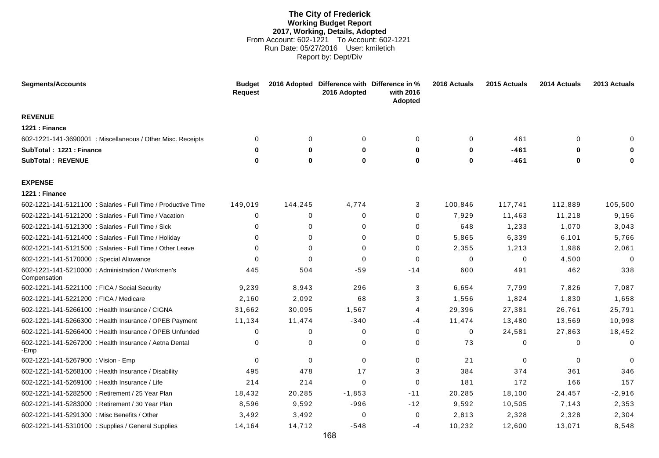# **The City of Frederick Working Budget Report 2017, Working, Details, Adopted** From Account: 602-1221 To Account: 602-1221 Run Date: 05/27/2016 User: kmiletich Report by: Dept/Div

| <b>Segments/Accounts</b>                                          | <b>Budget</b><br><b>Request</b> |             | 2016 Adopted Difference with Difference in %<br>2016 Adopted | with 2016<br>Adopted | 2016 Actuals | 2015 Actuals | 2014 Actuals | 2013 Actuals |
|-------------------------------------------------------------------|---------------------------------|-------------|--------------------------------------------------------------|----------------------|--------------|--------------|--------------|--------------|
| <b>REVENUE</b>                                                    |                                 |             |                                                              |                      |              |              |              |              |
| 1221 : Finance                                                    |                                 |             |                                                              |                      |              |              |              |              |
| 602-1221-141-3690001 : Miscellaneous / Other Misc. Receipts       | $\Omega$                        | $\mathbf 0$ | $\mathbf 0$                                                  | 0                    | 0            | 461          | $\Omega$     | $\Omega$     |
| SubTotal: 1221: Finance                                           | 0                               | $\bf{0}$    | $\bf{0}$                                                     | $\mathbf 0$          | $\bf{0}$     | $-461$       | 0            |              |
| <b>SubTotal: REVENUE</b>                                          | 0                               | $\bf{0}$    | $\mathbf 0$                                                  | $\mathbf 0$          | $\bf{0}$     | $-461$       | $\bf{0}$     | 0            |
| <b>EXPENSE</b>                                                    |                                 |             |                                                              |                      |              |              |              |              |
| 1221 : Finance                                                    |                                 |             |                                                              |                      |              |              |              |              |
| 602-1221-141-5121100 : Salaries - Full Time / Productive Time     | 149,019                         | 144,245     | 4,774                                                        | 3                    | 100,846      | 117,741      | 112,889      | 105,500      |
| 602-1221-141-5121200 : Salaries - Full Time / Vacation            | 0                               | 0           | $\Omega$                                                     | $\mathbf 0$          | 7,929        | 11,463       | 11,218       | 9,156        |
| 602-1221-141-5121300 : Salaries - Full Time / Sick                | $\Omega$                        | $\Omega$    | $\Omega$                                                     | $\mathbf 0$          | 648          | 1,233        | 1,070        | 3,043        |
| 602-1221-141-5121400 : Salaries - Full Time / Holiday             | $\Omega$                        | 0           | $\Omega$                                                     | $\mathbf 0$          | 5,865        | 6,339        | 6,101        | 5,766        |
| 602-1221-141-5121500 : Salaries - Full Time / Other Leave         | $\Omega$                        | 0           | $\mathbf 0$                                                  | 0                    | 2,355        | 1,213        | 1,986        | 2,061        |
| 602-1221-141-5170000 : Special Allowance                          | $\Omega$                        | $\Omega$    | $\Omega$                                                     | $\mathbf 0$          | $\mathbf 0$  | 0            | 4,500        | $\mathbf 0$  |
| 602-1221-141-5210000 : Administration / Workmen's<br>Compensation | 445                             | 504         | -59                                                          | $-14$                | 600          | 491          | 462          | 338          |
| 602-1221-141-5221100 : FICA / Social Security                     | 9,239                           | 8,943       | 296                                                          | 3                    | 6,654        | 7,799        | 7,826        | 7,087        |
| 602-1221-141-5221200 : FICA / Medicare                            | 2,160                           | 2,092       | 68                                                           | 3                    | 1,556        | 1,824        | 1,830        | 1,658        |
| 602-1221-141-5266100 : Health Insurance / CIGNA                   | 31,662                          | 30,095      | 1,567                                                        | 4                    | 29,396       | 27,381       | 26,761       | 25,791       |
| 602-1221-141-5266300 : Health Insurance / OPEB Payment            | 11,134                          | 11,474      | $-340$                                                       | -4                   | 11,474       | 13,480       | 13,569       | 10,998       |
| 602-1221-141-5266400 : Health Insurance / OPEB Unfunded           | $\Omega$                        | 0           | 0                                                            | 0                    | $\Omega$     | 24,581       | 27,863       | 18,452       |
| 602-1221-141-5267200 : Health Insurance / Aetna Dental<br>-Emp    | $\Omega$                        | 0           | 0                                                            | $\mathbf 0$          | 73           | 0            | 0            | $\Omega$     |
| 602-1221-141-5267900 : Vision - Emp                               | $\Omega$                        | 0           | $\Omega$                                                     | 0                    | 21           | $\mathbf 0$  | $\Omega$     | $\Omega$     |
| 602-1221-141-5268100 : Health Insurance / Disability              | 495                             | 478         | 17                                                           | 3                    | 384          | 374          | 361          | 346          |
| 602-1221-141-5269100 : Health Insurance / Life                    | 214                             | 214         | $\Omega$                                                     | $\mathbf 0$          | 181          | 172          | 166          | 157          |
| 602-1221-141-5282500 : Retirement / 25 Year Plan                  | 18,432                          | 20,285      | $-1,853$                                                     | $-11$                | 20,285       | 18,100       | 24,457       | $-2,916$     |
| 602-1221-141-5283000 : Retirement / 30 Year Plan                  | 8,596                           | 9,592       | $-996$                                                       | $-12$                | 9,592        | 10,505       | 7,143        | 2,353        |
| 602-1221-141-5291300 : Misc Benefits / Other                      | 3,492                           | 3,492       | $\Omega$                                                     | $\mathbf 0$          | 2,813        | 2,328        | 2,328        | 2,304        |
| 602-1221-141-5310100 : Supplies / General Supplies                | 14,164                          | 14,712      | -548                                                         | -4                   | 10,232       | 12,600       | 13,071       | 8,548        |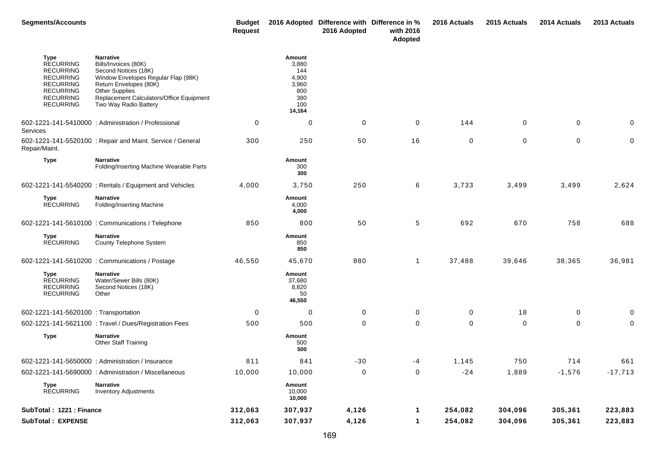| <b>Segments/Accounts</b>                                                                                                                                |                                                                                                                                                                                                                                 | <b>Budget</b><br><b>Request</b> |                                                                         | 2016 Adopted Difference with Difference in %<br>2016 Adopted | with 2016<br>Adopted | 2016 Actuals | 2015 Actuals | 2014 Actuals | 2013 Actuals |
|---------------------------------------------------------------------------------------------------------------------------------------------------------|---------------------------------------------------------------------------------------------------------------------------------------------------------------------------------------------------------------------------------|---------------------------------|-------------------------------------------------------------------------|--------------------------------------------------------------|----------------------|--------------|--------------|--------------|--------------|
| <b>Type</b><br><b>RECURRING</b><br><b>RECURRING</b><br><b>RECURRING</b><br><b>RECURRING</b><br><b>RECURRING</b><br><b>RECURRING</b><br><b>RECURRING</b> | <b>Narrative</b><br>Bills/Invoices (80K)<br>Second Notices (18K)<br>Window Envelopes Regular Flap (98K)<br>Return Envelopes (80K)<br><b>Other Supplies</b><br>Replacement Calculators/Office Equipment<br>Two Way Radio Battery |                                 | Amount<br>3,880<br>144<br>4,900<br>3,960<br>800<br>380<br>100<br>14,164 |                                                              |                      |              |              |              |              |
| Services                                                                                                                                                | 602-1221-141-5410000 : Administration / Professional                                                                                                                                                                            | 0                               | 0                                                                       | 0                                                            | 0                    | 144          | 0            | $\mathbf 0$  | 0            |
| Repair/Maint.                                                                                                                                           | 602-1221-141-5520100 : Repair and Maint. Service / General                                                                                                                                                                      | 300                             | 250                                                                     | 50                                                           | 16                   | $\mathbf 0$  | 0            | 0            | 0            |
| <b>Type</b>                                                                                                                                             | <b>Narrative</b><br>Folding/Inserting Machine Wearable Parts                                                                                                                                                                    |                                 | Amount<br>300<br>300                                                    |                                                              |                      |              |              |              |              |
|                                                                                                                                                         | 602-1221-141-5540200 : Rentals / Equipment and Vehicles                                                                                                                                                                         | 4,000                           | 3,750                                                                   | 250                                                          | 6                    | 3,733        | 3,499        | 3,499        | 2,624        |
| Type<br><b>RECURRING</b>                                                                                                                                | <b>Narrative</b><br>Folding/Inserting Machine                                                                                                                                                                                   |                                 | Amount<br>4,000<br>4,000                                                |                                                              |                      |              |              |              |              |
|                                                                                                                                                         | 602-1221-141-5610100 : Communications / Telephone                                                                                                                                                                               | 850                             | 800                                                                     | 50                                                           | $\sqrt{5}$           | 692          | 670          | 758          | 688          |
| <b>Type</b><br><b>RECURRING</b>                                                                                                                         | <b>Narrative</b><br>County Telephone System                                                                                                                                                                                     |                                 | Amount<br>850<br>850                                                    |                                                              |                      |              |              |              |              |
|                                                                                                                                                         | 602-1221-141-5610200 : Communications / Postage                                                                                                                                                                                 | 46,550                          | 45,670                                                                  | 880                                                          | $\mathbf{1}$         | 37,488       | 39,646       | 38,365       | 36,981       |
| Type<br><b>RECURRING</b><br><b>RECURRING</b><br><b>RECURRING</b>                                                                                        | <b>Narrative</b><br>Water/Sewer Bills (80K)<br>Second Notices (18K)<br>Other                                                                                                                                                    |                                 | Amount<br>37,680<br>8,820<br>50<br>46,550                               |                                                              |                      |              |              |              |              |
| 602-1221-141-5620100 : Transportation                                                                                                                   |                                                                                                                                                                                                                                 | 0                               | 0                                                                       | 0                                                            | 0                    | 0            | 18           | 0            | 0            |
|                                                                                                                                                         | 602-1221-141-5621100 : Travel / Dues/Registration Fees                                                                                                                                                                          | 500                             | 500                                                                     | 0                                                            | $\pmb{0}$            | 0            | 0            | 0            | 0            |
| <b>Type</b>                                                                                                                                             | <b>Narrative</b><br>Other Staff Training                                                                                                                                                                                        |                                 | Amount<br>500<br>500                                                    |                                                              |                      |              |              |              |              |
|                                                                                                                                                         | 602-1221-141-5650000 : Administration / Insurance                                                                                                                                                                               | 811                             | 841                                                                     | $-30$                                                        | -4                   | 1,145        | 750          | 714          | 661          |
|                                                                                                                                                         | 602-1221-141-5690000 : Administration / Miscellaneous                                                                                                                                                                           | 10,000                          | 10,000                                                                  | $\mathbf 0$                                                  | $\pmb{0}$            | $-24$        | 1,889        | $-1,576$     | $-17,713$    |
| <b>Type</b><br><b>RECURRING</b>                                                                                                                         | <b>Narrative</b><br><b>Inventory Adjustments</b>                                                                                                                                                                                |                                 | Amount<br>10,000<br>10,000                                              |                                                              |                      |              |              |              |              |
| SubTotal: 1221: Finance                                                                                                                                 |                                                                                                                                                                                                                                 | 312,063                         | 307,937                                                                 | 4,126                                                        | $\mathbf 1$          | 254,082      | 304,096      | 305,361      | 223,883      |
| <b>SubTotal: EXPENSE</b>                                                                                                                                |                                                                                                                                                                                                                                 | 312,063                         | 307,937                                                                 | 4,126                                                        | $\mathbf{1}$         | 254,082      | 304,096      | 305,361      | 223,883      |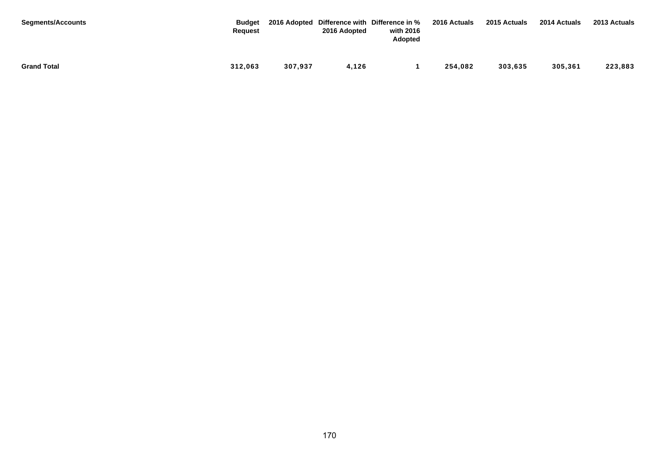| <b>Segments/Accounts</b> | <b>Budget</b><br>Request |         | 2016 Adopted | 2016 Adopted Difference with Difference in %<br>with 2016<br><b>Adopted</b> | 2016 Actuals | 2015 Actuals | 2014 Actuals | 2013 Actuals |
|--------------------------|--------------------------|---------|--------------|-----------------------------------------------------------------------------|--------------|--------------|--------------|--------------|
| <b>Grand Total</b>       | 312,063                  | 307,937 | 4,126        |                                                                             | 254,082      | 303,635      | 305,361      | 223,883      |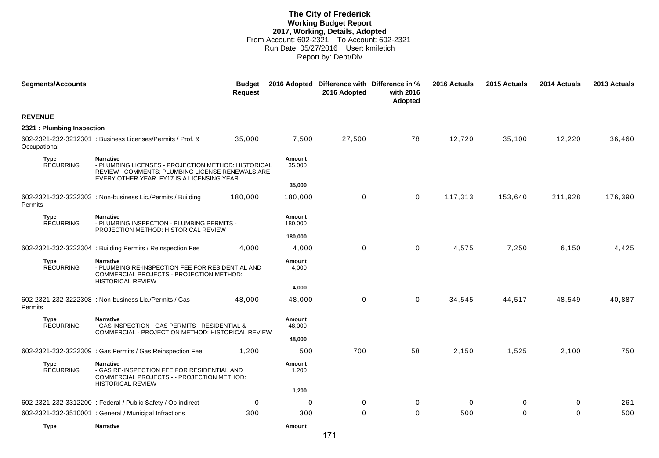## **The City of Frederick Working Budget Report 2017, Working, Details, Adopted** From Account: 602-2321 To Account: 602-2321 Run Date: 05/27/2016 User: kmiletich Report by: Dept/Div

| <b>Segments/Accounts</b>        |                                                                                                                                                                            | <b>Budget</b><br><b>Request</b> |                   | 2016 Adopted Difference with Difference in %<br>2016 Adopted | with 2016<br>Adopted | 2016 Actuals | 2015 Actuals | 2014 Actuals | 2013 Actuals |
|---------------------------------|----------------------------------------------------------------------------------------------------------------------------------------------------------------------------|---------------------------------|-------------------|--------------------------------------------------------------|----------------------|--------------|--------------|--------------|--------------|
| <b>REVENUE</b>                  |                                                                                                                                                                            |                                 |                   |                                                              |                      |              |              |              |              |
| 2321 : Plumbing Inspection      |                                                                                                                                                                            |                                 |                   |                                                              |                      |              |              |              |              |
| Occupational                    | 602-2321-232-3212301 : Business Licenses/Permits / Prof. &                                                                                                                 | 35,000                          | 7,500             | 27,500                                                       | 78                   | 12,720       | 35,100       | 12,220       | 36,460       |
| Type<br><b>RECURRING</b>        | <b>Narrative</b><br>- PLUMBING LICENSES - PROJECTION METHOD: HISTORICAL<br>REVIEW - COMMENTS: PLUMBING LICENSE RENEWALS ARE<br>EVERY OTHER YEAR. FY17 IS A LICENSING YEAR. |                                 | Amount<br>35,000  |                                                              |                      |              |              |              |              |
|                                 |                                                                                                                                                                            |                                 | 35,000            |                                                              |                      |              |              |              |              |
| Permits                         | 602-2321-232-3222303 : Non-business Lic./Permits / Building                                                                                                                | 180,000                         | 180,000           | $\mathbf 0$                                                  | 0                    | 117,313      | 153,640      | 211,928      | 176,390      |
| <b>Type</b><br><b>RECURRING</b> | <b>Narrative</b><br>- PLUMBING INSPECTION - PLUMBING PERMITS -                                                                                                             |                                 | Amount<br>180,000 |                                                              |                      |              |              |              |              |
|                                 | PROJECTION METHOD: HISTORICAL REVIEW                                                                                                                                       |                                 | 180,000           |                                                              |                      |              |              |              |              |
|                                 | 602-2321-232-3222304 : Building Permits / Reinspection Fee                                                                                                                 | 4,000                           | 4,000             | $\mathbf 0$                                                  | $\mathbf 0$          | 4,575        | 7,250        | 6,150        | 4,425        |
| <b>Type</b><br><b>RECURRING</b> | <b>Narrative</b><br>- PLUMBING RE-INSPECTION FEE FOR RESIDENTIAL AND<br>COMMERCIAL PROJECTS - PROJECTION METHOD:<br><b>HISTORICAL REVIEW</b>                               |                                 | Amount<br>4,000   |                                                              |                      |              |              |              |              |
|                                 |                                                                                                                                                                            |                                 | 4,000             |                                                              |                      |              |              |              |              |
| Permits                         | 602-2321-232-3222308 : Non-business Lic./Permits / Gas                                                                                                                     | 48,000                          | 48,000            | $\mathbf 0$                                                  | 0                    | 34,545       | 44,517       | 48,549       | 40,887       |
| <b>Type</b><br><b>RECURRING</b> | <b>Narrative</b><br>- GAS INSPECTION - GAS PERMITS - RESIDENTIAL &                                                                                                         |                                 | Amount<br>48,000  |                                                              |                      |              |              |              |              |
|                                 | COMMERCIAL - PROJECTION METHOD: HISTORICAL REVIEW                                                                                                                          |                                 | 48,000            |                                                              |                      |              |              |              |              |
|                                 | 602-2321-232-3222309 : Gas Permits / Gas Reinspection Fee                                                                                                                  | 1,200                           | 500               | 700                                                          | 58                   | 2,150        | 1,525        | 2,100        | 750          |
| <b>Type</b><br><b>RECURRING</b> | <b>Narrative</b><br>- GAS RE-INSPECTION FEE FOR RESIDENTIAL AND<br>COMMERCIAL PROJECTS - - PROJECTION METHOD:<br><b>HISTORICAL REVIEW</b>                                  |                                 | Amount<br>1,200   |                                                              |                      |              |              |              |              |
|                                 |                                                                                                                                                                            |                                 | 1,200             |                                                              |                      |              |              |              |              |
|                                 | 602-2321-232-3312200 : Federal / Public Safety / Op indirect                                                                                                               | $\mathbf 0$                     | 0                 | $\mathbf 0$                                                  | 0                    | $\mathbf 0$  | 0            | $\mathbf 0$  | 261          |
|                                 | 602-2321-232-3510001 : General / Municipal Infractions                                                                                                                     | 300                             | 300               | $\mathbf{0}$                                                 | $\Omega$             | 500          | $\Omega$     | $\mathbf{0}$ | 500          |
| Type                            | Narrative                                                                                                                                                                  |                                 | Amount            |                                                              |                      |              |              |              |              |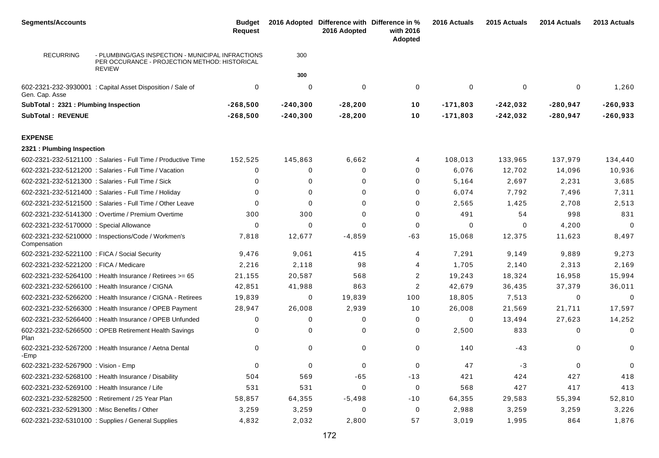| <b>Segments/Accounts</b>                       |                                                                                                                     | <b>Budget</b><br><b>Request</b> |            | 2016 Adopted Difference with Difference in %<br>2016 Adopted | with 2016<br>Adopted | 2016 Actuals | 2015 Actuals | 2014 Actuals | 2013 Actuals |
|------------------------------------------------|---------------------------------------------------------------------------------------------------------------------|---------------------------------|------------|--------------------------------------------------------------|----------------------|--------------|--------------|--------------|--------------|
| <b>RECURRING</b>                               | - PLUMBING/GAS INSPECTION - MUNICIPAL INFRACTIONS<br>PER OCCURANCE - PROJECTION METHOD: HISTORICAL<br><b>REVIEW</b> |                                 | 300        |                                                              |                      |              |              |              |              |
|                                                |                                                                                                                     |                                 | 300        |                                                              |                      |              |              |              |              |
| Gen. Cap. Asse                                 | 602-2321-232-3930001 : Capital Asset Disposition / Sale of                                                          | 0                               | 0          | $\Omega$                                                     | 0                    | $\mathbf 0$  | 0            | 0            | 1,260        |
| SubTotal: 2321 : Plumbing Inspection           |                                                                                                                     | $-268,500$                      | $-240,300$ | $-28,200$                                                    | 10                   | $-171,803$   | $-242,032$   | $-280,947$   | $-260,933$   |
| <b>SubTotal: REVENUE</b>                       |                                                                                                                     | $-268,500$                      | $-240,300$ | $-28,200$                                                    | 10                   | $-171,803$   | $-242,032$   | $-280,947$   | $-260,933$   |
| <b>EXPENSE</b>                                 |                                                                                                                     |                                 |            |                                                              |                      |              |              |              |              |
| 2321 : Plumbing Inspection                     |                                                                                                                     |                                 |            |                                                              |                      |              |              |              |              |
|                                                | 602-2321-232-5121100 : Salaries - Full Time / Productive Time                                                       | 152,525                         | 145,863    | 6,662                                                        | 4                    | 108,013      | 133,965      | 137,979      | 134,440      |
|                                                | 602-2321-232-5121200 : Salaries - Full Time / Vacation                                                              | 0                               | 0          | 0                                                            | 0                    | 6,076        | 12,702       | 14,096       | 10,936       |
|                                                | 602-2321-232-5121300 : Salaries - Full Time / Sick                                                                  | 0                               | 0          | $\Omega$                                                     | 0                    | 5,164        | 2,697        | 2,231        | 3,685        |
|                                                | 602-2321-232-5121400 : Salaries - Full Time / Holiday                                                               | $\Omega$                        | 0          | $\Omega$                                                     | 0                    | 6,074        | 7,792        | 7,496        | 7,311        |
|                                                | 602-2321-232-5121500 : Salaries - Full Time / Other Leave                                                           | $\Omega$                        | $\Omega$   | $\Omega$                                                     | 0                    | 2,565        | 1,425        | 2,708        | 2,513        |
|                                                | 602-2321-232-5141300 : Overtime / Premium Overtime                                                                  | 300                             | 300        | $\Omega$                                                     | 0                    | 491          | 54           | 998          | 831          |
| 602-2321-232-5170000 : Special Allowance       |                                                                                                                     | 0                               | 0          | $\Omega$                                                     | 0                    | 0            | 0            | 4,200        | $\mathbf 0$  |
| Compensation                                   | 602-2321-232-5210000 : Inspections/Code / Workmen's                                                                 | 7,818                           | 12,677     | $-4,859$                                                     | $-63$                | 15,068       | 12,375       | 11,623       | 8,497        |
| 602-2321-232-5221100 : FICA / Social Security  |                                                                                                                     | 9,476                           | 9,061      | 415                                                          | 4                    | 7,291        | 9,149        | 9,889        | 9,273        |
| 602-2321-232-5221200 : FICA / Medicare         |                                                                                                                     | 2,216                           | 2,118      | 98                                                           | 4                    | 1,705        | 2,140        | 2,313        | 2,169        |
|                                                | 602-2321-232-5264100 : Health Insurance / Retirees >= 65                                                            | 21,155                          | 20,587     | 568                                                          | 2                    | 19,243       | 18,324       | 16,958       | 15,994       |
|                                                | 602-2321-232-5266100 : Health Insurance / CIGNA                                                                     | 42,851                          | 41,988     | 863                                                          | 2                    | 42,679       | 36,435       | 37,379       | 36,011       |
|                                                | 602-2321-232-5266200 : Health Insurance / CIGNA - Retirees                                                          | 19,839                          | 0          | 19,839                                                       | 100                  | 18,805       | 7,513        | 0            | $\Omega$     |
|                                                | 602-2321-232-5266300 : Health Insurance / OPEB Payment                                                              | 28,947                          | 26,008     | 2,939                                                        | 10                   | 26,008       | 21,569       | 21,711       | 17,597       |
|                                                | 602-2321-232-5266400 : Health Insurance / OPEB Unfunded                                                             | 0                               | 0          | 0                                                            | 0                    | 0            | 13,494       | 27,623       | 14,252       |
| Plan                                           | 602-2321-232-5266500 : OPEB Retirement Health Savings                                                               | 0                               | 0          | 0                                                            | 0                    | 2,500        | 833          | 0            | $\Omega$     |
| -Emp                                           | 602-2321-232-5267200 : Health Insurance / Aetna Dental                                                              | 0                               | 0          | 0                                                            | 0                    | 140          | $-43$        | 0            | 0            |
| 602-2321-232-5267900 : Vision - Emp            |                                                                                                                     | 0                               | 0          | $\mathbf 0$                                                  | $\mathbf 0$          | 47           | -3           | 0            | $\mathbf 0$  |
|                                                | 602-2321-232-5268100 : Health Insurance / Disability                                                                | 504                             | 569        | $-65$                                                        | $-13$                | 421          | 424          | 427          | 418          |
| 602-2321-232-5269100 : Health Insurance / Life |                                                                                                                     | 531                             | 531        | $\Omega$                                                     | 0                    | 568          | 427          | 417          | 413          |
|                                                | 602-2321-232-5282500 : Retirement / 25 Year Plan                                                                    | 58,857                          | 64,355     | $-5,498$                                                     | $-10$                | 64,355       | 29,583       | 55,394       | 52,810       |
| 602-2321-232-5291300 : Misc Benefits / Other   |                                                                                                                     | 3,259                           | 3,259      | 0                                                            | 0                    | 2,988        | 3,259        | 3,259        | 3,226        |
|                                                | 602-2321-232-5310100 : Supplies / General Supplies                                                                  | 4,832                           | 2,032      | 2,800                                                        | 57                   | 3,019        | 1,995        | 864          | 1,876        |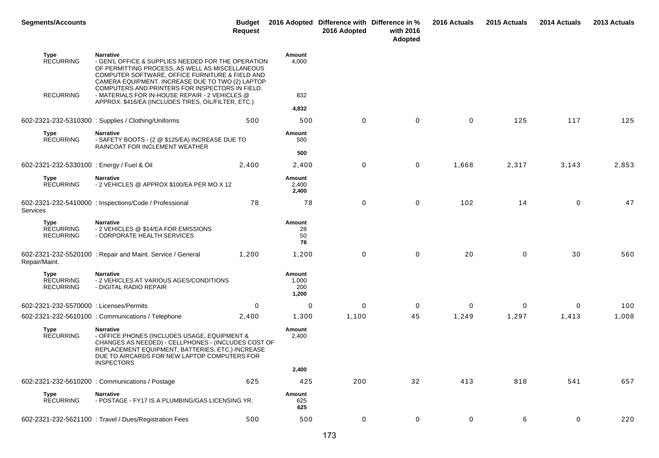| <b>Segments/Accounts</b>                     |                                                                                                                                                                                                                                                  | <b>Budget</b><br><b>Request</b> |                                 | 2016 Adopted Difference with Difference in %<br>2016 Adopted | with 2016<br>Adopted | 2016 Actuals | 2015 Actuals | 2014 Actuals | 2013 Actuals |
|----------------------------------------------|--------------------------------------------------------------------------------------------------------------------------------------------------------------------------------------------------------------------------------------------------|---------------------------------|---------------------------------|--------------------------------------------------------------|----------------------|--------------|--------------|--------------|--------------|
| Type<br><b>RECURRING</b>                     | <b>Narrative</b><br>- GEN'L OFFICE & SUPPLIES NEEDED FOR THE OPERATION<br>OF PERMITTING PROCESS, AS WELL AS MISCELLANEOUS<br>COMPUTER SOFTWARE, OFFICE FURNITURE & FIELD AND<br>CAMERA EQUIPMENT. INCREASE DUE TO TWO (2) LAPTOP                 |                                 | Amount<br>4,000                 |                                                              |                      |              |              |              |              |
| <b>RECURRING</b>                             | COMPUTERS AND PRINTERS FOR INSPECTORS IN FIELD.<br>- MATERIALS FOR IN-HOUSE REPAIR - 2 VEHICLES @<br>APPROX. \$416/EA (INCLUDES TIRES, OIL/FILTER, ETC.)                                                                                         |                                 | 832<br>4,832                    |                                                              |                      |              |              |              |              |
|                                              | 602-2321-232-5310300: Supplies / Clothing/Uniforms                                                                                                                                                                                               | 500                             | 500                             | 0                                                            | $\mathbf 0$          | 0            | 125          | 117          | 125          |
| Type<br><b>RECURRING</b>                     | <b>Narrative</b><br>- SAFETY BOOTS - (2 @ \$125/EA) INCREASE DUE TO<br>RAINCOAT FOR INCLEMENT WEATHER                                                                                                                                            |                                 | Amount<br>500                   |                                                              |                      |              |              |              |              |
|                                              |                                                                                                                                                                                                                                                  |                                 | 500                             |                                                              |                      |              |              |              |              |
| 602-2321-232-5330100 : Energy / Fuel & Oil   |                                                                                                                                                                                                                                                  | 2,400                           | 2,400                           | $\mathbf 0$                                                  | $\mathbf 0$          | 1,668        | 2,317        | 3,143        | 2,853        |
| Type<br><b>RECURRING</b>                     | <b>Narrative</b><br>- 2 VEHICLES @ APPROX \$100/EA PER MO X 12                                                                                                                                                                                   |                                 | Amount<br>2,400<br>2,400        |                                                              |                      |              |              |              |              |
| Services                                     | 602-2321-232-5410000 : Inspections/Code / Professional                                                                                                                                                                                           | 78                              | 78                              | 0                                                            | 0                    | 102          | 14           | $\mathbf 0$  | 47           |
| Type<br><b>RECURRING</b><br><b>RECURRING</b> | <b>Narrative</b><br>- 2 VEHICLES @ \$14/EA FOR EMISSIONS<br>- CORPORATE HEALTH SERVICES                                                                                                                                                          |                                 | Amount<br>28<br>50<br>78        |                                                              |                      |              |              |              |              |
| Repair/Maint.                                | 602-2321-232-5520100 : Repair and Maint. Service / General                                                                                                                                                                                       | 1,200                           | 1,200                           | $\mathbf 0$                                                  | $\pmb{0}$            | 20           | $\mathbf 0$  | 30           | 560          |
| Type<br><b>RECURRING</b><br><b>RECURRING</b> | <b>Narrative</b><br>- 2 VEHICLES AT VARIOUS AGES/CONDITIONS<br>- DIGITAL RADIO REPAIR                                                                                                                                                            |                                 | Amount<br>1,000<br>200<br>1,200 |                                                              |                      |              |              |              |              |
| 602-2321-232-5570000 : Licenses/Permits      |                                                                                                                                                                                                                                                  | 0                               | 0                               | 0                                                            | 0                    | 0            | 0            | 0            | 100          |
|                                              | 602-2321-232-5610100 : Communications / Telephone                                                                                                                                                                                                | 2,400                           | 1,300                           | 1,100                                                        | 45                   | 1,249        | 1,297        | 1,413        | 1,008        |
| Type<br><b>RECURRING</b>                     | <b>Narrative</b><br>- OFFICE PHONES (INCLUDES USAGE, EQUIPMENT &<br>CHANGES AS NEEDED) - CELLPHONES - (INCLUDES COST OF<br>REPLACEMENT EQUIPMENT, BATTERIES, ETC.) INCREASE<br>DUE TO AIRCARDS FOR NEW LAPTOP COMPUTERS FOR<br><b>INSPECTORS</b> |                                 | Amount<br>2,400<br>2,400        |                                                              |                      |              |              |              |              |
|                                              | 602-2321-232-5610200 : Communications / Postage                                                                                                                                                                                                  | 625                             | 425                             | 200                                                          | 32                   | 413          | 818          | 541          | 657          |
| <b>Type</b><br><b>RECURRING</b>              | <b>Narrative</b><br>- POSTAGE - FY17 IS A PLUMBING/GAS LICENSING YR.                                                                                                                                                                             |                                 | Amount<br>625<br>625            |                                                              |                      |              |              |              |              |
|                                              | 602-2321-232-5621100 : Travel / Dues/Registration Fees                                                                                                                                                                                           | 500                             | 500                             | 0                                                            | 0                    | 0            | 6            | $\mathbf 0$  | 220          |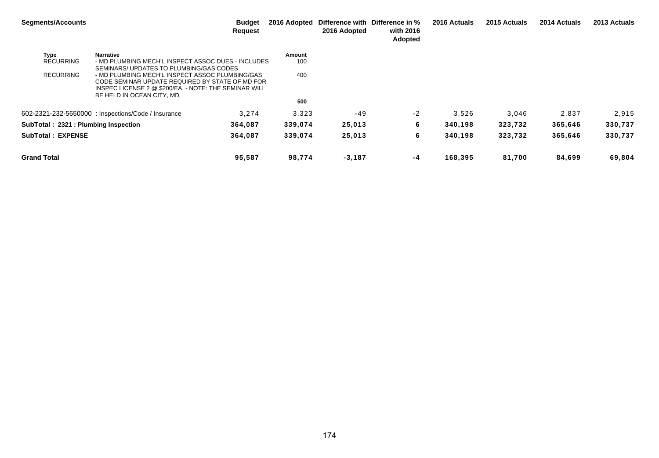| <b>Segments/Accounts</b>            |                                                                                                                                                             | <b>Budget</b><br>Request | 2016 Adopted | Difference with<br>2016 Adopted | Difference in %<br>with 2016<br>Adopted | 2016 Actuals | 2015 Actuals | 2014 Actuals | 2013 Actuals |
|-------------------------------------|-------------------------------------------------------------------------------------------------------------------------------------------------------------|--------------------------|--------------|---------------------------------|-----------------------------------------|--------------|--------------|--------------|--------------|
| Type                                | <b>Narrative</b>                                                                                                                                            |                          | Amount       |                                 |                                         |              |              |              |              |
| <b>RECURRING</b>                    | - MD PLUMBING MECH'L INSPECT ASSOC DUES - INCLUDES<br>SEMINARS/ UPDATES TO PLUMBING/GAS CODES                                                               |                          | 100          |                                 |                                         |              |              |              |              |
| <b>RECURRING</b>                    | - MD PLUMBING MECH'L INSPECT ASSOC PLUMBING/GAS<br>CODE SEMINAR UPDATE REQUIRED BY STATE OF MD FOR<br>INSPEC LICENSE 2 @ \$200/EA. - NOTE: THE SEMINAR WILL |                          | 400          |                                 |                                         |              |              |              |              |
|                                     | BE HELD IN OCEAN CITY, MD                                                                                                                                   |                          | 500          |                                 |                                         |              |              |              |              |
|                                     |                                                                                                                                                             |                          |              |                                 |                                         |              |              |              |              |
|                                     | 602-2321-232-5650000 : Inspections/Code / Insurance                                                                                                         | 3,274                    | 3,323        | -49                             | $-2$                                    | 3,526        | 3,046        | 2,837        | 2,915        |
| SubTotal: 2321: Plumbing Inspection |                                                                                                                                                             | 364,087                  | 339,074      | 25,013                          | 6                                       | 340,198      | 323,732      | 365,646      | 330,737      |
| <b>SubTotal: EXPENSE</b>            |                                                                                                                                                             | 364,087                  | 339,074      | 25,013                          | 6                                       | 340,198      | 323,732      | 365,646      | 330,737      |
| <b>Grand Total</b>                  |                                                                                                                                                             | 95,587                   | 98,774       | $-3,187$                        | -4                                      | 168,395      | 81,700       | 84,699       | 69,804       |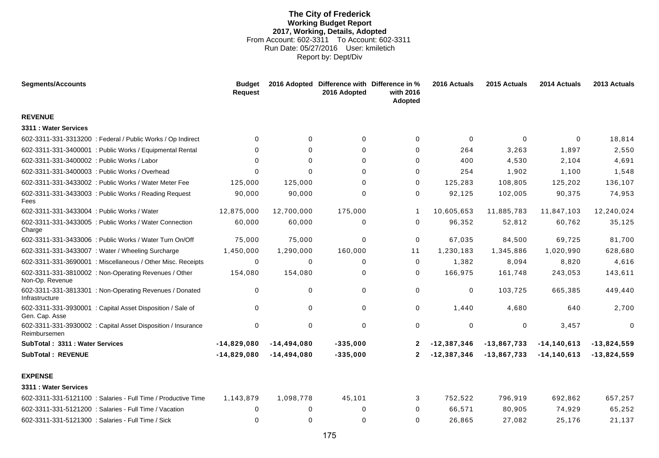#### **The City of Frederick Working Budget Report 2017, Working, Details, Adopted** From Account: 602-3311 To Account: 602-3311 Run Date: 05/27/2016 User: kmiletich Report by: Dept/Div

| <b>Segments/Accounts</b>                                                     | <b>Budget</b><br><b>Request</b> |                 | 2016 Adopted Difference with Difference in %<br>2016 Adopted | with 2016<br>Adopted | 2016 Actuals  | 2015 Actuals  | 2014 Actuals    | 2013 Actuals  |
|------------------------------------------------------------------------------|---------------------------------|-----------------|--------------------------------------------------------------|----------------------|---------------|---------------|-----------------|---------------|
| <b>REVENUE</b>                                                               |                                 |                 |                                                              |                      |               |               |                 |               |
| 3311 : Water Services                                                        |                                 |                 |                                                              |                      |               |               |                 |               |
| 602-3311-331-3313200 : Federal / Public Works / Op Indirect                  | $\Omega$                        | 0               | 0                                                            | 0                    | 0             | $\mathbf 0$   | $\mathbf 0$     | 18,814        |
| 602-3311-331-3400001 : Public Works / Equipmental Rental                     | 0                               | $\Omega$        |                                                              | $\Omega$             | 264           | 3,263         | 1,897           | 2,550         |
| 602-3311-331-3400002 : Public Works / Labor                                  | $\Omega$                        | $\Omega$        | $\Omega$                                                     | $\Omega$             | 400           | 4,530         | 2,104           | 4,691         |
| 602-3311-331-3400003 : Public Works / Overhead                               | $\Omega$                        | $\Omega$        | $\Omega$                                                     | 0                    | 254           | 1,902         | 1,100           | 1,548         |
| 602-3311-331-3433002 : Public Works / Water Meter Fee                        | 125,000                         | 125,000         | 0                                                            | 0                    | 125,283       | 108,805       | 125,202         | 136,107       |
| 602-3311-331-3433003 : Public Works / Reading Request<br>Fees                | 90,000                          | 90,000          | $\Omega$                                                     | 0                    | 92,125        | 102,005       | 90,375          | 74,953        |
| 602-3311-331-3433004 : Public Works / Water                                  | 12,875,000                      | 12,700,000      | 175,000                                                      | -1                   | 10,605,653    | 11,885,783    | 11,847,103      | 12,240,024    |
| 602-3311-331-3433005 : Public Works / Water Connection<br>Charge             | 60,000                          | 60,000          | $\Omega$                                                     | 0                    | 96,352        | 52,812        | 60,762          | 35,125        |
| 602-3311-331-3433006 : Public Works / Water Turn On/Off                      | 75,000                          | 75,000          | $\Omega$                                                     | $\mathbf 0$          | 67,035        | 84,500        | 69,725          | 81,700        |
| 602-3311-331-3433007 : Water / Wheeling Surcharge                            | 1,450,000                       | 1,290,000       | 160,000                                                      | 11                   | 1,230,183     | 1,345,886     | 1,020,990       | 628,680       |
| 602-3311-331-3690001 : Miscellaneous / Other Misc. Receipts                  | 0                               | 0               | 0                                                            | 0                    | 1,382         | 8,094         | 8,820           | 4,616         |
| 602-3311-331-3810002 : Non-Operating Revenues / Other<br>Non-Op. Revenue     | 154,080                         | 154,080         | 0                                                            | 0                    | 166,975       | 161,748       | 243,053         | 143,611       |
| 602-3311-331-3813301 : Non-Operating Revenues / Donated<br>Infrastructure    | 0                               | 0               | 0                                                            | $\pmb{0}$            | 0             | 103,725       | 665,385         | 449,440       |
| 602-3311-331-3930001 : Capital Asset Disposition / Sale of<br>Gen. Cap. Asse | $\Omega$                        | $\mathbf 0$     | 0                                                            | 0                    | 1,440         | 4,680         | 640             | 2,700         |
| 602-3311-331-3930002 : Capital Asset Disposition / Insurance<br>Reimbursemen | $\Omega$                        | $\mathbf 0$     | $\Omega$                                                     | $\mathbf 0$          | $\mathbf 0$   | 0             | 3,457           | $\mathbf 0$   |
| SubTotal: 3311: Water Services                                               | $-14,829,080$                   | $-14, 494, 080$ | $-335,000$                                                   | $\mathbf{2}$         | $-12,387,346$ | $-13,867,733$ | $-14, 140, 613$ | $-13,824,559$ |
| <b>SubTotal: REVENUE</b>                                                     | $-14,829,080$                   | $-14,494,080$   | $-335,000$                                                   | $\mathbf{2}$         | $-12,387,346$ | $-13,867,733$ | $-14, 140, 613$ | $-13,824,559$ |
| <b>EXPENSE</b>                                                               |                                 |                 |                                                              |                      |               |               |                 |               |
| 3311 : Water Services                                                        |                                 |                 |                                                              |                      |               |               |                 |               |
| 602-3311-331-5121100 : Salaries - Full Time / Productive Time                | 1,143,879                       | 1,098,778       | 45,101                                                       | 3                    | 752,522       | 796,919       | 692,862         | 657,257       |
| 602-3311-331-5121200 : Salaries - Full Time / Vacation                       | 0                               | 0               | $\Omega$                                                     | $\Omega$             | 66,571        | 80,905        | 74,929          | 65,252        |
| 602-3311-331-5121300 : Salaries - Full Time / Sick                           | 0                               | $\Omega$        | $\Omega$                                                     | $\Omega$             | 26,865        | 27,082        | 25,176          | 21,137        |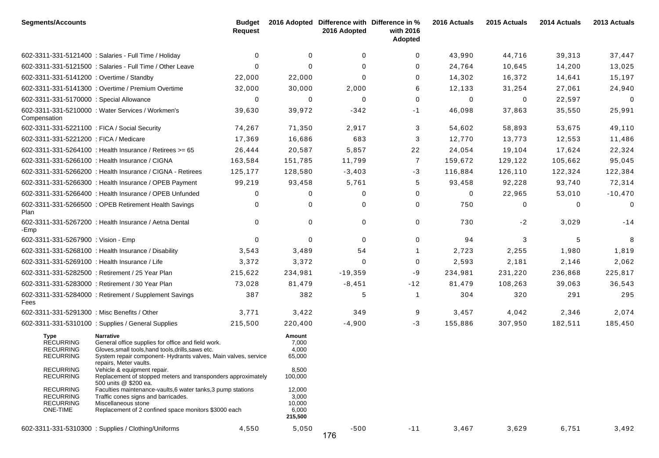| <b>Segments/Accounts</b>                                                                                 |                                                                                                                                                                                                                                                                                                                                           | <b>Budget</b><br><b>Request</b> |                                                        | 2016 Adopted Difference with Difference in %<br>2016 Adopted | with 2016<br>Adopted | 2016 Actuals | 2015 Actuals | 2014 Actuals | 2013 Actuals |
|----------------------------------------------------------------------------------------------------------|-------------------------------------------------------------------------------------------------------------------------------------------------------------------------------------------------------------------------------------------------------------------------------------------------------------------------------------------|---------------------------------|--------------------------------------------------------|--------------------------------------------------------------|----------------------|--------------|--------------|--------------|--------------|
|                                                                                                          | 602-3311-331-5121400 : Salaries - Full Time / Holiday                                                                                                                                                                                                                                                                                     | $\mathbf 0$                     | 0                                                      | $\mathbf 0$                                                  | 0                    | 43,990       | 44,716       | 39,313       | 37,447       |
|                                                                                                          | 602-3311-331-5121500 : Salaries - Full Time / Other Leave                                                                                                                                                                                                                                                                                 | $\Omega$                        | 0                                                      | $\Omega$                                                     | 0                    | 24,764       | 10,645       | 14,200       | 13,025       |
| 602-3311-331-5141200 : Overtime / Standby                                                                |                                                                                                                                                                                                                                                                                                                                           | 22,000                          | 22,000                                                 | $\Omega$                                                     | 0                    | 14,302       | 16,372       | 14,641       | 15,197       |
|                                                                                                          | 602-3311-331-5141300 : Overtime / Premium Overtime                                                                                                                                                                                                                                                                                        | 32,000                          | 30,000                                                 | 2,000                                                        | 6                    | 12,133       | 31,254       | 27,061       | 24,940       |
| 602-3311-331-5170000 : Special Allowance                                                                 |                                                                                                                                                                                                                                                                                                                                           | 0                               | 0                                                      | 0                                                            | 0                    | 0            | 0            | 22,597       | 0            |
| Compensation                                                                                             | 602-3311-331-5210000 : Water Services / Workmen's                                                                                                                                                                                                                                                                                         | 39,630                          | 39,972                                                 | $-342$                                                       | -1                   | 46,098       | 37,863       | 35,550       | 25,991       |
| 602-3311-331-5221100 : FICA / Social Security                                                            |                                                                                                                                                                                                                                                                                                                                           | 74,267                          | 71,350                                                 | 2,917                                                        | 3                    | 54,602       | 58,893       | 53,675       | 49,110       |
| 602-3311-331-5221200 : FICA / Medicare                                                                   |                                                                                                                                                                                                                                                                                                                                           | 17,369                          | 16,686                                                 | 683                                                          | 3                    | 12,770       | 13,773       | 12,553       | 11,486       |
|                                                                                                          | 602-3311-331-5264100 : Health Insurance / Retirees >= 65                                                                                                                                                                                                                                                                                  | 26,444                          | 20,587                                                 | 5,857                                                        | 22                   | 24,054       | 19,104       | 17,624       | 22,324       |
|                                                                                                          | 602-3311-331-5266100 : Health Insurance / CIGNA                                                                                                                                                                                                                                                                                           | 163,584                         | 151,785                                                | 11,799                                                       | 7                    | 159,672      | 129,122      | 105,662      | 95,045       |
|                                                                                                          | 602-3311-331-5266200 : Health Insurance / CIGNA - Retirees                                                                                                                                                                                                                                                                                | 125,177                         | 128,580                                                | $-3,403$                                                     | -3                   | 116,884      | 126,110      | 122,324      | 122,384      |
|                                                                                                          | 602-3311-331-5266300 : Health Insurance / OPEB Payment                                                                                                                                                                                                                                                                                    | 99,219                          | 93,458                                                 | 5,761                                                        | 5                    | 93,458       | 92,228       | 93,740       | 72,314       |
|                                                                                                          | 602-3311-331-5266400 : Health Insurance / OPEB Unfunded                                                                                                                                                                                                                                                                                   | 0                               | 0                                                      | 0                                                            | 0                    | $\Omega$     | 22,965       | 53,010       | $-10,470$    |
| Plan                                                                                                     | 602-3311-331-5266500 : OPEB Retirement Health Savings                                                                                                                                                                                                                                                                                     | 0                               | 0                                                      | 0                                                            | 0                    | 750          | 0            | 0            | 0            |
| -Emp                                                                                                     | 602-3311-331-5267200 : Health Insurance / Aetna Dental                                                                                                                                                                                                                                                                                    | 0                               | 0                                                      | 0                                                            | 0                    | 730          | $-2$         | 3,029        | $-14$        |
| 602-3311-331-5267900 : Vision - Emp                                                                      |                                                                                                                                                                                                                                                                                                                                           | $\Omega$                        | 0                                                      | $\Omega$                                                     | 0                    | 94           | 3            | 5            | 8            |
|                                                                                                          | 602-3311-331-5268100 : Health Insurance / Disability                                                                                                                                                                                                                                                                                      | 3,543                           | 3,489                                                  | 54                                                           | -1                   | 2,723        | 2,255        | 1,980        | 1,819        |
| 602-3311-331-5269100 : Health Insurance / Life                                                           |                                                                                                                                                                                                                                                                                                                                           | 3,372                           | 3,372                                                  | $\Omega$                                                     | 0                    | 2,593        | 2,181        | 2,146        | 2,062        |
|                                                                                                          | 602-3311-331-5282500 : Retirement / 25 Year Plan                                                                                                                                                                                                                                                                                          | 215,622                         | 234,981                                                | $-19,359$                                                    | -9                   | 234,981      | 231,220      | 236,868      | 225,817      |
|                                                                                                          | 602-3311-331-5283000 : Retirement / 30 Year Plan                                                                                                                                                                                                                                                                                          | 73,028                          | 81,479                                                 | $-8,451$                                                     | $-12$                | 81,479       | 108,263      | 39,063       | 36,543       |
| Fees                                                                                                     | 602-3311-331-5284000: Retirement / Supplement Savings                                                                                                                                                                                                                                                                                     | 387                             | 382                                                    | 5                                                            | -1                   | 304          | 320          | 291          | 295          |
| 602-3311-331-5291300 : Misc Benefits / Other                                                             |                                                                                                                                                                                                                                                                                                                                           | 3,771                           | 3,422                                                  | 349                                                          | 9                    | 3,457        | 4,042        | 2,346        | 2,074        |
|                                                                                                          | 602-3311-331-5310100 : Supplies / General Supplies                                                                                                                                                                                                                                                                                        | 215,500                         | 220,400                                                | $-4,900$                                                     | $-3$                 | 155,886      | 307,950      | 182,511      | 185,450      |
| Type<br><b>RECURRING</b><br><b>RECURRING</b><br><b>RECURRING</b><br><b>RECURRING</b><br><b>RECURRING</b> | Narrative<br>General office supplies for office and field work.<br>Gloves, small tools, hand tools, drills, saws etc.<br>System repair component- Hydrants valves, Main valves, service<br>repairs, Meter vaults.<br>Vehicle & equipment repair.<br>Replacement of stopped meters and transponders approximately<br>500 units @ \$200 ea. |                                 | Amount<br>7,000<br>4,000<br>65,000<br>8,500<br>100,000 |                                                              |                      |              |              |              |              |
| <b>RECURRING</b><br><b>RECURRING</b><br><b>RECURRING</b><br>ONE-TIME                                     | Faculties maintenance-vaults, 6 water tanks, 3 pump stations<br>Traffic cones signs and barricades.<br>Miscellaneous stone<br>Replacement of 2 confined space monitors \$3000 each                                                                                                                                                        |                                 | 12,000<br>3,000<br>10,000<br>6,000<br>215,500          |                                                              |                      |              |              |              |              |
|                                                                                                          | 602-3311-331-5310300 : Supplies / Clothing/Uniforms                                                                                                                                                                                                                                                                                       | 4,550                           | 5,050                                                  | $-500$<br>176                                                | $-11$                | 3,467        | 3,629        | 6,751        | 3,492        |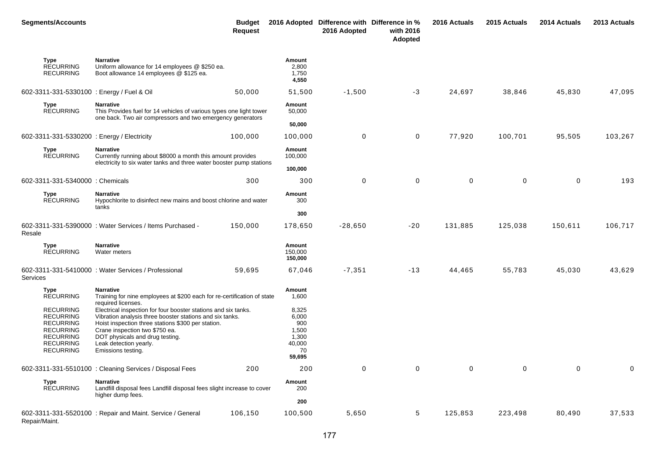| <b>Segments/Accounts</b>                                                             |                                                                                                                                                                                                                                                                                                       | <b>Budget</b><br><b>Request</b> |                                          | 2016 Adopted Difference with Difference in %<br>2016 Adopted | with 2016<br>Adopted | 2016 Actuals | 2015 Actuals | 2014 Actuals | 2013 Actuals |
|--------------------------------------------------------------------------------------|-------------------------------------------------------------------------------------------------------------------------------------------------------------------------------------------------------------------------------------------------------------------------------------------------------|---------------------------------|------------------------------------------|--------------------------------------------------------------|----------------------|--------------|--------------|--------------|--------------|
| Type<br><b>RECURRING</b><br><b>RECURRING</b>                                         | <b>Narrative</b><br>Uniform allowance for 14 employees @ \$250 ea.<br>Boot allowance 14 employees @ \$125 ea.                                                                                                                                                                                         |                                 | Amount<br>2,800<br>1,750<br>4,550        |                                                              |                      |              |              |              |              |
| 602-3311-331-5330100 : Energy / Fuel & Oil                                           |                                                                                                                                                                                                                                                                                                       | 50,000                          | 51,500                                   | $-1,500$                                                     | $-3$                 | 24,697       | 38,846       | 45,830       | 47,095       |
| Type<br><b>RECURRING</b>                                                             | <b>Narrative</b><br>This Provides fuel for 14 vehicles of various types one light tower<br>one back. Two air compressors and two emergency generators                                                                                                                                                 |                                 | Amount<br>50,000<br>50,000               |                                                              |                      |              |              |              |              |
| 602-3311-331-5330200 : Energy / Electricity                                          |                                                                                                                                                                                                                                                                                                       | 100,000                         | 100,000                                  | 0                                                            | 0                    | 77,920       | 100,701      | 95,505       | 103,267      |
| Type<br><b>RECURRING</b>                                                             | <b>Narrative</b><br>Currently running about \$8000 a month this amount provides<br>electricity to six water tanks and three water booster pump stations                                                                                                                                               |                                 | Amount<br>100,000                        |                                                              |                      |              |              |              |              |
|                                                                                      |                                                                                                                                                                                                                                                                                                       |                                 | 100,000                                  |                                                              |                      |              |              |              |              |
| 602-3311-331-5340000 : Chemicals                                                     |                                                                                                                                                                                                                                                                                                       | 300                             | 300                                      | 0                                                            | 0                    | $\mathbf 0$  | 0            | $\mathbf 0$  | 193          |
| <b>Type</b><br><b>RECURRING</b>                                                      | <b>Narrative</b><br>Hypochlorite to disinfect new mains and boost chlorine and water<br>tanks                                                                                                                                                                                                         |                                 | Amount<br>300                            |                                                              |                      |              |              |              |              |
|                                                                                      |                                                                                                                                                                                                                                                                                                       |                                 | 300                                      |                                                              |                      |              |              |              |              |
| Resale                                                                               | 602-3311-331-5390000 : Water Services / Items Purchased -                                                                                                                                                                                                                                             | 150,000                         | 178,650                                  | $-28,650$                                                    | $-20$                | 131,885      | 125,038      | 150,611      | 106,717      |
| Type<br><b>RECURRING</b>                                                             | <b>Narrative</b><br>Water meters                                                                                                                                                                                                                                                                      |                                 | Amount<br>150,000<br>150,000             |                                                              |                      |              |              |              |              |
| Services                                                                             | 602-3311-331-5410000 : Water Services / Professional                                                                                                                                                                                                                                                  | 59,695                          | 67,046                                   | $-7,351$                                                     | $-13$                | 44,465       | 55,783       | 45,030       | 43,629       |
| Type<br><b>RECURRING</b><br><b>RECURRING</b><br><b>RECURRING</b><br><b>RECURRING</b> | <b>Narrative</b><br>Training for nine employees at \$200 each for re-certification of state<br>required licenses.<br>Electrical inspection for four booster stations and six tanks.<br>Vibration analysis three booster stations and six tanks.<br>Hoist inspection three stations \$300 per station. |                                 | Amount<br>1,600<br>8,325<br>6,000<br>900 |                                                              |                      |              |              |              |              |
| <b>RECURRING</b><br><b>RECURRING</b><br><b>RECURRING</b><br><b>RECURRING</b>         | Crane inspection two \$750 ea.<br>DOT physicals and drug testing.<br>Leak detection yearly.<br>Emissions testing.                                                                                                                                                                                     |                                 | 1,500<br>1,300<br>40,000<br>70<br>59,695 |                                                              |                      |              |              |              |              |
|                                                                                      | 602-3311-331-5510100 : Cleaning Services / Disposal Fees                                                                                                                                                                                                                                              | 200                             | 200                                      | 0                                                            | 0                    | $\mathbf 0$  | $\mathbf 0$  | $\mathbf 0$  | 0            |
| Type<br><b>RECURRING</b>                                                             | <b>Narrative</b><br>Landfill disposal fees Landfill disposal fees slight increase to cover<br>higher dump fees.                                                                                                                                                                                       |                                 | Amount<br>200                            |                                                              |                      |              |              |              |              |
|                                                                                      |                                                                                                                                                                                                                                                                                                       |                                 | 200                                      |                                                              |                      |              |              |              |              |
|                                                                                      | 602-3311-331-5520100 : Repair and Maint. Service / General                                                                                                                                                                                                                                            | 106,150                         | 100,500                                  | 5,650                                                        | 5                    | 125,853      | 223,498      | 80,490       | 37,533       |

#### Repair/Maint.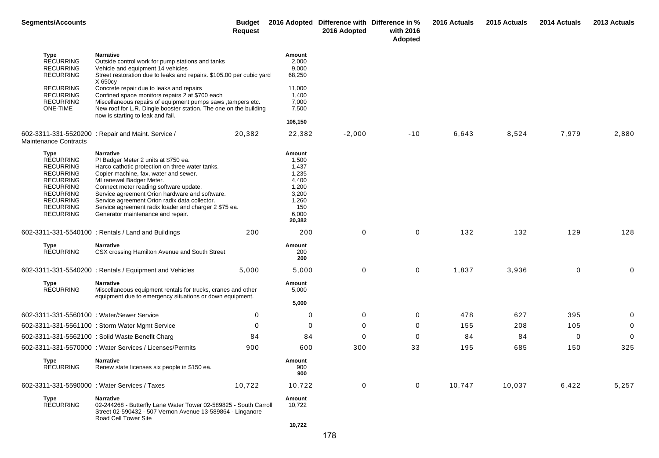| <b>Segments/Accounts</b>                                                                                                                                                                 |                                                                                                                                                                                                                                                                                                                                                                                                                                                                       | <b>Budget</b><br><b>Request</b> |                                                                                                 | 2016 Adopted Difference with Difference in %<br>2016 Adopted | with 2016<br>Adopted | 2016 Actuals | 2015 Actuals | 2014 Actuals | 2013 Actuals |
|------------------------------------------------------------------------------------------------------------------------------------------------------------------------------------------|-----------------------------------------------------------------------------------------------------------------------------------------------------------------------------------------------------------------------------------------------------------------------------------------------------------------------------------------------------------------------------------------------------------------------------------------------------------------------|---------------------------------|-------------------------------------------------------------------------------------------------|--------------------------------------------------------------|----------------------|--------------|--------------|--------------|--------------|
| Type<br><b>RECURRING</b><br><b>RECURRING</b><br><b>RECURRING</b><br><b>RECURRING</b><br><b>RECURRING</b><br><b>RECURRING</b><br><b>ONE-TIME</b>                                          | <b>Narrative</b><br>Outside control work for pump stations and tanks<br>Vehicle and equipment 14 vehicles<br>Street restoration due to leaks and repairs. \$105.00 per cubic yard<br>X 650cy<br>Concrete repair due to leaks and repairs<br>Confined space monitors repairs 2 at \$700 each<br>Miscellaneous repairs of equipment pumps saws , tampers etc.<br>New roof for L.R. Dingle booster station. The one on the building<br>now is starting to leak and fail. |                                 | Amount<br>2,000<br>9,000<br>68,250<br>11,000<br>1,400<br>7,000<br>7,500<br>106,150              |                                                              |                      |              |              |              |              |
| Maintenance Contracts                                                                                                                                                                    | 602-3311-331-5520200 : Repair and Maint. Service /                                                                                                                                                                                                                                                                                                                                                                                                                    | 20,382                          | 22,382                                                                                          | $-2,000$                                                     | $-10$                | 6,643        | 8,524        | 7,979        | 2,880        |
| Type<br><b>RECURRING</b><br><b>RECURRING</b><br><b>RECURRING</b><br><b>RECURRING</b><br><b>RECURRING</b><br><b>RECURRING</b><br><b>RECURRING</b><br><b>RECURRING</b><br><b>RECURRING</b> | <b>Narrative</b><br>PI Badger Meter 2 units at \$750 ea.<br>Harco cathotic protection on three water tanks.<br>Copier machine, fax, water and sewer.<br>MI renewal Badger Meter.<br>Connect meter reading software update.<br>Service agreement Orion hardware and software.<br>Service agreement Orion radix data collector.<br>Service agreement radix loader and charger 2 \$75 ea.<br>Generator maintenance and repair.                                           |                                 | Amount<br>1,500<br>1,437<br>1,235<br>4,400<br>1,200<br>3,200<br>1,260<br>150<br>6,000<br>20,382 |                                                              |                      |              |              |              |              |
|                                                                                                                                                                                          | 602-3311-331-5540100 : Rentals / Land and Buildings                                                                                                                                                                                                                                                                                                                                                                                                                   | 200                             | 200                                                                                             | 0                                                            | 0                    | 132          | 132          | 129          | 128          |
| Type<br><b>RECURRING</b>                                                                                                                                                                 | <b>Narrative</b><br>CSX crossing Hamilton Avenue and South Street                                                                                                                                                                                                                                                                                                                                                                                                     |                                 | Amount<br>200<br>200                                                                            |                                                              |                      |              |              |              |              |
|                                                                                                                                                                                          | 602-3311-331-5540200 : Rentals / Equipment and Vehicles                                                                                                                                                                                                                                                                                                                                                                                                               | 5,000                           | 5,000                                                                                           | 0                                                            | 0                    | 1,837        | 3,936        | 0            | 0            |
| Type<br><b>RECURRING</b>                                                                                                                                                                 | <b>Narrative</b><br>Miscellaneous equipment rentals for trucks, cranes and other<br>equipment due to emergency situations or down equipment.                                                                                                                                                                                                                                                                                                                          |                                 | Amount<br>5,000<br>5,000                                                                        |                                                              |                      |              |              |              |              |
| 602-3311-331-5560100 : Water/Sewer Service                                                                                                                                               |                                                                                                                                                                                                                                                                                                                                                                                                                                                                       | 0                               | 0                                                                                               | 0                                                            | 0                    | 478          | 627          | 395          | 0            |
|                                                                                                                                                                                          | 602-3311-331-5561100 : Storm Water Mgmt Service                                                                                                                                                                                                                                                                                                                                                                                                                       | 0                               | 0                                                                                               | 0                                                            | 0                    | 155          | 208          | 105          | 0            |
|                                                                                                                                                                                          | 602-3311-331-5562100 : Solid Waste Benefit Charg                                                                                                                                                                                                                                                                                                                                                                                                                      | 84                              | 84                                                                                              | 0                                                            | 0                    | 84           | 84           | 0            | 0            |
|                                                                                                                                                                                          | 602-3311-331-5570000 : Water Services / Licenses/Permits                                                                                                                                                                                                                                                                                                                                                                                                              | 900                             | 600                                                                                             | 300                                                          | 33                   | 195          | 685          | 150          | 325          |
| Type<br><b>RECURRING</b>                                                                                                                                                                 | <b>Narrative</b><br>Renew state licenses six people in \$150 ea.                                                                                                                                                                                                                                                                                                                                                                                                      |                                 | Amount<br>900<br>900                                                                            |                                                              |                      |              |              |              |              |
|                                                                                                                                                                                          | 602-3311-331-5590000 : Water Services / Taxes                                                                                                                                                                                                                                                                                                                                                                                                                         | 10,722                          | 10,722                                                                                          | 0                                                            | $\mathbf 0$          | 10,747       | 10,037       | 6,422        | 5,257        |
| Type<br><b>RECURRING</b>                                                                                                                                                                 | <b>Narrative</b><br>02-244268 - Butterfly Lane Water Tower 02-589825 - South Carroll<br>Street 02-590432 - 507 Vernon Avenue 13-589864 - Linganore<br>Road Cell Tower Site                                                                                                                                                                                                                                                                                            |                                 | Amount<br>10,722                                                                                |                                                              |                      |              |              |              |              |
|                                                                                                                                                                                          |                                                                                                                                                                                                                                                                                                                                                                                                                                                                       |                                 | 10,722                                                                                          |                                                              |                      |              |              |              |              |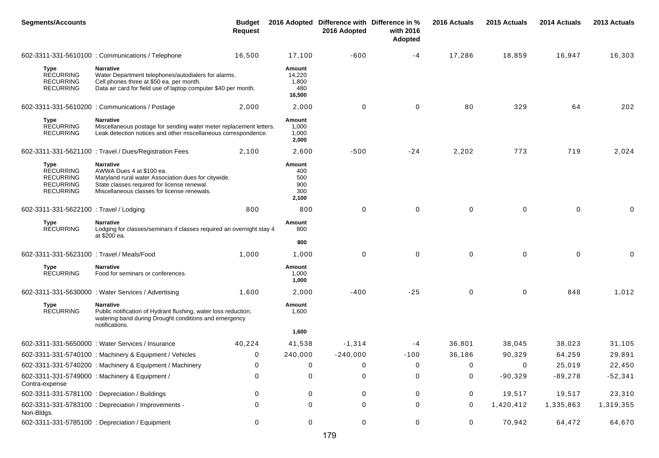| <b>Segments/Accounts</b>                                                             |                                                                                                                                                                                                   | <b>Budget</b><br><b>Request</b> |                                             | 2016 Adopted Difference with Difference in %<br>2016 Adopted | with 2016<br>Adopted | 2016 Actuals | 2015 Actuals | 2014 Actuals | 2013 Actuals |
|--------------------------------------------------------------------------------------|---------------------------------------------------------------------------------------------------------------------------------------------------------------------------------------------------|---------------------------------|---------------------------------------------|--------------------------------------------------------------|----------------------|--------------|--------------|--------------|--------------|
|                                                                                      | 602-3311-331-5610100 : Communications / Telephone                                                                                                                                                 | 16,500                          | 17,100                                      | $-600$                                                       | -4                   | 17,286       | 18,859       | 16,947       | 16,303       |
| Type<br><b>RECURRING</b><br><b>RECURRING</b><br><b>RECURRING</b>                     | <b>Narrative</b><br>Water Department telephones/autodialers for alarms.<br>Cell phones three at \$50 ea. per month.<br>Data air card for field use of laptop computer \$40 per month.             |                                 | Amount<br>14,220<br>1,800<br>480<br>16,500  |                                                              |                      |              |              |              |              |
|                                                                                      | 602-3311-331-5610200 : Communications / Postage                                                                                                                                                   | 2,000                           | 2,000                                       | $\mathbf 0$                                                  | $\mathbf 0$          | 80           | 329          | 64           | 202          |
| Type<br><b>RECURRING</b><br><b>RECURRING</b>                                         | <b>Narrative</b><br>Miscellaneous postage for sending water meter replacement letters.<br>Leak detection notices and other miscellaneous correspondence.                                          |                                 | Amount<br>1,000<br>1,000<br>2,000           |                                                              |                      |              |              |              |              |
|                                                                                      | 602-3311-331-5621100 : Travel / Dues/Registration Fees                                                                                                                                            | 2,100                           | 2,600                                       | $-500$                                                       | $-24$                | 2,202        | 773          | 719          | 2,024        |
| Type<br><b>RECURRING</b><br><b>RECURRING</b><br><b>RECURRING</b><br><b>RECURRING</b> | <b>Narrative</b><br>AWWA Dues 4 at \$100 ea.<br>Maryland rural water Association dues for citywide.<br>State classes required for license renewal.<br>Miscellaneous classes for license renewals. |                                 | Amount<br>400<br>500<br>900<br>300<br>2,100 |                                                              |                      |              |              |              |              |
| 602-3311-331-5622100 : Travel / Lodging                                              |                                                                                                                                                                                                   | 800                             | 800                                         | $\mathbf 0$                                                  | $\mathbf 0$          | $\mathbf 0$  | 0            | $\mathbf 0$  | 0            |
| Type<br><b>RECURRING</b>                                                             | <b>Narrative</b><br>Lodging for classes/seminars if classes required an overnight stay 4<br>at \$200 ea.                                                                                          |                                 | Amount<br>800                               |                                                              |                      |              |              |              |              |
|                                                                                      |                                                                                                                                                                                                   |                                 | 800                                         |                                                              |                      |              |              |              |              |
| 602-3311-331-5623100 : Travel / Meals/Food                                           |                                                                                                                                                                                                   | 1,000                           | 1,000                                       | $\Omega$                                                     | 0                    | $\mathbf 0$  | 0            | $\mathbf{0}$ | 0            |
| Type<br><b>RECURRING</b>                                                             | <b>Narrative</b><br>Food for seminars or conferences.                                                                                                                                             |                                 | Amount<br>1,000<br>1,000                    |                                                              |                      |              |              |              |              |
|                                                                                      | 602-3311-331-5630000 : Water Services / Advertising                                                                                                                                               | 1,600                           | 2,000                                       | -400                                                         | $-25$                | $\mathbf 0$  | $\mathbf 0$  | 848          | 1,012        |
| Type<br><b>RECURRING</b>                                                             | <b>Narrative</b><br>Public notification of Hydrant flushing, water loss reduction,<br>watering band during Drought conditions and emergency                                                       |                                 | Amount<br>1,600                             |                                                              |                      |              |              |              |              |
|                                                                                      | notifications.                                                                                                                                                                                    |                                 | 1,600                                       |                                                              |                      |              |              |              |              |
|                                                                                      | 602-3311-331-5650000 : Water Services / Insurance                                                                                                                                                 | 40,224                          | 41,538                                      | $-1,314$                                                     | -4                   | 36,801       | 38,045       | 38,023       | 31,105       |
|                                                                                      | 602-3311-331-5740100 : Machinery & Equipment / Vehicles                                                                                                                                           | $\mathbf{0}$                    | 240,000                                     | $-240,000$                                                   | $-100$               | 36,186       | 90,329       | 64,259       | 29,891       |
|                                                                                      | 602-3311-331-5740200 : Machinery & Equipment / Machinery                                                                                                                                          | 0                               | 0                                           | 0                                                            | 0                    | 0            | 0            | 25,019       | 22,450       |
| Contra-expense                                                                       | 602-3311-331-5749000 : Machinery & Equipment /                                                                                                                                                    |                                 | 0                                           | 0                                                            | $\mathbf 0$          | 0            | $-90,329$    | $-89,278$    | $-52,341$    |
|                                                                                      | 602-3311-331-5781100 : Depreciation / Buildings                                                                                                                                                   | 0                               | $\Omega$                                    | $\Omega$                                                     | 0                    | 0            | 19,517       | 19,517       | 23,310       |
| Non-Bldgs.                                                                           | 602-3311-331-5783100 : Depreciation / Improvements -                                                                                                                                              |                                 | 0                                           | $\Omega$                                                     | 0                    | 0            | 1,420,412    | 1,335,863    | 1,319,355    |
|                                                                                      | 602-3311-331-5785100 : Depreciation / Equipment                                                                                                                                                   | 0                               | 0                                           | 0                                                            | 0                    | 0            | 70,942       | 64,472       | 64,670       |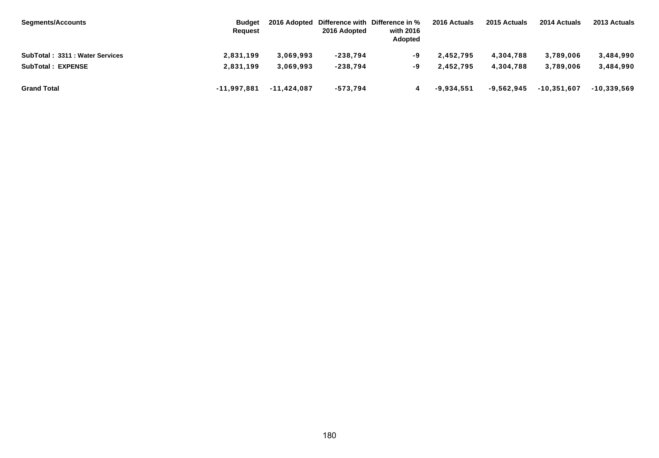| <b>Segments/Accounts</b>        | <b>Budget</b><br>Request |               | 2016 Adopted | 2016 Adopted Difference with Difference in %<br>with 2016<br><b>Adopted</b> | 2016 Actuals | 2015 Actuals | 2014 Actuals  | 2013 Actuals  |
|---------------------------------|--------------------------|---------------|--------------|-----------------------------------------------------------------------------|--------------|--------------|---------------|---------------|
| SubTotal: 3311 : Water Services | 2,831,199                | 3,069,993     | $-238,794$   | -9                                                                          | 2,452,795    | 4,304,788    | 3,789,006     | 3,484,990     |
| <b>SubTotal: EXPENSE</b>        | 2,831,199                | 3,069,993     | $-238.794$   | -9                                                                          | 2,452,795    | 4,304,788    | 3.789.006     | 3,484,990     |
| <b>Grand Total</b>              | $-11,997,881$            | $-11.424.087$ | -573,794     |                                                                             | $-9,934,551$ | $-9.562.945$ | $-10.351.607$ | $-10.339.569$ |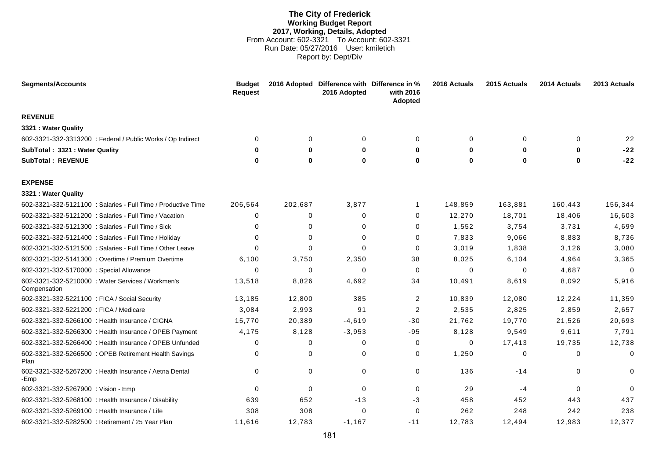# **The City of Frederick Working Budget Report 2017, Working, Details, Adopted** From Account: 602-3321 To Account: 602-3321 Run Date: 05/27/2016 User: kmiletich Report by: Dept/Div

| <b>Segments/Accounts</b>                                          | <b>Budget</b><br><b>Request</b> |              | 2016 Adopted Difference with Difference in %<br>2016 Adopted | with 2016<br>Adopted | 2016 Actuals | 2015 Actuals | 2014 Actuals | 2013 Actuals |
|-------------------------------------------------------------------|---------------------------------|--------------|--------------------------------------------------------------|----------------------|--------------|--------------|--------------|--------------|
| <b>REVENUE</b>                                                    |                                 |              |                                                              |                      |              |              |              |              |
| 3321 : Water Quality                                              |                                 |              |                                                              |                      |              |              |              |              |
| 602-3321-332-3313200 : Federal / Public Works / Op Indirect       | $\Omega$                        | 0            | $\Omega$                                                     | 0                    | $\Omega$     | 0            | $\Omega$     | 22           |
| SubTotal: 3321: Water Quality                                     | 0                               | $\mathbf{0}$ | $\bf{0}$                                                     | $\bf{0}$             | $\bf{0}$     | 0            | $\bf{0}$     | $-22$        |
| <b>SubTotal: REVENUE</b>                                          | 0                               | $\bf{0}$     | $\bf{0}$                                                     | $\bf{0}$             | $\bf{0}$     | $\bf{0}$     | $\bf{0}$     | $-22$        |
| <b>EXPENSE</b>                                                    |                                 |              |                                                              |                      |              |              |              |              |
| 3321 : Water Quality                                              |                                 |              |                                                              |                      |              |              |              |              |
| 602-3321-332-5121100 : Salaries - Full Time / Productive Time     | 206,564                         | 202,687      | 3,877                                                        | $\mathbf 1$          | 148,859      | 163,881      | 160,443      | 156,344      |
| 602-3321-332-5121200 : Salaries - Full Time / Vacation            | 0                               | 0            | $\Omega$                                                     | $\mathbf 0$          | 12,270       | 18,701       | 18,406       | 16,603       |
| 602-3321-332-5121300 : Salaries - Full Time / Sick                | ∩                               | 0            | $\Omega$                                                     | $\mathbf 0$          | 1,552        | 3,754        | 3,731        | 4,699        |
| 602-3321-332-5121400 : Salaries - Full Time / Holiday             | 0                               | $\mathbf 0$  | $\mathbf 0$                                                  | 0                    | 7,833        | 9,066        | 8,883        | 8,736        |
| 602-3321-332-5121500 : Salaries - Full Time / Other Leave         | $\Omega$                        | $\Omega$     | $\Omega$                                                     | 0                    | 3,019        | 1,838        | 3,126        | 3,080        |
| 602-3321-332-5141300 : Overtime / Premium Overtime                | 6,100                           | 3,750        | 2,350                                                        | 38                   | 8,025        | 6,104        | 4,964        | 3,365        |
| 602-3321-332-5170000 : Special Allowance                          | $\Omega$                        | $\Omega$     | $\Omega$                                                     | $\mathbf 0$          | $\Omega$     | $\Omega$     | 4,687        | $\Omega$     |
| 602-3321-332-5210000 : Water Services / Workmen's<br>Compensation | 13,518                          | 8,826        | 4,692                                                        | 34                   | 10,491       | 8,619        | 8,092        | 5,916        |
| 602-3321-332-5221100 : FICA / Social Security                     | 13,185                          | 12,800       | 385                                                          | $\overline{2}$       | 10,839       | 12,080       | 12,224       | 11,359       |
| 602-3321-332-5221200 : FICA / Medicare                            | 3,084                           | 2,993        | 91                                                           | $\overline{2}$       | 2,535        | 2,825        | 2,859        | 2,657        |
| 602-3321-332-5266100 : Health Insurance / CIGNA                   | 15,770                          | 20,389       | $-4,619$                                                     | -30                  | 21,762       | 19,770       | 21,526       | 20,693       |
| 602-3321-332-5266300 : Health Insurance / OPEB Payment            | 4,175                           | 8,128        | $-3,953$                                                     | $-95$                | 8,128        | 9,549        | 9,611        | 7,791        |
| 602-3321-332-5266400 : Health Insurance / OPEB Unfunded           | 0                               | 0            | 0                                                            | $\mathbf 0$          | $\Omega$     | 17,413       | 19,735       | 12,738       |
| 602-3321-332-5266500 : OPEB Retirement Health Savings<br>Plan     | 0                               | 0            | $\mathbf 0$                                                  | 0                    | 1,250        | $\mathbf 0$  | $\Omega$     | $\Omega$     |
| 602-3321-332-5267200 : Health Insurance / Aetna Dental<br>-Emp    | $\Omega$                        | $\mathbf 0$  | $\Omega$                                                     | $\mathbf 0$          | 136          | $-14$        | $\Omega$     | $\Omega$     |
| 602-3321-332-5267900 : Vision - Emp                               | $\Omega$                        | $\mathbf 0$  | $\Omega$                                                     | 0                    | 29           | -4           | $\Omega$     | $\mathbf 0$  |
| 602-3321-332-5268100 : Health Insurance / Disability              | 639                             | 652          | $-13$                                                        | $-3$                 | 458          | 452          | 443          | 437          |
| 602-3321-332-5269100 : Health Insurance / Life                    | 308                             | 308          | $\Omega$                                                     | $\mathbf 0$          | 262          | 248          | 242          | 238          |
| 602-3321-332-5282500 : Retirement / 25 Year Plan                  | 11,616                          | 12,783       | $-1,167$                                                     | $-11$                | 12,783       | 12,494       | 12,983       | 12,377       |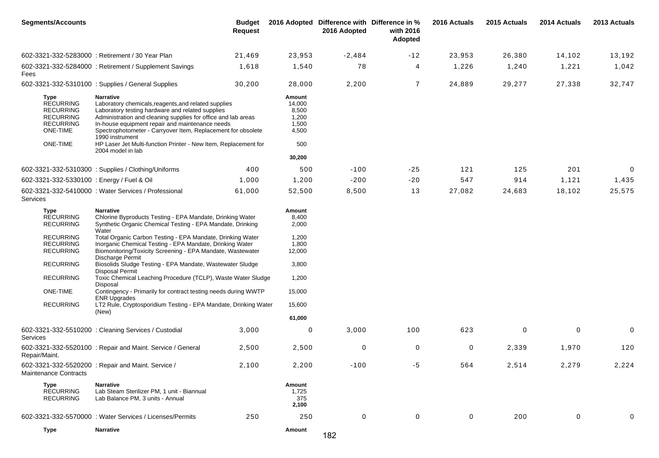| <b>Segments/Accounts</b>                                                                         |                                                                                                                                                                                                                                                                                                                                     | <b>Budget</b><br><b>Request</b> |                                                      | 2016 Adopted Difference with Difference in %<br>2016 Adopted | with 2016<br>Adopted | 2016 Actuals | 2015 Actuals | 2014 Actuals | 2013 Actuals |
|--------------------------------------------------------------------------------------------------|-------------------------------------------------------------------------------------------------------------------------------------------------------------------------------------------------------------------------------------------------------------------------------------------------------------------------------------|---------------------------------|------------------------------------------------------|--------------------------------------------------------------|----------------------|--------------|--------------|--------------|--------------|
|                                                                                                  | 602-3321-332-5283000 : Retirement / 30 Year Plan                                                                                                                                                                                                                                                                                    | 21,469                          | 23,953                                               | $-2,484$                                                     | $-12$                | 23,953       | 26,380       | 14,102       | 13,192       |
| Fees                                                                                             | 602-3321-332-5284000: Retirement / Supplement Savings                                                                                                                                                                                                                                                                               | 1,618                           | 1,540                                                | 78                                                           | 4                    | 1,226        | 1,240        | 1,221        | 1,042        |
|                                                                                                  | 602-3321-332-5310100 : Supplies / General Supplies                                                                                                                                                                                                                                                                                  | 30,200                          | 28,000                                               | 2,200                                                        | $\overline{7}$       | 24,889       | 29,277       | 27,338       | 32,747       |
| Type<br><b>RECURRING</b><br><b>RECURRING</b><br><b>RECURRING</b><br><b>RECURRING</b><br>ONE-TIME | <b>Narrative</b><br>Laboratory chemicals, reagents, and related supplies<br>Laboratory testing hardware and related supplies<br>Administration and cleaning supplies for office and lab areas<br>In-house equipment repair and maintenance needs<br>Spectrophotometer - Carryover Item, Replacement for obsolete<br>1990 instrument |                                 | Amount<br>14,000<br>8,500<br>1,200<br>1,500<br>4,500 |                                                              |                      |              |              |              |              |
| ONE-TIME                                                                                         | HP Laser Jet Multi-function Printer - New Item, Replacement for<br>2004 model in lab                                                                                                                                                                                                                                                |                                 | 500<br>30,200                                        |                                                              |                      |              |              |              |              |
|                                                                                                  | 602-3321-332-5310300: Supplies / Clothing/Uniforms                                                                                                                                                                                                                                                                                  | 400                             | 500                                                  | $-100$                                                       | $-25$                | 121          | 125          | 201          | 0            |
| 602-3321-332-5330100 : Energy / Fuel & Oil                                                       |                                                                                                                                                                                                                                                                                                                                     | 1,000                           | 1,200                                                | $-200$                                                       | $-20$                | 547          | 914          | 1,121        | 1,435        |
| Services                                                                                         | 602-3321-332-5410000 : Water Services / Professional                                                                                                                                                                                                                                                                                | 61,000                          | 52,500                                               | 8,500                                                        | 13                   | 27,082       | 24,683       | 18,102       | 25,575       |
| Type<br><b>RECURRING</b><br><b>RECURRING</b>                                                     | <b>Narrative</b><br>Chlorine Byproducts Testing - EPA Mandate, Drinking Water<br>Synthetic Organic Chemical Testing - EPA Mandate, Drinking<br>Water                                                                                                                                                                                |                                 | Amount<br>8,400<br>2,000                             |                                                              |                      |              |              |              |              |
| <b>RECURRING</b><br><b>RECURRING</b><br><b>RECURRING</b>                                         | Total Organic Carbon Testing - EPA Mandate, Drinking Water<br>Inorganic Chemical Testing - EPA Mandate, Drinking Water<br>Biomonitoring/Toxicity Screening - EPA Mandate, Wastewater<br>Discharge Permit                                                                                                                            |                                 | 1,200<br>1,800<br>12,000                             |                                                              |                      |              |              |              |              |
| <b>RECURRING</b>                                                                                 | Biosolids Sludge Testing - EPA Mandate, Wastewater Sludge<br>Disposal Permit                                                                                                                                                                                                                                                        |                                 | 3,800                                                |                                                              |                      |              |              |              |              |
| <b>RECURRING</b>                                                                                 | Toxic Chemical Leaching Procedure (TCLP), Waste Water Sludge<br>Disposal                                                                                                                                                                                                                                                            |                                 | 1,200                                                |                                                              |                      |              |              |              |              |
| ONE-TIME                                                                                         | Contingency - Primarily for contract testing needs during WWTP                                                                                                                                                                                                                                                                      |                                 | 15,000                                               |                                                              |                      |              |              |              |              |
| <b>RECURRING</b>                                                                                 | <b>ENR Upgrades</b><br>LT2 Rule, Cryptosporidium Testing - EPA Mandate, Drinking Water                                                                                                                                                                                                                                              |                                 | 15,600                                               |                                                              |                      |              |              |              |              |
|                                                                                                  | (New)                                                                                                                                                                                                                                                                                                                               |                                 | 61,000                                               |                                                              |                      |              |              |              |              |
| Services                                                                                         | 602-3321-332-5510200 : Cleaning Services / Custodial                                                                                                                                                                                                                                                                                | 3,000                           | 0                                                    | 3,000                                                        | 100                  | 623          | 0            | 0            | 0            |
| Repair/Maint.                                                                                    | 602-3321-332-5520100 : Repair and Maint. Service / General                                                                                                                                                                                                                                                                          | 2,500                           | 2,500                                                | $\mathbf 0$                                                  | 0                    | 0            | 2,339        | 1,970        | 120          |
| <b>Maintenance Contracts</b>                                                                     | 602-3321-332-5520200 : Repair and Maint. Service /                                                                                                                                                                                                                                                                                  | 2,100                           | 2,200                                                | $-100$                                                       | $-5$                 | 564          | 2,514        | 2,279        | 2,224        |
| Type<br><b>RECURRING</b><br><b>RECURRING</b>                                                     | <b>Narrative</b><br>Lab Steam Sterilizer PM, 1 unit - Biannual<br>Lab Balance PM, 3 units - Annual                                                                                                                                                                                                                                  |                                 | Amount<br>1,725<br>375<br>2,100                      |                                                              |                      |              |              |              |              |
|                                                                                                  | 602-3321-332-5570000 : Water Services / Licenses/Permits                                                                                                                                                                                                                                                                            | 250                             | 250                                                  | 0                                                            | 0                    | 0            | 200          | 0            | 0            |
| <b>Type</b>                                                                                      | <b>Narrative</b>                                                                                                                                                                                                                                                                                                                    |                                 | Amount                                               | 182                                                          |                      |              |              |              |              |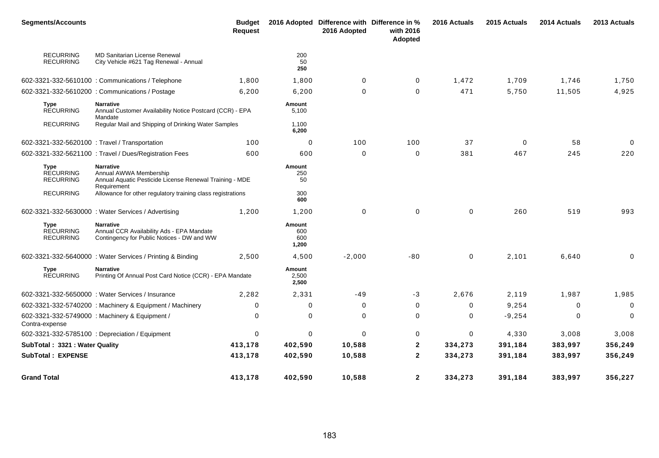| <b>Segments/Accounts</b>                       |                                                                                                                      | <b>Budget</b><br><b>Request</b> |                               | 2016 Adopted Difference with Difference in %<br>2016 Adopted | with 2016<br>Adopted | 2016 Actuals | 2015 Actuals | 2014 Actuals | 2013 Actuals |
|------------------------------------------------|----------------------------------------------------------------------------------------------------------------------|---------------------------------|-------------------------------|--------------------------------------------------------------|----------------------|--------------|--------------|--------------|--------------|
| <b>RECURRING</b><br><b>RECURRING</b>           | <b>MD Sanitarian License Renewal</b><br>City Vehicle #621 Tag Renewal - Annual                                       |                                 | 200<br>50<br>250              |                                                              |                      |              |              |              |              |
|                                                | 602-3321-332-5610100 : Communications / Telephone                                                                    | 1,800                           | 1,800                         | 0                                                            | 0                    | 1,472        | 1,709        | 1,746        | 1,750        |
|                                                | 602-3321-332-5610200 : Communications / Postage                                                                      | 6,200                           | 6,200                         | $\mathbf 0$                                                  | $\mathbf 0$          | 471          | 5,750        | 11,505       | 4,925        |
| Type<br><b>RECURRING</b>                       | <b>Narrative</b><br>Annual Customer Availability Notice Postcard (CCR) - EPA<br>Mandate                              |                                 | Amount<br>5,100               |                                                              |                      |              |              |              |              |
| <b>RECURRING</b>                               | Regular Mail and Shipping of Drinking Water Samples                                                                  |                                 | 1,100<br>6,200                |                                                              |                      |              |              |              |              |
| 602-3321-332-5620100 : Travel / Transportation |                                                                                                                      | 100                             | 0                             | 100                                                          | 100                  | 37           | $\mathbf 0$  | 58           | $\mathbf 0$  |
|                                                | 602-3321-332-5621100 : Travel / Dues/Registration Fees                                                               | 600                             | 600                           | $\mathbf 0$                                                  | 0                    | 381          | 467          | 245          | 220          |
| Type<br><b>RECURRING</b><br><b>RECURRING</b>   | <b>Narrative</b><br>Annual AWWA Membership<br>Annual Aquatic Pesticide License Renewal Training - MDE<br>Requirement |                                 | Amount<br>250<br>50           |                                                              |                      |              |              |              |              |
| <b>RECURRING</b>                               | Allowance for other regulatory training class registrations                                                          |                                 | 300<br>600                    |                                                              |                      |              |              |              |              |
|                                                | 602-3321-332-5630000 : Water Services / Advertising                                                                  | 1,200                           | 1,200                         | $\mathbf 0$                                                  | $\pmb{0}$            | $\mathbf 0$  | 260          | 519          | 993          |
| Type<br><b>RECURRING</b><br><b>RECURRING</b>   | <b>Narrative</b><br>Annual CCR Availability Ads - EPA Mandate<br>Contingency for Public Notices - DW and WW          |                                 | Amount<br>600<br>600<br>1,200 |                                                              |                      |              |              |              |              |
|                                                | 602-3321-332-5640000 : Water Services / Printing & Binding                                                           | 2,500                           | 4,500                         | $-2,000$                                                     | $-80$                | $\mathbf 0$  | 2,101        | 6,640        | $\Omega$     |
| <b>Type</b><br><b>RECURRING</b>                | <b>Narrative</b><br>Printing Of Annual Post Card Notice (CCR) - EPA Mandate                                          |                                 | Amount<br>2,500<br>2.500      |                                                              |                      |              |              |              |              |
|                                                | 602-3321-332-5650000 : Water Services / Insurance                                                                    | 2,282                           | 2,331                         | $-49$                                                        | $-3$                 | 2,676        | 2,119        | 1,987        | 1,985        |
|                                                | 602-3321-332-5740200 : Machinery & Equipment / Machinery                                                             | 0                               | 0                             | $\mathbf 0$                                                  | 0                    | 0            | 9,254        | 0            | 0            |
| Contra-expense                                 | 602-3321-332-5749000 : Machinery & Equipment /                                                                       | $\Omega$                        | $\mathbf{0}$                  | $\Omega$                                                     | 0                    | $\Omega$     | $-9,254$     | 0            | 0            |
|                                                | 602-3321-332-5785100 : Depreciation / Equipment                                                                      | 0                               | $\mathbf 0$                   | $\mathbf{0}$                                                 | 0                    | $\mathbf 0$  | 4,330        | 3,008        | 3,008        |
| SubTotal: 3321: Water Quality                  |                                                                                                                      | 413,178                         | 402,590                       | 10,588                                                       | $\mathbf{2}$         | 334,273      | 391,184      | 383,997      | 356,249      |
| <b>SubTotal: EXPENSE</b>                       |                                                                                                                      | 413,178                         | 402,590                       | 10,588                                                       | $\mathbf{2}$         | 334,273      | 391,184      | 383,997      | 356,249      |
| <b>Grand Total</b>                             |                                                                                                                      | 413,178                         | 402,590                       | 10,588                                                       | $\mathbf{2}$         | 334,273      | 391,184      | 383,997      | 356,227      |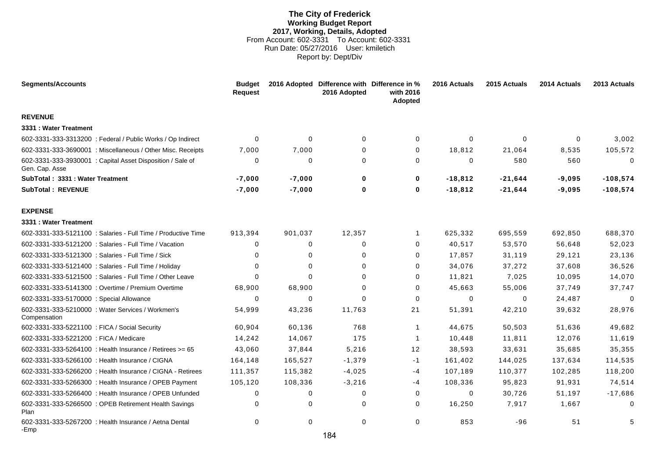# **The City of Frederick Working Budget Report 2017, Working, Details, Adopted** From Account: 602-3331 To Account: 602-3331 Run Date: 05/27/2016 User: kmiletich Report by: Dept/Div

| <b>Segments/Accounts</b>                                                     | <b>Budget</b><br><b>Request</b> |             | 2016 Adopted Difference with Difference in %<br>2016 Adopted | with 2016<br>Adopted | 2016 Actuals | 2015 Actuals | 2014 Actuals | 2013 Actuals |
|------------------------------------------------------------------------------|---------------------------------|-------------|--------------------------------------------------------------|----------------------|--------------|--------------|--------------|--------------|
| <b>REVENUE</b>                                                               |                                 |             |                                                              |                      |              |              |              |              |
| 3331 : Water Treatment                                                       |                                 |             |                                                              |                      |              |              |              |              |
| 602-3331-333-3313200 : Federal / Public Works / Op Indirect                  | 0                               | $\mathbf 0$ | 0                                                            | 0                    | $\mathbf 0$  | 0            | 0            | 3,002        |
| 602-3331-333-3690001 : Miscellaneous / Other Misc. Receipts                  | 7,000                           | 7,000       | $\Omega$                                                     | 0                    | 18,812       | 21,064       | 8,535        | 105,572      |
| 602-3331-333-3930001 : Capital Asset Disposition / Sale of<br>Gen. Cap. Asse | $\Omega$                        | $\Omega$    | 0                                                            | 0                    | 0            | 580          | 560          | $\Omega$     |
| SubTotal: 3331: Water Treatment                                              | $-7,000$                        | $-7,000$    | $\mathbf 0$                                                  | 0                    | $-18,812$    | $-21,644$    | $-9,095$     | $-108,574$   |
| <b>SubTotal: REVENUE</b>                                                     | $-7,000$                        | $-7,000$    | 0                                                            | 0                    | $-18,812$    | $-21,644$    | $-9,095$     | $-108,574$   |
| <b>EXPENSE</b>                                                               |                                 |             |                                                              |                      |              |              |              |              |
| 3331 : Water Treatment                                                       |                                 |             |                                                              |                      |              |              |              |              |
| 602-3331-333-5121100 : Salaries - Full Time / Productive Time                | 913,394                         | 901,037     | 12,357                                                       | $\overline{1}$       | 625,332      | 695,559      | 692,850      | 688,370      |
| 602-3331-333-5121200 : Salaries - Full Time / Vacation                       | 0                               | 0           | $\Omega$                                                     | 0                    | 40,517       | 53,570       | 56,648       | 52,023       |
| 602-3331-333-5121300 : Salaries - Full Time / Sick                           | $\Omega$                        | $\Omega$    | $\Omega$                                                     | 0                    | 17,857       | 31,119       | 29,121       | 23,136       |
| 602-3331-333-5121400 : Salaries - Full Time / Holiday                        | 0                               | $\Omega$    | 0                                                            | 0                    | 34,076       | 37,272       | 37,608       | 36,526       |
| 602-3331-333-5121500 : Salaries - Full Time / Other Leave                    | $\Omega$                        | $\Omega$    | $\Omega$                                                     | 0                    | 11,821       | 7,025        | 10,095       | 14,070       |
| 602-3331-333-5141300 : Overtime / Premium Overtime                           | 68,900                          | 68,900      | $\Omega$                                                     | 0                    | 45,663       | 55,006       | 37,749       | 37,747       |
| 602-3331-333-5170000 : Special Allowance                                     | $\Omega$                        | $\Omega$    | $\Omega$                                                     | 0                    | $\Omega$     | $\Omega$     | 24,487       | $\mathbf 0$  |
| 602-3331-333-5210000 : Water Services / Workmen's<br>Compensation            | 54,999                          | 43,236      | 11,763                                                       | 21                   | 51,391       | 42,210       | 39,632       | 28,976       |
| 602-3331-333-5221100 : FICA / Social Security                                | 60,904                          | 60,136      | 768                                                          | $\overline{1}$       | 44,675       | 50,503       | 51,636       | 49,682       |
| 602-3331-333-5221200 : FICA / Medicare                                       | 14,242                          | 14,067      | 175                                                          | $\overline{1}$       | 10,448       | 11,811       | 12,076       | 11,619       |
| 602-3331-333-5264100 : Health Insurance / Retirees >= 65                     | 43,060                          | 37,844      | 5,216                                                        | 12                   | 38,593       | 33,631       | 35,685       | 35,355       |
| 602-3331-333-5266100 : Health Insurance / CIGNA                              | 164,148                         | 165,527     | $-1,379$                                                     | $-1$                 | 161,402      | 144,025      | 137,634      | 114,535      |
| 602-3331-333-5266200 : Health Insurance / CIGNA - Retirees                   | 111,357                         | 115,382     | $-4,025$                                                     | -4                   | 107,189      | 110,377      | 102,285      | 118,200      |
| 602-3331-333-5266300 : Health Insurance / OPEB Payment                       | 105,120                         | 108,336     | $-3,216$                                                     | -4                   | 108,336      | 95,823       | 91,931       | 74,514       |
| 602-3331-333-5266400 : Health Insurance / OPEB Unfunded                      | 0                               | 0           | 0                                                            | 0                    | 0            | 30,726       | 51,197       | $-17,686$    |
| 602-3331-333-5266500 : OPEB Retirement Health Savings<br>Plan                | 0                               | 0           | 0                                                            | 0                    | 16,250       | 7,917        | 1,667        | $\mathbf 0$  |
| 602-3331-333-5267200 : Health Insurance / Aetna Dental<br>-Emp               | $\Omega$                        | $\Omega$    | $\Omega$<br>$\overline{101}$                                 | 0                    | 853          | $-96$        | 51           | 5            |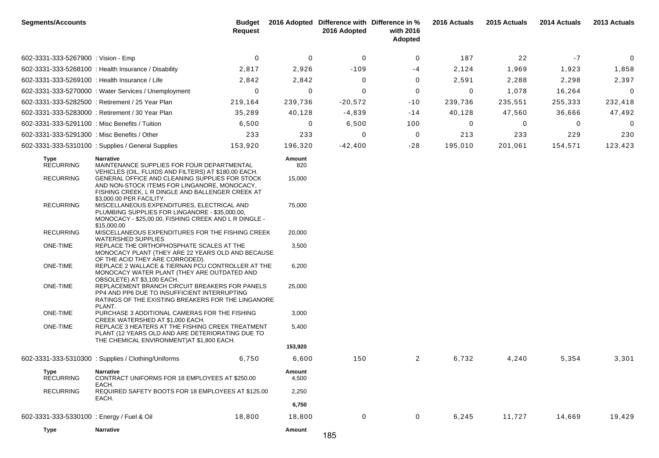| <b>Segments/Accounts</b>                       |                                                                                                                                                                                                                                                                                                   | <b>Budget</b><br><b>Request</b> |                         | 2016 Adopted Difference with Difference in %<br>2016 Adopted | with 2016<br>Adopted | 2016 Actuals | 2015 Actuals | 2014 Actuals | 2013 Actuals |
|------------------------------------------------|---------------------------------------------------------------------------------------------------------------------------------------------------------------------------------------------------------------------------------------------------------------------------------------------------|---------------------------------|-------------------------|--------------------------------------------------------------|----------------------|--------------|--------------|--------------|--------------|
| 602-3331-333-5267900 : Vision - Emp            |                                                                                                                                                                                                                                                                                                   | $\mathbf 0$                     | $\mathbf 0$             | 0                                                            | 0                    | 187          | 22           | $-7$         | 0            |
|                                                | 602-3331-333-5268100 : Health Insurance / Disability                                                                                                                                                                                                                                              | 2,817                           | 2,926                   | $-109$                                                       | -4                   | 2,124        | 1,969        | 1,923        | 1,858        |
| 602-3331-333-5269100 : Health Insurance / Life |                                                                                                                                                                                                                                                                                                   | 2,842                           | 2,842                   | 0                                                            | 0                    | 2,591        | 2,288        | 2,298        | 2,397        |
|                                                | 602-3331-333-5270000 : Water Services / Unemployment                                                                                                                                                                                                                                              | 0                               | 0                       | $\mathbf 0$                                                  | 0                    | 0            | 1,078        | 16,264       | 0            |
|                                                | 602-3331-333-5282500 : Retirement / 25 Year Plan                                                                                                                                                                                                                                                  | 219,164                         | 239,736                 | $-20,572$                                                    | $-10$                | 239,736      | 235,551      | 255,333      | 232,418      |
|                                                | 602-3331-333-5283000 : Retirement / 30 Year Plan                                                                                                                                                                                                                                                  | 35,289                          | 40,128                  | $-4,839$                                                     | $-14$                | 40,128       | 47,560       | 36,666       | 47,492       |
| 602-3331-333-5291100 : Misc Benefits / Tuition |                                                                                                                                                                                                                                                                                                   | 6,500                           | 0                       | 6,500                                                        | 100                  | 0            | 0            | $\mathbf 0$  | 0            |
| 602-3331-333-5291300 : Misc Benefits / Other   |                                                                                                                                                                                                                                                                                                   | 233                             | 233                     | 0                                                            | 0                    | 213          | 233          | 229          | 230          |
|                                                | 602-3331-333-5310100 : Supplies / General Supplies                                                                                                                                                                                                                                                | 153,920                         | 196,320                 | $-42,400$                                                    | $-28$                | 195,010      | 201,061      | 154,571      | 123,423      |
| Type<br><b>RECURRING</b><br><b>RECURRING</b>   | Narrative<br>MAINTENANCE SUPPLIES FOR FOUR DEPARTMENTAL<br>VEHICLES (OIL, FLUIDS AND FILTERS) AT \$180.00 EACH.<br>GENERAL OFFICE AND CLEANING SUPPLIES FOR STOCK<br>AND NON-STOCK ITEMS FOR LINGANORE, MONOCACY,<br>FISHING CREEK, L R DINGLE AND BALLENGER CREEK AT<br>\$3,000.00 PER FACILITY. |                                 | Amount<br>820<br>15,000 |                                                              |                      |              |              |              |              |
| <b>RECURRING</b>                               | MISCELLANEOUS EXPENDITURES, ELECTRICAL AND<br>PLUMBING SUPPLIES FOR LINGANORE - \$35,000.00,<br>MONOCACY - \$25,00.00, FISHING CREEK AND L R DINGLE -<br>\$15,000.00                                                                                                                              |                                 | 75,000                  |                                                              |                      |              |              |              |              |
| <b>RECURRING</b>                               | MISCELLANEOUS EXPENDITURES FOR THE FISHING CREEK<br><b>WATERSHED SUPPLIES</b>                                                                                                                                                                                                                     |                                 | 20,000                  |                                                              |                      |              |              |              |              |
| ONE-TIME                                       | REPLACE THE ORTHOPHOSPHATE SCALES AT THE<br>MONOCACY PLANT (THEY ARE 22 YEARS OLD AND BECAUSE<br>OF THE ACID THEY ARE CORRODED).                                                                                                                                                                  |                                 | 3,500                   |                                                              |                      |              |              |              |              |
| ONE-TIME                                       | REPLACE 2 WALLACE & TIERNAN PCU CONTROLLER AT THE<br>MONOCACY WATER PLANT (THEY ARE OUTDATED AND<br>OBSOLETE) AT \$3,100 EACH.                                                                                                                                                                    |                                 | 6,200                   |                                                              |                      |              |              |              |              |
| ONE-TIME                                       | REPLACEMENT BRANCH CIRCUIT BREAKERS FOR PANELS<br>PP4 AND PP6 DUE TO INSUFFICIENT INTERRUPTING<br>RATINGS OF THE EXISTING BREAKERS FOR THE LINGANORE<br>PLANT.                                                                                                                                    |                                 | 25,000                  |                                                              |                      |              |              |              |              |
| ONE-TIME                                       | PURCHASE 3 ADDITIONAL CAMERAS FOR THE FISHING<br>CREEK WATERSHED AT \$1,000 EACH.                                                                                                                                                                                                                 |                                 | 3,000                   |                                                              |                      |              |              |              |              |
| ONE-TIME                                       | REPLACE 3 HEATERS AT THE FISHING CREEK TREATMENT<br>PLANT (12 YEARS OLD AND ARE DETERIORATING DUE TO<br>THE CHEMICAL ENVIRONMENT) AT \$1,800 EACH.                                                                                                                                                |                                 | 5,400                   |                                                              |                      |              |              |              |              |
|                                                |                                                                                                                                                                                                                                                                                                   |                                 | 153,920                 |                                                              |                      |              |              |              |              |
|                                                | 602-3331-333-5310300 : Supplies / Clothing/Uniforms                                                                                                                                                                                                                                               | 6,750                           | 6,600                   | 150                                                          | $\overline{2}$       | 6,732        | 4,240        | 5,354        | 3,301        |
| <b>Type</b><br><b>RECURRING</b>                | <b>Narrative</b><br>CONTRACT UNIFORMS FOR 18 EMPLOYEES AT \$250.00<br>EACH.                                                                                                                                                                                                                       |                                 | Amount<br>4,500         |                                                              |                      |              |              |              |              |
| <b>RECURRING</b>                               | REQUIRED SAFETY BOOTS FOR 18 EMPLOYEES AT \$125.00<br>EACH.                                                                                                                                                                                                                                       |                                 | 2,250                   |                                                              |                      |              |              |              |              |
|                                                |                                                                                                                                                                                                                                                                                                   |                                 | 6,750                   |                                                              |                      |              |              |              |              |
| 602-3331-333-5330100 : Energy / Fuel & Oil     |                                                                                                                                                                                                                                                                                                   | 18,800                          | 18,800                  | 0                                                            | 0                    | 6,245        | 11,727       | 14,669       | 19,429       |
| Type                                           | Narrative                                                                                                                                                                                                                                                                                         |                                 | Amount                  | 185                                                          |                      |              |              |              |              |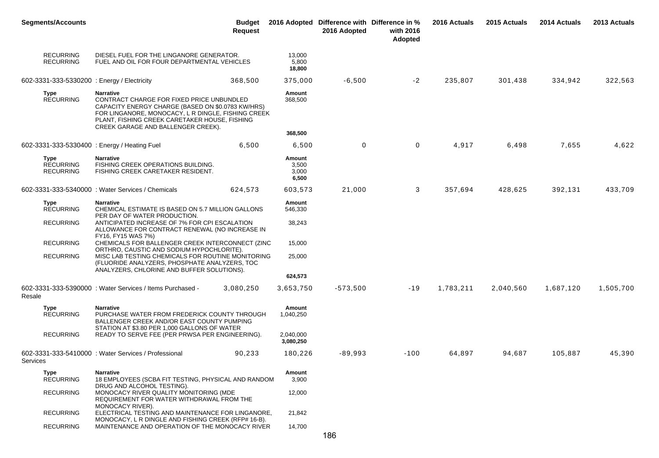| <b>Segments/Accounts</b>                            |                                                                                                                                                                                                                                                                 | <b>Budget</b><br><b>Request</b> |                                   | 2016 Adopted Difference with Difference in %<br>2016 Adopted | with 2016<br>Adopted | 2016 Actuals | 2015 Actuals | 2014 Actuals | 2013 Actuals |
|-----------------------------------------------------|-----------------------------------------------------------------------------------------------------------------------------------------------------------------------------------------------------------------------------------------------------------------|---------------------------------|-----------------------------------|--------------------------------------------------------------|----------------------|--------------|--------------|--------------|--------------|
| <b>RECURRING</b><br><b>RECURRING</b>                | DIESEL FUEL FOR THE LINGANORE GENERATOR.<br>FUEL AND OIL FOR FOUR DEPARTMENTAL VEHICLES                                                                                                                                                                         |                                 | 13,000<br>5,800<br>18,800         |                                                              |                      |              |              |              |              |
| 602-3331-333-5330200 : Energy / Electricity         |                                                                                                                                                                                                                                                                 | 368,500                         | 375,000                           | $-6,500$                                                     | $-2$                 | 235,807      | 301,438      | 334,942      | 322,563      |
| Type<br><b>RECURRING</b>                            | <b>Narrative</b><br>CONTRACT CHARGE FOR FIXED PRICE UNBUNDLED<br>CAPACITY ENERGY CHARGE (BASED ON \$0.0783 KW/HRS)<br>FOR LINGANORE, MONOCACY, L R DINGLE, FISHING CREEK<br>PLANT, FISHING CREEK CARETAKER HOUSE, FISHING<br>CREEK GARAGE AND BALLENGER CREEK). |                                 | Amount<br>368,500<br>368,500      |                                                              |                      |              |              |              |              |
| 602-3331-333-5330400 : Energy / Heating Fuel        |                                                                                                                                                                                                                                                                 | 6,500                           | 6,500                             | $\mathbf 0$                                                  | 0                    | 4,917        | 6,498        | 7,655        | 4,622        |
| <b>Type</b><br><b>RECURRING</b><br><b>RECURRING</b> | Narrative<br>FISHING CREEK OPERATIONS BUILDING.<br>FISHING CREEK CARETAKER RESIDENT.                                                                                                                                                                            |                                 | Amount<br>3,500<br>3,000<br>6,500 |                                                              |                      |              |              |              |              |
|                                                     | 602-3331-333-5340000 : Water Services / Chemicals                                                                                                                                                                                                               | 624,573                         | 603,573                           | 21,000                                                       | 3                    | 357,694      | 428,625      | 392,131      | 433,709      |
| Type<br><b>RECURRING</b>                            | Narrative<br>CHEMICAL ESTIMATE IS BASED ON 5.7 MILLION GALLONS<br>PER DAY OF WATER PRODUCTION.                                                                                                                                                                  |                                 | Amount<br>546,330                 |                                                              |                      |              |              |              |              |
| <b>RECURRING</b>                                    | ANTICIPATED INCREASE OF 7% FOR CPI ESCALATION<br>ALLOWANCE FOR CONTRACT RENEWAL (NO INCREASE IN<br>FY16, FY15 WAS 7%)                                                                                                                                           |                                 | 38,243                            |                                                              |                      |              |              |              |              |
| <b>RECURRING</b>                                    | CHEMICALS FOR BALLENGER CREEK INTERCONNECT (ZINC<br>ORTHRO, CAUSTIC AND SODIUM HYPOCHLORITE).                                                                                                                                                                   |                                 | 15,000                            |                                                              |                      |              |              |              |              |
| <b>RECURRING</b>                                    | MISC LAB TESTING CHEMICALS FOR ROUTINE MONITORING<br>(FLUORIDE ANALYZERS, PHOSPHATE ANALYZERS, TOC<br>ANALYZERS, CHLORINE AND BUFFER SOLUTIONS).                                                                                                                |                                 | 25,000                            |                                                              |                      |              |              |              |              |
|                                                     |                                                                                                                                                                                                                                                                 |                                 | 624,573                           |                                                              |                      |              |              |              |              |
| Resale                                              | 602-3331-333-5390000 : Water Services / Items Purchased -                                                                                                                                                                                                       | 3,080,250                       | 3,653,750                         | $-573,500$                                                   | $-19$                | 1,783,211    | 2,040,560    | 1,687,120    | 1,505,700    |
| Type<br><b>RECURRING</b>                            | <b>Narrative</b><br>PURCHASE WATER FROM FREDERICK COUNTY THROUGH<br>BALLENGER CREEK AND/OR EAST COUNTY PUMPING<br>STATION AT \$3.80 PER 1,000 GALLONS OF WATER                                                                                                  |                                 | Amount<br>1,040,250               |                                                              |                      |              |              |              |              |
| <b>RECURRING</b>                                    | READY TO SERVE FEE (PER PRWSA PER ENGINEERING).                                                                                                                                                                                                                 |                                 | 2,040,000<br>3,080,250            |                                                              |                      |              |              |              |              |
| Services                                            | 602-3331-333-5410000 : Water Services / Professional                                                                                                                                                                                                            | 90,233                          | 180,226                           | $-89,993$                                                    | $-100$               | 64,897       | 94,687       | 105,887      | 45,390       |
| Type<br><b>RECURRING</b>                            | <b>Narrative</b><br>18 EMPLOYEES (SCBA FIT TESTING, PHYSICAL AND RANDOM<br>DRUG AND ALCOHOL TESTING).                                                                                                                                                           |                                 | Amount<br>3,900                   |                                                              |                      |              |              |              |              |
| <b>RECURRING</b>                                    | MONOCACY RIVER QUALITY MONITORING (MDE<br>REQUIREMENT FOR WATER WITHDRAWAL FROM THE<br>MONOCACY RIVER).                                                                                                                                                         |                                 | 12,000                            |                                                              |                      |              |              |              |              |
| <b>RECURRING</b>                                    | ELECTRICAL TESTING AND MAINTENANCE FOR LINGANORE,<br>MONOCACY, L R DINGLE AND FISHING CREEK (RFP# 16-B).                                                                                                                                                        |                                 | 21,842                            |                                                              |                      |              |              |              |              |
| <b>RECURRING</b>                                    | MAINTENANCE AND OPERATION OF THE MONOCACY RIVER                                                                                                                                                                                                                 |                                 | 14,700                            |                                                              |                      |              |              |              |              |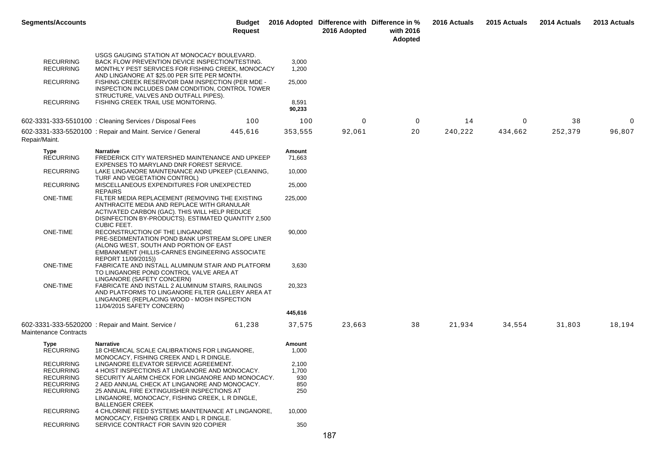| <b>Segments/Accounts</b>                                                     |                                                                                                                                                                                                                                                               | Budget<br><b>Request</b> |                              | 2016 Adopted Difference with Difference in %<br>2016 Adopted | with 2016<br>Adopted | 2016 Actuals | 2015 Actuals | 2014 Actuals | 2013 Actuals |
|------------------------------------------------------------------------------|---------------------------------------------------------------------------------------------------------------------------------------------------------------------------------------------------------------------------------------------------------------|--------------------------|------------------------------|--------------------------------------------------------------|----------------------|--------------|--------------|--------------|--------------|
| <b>RECURRING</b><br><b>RECURRING</b>                                         | USGS GAUGING STATION AT MONOCACY BOULEVARD.<br>BACK FLOW PREVENTION DEVICE INSPECTION/TESTING.<br>MONTHLY PEST SERVICES FOR FISHING CREEK, MONOCACY<br>AND LINGANORE AT \$25.00 PER SITE PER MONTH.                                                           |                          | 3,000<br>1,200               |                                                              |                      |              |              |              |              |
| <b>RECURRING</b>                                                             | FISHING CREEK RESERVOIR DAM INSPECTION (PER MDE -<br>INSPECTION INCLUDES DAM CONDITION, CONTROL TOWER                                                                                                                                                         |                          | 25,000                       |                                                              |                      |              |              |              |              |
| <b>RECURRING</b>                                                             | STRUCTURE, VALVES AND OUTFALL PIPES).<br>FISHING CREEK TRAIL USE MONITORING.                                                                                                                                                                                  |                          | 8,591<br>90,233              |                                                              |                      |              |              |              |              |
|                                                                              | 602-3331-333-5510100 : Cleaning Services / Disposal Fees                                                                                                                                                                                                      | 100                      | 100                          | 0                                                            | 0                    | 14           | 0            | 38           | 0            |
| Repair/Maint.                                                                | 602-3331-333-5520100 : Repair and Maint. Service / General                                                                                                                                                                                                    | 445,616                  | 353,555                      | 92,061                                                       | 20                   | 240,222      | 434,662      | 252,379      | 96,807       |
| <b>Type</b>                                                                  | <b>Narrative</b>                                                                                                                                                                                                                                              |                          | Amount                       |                                                              |                      |              |              |              |              |
| <b>RECURRING</b>                                                             | FREDERICK CITY WATERSHED MAINTENANCE AND UPKEEP<br>EXPENSES TO MARYLAND DNR FOREST SERVICE.                                                                                                                                                                   |                          | 71,663                       |                                                              |                      |              |              |              |              |
| <b>RECURRING</b>                                                             | LAKE LINGANORE MAINTENANCE AND UPKEEP (CLEANING,<br>TURF AND VEGETATION CONTROL)                                                                                                                                                                              |                          | 10,000                       |                                                              |                      |              |              |              |              |
| <b>RECURRING</b>                                                             | MISCELLANEOUS EXPENDITURES FOR UNEXPECTED                                                                                                                                                                                                                     |                          | 25,000                       |                                                              |                      |              |              |              |              |
| ONE-TIME                                                                     | <b>REPAIRS</b><br>FILTER MEDIA REPLACEMENT (REMOVING THE EXISTING<br>ANTHRACITE MEDIA AND REPLACE WITH GRANULAR<br>ACTIVATED CARBON (GAC). THIS WILL HELP REDUCE                                                                                              |                          | 225,000                      |                                                              |                      |              |              |              |              |
| <b>ONE-TIME</b>                                                              | DISINFECTION BY-PRODUCTS). ESTIMATED QUANTITY 2,500<br><b>CUBIC FEET.</b><br>RECONSTRUCTION OF THE LINGANORE<br>PRE-SEDIMENTATION POND BANK UPSTREAM SLOPE LINER<br>(ALONG WEST, SOUTH AND PORTION OF EAST<br>EMBANKMENT (HILLIS-CARNES ENGINEERING ASSOCIATE |                          | 90,000                       |                                                              |                      |              |              |              |              |
| <b>ONE-TIME</b>                                                              | REPORT 11/09/2015))<br>FABRICATE AND INSTALL ALUMINUM STAIR AND PLATFORM<br>TO LINGANORE POND CONTROL VALVE AREA AT                                                                                                                                           |                          | 3,630                        |                                                              |                      |              |              |              |              |
| ONE-TIME                                                                     | LINGANORE (SAFETY CONCERN)<br>FABRICATE AND INSTALL 2 ALUMINUM STAIRS, RAILINGS<br>AND PLATFORMS TO LINGANORE FILTER GALLERY AREA AT<br>LINGANORE (REPLACING WOOD - MOSH INSPECTION<br>11/04/2015 SAFETY CONCERN)                                             |                          | 20,323                       |                                                              |                      |              |              |              |              |
|                                                                              |                                                                                                                                                                                                                                                               |                          | 445,616                      |                                                              |                      |              |              |              |              |
| <b>Maintenance Contracts</b>                                                 | 602-3331-333-5520200 : Repair and Maint. Service /                                                                                                                                                                                                            | 61,238                   | 37,575                       | 23,663                                                       | 38                   | 21,934       | 34,554       | 31,803       | 18,194       |
| Type<br><b>RECURRING</b>                                                     | <b>Narrative</b><br>18 CHEMICAL SCALE CALIBRATIONS FOR LINGANORE,<br>MONOCACY, FISHING CREEK AND L R DINGLE.                                                                                                                                                  |                          | Amount<br>1,000              |                                                              |                      |              |              |              |              |
| <b>RECURRING</b><br><b>RECURRING</b><br><b>RECURRING</b><br><b>RECURRING</b> | LINGANORE ELEVATOR SERVICE AGREEMENT.<br>4 HOIST INSPECTIONS AT LINGANORE AND MONOCACY.<br>SECURITY ALARM CHECK FOR LINGANORE AND MONOCACY.<br>2 AED ANNUAL CHECK AT LINGANORE AND MONOCACY.                                                                  |                          | 2,100<br>1,700<br>930<br>850 |                                                              |                      |              |              |              |              |
| <b>RECURRING</b>                                                             | 25 ANNUAL FIRE EXTINGUISHER INSPECTIONS AT<br>LINGANORE, MONOCACY, FISHING CREEK, L R DINGLE,<br><b>BALLENGER CREEK</b>                                                                                                                                       |                          | 250                          |                                                              |                      |              |              |              |              |
| <b>RECURRING</b>                                                             | 4 CHLORINE FEED SYSTEMS MAINTENANCE AT LINGANORE.<br>MONOCACY, FISHING CREEK AND L R DINGLE.                                                                                                                                                                  |                          | 10,000                       |                                                              |                      |              |              |              |              |
| <b>RECURRING</b>                                                             | SERVICE CONTRACT FOR SAVIN 920 COPIER                                                                                                                                                                                                                         |                          | 350                          |                                                              |                      |              |              |              |              |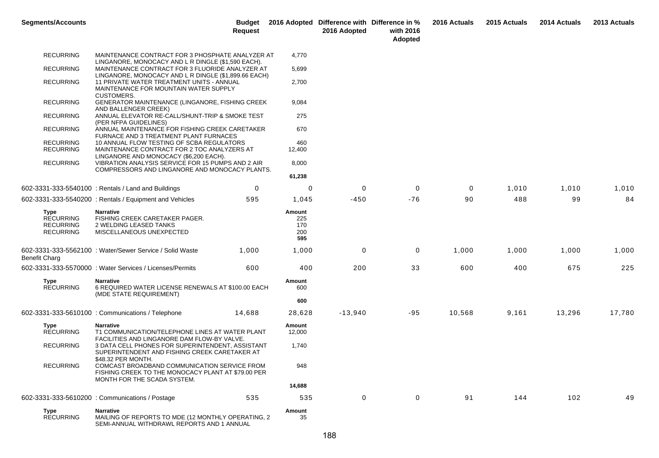| <b>Segments/Accounts</b>                                         | <b>Request</b>                                                                                                                                                |       |                                    | 2016 Adopted | Budget 2016 Adopted Difference with Difference in %<br>with 2016<br>Adopted | 2016 Actuals | 2015 Actuals | 2014 Actuals | 2013 Actuals |
|------------------------------------------------------------------|---------------------------------------------------------------------------------------------------------------------------------------------------------------|-------|------------------------------------|--------------|-----------------------------------------------------------------------------|--------------|--------------|--------------|--------------|
| <b>RECURRING</b>                                                 | MAINTENANCE CONTRACT FOR 3 PHOSPHATE ANALYZER AT                                                                                                              |       | 4,770                              |              |                                                                             |              |              |              |              |
| <b>RECURRING</b>                                                 | LINGANORE, MONOCACY AND L R DINGLE (\$1,590 EACH).<br>MAINTENANCE CONTRACT FOR 3 FLUORIDE ANALYZER AT<br>LINGANORE, MONOCACY AND L R DINGLE (\$1,899.66 EACH) |       | 5,699                              |              |                                                                             |              |              |              |              |
| <b>RECURRING</b>                                                 | 11 PRIVATE WATER TREATMENT UNITS - ANNUAL<br>MAINTENANCE FOR MOUNTAIN WATER SUPPLY<br><b>CUSTOMERS.</b>                                                       |       | 2,700                              |              |                                                                             |              |              |              |              |
| <b>RECURRING</b>                                                 | GENERATOR MAINTENANCE (LINGANORE, FISHING CREEK<br>AND BALLENGER CREEK)                                                                                       |       | 9,084                              |              |                                                                             |              |              |              |              |
| <b>RECURRING</b>                                                 | ANNUAL ELEVATOR RE-CALL/SHUNT-TRIP & SMOKE TEST<br>(PER NFPA GUIDELINES)                                                                                      |       | 275                                |              |                                                                             |              |              |              |              |
| <b>RECURRING</b>                                                 | ANNUAL MAINTENANCE FOR FISHING CREEK CARETAKER<br>FURNACE AND 3 TREATMENT PLANT FURNACES                                                                      |       | 670                                |              |                                                                             |              |              |              |              |
| <b>RECURRING</b><br><b>RECURRING</b>                             | 10 ANNUAL FLOW TESTING OF SCBA REGULATORS<br>MAINTENANCE CONTRACT FOR 2 TOC ANALYZERS AT                                                                      |       | 460<br>12,400                      |              |                                                                             |              |              |              |              |
| <b>RECURRING</b>                                                 | LINGANORE AND MONOCACY (\$6,200 EACH).<br>VIBRATION ANALYSIS SERVICE FOR 15 PUMPS AND 2 AIR<br>COMPRESSORS AND LINGANORE AND MONOCACY PLANTS.                 |       | 8,000                              |              |                                                                             |              |              |              |              |
|                                                                  |                                                                                                                                                               |       | 61,238                             |              |                                                                             |              |              |              |              |
|                                                                  | 602-3331-333-5540100 : Rentals / Land and Buildings                                                                                                           | 0     | 0                                  | 0            | 0                                                                           | 0            | 1,010        | 1,010        | 1,010        |
|                                                                  | 602-3331-333-5540200 : Rentals / Equipment and Vehicles                                                                                                       | 595   | 1,045                              | $-450$       | $-76$                                                                       | 90           | 488          | 99           | 84           |
| Type<br><b>RECURRING</b><br><b>RECURRING</b><br><b>RECURRING</b> | <b>Narrative</b><br>FISHING CREEK CARETAKER PAGER.<br>2 WELDING LEASED TANKS<br>MISCELLANEOUS UNEXPECTED                                                      |       | Amount<br>225<br>170<br>200<br>595 |              |                                                                             |              |              |              |              |
| <b>Benefit Charg</b>                                             | 602-3331-333-5562100 : Water/Sewer Service / Solid Waste                                                                                                      | 1,000 | 1,000                              | 0            | 0                                                                           | 1,000        | 1,000        | 1,000        | 1,000        |
|                                                                  | 602-3331-333-5570000 : Water Services / Licenses/Permits                                                                                                      | 600   | 400                                | 200          | 33                                                                          | 600          | 400          | 675          | 225          |
| Type<br><b>RECURRING</b>                                         | <b>Narrative</b><br>6 REQUIRED WATER LICENSE RENEWALS AT \$100.00 EACH<br>(MDE STATE REQUIREMENT)                                                             |       | Amount<br>600<br>600               |              |                                                                             |              |              |              |              |
|                                                                  | 602-3331-333-5610100 : Communications / Telephone<br>14,688                                                                                                   |       | 28,628                             | $-13,940$    | -95                                                                         | 10,568       | 9,161        | 13,296       | 17,780       |
| Type<br><b>RECURRING</b>                                         | <b>Narrative</b><br>T1 COMMUNICATION/TELEPHONE LINES AT WATER PLANT                                                                                           |       | Amount<br>12,000                   |              |                                                                             |              |              |              |              |
| <b>RECURRING</b>                                                 | FACILITIES AND LINGANORE DAM FLOW-BY VALVE.<br>3 DATA CELL PHONES FOR SUPERINTENDENT, ASSISTANT<br>SUPERINTENDENT AND FISHING CREEK CARETAKER AT              |       | 1,740                              |              |                                                                             |              |              |              |              |
| <b>RECURRING</b>                                                 | \$48.32 PER MONTH.<br>COMCAST BROADBAND COMMUNICATION SERVICE FROM<br>FISHING CREEK TO THE MONOCACY PLANT AT \$79.00 PER<br>MONTH FOR THE SCADA SYSTEM.       |       | 948                                |              |                                                                             |              |              |              |              |
|                                                                  |                                                                                                                                                               |       | 14,688                             |              |                                                                             |              |              |              |              |
|                                                                  | 602-3331-333-5610200 : Communications / Postage                                                                                                               | 535   | 535                                | $\mathbf 0$  | $\mathbf{0}$                                                                | 91           | 144          | 102          | 49           |
| Type<br><b>RECURRING</b>                                         | Narrative<br>MAILING OF REPORTS TO MDE (12 MONTHLY OPERATING, 2<br>SEMI-ANNUAL WITHDRAWL REPORTS AND 1 ANNUAL                                                 |       | Amount<br>35                       |              |                                                                             |              |              |              |              |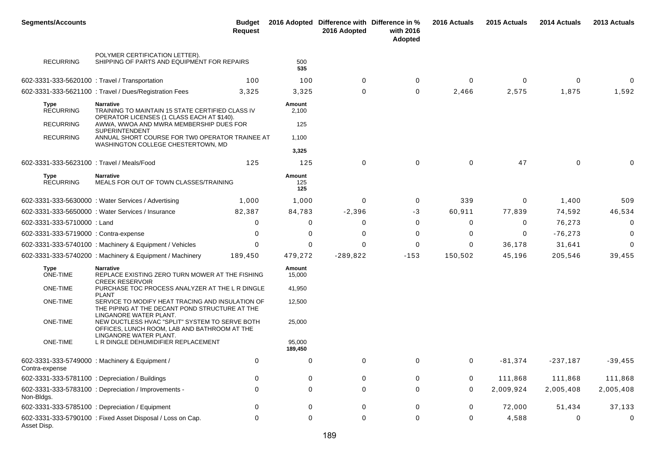| <b>Segments/Accounts</b>                       |                                                                                                                              | <b>Budget</b><br><b>Request</b> |                      | 2016 Adopted Difference with Difference in %<br>2016 Adopted | with 2016<br>Adopted | 2016 Actuals | 2015 Actuals | 2014 Actuals | 2013 Actuals |
|------------------------------------------------|------------------------------------------------------------------------------------------------------------------------------|---------------------------------|----------------------|--------------------------------------------------------------|----------------------|--------------|--------------|--------------|--------------|
| <b>RECURRING</b>                               | POLYMER CERTIFICATION LETTER).<br>SHIPPING OF PARTS AND EQUIPMENT FOR REPAIRS                                                |                                 | 500<br>535           |                                                              |                      |              |              |              |              |
| 602-3331-333-5620100 : Travel / Transportation |                                                                                                                              | 100                             | 100                  | 0                                                            | 0                    | $\mathbf 0$  | 0            | 0            | 0            |
|                                                | 602-3331-333-5621100 : Travel / Dues/Registration Fees                                                                       | 3,325                           | 3,325                | 0                                                            | 0                    | 2,466        | 2,575        | 1,875        | 1,592        |
| <b>Type</b><br><b>RECURRING</b>                | <b>Narrative</b><br>TRAINING TO MAINTAIN 15 STATE CERTIFIED CLASS IV<br>OPERATOR LICENSES (1 CLASS EACH AT \$140).           |                                 | Amount<br>2,100      |                                                              |                      |              |              |              |              |
| <b>RECURRING</b>                               | AWWA, WWOA AND MWRA MEMBERSHIP DUES FOR<br><b>SUPERINTENDENT</b>                                                             |                                 | 125                  |                                                              |                      |              |              |              |              |
| <b>RECURRING</b>                               | ANNUAL SHORT COURSE FOR TWO OPERATOR TRAINEE AT<br>WASHINGTON COLLEGE CHESTERTOWN, MD                                        |                                 | 1,100                |                                                              |                      |              |              |              |              |
|                                                |                                                                                                                              |                                 | 3,325                |                                                              |                      |              |              |              |              |
| 602-3331-333-5623100 : Travel / Meals/Food     |                                                                                                                              | 125                             | 125                  | $\Omega$                                                     | $\mathbf 0$          | $\Omega$     | 47           | $\Omega$     | 0            |
| Type<br><b>RECURRING</b>                       | <b>Narrative</b><br>MEALS FOR OUT OF TOWN CLASSES/TRAINING                                                                   |                                 | Amount<br>125<br>125 |                                                              |                      |              |              |              |              |
|                                                | 602-3331-333-5630000 : Water Services / Advertising                                                                          | 1,000                           | 1,000                | 0                                                            | 0                    | 339          | 0            | 1,400        | 509          |
|                                                | 602-3331-333-5650000 : Water Services / Insurance                                                                            | 82,387                          | 84,783               | $-2,396$                                                     | -3                   | 60,911       | 77,839       | 74,592       | 46,534       |
| 602-3331-333-5710000: Land                     |                                                                                                                              | 0                               | 0                    | $\Omega$                                                     | 0                    | 0            | 0            | 76,273       | 0            |
| 602-3331-333-5719000 : Contra-expense          |                                                                                                                              | 0                               | 0                    | 0                                                            | 0                    | 0            | 0            | $-76,273$    | 0            |
|                                                | 602-3331-333-5740100 : Machinery & Equipment / Vehicles                                                                      | 0                               | 0                    | $\Omega$                                                     | 0                    | $\Omega$     | 36,178       | 31,641       | $\mathbf 0$  |
|                                                | 602-3331-333-5740200 : Machinery & Equipment / Machinery                                                                     | 189,450                         | 479,272              | $-289,822$                                                   | $-153$               | 150,502      | 45,196       | 205,546      | 39,455       |
| Type<br>ONE-TIME                               | <b>Narrative</b><br>REPLACE EXISTING ZERO TURN MOWER AT THE FISHING<br><b>CREEK RESERVOIR</b>                                |                                 | Amount<br>15,000     |                                                              |                      |              |              |              |              |
| ONE-TIME                                       | PURCHASE TOC PROCESS ANALYZER AT THE L R DINGLE<br><b>PLANT</b>                                                              |                                 | 41,950               |                                                              |                      |              |              |              |              |
| ONE-TIME                                       | SERVICE TO MODIFY HEAT TRACING AND INSULATION OF<br>THE PIPING AT THE DECANT POND STRUCTURE AT THE<br>LINGANORE WATER PLANT. |                                 | 12,500               |                                                              |                      |              |              |              |              |
| ONE-TIME                                       | NEW DUCTLESS HVAC "SPLIT" SYSTEM TO SERVE BOTH<br>OFFICES, LUNCH ROOM, LAB AND BATHROOM AT THE                               |                                 | 25,000               |                                                              |                      |              |              |              |              |
| ONE-TIME                                       | LINGANORE WATER PLANT.<br>L R DINGLE DEHUMIDIFIER REPLACEMENT                                                                |                                 | 95,000<br>189,450    |                                                              |                      |              |              |              |              |
| Contra-expense                                 | 602-3331-333-5749000 : Machinery & Equipment /                                                                               | 0                               | 0                    | 0                                                            | 0                    | $\mathbf 0$  | $-81,374$    | $-237,187$   | $-39,455$    |
|                                                | 602-3331-333-5781100 : Depreciation / Buildings                                                                              | 0                               | 0                    | 0                                                            | 0                    | 0            | 111,868      | 111,868      | 111,868      |
| Non-Bldgs.                                     | 602-3331-333-5783100 : Depreciation / Improvements -                                                                         | 0                               | 0                    | 0                                                            | 0                    | 0            | 2,009,924    | 2,005,408    | 2,005,408    |
|                                                | 602-3331-333-5785100 : Depreciation / Equipment                                                                              | 0                               | 0                    | 0                                                            | 0                    | 0            | 72,000       | 51,434       | 37,133       |
| Asset Disp.                                    | 602-3331-333-5790100 : Fixed Asset Disposal / Loss on Cap.                                                                   | 0                               | 0                    | 0                                                            | 0                    | 0            | 4,588        | 0            | 0            |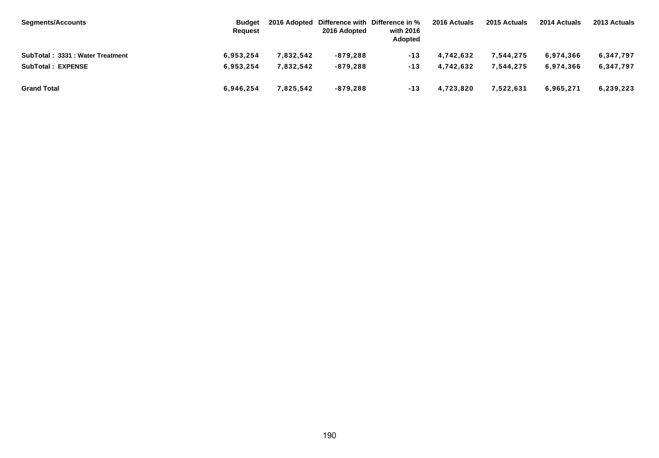| <b>Segments/Accounts</b>         | <b>Budget</b><br><b>Request</b> | 2016 Adopted | 2016 Adopted | Difference with Difference in %<br>with 2016<br><b>Adopted</b> | 2016 Actuals | 2015 Actuals | 2014 Actuals | 2013 Actuals |
|----------------------------------|---------------------------------|--------------|--------------|----------------------------------------------------------------|--------------|--------------|--------------|--------------|
| SubTotal: 3331 : Water Treatment | 6,953,254                       | 7,832,542    | $-879,288$   | $-13$                                                          | 4.742.632    | 7,544,275    | 6,974,366    | 6,347,797    |
| <b>SubTotal: EXPENSE</b>         | 6,953,254                       | 7,832,542    | $-879.288$   | $-13$                                                          | 4.742.632    | 7,544,275    | 6,974,366    | 6,347,797    |
| <b>Grand Total</b>               | 6,946,254                       | 7,825,542    | $-879,288$   | $-13$                                                          | 4,723,820    | 7,522,631    | 6,965,271    | 6,239,223    |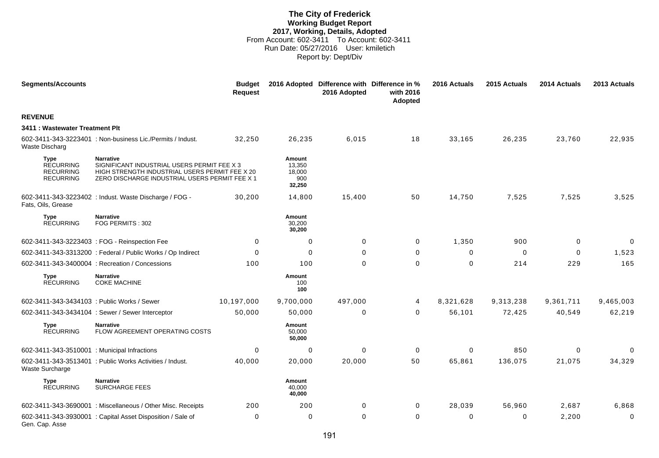# **The City of Frederick Working Budget Report 2017, Working, Details, Adopted** From Account: 602-3411 To Account: 602-3411 Run Date: 05/27/2016 User: kmiletich Report by: Dept/Div

| <b>Segments/Accounts</b>                                                |                                                                                                                                                                     | <b>Budget</b><br><b>Request</b> |                                             | 2016 Adopted Difference with Difference in %<br>2016 Adopted | with 2016<br>Adopted | 2016 Actuals | 2015 Actuals | 2014 Actuals | 2013 Actuals |
|-------------------------------------------------------------------------|---------------------------------------------------------------------------------------------------------------------------------------------------------------------|---------------------------------|---------------------------------------------|--------------------------------------------------------------|----------------------|--------------|--------------|--------------|--------------|
| <b>REVENUE</b>                                                          |                                                                                                                                                                     |                                 |                                             |                                                              |                      |              |              |              |              |
| 3411 : Wastewater Treatment Plt                                         |                                                                                                                                                                     |                                 |                                             |                                                              |                      |              |              |              |              |
| Waste Discharg                                                          | 602-3411-343-3223401 : Non-business Lic./Permits / Indust.                                                                                                          | 32,250                          | 26,235                                      | 6,015                                                        | 18                   | 33,165       | 26,235       | 23,760       | 22,935       |
| <b>Type</b><br><b>RECURRING</b><br><b>RECURRING</b><br><b>RECURRING</b> | <b>Narrative</b><br>SIGNIFICANT INDUSTRIAL USERS PERMIT FEE X 3<br>HIGH STRENGTH INDUSTRIAL USERS PERMIT FEE X 20<br>ZERO DISCHARGE INDUSTRIAL USERS PERMIT FEE X 1 |                                 | Amount<br>13,350<br>18,000<br>900<br>32,250 |                                                              |                      |              |              |              |              |
| Fats, Oils, Grease                                                      | 602-3411-343-3223402 : Indust. Waste Discharge / FOG -                                                                                                              | 30,200                          | 14,800                                      | 15,400                                                       | 50                   | 14,750       | 7,525        | 7,525        | 3,525        |
| <b>Type</b><br><b>RECURRING</b>                                         | <b>Narrative</b><br>FOG PERMITS: 302                                                                                                                                |                                 | Amount<br>30,200<br>30,200                  |                                                              |                      |              |              |              |              |
|                                                                         | 602-3411-343-3223403 : FOG - Reinspection Fee                                                                                                                       | $\mathbf 0$                     | 0                                           | 0                                                            | 0                    | 1,350        | 900          | 0            | $\mathbf 0$  |
|                                                                         | 602-3411-343-3313200 : Federal / Public Works / Op Indirect                                                                                                         | $\Omega$                        | $\Omega$                                    | $\Omega$                                                     | $\Omega$             | $\Omega$     | $\Omega$     | $\mathbf{0}$ | 1,523        |
|                                                                         | 602-3411-343-3400004 : Recreation / Concessions                                                                                                                     | 100                             | 100                                         | $\Omega$                                                     | $\mathbf 0$          | $\Omega$     | 214          | 229          | 165          |
| <b>Type</b><br><b>RECURRING</b>                                         | <b>Narrative</b><br><b>COKE MACHINE</b>                                                                                                                             |                                 | Amount<br>100<br>100                        |                                                              |                      |              |              |              |              |
| 602-3411-343-3434103 : Public Works / Sewer                             |                                                                                                                                                                     | 10,197,000                      | 9,700,000                                   | 497,000                                                      | 4                    | 8,321,628    | 9,313,238    | 9,361,711    | 9,465,003    |
|                                                                         | 602-3411-343-3434104 : Sewer / Sewer Interceptor                                                                                                                    | 50,000                          | 50,000                                      | 0                                                            | 0                    | 56,101       | 72,425       | 40,549       | 62,219       |
| <b>Type</b><br><b>RECURRING</b>                                         | <b>Narrative</b><br>FLOW AGREEMENT OPERATING COSTS                                                                                                                  |                                 | <b>Amount</b><br>50,000<br>50,000           |                                                              |                      |              |              |              |              |
| 602-3411-343-3510001 : Municipal Infractions                            |                                                                                                                                                                     | $\mathbf 0$                     | $\mathbf 0$                                 | $\mathbf 0$                                                  | 0                    | $\mathbf 0$  | 850          | $\Omega$     | 0            |
| Waste Surcharge                                                         | 602-3411-343-3513401 : Public Works Activities / Indust.                                                                                                            | 40,000                          | 20,000                                      | 20,000                                                       | 50                   | 65,861       | 136,075      | 21,075       | 34,329       |
| <b>Type</b><br><b>RECURRING</b>                                         | <b>Narrative</b><br><b>SURCHARGE FEES</b>                                                                                                                           |                                 | Amount<br>40,000<br>40,000                  |                                                              |                      |              |              |              |              |
|                                                                         | 602-3411-343-3690001 : Miscellaneous / Other Misc. Receipts                                                                                                         | 200                             | 200                                         | 0                                                            | 0                    | 28,039       | 56,960       | 2,687        | 6,868        |
| Gen. Cap. Asse                                                          | 602-3411-343-3930001 : Capital Asset Disposition / Sale of                                                                                                          | $\Omega$                        | $\Omega$                                    | $\Omega$                                                     | 0                    | $\Omega$     | 0            | 2,200        | 0            |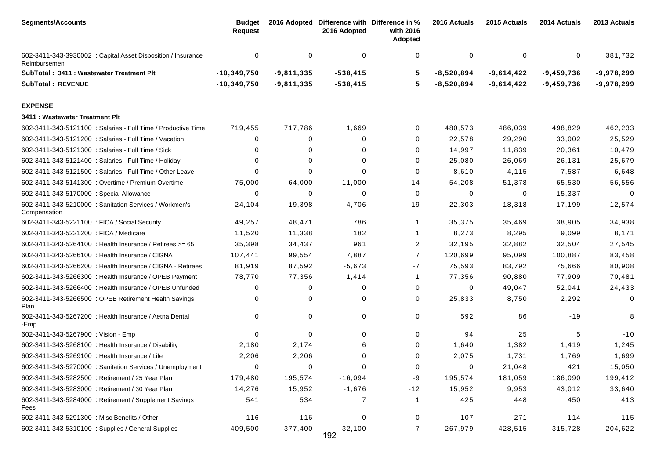| <b>Segments/Accounts</b>                       |                                                               | <b>Budget</b><br><b>Request</b> |              | 2016 Adopted Difference with Difference in %<br>2016 Adopted | with 2016<br>Adopted | 2016 Actuals | 2015 Actuals | 2014 Actuals | 2013 Actuals |
|------------------------------------------------|---------------------------------------------------------------|---------------------------------|--------------|--------------------------------------------------------------|----------------------|--------------|--------------|--------------|--------------|
| Reimbursemen                                   | 602-3411-343-3930002 : Capital Asset Disposition / Insurance  | 0                               | 0            | 0                                                            | 0                    | $\Omega$     | 0            | 0            | 381,732      |
| SubTotal: 3411: Wastewater Treatment Plt       |                                                               | $-10,349,750$                   | $-9,811,335$ | $-538,415$                                                   | 5                    | $-8,520,894$ | $-9,614,422$ | $-9,459,736$ | $-9,978,299$ |
| <b>SubTotal: REVENUE</b>                       |                                                               | $-10,349,750$                   | $-9,811,335$ | $-538,415$                                                   | 5                    | $-8,520,894$ | $-9,614,422$ | $-9,459,736$ | $-9,978,299$ |
| <b>EXPENSE</b>                                 |                                                               |                                 |              |                                                              |                      |              |              |              |              |
| 3411 : Wastewater Treatment Plt                |                                                               |                                 |              |                                                              |                      |              |              |              |              |
|                                                | 602-3411-343-5121100 : Salaries - Full Time / Productive Time | 719,455                         | 717,786      | 1,669                                                        | 0                    | 480,573      | 486,039      | 498,829      | 462,233      |
|                                                | 602-3411-343-5121200 : Salaries - Full Time / Vacation        | $\Omega$                        | 0            | 0                                                            | 0                    | 22,578       | 29,290       | 33,002       | 25,529       |
|                                                | 602-3411-343-5121300 : Salaries - Full Time / Sick            | ∩                               | 0            | 0                                                            | 0                    | 14,997       | 11,839       | 20,361       | 10,479       |
|                                                | 602-3411-343-5121400 : Salaries - Full Time / Holiday         | 0                               | 0            | $\Omega$                                                     | 0                    | 25,080       | 26,069       | 26,131       | 25,679       |
|                                                | 602-3411-343-5121500 : Salaries - Full Time / Other Leave     | ∩                               | $\Omega$     | $\Omega$                                                     | 0                    | 8,610        | 4,115        | 7,587        | 6,648        |
|                                                | 602-3411-343-5141300 : Overtime / Premium Overtime            | 75,000                          | 64,000       | 11,000                                                       | 14                   | 54,208       | 51,378       | 65,530       | 56,556       |
| 602-3411-343-5170000 : Special Allowance       |                                                               | $\Omega$                        | 0            | $\Omega$                                                     | 0                    | 0            | 0            | 15,337       | $\Omega$     |
| Compensation                                   | 602-3411-343-5210000 : Sanitation Services / Workmen's        | 24,104                          | 19,398       | 4,706                                                        | 19                   | 22,303       | 18,318       | 17,199       | 12,574       |
| 602-3411-343-5221100 : FICA / Social Security  |                                                               | 49,257                          | 48,471       | 786                                                          | $\mathbf{1}$         | 35,375       | 35,469       | 38,905       | 34,938       |
| 602-3411-343-5221200 : FICA / Medicare         |                                                               | 11,520                          | 11,338       | 182                                                          | $\mathbf{1}$         | 8,273        | 8,295        | 9,099        | 8,171        |
|                                                | 602-3411-343-5264100 : Health Insurance / Retirees >= 65      | 35,398                          | 34,437       | 961                                                          | 2                    | 32,195       | 32,882       | 32,504       | 27,545       |
|                                                | 602-3411-343-5266100 : Health Insurance / CIGNA               | 107,441                         | 99,554       | 7,887                                                        | $\overline{7}$       | 120,699      | 95,099       | 100,887      | 83,458       |
|                                                | 602-3411-343-5266200 : Health Insurance / CIGNA - Retirees    | 81,919                          | 87,592       | $-5,673$                                                     | -7                   | 75,593       | 83,792       | 75,666       | 80,908       |
|                                                | 602-3411-343-5266300 : Health Insurance / OPEB Payment        | 78,770                          | 77,356       | 1,414                                                        | $\mathbf{1}$         | 77,356       | 90,880       | 77,909       | 70,481       |
|                                                | 602-3411-343-5266400 : Health Insurance / OPEB Unfunded       | 0                               | 0            | $\Omega$                                                     | 0                    | $\Omega$     | 49,047       | 52,041       | 24,433       |
| Plan                                           | 602-3411-343-5266500 : OPEB Retirement Health Savings         | 0                               | 0            | $\Omega$                                                     | $\mathbf 0$          | 25,833       | 8,750        | 2,292        | $\mathbf 0$  |
| -Emp                                           | 602-3411-343-5267200 : Health Insurance / Aetna Dental        | 0                               | 0            | $\Omega$                                                     | 0                    | 592          | 86           | $-19$        | 8            |
| 602-3411-343-5267900 : Vision - Emp            |                                                               | $\Omega$                        | $\Omega$     | $\Omega$                                                     | 0                    | 94           | 25           | 5            | $-10$        |
|                                                | 602-3411-343-5268100 : Health Insurance / Disability          | 2,180                           | 2,174        | 6                                                            | 0                    | 1,640        | 1,382        | 1,419        | 1,245        |
| 602-3411-343-5269100 : Health Insurance / Life |                                                               | 2,206                           | 2,206        | 0                                                            | 0                    | 2,075        | 1,731        | 1,769        | 1,699        |
|                                                | 602-3411-343-5270000: Sanitation Services / Unemployment      | $\mathbf 0$                     | 0            | 0                                                            | 0                    | $\Omega$     | 21,048       | 421          | 15,050       |
|                                                | 602-3411-343-5282500 : Retirement / 25 Year Plan              | 179,480                         | 195,574      | $-16,094$                                                    | -9                   | 195,574      | 181,059      | 186,090      | 199,412      |
|                                                | 602-3411-343-5283000 : Retirement / 30 Year Plan              | 14,276                          | 15,952       | $-1,676$                                                     | $-12$                | 15,952       | 9,953        | 43,012       | 33,640       |
| Fees                                           | 602-3411-343-5284000: Retirement / Supplement Savings         | 541                             | 534          | 7                                                            | $\mathbf{1}$         | 425          | 448          | 450          | 413          |
| 602-3411-343-5291300 : Misc Benefits / Other   |                                                               | 116                             | 116          | 0                                                            | 0                    | 107          | 271          | 114          | 115          |
|                                                | 602-3411-343-5310100 : Supplies / General Supplies            | 409,500                         | 377,400      | 32,100<br>192                                                | $\overline{7}$       | 267,979      | 428,515      | 315,728      | 204,622      |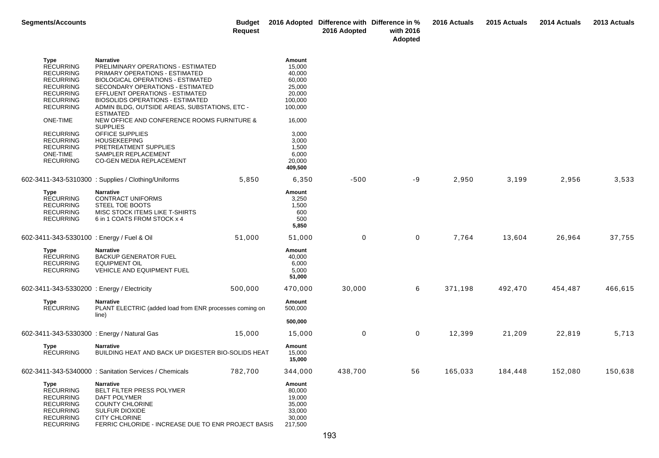| <b>Segments/Accounts</b>                                                                                                                         |                                                                                                                                                                                                                                                                                                                             | <b>Budget</b><br><b>Request</b> |                                                                                | 2016 Adopted | 2016 Adopted Difference with Difference in %<br>with 2016<br>Adopted | 2016 Actuals | 2015 Actuals | 2014 Actuals | 2013 Actuals |
|--------------------------------------------------------------------------------------------------------------------------------------------------|-----------------------------------------------------------------------------------------------------------------------------------------------------------------------------------------------------------------------------------------------------------------------------------------------------------------------------|---------------------------------|--------------------------------------------------------------------------------|--------------|----------------------------------------------------------------------|--------------|--------------|--------------|--------------|
| Type<br><b>RECURRING</b><br><b>RECURRING</b><br><b>RECURRING</b><br><b>RECURRING</b><br><b>RECURRING</b><br><b>RECURRING</b><br><b>RECURRING</b> | <b>Narrative</b><br>PRELIMINARY OPERATIONS - ESTIMATED<br>PRIMARY OPERATIONS - ESTIMATED<br><b>BIOLOGICAL OPERATIONS - ESTIMATED</b><br>SECONDARY OPERATIONS - ESTIMATED<br>EFFLUENT OPERATIONS - ESTIMATED<br><b>BIOSOLIDS OPERATIONS - ESTIMATED</b><br>ADMIN BLDG, OUTSIDE AREAS, SUBSTATIONS, ETC -<br><b>ESTIMATED</b> |                                 | Amount<br>15,000<br>40,000<br>60,000<br>25,000<br>20,000<br>100,000<br>100,000 |              |                                                                      |              |              |              |              |
| ONE-TIME<br><b>RECURRING</b><br><b>RECURRING</b><br><b>RECURRING</b><br>ONE-TIME<br><b>RECURRING</b>                                             | NEW OFFICE AND CONFERENCE ROOMS FURNITURE &<br><b>SUPPLIES</b><br>OFFICE SUPPLIES<br><b>HOUSEKEEPING</b><br>PRETREATMENT SUPPLIES<br>SAMPLER REPLACEMENT<br>CO-GEN MEDIA REPLACEMENT                                                                                                                                        |                                 | 16,000<br>3,000<br>3,000<br>1,500<br>6,000<br>20,000<br>409,500                |              |                                                                      |              |              |              |              |
| Type<br><b>RECURRING</b><br><b>RECURRING</b><br><b>RECURRING</b><br><b>RECURRING</b>                                                             | 602-3411-343-5310300: Supplies / Clothing/Uniforms<br>Narrative<br><b>CONTRACT UNIFORMS</b><br>STEEL TOE BOOTS<br>MISC STOCK ITEMS LIKE T-SHIRTS<br>6 in 1 COATS FROM STOCK x 4                                                                                                                                             | 5,850                           | 6,350<br>Amount<br>3,250<br>1,500<br>600<br>500<br>5,850                       | $-500$       | -9                                                                   | 2,950        | 3,199        | 2,956        | 3,533        |
| 602-3411-343-5330100 : Energy / Fuel & Oil<br><b>Type</b><br><b>RECURRING</b><br><b>RECURRING</b><br><b>RECURRING</b>                            | <b>Narrative</b><br><b>BACKUP GENERATOR FUEL</b><br><b>EQUIPMENT OIL</b><br>VEHICLE AND EQUIPMENT FUEL                                                                                                                                                                                                                      | 51,000                          | 51,000<br>Amount<br>40,000<br>6,000<br>5,000<br>51,000                         | 0            | 0                                                                    | 7,764        | 13,604       | 26,964       | 37,755       |
| 602-3411-343-5330200 : Energy / Electricity<br><b>Type</b><br><b>RECURRING</b>                                                                   | <b>Narrative</b><br>PLANT ELECTRIC (added load from ENR processes coming on<br>line)                                                                                                                                                                                                                                        | 500,000                         | 470,000<br>Amount<br>500,000<br>500,000                                        | 30,000       | 6                                                                    | 371,198      | 492,470      | 454,487      | 466,615      |
| 602-3411-343-5330300 : Energy / Natural Gas<br>Type<br><b>RECURRING</b>                                                                          | <b>Narrative</b><br>BUILDING HEAT AND BACK UP DIGESTER BIO-SOLIDS HEAT                                                                                                                                                                                                                                                      | 15,000                          | 15,000<br>Amount<br>15,000<br>15,000                                           | 0            | 0                                                                    | 12,399       | 21,209       | 22,819       | 5,713        |
| Type<br><b>RECURRING</b><br><b>RECURRING</b><br><b>RECURRING</b><br><b>RECURRING</b><br><b>RECURRING</b><br><b>RECURRING</b>                     | 602-3411-343-5340000 : Sanitation Services / Chemicals<br><b>Narrative</b><br>BELT FILTER PRESS POLYMER<br>DAFT POLYMER<br><b>COUNTY CHLORINE</b><br><b>SULFUR DIOXIDE</b><br><b>CITY CHLORINE</b><br>FERRIC CHLORIDE - INCREASE DUE TO ENR PROJECT BASIS                                                                   | 782,700                         | 344,000<br>Amount<br>80,000<br>19,000<br>35,000<br>33,000<br>30,000<br>217,500 | 438,700      | 56                                                                   | 165,033      | 184,448      | 152,080      | 150,638      |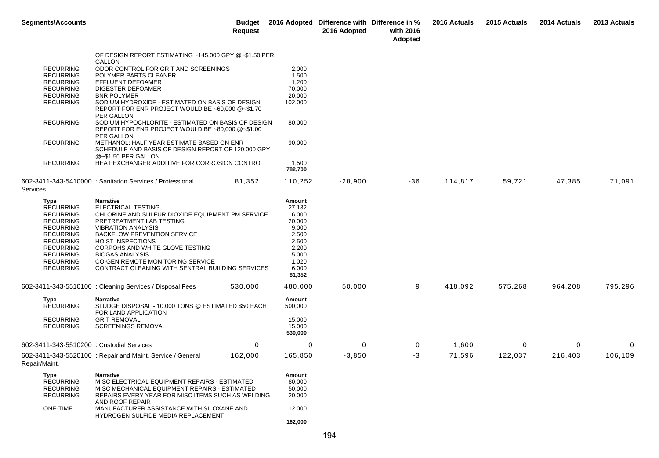| <b>Segments/Accounts</b>                                                                                                                                                                                     |                                                                                                                                                                                                                                                                                                                                                                            | <b>Budget</b><br><b>Request</b> |                                                                                                              | 2016 Adopted Difference with Difference in %<br>2016 Adopted | with 2016<br>Adopted | 2016 Actuals | 2015 Actuals | 2014 Actuals | 2013 Actuals |
|--------------------------------------------------------------------------------------------------------------------------------------------------------------------------------------------------------------|----------------------------------------------------------------------------------------------------------------------------------------------------------------------------------------------------------------------------------------------------------------------------------------------------------------------------------------------------------------------------|---------------------------------|--------------------------------------------------------------------------------------------------------------|--------------------------------------------------------------|----------------------|--------------|--------------|--------------|--------------|
|                                                                                                                                                                                                              | OF DESIGN REPORT ESTIMATING ~145,000 GPY @~\$1.50 PER                                                                                                                                                                                                                                                                                                                      |                                 |                                                                                                              |                                                              |                      |              |              |              |              |
| <b>RECURRING</b><br><b>RECURRING</b><br><b>RECURRING</b><br><b>RECURRING</b><br><b>RECURRING</b><br><b>RECURRING</b>                                                                                         | GALLON<br>ODOR CONTROL FOR GRIT AND SCREENINGS<br>POLYMER PARTS CLEANER<br>EFFLUENT DEFOAMER<br>DIGESTER DEFOAMER<br><b>BNR POLYMER</b><br>SODIUM HYDROXIDE - ESTIMATED ON BASIS OF DESIGN<br>REPORT FOR ENR PROJECT WOULD BE ~60,000 @~\$1.70<br>PER GALLON                                                                                                               |                                 | 2,000<br>1,500<br>1,200<br>70,000<br>20,000<br>102,000                                                       |                                                              |                      |              |              |              |              |
| <b>RECURRING</b>                                                                                                                                                                                             | SODIUM HYPOCHLORITE - ESTIMATED ON BASIS OF DESIGN<br>REPORT FOR ENR PROJECT WOULD BE ~80,000 @~\$1.00                                                                                                                                                                                                                                                                     |                                 | 80,000                                                                                                       |                                                              |                      |              |              |              |              |
| <b>RECURRING</b>                                                                                                                                                                                             | PER GALLON<br>METHANOL: HALF YEAR ESTIMATE BASED ON ENR<br>SCHEDULE AND BASIS OF DESIGN REPORT OF 120,000 GPY                                                                                                                                                                                                                                                              |                                 | 90,000                                                                                                       |                                                              |                      |              |              |              |              |
| <b>RECURRING</b>                                                                                                                                                                                             | @~\$1.50 PER GALLON<br>HEAT EXCHANGER ADDITIVE FOR CORROSION CONTROL                                                                                                                                                                                                                                                                                                       |                                 | 1,500<br>782,700                                                                                             |                                                              |                      |              |              |              |              |
| Services                                                                                                                                                                                                     | 602-3411-343-5410000 : Sanitation Services / Professional                                                                                                                                                                                                                                                                                                                  | 81,352                          | 110,252                                                                                                      | $-28,900$                                                    | -36                  | 114,817      | 59,721       | 47,385       | 71,091       |
| Type<br><b>RECURRING</b><br><b>RECURRING</b><br><b>RECURRING</b><br><b>RECURRING</b><br><b>RECURRING</b><br><b>RECURRING</b><br><b>RECURRING</b><br><b>RECURRING</b><br><b>RECURRING</b><br><b>RECURRING</b> | Narrative<br><b>ELECTRICAL TESTING</b><br>CHLORINE AND SULFUR DIOXIDE EQUIPMENT PM SERVICE<br>PRETREATMENT LAB TESTING<br><b>VIBRATION ANALYSIS</b><br><b>BACKFLOW PREVENTION SERVICE</b><br><b>HOIST INSPECTIONS</b><br>CORPOHS AND WHITE GLOVE TESTING<br><b>BIOGAS ANALYSIS</b><br>CO-GEN REMOTE MONITORING SERVICE<br>CONTRACT CLEANING WITH SENTRAL BUILDING SERVICES |                                 | Amount<br>27,132<br>6,000<br>20,000<br>9,000<br>2,500<br>2,500<br>2,200<br>5,000<br>1,020<br>6,000<br>81,352 |                                                              |                      |              |              |              |              |
|                                                                                                                                                                                                              | 602-3411-343-5510100 : Cleaning Services / Disposal Fees                                                                                                                                                                                                                                                                                                                   | 530,000                         | 480,000                                                                                                      | 50,000                                                       | 9                    | 418,092      | 575,268      | 964,208      | 795,296      |
| Type<br><b>RECURRING</b><br><b>RECURRING</b><br><b>RECURRING</b>                                                                                                                                             | Narrative<br>SLUDGE DISPOSAL - 10,000 TONS @ ESTIMATED \$50 EACH<br>FOR LAND APPLICATION<br><b>GRIT REMOVAL</b><br><b>SCREENINGS REMOVAL</b>                                                                                                                                                                                                                               |                                 | Amount<br>500,000<br>15,000<br>15,000                                                                        |                                                              |                      |              |              |              |              |
| 602-3411-343-5510200 : Custodial Services                                                                                                                                                                    |                                                                                                                                                                                                                                                                                                                                                                            | 0                               | 530,000<br>0                                                                                                 | 0                                                            | 0                    | 1,600        | 0            | 0            | 0            |
| Repair/Maint.                                                                                                                                                                                                | 602-3411-343-5520100 : Repair and Maint. Service / General                                                                                                                                                                                                                                                                                                                 | 162,000                         | 165,850                                                                                                      | $-3,850$                                                     | $-3$                 | 71,596       | 122,037      | 216,403      | 106,109      |
| Type<br><b>RECURRING</b><br><b>RECURRING</b><br><b>RECURRING</b>                                                                                                                                             | <b>Narrative</b><br>MISC ELECTRICAL EQUIPMENT REPAIRS - ESTIMATED<br>MISC MECHANICAL EQUIPMENT REPAIRS - ESTIMATED<br>REPAIRS EVERY YEAR FOR MISC ITEMS SUCH AS WELDING<br>AND ROOF REPAIR                                                                                                                                                                                 |                                 | Amount<br>80,000<br>50,000<br>20,000                                                                         |                                                              |                      |              |              |              |              |
| ONE-TIME                                                                                                                                                                                                     | MANUFACTURER ASSISTANCE WITH SILOXANE AND<br>HYDROGEN SULFIDE MEDIA REPLACEMENT                                                                                                                                                                                                                                                                                            |                                 | 12,000                                                                                                       |                                                              |                      |              |              |              |              |

**162,000**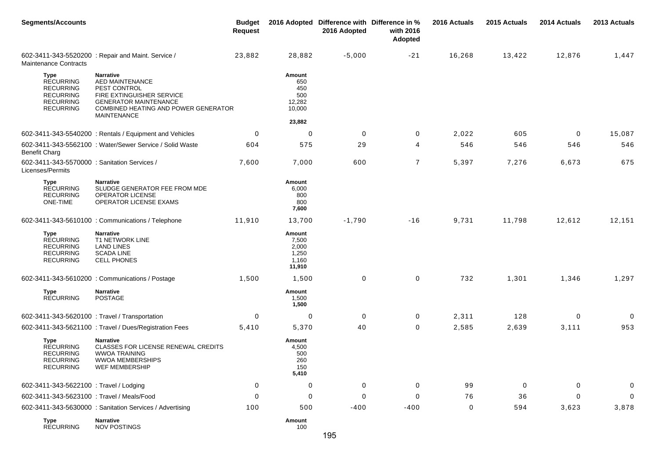| <b>Segments/Accounts</b>                                                                                        |                                                                                                                                                                                       | <b>Budget</b><br><b>Request</b> |                                                           | 2016 Adopted Difference with Difference in %<br>2016 Adopted | with 2016<br>Adopted | 2016 Actuals | 2015 Actuals | 2014 Actuals | 2013 Actuals |
|-----------------------------------------------------------------------------------------------------------------|---------------------------------------------------------------------------------------------------------------------------------------------------------------------------------------|---------------------------------|-----------------------------------------------------------|--------------------------------------------------------------|----------------------|--------------|--------------|--------------|--------------|
| <b>Maintenance Contracts</b>                                                                                    | 602-3411-343-5520200 : Repair and Maint. Service /                                                                                                                                    | 23,882                          | 28,882                                                    | $-5,000$                                                     | $-21$                | 16,268       | 13,422       | 12,876       | 1,447        |
| <b>Type</b><br><b>RECURRING</b><br><b>RECURRING</b><br><b>RECURRING</b><br><b>RECURRING</b><br><b>RECURRING</b> | <b>Narrative</b><br><b>AED MAINTENANCE</b><br>PEST CONTROL<br>FIRE EXTINGUISHER SERVICE<br><b>GENERATOR MAINTENANCE</b><br>COMBINED HEATING AND POWER GENERATOR<br><b>MAINTENANCE</b> |                                 | Amount<br>650<br>450<br>500<br>12,282<br>10,000<br>23,882 |                                                              |                      |              |              |              |              |
|                                                                                                                 | 602-3411-343-5540200 : Rentals / Equipment and Vehicles                                                                                                                               | 0                               | 0                                                         | 0                                                            | 0                    | 2,022        | 605          | 0            | 15,087       |
|                                                                                                                 | 602-3411-343-5562100 : Water/Sewer Service / Solid Waste                                                                                                                              | 604                             | 575                                                       | 29                                                           | 4                    | 546          | 546          | 546          | 546          |
| <b>Benefit Charg</b>                                                                                            |                                                                                                                                                                                       |                                 |                                                           |                                                              |                      |              |              |              |              |
| 602-3411-343-5570000 : Sanitation Services /<br>Licenses/Permits                                                |                                                                                                                                                                                       | 7,600                           | 7,000                                                     | 600                                                          | $\overline{7}$       | 5,397        | 7,276        | 6,673        | 675          |
| Type<br><b>RECURRING</b><br><b>RECURRING</b><br>ONE-TIME                                                        | <b>Narrative</b><br>SLUDGE GENERATOR FEE FROM MDE<br><b>OPERATOR LICENSE</b><br>OPERATOR LICENSE EXAMS                                                                                |                                 | Amount<br>6,000<br>800<br>800<br>7,600                    |                                                              |                      |              |              |              |              |
|                                                                                                                 | 602-3411-343-5610100 : Communications / Telephone                                                                                                                                     | 11,910                          | 13,700                                                    | $-1,790$                                                     | $-16$                | 9,731        | 11,798       | 12,612       | 12,151       |
| Type<br><b>RECURRING</b><br><b>RECURRING</b><br><b>RECURRING</b><br><b>RECURRING</b>                            | <b>Narrative</b><br>T1 NETWORK LINE<br><b>LAND LINES</b><br><b>SCADA LINE</b><br><b>CELL PHONES</b>                                                                                   |                                 | Amount<br>7,500<br>2,000<br>1,250<br>1,160<br>11,910      |                                                              |                      |              |              |              |              |
|                                                                                                                 | 602-3411-343-5610200 : Communications / Postage                                                                                                                                       | 1,500                           | 1,500                                                     | 0                                                            | 0                    | 732          | 1,301        | 1,346        | 1,297        |
| Type<br><b>RECURRING</b>                                                                                        | <b>Narrative</b><br><b>POSTAGE</b>                                                                                                                                                    |                                 | Amount<br>1,500<br>1,500                                  |                                                              |                      |              |              |              |              |
| 602-3411-343-5620100 : Travel / Transportation                                                                  |                                                                                                                                                                                       | 0                               | 0                                                         | $\mathbf 0$                                                  | 0                    | 2,311        | 128          | $\Omega$     | 0            |
|                                                                                                                 | 602-3411-343-5621100 : Travel / Dues/Registration Fees                                                                                                                                | 5,410                           | 5,370                                                     | 40                                                           | 0                    | 2,585        | 2,639        | 3,111        | 953          |
| Type<br><b>RECURRING</b><br><b>RECURRING</b><br><b>RECURRING</b><br><b>RECURRING</b>                            | <b>Narrative</b><br>CLASSES FOR LICENSE RENEWAL CREDITS<br><b>WWOA TRAINING</b><br><b>WWOA MEMBERSHIPS</b><br><b>WEF MEMBERSHIP</b>                                                   |                                 | Amount<br>4,500<br>500<br>260<br>150<br>5,410             |                                                              |                      |              |              |              |              |
| 602-3411-343-5622100 : Travel / Lodging                                                                         |                                                                                                                                                                                       | 0                               | 0                                                         | 0                                                            | 0                    | 99           | 0            | 0            | 0            |
| 602-3411-343-5623100 : Travel / Meals/Food                                                                      |                                                                                                                                                                                       | 0                               | $\mathbf 0$                                               | 0                                                            | 0                    | 76           | 36           | 0            | 0            |
|                                                                                                                 | 602-3411-343-5630000 : Sanitation Services / Advertising                                                                                                                              | 100                             | 500                                                       | $-400$                                                       | $-400$               | 0            | 594          | 3,623        | 3,878        |
| <b>Type</b>                                                                                                     | <b>Narrative</b>                                                                                                                                                                      |                                 | Amount                                                    |                                                              |                      |              |              |              |              |

RECURRING NOV POSTINGS 1000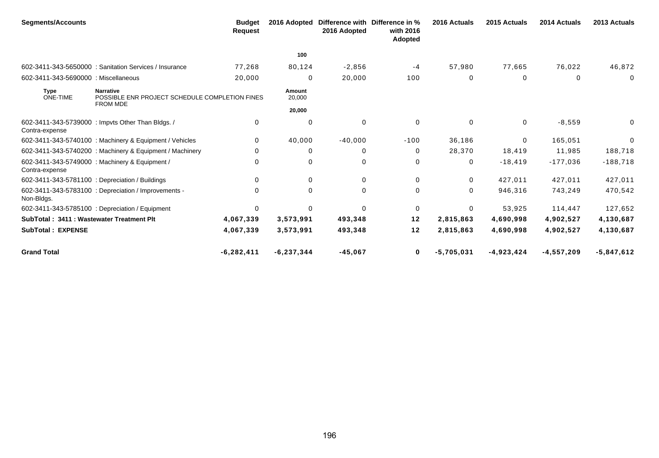| <b>Segments/Accounts</b>                        |                                                                                       | <b>Budget</b><br><b>Request</b> | 2016 Adopted     | Difference with<br>2016 Adopted | Difference in %<br>with 2016<br>Adopted | 2016 Actuals | 2015 Actuals | 2014 Actuals | 2013 Actuals |
|-------------------------------------------------|---------------------------------------------------------------------------------------|---------------------------------|------------------|---------------------------------|-----------------------------------------|--------------|--------------|--------------|--------------|
|                                                 |                                                                                       |                                 | 100              |                                 |                                         |              |              |              |              |
|                                                 | 602-3411-343-5650000 : Sanitation Services / Insurance                                | 77,268                          | 80,124           | $-2,856$                        | -4                                      | 57,980       | 77,665       | 76,022       | 46,872       |
| 602-3411-343-5690000 : Miscellaneous            |                                                                                       | 20,000                          | 0                | 20,000                          | 100                                     | $\Omega$     | 0            | $\Omega$     | 0            |
| <b>Type</b><br><b>ONE-TIME</b>                  | <b>Narrative</b><br>POSSIBLE ENR PROJECT SCHEDULE COMPLETION FINES<br><b>FROM MDE</b> |                                 | Amount<br>20,000 |                                 |                                         |              |              |              |              |
|                                                 |                                                                                       |                                 | 20,000           |                                 |                                         |              |              |              |              |
| Contra-expense                                  | 602-3411-343-5739000 : Impvts Other Than Bldgs. /                                     | 0                               | $\mathbf 0$      | $\mathbf 0$                     | 0                                       | $\Omega$     | $\mathbf 0$  | $-8,559$     | $\mathbf{0}$ |
|                                                 | 602-3411-343-5740100 : Machinery & Equipment / Vehicles                               | $\Omega$                        | 40,000           | $-40,000$                       | $-100$                                  | 36,186       | $\mathbf 0$  | 165,051      | $\Omega$     |
|                                                 | 602-3411-343-5740200 : Machinery & Equipment / Machinery                              | 0                               | 0                | 0                               | 0                                       | 28,370       | 18,419       | 11,985       | 188,718      |
| Contra-expense                                  | 602-3411-343-5749000 : Machinery & Equipment /                                        | $\Omega$                        | 0                | $\Omega$                        | $\mathbf 0$                             | 0            | $-18,419$    | $-177,036$   | $-188,718$   |
| 602-3411-343-5781100 : Depreciation / Buildings |                                                                                       | 0                               | 0                | 0                               | 0                                       | 0            | 427,011      | 427,011      | 427,011      |
| Non-Bidgs.                                      | 602-3411-343-5783100 : Depreciation / Improvements -                                  | 0                               | 0                | $\mathbf 0$                     | 0                                       | 0            | 946,316      | 743,249      | 470,542      |
|                                                 | 602-3411-343-5785100 : Depreciation / Equipment                                       | $\mathbf 0$                     | $\Omega$         | $\Omega$                        | $\pmb{0}$                               | 0            | 53,925       | 114,447      | 127,652      |
| SubTotal: 3411: Wastewater Treatment Plt        |                                                                                       | 4,067,339                       | 3,573,991        | 493,348                         | $12$                                    | 2,815,863    | 4,690,998    | 4,902,527    | 4,130,687    |
| <b>SubTotal: EXPENSE</b>                        |                                                                                       | 4,067,339                       | 3,573,991        | 493,348                         | $12$                                    | 2,815,863    | 4,690,998    | 4,902,527    | 4,130,687    |
| <b>Grand Total</b>                              |                                                                                       | $-6,282,411$                    | $-6, 237, 344$   | $-45,067$                       | $\mathbf{0}$                            | $-5,705,031$ | $-4,923,424$ | $-4,557,209$ | $-5,847,612$ |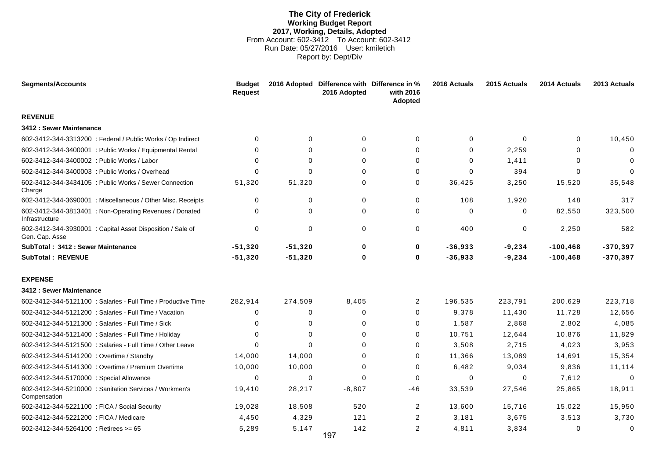# **The City of Frederick Working Budget Report 2017, Working, Details, Adopted** From Account: 602-3412 To Account: 602-3412 Run Date: 05/27/2016 User: kmiletich Report by: Dept/Div

| <b>Segments/Accounts</b>                                                     | <b>Budget</b><br><b>Request</b> |             | 2016 Adopted Difference with Difference in %<br>2016 Adopted | with 2016<br>Adopted | 2016 Actuals | 2015 Actuals | 2014 Actuals | 2013 Actuals |
|------------------------------------------------------------------------------|---------------------------------|-------------|--------------------------------------------------------------|----------------------|--------------|--------------|--------------|--------------|
| <b>REVENUE</b>                                                               |                                 |             |                                                              |                      |              |              |              |              |
| 3412 : Sewer Maintenance                                                     |                                 |             |                                                              |                      |              |              |              |              |
| 602-3412-344-3313200 : Federal / Public Works / Op Indirect                  | $\Omega$                        | $\mathbf 0$ | 0                                                            | $\mathbf 0$          | $\Omega$     | $\mathbf 0$  | $\Omega$     | 10,450       |
| 602-3412-344-3400001 : Public Works / Equipmental Rental                     | 0                               | 0           | $\Omega$                                                     | $\Omega$             | 0            | 2,259        | ∩            | $\Omega$     |
| 602-3412-344-3400002 : Public Works / Labor                                  | $\Omega$                        | 0           | 0                                                            | 0                    | 0            | 1,411        | $\Omega$     | $\Omega$     |
| 602-3412-344-3400003 : Public Works / Overhead                               | $\Omega$                        | $\Omega$    | $\Omega$                                                     | 0                    | $\Omega$     | 394          | $\Omega$     | $\Omega$     |
| 602-3412-344-3434105 : Public Works / Sewer Connection<br>Charge             | 51,320                          | 51,320      | 0                                                            | 0                    | 36,425       | 3,250        | 15,520       | 35,548       |
| 602-3412-344-3690001 : Miscellaneous / Other Misc. Receipts                  | 0                               | 0           | 0                                                            | 0                    | 108          | 1,920        | 148          | 317          |
| 602-3412-344-3813401 : Non-Operating Revenues / Donated<br>Infrastructure    | 0                               | 0           | 0                                                            | 0                    | 0            | 0            | 82,550       | 323,500      |
| 602-3412-344-3930001 : Capital Asset Disposition / Sale of<br>Gen. Cap. Asse | $\mathbf 0$                     | $\mathbf 0$ | 0                                                            | 0                    | 400          | 0            | 2,250        | 582          |
| SubTotal: 3412 : Sewer Maintenance                                           | $-51,320$                       | $-51,320$   | 0                                                            | 0                    | $-36,933$    | $-9,234$     | $-100, 468$  | $-370,397$   |
| <b>SubTotal: REVENUE</b>                                                     | $-51,320$                       | $-51,320$   | 0                                                            | 0                    | $-36,933$    | $-9,234$     | $-100, 468$  | $-370,397$   |
| <b>EXPENSE</b>                                                               |                                 |             |                                                              |                      |              |              |              |              |
| 3412 : Sewer Maintenance                                                     |                                 |             |                                                              |                      |              |              |              |              |
| 602-3412-344-5121100 : Salaries - Full Time / Productive Time                | 282,914                         | 274,509     | 8,405                                                        | 2                    | 196,535      | 223,791      | 200,629      | 223,718      |
| 602-3412-344-5121200 : Salaries - Full Time / Vacation                       | $\Omega$                        | 0           | $\Omega$                                                     | 0                    | 9,378        | 11,430       | 11,728       | 12,656       |
| 602-3412-344-5121300 : Salaries - Full Time / Sick                           | $\Omega$                        | $\Omega$    | $\Omega$                                                     | 0                    | 1,587        | 2,868        | 2,802        | 4,085        |
| 602-3412-344-5121400 : Salaries - Full Time / Holiday                        | 0                               | $\Omega$    | $\Omega$                                                     | 0                    | 10,751       | 12,644       | 10,876       | 11,829       |
| 602-3412-344-5121500 : Salaries - Full Time / Other Leave                    | $\Omega$                        | $\Omega$    | $\Omega$                                                     | $\Omega$             | 3,508        | 2,715        | 4,023        | 3,953        |
| 602-3412-344-5141200 : Overtime / Standby                                    | 14,000                          | 14,000      | $\Omega$                                                     | 0                    | 11,366       | 13,089       | 14,691       | 15,354       |
| 602-3412-344-5141300 : Overtime / Premium Overtime                           | 10,000                          | 10,000      | $\Omega$                                                     | 0                    | 6,482        | 9,034        | 9,836        | 11,114       |
| 602-3412-344-5170000 : Special Allowance                                     | $\Omega$                        | 0           | 0                                                            | 0                    | $\Omega$     | $\Omega$     | 7,612        | $\Omega$     |
| 602-3412-344-5210000 : Sanitation Services / Workmen's<br>Compensation       | 19,410                          | 28,217      | $-8,807$                                                     | $-46$                | 33,539       | 27,546       | 25,865       | 18,911       |
| 602-3412-344-5221100 : FICA / Social Security                                | 19,028                          | 18,508      | 520                                                          | $\overline{2}$       | 13,600       | 15,716       | 15,022       | 15,950       |
| 602-3412-344-5221200 : FICA / Medicare                                       | 4,450                           | 4,329       | 121                                                          | 2                    | 3,181        | 3,675        | 3,513        | 3,730        |
| 602-3412-344-5264100 : Retirees >= 65                                        | 5,289                           | 5,147       | 142<br>$\sim$ $\sim$ $\sim$                                  | $\overline{2}$       | 4,811        | 3,834        | $\Omega$     | $\Omega$     |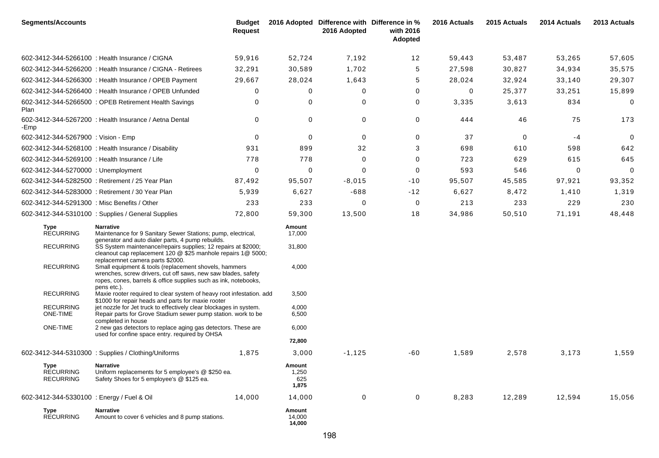| <b>Segments/Accounts</b>                       |                                                                                                                                                                                                                                                                                                              | <b>Budget</b><br><b>Request</b> |                                 | 2016 Adopted Difference with Difference in %<br>2016 Adopted | with 2016<br>Adopted | 2016 Actuals | 2015 Actuals | 2014 Actuals | 2013 Actuals |
|------------------------------------------------|--------------------------------------------------------------------------------------------------------------------------------------------------------------------------------------------------------------------------------------------------------------------------------------------------------------|---------------------------------|---------------------------------|--------------------------------------------------------------|----------------------|--------------|--------------|--------------|--------------|
|                                                | 602-3412-344-5266100 : Health Insurance / CIGNA                                                                                                                                                                                                                                                              | 59,916                          | 52,724                          | 7,192                                                        | 12                   | 59,443       | 53,487       | 53,265       | 57,605       |
|                                                | 602-3412-344-5266200 : Health Insurance / CIGNA - Retirees                                                                                                                                                                                                                                                   | 32,291                          | 30,589                          | 1,702                                                        | 5                    | 27,598       | 30,827       | 34,934       | 35,575       |
|                                                | 602-3412-344-5266300 : Health Insurance / OPEB Payment                                                                                                                                                                                                                                                       | 29,667                          | 28,024                          | 1,643                                                        | 5                    | 28,024       | 32,924       | 33,140       | 29,307       |
|                                                | 602-3412-344-5266400 : Health Insurance / OPEB Unfunded                                                                                                                                                                                                                                                      | 0                               | 0                               | $\Omega$                                                     | 0                    | 0            | 25,377       | 33,251       | 15,899       |
| Plan                                           | 602-3412-344-5266500 : OPEB Retirement Health Savings                                                                                                                                                                                                                                                        | 0                               | 0                               | 0                                                            | 0                    | 3,335        | 3,613        | 834          | 0            |
| -Emp                                           | 602-3412-344-5267200 : Health Insurance / Aetna Dental                                                                                                                                                                                                                                                       | 0                               | 0                               | 0                                                            | 0                    | 444          | 46           | 75           | 173          |
| 602-3412-344-5267900 : Vision - Emp            |                                                                                                                                                                                                                                                                                                              | $\Omega$                        | 0                               | $\mathbf 0$                                                  | 0                    | 37           | 0            | $-4$         | $\mathbf 0$  |
|                                                | 602-3412-344-5268100 : Health Insurance / Disability                                                                                                                                                                                                                                                         | 931                             | 899                             | 32                                                           | 3                    | 698          | 610          | 598          | 642          |
| 602-3412-344-5269100 : Health Insurance / Life |                                                                                                                                                                                                                                                                                                              | 778                             | 778                             | $\Omega$                                                     | $\mathbf 0$          | 723          | 629          | 615          | 645          |
| 602-3412-344-5270000 : Unemployment            |                                                                                                                                                                                                                                                                                                              | 0                               | 0                               | 0                                                            | 0                    | 593          | 546          | 0            | 0            |
|                                                | 602-3412-344-5282500 : Retirement / 25 Year Plan                                                                                                                                                                                                                                                             | 87,492                          | 95,507                          | $-8,015$                                                     | $-10$                | 95,507       | 45,585       | 97,921       | 93,352       |
|                                                | 602-3412-344-5283000 : Retirement / 30 Year Plan                                                                                                                                                                                                                                                             | 5,939                           | 6,627                           | $-688$                                                       | $-12$                | 6,627        | 8,472        | 1,410        | 1,319        |
| 602-3412-344-5291300 : Misc Benefits / Other   |                                                                                                                                                                                                                                                                                                              | 233                             | 233                             | 0                                                            | 0                    | 213          | 233          | 229          | 230          |
|                                                | 602-3412-344-5310100 : Supplies / General Supplies                                                                                                                                                                                                                                                           | 72,800                          | 59,300                          | 13,500                                                       | 18                   | 34,986       | 50,510       | 71,191       | 48,448       |
| Type<br><b>RECURRING</b><br><b>RECURRING</b>   | Narrative<br>Maintenance for 9 Sanitary Sewer Stations; pump, electrical,<br>generator and auto dialer parts, 4 pump rebuilds.<br>SS System maintenance/repairs supplies; 12 repairs at \$2000;                                                                                                              |                                 | Amount<br>17,000<br>31,800      |                                                              |                      |              |              |              |              |
| <b>RECURRING</b>                               | cleanout cap replacement 120 @ \$25 manhole repairs 1@ 5000;<br>replacemnet camera parts \$2000.<br>Small equipment & tools (replacement shovels, hammers<br>wrenches, screw drivers, cut off saws, new saw blades, safety<br>ropes, cones, barrels & office supplies such as ink, notebooks,<br>pens etc.). |                                 | 4,000                           |                                                              |                      |              |              |              |              |
| <b>RECURRING</b>                               | Maxie rooter required to clear system of heavy root infestation. add                                                                                                                                                                                                                                         |                                 | 3,500                           |                                                              |                      |              |              |              |              |
| <b>RECURRING</b><br>ONE-TIME                   | \$1000 for repair heads and parts for maxie rooter<br>jet nozzle for Jet truck to effectively clear blockages in system.<br>Repair parts for Grove Stadium sewer pump station. work to be                                                                                                                    |                                 | 4,000<br>6,500                  |                                                              |                      |              |              |              |              |
| ONE-TIME                                       | completed in house<br>2 new gas detectors to replace aging gas detectors. These are<br>used for confine space entry. required by OHSA                                                                                                                                                                        |                                 | 6,000                           |                                                              |                      |              |              |              |              |
|                                                |                                                                                                                                                                                                                                                                                                              |                                 | 72,800                          |                                                              |                      |              |              |              |              |
|                                                | 602-3412-344-5310300 : Supplies / Clothing/Uniforms                                                                                                                                                                                                                                                          | 1,875                           | 3,000                           | $-1,125$                                                     | $-60$                | 1,589        | 2,578        | 3,173        | 1,559        |
| Type<br><b>RECURRING</b><br><b>RECURRING</b>   | <b>Narrative</b><br>Uniform replacements for 5 employee's @ \$250 ea.<br>Safety Shoes for 5 employee's @ \$125 ea.                                                                                                                                                                                           |                                 | Amount<br>1,250<br>625<br>1,875 |                                                              |                      |              |              |              |              |
| 602-3412-344-5330100 : Energy / Fuel & Oil     |                                                                                                                                                                                                                                                                                                              | 14,000                          | 14,000                          | $\mathbf 0$                                                  | 0                    | 8,283        | 12,289       | 12,594       | 15,056       |
| Type<br><b>RECURRING</b>                       | <b>Narrative</b><br>Amount to cover 6 vehicles and 8 pump stations.                                                                                                                                                                                                                                          |                                 | Amount<br>14,000<br>14,000      |                                                              |                      |              |              |              |              |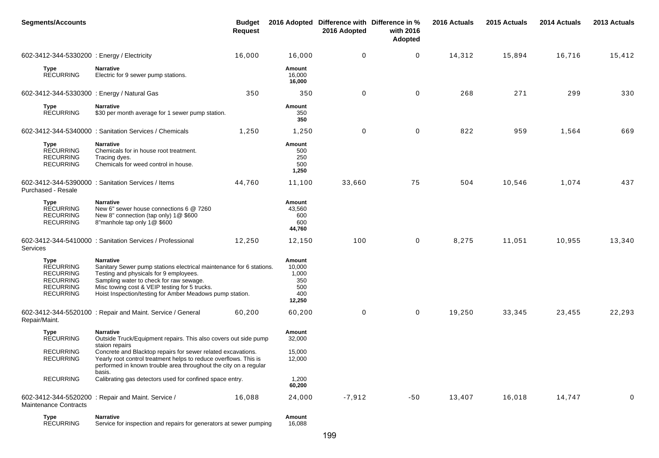| <b>Segments/Accounts</b>                                                                                 |                                                                                                                                                                                                                                                                                           | <b>Budget</b><br><b>Request</b> |                                                          | 2016 Adopted Difference with Difference in %<br>2016 Adopted | with 2016<br>Adopted | 2016 Actuals | 2015 Actuals | 2014 Actuals | 2013 Actuals |
|----------------------------------------------------------------------------------------------------------|-------------------------------------------------------------------------------------------------------------------------------------------------------------------------------------------------------------------------------------------------------------------------------------------|---------------------------------|----------------------------------------------------------|--------------------------------------------------------------|----------------------|--------------|--------------|--------------|--------------|
| 602-3412-344-5330200 : Energy / Electricity                                                              |                                                                                                                                                                                                                                                                                           | 16,000                          | 16,000                                                   | $\mathbf 0$                                                  | 0                    | 14,312       | 15,894       | 16,716       | 15,412       |
| Type<br><b>RECURRING</b>                                                                                 | <b>Narrative</b><br>Electric for 9 sewer pump stations.                                                                                                                                                                                                                                   |                                 | Amount<br>16,000<br>16,000                               |                                                              |                      |              |              |              |              |
| 602-3412-344-5330300 : Energy / Natural Gas                                                              |                                                                                                                                                                                                                                                                                           | 350                             | 350                                                      | 0                                                            | $\mathbf 0$          | 268          | 271          | 299          | 330          |
| <b>Type</b><br><b>RECURRING</b>                                                                          | <b>Narrative</b><br>\$30 per month average for 1 sewer pump station.                                                                                                                                                                                                                      |                                 | Amount<br>350<br>350                                     |                                                              |                      |              |              |              |              |
|                                                                                                          | 602-3412-344-5340000: Sanitation Services / Chemicals                                                                                                                                                                                                                                     | 1,250                           | 1,250                                                    | $\mathbf 0$                                                  | 0                    | 822          | 959          | 1,564        | 669          |
| Type<br><b>RECURRING</b><br><b>RECURRING</b><br><b>RECURRING</b>                                         | <b>Narrative</b><br>Chemicals for in house root treatment.<br>Tracing dyes.<br>Chemicals for weed control in house.                                                                                                                                                                       |                                 | Amount<br>500<br>250<br>500<br>1,250                     |                                                              |                      |              |              |              |              |
| Purchased - Resale                                                                                       | 602-3412-344-5390000 : Sanitation Services / Items                                                                                                                                                                                                                                        | 44,760                          | 11,100                                                   | 33,660                                                       | 75                   | 504          | 10,546       | 1,074        | 437          |
| Type<br><b>RECURRING</b><br><b>RECURRING</b><br><b>RECURRING</b>                                         | <b>Narrative</b><br>New 6" sewer house connections 6 @ 7260<br>New 8" connection (tap only) 1@ \$600<br>8"manhole tap only 1@ \$600                                                                                                                                                       |                                 | Amount<br>43,560<br>600<br>600<br>44,760                 |                                                              |                      |              |              |              |              |
| Services                                                                                                 | 602-3412-344-5410000: Sanitation Services / Professional                                                                                                                                                                                                                                  | 12,250                          | 12,150                                                   | 100                                                          | 0                    | 8,275        | 11,051       | 10,955       | 13,340       |
| Type<br><b>RECURRING</b><br><b>RECURRING</b><br><b>RECURRING</b><br><b>RECURRING</b><br><b>RECURRING</b> | <b>Narrative</b><br>Sanitary Sewer pump stations electrical maintenance for 6 stations.<br>Testing and physicals for 9 employees.<br>Sampling water to check for raw sewage.<br>Misc towing cost & VEIP testing for 5 trucks.<br>Hoist Inspection/testing for Amber Meadows pump station. |                                 | Amount<br>10,000<br>1,000<br>350<br>500<br>400<br>12,250 |                                                              |                      |              |              |              |              |
| Repair/Maint.                                                                                            | 602-3412-344-5520100 : Repair and Maint. Service / General                                                                                                                                                                                                                                | 60,200                          | 60,200                                                   | 0                                                            | 0                    | 19,250       | 33,345       | 23,455       | 22,293       |
| Type<br><b>RECURRING</b>                                                                                 | <b>Narrative</b><br>Outside Truck/Equipment repairs. This also covers out side pump<br>staion repairs                                                                                                                                                                                     |                                 | Amount<br>32,000                                         |                                                              |                      |              |              |              |              |
| <b>RECURRING</b><br><b>RECURRING</b>                                                                     | Concrete and Blacktop repairs for sewer related excavations.<br>Yearly root control treatment helps to reduce overflows. This is<br>performed in known trouble area throughout the city on a regular<br>basis.                                                                            |                                 | 15,000<br>12,000                                         |                                                              |                      |              |              |              |              |
| <b>RECURRING</b>                                                                                         | Calibrating gas detectors used for confined space entry.                                                                                                                                                                                                                                  |                                 | 1,200<br>60,200                                          |                                                              |                      |              |              |              |              |
| <b>Maintenance Contracts</b>                                                                             | 602-3412-344-5520200 : Repair and Maint. Service /                                                                                                                                                                                                                                        | 16,088                          | 24,000                                                   | $-7,912$                                                     | $-50$                | 13,407       | 16,018       | 14,747       | 0            |
| Type                                                                                                     | <b>Narrative</b>                                                                                                                                                                                                                                                                          |                                 | Amount                                                   |                                                              |                      |              |              |              |              |

| <b>RECURRING</b> |                                                                    |        |
|------------------|--------------------------------------------------------------------|--------|
|                  | Service for inspection and repairs for generators at sewer pumping | 16,088 |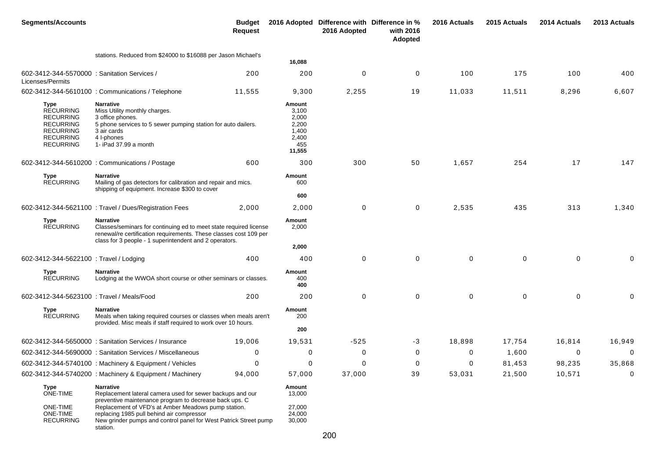| <b>Segments/Accounts</b>                                                                                                     |                                                                                                                                                                                                                                             | <b>Budget</b><br><b>Request</b> |                                                                      | 2016 Adopted Difference with Difference in %<br>2016 Adopted | with 2016<br>Adopted | 2016 Actuals | 2015 Actuals | 2014 Actuals | 2013 Actuals |
|------------------------------------------------------------------------------------------------------------------------------|---------------------------------------------------------------------------------------------------------------------------------------------------------------------------------------------------------------------------------------------|---------------------------------|----------------------------------------------------------------------|--------------------------------------------------------------|----------------------|--------------|--------------|--------------|--------------|
|                                                                                                                              | stations. Reduced from \$24000 to \$16088 per Jason Michael's                                                                                                                                                                               |                                 | 16,088                                                               |                                                              |                      |              |              |              |              |
| 602-3412-344-5570000 : Sanitation Services /<br>Licenses/Permits                                                             |                                                                                                                                                                                                                                             | 200                             | 200                                                                  | 0                                                            | 0                    | 100          | 175          | 100          | 400          |
|                                                                                                                              | 602-3412-344-5610100 : Communications / Telephone                                                                                                                                                                                           | 11,555                          | 9,300                                                                | 2,255                                                        | 19                   | 11,033       | 11,511       | 8,296        | 6,607        |
| Type<br><b>RECURRING</b><br><b>RECURRING</b><br><b>RECURRING</b><br><b>RECURRING</b><br><b>RECURRING</b><br><b>RECURRING</b> | <b>Narrative</b><br>Miss Utility monthly charges.<br>3 office phones.<br>5 phone services to 5 sewer pumping station for auto dailers.<br>3 air cards<br>4 I-phones<br>1- iPad 37.99 a month                                                |                                 | Amount<br>3,100<br>2,000<br>2,200<br>1,400<br>2,400<br>455<br>11,555 |                                                              |                      |              |              |              |              |
|                                                                                                                              | 602-3412-344-5610200 : Communications / Postage                                                                                                                                                                                             | 600                             | 300                                                                  | 300                                                          | 50                   | 1,657        | 254          | 17           | 147          |
| Type<br><b>RECURRING</b>                                                                                                     | Narrative<br>Mailing of gas detectors for calibration and repair and mics.<br>shipping of equipment. Increase \$300 to cover                                                                                                                |                                 | Amount<br>600                                                        |                                                              |                      |              |              |              |              |
|                                                                                                                              |                                                                                                                                                                                                                                             |                                 | 600                                                                  |                                                              |                      |              |              |              |              |
|                                                                                                                              | 602-3412-344-5621100 : Travel / Dues/Registration Fees                                                                                                                                                                                      | 2,000                           | 2,000                                                                | 0                                                            | 0                    | 2,535        | 435          | 313          | 1,340        |
| Type<br><b>RECURRING</b>                                                                                                     | Narrative<br>Classes/seminars for continuing ed to meet state required license<br>renewal/re certification requirements. These classes cost 109 per<br>class for 3 people - 1 superintendent and 2 operators.                               |                                 | Amount<br>2,000                                                      |                                                              |                      |              |              |              |              |
|                                                                                                                              |                                                                                                                                                                                                                                             |                                 | 2,000                                                                |                                                              |                      |              |              |              |              |
| 602-3412-344-5622100 : Travel / Lodging                                                                                      |                                                                                                                                                                                                                                             | 400                             | 400                                                                  | 0                                                            | 0                    | $\mathbf 0$  | $\mathbf 0$  | $\mathbf 0$  | 0            |
| Type<br><b>RECURRING</b>                                                                                                     | <b>Narrative</b><br>Lodging at the WWOA short course or other seminars or classes.                                                                                                                                                          |                                 | Amount<br>400<br>400                                                 |                                                              |                      |              |              |              |              |
| 602-3412-344-5623100 : Travel / Meals/Food                                                                                   |                                                                                                                                                                                                                                             | 200                             | 200                                                                  | 0                                                            | 0                    | $\mathbf 0$  | 0            | $\mathbf 0$  |              |
| Type<br><b>RECURRING</b>                                                                                                     | <b>Narrative</b><br>Meals when taking required courses or classes when meals aren't<br>provided. Misc meals if staff required to work over 10 hours.                                                                                        |                                 | Amount<br>200                                                        |                                                              |                      |              |              |              |              |
|                                                                                                                              |                                                                                                                                                                                                                                             |                                 | 200                                                                  |                                                              |                      |              |              |              |              |
|                                                                                                                              | 602-3412-344-5650000 : Sanitation Services / Insurance                                                                                                                                                                                      | 19,006                          | 19,531                                                               | $-525$                                                       | -3                   | 18,898       | 17,754       | 16,814       | 16,949       |
|                                                                                                                              | 602-3412-344-5690000: Sanitation Services / Miscellaneous                                                                                                                                                                                   | $\Omega$                        | $\Omega$                                                             | $\Omega$                                                     | $\Omega$             | $\Omega$     | 1,600        | $\Omega$     | $\Omega$     |
|                                                                                                                              | 602-3412-344-5740100 : Machinery & Equipment / Vehicles                                                                                                                                                                                     | $\Omega$                        | 0                                                                    | 0                                                            | 0                    | 0            | 81,453       | 98,235       | 35,868       |
|                                                                                                                              | 602-3412-344-5740200 : Machinery & Equipment / Machinery                                                                                                                                                                                    | 94,000                          | 57,000                                                               | 37,000                                                       | 39                   | 53,031       | 21,500       | 10,571       | 0            |
| Type<br><b>ONE-TIME</b><br><b>ONE-TIME</b><br>ONE-TIME                                                                       | <b>Narrative</b><br>Replacement lateral camera used for sewer backups and our<br>preventive maintenance program to decrease back ups. C<br>Replacement of VFD's at Amber Meadows pump station.<br>replacing 1985 pull behind air compressor |                                 | Amount<br>13,000<br>27,000<br>24,000                                 |                                                              |                      |              |              |              |              |
| <b>RECURRING</b>                                                                                                             | New grinder pumps and control panel for West Patrick Street pump<br>station.                                                                                                                                                                |                                 | 30,000                                                               |                                                              |                      |              |              |              |              |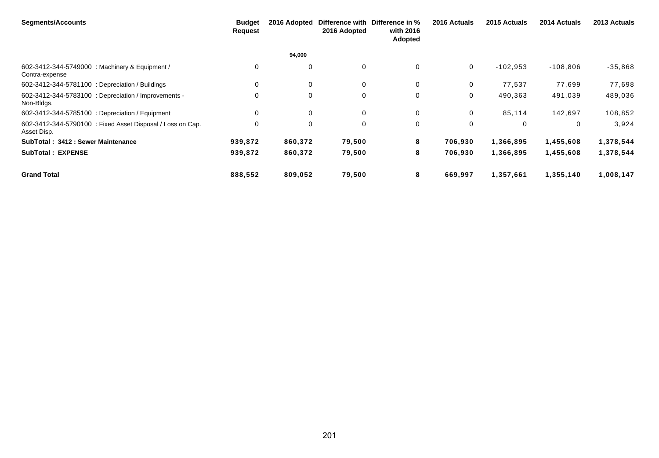| <b>Segments/Accounts</b>                                                  | <b>Budget</b><br><b>Request</b> | 2016 Adopted | 2016 Adopted | Difference with Difference in %<br>with 2016<br>Adopted | 2016 Actuals | 2015 Actuals | 2014 Actuals | 2013 Actuals |
|---------------------------------------------------------------------------|---------------------------------|--------------|--------------|---------------------------------------------------------|--------------|--------------|--------------|--------------|
|                                                                           |                                 | 94,000       |              |                                                         |              |              |              |              |
| 602-3412-344-5749000 : Machinery & Equipment /<br>Contra-expense          | 0                               | 0            | $\mathbf 0$  | 0                                                       | $\mathbf{0}$ | $-102,953$   | $-108,806$   | $-35,868$    |
| 602-3412-344-5781100 : Depreciation / Buildings                           | $\Omega$                        | $\mathbf 0$  | $\mathbf 0$  | 0                                                       | $\mathbf{0}$ | 77,537       | 77,699       | 77,698       |
| 602-3412-344-5783100 : Depreciation / Improvements -<br>Non-Bidgs.        | 0                               | 0            | 0            | $\mathbf 0$                                             | 0            | 490,363      | 491,039      | 489,036      |
| 602-3412-344-5785100 : Depreciation / Equipment                           | $\Omega$                        | 0            | $\mathbf 0$  | 0                                                       | $\mathbf{0}$ | 85,114       | 142,697      | 108,852      |
| 602-3412-344-5790100 : Fixed Asset Disposal / Loss on Cap.<br>Asset Disp. | 0                               | 0            | $\mathbf 0$  | 0                                                       | $\mathbf 0$  | 0            | $\mathbf 0$  | 3,924        |
| SubTotal: 3412: Sewer Maintenance                                         | 939,872                         | 860,372      | 79,500       | 8                                                       | 706,930      | 1,366,895    | 1,455,608    | 1,378,544    |
| <b>SubTotal: EXPENSE</b>                                                  | 939,872                         | 860,372      | 79,500       | 8                                                       | 706,930      | 1,366,895    | 1,455,608    | 1,378,544    |
| <b>Grand Total</b>                                                        | 888,552                         | 809,052      | 79,500       | 8                                                       | 669,997      | 1,357,661    | 1,355,140    | 1,008,147    |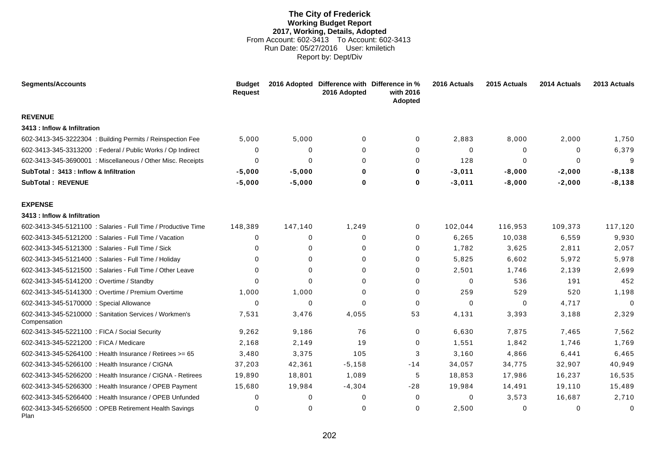# **The City of Frederick Working Budget Report 2017, Working, Details, Adopted** From Account: 602-3413 To Account: 602-3413 Run Date: 05/27/2016 User: kmiletich Report by: Dept/Div

| <b>Segments/Accounts</b>                                               | <b>Budget</b><br><b>Request</b> |          | 2016 Adopted Difference with Difference in %<br>2016 Adopted | with 2016<br><b>Adopted</b> | 2016 Actuals | 2015 Actuals | 2014 Actuals | 2013 Actuals |
|------------------------------------------------------------------------|---------------------------------|----------|--------------------------------------------------------------|-----------------------------|--------------|--------------|--------------|--------------|
| <b>REVENUE</b>                                                         |                                 |          |                                                              |                             |              |              |              |              |
| 3413 : Inflow & Infiltration                                           |                                 |          |                                                              |                             |              |              |              |              |
| 602-3413-345-3222304 : Building Permits / Reinspection Fee             | 5,000                           | 5,000    | $\Omega$                                                     | 0                           | 2,883        | 8,000        | 2,000        | 1,750        |
| 602-3413-345-3313200 : Federal / Public Works / Op Indirect            | 0                               | 0        | 0                                                            | 0                           | 0            | 0            | 0            | 6,379        |
| 602-3413-345-3690001 : Miscellaneous / Other Misc. Receipts            | 0                               | 0        | $\Omega$                                                     | 0                           | 128          | 0            | 0            | 9            |
| SubTotal: 3413 : Inflow & Infiltration                                 | $-5,000$                        | $-5,000$ | 0                                                            | 0                           | $-3,011$     | $-8,000$     | $-2,000$     | $-8,138$     |
| <b>SubTotal: REVENUE</b>                                               | $-5,000$                        | $-5,000$ | 0                                                            | 0                           | $-3,011$     | $-8,000$     | $-2,000$     | $-8,138$     |
| <b>EXPENSE</b>                                                         |                                 |          |                                                              |                             |              |              |              |              |
| 3413 : Inflow & Infiltration                                           |                                 |          |                                                              |                             |              |              |              |              |
| 602-3413-345-5121100 : Salaries - Full Time / Productive Time          | 148,389                         | 147,140  | 1,249                                                        | 0                           | 102,044      | 116,953      | 109,373      | 117,120      |
| 602-3413-345-5121200 : Salaries - Full Time / Vacation                 | $\Omega$                        | 0        | $\Omega$                                                     | 0                           | 6,265        | 10,038       | 6,559        | 9,930        |
| 602-3413-345-5121300 : Salaries - Full Time / Sick                     | $\Omega$                        | $\Omega$ | $\Omega$                                                     | 0                           | 1.782        | 3,625        | 2,811        | 2,057        |
| 602-3413-345-5121400 : Salaries - Full Time / Holiday                  | $\Omega$                        | $\Omega$ | $\Omega$                                                     | 0                           | 5,825        | 6,602        | 5,972        | 5,978        |
| 602-3413-345-5121500 : Salaries - Full Time / Other Leave              | $\Omega$                        | $\Omega$ | $\Omega$                                                     | 0                           | 2,501        | 1,746        | 2,139        | 2,699        |
| 602-3413-345-5141200 : Overtime / Standby                              | $\Omega$                        | $\Omega$ | $\Omega$                                                     | 0                           | $\Omega$     | 536          | 191          | 452          |
| 602-3413-345-5141300 : Overtime / Premium Overtime                     | 1,000                           | 1,000    | $\Omega$                                                     | 0                           | 259          | 529          | 520          | 1,198        |
| 602-3413-345-5170000 : Special Allowance                               | $\Omega$                        | 0        | $\Omega$                                                     | 0                           | $\Omega$     | $\Omega$     | 4,717        | $\Omega$     |
| 602-3413-345-5210000 : Sanitation Services / Workmen's<br>Compensation | 7,531                           | 3,476    | 4,055                                                        | 53                          | 4,131        | 3,393        | 3,188        | 2,329        |
| 602-3413-345-5221100 : FICA / Social Security                          | 9,262                           | 9,186    | 76                                                           | $\mathbf 0$                 | 6,630        | 7,875        | 7,465        | 7,562        |
| 602-3413-345-5221200 : FICA / Medicare                                 | 2,168                           | 2,149    | 19                                                           | 0                           | 1,551        | 1,842        | 1,746        | 1,769        |
| 602-3413-345-5264100 : Health Insurance / Retirees >= 65               | 3,480                           | 3,375    | 105                                                          | 3                           | 3,160        | 4,866        | 6,441        | 6,465        |
| 602-3413-345-5266100 : Health Insurance / CIGNA                        | 37,203                          | 42,361   | $-5,158$                                                     | $-14$                       | 34,057       | 34,775       | 32,907       | 40,949       |
| 602-3413-345-5266200 : Health Insurance / CIGNA - Retirees             | 19,890                          | 18,801   | 1,089                                                        | 5                           | 18,853       | 17,986       | 16,237       | 16,535       |
| 602-3413-345-5266300 : Health Insurance / OPEB Payment                 | 15,680                          | 19,984   | $-4,304$                                                     | $-28$                       | 19,984       | 14,491       | 19,110       | 15,489       |
| 602-3413-345-5266400 : Health Insurance / OPEB Unfunded                | 0                               | 0        | 0                                                            | 0                           | 0            | 3,573        | 16,687       | 2,710        |
| 602-3413-345-5266500 : OPEB Retirement Health Savings<br>Plan          | 0                               | 0        | $\Omega$                                                     | 0                           | 2,500        | 0            | 0            | $\Omega$     |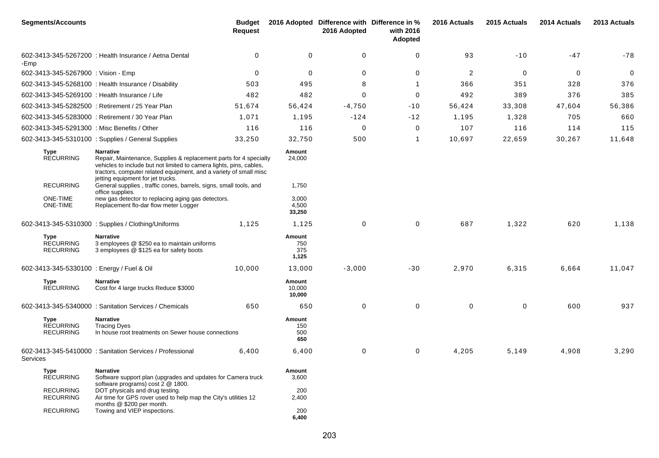| <b>Segments/Accounts</b>                       |                                                                                                                                                                                                                                                                        | <b>Budget</b><br><b>Request</b> |                               | 2016 Adopted Difference with Difference in %<br>2016 Adopted | with 2016<br>Adopted | 2016 Actuals   | 2015 Actuals | 2014 Actuals | 2013 Actuals |
|------------------------------------------------|------------------------------------------------------------------------------------------------------------------------------------------------------------------------------------------------------------------------------------------------------------------------|---------------------------------|-------------------------------|--------------------------------------------------------------|----------------------|----------------|--------------|--------------|--------------|
| -Emp                                           | 602-3413-345-5267200 : Health Insurance / Aetna Dental                                                                                                                                                                                                                 | 0                               | 0                             | 0                                                            | 0                    | 93             | $-10$        | $-47$        | $-78$        |
| 602-3413-345-5267900 : Vision - Emp            |                                                                                                                                                                                                                                                                        | 0                               | 0                             | 0                                                            | 0                    | $\overline{c}$ | 0            | 0            | $\mathbf 0$  |
|                                                | 602-3413-345-5268100 : Health Insurance / Disability                                                                                                                                                                                                                   | 503                             | 495                           | 8                                                            | -1                   | 366            | 351          | 328          | 376          |
| 602-3413-345-5269100 : Health Insurance / Life |                                                                                                                                                                                                                                                                        | 482                             | 482                           | $\Omega$                                                     | 0                    | 492            | 389          | 376          | 385          |
|                                                | 602-3413-345-5282500 : Retirement / 25 Year Plan                                                                                                                                                                                                                       | 51,674                          | 56,424                        | $-4,750$                                                     | $-10$                | 56,424         | 33,308       | 47,604       | 56,386       |
|                                                | 602-3413-345-5283000 : Retirement / 30 Year Plan                                                                                                                                                                                                                       | 1,071                           | 1,195                         | $-124$                                                       | $-12$                | 1,195          | 1,328        | 705          | 660          |
| 602-3413-345-5291300 : Misc Benefits / Other   |                                                                                                                                                                                                                                                                        | 116                             | 116                           | 0                                                            | 0                    | 107            | 116          | 114          | 115          |
|                                                | 602-3413-345-5310100 : Supplies / General Supplies                                                                                                                                                                                                                     | 33,250                          | 32,750                        | 500                                                          | $\mathbf 1$          | 10,697         | 22,659       | 30,267       | 11,648       |
| <b>Type</b><br><b>RECURRING</b>                | <b>Narrative</b><br>Repair, Maintenance, Supplies & replacement parts for 4 specialty<br>vehicles to include but not limited to camera lights, pins, cables,<br>tractors, computer related equipment, and a variety of small misc<br>jetting equipment for jet trucks. |                                 | Amount<br>24,000              |                                                              |                      |                |              |              |              |
| <b>RECURRING</b>                               | General supplies, traffic cones, barrels, signs, small tools, and<br>office supplies.                                                                                                                                                                                  |                                 | 1,750                         |                                                              |                      |                |              |              |              |
| <b>ONE-TIME</b><br><b>ONE-TIME</b>             | new gas detector to replacing aging gas detectors.<br>Replacement flo-dar flow meter Logger                                                                                                                                                                            |                                 | 3,000<br>4,500<br>33,250      |                                                              |                      |                |              |              |              |
|                                                | 602-3413-345-5310300: Supplies / Clothing/Uniforms                                                                                                                                                                                                                     | 1,125                           | 1,125                         | 0                                                            | 0                    | 687            | 1,322        | 620          | 1,138        |
| Type<br><b>RECURRING</b><br><b>RECURRING</b>   | <b>Narrative</b><br>3 employees @ \$250 ea to maintain uniforms<br>3 employees @ \$125 ea for safety boots                                                                                                                                                             |                                 | Amount<br>750<br>375<br>1,125 |                                                              |                      |                |              |              |              |
| 602-3413-345-5330100 : Energy / Fuel & Oil     |                                                                                                                                                                                                                                                                        | 10,000                          | 13,000                        | $-3,000$                                                     | $-30$                | 2,970          | 6,315        | 6,664        | 11,047       |
| Type<br><b>RECURRING</b>                       | Narrative<br>Cost for 4 large trucks Reduce \$3000                                                                                                                                                                                                                     |                                 | Amount<br>10,000<br>10,000    |                                                              |                      |                |              |              |              |
|                                                | 602-3413-345-5340000 : Sanitation Services / Chemicals                                                                                                                                                                                                                 | 650                             | 650                           | 0                                                            | 0                    | 0              | 0            | 600          | 937          |
| Type<br><b>RECURRING</b><br><b>RECURRING</b>   | <b>Narrative</b><br><b>Tracing Dyes</b><br>In house root treatments on Sewer house connections                                                                                                                                                                         |                                 | Amount<br>150<br>500<br>650   |                                                              |                      |                |              |              |              |
| Services                                       | 602-3413-345-5410000 : Sanitation Services / Professional                                                                                                                                                                                                              | 6,400                           | 6,400                         | $\mathbf 0$                                                  | 0                    | 4,205          | 5,149        | 4,908        | 3,290        |
| <b>Type</b><br><b>RECURRING</b>                | <b>Narrative</b><br>Software support plan (upgrades and updates for Camera truck<br>software programs) cost 2 @ 1800.                                                                                                                                                  |                                 | Amount<br>3,600               |                                                              |                      |                |              |              |              |
| <b>RECURRING</b><br><b>RECURRING</b>           | DOT physicals and drug testing.<br>Air time for GPS rover used to help map the City's utilities 12<br>months @ \$200 per month.                                                                                                                                        |                                 | 200<br>2,400                  |                                                              |                      |                |              |              |              |
| <b>RECURRING</b>                               | Towing and VIEP inspections.                                                                                                                                                                                                                                           |                                 | 200<br>6,400                  |                                                              |                      |                |              |              |              |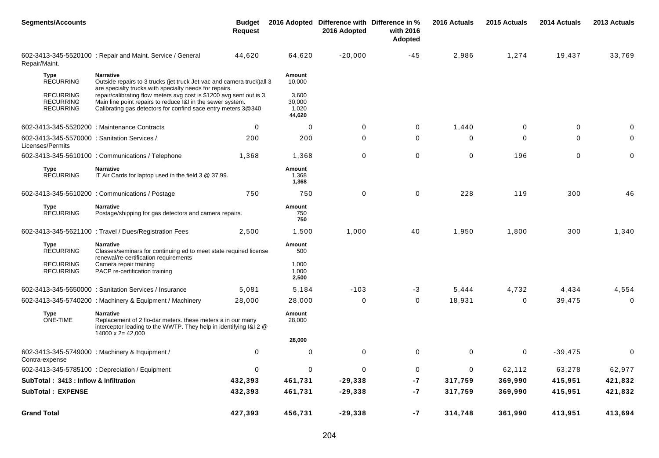| <b>Segments/Accounts</b>                                                             |                                                                                                                                                                                                                                                                                                                                                             | <b>Budget</b><br><b>Request</b> |                                                        | 2016 Adopted Difference with Difference in %<br>2016 Adopted | with 2016<br>Adopted | 2016 Actuals | 2015 Actuals | 2014 Actuals | 2013 Actuals |
|--------------------------------------------------------------------------------------|-------------------------------------------------------------------------------------------------------------------------------------------------------------------------------------------------------------------------------------------------------------------------------------------------------------------------------------------------------------|---------------------------------|--------------------------------------------------------|--------------------------------------------------------------|----------------------|--------------|--------------|--------------|--------------|
| Repair/Maint.                                                                        | 602-3413-345-5520100 : Repair and Maint. Service / General                                                                                                                                                                                                                                                                                                  | 44,620                          | 64,620                                                 | $-20,000$                                                    | $-45$                | 2,986        | 1,274        | 19,437       | 33,769       |
| Type<br><b>RECURRING</b><br><b>RECURRING</b><br><b>RECURRING</b><br><b>RECURRING</b> | <b>Narrative</b><br>Outside repairs to 3 trucks (jet truck Jet-vac and camera truck) all 3<br>are specialty trucks with specialty needs for repairs.<br>repair/calibrating flow meters avg cost is \$1200 avg sent out is 3.<br>Main line point repairs to reduce I&I in the sewer system.<br>Calibrating gas detectors for confind sace entry meters 3@340 |                                 | Amount<br>10,000<br>3,600<br>30,000<br>1,020<br>44,620 |                                                              |                      |              |              |              |              |
| 602-3413-345-5520200 : Maintenance Contracts                                         |                                                                                                                                                                                                                                                                                                                                                             | 0                               | 0                                                      | 0                                                            | 0                    | 1,440        | 0            | 0            | 0            |
| 602-3413-345-5570000 : Sanitation Services /<br>Licenses/Permits                     |                                                                                                                                                                                                                                                                                                                                                             | 200                             | 200                                                    | $\Omega$                                                     | 0                    | 0            | $\mathbf 0$  | 0            | 0            |
|                                                                                      | 602-3413-345-5610100 : Communications / Telephone                                                                                                                                                                                                                                                                                                           | 1,368                           | 1,368                                                  | 0                                                            | $\pmb{0}$            | 0            | 196          | $\mathbf 0$  | 0            |
| Type<br><b>RECURRING</b>                                                             | <b>Narrative</b><br>IT Air Cards for laptop used in the field 3 @ 37.99.                                                                                                                                                                                                                                                                                    |                                 | Amount<br>1,368<br>1,368                               |                                                              |                      |              |              |              |              |
|                                                                                      | 602-3413-345-5610200 : Communications / Postage                                                                                                                                                                                                                                                                                                             | 750                             | 750                                                    | 0                                                            | 0                    | 228          | 119          | 300          | 46           |
| Type<br><b>RECURRING</b>                                                             | <b>Narrative</b><br>Postage/shipping for gas detectors and camera repairs.                                                                                                                                                                                                                                                                                  |                                 | Amount<br>750<br>750                                   |                                                              |                      |              |              |              |              |
|                                                                                      | 602-3413-345-5621100 : Travel / Dues/Registration Fees                                                                                                                                                                                                                                                                                                      | 2,500                           | 1,500                                                  | 1,000                                                        | 40                   | 1,950        | 1,800        | 300          | 1,340        |
| Type<br><b>RECURRING</b><br><b>RECURRING</b><br><b>RECURRING</b>                     | <b>Narrative</b><br>Classes/seminars for continuing ed to meet state required license<br>renewal/re-certification requirements<br>Camera repair training<br>PACP re-certification training                                                                                                                                                                  |                                 | Amount<br>500<br>1,000<br>1,000<br>2,500               |                                                              |                      |              |              |              |              |
|                                                                                      | 602-3413-345-5650000 : Sanitation Services / Insurance                                                                                                                                                                                                                                                                                                      | 5,081                           | 5,184                                                  | $-103$                                                       | -3                   | 5,444        | 4,732        | 4,434        | 4,554        |
|                                                                                      | 602-3413-345-5740200 : Machinery & Equipment / Machinery                                                                                                                                                                                                                                                                                                    | 28,000                          | 28,000                                                 | 0                                                            | 0                    | 18,931       | 0            | 39,475       | $\mathbf 0$  |
| Type<br><b>ONE-TIME</b>                                                              | <b>Narrative</b><br>Replacement of 2 flo-dar meters. these meters a in our many<br>interceptor leading to the WWTP. They help in identifying I&I 2 @<br>$14000 \times 2 = 42,000$                                                                                                                                                                           |                                 | Amount<br>28,000                                       |                                                              |                      |              |              |              |              |
|                                                                                      |                                                                                                                                                                                                                                                                                                                                                             |                                 | 28,000                                                 |                                                              |                      |              |              |              |              |
| Contra-expense                                                                       | 602-3413-345-5749000 : Machinery & Equipment /                                                                                                                                                                                                                                                                                                              | $\mathbf{0}$                    | 0                                                      | 0                                                            | 0                    | 0            | $\mathbf{0}$ | $-39,475$    | $\mathbf{0}$ |
|                                                                                      | 602-3413-345-5785100 : Depreciation / Equipment                                                                                                                                                                                                                                                                                                             | $\mathbf 0$                     | 0                                                      | 0                                                            | 0                    | $\mathbf 0$  | 62,112       | 63,278       | 62,977       |
| SubTotal: 3413 : Inflow & Infiltration                                               |                                                                                                                                                                                                                                                                                                                                                             | 432,393                         | 461,731                                                | $-29,338$                                                    | $-7$                 | 317,759      | 369,990      | 415,951      | 421,832      |
| SubTotal: EXPENSE                                                                    |                                                                                                                                                                                                                                                                                                                                                             | 432,393                         | 461,731                                                | $-29,338$                                                    | $-7$                 | 317,759      | 369,990      | 415,951      | 421,832      |
| <b>Grand Total</b>                                                                   |                                                                                                                                                                                                                                                                                                                                                             | 427,393                         | 456,731                                                | $-29,338$                                                    | $-7$                 | 314,748      | 361,990      | 413,951      | 413,694      |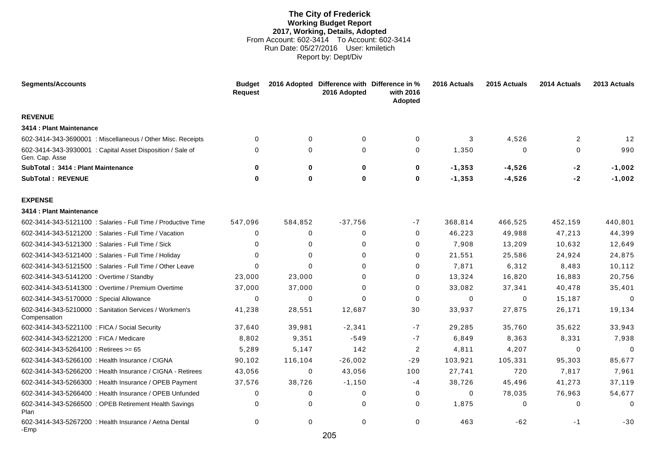# **The City of Frederick Working Budget Report 2017, Working, Details, Adopted** From Account: 602-3414 To Account: 602-3414 Run Date: 05/27/2016 User: kmiletich Report by: Dept/Div

| <b>Segments/Accounts</b>                                                     | <b>Budget</b><br><b>Request</b> |          | 2016 Adopted Difference with Difference in %<br>2016 Adopted | with 2016<br>Adopted | 2016 Actuals | 2015 Actuals | 2014 Actuals   | 2013 Actuals |
|------------------------------------------------------------------------------|---------------------------------|----------|--------------------------------------------------------------|----------------------|--------------|--------------|----------------|--------------|
| <b>REVENUE</b>                                                               |                                 |          |                                                              |                      |              |              |                |              |
| 3414 : Plant Maintenance                                                     |                                 |          |                                                              |                      |              |              |                |              |
| 602-3414-343-3690001 : Miscellaneous / Other Misc. Receipts                  | $\Omega$                        | 0        | 0                                                            | 0                    | 3            | 4,526        | $\overline{2}$ | 12           |
| 602-3414-343-3930001 : Capital Asset Disposition / Sale of<br>Gen. Cap. Asse | 0                               | 0        | $\Omega$                                                     | 0                    | 1,350        | $\mathbf 0$  | $\Omega$       | 990          |
| SubTotal: 3414 : Plant Maintenance                                           | $\bf{0}$                        | $\bf{0}$ | $\bf{0}$                                                     | 0                    | $-1, 353$    | $-4,526$     | $-2$           | $-1,002$     |
| <b>SubTotal: REVENUE</b>                                                     | $\bf{0}$                        | $\bf{0}$ | $\bf{0}$                                                     | 0                    | $-1, 353$    | $-4,526$     | -2             | $-1,002$     |
| <b>EXPENSE</b>                                                               |                                 |          |                                                              |                      |              |              |                |              |
| 3414 : Plant Maintenance                                                     |                                 |          |                                                              |                      |              |              |                |              |
| 602-3414-343-5121100 : Salaries - Full Time / Productive Time                | 547,096                         | 584,852  | $-37,756$                                                    | -7                   | 368,814      | 466,525      | 452,159        | 440,801      |
| 602-3414-343-5121200 : Salaries - Full Time / Vacation                       | 0                               | 0        | $\Omega$                                                     | 0                    | 46,223       | 49,988       | 47,213         | 44,399       |
| 602-3414-343-5121300 : Salaries - Full Time / Sick                           | 0                               | $\Omega$ | $\Omega$                                                     | 0                    | 7,908        | 13,209       | 10,632         | 12,649       |
| 602-3414-343-5121400 : Salaries - Full Time / Holiday                        | $\Omega$                        | $\Omega$ | $\Omega$                                                     | 0                    | 21,551       | 25,586       | 24,924         | 24,875       |
| 602-3414-343-5121500 : Salaries - Full Time / Other Leave                    | 0                               | $\Omega$ | 0                                                            | 0                    | 7,871        | 6,312        | 8,483          | 10,112       |
| 602-3414-343-5141200 : Overtime / Standby                                    | 23,000                          | 23,000   | $\Omega$                                                     | 0                    | 13,324       | 16,820       | 16,883         | 20,756       |
| 602-3414-343-5141300 : Overtime / Premium Overtime                           | 37,000                          | 37,000   | 0                                                            | 0                    | 33,082       | 37,341       | 40,478         | 35,401       |
| 602-3414-343-5170000 : Special Allowance                                     | 0                               | $\Omega$ | $\Omega$                                                     | 0                    | $\Omega$     | 0            | 15,187         | $\Omega$     |
| 602-3414-343-5210000 : Sanitation Services / Workmen's<br>Compensation       | 41,238                          | 28,551   | 12,687                                                       | 30                   | 33,937       | 27,875       | 26,171         | 19,134       |
| 602-3414-343-5221100 : FICA / Social Security                                | 37,640                          | 39,981   | $-2,341$                                                     | $-7$                 | 29,285       | 35,760       | 35,622         | 33,943       |
| 602-3414-343-5221200 : FICA / Medicare                                       | 8,802                           | 9,351    | $-549$                                                       | $-7$                 | 6,849        | 8,363        | 8,331          | 7,938        |
| 602-3414-343-5264100 : Retirees >= 65                                        | 5,289                           | 5,147    | 142                                                          | $\overline{c}$       | 4,811        | 4,207        | $\Omega$       | $\Omega$     |
| 602-3414-343-5266100 : Health Insurance / CIGNA                              | 90,102                          | 116,104  | $-26,002$                                                    | $-29$                | 103,921      | 105,331      | 95,303         | 85,677       |
| 602-3414-343-5266200 : Health Insurance / CIGNA - Retirees                   | 43,056                          | 0        | 43,056                                                       | 100                  | 27,741       | 720          | 7,817          | 7,961        |
| 602-3414-343-5266300 : Health Insurance / OPEB Payment                       | 37,576                          | 38,726   | $-1,150$                                                     | -4                   | 38,726       | 45,496       | 41,273         | 37,119       |
| 602-3414-343-5266400 : Health Insurance / OPEB Unfunded                      | 0                               | 0        | 0                                                            | 0                    | 0            | 78,035       | 76,963         | 54,677       |
| 602-3414-343-5266500 : OPEB Retirement Health Savings<br>Plan                | 0                               | 0        | 0                                                            | 0                    | 1,875        | 0            | $\Omega$       | 0            |
| 602-3414-343-5267200 : Health Insurance / Aetna Dental<br>-Emp               | 0                               | $\Omega$ | $\Omega$<br>$\sim$ $\sim$                                    | 0                    | 463          | $-62$        | -1             | $-30$        |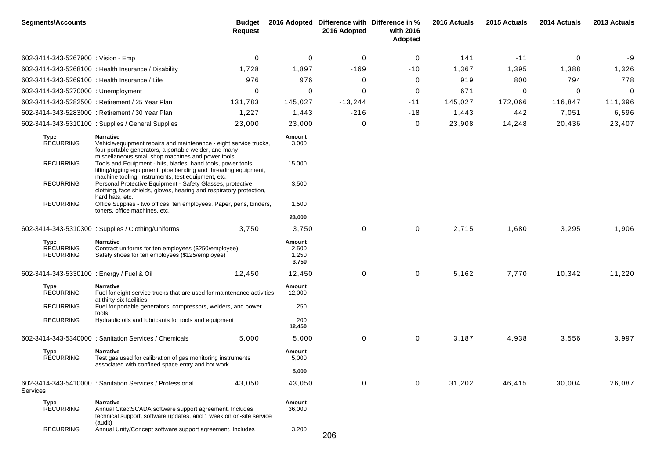| <b>Segments/Accounts</b>                       |                                                                                                                                                                                                      | <b>Budget</b><br><b>Request</b> |                                   | 2016 Adopted Difference with Difference in %<br>2016 Adopted | with 2016<br>Adopted | 2016 Actuals | 2015 Actuals | 2014 Actuals | 2013 Actuals |
|------------------------------------------------|------------------------------------------------------------------------------------------------------------------------------------------------------------------------------------------------------|---------------------------------|-----------------------------------|--------------------------------------------------------------|----------------------|--------------|--------------|--------------|--------------|
| 602-3414-343-5267900 : Vision - Emp            |                                                                                                                                                                                                      | $\mathbf 0$                     | 0                                 | $\mathbf 0$                                                  | 0                    | 141          | $-11$        | 0            | -9           |
|                                                | 602-3414-343-5268100 : Health Insurance / Disability                                                                                                                                                 | 1,728                           | 1,897                             | $-169$                                                       | $-10$                | 1,367        | 1,395        | 1,388        | 1,326        |
| 602-3414-343-5269100 : Health Insurance / Life |                                                                                                                                                                                                      | 976                             | 976                               | 0                                                            | 0                    | 919          | 800          | 794          | 778          |
| 602-3414-343-5270000 : Unemployment            |                                                                                                                                                                                                      | 0                               | 0                                 | 0                                                            | 0                    | 671          | 0            | 0            | 0            |
|                                                | 602-3414-343-5282500 : Retirement / 25 Year Plan                                                                                                                                                     | 131,783                         | 145,027                           | $-13,244$                                                    | $-11$                | 145,027      | 172,066      | 116,847      | 111,396      |
|                                                | 602-3414-343-5283000 : Retirement / 30 Year Plan                                                                                                                                                     | 1,227                           | 1,443                             | $-216$                                                       | $-18$                | 1,443        | 442          | 7,051        | 6,596        |
|                                                | 602-3414-343-5310100 : Supplies / General Supplies                                                                                                                                                   | 23,000                          | 23,000                            | 0                                                            | 0                    | 23,908       | 14,248       | 20,436       | 23,407       |
| <b>Type</b><br><b>RECURRING</b>                | <b>Narrative</b><br>Vehicle/equipment repairs and maintenance - eight service trucks,<br>four portable generators, a portable welder, and many<br>miscellaneous small shop machines and power tools. |                                 | Amount<br>3,000                   |                                                              |                      |              |              |              |              |
| <b>RECURRING</b>                               | Tools and Equipment - bits, blades, hand tools, power tools,<br>lifting/rigging equipment, pipe bending and threading equipment,<br>machine tooling, instruments, test equipment, etc.               |                                 | 15,000                            |                                                              |                      |              |              |              |              |
| <b>RECURRING</b>                               | Personal Protective Equipment - Safety Glasses, protective<br>clothing, face shields, gloves, hearing and respiratory protection,                                                                    |                                 | 3,500                             |                                                              |                      |              |              |              |              |
| <b>RECURRING</b>                               | hard hats, etc.<br>Office Supplies - two offices, ten employees. Paper, pens, binders,<br>toners, office machines, etc.                                                                              |                                 | 1,500                             |                                                              |                      |              |              |              |              |
|                                                |                                                                                                                                                                                                      |                                 | 23,000                            |                                                              |                      |              |              |              |              |
|                                                | 602-3414-343-5310300 : Supplies / Clothing/Uniforms                                                                                                                                                  | 3,750                           | 3,750                             | 0                                                            | 0                    | 2,715        | 1,680        | 3,295        | 1,906        |
| Type<br><b>RECURRING</b><br><b>RECURRING</b>   | Narrative<br>Contract uniforms for ten employees (\$250/employee)<br>Safety shoes for ten employees (\$125/employee)                                                                                 |                                 | Amount<br>2,500<br>1,250<br>3,750 |                                                              |                      |              |              |              |              |
| 602-3414-343-5330100 : Energy / Fuel & Oil     |                                                                                                                                                                                                      | 12,450                          | 12,450                            | 0                                                            | 0                    | 5,162        | 7,770        | 10,342       | 11,220       |
| Type<br><b>RECURRING</b>                       | Narrative<br>Fuel for eight service trucks that are used for maintenance activities<br>at thirty-six facilities.                                                                                     |                                 | Amount<br>12,000                  |                                                              |                      |              |              |              |              |
| <b>RECURRING</b>                               | Fuel for portable generators, compressors, welders, and power<br>tools                                                                                                                               |                                 | 250                               |                                                              |                      |              |              |              |              |
| <b>RECURRING</b>                               | Hydraulic oils and lubricants for tools and equipment                                                                                                                                                |                                 | 200<br>12,450                     |                                                              |                      |              |              |              |              |
|                                                | 602-3414-343-5340000 : Sanitation Services / Chemicals                                                                                                                                               | 5,000                           | 5,000                             | 0                                                            | 0                    | 3,187        | 4,938        | 3,556        | 3,997        |
| Type<br><b>RECURRING</b>                       | Narrative<br>Test gas used for calibration of gas monitoring instruments<br>associated with confined space entry and hot work.                                                                       |                                 | Amount<br>5,000                   |                                                              |                      |              |              |              |              |
|                                                |                                                                                                                                                                                                      |                                 | 5,000                             |                                                              |                      |              |              |              |              |
| Services                                       | 602-3414-343-5410000 : Sanitation Services / Professional                                                                                                                                            | 43,050                          | 43,050                            | 0                                                            | $\mathbf 0$          | 31,202       | 46,415       | 30,004       | 26,087       |
| <b>Type</b><br><b>RECURRING</b>                | <b>Narrative</b><br>Annual CitectSCADA software support agreement. Includes<br>technical support, software updates, and 1 week on on-site service                                                    |                                 | Amount<br>36,000                  |                                                              |                      |              |              |              |              |
| <b>RECURRING</b>                               | (audit)<br>Annual Unity/Concept software support agreement. Includes                                                                                                                                 |                                 | 3,200                             | 206                                                          |                      |              |              |              |              |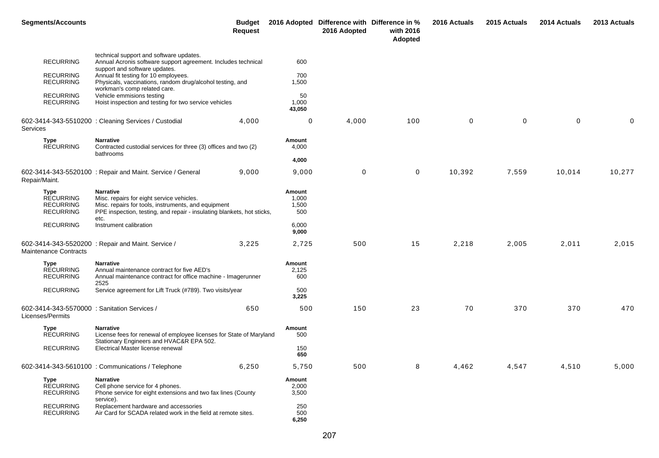| <b>Segments/Accounts</b>                                                | <b>Budget</b><br><b>Request</b>                                                                                                                                                                                                                |                                 | 2016 Adopted Difference with Difference in %<br>2016 Adopted | with 2016<br>Adopted | 2016 Actuals | 2015 Actuals | 2014 Actuals | 2013 Actuals |
|-------------------------------------------------------------------------|------------------------------------------------------------------------------------------------------------------------------------------------------------------------------------------------------------------------------------------------|---------------------------------|--------------------------------------------------------------|----------------------|--------------|--------------|--------------|--------------|
| <b>RECURRING</b><br><b>RECURRING</b><br><b>RECURRING</b>                | technical support and software updates.<br>Annual Acronis software support agreement. Includes technical<br>support and software updates.<br>Annual fit testing for 10 employees.<br>Physicals, vaccinations, random drug/alcohol testing, and | 600<br>700<br>1,500             |                                                              |                      |              |              |              |              |
| <b>RECURRING</b><br><b>RECURRING</b>                                    | workman's comp related care.<br>Vehicle emmisions testing<br>Hoist inspection and testing for two service vehicles                                                                                                                             | 50<br>1,000<br>43,050           |                                                              |                      |              |              |              |              |
| Services                                                                | 602-3414-343-5510200 : Cleaning Services / Custodial<br>4,000                                                                                                                                                                                  | 0                               | 4,000                                                        | 100                  | 0            | $\pmb{0}$    | $\mathbf 0$  | 0            |
| <b>Type</b><br><b>RECURRING</b>                                         | <b>Narrative</b><br>Contracted custodial services for three (3) offices and two (2)<br>bathrooms                                                                                                                                               | Amount<br>4,000<br>4,000        |                                                              |                      |              |              |              |              |
| Repair/Maint.                                                           | 602-3414-343-5520100 : Repair and Maint. Service / General<br>9,000                                                                                                                                                                            | 9,000                           | 0                                                            | 0                    | 10,392       | 7,559        | 10,014       | 10,277       |
| <b>Type</b><br><b>RECURRING</b><br><b>RECURRING</b><br><b>RECURRING</b> | <b>Narrative</b><br>Misc. repairs for eight service vehicles.<br>Misc. repairs for tools, instruments, and equipment<br>PPE inspection, testing, and repair - insulating blankets, hot sticks,                                                 | Amount<br>1,000<br>1,500<br>500 |                                                              |                      |              |              |              |              |
| <b>RECURRING</b>                                                        | etc.<br>Instrument calibration                                                                                                                                                                                                                 | 6,000<br>9,000                  |                                                              |                      |              |              |              |              |
| Maintenance Contracts                                                   | 3,225<br>602-3414-343-5520200 : Repair and Maint. Service /                                                                                                                                                                                    | 2,725                           | 500                                                          | 15                   | 2,218        | 2,005        | 2,011        | 2,015        |
| Type<br><b>RECURRING</b><br><b>RECURRING</b>                            | <b>Narrative</b><br>Annual maintenance contract for five AED's<br>Annual maintenance contract for office machine - Imagerunner<br>2525                                                                                                         | Amount<br>2,125<br>600          |                                                              |                      |              |              |              |              |
| <b>RECURRING</b>                                                        | Service agreement for Lift Truck (#789). Two visits/year                                                                                                                                                                                       | 500<br>3,225                    |                                                              |                      |              |              |              |              |
| 602-3414-343-5570000 : Sanitation Services /<br>Licenses/Permits        | 650                                                                                                                                                                                                                                            | 500                             | 150                                                          | 23                   | 70           | 370          | 370          | 470          |
| Type<br><b>RECURRING</b>                                                | <b>Narrative</b><br>License fees for renewal of employee licenses for State of Maryland<br>Stationary Engineers and HVAC&R EPA 502.                                                                                                            | Amount<br>500                   |                                                              |                      |              |              |              |              |
| <b>RECURRING</b>                                                        | Electrical Master license renewal                                                                                                                                                                                                              | 150<br>650                      |                                                              |                      |              |              |              |              |
|                                                                         | 6,250<br>602-3414-343-5610100 : Communications / Telephone                                                                                                                                                                                     | 5,750                           | 500                                                          | 8                    | 4,462        | 4,547        | 4,510        | 5,000        |
| <b>Type</b><br><b>RECURRING</b><br><b>RECURRING</b>                     | <b>Narrative</b><br>Cell phone service for 4 phones.<br>Phone service for eight extensions and two fax lines (County<br>service).                                                                                                              | Amount<br>2,000<br>3,500        |                                                              |                      |              |              |              |              |
| <b>RECURRING</b><br><b>RECURRING</b>                                    | Replacement hardware and accessories<br>Air Card for SCADA related work in the field at remote sites.                                                                                                                                          | 250<br>500<br>6,250             |                                                              |                      |              |              |              |              |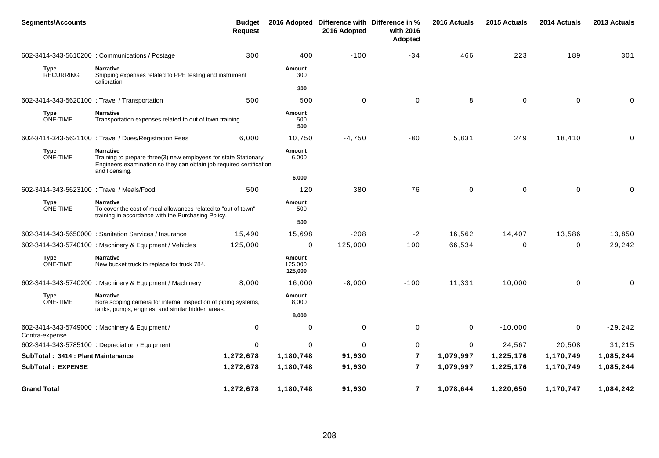| <b>Segments/Accounts</b>                   |                                                                                                                                                            | <b>Budget</b><br><b>Request</b> |                              | 2016 Adopted Difference with Difference in %<br>2016 Adopted | with 2016<br>Adopted    | 2016 Actuals | 2015 Actuals | 2014 Actuals | 2013 Actuals |
|--------------------------------------------|------------------------------------------------------------------------------------------------------------------------------------------------------------|---------------------------------|------------------------------|--------------------------------------------------------------|-------------------------|--------------|--------------|--------------|--------------|
|                                            | 602-3414-343-5610200 : Communications / Postage                                                                                                            | 300                             | 400                          | $-100$                                                       | $-34$                   | 466          | 223          | 189          | 301          |
| Type<br><b>RECURRING</b>                   | <b>Narrative</b><br>Shipping expenses related to PPE testing and instrument<br>calibration                                                                 |                                 | Amount<br>300                |                                                              |                         |              |              |              |              |
|                                            |                                                                                                                                                            |                                 | 300                          |                                                              |                         |              |              |              |              |
|                                            | 602-3414-343-5620100 : Travel / Transportation                                                                                                             | 500                             | 500                          | $\mathbf{0}$                                                 | 0                       | 8            | 0            | $\mathbf{0}$ | $\Omega$     |
| Type<br><b>ONE-TIME</b>                    | <b>Narrative</b><br>Transportation expenses related to out of town training.                                                                               |                                 | <b>Amount</b><br>500<br>500  |                                                              |                         |              |              |              |              |
|                                            | 602-3414-343-5621100 : Travel / Dues/Registration Fees                                                                                                     | 6,000                           | 10,750                       | $-4,750$                                                     | $-80$                   | 5,831        | 249          | 18,410       | $\mathbf 0$  |
| <b>Type</b><br>ONE-TIME                    | <b>Narrative</b><br>Training to prepare three(3) new employees for state Stationary<br>Engineers examination so they can obtain job required certification |                                 | Amount<br>6,000              |                                                              |                         |              |              |              |              |
|                                            | and licensing.                                                                                                                                             |                                 | 6,000                        |                                                              |                         |              |              |              |              |
| 602-3414-343-5623100 : Travel / Meals/Food |                                                                                                                                                            | 500                             | 120                          | 380                                                          | 76                      | $\mathbf 0$  | $\mathbf 0$  | $\mathbf 0$  | 0            |
| <b>Type</b><br><b>ONE-TIME</b>             | <b>Narrative</b><br>To cover the cost of meal allowances related to "out of town"<br>training in accordance with the Purchasing Policy.                    |                                 | Amount<br>500                |                                                              |                         |              |              |              |              |
|                                            |                                                                                                                                                            |                                 | 500                          |                                                              |                         |              |              |              |              |
|                                            | 602-3414-343-5650000 : Sanitation Services / Insurance                                                                                                     | 15,490                          | 15,698                       | $-208$                                                       | $-2$                    | 16,562       | 14,407       | 13,586       | 13,850       |
|                                            | 602-3414-343-5740100 : Machinery & Equipment / Vehicles                                                                                                    | 125,000                         | $\mathbf 0$                  | 125,000                                                      | 100                     | 66,534       | $\mathbf 0$  | $\mathbf 0$  | 29,242       |
| Type<br>ONE-TIME                           | <b>Narrative</b><br>New bucket truck to replace for truck 784.                                                                                             |                                 | Amount<br>125,000<br>125,000 |                                                              |                         |              |              |              |              |
|                                            | 602-3414-343-5740200 : Machinery & Equipment / Machinery                                                                                                   | 8,000                           | 16,000                       | $-8,000$                                                     | $-100$                  | 11,331       | 10,000       | $\mathbf 0$  | 0            |
| <b>Type</b><br>ONE-TIME                    | <b>Narrative</b><br>Bore scoping camera for internal inspection of piping systems,<br>tanks, pumps, engines, and similar hidden areas.                     |                                 | Amount<br>8,000              |                                                              |                         |              |              |              |              |
|                                            |                                                                                                                                                            |                                 | 8,000                        |                                                              |                         |              |              |              |              |
| Contra-expense                             | 602-3414-343-5749000 : Machinery & Equipment /                                                                                                             | $\mathbf 0$                     | 0                            | $\mathbf{0}$                                                 | $\mathbf 0$             | $\mathbf{0}$ | $-10,000$    | $\mathbf 0$  | $-29,242$    |
|                                            | 602-3414-343-5785100 : Depreciation / Equipment                                                                                                            | 0                               | 0                            | $\Omega$                                                     | 0                       | $\mathbf 0$  | 24,567       | 20,508       | 31,215       |
| SubTotal: 3414 : Plant Maintenance         |                                                                                                                                                            | 1,272,678                       | 1,180,748                    | 91,930                                                       | $\overline{\mathbf{r}}$ | 1,079,997    | 1,225,176    | 1,170,749    | 1,085,244    |
| <b>SubTotal: EXPENSE</b>                   |                                                                                                                                                            | 1,272,678                       | 1,180,748                    | 91,930                                                       | 7                       | 1,079,997    | 1,225,176    | 1,170,749    | 1,085,244    |
| <b>Grand Total</b>                         |                                                                                                                                                            | 1,272,678                       | 1,180,748                    | 91,930                                                       | $\overline{7}$          | 1,078,644    | 1,220,650    | 1,170,747    | 1,084,242    |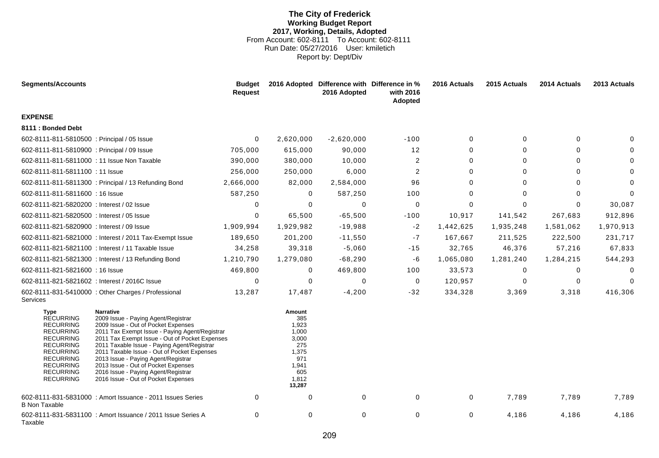# **The City of Frederick Working Budget Report 2017, Working, Details, Adopted** From Account: 602-8111 To Account: 602-8111 Run Date: 05/27/2016 User: kmiletich Report by: Dept/Div

| <b>Segments/Accounts</b>                                                                                                                                                                                     |                                                                                                                                                                                                                                                                                                                                                                                                                                                              | <b>Budget</b><br><b>Request</b> |                                                                                                    | 2016 Adopted Difference with Difference in %<br>2016 Adopted | with 2016<br>Adopted | 2016 Actuals | 2015 Actuals | 2014 Actuals | 2013 Actuals |
|--------------------------------------------------------------------------------------------------------------------------------------------------------------------------------------------------------------|--------------------------------------------------------------------------------------------------------------------------------------------------------------------------------------------------------------------------------------------------------------------------------------------------------------------------------------------------------------------------------------------------------------------------------------------------------------|---------------------------------|----------------------------------------------------------------------------------------------------|--------------------------------------------------------------|----------------------|--------------|--------------|--------------|--------------|
| <b>EXPENSE</b>                                                                                                                                                                                               |                                                                                                                                                                                                                                                                                                                                                                                                                                                              |                                 |                                                                                                    |                                                              |                      |              |              |              |              |
| 8111 : Bonded Debt                                                                                                                                                                                           |                                                                                                                                                                                                                                                                                                                                                                                                                                                              |                                 |                                                                                                    |                                                              |                      |              |              |              |              |
| 602-8111-811-5810500 : Principal / 05 Issue                                                                                                                                                                  |                                                                                                                                                                                                                                                                                                                                                                                                                                                              | $\Omega$                        | 2,620,000                                                                                          | $-2,620,000$                                                 | $-100$               | $\mathbf 0$  | $\mathbf 0$  | $\Omega$     |              |
| 602-8111-811-5810900 : Principal / 09 Issue                                                                                                                                                                  |                                                                                                                                                                                                                                                                                                                                                                                                                                                              | 705,000                         | 615,000                                                                                            | 90,000                                                       | 12                   | $\Omega$     | $\Omega$     | 0            |              |
| 602-8111-811-5811000 : 11 Issue Non Taxable                                                                                                                                                                  |                                                                                                                                                                                                                                                                                                                                                                                                                                                              | 390,000                         | 380,000                                                                                            | 10,000                                                       | $\overline{c}$       | 0            | 0            | 0            |              |
| 602-8111-811-5811100 : 11 Issue                                                                                                                                                                              |                                                                                                                                                                                                                                                                                                                                                                                                                                                              | 256,000                         | 250,000                                                                                            | 6,000                                                        | $\boldsymbol{2}$     | $\Omega$     | $\Omega$     | $\Omega$     |              |
|                                                                                                                                                                                                              | 602-8111-811-5811300 : Principal / 13 Refunding Bond                                                                                                                                                                                                                                                                                                                                                                                                         | 2,666,000                       | 82,000                                                                                             | 2,584,000                                                    | 96                   | 0            | $\Omega$     | $\Omega$     |              |
| 602-8111-811-5811600 : 16 Issue                                                                                                                                                                              |                                                                                                                                                                                                                                                                                                                                                                                                                                                              | 587,250                         | 0                                                                                                  | 587,250                                                      | 100                  | 0            | 0            | $\Omega$     | ∩            |
| 602-8111-821-5820200 : Interest / 02 Issue                                                                                                                                                                   |                                                                                                                                                                                                                                                                                                                                                                                                                                                              | $\Omega$                        | $\mathbf 0$                                                                                        | $\Omega$                                                     | $\mathbf 0$          | $\Omega$     | $\Omega$     | $\Omega$     | 30,087       |
| 602-8111-821-5820500 : Interest / 05 Issue                                                                                                                                                                   |                                                                                                                                                                                                                                                                                                                                                                                                                                                              | $\mathbf 0$                     | 65,500                                                                                             | $-65,500$                                                    | $-100$               | 10,917       | 141,542      | 267,683      | 912,896      |
| 602-8111-821-5820900 : Interest / 09 Issue                                                                                                                                                                   |                                                                                                                                                                                                                                                                                                                                                                                                                                                              | 1,909,994                       | 1,929,982                                                                                          | $-19,988$                                                    | -2                   | 1,442,625    | 1,935,248    | 1,581,062    | 1,970,913    |
|                                                                                                                                                                                                              | 602-8111-821-5821000 : Interest / 2011 Tax-Exempt Issue                                                                                                                                                                                                                                                                                                                                                                                                      | 189,650                         | 201,200                                                                                            | $-11,550$                                                    | $-7$                 | 167,667      | 211,525      | 222,500      | 231,717      |
|                                                                                                                                                                                                              | 602-8111-821-5821100 : Interest / 11 Taxable Issue                                                                                                                                                                                                                                                                                                                                                                                                           | 34,258                          | 39,318                                                                                             | $-5,060$                                                     | $-15$                | 32,765       | 46,376       | 57,216       | 67,833       |
|                                                                                                                                                                                                              | 602-8111-821-5821300 : Interest / 13 Refunding Bond                                                                                                                                                                                                                                                                                                                                                                                                          | 1,210,790                       | 1,279,080                                                                                          | $-68,290$                                                    | -6                   | 1,065,080    | 1,281,240    | 1,284,215    | 544,293      |
| 602-8111-821-5821600 : 16 Issue                                                                                                                                                                              |                                                                                                                                                                                                                                                                                                                                                                                                                                                              | 469,800                         | 0                                                                                                  | 469,800                                                      | 100                  | 33,573       | 0            | 0            | $\Omega$     |
| 602-8111-821-5821602 : Interest / 2016C Issue                                                                                                                                                                |                                                                                                                                                                                                                                                                                                                                                                                                                                                              | 0                               | $\mathbf 0$                                                                                        | 0                                                            | 0                    | 120,957      | $\mathbf 0$  | 0            | $\Omega$     |
| Services                                                                                                                                                                                                     | 602-8111-831-5410000 : Other Charges / Professional                                                                                                                                                                                                                                                                                                                                                                                                          | 13,287                          | 17,487                                                                                             | $-4,200$                                                     | $-32$                | 334,328      | 3,369        | 3,318        | 416,306      |
| Type<br><b>RECURRING</b><br><b>RECURRING</b><br><b>RECURRING</b><br><b>RECURRING</b><br><b>RECURRING</b><br><b>RECURRING</b><br><b>RECURRING</b><br><b>RECURRING</b><br><b>RECURRING</b><br><b>RECURRING</b> | <b>Narrative</b><br>2009 Issue - Paying Agent/Registrar<br>2009 Issue - Out of Pocket Expenses<br>2011 Tax Exempt Issue - Paying Agent/Registrar<br>2011 Tax Exempt Issue - Out of Pocket Expenses<br>2011 Taxable Issue - Paying Agent/Registrar<br>2011 Taxable Issue - Out of Pocket Expenses<br>2013 Issue - Paying Agent/Registrar<br>2013 Issue - Out of Pocket Expenses<br>2016 Issue - Paying Agent/Registrar<br>2016 Issue - Out of Pocket Expenses |                                 | Amount<br>385<br>1,923<br>1,000<br>3,000<br>275<br>1,375<br>971<br>1,941<br>605<br>1,812<br>13,287 |                                                              |                      |              |              |              |              |
| <b>B Non Taxable</b>                                                                                                                                                                                         | 602-8111-831-5831000 : Amort Issuance - 2011 Issues Series                                                                                                                                                                                                                                                                                                                                                                                                   | 0                               | 0                                                                                                  | 0                                                            | $\mathbf 0$          | $\Omega$     | 7,789        | 7,789        | 7,789        |
| Taxable                                                                                                                                                                                                      | 602-8111-831-5831100 : Amort Issuance / 2011 Issue Series A                                                                                                                                                                                                                                                                                                                                                                                                  | 0                               | 0                                                                                                  | 0                                                            | $\mathbf 0$          | 0            | 4,186        | 4,186        | 4,186        |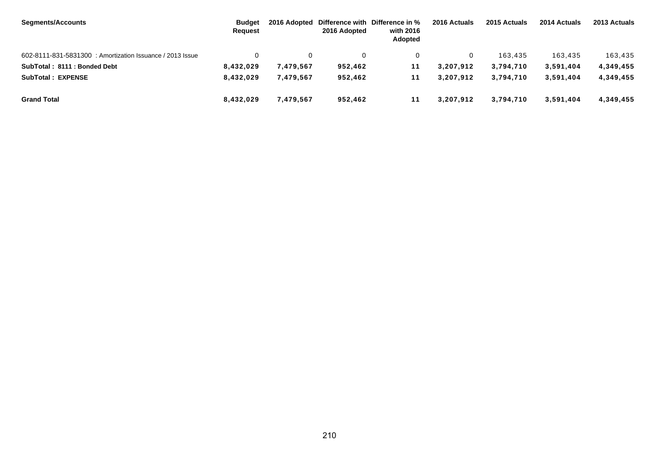| Segments/Accounts                                         | <b>Budget</b><br><b>Request</b> | 2016 Adopted | 2016 Adopted | Difference with Difference in %<br>with 2016<br>Adopted | 2016 Actuals | 2015 Actuals | 2014 Actuals | 2013 Actuals |
|-----------------------------------------------------------|---------------------------------|--------------|--------------|---------------------------------------------------------|--------------|--------------|--------------|--------------|
| 602-8111-831-5831300 : Amortization Issuance / 2013 Issue |                                 |              |              |                                                         |              | 163.435      | 163.435      | 163,435      |
| SubTotal: 8111: Bonded Debt                               | 8,432,029                       | 7,479,567    | 952,462      | 11                                                      | 3,207,912    | 3,794,710    | 3,591,404    | 4,349,455    |
| <b>SubTotal: EXPENSE</b>                                  | 8,432,029                       | 7,479,567    | 952,462      | 11                                                      | 3,207,912    | 3,794,710    | 3,591,404    | 4,349,455    |
| <b>Grand Total</b>                                        | 8,432,029                       | 7,479,567    | 952,462      | 11                                                      | 3,207,912    | 3,794,710    | 3,591,404    | 4,349,455    |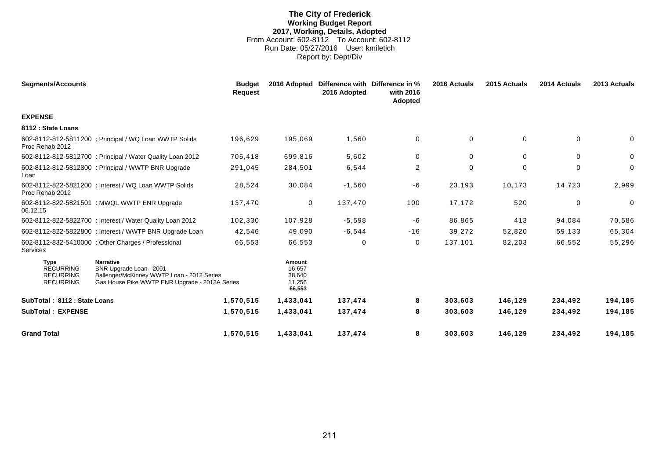# **The City of Frederick Working Budget Report 2017, Working, Details, Adopted** From Account: 602-8112 To Account: 602-8112 Run Date: 05/27/2016 User: kmiletich Report by: Dept/Div

| <b>Segments/Accounts</b>                                                |                                                                                                                                             | <b>Budget</b><br><b>Request</b> | 2016 Adopted                                   | Difference with Difference in %<br>2016 Adopted | with 2016<br>Adopted | 2016 Actuals | 2015 Actuals | 2014 Actuals | 2013 Actuals |
|-------------------------------------------------------------------------|---------------------------------------------------------------------------------------------------------------------------------------------|---------------------------------|------------------------------------------------|-------------------------------------------------|----------------------|--------------|--------------|--------------|--------------|
| <b>EXPENSE</b>                                                          |                                                                                                                                             |                                 |                                                |                                                 |                      |              |              |              |              |
| 8112 : State Loans                                                      |                                                                                                                                             |                                 |                                                |                                                 |                      |              |              |              |              |
| Proc Rehab 2012                                                         | 602-8112-812-5811200 : Principal / WQ Loan WWTP Solids                                                                                      | 196,629                         | 195,069                                        | 1,560                                           | 0                    | 0            | 0            | 0            | 0            |
|                                                                         | 602-8112-812-5812700 : Principal / Water Quality Loan 2012                                                                                  | 705,418                         | 699,816                                        | 5,602                                           | 0                    | $\Omega$     | 0            | $\Omega$     | 0            |
| Loan                                                                    | 602-8112-812-5812800 : Principal / WWTP BNR Upgrade                                                                                         | 291,045                         | 284,501                                        | 6,544                                           | $\overline{c}$       | $\mathbf 0$  | 0            | 0            | 0            |
| Proc Rehab 2012                                                         | 602-8112-822-5821200 : Interest / WQ Loan WWTP Solids                                                                                       | 28,524                          | 30,084                                         | $-1,560$                                        | $-6$                 | 23,193       | 10,173       | 14,723       | 2,999        |
| 06.12.15                                                                | 602-8112-822-5821501 : MWQL WWTP ENR Upgrade                                                                                                | 137,470                         | 0                                              | 137,470                                         | 100                  | 17,172       | 520          | $\mathbf 0$  | 0            |
|                                                                         | 602-8112-822-5822700 : Interest / Water Quality Loan 2012                                                                                   | 102,330                         | 107,928                                        | $-5,598$                                        | -6                   | 86,865       | 413          | 94,084       | 70,586       |
|                                                                         | 602-8112-822-5822800 : Interest / WWTP BNR Upgrade Loan                                                                                     | 42,546                          | 49,090                                         | $-6,544$                                        | $-16$                | 39,272       | 52,820       | 59,133       | 65,304       |
| Services                                                                | 602-8112-832-5410000 : Other Charges / Professional                                                                                         | 66,553                          | 66,553                                         | 0                                               | 0                    | 137,101      | 82,203       | 66,552       | 55,296       |
| <b>Type</b><br><b>RECURRING</b><br><b>RECURRING</b><br><b>RECURRING</b> | <b>Narrative</b><br>BNR Upgrade Loan - 2001<br>Ballenger/McKinney WWTP Loan - 2012 Series<br>Gas House Pike WWTP ENR Upgrade - 2012A Series |                                 | Amount<br>16,657<br>38,640<br>11,256<br>66,553 |                                                 |                      |              |              |              |              |
| 1,570,515<br>SubTotal: 8112 : State Loans                               |                                                                                                                                             | 1,433,041                       | 137,474                                        | 8                                               | 303,603              | 146,129      | 234,492      | 194,185      |              |
| <b>SubTotal: EXPENSE</b>                                                |                                                                                                                                             | 1,570,515                       | 1,433,041                                      | 137,474                                         | 8                    | 303,603      | 146,129      | 234,492      | 194,185      |
| <b>Grand Total</b>                                                      |                                                                                                                                             | 1,570,515                       | 1,433,041                                      | 137,474                                         | 8                    | 303,603      | 146,129      | 234,492      | 194,185      |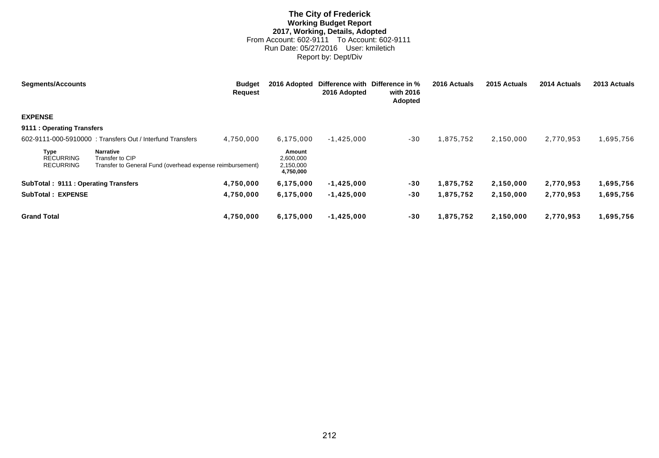# **The City of Frederick Working Budget Report 2017, Working, Details, Adopted** From Account: 602-9111 To Account: 602-9111 Run Date: 05/27/2016 User: kmiletich Report by: Dept/Div

| <b>Segments/Accounts</b>                            |                                                                                                  | <b>Budget</b><br><b>Request</b> | 2016 Adopted                                  | 2016 Adopted | Difference with Difference in %<br>with 2016<br>Adopted | 2016 Actuals | 2015 Actuals | 2014 Actuals | 2013 Actuals |
|-----------------------------------------------------|--------------------------------------------------------------------------------------------------|---------------------------------|-----------------------------------------------|--------------|---------------------------------------------------------|--------------|--------------|--------------|--------------|
| <b>EXPENSE</b>                                      |                                                                                                  |                                 |                                               |              |                                                         |              |              |              |              |
| 9111 : Operating Transfers                          |                                                                                                  |                                 |                                               |              |                                                         |              |              |              |              |
|                                                     | 602-9111-000-5910000: Transfers Out / Interfund Transfers                                        | 4.750.000                       | 6,175,000                                     | $-1,425,000$ | $-30$                                                   | 1,875,752    | 2,150,000    | 2,770,953    | 1,695,756    |
| <b>Type</b><br><b>RECURRING</b><br><b>RECURRING</b> | <b>Narrative</b><br>Transfer to CIP<br>Transfer to General Fund (overhead expense reimbursement) |                                 | Amount<br>2,600,000<br>2,150,000<br>4,750,000 |              |                                                         |              |              |              |              |
| SubTotal: 9111: Operating Transfers                 |                                                                                                  | 4,750,000                       | 6,175,000                                     | $-1,425,000$ | $-30$                                                   | 1,875,752    | 2,150,000    | 2,770,953    | 1,695,756    |
| <b>SubTotal: EXPENSE</b>                            |                                                                                                  | 4,750,000                       | 6,175,000                                     | $-1,425,000$ | $-30$                                                   | 1,875,752    | 2,150,000    | 2,770,953    | 1,695,756    |
| <b>Grand Total</b>                                  |                                                                                                  | 4,750,000                       | 6,175,000                                     | $-1,425,000$ | $-30$                                                   | 1,875,752    | 2,150,000    | 2,770,953    | 1,695,756    |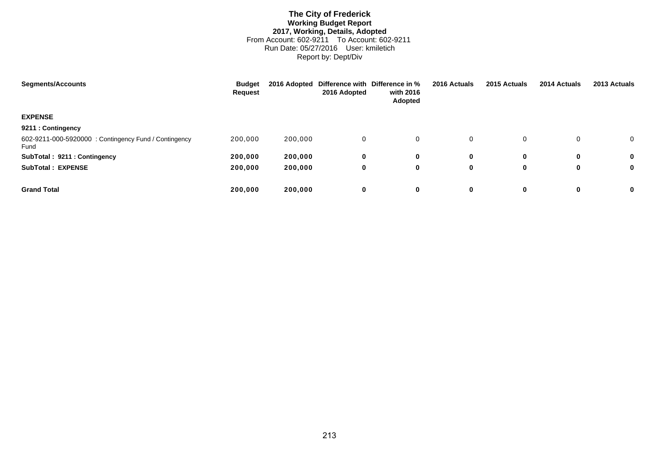# **The City of Frederick Working Budget Report 2017, Working, Details, Adopted** From Account: 602-9211 To Account: 602-9211 Run Date: 05/27/2016 User: kmiletich Report by: Dept/Div

| <b>Segments/Accounts</b>                                     | <b>Budget</b><br>Request | 2016 Adopted | 2016 Adopted | Difference with Difference in %<br>with 2016<br>Adopted | 2016 Actuals | 2015 Actuals | 2014 Actuals | 2013 Actuals   |
|--------------------------------------------------------------|--------------------------|--------------|--------------|---------------------------------------------------------|--------------|--------------|--------------|----------------|
| <b>EXPENSE</b>                                               |                          |              |              |                                                         |              |              |              |                |
| 9211 : Contingency                                           |                          |              |              |                                                         |              |              |              |                |
| 602-9211-000-5920000: Contingency Fund / Contingency<br>Fund | 200,000                  | 200,000      | 0            | 0                                                       | 0            | 0            |              | $\overline{0}$ |
| SubTotal: 9211: Contingency                                  | 200,000                  | 200,000      | 0            | 0                                                       | 0            | $\bf{0}$     | 0            | $\mathbf{0}$   |
| <b>SubTotal: EXPENSE</b>                                     | 200,000                  | 200,000      | 0            | 0                                                       | 0            | 0            | 0            | $\mathbf 0$    |
| <b>Grand Total</b>                                           | 200,000                  | 200,000      | 0            | 0                                                       | 0            | $\bf{0}$     | 0            | 0              |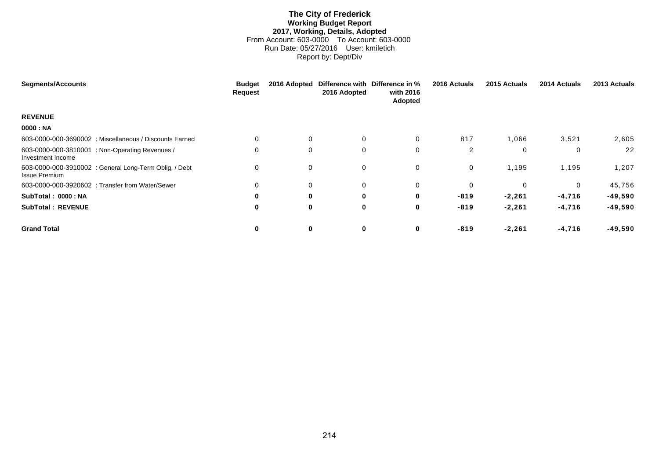# **The City of Frederick Working Budget Report 2017, Working, Details, Adopted** From Account: 603-0000 To Account: 603-0000 Run Date: 05/27/2016 User: kmiletich Report by: Dept/Div

| <b>Segments/Accounts</b> |                                                         | <b>Budget</b><br><b>Request</b> | 2016 Adopted | 2016 Adopted | Difference with Difference in %<br>with 2016<br>Adopted | 2016 Actuals | 2015 Actuals | 2014 Actuals | 2013 Actuals |
|--------------------------|---------------------------------------------------------|---------------------------------|--------------|--------------|---------------------------------------------------------|--------------|--------------|--------------|--------------|
| <b>REVENUE</b>           |                                                         |                                 |              |              |                                                         |              |              |              |              |
| 0000 : NA                |                                                         |                                 |              |              |                                                         |              |              |              |              |
|                          | 603-0000-000-3690002 : Miscellaneous / Discounts Earned | $\Omega$                        | 0            | $\mathbf{0}$ | $\mathbf 0$                                             | 817          | 1,066        | 3,521        | 2,605        |
| Investment Income        | 603-0000-000-3810001 : Non-Operating Revenues /         | 0                               | 0            | 0            | 0                                                       | 2            | $\Omega$     | 0            | 22           |
| <b>Issue Premium</b>     | 603-0000-000-3910002 : General Long-Term Oblig. / Debt  | $\mathbf 0$                     | $\mathbf 0$  | 0            | $\mathbf 0$                                             | $\Omega$     | 1,195        | 1,195        | 1,207        |
|                          | 603-0000-000-3920602 : Transfer from Water/Sewer        | $\mathbf 0$                     | 0            | 0            | 0                                                       | 0            | $\mathbf 0$  | 0            | 45,756       |
| SubTotal: 0000: NA       |                                                         | $\bf{0}$                        | 0            | 0            | 0                                                       | $-819$       | $-2,261$     | $-4,716$     | $-49,590$    |
| <b>SubTotal: REVENUE</b> |                                                         | $\bf{0}$                        | $\bf{0}$     | $\bf{0}$     | 0                                                       | $-819$       | $-2,261$     | $-4,716$     | $-49,590$    |
| <b>Grand Total</b>       |                                                         | 0                               | 0            | 0            | 0                                                       | $-819$       | $-2,261$     | $-4,716$     | $-49,590$    |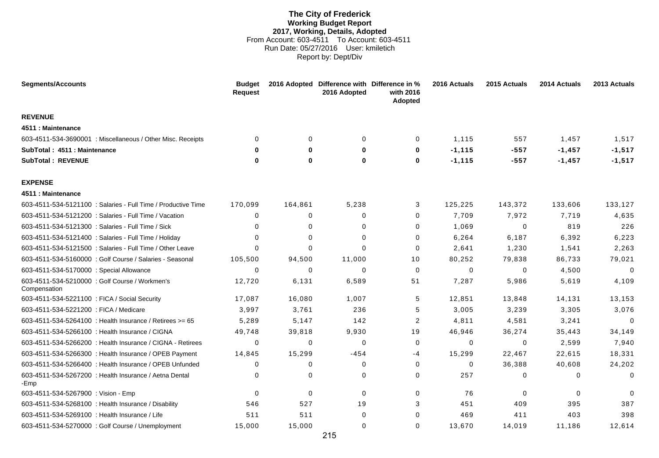# **The City of Frederick Working Budget Report 2017, Working, Details, Adopted** From Account: 603-4511 To Account: 603-4511 Run Date: 05/27/2016 User: kmiletich Report by: Dept/Div

| <b>Segments/Accounts</b>                                       | <b>Budget</b><br><b>Request</b> |             | 2016 Adopted Difference with Difference in %<br>2016 Adopted | with 2016<br>Adopted | 2016 Actuals | 2015 Actuals | 2014 Actuals | 2013 Actuals |
|----------------------------------------------------------------|---------------------------------|-------------|--------------------------------------------------------------|----------------------|--------------|--------------|--------------|--------------|
| <b>REVENUE</b>                                                 |                                 |             |                                                              |                      |              |              |              |              |
| 4511 : Maintenance                                             |                                 |             |                                                              |                      |              |              |              |              |
| 603-4511-534-3690001 : Miscellaneous / Other Misc. Receipts    | $\Omega$                        | $\mathbf 0$ | $\mathbf 0$                                                  | $\mathbf 0$          | 1,115        | 557          | 1,457        | 1,517        |
| SubTotal: 4511: Maintenance                                    | 0                               | $\bf{0}$    | 0                                                            | 0                    | $-1, 115$    | $-557$       | $-1,457$     | $-1,517$     |
| <b>SubTotal: REVENUE</b>                                       | <sup>0</sup>                    | 0           | 0                                                            | 0                    | $-1, 115$    | $-557$       | $-1,457$     | $-1,517$     |
| <b>EXPENSE</b>                                                 |                                 |             |                                                              |                      |              |              |              |              |
| 4511 : Maintenance                                             |                                 |             |                                                              |                      |              |              |              |              |
| 603-4511-534-5121100 : Salaries - Full Time / Productive Time  | 170,099                         | 164,861     | 5,238                                                        | 3                    | 125,225      | 143,372      | 133,606      | 133,127      |
| 603-4511-534-5121200 : Salaries - Full Time / Vacation         | $\Omega$                        | $\Omega$    | 0                                                            | $\mathbf 0$          | 7,709        | 7,972        | 7,719        | 4,635        |
| 603-4511-534-5121300 : Salaries - Full Time / Sick             | $\Omega$                        | $\Omega$    | $\Omega$                                                     | $\Omega$             | 1,069        | $\Omega$     | 819          | 226          |
| 603-4511-534-5121400 : Salaries - Full Time / Holiday          | $\Omega$                        | $\Omega$    | $\Omega$                                                     | $\mathbf 0$          | 6,264        | 6,187        | 6,392        | 6,223        |
| 603-4511-534-5121500 : Salaries - Full Time / Other Leave      | $\Omega$                        | $\Omega$    | $\Omega$                                                     | $\mathbf 0$          | 2,641        | 1,230        | 1,541        | 2,263        |
| 603-4511-534-5160000 : Golf Course / Salaries - Seasonal       | 105,500                         | 94,500      | 11,000                                                       | 10                   | 80,252       | 79,838       | 86,733       | 79,021       |
| 603-4511-534-5170000 : Special Allowance                       | $\Omega$                        | 0           | 0                                                            | 0                    | 0            | $\mathbf 0$  | 4,500        | $\mathbf 0$  |
| 603-4511-534-5210000 : Golf Course / Workmen's<br>Compensation | 12,720                          | 6,131       | 6,589                                                        | 51                   | 7,287        | 5,986        | 5,619        | 4,109        |
| 603-4511-534-5221100 : FICA / Social Security                  | 17,087                          | 16,080      | 1,007                                                        | 5                    | 12,851       | 13,848       | 14,131       | 13,153       |
| 603-4511-534-5221200 : FICA / Medicare                         | 3,997                           | 3,761       | 236                                                          | 5                    | 3,005        | 3,239        | 3,305        | 3,076        |
| 603-4511-534-5264100 : Health Insurance / Retirees >= 65       | 5,289                           | 5,147       | 142                                                          | $\overline{2}$       | 4,811        | 4,581        | 3,241        | $\mathbf 0$  |
| 603-4511-534-5266100 : Health Insurance / CIGNA                | 49,748                          | 39,818      | 9,930                                                        | 19                   | 46,946       | 36,274       | 35,443       | 34,149       |
| 603-4511-534-5266200 : Health Insurance / CIGNA - Retirees     | 0                               | 0           | 0                                                            | 0                    | 0            | 0            | 2,599        | 7,940        |
| 603-4511-534-5266300 : Health Insurance / OPEB Payment         | 14,845                          | 15,299      | -454                                                         | -4                   | 15,299       | 22,467       | 22,615       | 18,331       |
| 603-4511-534-5266400 : Health Insurance / OPEB Unfunded        | $\Omega$                        | $\Omega$    | $\mathbf 0$                                                  | $\mathbf 0$          | $\Omega$     | 36,388       | 40,608       | 24,202       |
| 603-4511-534-5267200 : Health Insurance / Aetna Dental<br>-Emp | 0                               | 0           | $\Omega$                                                     | 0                    | 257          | $\mathbf 0$  | $\Omega$     | $\mathbf 0$  |
| 603-4511-534-5267900 : Vision - Emp                            | $\Omega$                        | $\mathbf 0$ | $\Omega$                                                     | $\mathbf 0$          | 76           | $\mathbf 0$  | $\Omega$     | $\Omega$     |
| 603-4511-534-5268100 : Health Insurance / Disability           | 546                             | 527         | 19                                                           | 3                    | 451          | 409          | 395          | 387          |
| 603-4511-534-5269100 : Health Insurance / Life                 | 511                             | 511         | $\Omega$                                                     | $\Omega$             | 469          | 411          | 403          | 398          |
| 603-4511-534-5270000 : Golf Course / Unemployment              | 15,000                          | 15,000      | $\Omega$                                                     | $\Omega$             | 13,670       | 14,019       | 11,186       | 12,614       |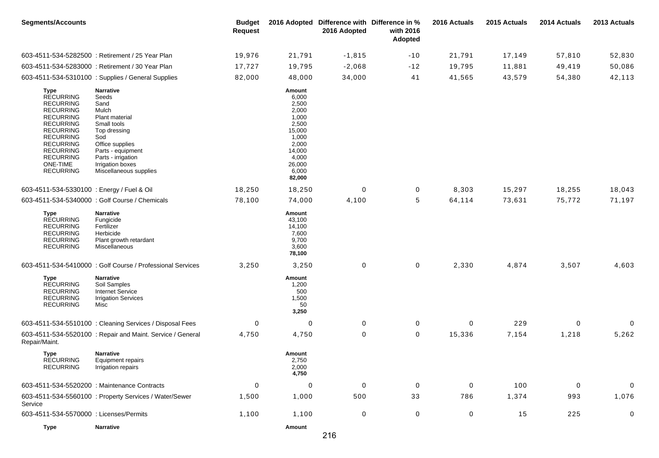| <b>Segments/Accounts</b>                                                                                                                                                                                                                     |                                                                                                                                                                                                                | <b>Budget</b><br><b>Request</b> |                                                                                                                                 | 2016 Adopted Difference with Difference in %<br>2016 Adopted | with 2016<br>Adopted | 2016 Actuals | 2015 Actuals | 2014 Actuals | 2013 Actuals |
|----------------------------------------------------------------------------------------------------------------------------------------------------------------------------------------------------------------------------------------------|----------------------------------------------------------------------------------------------------------------------------------------------------------------------------------------------------------------|---------------------------------|---------------------------------------------------------------------------------------------------------------------------------|--------------------------------------------------------------|----------------------|--------------|--------------|--------------|--------------|
|                                                                                                                                                                                                                                              | 603-4511-534-5282500 : Retirement / 25 Year Plan                                                                                                                                                               | 19,976                          | 21,791                                                                                                                          | $-1,815$                                                     | $-10$                | 21,791       | 17,149       | 57,810       | 52,830       |
|                                                                                                                                                                                                                                              | 603-4511-534-5283000 : Retirement / 30 Year Plan                                                                                                                                                               | 17,727                          | 19,795                                                                                                                          | $-2,068$                                                     | $-12$                | 19,795       | 11,881       | 49,419       | 50,086       |
|                                                                                                                                                                                                                                              | 603-4511-534-5310100 : Supplies / General Supplies                                                                                                                                                             | 82,000                          | 48,000                                                                                                                          | 34,000                                                       | 41                   | 41,565       | 43,579       | 54,380       | 42,113       |
| Type<br><b>RECURRING</b><br><b>RECURRING</b><br><b>RECURRING</b><br><b>RECURRING</b><br><b>RECURRING</b><br><b>RECURRING</b><br><b>RECURRING</b><br><b>RECURRING</b><br><b>RECURRING</b><br><b>RECURRING</b><br>ONE-TIME<br><b>RECURRING</b> | <b>Narrative</b><br>Seeds<br>Sand<br>Mulch<br>Plant material<br>Small tools<br>Top dressing<br>Sod<br>Office supplies<br>Parts - equipment<br>Parts - irrigation<br>Irrigation boxes<br>Miscellaneous supplies |                                 | Amount<br>6,000<br>2,500<br>2,000<br>1,000<br>2,500<br>15,000<br>1,000<br>2,000<br>14,000<br>4,000<br>26,000<br>6,000<br>82,000 |                                                              |                      |              |              |              |              |
| 603-4511-534-5330100 : Energy / Fuel & Oil                                                                                                                                                                                                   |                                                                                                                                                                                                                | 18,250                          | 18,250                                                                                                                          | 0                                                            | 0                    | 8,303        | 15,297       | 18,255       | 18,043       |
|                                                                                                                                                                                                                                              | 603-4511-534-5340000 : Golf Course / Chemicals                                                                                                                                                                 | 78,100                          | 74,000                                                                                                                          | 4,100                                                        | 5                    | 64,114       | 73,631       | 75,772       | 71,197       |
| Type<br><b>RECURRING</b><br><b>RECURRING</b><br><b>RECURRING</b><br><b>RECURRING</b><br><b>RECURRING</b>                                                                                                                                     | <b>Narrative</b><br>Fungicide<br>Fertilizer<br>Herbicide<br>Plant growth retardant<br>Miscellaneous                                                                                                            |                                 | Amount<br>43,100<br>14,100<br>7,600<br>9,700<br>3,600<br>78,100                                                                 |                                                              |                      |              |              |              |              |
|                                                                                                                                                                                                                                              | 603-4511-534-5410000 : Golf Course / Professional Services                                                                                                                                                     | 3,250                           | 3,250                                                                                                                           | 0                                                            | 0                    | 2,330        | 4,874        | 3,507        | 4,603        |
| Type<br><b>RECURRING</b><br><b>RECURRING</b><br><b>RECURRING</b><br><b>RECURRING</b>                                                                                                                                                         | <b>Narrative</b><br>Soil Samples<br><b>Internet Service</b><br><b>Irrigation Services</b><br>Misc                                                                                                              |                                 | Amount<br>1,200<br>500<br>1,500<br>50<br>3,250                                                                                  |                                                              |                      |              |              |              |              |
|                                                                                                                                                                                                                                              | 603-4511-534-5510100 : Cleaning Services / Disposal Fees                                                                                                                                                       | 0                               | 0                                                                                                                               | 0                                                            | 0                    | 0            | 229          | 0            | 0            |
| Repair/Maint.                                                                                                                                                                                                                                | 603-4511-534-5520100 : Repair and Maint. Service / General                                                                                                                                                     | 4,750                           | 4,750                                                                                                                           | 0                                                            | 0                    | 15,336       | 7,154        | 1,218        | 5,262        |
| Type<br><b>RECURRING</b><br><b>RECURRING</b>                                                                                                                                                                                                 | <b>Narrative</b><br>Equipment repairs<br>Irrigation repairs                                                                                                                                                    |                                 | Amount<br>2,750<br>2,000<br>4,750                                                                                               |                                                              |                      |              |              |              |              |
| 603-4511-534-5520200 : Maintenance Contracts                                                                                                                                                                                                 |                                                                                                                                                                                                                | 0                               | 0                                                                                                                               | $\mathbf 0$                                                  | 0                    | $\mathbf 0$  | 100          | $\mathbf 0$  | 0            |
| Service                                                                                                                                                                                                                                      | 603-4511-534-5560100 : Property Services / Water/Sewer                                                                                                                                                         | 1,500                           | 1,000                                                                                                                           | 500                                                          | 33                   | 786          | 1,374        | 993          | 1,076        |
| 603-4511-534-5570000 : Licenses/Permits                                                                                                                                                                                                      |                                                                                                                                                                                                                | 1,100                           | 1,100                                                                                                                           | 0                                                            | 0                    | 0            | 15           | 225          | 0            |
| <b>Type</b>                                                                                                                                                                                                                                  | <b>Narrative</b>                                                                                                                                                                                               |                                 | Amount                                                                                                                          |                                                              |                      |              |              |              |              |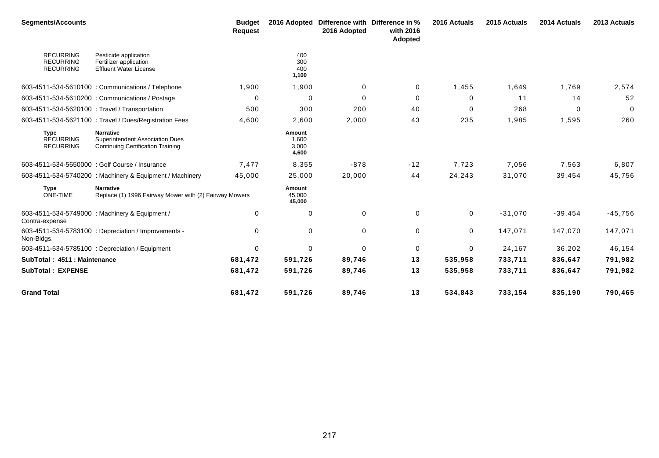| <b>Segments/Accounts</b>                                 |                                                                                                        | <b>Budget</b><br><b>Request</b> | 2016 Adopted                      | 2016 Adopted | Difference with Difference in %<br>with 2016<br><b>Adopted</b> | 2016 Actuals | 2015 Actuals | 2014 Actuals | 2013 Actuals |
|----------------------------------------------------------|--------------------------------------------------------------------------------------------------------|---------------------------------|-----------------------------------|--------------|----------------------------------------------------------------|--------------|--------------|--------------|--------------|
| <b>RECURRING</b><br><b>RECURRING</b><br><b>RECURRING</b> | Pesticide application<br>Fertilizer application<br><b>Effluent Water License</b>                       |                                 | 400<br>300<br>400<br>1,100        |              |                                                                |              |              |              |              |
|                                                          | 603-4511-534-5610100 : Communications / Telephone                                                      | 1,900                           | 1,900                             | 0            | 0                                                              | 1,455        | 1,649        | 1,769        | 2,574        |
|                                                          | 603-4511-534-5610200 : Communications / Postage                                                        | 0                               | $\mathbf 0$                       | $\mathbf 0$  | 0                                                              | 0            | 11           | 14           | 52           |
| 603-4511-534-5620100 : Travel / Transportation           |                                                                                                        | 500                             | 300                               | 200          | 40                                                             | 0            | 268          | 0            | $\mathbf 0$  |
|                                                          | 603-4511-534-5621100 : Travel / Dues/Registration Fees                                                 | 4,600                           | 2,600                             | 2,000        | 43                                                             | 235          | 1,985        | 1,595        | 260          |
| <b>Type</b><br><b>RECURRING</b><br><b>RECURRING</b>      | <b>Narrative</b><br><b>Superintendent Association Dues</b><br><b>Continuing Certification Training</b> |                                 | Amount<br>1,600<br>3,000<br>4,600 |              |                                                                |              |              |              |              |
|                                                          | 603-4511-534-5650000 : Golf Course / Insurance                                                         | 7,477                           | 8,355                             | $-878$       | $-12$                                                          | 7,723        | 7,056        | 7,563        | 6,807        |
|                                                          | 603-4511-534-5740200 : Machinery & Equipment / Machinery                                               | 45,000                          | 25,000                            | 20,000       | 44                                                             | 24,243       | 31,070       | 39,454       | 45,756       |
| <b>Type</b><br>ONE-TIME                                  | <b>Narrative</b><br>Replace (1) 1996 Fairway Mower with (2) Fairway Mowers                             |                                 | Amount<br>45,000<br>45,000        |              |                                                                |              |              |              |              |
| Contra-expense                                           | 603-4511-534-5749000 : Machinery & Equipment /                                                         | 0                               | 0                                 | $\mathbf 0$  | 0                                                              | $\mathbf 0$  | $-31,070$    | $-39,454$    | $-45,756$    |
| Non-Bldgs.                                               | 603-4511-534-5783100 : Depreciation / Improvements -                                                   | 0                               | $\mathbf 0$                       | $\mathbf 0$  | $\mathbf 0$                                                    | $\mathbf 0$  | 147,071      | 147,070      | 147,071      |
|                                                          | 603-4511-534-5785100 : Depreciation / Equipment                                                        | $\mathbf 0$                     | $\mathbf 0$                       | $\mathbf 0$  | $\mathbf 0$                                                    | $\mathbf 0$  | 24,167       | 36,202       | 46,154       |
| SubTotal: 4511: Maintenance                              |                                                                                                        | 681,472                         | 591,726                           | 89,746       | 13                                                             | 535,958      | 733,711      | 836,647      | 791,982      |
| <b>SubTotal: EXPENSE</b>                                 |                                                                                                        | 681,472                         | 591,726                           | 89,746       | 13                                                             | 535,958      | 733,711      | 836,647      | 791,982      |
| <b>Grand Total</b>                                       |                                                                                                        | 681,472                         | 591,726                           | 89,746       | 13                                                             | 534,843      | 733,154      | 835,190      | 790,465      |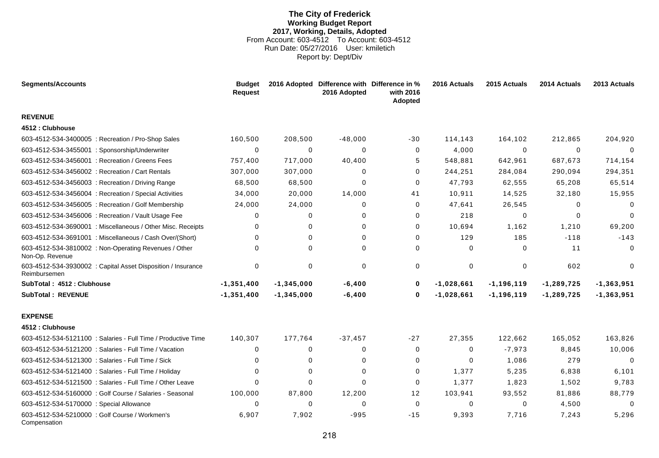## **The City of Frederick Working Budget Report 2017, Working, Details, Adopted** From Account: 603-4512 To Account: 603-4512 Run Date: 05/27/2016 User: kmiletich Report by: Dept/Div

| <b>Segments/Accounts</b>                                                     | <b>Budget</b><br><b>Request</b> |              | 2016 Adopted Difference with Difference in %<br>2016 Adopted | with 2016<br>Adopted | 2016 Actuals | 2015 Actuals   | 2014 Actuals   | 2013 Actuals   |
|------------------------------------------------------------------------------|---------------------------------|--------------|--------------------------------------------------------------|----------------------|--------------|----------------|----------------|----------------|
| <b>REVENUE</b>                                                               |                                 |              |                                                              |                      |              |                |                |                |
| 4512 : Clubhouse                                                             |                                 |              |                                                              |                      |              |                |                |                |
| 603-4512-534-3400005 : Recreation / Pro-Shop Sales                           | 160,500                         | 208,500      | $-48,000$                                                    | $-30$                | 114,143      | 164,102        | 212,865        | 204,920        |
| 603-4512-534-3455001 : Sponsorship/Underwriter                               | $\Omega$                        | $\Omega$     | O                                                            | 0                    | 4,000        | $\Omega$       | 0              | $\Omega$       |
| 603-4512-534-3456001 : Recreation / Greens Fees                              | 757,400                         | 717,000      | 40,400                                                       | 5                    | 548,881      | 642,961        | 687,673        | 714,154        |
| 603-4512-534-3456002 : Recreation / Cart Rentals                             | 307,000                         | 307,000      | 0                                                            | 0                    | 244,251      | 284,084        | 290,094        | 294,351        |
| 603-4512-534-3456003 : Recreation / Driving Range                            | 68,500                          | 68,500       | $\Omega$                                                     | 0                    | 47,793       | 62,555         | 65,208         | 65,514         |
| 603-4512-534-3456004 : Recreation / Special Activities                       | 34,000                          | 20,000       | 14,000                                                       | 41                   | 10,911       | 14,525         | 32,180         | 15,955         |
| 603-4512-534-3456005 : Recreation / Golf Membership                          | 24,000                          | 24,000       | 0                                                            | 0                    | 47,641       | 26,545         | $\Omega$       | 0              |
| 603-4512-534-3456006 : Recreation / Vault Usage Fee                          | $\Omega$                        | 0            | 0                                                            | 0                    | 218          | 0              | $\Omega$       | $\Omega$       |
| 603-4512-534-3690001 : Miscellaneous / Other Misc. Receipts                  | 0                               | $\Omega$     | $\Omega$                                                     | 0                    | 10,694       | 1,162          | 1,210          | 69,200         |
| 603-4512-534-3691001 : Miscellaneous / Cash Over/(Short)                     | $\Omega$                        | $\Omega$     | $\Omega$                                                     | 0                    | 129          | 185            | $-118$         | $-143$         |
| 603-4512-534-3810002 : Non-Operating Revenues / Other<br>Non-Op. Revenue     | $\Omega$                        | $\mathbf 0$  | $\Omega$                                                     | 0                    | $\Omega$     | $\Omega$       | 11             | $\mathbf 0$    |
| 603-4512-534-3930002 : Capital Asset Disposition / Insurance<br>Reimbursemen | $\Omega$                        | 0            | $\Omega$                                                     | $\mathbf 0$          | $\Omega$     | 0              | 602            | $\Omega$       |
| SubTotal: 4512: Clubhouse                                                    | $-1.351.400$                    | $-1,345,000$ | $-6,400$                                                     | 0                    | $-1,028,661$ | $-1, 196, 119$ | $-1, 289, 725$ | $-1, 363, 951$ |
| <b>SubTotal: REVENUE</b>                                                     | $-1,351,400$                    | $-1,345,000$ | $-6,400$                                                     | 0                    | $-1,028,661$ | $-1, 196, 119$ | $-1,289,725$   | $-1, 363, 951$ |
| <b>EXPENSE</b>                                                               |                                 |              |                                                              |                      |              |                |                |                |
| 4512 : Clubhouse                                                             |                                 |              |                                                              |                      |              |                |                |                |
| 603-4512-534-5121100 : Salaries - Full Time / Productive Time                | 140,307                         | 177,764      | $-37,457$                                                    | $-27$                | 27,355       | 122,662        | 165,052        | 163,826        |
| 603-4512-534-5121200 : Salaries - Full Time / Vacation                       | $\Omega$                        | 0            | $\Omega$                                                     | 0                    | $\Omega$     | $-7,973$       | 8,845          | 10,006         |
| 603-4512-534-5121300 : Salaries - Full Time / Sick                           | $\Omega$                        | $\Omega$     | $\Omega$                                                     | 0                    | $\Omega$     | 1,086          | 279            | $\Omega$       |
| 603-4512-534-5121400 : Salaries - Full Time / Holiday                        | $\Omega$                        | $\Omega$     | $\Omega$                                                     | 0                    | 1,377        | 5,235          | 6,838          | 6,101          |
| 603-4512-534-5121500 : Salaries - Full Time / Other Leave                    | 0                               | $\Omega$     | $\Omega$                                                     | 0                    | 1,377        | 1,823          | 1,502          | 9,783          |
| 603-4512-534-5160000 : Golf Course / Salaries - Seasonal                     | 100,000                         | 87,800       | 12,200                                                       | 12                   | 103,941      | 93,552         | 81,886         | 88,779         |
| 603-4512-534-5170000 : Special Allowance                                     | 0                               | $\mathbf 0$  | $\mathbf 0$                                                  | 0                    | 0            | 0              | 4,500          | $\mathbf 0$    |
| 603-4512-534-5210000 : Golf Course / Workmen's<br>Compensation               | 6,907                           | 7,902        | $-995$                                                       | -15                  | 9,393        | 7,716          | 7,243          | 5,296          |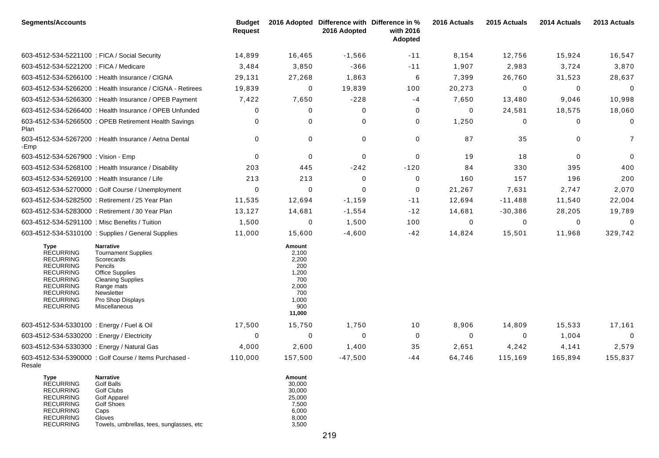| <b>Segments/Accounts</b>                                                                                                                                                                 |                                                                                                                                                                                                 | <b>Budget</b><br><b>Request</b> |                                                                                           | 2016 Adopted Difference with Difference in %<br>2016 Adopted | with 2016<br>Adopted | 2016 Actuals | 2015 Actuals | 2014 Actuals | 2013 Actuals   |
|------------------------------------------------------------------------------------------------------------------------------------------------------------------------------------------|-------------------------------------------------------------------------------------------------------------------------------------------------------------------------------------------------|---------------------------------|-------------------------------------------------------------------------------------------|--------------------------------------------------------------|----------------------|--------------|--------------|--------------|----------------|
| 603-4512-534-5221100 : FICA / Social Security                                                                                                                                            |                                                                                                                                                                                                 | 14,899                          | 16,465                                                                                    | $-1,566$                                                     | $-11$                | 8,154        | 12,756       | 15,924       | 16,547         |
| 603-4512-534-5221200 : FICA / Medicare                                                                                                                                                   |                                                                                                                                                                                                 | 3,484                           | 3,850                                                                                     | $-366$                                                       | $-11$                | 1,907        | 2,983        | 3,724        | 3,870          |
|                                                                                                                                                                                          | 603-4512-534-5266100 : Health Insurance / CIGNA                                                                                                                                                 | 29,131                          | 27,268                                                                                    | 1,863                                                        | 6                    | 7,399        | 26,760       | 31,523       | 28,637         |
|                                                                                                                                                                                          | 603-4512-534-5266200 : Health Insurance / CIGNA - Retirees                                                                                                                                      | 19,839                          | 0                                                                                         | 19,839                                                       | 100                  | 20,273       | 0            | 0            | 0              |
|                                                                                                                                                                                          | 603-4512-534-5266300 : Health Insurance / OPEB Payment                                                                                                                                          | 7,422                           | 7,650                                                                                     | $-228$                                                       | -4                   | 7,650        | 13,480       | 9,046        | 10,998         |
|                                                                                                                                                                                          | 603-4512-534-5266400 : Health Insurance / OPEB Unfunded                                                                                                                                         | 0                               | 0                                                                                         | 0                                                            | 0                    | 0            | 24,581       | 18,575       | 18,060         |
| Plan                                                                                                                                                                                     | 603-4512-534-5266500 : OPEB Retirement Health Savings                                                                                                                                           | 0                               | 0                                                                                         | 0                                                            | 0                    | 1,250        | 0            | 0            | 0              |
| -Emp                                                                                                                                                                                     | 603-4512-534-5267200 : Health Insurance / Aetna Dental                                                                                                                                          | 0                               | 0                                                                                         | 0                                                            | 0                    | 87           | 35           | 0            | $\overline{7}$ |
| 603-4512-534-5267900 : Vision - Emp                                                                                                                                                      |                                                                                                                                                                                                 | $\mathbf 0$                     | 0                                                                                         | 0                                                            | 0                    | 19           | 18           | $\mathbf 0$  | 0              |
|                                                                                                                                                                                          | 603-4512-534-5268100 : Health Insurance / Disability                                                                                                                                            | 203                             | 445                                                                                       | $-242$                                                       | $-120$               | 84           | 330          | 395          | 400            |
| 603-4512-534-5269100 : Health Insurance / Life                                                                                                                                           |                                                                                                                                                                                                 | 213                             | 213                                                                                       | 0                                                            | 0                    | 160          | 157          | 196          | 200            |
|                                                                                                                                                                                          | 603-4512-534-5270000 : Golf Course / Unemployment                                                                                                                                               | 0                               | 0                                                                                         | 0                                                            | 0                    | 21,267       | 7,631        | 2,747        | 2,070          |
|                                                                                                                                                                                          | 603-4512-534-5282500 : Retirement / 25 Year Plan                                                                                                                                                | 11,535                          | 12,694                                                                                    | $-1,159$                                                     | $-11$                | 12,694       | $-11,488$    | 11,540       | 22,004         |
|                                                                                                                                                                                          | 603-4512-534-5283000 : Retirement / 30 Year Plan                                                                                                                                                | 13,127                          | 14,681                                                                                    | $-1,554$                                                     | $-12$                | 14,681       | $-30,386$    | 28,205       | 19,789         |
| 603-4512-534-5291100 : Misc Benefits / Tuition                                                                                                                                           |                                                                                                                                                                                                 | 1,500                           | 0                                                                                         | 1,500                                                        | 100                  | 0            | 0            | 0            | 0              |
|                                                                                                                                                                                          | 603-4512-534-5310100 : Supplies / General Supplies                                                                                                                                              | 11,000                          | 15,600                                                                                    | $-4,600$                                                     | $-42$                | 14,824       | 15,501       | 11,968       | 329,742        |
| Type<br><b>RECURRING</b><br><b>RECURRING</b><br><b>RECURRING</b><br><b>RECURRING</b><br><b>RECURRING</b><br><b>RECURRING</b><br><b>RECURRING</b><br><b>RECURRING</b><br><b>RECURRING</b> | <b>Narrative</b><br><b>Tournament Supplies</b><br>Scorecards<br>Pencils<br><b>Office Supplies</b><br><b>Cleaning Supplies</b><br>Range mats<br>Newsletter<br>Pro Shop Displays<br>Miscellaneous |                                 | Amount<br>2,100<br>2,200<br>200<br>1,200<br>700<br>2,000<br>700<br>1,000<br>900<br>11,000 |                                                              |                      |              |              |              |                |
| 603-4512-534-5330100 : Energy / Fuel & Oil                                                                                                                                               |                                                                                                                                                                                                 | 17,500                          | 15,750                                                                                    | 1,750                                                        | 10                   | 8,906        | 14,809       | 15,533       | 17,161         |
| 603-4512-534-5330200 : Energy / Electricity                                                                                                                                              |                                                                                                                                                                                                 | 0                               | 0                                                                                         | 0                                                            | 0                    | 0            | $\mathbf{0}$ | 1,004        | $\mathbf 0$    |
| 603-4512-534-5330300 : Energy / Natural Gas                                                                                                                                              |                                                                                                                                                                                                 | 4,000                           | 2,600                                                                                     | 1,400                                                        | 35                   | 2,651        | 4,242        | 4,141        | 2,579          |
| Resale                                                                                                                                                                                   | 603-4512-534-5390000 : Golf Course / Items Purchased -                                                                                                                                          | 110,000                         | 157,500                                                                                   | $-47,500$                                                    | $-44$                | 64,746       | 115,169      | 165,894      | 155,837        |
| Type<br><b>RECURRING</b><br><b>RECURRING</b><br><b>RECURRING</b><br><b>RECURRING</b><br><b>RECURRING</b>                                                                                 | <b>Narrative</b><br><b>Golf Balls</b><br>Golf Clubs<br><b>Golf Apparel</b><br><b>Golf Shoes</b><br>Caps                                                                                         |                                 | Amount<br>30,000<br>30,000<br>25,000<br>7,500<br>6,000                                    |                                                              |                      |              |              |              |                |

RECURRING Gloves 8,000 RECURRING Towels, umbrellas, tees, sunglasses, etc 3,500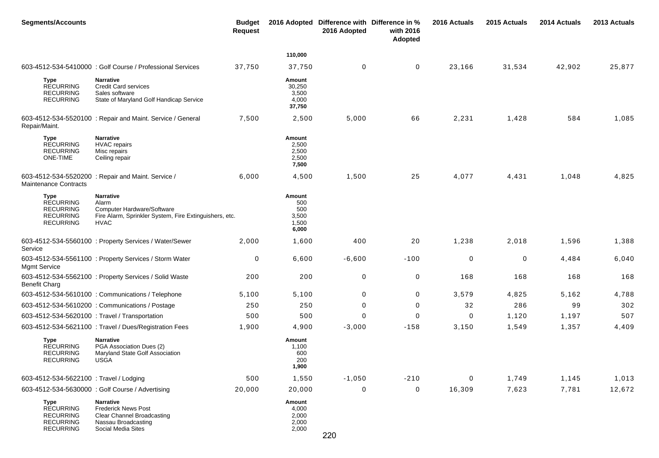| <b>Segments/Accounts</b>                                                                    |                                                                                                                                  | <b>Budget</b><br><b>Request</b> |                                                 | 2016 Adopted Difference with Difference in %<br>2016 Adopted | with 2016<br>Adopted | 2016 Actuals | 2015 Actuals | 2014 Actuals | 2013 Actuals |
|---------------------------------------------------------------------------------------------|----------------------------------------------------------------------------------------------------------------------------------|---------------------------------|-------------------------------------------------|--------------------------------------------------------------|----------------------|--------------|--------------|--------------|--------------|
|                                                                                             |                                                                                                                                  |                                 | 110,000                                         |                                                              |                      |              |              |              |              |
|                                                                                             | 603-4512-534-5410000 : Golf Course / Professional Services                                                                       | 37,750                          | 37,750                                          | 0                                                            | $\mathbf 0$          | 23,166       | 31,534       | 42,902       | 25,877       |
| Type<br><b>RECURRING</b><br><b>RECURRING</b><br><b>RECURRING</b>                            | <b>Narrative</b><br><b>Credit Card services</b><br>Sales software<br>State of Maryland Golf Handicap Service                     |                                 | Amount<br>30,250<br>3,500<br>4,000<br>37,750    |                                                              |                      |              |              |              |              |
| Repair/Maint.                                                                               | 603-4512-534-5520100 : Repair and Maint. Service / General                                                                       | 7,500                           | 2,500                                           | 5,000                                                        | 66                   | 2,231        | 1,428        | 584          | 1,085        |
| Type<br><b>RECURRING</b><br><b>RECURRING</b><br>ONE-TIME                                    | <b>Narrative</b><br><b>HVAC</b> repairs<br>Misc repairs<br>Ceiling repair                                                        |                                 | Amount<br>2,500<br>2,500<br>2,500<br>7,500      |                                                              |                      |              |              |              |              |
| <b>Maintenance Contracts</b>                                                                | 603-4512-534-5520200 : Repair and Maint. Service /                                                                               | 6,000                           | 4,500                                           | 1,500                                                        | 25                   | 4,077        | 4,431        | 1,048        | 4,825        |
| <b>Type</b><br><b>RECURRING</b><br><b>RECURRING</b><br><b>RECURRING</b><br><b>RECURRING</b> | <b>Narrative</b><br>Alarm<br>Computer Hardware/Software<br>Fire Alarm, Sprinkler System, Fire Extinguishers, etc.<br><b>HVAC</b> |                                 | Amount<br>500<br>500<br>3,500<br>1,500<br>6,000 |                                                              |                      |              |              |              |              |
| Service                                                                                     | 603-4512-534-5560100 : Property Services / Water/Sewer                                                                           | 2,000                           | 1,600                                           | 400                                                          | 20                   | 1,238        | 2,018        | 1,596        | 1,388        |
| <b>Mgmt Service</b>                                                                         | 603-4512-534-5561100 : Property Services / Storm Water                                                                           | 0                               | 6,600                                           | $-6,600$                                                     | $-100$               | 0            | 0            | 4,484        | 6,040        |
| <b>Benefit Charg</b>                                                                        | 603-4512-534-5562100 : Property Services / Solid Waste                                                                           | 200                             | 200                                             | 0                                                            | 0                    | 168          | 168          | 168          | 168          |
|                                                                                             | 603-4512-534-5610100 : Communications / Telephone                                                                                | 5,100                           | 5,100                                           | 0                                                            | 0                    | 3,579        | 4,825        | 5,162        | 4,788        |
|                                                                                             | 603-4512-534-5610200 : Communications / Postage                                                                                  | 250                             | 250                                             | $\mathbf 0$                                                  | 0                    | 32           | 286          | 99           | 302          |
| 603-4512-534-5620100 : Travel / Transportation                                              |                                                                                                                                  | 500                             | 500                                             | $\Omega$                                                     | 0                    | $\Omega$     | 1,120        | 1,197        | 507          |
|                                                                                             | 603-4512-534-5621100 : Travel / Dues/Registration Fees                                                                           | 1,900                           | 4,900                                           | $-3,000$                                                     | $-158$               | 3,150        | 1,549        | 1,357        | 4,409        |
| Type<br><b>RECURRING</b><br><b>RECURRING</b><br><b>RECURRING</b>                            | Narrative<br>PGA Association Dues (2)<br>Maryland State Golf Association<br><b>USGA</b>                                          |                                 | Amount<br>1,100<br>600<br>200<br>1,900          |                                                              |                      |              |              |              |              |
| 603-4512-534-5622100 : Travel / Lodging                                                     |                                                                                                                                  | 500                             | 1,550                                           | $-1,050$                                                     | $-210$               | 0            | 1,749        | 1,145        | 1,013        |
|                                                                                             | 603-4512-534-5630000 : Golf Course / Advertising                                                                                 | 20,000                          | 20,000                                          | 0                                                            | $\pmb{0}$            | 16,309       | 7,623        | 7,781        | 12,672       |
| Type<br><b>RECURRING</b><br><b>RECURRING</b><br><b>RECURRING</b><br><b>RECURRING</b>        | <b>Narrative</b><br><b>Frederick News Post</b><br><b>Clear Channel Broadcasting</b><br>Nassau Broadcasting<br>Social Media Sites |                                 | Amount<br>4,000<br>2,000<br>2,000<br>2,000      |                                                              |                      |              |              |              |              |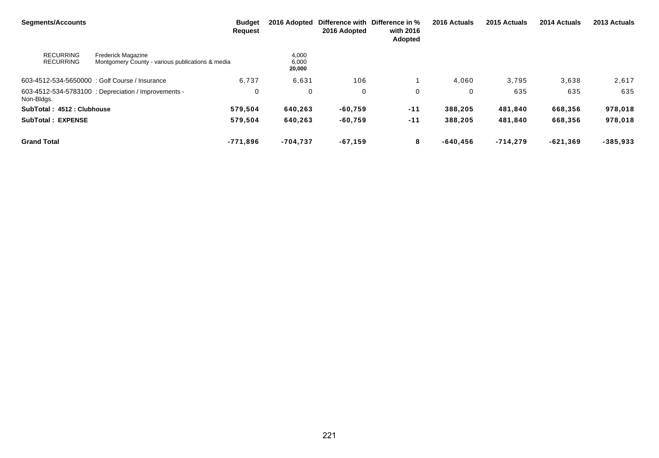| <b>Segments/Accounts</b>             |                                                                               | <b>Budget</b><br><b>Request</b> | 2016 Adopted             | 2016 Adopted | Difference with Difference in %<br>with 2016<br>Adopted | 2016 Actuals | 2015 Actuals | 2014 Actuals | 2013 Actuals |
|--------------------------------------|-------------------------------------------------------------------------------|---------------------------------|--------------------------|--------------|---------------------------------------------------------|--------------|--------------|--------------|--------------|
| <b>RECURRING</b><br><b>RECURRING</b> | <b>Frederick Magazine</b><br>Montgomery County - various publications & media |                                 | 4,000<br>6,000<br>20,000 |              |                                                         |              |              |              |              |
|                                      | 603-4512-534-5650000 : Golf Course / Insurance                                | 6,737                           | 6,631                    | 106          |                                                         | 4.060        | 3,795        | 3,638        | 2,617        |
| Non-Bidgs.                           | 603-4512-534-5783100 : Depreciation / Improvements -                          | 0                               | 0                        | 0            | 0                                                       | 0            | 635          | 635          | 635          |
| SubTotal: 4512: Clubhouse            |                                                                               | 579,504                         | 640,263                  | $-60,759$    | $-11$                                                   | 388,205      | 481,840      | 668,356      | 978,018      |
| <b>SubTotal: EXPENSE</b>             |                                                                               | 579,504                         | 640,263                  | $-60,759$    | $-11$                                                   | 388,205      | 481,840      | 668,356      | 978,018      |
| <b>Grand Total</b>                   |                                                                               | $-771.896$                      | $-704.737$               | $-67.159$    | 8                                                       | $-640.456$   | $-714.279$   | $-621.369$   | $-385.933$   |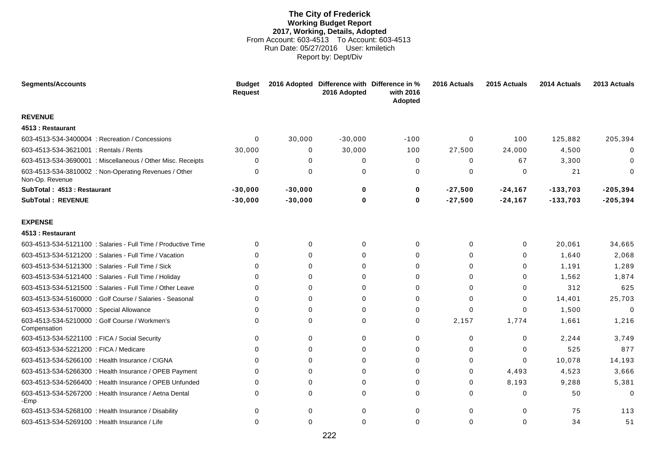## **The City of Frederick Working Budget Report 2017, Working, Details, Adopted** From Account: 603-4513 To Account: 603-4513 Run Date: 05/27/2016 User: kmiletich Report by: Dept/Div

| <b>Segments/Accounts</b>                                       |                                                               | <b>Budget</b><br><b>Request</b> |             | 2016 Adopted Difference with Difference in %<br>2016 Adopted | with 2016<br>Adopted | 2016 Actuals | 2015 Actuals | 2014 Actuals | 2013 Actuals |
|----------------------------------------------------------------|---------------------------------------------------------------|---------------------------------|-------------|--------------------------------------------------------------|----------------------|--------------|--------------|--------------|--------------|
| <b>REVENUE</b>                                                 |                                                               |                                 |             |                                                              |                      |              |              |              |              |
| 4513 : Restaurant                                              |                                                               |                                 |             |                                                              |                      |              |              |              |              |
| 603-4513-534-3400004 : Recreation / Concessions                |                                                               | 0                               | 30,000      | $-30,000$                                                    | $-100$               | 0            | 100          | 125,882      | 205,394      |
| 603-4513-534-3621001 : Rentals / Rents                         |                                                               | 30,000                          | $\Omega$    | 30,000                                                       | 100                  | 27,500       | 24,000       | 4,500        | 0            |
|                                                                | 603-4513-534-3690001 : Miscellaneous / Other Misc. Receipts   | $\Omega$                        | $\Omega$    | $\Omega$                                                     | 0                    | 0            | 67           | 3,300        | 0            |
| Non-Op. Revenue                                                | 603-4513-534-3810002 : Non-Operating Revenues / Other         | 0                               | 0           | 0                                                            | 0                    | 0            | 0            | 21           | 0            |
| SubTotal: 4513: Restaurant                                     |                                                               | $-30,000$                       | $-30,000$   | $\bf{0}$                                                     | 0                    | $-27,500$    | $-24,167$    | $-133,703$   | $-205,394$   |
| <b>SubTotal: REVENUE</b>                                       |                                                               | $-30,000$                       | $-30,000$   | 0                                                            | 0                    | $-27,500$    | $-24,167$    | $-133,703$   | $-205,394$   |
| <b>EXPENSE</b>                                                 |                                                               |                                 |             |                                                              |                      |              |              |              |              |
| 4513 : Restaurant                                              |                                                               |                                 |             |                                                              |                      |              |              |              |              |
|                                                                | 603-4513-534-5121100 : Salaries - Full Time / Productive Time | $\Omega$                        | $\mathbf 0$ | $\Omega$                                                     | $\Omega$             | $\Omega$     | 0            | 20,061       | 34,665       |
|                                                                | 603-4513-534-5121200 : Salaries - Full Time / Vacation        |                                 | 0           | $\Omega$                                                     | $\Omega$             | $\Omega$     | 0            | 1,640        | 2,068        |
| 603-4513-534-5121300 : Salaries - Full Time / Sick             |                                                               | O                               | $\Omega$    | $\Omega$                                                     | $\Omega$             | 0            | 0            | 1,191        | 1,289        |
|                                                                | 603-4513-534-5121400 : Salaries - Full Time / Holiday         | $\Omega$                        | $\Omega$    | $\Omega$                                                     | $\Omega$             | $\Omega$     | 0            | 1,562        | 1,874        |
|                                                                | 603-4513-534-5121500 : Salaries - Full Time / Other Leave     | ∩                               | $\Omega$    | $\Omega$                                                     | $\Omega$             | $\Omega$     | 0            | 312          | 625          |
|                                                                | 603-4513-534-5160000 : Golf Course / Salaries - Seasonal      | $\Omega$                        | $\Omega$    | $\Omega$                                                     | $\Omega$             | $\Omega$     | 0            | 14,401       | 25,703       |
| 603-4513-534-5170000 : Special Allowance                       |                                                               | ∩                               | $\Omega$    | $\Omega$                                                     | $\Omega$             | $\Omega$     | 0            | 1,500        | 0            |
| 603-4513-534-5210000 : Golf Course / Workmen's<br>Compensation |                                                               | $\Omega$                        | $\mathbf 0$ | $\Omega$                                                     | $\mathbf 0$          | 2,157        | 1,774        | 1,661        | 1,216        |
| 603-4513-534-5221100 : FICA / Social Security                  |                                                               | $\Omega$                        | 0           | $\Omega$                                                     | 0                    | $\Omega$     | 0            | 2,244        | 3,749        |
| 603-4513-534-5221200 : FICA / Medicare                         |                                                               | O                               | 0           | $\Omega$                                                     | 0                    | 0            | 0            | 525          | 877          |
| 603-4513-534-5266100 : Health Insurance / CIGNA                |                                                               | U                               | $\Omega$    | $\Omega$                                                     | 0                    | $\Omega$     | $\Omega$     | 10,078       | 14,193       |
|                                                                | 603-4513-534-5266300 : Health Insurance / OPEB Payment        | ∩                               | $\Omega$    | $\Omega$                                                     | $\Omega$             | $\Omega$     | 4,493        | 4,523        | 3,666        |
|                                                                | 603-4513-534-5266400 : Health Insurance / OPEB Unfunded       | $\Omega$                        | 0           | $\Omega$                                                     | $\Omega$             | $\Omega$     | 8,193        | 9,288        | 5,381        |
| -Emp                                                           | 603-4513-534-5267200 : Health Insurance / Aetna Dental        | $\Omega$                        | $\Omega$    | $\Omega$                                                     | $\Omega$             | $\Omega$     | 0            | 50           | 0            |
|                                                                | 603-4513-534-5268100 : Health Insurance / Disability          | ∩                               | 0           | $\Omega$                                                     | $\Omega$             | $\Omega$     | $\Omega$     | 75           | 113          |
| 603-4513-534-5269100 : Health Insurance / Life                 |                                                               | 0                               | $\Omega$    | $\Omega$                                                     | $\Omega$             | $\Omega$     | 0            | 34           | 51           |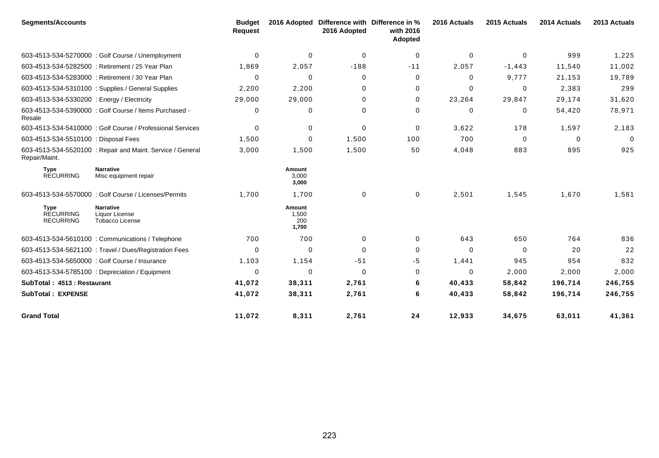| <b>Segments/Accounts</b>                            |                                                            | <b>Budget</b><br><b>Request</b> | 2016 Adopted                    | 2016 Adopted | Difference with Difference in %<br>with 2016<br>Adopted | 2016 Actuals | 2015 Actuals | 2014 Actuals | 2013 Actuals   |
|-----------------------------------------------------|------------------------------------------------------------|---------------------------------|---------------------------------|--------------|---------------------------------------------------------|--------------|--------------|--------------|----------------|
|                                                     | 603-4513-534-5270000 : Golf Course / Unemployment          | $\mathbf 0$                     | $\mathbf 0$                     | $\mathbf 0$  | $\mathbf 0$                                             | $\Omega$     | 0            | 999          | 1,225          |
|                                                     | 603-4513-534-5282500 : Retirement / 25 Year Plan           | 1,869                           | 2,057                           | $-188$       | $-11$                                                   | 2,057        | $-1,443$     | 11,540       | 11,002         |
|                                                     | 603-4513-534-5283000 : Retirement / 30 Year Plan           | $\Omega$                        | $\mathbf 0$                     | 0            | 0                                                       | 0            | 9,777        | 21,153       | 19,789         |
|                                                     | 603-4513-534-5310100 : Supplies / General Supplies         | 2,200                           | 2,200                           | $\Omega$     | 0                                                       | $\Omega$     | 0            | 2,383        | 299            |
| 603-4513-534-5330200 : Energy / Electricity         |                                                            | 29,000                          | 29,000                          | $\Omega$     | 0                                                       | 23,264       | 29,847       | 29,174       | 31,620         |
| Resale                                              | 603-4513-534-5390000 : Golf Course / Items Purchased -     | 0                               | 0                               | $\Omega$     | 0                                                       | 0            | 0            | 54,420       | 78,971         |
|                                                     | 603-4513-534-5410000 : Golf Course / Professional Services | $\mathbf 0$                     | 0                               | $\mathbf 0$  | $\mathbf 0$                                             | 3,622        | 178          | 1,597        | 2,183          |
| 603-4513-534-5510100 : Disposal Fees                |                                                            | 1,500                           | $\Omega$                        | 1,500        | 100                                                     | 700          | $\mathbf 0$  | $\mathbf 0$  | $\overline{0}$ |
| Repair/Maint.                                       | 603-4513-534-5520100 : Repair and Maint. Service / General | 3,000                           | 1,500                           | 1,500        | 50                                                      | 4,048        | 883          | 895          | 925            |
| <b>Type</b><br><b>RECURRING</b>                     | <b>Narrative</b><br>Misc equipment repair                  |                                 | Amount<br>3,000<br>3,000        |              |                                                         |              |              |              |                |
|                                                     | 603-4513-534-5570000 : Golf Course / Licenses/Permits      | 1,700                           | 1,700                           | $\mathbf 0$  | 0                                                       | 2,501        | 1,545        | 1,670        | 1,581          |
| <b>Type</b><br><b>RECURRING</b><br><b>RECURRING</b> | <b>Narrative</b><br>Liquor License<br>Tobacco License      |                                 | Amount<br>1,500<br>200<br>1,700 |              |                                                         |              |              |              |                |
|                                                     | 603-4513-534-5610100 : Communications / Telephone          | 700                             | 700                             | $\Omega$     | $\mathbf 0$                                             | 643          | 650          | 764          | 836            |
|                                                     | 603-4513-534-5621100 : Travel / Dues/Registration Fees     | $\Omega$                        | $\Omega$                        | $\Omega$     | $\mathbf 0$                                             | $\Omega$     | $\Omega$     | 20           | 22             |
|                                                     | 603-4513-534-5650000 : Golf Course / Insurance             | 1,103                           | 1,154                           | $-51$        | -5                                                      | 1,441        | 945          | 954          | 832            |
|                                                     | 603-4513-534-5785100 : Depreciation / Equipment            | $\Omega$                        | $\mathbf 0$                     | $\Omega$     | 0                                                       | $\mathbf 0$  | 2,000        | 2,000        | 2,000          |
| SubTotal: 4513: Restaurant                          |                                                            | 41,072                          | 38,311                          | 2,761        | 6                                                       | 40,433       | 58,842       | 196,714      | 246,755        |
| <b>SubTotal: EXPENSE</b>                            |                                                            | 41,072                          | 38,311                          | 2,761        | 6                                                       | 40,433       | 58,842       | 196,714      | 246,755        |
| <b>Grand Total</b>                                  |                                                            | 11,072                          | 8,311                           | 2,761        | 24                                                      | 12,933       | 34,675       | 63,011       | 41,361         |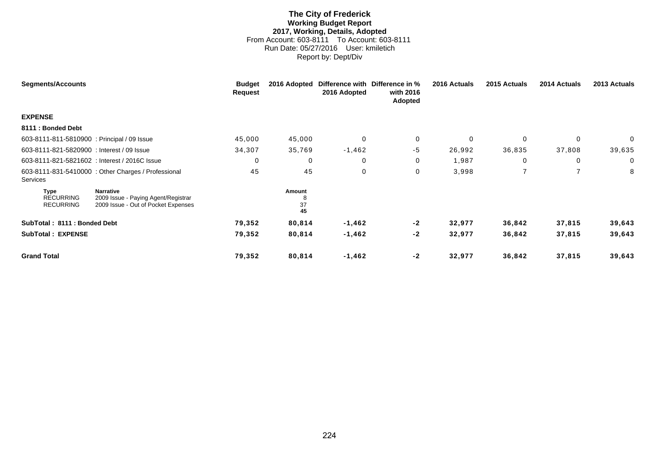# **The City of Frederick Working Budget Report 2017, Working, Details, Adopted** From Account: 603-8111 To Account: 603-8111 Run Date: 05/27/2016 User: kmiletich Report by: Dept/Div

| <b>Segments/Accounts</b>                      |                                                                                                | <b>Budget</b><br><b>Request</b> | 2016 Adopted       | 2016 Adopted | Difference with Difference in %<br>with 2016<br><b>Adopted</b> | 2016 Actuals | 2015 Actuals | 2014 Actuals | 2013 Actuals |
|-----------------------------------------------|------------------------------------------------------------------------------------------------|---------------------------------|--------------------|--------------|----------------------------------------------------------------|--------------|--------------|--------------|--------------|
| <b>EXPENSE</b>                                |                                                                                                |                                 |                    |              |                                                                |              |              |              |              |
| 8111 : Bonded Debt                            |                                                                                                |                                 |                    |              |                                                                |              |              |              |              |
| 603-8111-811-5810900 : Principal / 09 Issue   |                                                                                                | 45,000                          | 45,000             | $\mathbf 0$  | 0                                                              | $\Omega$     | $\Omega$     | $\mathbf 0$  | 0            |
| 603-8111-821-5820900 : Interest / 09 Issue    |                                                                                                | 34,307                          | 35,769             | $-1,462$     | -5                                                             | 26,992       | 36,835       | 37,808       | 39,635       |
| 603-8111-821-5821602 : Interest / 2016C Issue |                                                                                                | 0                               | $\mathbf 0$        | 0            | 0                                                              | 1,987        | 0            | $\mathbf 0$  | $\mathbf 0$  |
| Services                                      | 603-8111-831-5410000 : Other Charges / Professional                                            | 45                              | 45                 | 0            | 0                                                              | 3,998        |              |              | 8            |
| Type<br><b>RECURRING</b><br><b>RECURRING</b>  | <b>Narrative</b><br>2009 Issue - Paying Agent/Registrar<br>2009 Issue - Out of Pocket Expenses |                                 | Amount<br>37<br>45 |              |                                                                |              |              |              |              |
| SubTotal: 8111: Bonded Debt                   |                                                                                                | 79,352                          | 80,814             | $-1,462$     | $-2$                                                           | 32,977       | 36,842       | 37,815       | 39,643       |
| <b>SubTotal: EXPENSE</b>                      |                                                                                                | 79,352                          | 80,814             | $-1,462$     | $-2$                                                           | 32,977       | 36,842       | 37,815       | 39,643       |
| <b>Grand Total</b>                            |                                                                                                | 79,352                          | 80,814             | $-1,462$     | $-2$                                                           | 32,977       | 36,842       | 37,815       | 39,643       |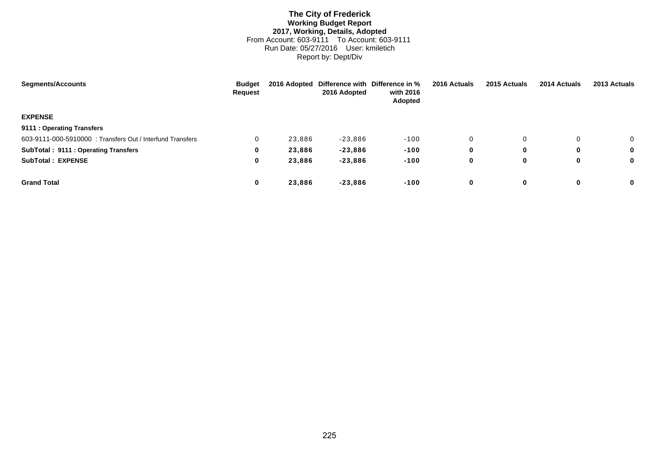# **The City of Frederick Working Budget Report 2017, Working, Details, Adopted** From Account: 603-9111 To Account: 603-9111 Run Date: 05/27/2016 User: kmiletich Report by: Dept/Div

| <b>Segments/Accounts</b>                                  | <b>Budget</b><br><b>Request</b> | 2016 Adopted | 2016 Adopted | Difference with Difference in %<br>with 2016<br>Adopted | 2016 Actuals | 2015 Actuals | 2014 Actuals | 2013 Actuals |
|-----------------------------------------------------------|---------------------------------|--------------|--------------|---------------------------------------------------------|--------------|--------------|--------------|--------------|
| <b>EXPENSE</b>                                            |                                 |              |              |                                                         |              |              |              |              |
| 9111 : Operating Transfers                                |                                 |              |              |                                                         |              |              |              |              |
| 603-9111-000-5910000: Transfers Out / Interfund Transfers | 0                               | 23,886       | $-23,886$    | $-100$                                                  | 0            | 0            | 0            | $\mathbf 0$  |
| SubTotal: 9111: Operating Transfers                       | 0                               | 23,886       | $-23,886$    | $-100$                                                  | 0            | 0            | 0            | 0            |
| <b>SubTotal: EXPENSE</b>                                  | 0                               | 23,886       | $-23,886$    | $-100$                                                  | 0            | 0            | 0            | 0            |
| <b>Grand Total</b>                                        | 0                               | 23.886       | $-23,886$    | $-100$                                                  | 0            | 0            | 0            | 0            |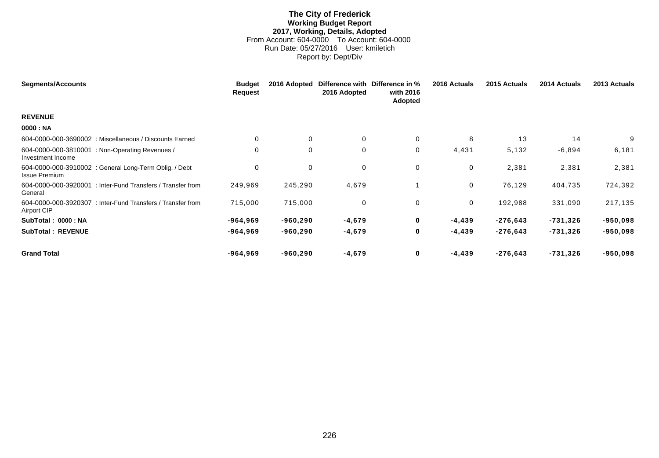# **The City of Frederick Working Budget Report 2017, Working, Details, Adopted** From Account: 604-0000 To Account: 604-0000 Run Date: 05/27/2016 User: kmiletich Report by: Dept/Div

| <b>Segments/Accounts</b>                                                       | <b>Budget</b><br><b>Request</b> | 2016 Adopted | 2016 Adopted | Difference with Difference in %<br>with 2016<br>Adopted | 2016 Actuals | 2015 Actuals | 2014 Actuals | 2013 Actuals |
|--------------------------------------------------------------------------------|---------------------------------|--------------|--------------|---------------------------------------------------------|--------------|--------------|--------------|--------------|
| <b>REVENUE</b>                                                                 |                                 |              |              |                                                         |              |              |              |              |
| 0000 : NA                                                                      |                                 |              |              |                                                         |              |              |              |              |
| 604-0000-000-3690002 : Miscellaneous / Discounts Earned                        | $\Omega$                        | $\mathbf 0$  | $\mathbf{0}$ | $\mathbf 0$                                             | 8            | 13           | 14           | 9            |
| 604-0000-000-3810001 : Non-Operating Revenues /<br>Investment Income           | 0                               | 0            | 0            | 0                                                       | 4,431        | 5,132        | $-6,894$     | 6,181        |
| 604-0000-000-3910002 : General Long-Term Oblig. / Debt<br><b>Issue Premium</b> | $\mathbf 0$                     | 0            | 0            | 0                                                       | 0            | 2,381        | 2,381        | 2,381        |
| 604-0000-000-3920001: Inter-Fund Transfers / Transfer from<br>General          | 249,969                         | 245,290      | 4,679        |                                                         | $\mathbf 0$  | 76,129       | 404,735      | 724,392      |
| 604-0000-000-3920307 : Inter-Fund Transfers / Transfer from<br>Airport CIP     | 715,000                         | 715,000      | 0            | 0                                                       | 0            | 192,988      | 331,090      | 217,135      |
| SubTotal: 0000: NA                                                             | $-964,969$                      | $-960,290$   | -4,679       | 0                                                       | $-4,439$     | $-276,643$   | $-731,326$   | $-950,098$   |
| <b>SubTotal: REVENUE</b>                                                       | $-964,969$                      | $-960,290$   | $-4,679$     | 0                                                       | $-4,439$     | $-276,643$   | $-731,326$   | $-950.098$   |
| <b>Grand Total</b>                                                             | $-964,969$                      | $-960,290$   | $-4,679$     | $\mathbf 0$                                             | $-4,439$     | $-276,643$   | $-731,326$   | $-950.098$   |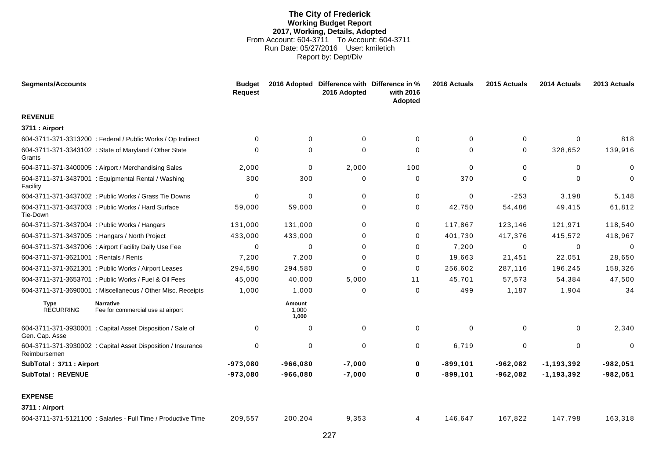### **The City of Frederick Working Budget Report 2017, Working, Details, Adopted** From Account: 604-3711 To Account: 604-3711 Run Date: 05/27/2016 User: kmiletich Report by: Dept/Div

| <b>Segments/Accounts</b>               |                                                               | <b>Budget</b><br><b>Request</b> |                          | 2016 Adopted Difference with Difference in %<br>2016 Adopted | with 2016<br>Adopted | 2016 Actuals | 2015 Actuals | 2014 Actuals   | 2013 Actuals |
|----------------------------------------|---------------------------------------------------------------|---------------------------------|--------------------------|--------------------------------------------------------------|----------------------|--------------|--------------|----------------|--------------|
| <b>REVENUE</b>                         |                                                               |                                 |                          |                                                              |                      |              |              |                |              |
| 3711 : Airport                         |                                                               |                                 |                          |                                                              |                      |              |              |                |              |
|                                        | 604-3711-371-3313200 : Federal / Public Works / Op Indirect   | $\Omega$                        | $\Omega$                 | $\Omega$                                                     | 0                    | 0            | 0            | $\Omega$       | 818          |
| Grants                                 | 604-3711-371-3343102 : State of Maryland / Other State        | $\Omega$                        | 0                        | $\Omega$                                                     | 0                    | $\Omega$     | 0            | 328,652        | 139,916      |
|                                        | 604-3711-371-3400005 : Airport / Merchandising Sales          | 2,000                           | $\mathbf 0$              | 2,000                                                        | 100                  | 0            | $\Omega$     | $\Omega$       | 0            |
| Facility                               | 604-3711-371-3437001 : Equipmental Rental / Washing           | 300                             | 300                      | 0                                                            | 0                    | 370          | 0            | $\Omega$       | $\mathbf 0$  |
|                                        | 604-3711-371-3437002 : Public Works / Grass Tie Downs         | $\Omega$                        | 0                        | $\Omega$                                                     | $\mathbf 0$          | $\mathbf 0$  | $-253$       | 3,198          | 5,148        |
| Tie-Down                               | 604-3711-371-3437003 : Public Works / Hard Surface            | 59,000                          | 59,000                   | 0                                                            | 0                    | 42,750       | 54,486       | 49,415         | 61,812       |
|                                        | 604-3711-371-3437004 : Public Works / Hangars                 | 131,000                         | 131,000                  | $\Omega$                                                     | 0                    | 117,867      | 123,146      | 121,971        | 118,540      |
|                                        | 604-3711-371-3437005 : Hangars / North Project                | 433,000                         | 433,000                  | $\Omega$                                                     | $\Omega$             | 401,730      | 417,376      | 415,572        | 418,967      |
|                                        | 604-3711-371-3437006 : Airport Facility Daily Use Fee         | 0                               | 0                        | $\Omega$                                                     | 0                    | 7,200        | 0            | 0              | $\mathbf 0$  |
| 604-3711-371-3621001 : Rentals / Rents |                                                               | 7,200                           | 7,200                    | $\Omega$                                                     | 0                    | 19,663       | 21,451       | 22,051         | 28,650       |
|                                        | 604-3711-371-3621301 : Public Works / Airport Leases          | 294,580                         | 294,580                  | $\Omega$                                                     | $\mathbf 0$          | 256,602      | 287,116      | 196,245        | 158,326      |
|                                        | 604-3711-371-3653701 : Public Works / Fuel & Oil Fees         | 45,000                          | 40,000                   | 5,000                                                        | 11                   | 45,701       | 57,573       | 54,384         | 47,500       |
|                                        | 604-3711-371-3690001 : Miscellaneous / Other Misc. Receipts   | 1,000                           | 1,000                    | $\Omega$                                                     | 0                    | 499          | 1,187        | 1,904          | 34           |
| Type<br><b>RECURRING</b>               | <b>Narrative</b><br>Fee for commercial use at airport         |                                 | Amount<br>1,000<br>1,000 |                                                              |                      |              |              |                |              |
| Gen. Cap. Asse                         | 604-3711-371-3930001 : Capital Asset Disposition / Sale of    | $\mathbf 0$                     | 0                        | $\Omega$                                                     | 0                    | $\Omega$     | $\mathbf 0$  | $\Omega$       | 2,340        |
| Reimbursemen                           | 604-3711-371-3930002 : Capital Asset Disposition / Insurance  | 0                               | 0                        | $\mathbf 0$                                                  | 0                    | 6,719        | 0            | 0              | 0            |
| SubTotal: 3711: Airport                |                                                               | $-973,080$                      | $-966,080$               | $-7,000$                                                     | 0                    | $-899, 101$  | $-962,082$   | $-1, 193, 392$ | $-982,051$   |
| <b>SubTotal: REVENUE</b>               |                                                               | $-973,080$                      | $-966,080$               | $-7,000$                                                     | 0                    | $-899, 101$  | $-962,082$   | $-1, 193, 392$ | $-982,051$   |
| <b>EXPENSE</b><br>3711 : Airport       |                                                               |                                 |                          |                                                              |                      |              |              |                |              |
|                                        | 604-3711-371-5121100 : Salaries - Full Time / Productive Time | 209,557                         | 200,204                  | 9,353                                                        | 4                    | 146,647      | 167,822      | 147,798        | 163,318      |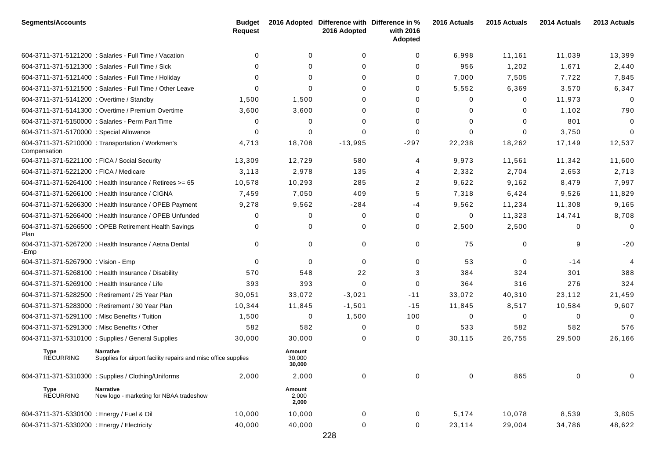| <b>Segments/Accounts</b>                       |                                                                             | <b>Budget</b><br><b>Request</b> |                            | 2016 Adopted Difference with Difference in %<br>2016 Adopted | with 2016<br>Adopted | 2016 Actuals | 2015 Actuals | 2014 Actuals | 2013 Actuals   |
|------------------------------------------------|-----------------------------------------------------------------------------|---------------------------------|----------------------------|--------------------------------------------------------------|----------------------|--------------|--------------|--------------|----------------|
|                                                | 604-3711-371-5121200 : Salaries - Full Time / Vacation                      | $\Omega$                        | 0                          | 0                                                            | 0                    | 6,998        | 11,161       | 11,039       | 13,399         |
|                                                | 604-3711-371-5121300 : Salaries - Full Time / Sick                          | 0                               | 0                          | 0                                                            | 0                    | 956          | 1,202        | 1,671        | 2,440          |
|                                                | 604-3711-371-5121400 : Salaries - Full Time / Holiday                       | $\Omega$                        | $\Omega$                   | 0                                                            | 0                    | 7,000        | 7,505        | 7,722        | 7,845          |
|                                                | 604-3711-371-5121500 : Salaries - Full Time / Other Leave                   | $\Omega$                        | 0                          | 0                                                            | 0                    | 5,552        | 6,369        | 3,570        | 6,347          |
| 604-3711-371-5141200 : Overtime / Standby      |                                                                             | 1,500                           | 1,500                      | 0                                                            | 0                    | $\Omega$     | 0            | 11,973       | 0              |
|                                                | 604-3711-371-5141300 : Overtime / Premium Overtime                          | 3,600                           | 3,600                      | 0                                                            | 0                    | $\Omega$     | 0            | 1,102        | 790            |
|                                                | 604-3711-371-5150000: Salaries - Perm Part Time                             | 0                               | 0                          | 0                                                            | 0                    | $\Omega$     | $\Omega$     | 801          | $\Omega$       |
| 604-3711-371-5170000 : Special Allowance       |                                                                             | 0                               | 0                          | 0                                                            | 0                    | $\Omega$     | $\Omega$     | 3,750        | $\Omega$       |
| Compensation                                   | 604-3711-371-5210000 : Transportation / Workmen's                           | 4,713                           | 18,708                     | $-13,995$                                                    | $-297$               | 22,238       | 18,262       | 17,149       | 12,537         |
| 604-3711-371-5221100 : FICA / Social Security  |                                                                             | 13,309                          | 12,729                     | 580                                                          | 4                    | 9,973        | 11,561       | 11,342       | 11,600         |
| 604-3711-371-5221200 : FICA / Medicare         |                                                                             | 3,113                           | 2,978                      | 135                                                          | 4                    | 2,332        | 2,704        | 2,653        | 2,713          |
|                                                | 604-3711-371-5264100 : Health Insurance / Retirees >= 65                    | 10,578                          | 10,293                     | 285                                                          | 2                    | 9,622        | 9,162        | 8,479        | 7,997          |
|                                                | 604-3711-371-5266100 : Health Insurance / CIGNA                             | 7,459                           | 7,050                      | 409                                                          | 5                    | 7,318        | 6,424        | 9,526        | 11,829         |
|                                                | 604-3711-371-5266300 : Health Insurance / OPEB Payment                      | 9,278                           | 9,562                      | $-284$                                                       | -4                   | 9,562        | 11,234       | 11,308       | 9,165          |
|                                                | 604-3711-371-5266400 : Health Insurance / OPEB Unfunded                     | 0                               | 0                          | $\mathbf 0$                                                  | 0                    | 0            | 11,323       | 14,741       | 8,708          |
| Plan                                           | 604-3711-371-5266500 : OPEB Retirement Health Savings                       | 0                               | 0                          | 0                                                            | 0                    | 2,500        | 2,500        | $\Omega$     | $\mathbf 0$    |
| -Emp                                           | 604-3711-371-5267200 : Health Insurance / Aetna Dental                      | $\Omega$                        | 0                          | 0                                                            | 0                    | 75           | 0            | 9            | $-20$          |
| 604-3711-371-5267900 : Vision - Emp            |                                                                             | $\Omega$                        | 0                          | $\mathbf{0}$                                                 | 0                    | 53           | $\mathbf 0$  | $-14$        | $\overline{4}$ |
|                                                | 604-3711-371-5268100 : Health Insurance / Disability                        | 570                             | 548                        | 22                                                           | 3                    | 384          | 324          | 301          | 388            |
| 604-3711-371-5269100 : Health Insurance / Life |                                                                             | 393                             | 393                        | 0                                                            | 0                    | 364          | 316          | 276          | 324            |
|                                                | 604-3711-371-5282500 : Retirement / 25 Year Plan                            | 30,051                          | 33,072                     | $-3,021$                                                     | $-11$                | 33,072       | 40,310       | 23,112       | 21,459         |
|                                                | 604-3711-371-5283000 : Retirement / 30 Year Plan                            | 10,344                          | 11,845                     | $-1,501$                                                     | $-15$                | 11,845       | 8,517        | 10,584       | 9,607          |
| 604-3711-371-5291100 : Misc Benefits / Tuition |                                                                             | 1,500                           | 0                          | 1,500                                                        | 100                  | 0            | $\mathbf 0$  | $\Omega$     | $\Omega$       |
| 604-3711-371-5291300 : Misc Benefits / Other   |                                                                             | 582                             | 582                        | 0                                                            | 0                    | 533          | 582          | 582          | 576            |
|                                                | 604-3711-371-5310100 : Supplies / General Supplies                          | 30,000                          | 30,000                     | 0                                                            | 0                    | 30,115       | 26,755       | 29,500       | 26,166         |
| <b>Type</b><br><b>RECURRING</b>                | Narrative<br>Supplies for airport facility repairs and misc office supplies |                                 | Amount<br>30,000<br>30,000 |                                                              |                      |              |              |              |                |
|                                                | 604-3711-371-5310300: Supplies / Clothing/Uniforms                          | 2,000                           | 2,000                      | $\pmb{0}$                                                    | $\mathbf 0$          | $\mathbf 0$  | 865          | $\mathbf 0$  | 0              |
| Type<br><b>RECURRING</b>                       | <b>Narrative</b><br>New logo - marketing for NBAA tradeshow                 |                                 | Amount<br>2,000<br>2,000   |                                                              |                      |              |              |              |                |
| 604-3711-371-5330100 : Energy / Fuel & Oil     |                                                                             | 10,000                          | 10,000                     | 0                                                            | $\mathbf 0$          | 5,174        | 10,078       | 8,539        | 3,805          |
| 604-3711-371-5330200 : Energy / Electricity    |                                                                             | 40,000                          | 40,000                     | 0                                                            | $\mathbf 0$          | 23,114       | 29,004       | 34,786       | 48,622         |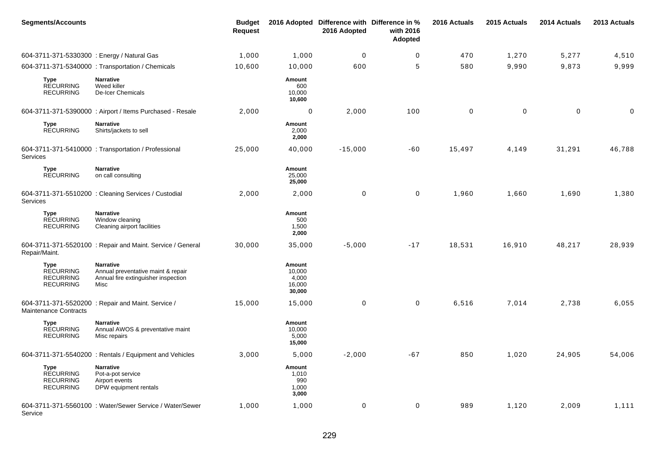| <b>Segments/Accounts</b>                                         |                                                                                                       | <b>Budget</b><br><b>Request</b> |                                               | 2016 Adopted Difference with Difference in %<br>2016 Adopted | with 2016<br>Adopted | 2016 Actuals | 2015 Actuals     | 2014 Actuals | 2013 Actuals |
|------------------------------------------------------------------|-------------------------------------------------------------------------------------------------------|---------------------------------|-----------------------------------------------|--------------------------------------------------------------|----------------------|--------------|------------------|--------------|--------------|
| 604-3711-371-5330300 : Energy / Natural Gas                      |                                                                                                       | 1,000                           | 1,000                                         | $\mathbf 0$                                                  | 0                    | 470          | 1,270            | 5,277        | 4,510        |
|                                                                  | 604-3711-371-5340000 : Transportation / Chemicals                                                     | 10,600                          | 10,000                                        | 600                                                          | 5                    | 580          | 9,990            | 9,873        | 9,999        |
| Type<br><b>RECURRING</b><br><b>RECURRING</b>                     | <b>Narrative</b><br>Weed killer<br>De-Icer Chemicals                                                  |                                 | Amount<br>600<br>10,000<br>10,600             |                                                              |                      |              |                  |              |              |
|                                                                  | 604-3711-371-5390000 : Airport / Items Purchased - Resale                                             | 2,000                           | 0                                             | 2,000                                                        | 100                  | $\mathbf 0$  | $\boldsymbol{0}$ | $\mathbf 0$  | 0            |
| Type<br><b>RECURRING</b>                                         | <b>Narrative</b><br>Shirts/jackets to sell                                                            |                                 | Amount<br>2,000<br>2,000                      |                                                              |                      |              |                  |              |              |
| Services                                                         | 604-3711-371-5410000: Transportation / Professional                                                   | 25,000                          | 40,000                                        | $-15,000$                                                    | $-60$                | 15,497       | 4,149            | 31,291       | 46,788       |
| <b>Type</b><br><b>RECURRING</b>                                  | <b>Narrative</b><br>on call consulting                                                                |                                 | Amount<br>25,000<br>25,000                    |                                                              |                      |              |                  |              |              |
| Services                                                         | 604-3711-371-5510200 : Cleaning Services / Custodial                                                  | 2,000                           | 2,000                                         | 0                                                            | $\mathbf 0$          | 1,960        | 1,660            | 1,690        | 1,380        |
| <b>Type</b><br><b>RECURRING</b><br><b>RECURRING</b>              | <b>Narrative</b><br>Window cleaning<br>Cleaning airport facilities                                    |                                 | Amount<br>500<br>1,500<br>2,000               |                                                              |                      |              |                  |              |              |
| Repair/Maint.                                                    | 604-3711-371-5520100 : Repair and Maint. Service / General                                            | 30,000                          | 35,000                                        | $-5,000$                                                     | $-17$                | 18,531       | 16,910           | 48,217       | 28,939       |
| Type<br><b>RECURRING</b><br><b>RECURRING</b><br><b>RECURRING</b> | <b>Narrative</b><br>Annual preventative maint & repair<br>Annual fire extinguisher inspection<br>Misc |                                 | Amount<br>10,000<br>4,000<br>16,000<br>30,000 |                                                              |                      |              |                  |              |              |
| <b>Maintenance Contracts</b>                                     | 604-3711-371-5520200 : Repair and Maint. Service /                                                    | 15,000                          | 15,000                                        | 0                                                            | $\mathbf 0$          | 6,516        | 7,014            | 2,738        | 6,055        |
| Type<br><b>RECURRING</b><br><b>RECURRING</b>                     | <b>Narrative</b><br>Annual AWOS & preventative maint<br>Misc repairs                                  |                                 | Amount<br>10,000<br>5,000<br>15,000           |                                                              |                      |              |                  |              |              |
|                                                                  | 604-3711-371-5540200 : Rentals / Equipment and Vehicles                                               | 3,000                           | 5,000                                         | $-2,000$                                                     | -67                  | 850          | 1,020            | 24,905       | 54,006       |
| Type<br><b>RECURRING</b><br><b>RECURRING</b><br><b>RECURRING</b> | <b>Narrative</b><br>Pot-a-pot service<br>Airport events<br>DPW equipment rentals                      |                                 | Amount<br>1,010<br>990<br>1,000<br>3,000      |                                                              |                      |              |                  |              |              |
| Service                                                          | 604-3711-371-5560100 : Water/Sewer Service / Water/Sewer                                              | 1,000                           | 1,000                                         | $\mathbf 0$                                                  | $\mathbf 0$          | 989          | 1,120            | 2,009        | 1,111        |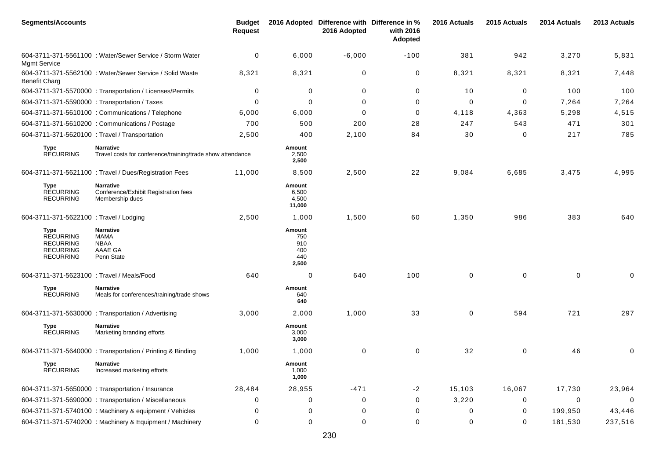| <b>Segments/Accounts</b>                                                                    |                                                                                | <b>Budget</b><br><b>Request</b> |                                             | 2016 Adopted Difference with Difference in %<br>2016 Adopted | with 2016<br>Adopted | 2016 Actuals | 2015 Actuals | 2014 Actuals | 2013 Actuals |
|---------------------------------------------------------------------------------------------|--------------------------------------------------------------------------------|---------------------------------|---------------------------------------------|--------------------------------------------------------------|----------------------|--------------|--------------|--------------|--------------|
| <b>Mgmt Service</b>                                                                         | 604-3711-371-5561100 : Water/Sewer Service / Storm Water                       | 0                               | 6,000                                       | $-6,000$                                                     | $-100$               | 381          | 942          | 3,270        | 5,831        |
| <b>Benefit Charg</b>                                                                        | 604-3711-371-5562100 : Water/Sewer Service / Solid Waste                       | 8,321                           | 8,321                                       | 0                                                            | 0                    | 8,321        | 8,321        | 8,321        | 7,448        |
|                                                                                             | 604-3711-371-5570000 : Transportation / Licenses/Permits                       | 0                               | 0                                           | 0                                                            | 0                    | 10           | 0            | 100          | 100          |
| 604-3711-371-5590000 : Transportation / Taxes                                               |                                                                                | 0                               | 0                                           | 0                                                            | 0                    | 0            | 0            | 7,264        | 7,264        |
|                                                                                             | 604-3711-371-5610100 : Communications / Telephone                              | 6,000                           | 6,000                                       | $\Omega$                                                     | 0                    | 4,118        | 4,363        | 5,298        | 4,515        |
|                                                                                             | 604-3711-371-5610200 : Communications / Postage                                | 700                             | 500                                         | 200                                                          | 28                   | 247          | 543          | 471          | 301          |
| 604-3711-371-5620100 : Travel / Transportation                                              |                                                                                | 2,500                           | 400                                         | 2,100                                                        | 84                   | 30           | 0            | 217          | 785          |
| Type<br><b>RECURRING</b>                                                                    | <b>Narrative</b><br>Travel costs for conference/training/trade show attendance |                                 | Amount<br>2,500<br>2,500                    |                                                              |                      |              |              |              |              |
|                                                                                             | 604-3711-371-5621100 : Travel / Dues/Registration Fees                         | 11,000                          | 8,500                                       | 2,500                                                        | 22                   | 9,084        | 6,685        | 3,475        | 4,995        |
| Type<br><b>RECURRING</b><br><b>RECURRING</b>                                                | <b>Narrative</b><br>Conference/Exhibit Registration fees<br>Membership dues    |                                 | Amount<br>6,500<br>4,500<br>11,000          |                                                              |                      |              |              |              |              |
| 604-3711-371-5622100 : Travel / Lodging                                                     |                                                                                | 2,500                           | 1,000                                       | 1,500                                                        | 60                   | 1,350        | 986          | 383          | 640          |
| <b>Type</b><br><b>RECURRING</b><br><b>RECURRING</b><br><b>RECURRING</b><br><b>RECURRING</b> | <b>Narrative</b><br>MAMA<br><b>NBAA</b><br>AAAE GA<br>Penn State               |                                 | Amount<br>750<br>910<br>400<br>440<br>2,500 |                                                              |                      |              |              |              |              |
| 604-3711-371-5623100 : Travel / Meals/Food                                                  |                                                                                | 640                             | 0                                           | 640                                                          | 100                  | $\mathbf 0$  | 0            | 0            | 0            |
| Type<br><b>RECURRING</b>                                                                    | <b>Narrative</b><br>Meals for conferences/training/trade shows                 |                                 | Amount<br>640<br>640                        |                                                              |                      |              |              |              |              |
|                                                                                             | 604-3711-371-5630000 : Transportation / Advertising                            | 3,000                           | 2,000                                       | 1,000                                                        | 33                   | 0            | 594          | 721          | 297          |
| Type<br><b>RECURRING</b>                                                                    | <b>Narrative</b><br>Marketing branding efforts                                 |                                 | Amount<br>3,000<br>3,000                    |                                                              |                      |              |              |              |              |
|                                                                                             | 604-3711-371-5640000 : Transportation / Printing & Binding                     | 1,000                           | 1,000                                       | 0                                                            | 0                    | 32           | 0            | 46           | 0            |
| Type<br><b>RECURRING</b>                                                                    | <b>Narrative</b><br>Increased marketing efforts                                |                                 | Amount<br>1,000<br>1,000                    |                                                              |                      |              |              |              |              |
|                                                                                             | 604-3711-371-5650000 : Transportation / Insurance                              | 28,484                          | 28,955                                      | $-471$                                                       | $-2$                 | 15,103       | 16,067       | 17,730       | 23,964       |
|                                                                                             | 604-3711-371-5690000 : Transportation / Miscellaneous                          | 0                               | 0                                           | 0                                                            | 0                    | 3,220        | 0            | 0            | 0            |
|                                                                                             | 604-3711-371-5740100 : Machinery & equipment / Vehicles                        | 0                               | 0                                           | 0                                                            | 0                    | 0            | 0            | 199,950      | 43,446       |
|                                                                                             | 604-3711-371-5740200 : Machinery & Equipment / Machinery                       | 0                               | 0                                           | 0                                                            | 0                    | 0            | 0            | 181,530      | 237,516      |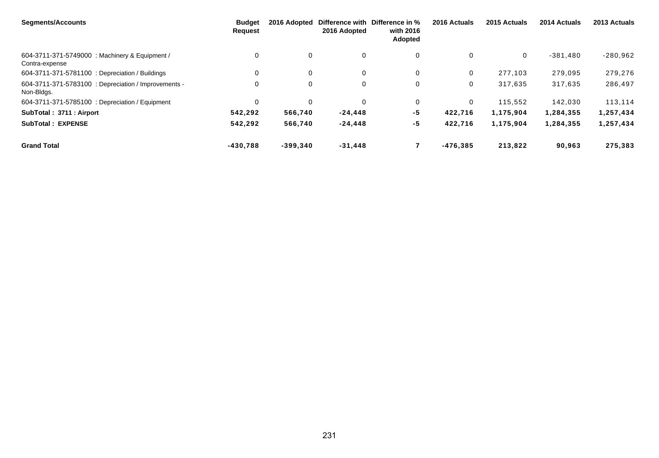| <b>Segments/Accounts</b>                                           | <b>Budget</b><br><b>Request</b> | 2016 Adopted | 2016 Adopted | Difference with Difference in %<br>with 2016<br><b>Adopted</b> | 2016 Actuals | 2015 Actuals | 2014 Actuals | 2013 Actuals |
|--------------------------------------------------------------------|---------------------------------|--------------|--------------|----------------------------------------------------------------|--------------|--------------|--------------|--------------|
| 604-3711-371-5749000 : Machinery & Equipment /<br>Contra-expense   | $\Omega$                        | 0            | 0            | $\mathbf 0$                                                    | 0            | 0            | $-381,480$   | $-280,962$   |
| 604-3711-371-5781100 : Depreciation / Buildings                    | $\Omega$                        | $\Omega$     | $\Omega$     | 0                                                              | 0            | 277.103      | 279,095      | 279,276      |
| 604-3711-371-5783100 : Depreciation / Improvements -<br>Non-Bidgs. | $\Omega$                        | $\Omega$     | $\Omega$     | 0                                                              | 0            | 317,635      | 317,635      | 286,497      |
| 604-3711-371-5785100 : Depreciation / Equipment                    | $\Omega$                        | $\Omega$     | $\Omega$     | 0                                                              | $\Omega$     | 115.552      | 142,030      | 113,114      |
| SubTotal: 3711 : Airport                                           | 542,292                         | 566,740      | $-24, 448$   | $-5$                                                           | 422,716      | 1,175,904    | 1,284,355    | 1,257,434    |
| <b>SubTotal: EXPENSE</b>                                           | 542,292                         | 566,740      | $-24, 448$   | -5                                                             | 422,716      | 1,175,904    | 1,284,355    | 1,257,434    |
| <b>Grand Total</b>                                                 | $-430.788$                      | $-399.340$   | $-31,448$    |                                                                | $-476.385$   | 213.822      | 90,963       | 275,383      |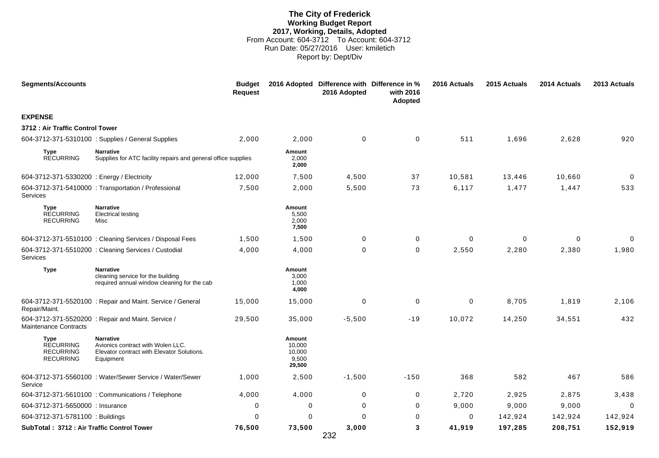## **The City of Frederick Working Budget Report 2017, Working, Details, Adopted** From Account: 604-3712 To Account: 604-3712 Run Date: 05/27/2016 User: kmiletich Report by: Dept/Div

| <b>Segments/Accounts</b>                                         |                                                                                                           | <b>Budget</b><br><b>Request</b> |                                               | 2016 Adopted Difference with Difference in %<br>2016 Adopted | with 2016<br><b>Adopted</b> | 2016 Actuals | 2015 Actuals | 2014 Actuals | 2013 Actuals |
|------------------------------------------------------------------|-----------------------------------------------------------------------------------------------------------|---------------------------------|-----------------------------------------------|--------------------------------------------------------------|-----------------------------|--------------|--------------|--------------|--------------|
| <b>EXPENSE</b>                                                   |                                                                                                           |                                 |                                               |                                                              |                             |              |              |              |              |
| 3712 : Air Traffic Control Tower                                 |                                                                                                           |                                 |                                               |                                                              |                             |              |              |              |              |
|                                                                  | 604-3712-371-5310100 : Supplies / General Supplies                                                        | 2,000                           | 2,000                                         | 0                                                            | $\pmb{0}$                   | 511          | 1,696        | 2,628        | 920          |
| <b>Type</b><br><b>RECURRING</b>                                  | <b>Narrative</b><br>Supplies for ATC facility repairs and general office supplies                         |                                 | Amount<br>2,000<br>2,000                      |                                                              |                             |              |              |              |              |
| 604-3712-371-5330200 : Energy / Electricity                      |                                                                                                           | 12,000                          | 7,500                                         | 4,500                                                        | 37                          | 10,581       | 13,446       | 10,660       | $\mathbf 0$  |
| Services                                                         | 604-3712-371-5410000: Transportation / Professional                                                       | 7,500                           | 2,000                                         | 5,500                                                        | 73                          | 6,117        | 1,477        | 1,447        | 533          |
| <b>Type</b><br><b>RECURRING</b><br><b>RECURRING</b>              | <b>Narrative</b><br>Electrical testing<br>Misc                                                            |                                 | Amount<br>5,500<br>2,000<br>7,500             |                                                              |                             |              |              |              |              |
|                                                                  | 604-3712-371-5510100 : Cleaning Services / Disposal Fees                                                  | 1,500                           | 1,500                                         | 0                                                            | 0                           | $\mathbf 0$  | $\mathbf 0$  | $\mathbf 0$  | $\mathbf 0$  |
| <b>Services</b>                                                  | 604-3712-371-5510200 : Cleaning Services / Custodial                                                      | 4,000                           | 4,000                                         | $\Omega$                                                     | $\mathbf 0$                 | 2,550        | 2,280        | 2,380        | 1,980        |
| <b>Type</b>                                                      | <b>Narrative</b><br>cleaning service for the building<br>required annual window cleaning for the cab      |                                 | Amount<br>3,000<br>1,000<br>4,000             |                                                              |                             |              |              |              |              |
| Repair/Maint.                                                    | 604-3712-371-5520100 : Repair and Maint. Service / General                                                | 15,000                          | 15,000                                        | 0                                                            | $\mathbf 0$                 | $\mathbf 0$  | 8,705        | 1,819        | 2,106        |
| Maintenance Contracts                                            | 604-3712-371-5520200 : Repair and Maint. Service /                                                        | 29,500                          | 35,000                                        | $-5,500$                                                     | $-19$                       | 10,072       | 14,250       | 34,551       | 432          |
| Type<br><b>RECURRING</b><br><b>RECURRING</b><br><b>RECURRING</b> | Narrative<br>Avionics contract with Wolen LLC.<br>Elevator contract with Elevator Solutions.<br>Equipment |                                 | Amount<br>10,000<br>10,000<br>9,500<br>29,500 |                                                              |                             |              |              |              |              |
| Service                                                          | 604-3712-371-5560100 : Water/Sewer Service / Water/Sewer                                                  | 1,000                           | 2,500                                         | $-1,500$                                                     | $-150$                      | 368          | 582          | 467          | 586          |
|                                                                  | 604-3712-371-5610100 : Communications / Telephone                                                         | 4,000                           | 4,000                                         | $\mathbf 0$                                                  | $\mathbf 0$                 | 2,720        | 2,925        | 2,875        | 3,438        |
| 604-3712-371-5650000 : Insurance                                 |                                                                                                           | 0                               | 0                                             | 0                                                            | 0                           | 9,000        | 9,000        | 9,000        | $\Omega$     |
| 604-3712-371-5781100 : Buildings                                 |                                                                                                           | $\Omega$                        | 0                                             | $\Omega$                                                     | 0                           | 0            | 142,924      | 142,924      | 142,924      |
| SubTotal: 3712 : Air Traffic Control Tower                       |                                                                                                           | 76,500                          | 73,500                                        | 3,000                                                        | 3                           | 41,919       | 197,285      | 208,751      | 152,919      |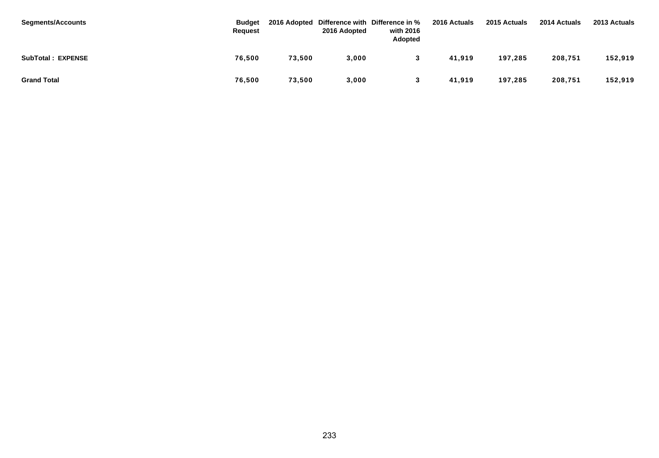| <b>Segments/Accounts</b> | <b>Budget</b><br>Request |        | 2016 Adopted | 2016 Adopted Difference with Difference in %<br>with 2016<br>Adopted | 2016 Actuals | 2015 Actuals | 2014 Actuals | 2013 Actuals |
|--------------------------|--------------------------|--------|--------------|----------------------------------------------------------------------|--------------|--------------|--------------|--------------|
| <b>SubTotal: EXPENSE</b> | 76,500                   | 73,500 | 3,000        |                                                                      | 41.919       | 197,285      | 208,751      | 152,919      |
| <b>Grand Total</b>       | 76.500                   | 73.500 | 3,000        | 3                                                                    | 41.919       | 197,285      | 208,751      | 152,919      |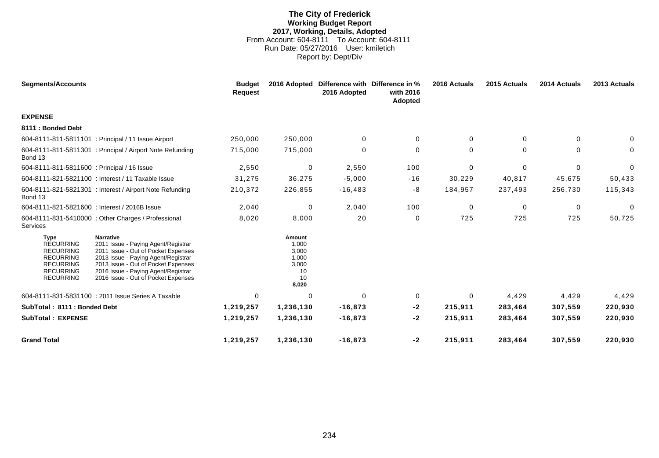# **The City of Frederick Working Budget Report 2017, Working, Details, Adopted** From Account: 604-8111 To Account: 604-8111 Run Date: 05/27/2016 User: kmiletich Report by: Dept/Div

| <b>Segments/Accounts</b>                                                                                                            |                                                                                                                                                                                                                                                            | <b>Budget</b><br><b>Request</b> | 2016 Adopted                                                    | 2016 Adopted | Difference with Difference in %<br>with 2016<br>Adopted | 2016 Actuals | 2015 Actuals | 2014 Actuals | 2013 Actuals |
|-------------------------------------------------------------------------------------------------------------------------------------|------------------------------------------------------------------------------------------------------------------------------------------------------------------------------------------------------------------------------------------------------------|---------------------------------|-----------------------------------------------------------------|--------------|---------------------------------------------------------|--------------|--------------|--------------|--------------|
| <b>EXPENSE</b>                                                                                                                      |                                                                                                                                                                                                                                                            |                                 |                                                                 |              |                                                         |              |              |              |              |
| 8111 : Bonded Debt                                                                                                                  |                                                                                                                                                                                                                                                            |                                 |                                                                 |              |                                                         |              |              |              |              |
|                                                                                                                                     | 604-8111-811-5811101 : Principal / 11 Issue Airport                                                                                                                                                                                                        | 250,000                         | 250,000                                                         | $\Omega$     | 0                                                       | $\Omega$     | $\mathbf 0$  | 0            |              |
| Bond 13                                                                                                                             | 604-8111-811-5811301 : Principal / Airport Note Refunding                                                                                                                                                                                                  | 715,000                         | 715,000                                                         | $\mathbf 0$  | $\mathbf 0$                                             | $\mathbf 0$  | $\mathbf 0$  | $\Omega$     | 0            |
| 604-8111-811-5811600 : Principal / 16 Issue                                                                                         |                                                                                                                                                                                                                                                            | 2,550                           | $\mathbf 0$                                                     | 2,550        | 100                                                     | 0            | $\mathbf 0$  | $\Omega$     | $\Omega$     |
|                                                                                                                                     | 604-8111-821-5821100 : Interest / 11 Taxable Issue                                                                                                                                                                                                         | 31,275                          | 36,275                                                          | $-5,000$     | $-16$                                                   | 30,229       | 40,817       | 45,675       | 50,433       |
| Bond 13                                                                                                                             | 604-8111-821-5821301 : Interest / Airport Note Refunding                                                                                                                                                                                                   | 210,372                         | 226,855                                                         | $-16,483$    | -8                                                      | 184,957      | 237,493      | 256,730      | 115,343      |
| 604-8111-821-5821600 : Interest / 2016B Issue                                                                                       |                                                                                                                                                                                                                                                            | 2,040                           | 0                                                               | 2,040        | 100                                                     | 0            | $\mathbf 0$  | 0            | 0            |
| Services                                                                                                                            | 604-8111-831-5410000 : Other Charges / Professional                                                                                                                                                                                                        | 8,020                           | 8,000                                                           | 20           | 0                                                       | 725          | 725          | 725          | 50,725       |
| <b>Type</b><br><b>RECURRING</b><br><b>RECURRING</b><br><b>RECURRING</b><br><b>RECURRING</b><br><b>RECURRING</b><br><b>RECURRING</b> | <b>Narrative</b><br>2011 Issue - Paying Agent/Registrar<br>2011 Issue - Out of Pocket Expenses<br>2013 Issue - Paying Agent/Registrar<br>2013 Issue - Out of Pocket Expenses<br>2016 Issue - Paying Agent/Registrar<br>2016 Issue - Out of Pocket Expenses |                                 | Amount<br>1,000<br>3,000<br>1,000<br>3,000<br>10<br>10<br>8,020 |              |                                                         |              |              |              |              |
|                                                                                                                                     | 604-8111-831-5831100 : 2011 Issue Series A Taxable                                                                                                                                                                                                         | 0                               | 0                                                               | $\mathbf 0$  | 0                                                       | 0            | 4,429        | 4,429        | 4,429        |
| SubTotal: 8111: Bonded Debt                                                                                                         |                                                                                                                                                                                                                                                            | 1,219,257                       | 1,236,130                                                       | $-16,873$    | $-2$                                                    | 215,911      | 283,464      | 307,559      | 220,930      |
| <b>SubTotal: EXPENSE</b>                                                                                                            |                                                                                                                                                                                                                                                            | 1,219,257                       | 1,236,130                                                       | $-16,873$    | $-2$                                                    | 215,911      | 283,464      | 307,559      | 220,930      |
| <b>Grand Total</b>                                                                                                                  |                                                                                                                                                                                                                                                            | 1,219,257                       | 1,236,130                                                       | $-16,873$    | $-2$                                                    | 215,911      | 283,464      | 307,559      | 220,930      |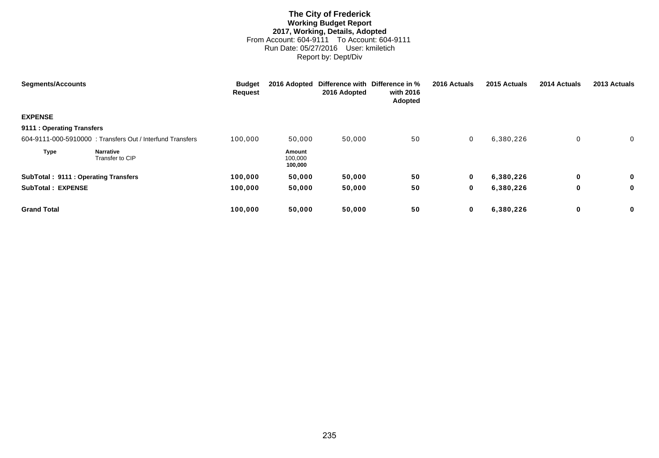# **The City of Frederick Working Budget Report 2017, Working, Details, Adopted** From Account: 604-9111 To Account: 604-9111 Run Date: 05/27/2016 User: kmiletich Report by: Dept/Div

| <b>Segments/Accounts</b>            |                                                           | <b>Budget</b><br><b>Request</b> | 2016 Adopted                 | 2016 Adopted | Difference with Difference in %<br>with 2016<br>Adopted | 2016 Actuals | 2015 Actuals | 2014 Actuals | 2013 Actuals |
|-------------------------------------|-----------------------------------------------------------|---------------------------------|------------------------------|--------------|---------------------------------------------------------|--------------|--------------|--------------|--------------|
| <b>EXPENSE</b>                      |                                                           |                                 |                              |              |                                                         |              |              |              |              |
| 9111 : Operating Transfers          |                                                           |                                 |                              |              |                                                         |              |              |              |              |
|                                     | 604-9111-000-5910000: Transfers Out / Interfund Transfers | 100,000                         | 50,000                       | 50,000       | 50                                                      | 0            | 6,380,226    | 0            | 0            |
| <b>Type</b>                         | <b>Narrative</b><br>Transfer to CIP                       |                                 | Amount<br>100,000<br>100,000 |              |                                                         |              |              |              |              |
| SubTotal: 9111: Operating Transfers |                                                           | 100,000                         | 50,000                       | 50,000       | 50                                                      | 0            | 6,380,226    | 0            | $\mathbf 0$  |
| <b>SubTotal: EXPENSE</b>            |                                                           | 100,000                         | 50,000                       | 50,000       | 50                                                      | 0            | 6,380,226    | $\mathbf 0$  | 0            |
| <b>Grand Total</b>                  |                                                           | 100,000                         | 50,000                       | 50,000       | 50                                                      | 0            | 6,380,226    | 0            | 0            |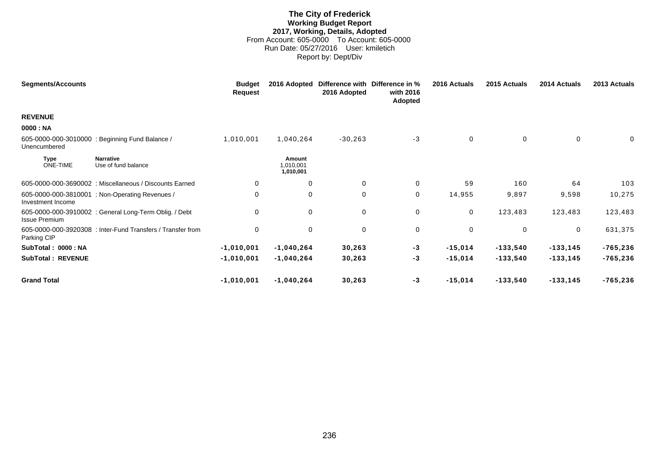# **The City of Frederick Working Budget Report 2017, Working, Details, Adopted** From Account: 605-0000 To Account: 605-0000 Run Date: 05/27/2016 User: kmiletich Report by: Dept/Div

| <b>Segments/Accounts</b> |                                                             | <b>Budget</b><br><b>Request</b> | 2016 Adopted                            | 2016 Adopted | Difference with Difference in %<br>with 2016<br>Adopted | 2016 Actuals | 2015 Actuals | 2014 Actuals | 2013 Actuals |
|--------------------------|-------------------------------------------------------------|---------------------------------|-----------------------------------------|--------------|---------------------------------------------------------|--------------|--------------|--------------|--------------|
| <b>REVENUE</b>           |                                                             |                                 |                                         |              |                                                         |              |              |              |              |
| 0000 : NA                |                                                             |                                 |                                         |              |                                                         |              |              |              |              |
| Unencumbered             | 605-0000-000-3010000: Beginning Fund Balance /              | 1,010,001                       | 1,040,264                               | $-30,263$    | $-3$                                                    | 0            | $\mathbf 0$  | 0            | 0            |
| <b>Type</b><br>ONE-TIME  | <b>Narrative</b><br>Use of fund balance                     |                                 | <b>Amount</b><br>1,010,001<br>1,010,001 |              |                                                         |              |              |              |              |
|                          | 605-0000-000-3690002 : Miscellaneous / Discounts Earned     | 0                               | 0                                       | $\mathbf 0$  | $\mathbf 0$                                             | 59           | 160          | 64           | 103          |
| Investment Income        | 605-0000-000-3810001 : Non-Operating Revenues /             | 0                               | 0                                       | $\mathbf 0$  | 0                                                       | 14,955       | 9,897        | 9,598        | 10,275       |
| <b>Issue Premium</b>     | 605-0000-000-3910002 : General Long-Term Oblig. / Debt      | 0                               | 0                                       | 0            | $\pmb{0}$                                               | 0            | 123,483      | 123,483      | 123,483      |
| Parking CIP              | 605-0000-000-3920308 : Inter-Fund Transfers / Transfer from | 0                               | 0                                       | 0            | 0                                                       | 0            | 0            | 0            | 631,375      |
| SubTotal: 0000: NA       |                                                             | $-1,010,001$                    | $-1,040,264$                            | 30,263       | $-3$                                                    | $-15,014$    | $-133,540$   | $-133, 145$  | $-765,236$   |
| <b>SubTotal: REVENUE</b> |                                                             | $-1,010,001$                    | $-1,040,264$                            | 30,263       | $-3$                                                    | $-15,014$    | $-133,540$   | $-133, 145$  | $-765,236$   |
| <b>Grand Total</b>       |                                                             | $-1,010,001$                    | $-1,040,264$                            | 30,263       | $-3$                                                    | $-15,014$    | $-133,540$   | $-133, 145$  | $-765,236$   |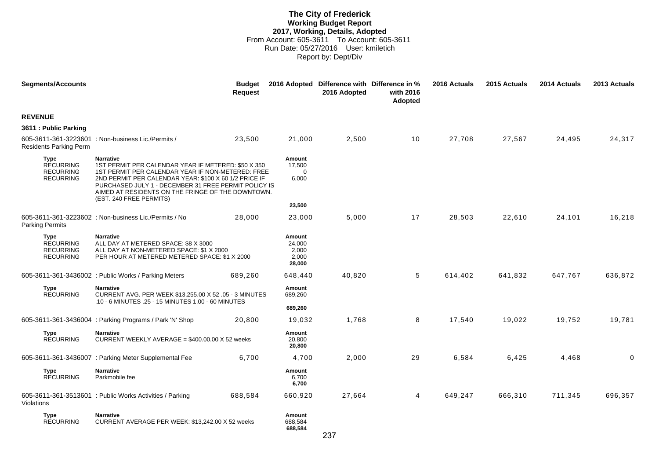### **The City of Frederick Working Budget Report 2017, Working, Details, Adopted** From Account: 605-3611 To Account: 605-3611 Run Date: 05/27/2016 User: kmiletich Report by: Dept/Div

| <b>Segments/Accounts</b>                                                |                                                                                                                                                                                                                                                                                                                               | <b>Budget</b><br><b>Request</b> |                                                    | 2016 Adopted Difference with Difference in %<br>2016 Adopted | with 2016<br>Adopted | 2016 Actuals | 2015 Actuals | 2014 Actuals | 2013 Actuals |
|-------------------------------------------------------------------------|-------------------------------------------------------------------------------------------------------------------------------------------------------------------------------------------------------------------------------------------------------------------------------------------------------------------------------|---------------------------------|----------------------------------------------------|--------------------------------------------------------------|----------------------|--------------|--------------|--------------|--------------|
| <b>REVENUE</b>                                                          |                                                                                                                                                                                                                                                                                                                               |                                 |                                                    |                                                              |                      |              |              |              |              |
| 3611 : Public Parking                                                   |                                                                                                                                                                                                                                                                                                                               |                                 |                                                    |                                                              |                      |              |              |              |              |
| <b>Residents Parking Perm</b>                                           | 605-3611-361-3223601 : Non-business Lic./Permits /                                                                                                                                                                                                                                                                            | 23,500                          | 21,000                                             | 2,500                                                        | 10                   | 27,708       | 27,567       | 24,495       | 24,317       |
| Type<br><b>RECURRING</b><br><b>RECURRING</b><br><b>RECURRING</b>        | <b>Narrative</b><br>1ST PERMIT PER CALENDAR YEAR IF METERED: \$50 X 350<br>1ST PERMIT PER CALENDAR YEAR IF NON-METERED: FREE<br>2ND PERMIT PER CALENDAR YEAR: \$100 X 60 1/2 PRICE IF<br>PURCHASED JULY 1 - DECEMBER 31 FREE PERMIT POLICY IS<br>AIMED AT RESIDENTS ON THE FRINGE OF THE DOWNTOWN.<br>(EST. 240 FREE PERMITS) |                                 | Amount<br>17,500<br>$\mathbf 0$<br>6,000<br>23,500 |                                                              |                      |              |              |              |              |
| <b>Parking Permits</b>                                                  | 605-3611-361-3223602 : Non-business Lic./Permits / No                                                                                                                                                                                                                                                                         | 28,000                          | 23,000                                             | 5,000                                                        | 17                   | 28,503       | 22,610       | 24,101       | 16,218       |
| <b>Type</b><br><b>RECURRING</b><br><b>RECURRING</b><br><b>RECURRING</b> | <b>Narrative</b><br>ALL DAY AT METERED SPACE: \$8 X 3000<br>ALL DAY AT NON-METERED SPACE: \$1 X 2000<br>PER HOUR AT METERED METERED SPACE: \$1 X 2000                                                                                                                                                                         |                                 | Amount<br>24,000<br>2,000<br>2,000<br>28,000       |                                                              |                      |              |              |              |              |
|                                                                         | 605-3611-361-3436002 : Public Works / Parking Meters                                                                                                                                                                                                                                                                          | 689,260                         | 648,440                                            | 40,820                                                       | 5                    | 614,402      | 641,832      | 647,767      | 636,872      |
| <b>Type</b><br><b>RECURRING</b>                                         | <b>Narrative</b><br>CURRENT AVG. PER WEEK \$13,255.00 X 52 .05 - 3 MINUTES<br>.10 - 6 MINUTES .25 - 15 MINUTES 1.00 - 60 MINUTES                                                                                                                                                                                              |                                 | Amount<br>689,260                                  |                                                              |                      |              |              |              |              |
|                                                                         |                                                                                                                                                                                                                                                                                                                               |                                 | 689,260                                            |                                                              |                      |              |              |              |              |
|                                                                         | 605-3611-361-3436004 : Parking Programs / Park 'N' Shop                                                                                                                                                                                                                                                                       | 20,800                          | 19,032                                             | 1,768                                                        | 8                    | 17,540       | 19,022       | 19,752       | 19,781       |
| <b>Type</b><br><b>RECURRING</b>                                         | <b>Narrative</b><br>CURRENT WEEKLY AVERAGE = $$400.00.00$ X 52 weeks                                                                                                                                                                                                                                                          |                                 | Amount<br>20,800<br>20,800                         |                                                              |                      |              |              |              |              |
|                                                                         | 605-3611-361-3436007 : Parking Meter Supplemental Fee                                                                                                                                                                                                                                                                         | 6,700                           | 4,700                                              | 2,000                                                        | 29                   | 6,584        | 6,425        | 4,468        | 0            |
| Type<br><b>RECURRING</b>                                                | <b>Narrative</b><br>Parkmobile fee                                                                                                                                                                                                                                                                                            |                                 | Amount<br>6,700<br>6,700                           |                                                              |                      |              |              |              |              |
| Violations                                                              | 605-3611-361-3513601 : Public Works Activities / Parking                                                                                                                                                                                                                                                                      | 688,584                         | 660,920                                            | 27,664                                                       | 4                    | 649,247      | 666,310      | 711,345      | 696,357      |
| <b>Type</b><br><b>RECURRING</b>                                         | <b>Narrative</b><br>CURRENT AVERAGE PER WEEK: \$13,242.00 X 52 weeks                                                                                                                                                                                                                                                          |                                 | Amount<br>688,584<br>688,584                       |                                                              |                      |              |              |              |              |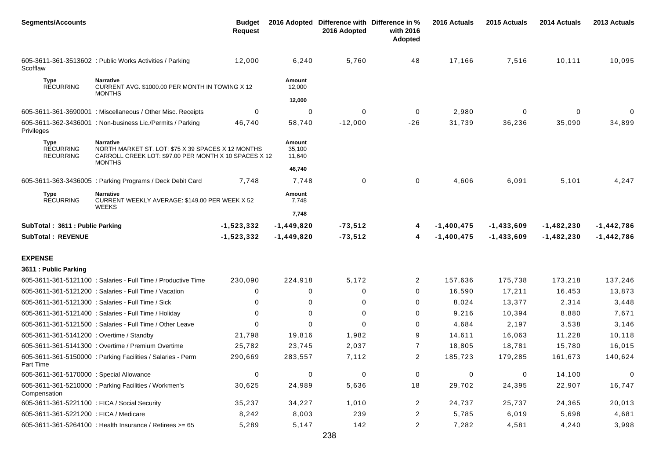| <b>Segments/Accounts</b>                      |                                                                                                                                                  | <b>Budget</b><br><b>Request</b> |                            | 2016 Adopted Difference with Difference in %<br>2016 Adopted | with 2016<br>Adopted | 2016 Actuals | 2015 Actuals | 2014 Actuals | 2013 Actuals |
|-----------------------------------------------|--------------------------------------------------------------------------------------------------------------------------------------------------|---------------------------------|----------------------------|--------------------------------------------------------------|----------------------|--------------|--------------|--------------|--------------|
| Scofflaw                                      | 605-3611-361-3513602 : Public Works Activities / Parking                                                                                         | 12,000                          | 6,240                      | 5,760                                                        | 48                   | 17,166       | 7,516        | 10,111       | 10,095       |
| Type<br><b>RECURRING</b>                      | <b>Narrative</b><br>CURRENT AVG. \$1000.00 PER MONTH IN TOWING X 12<br><b>MONTHS</b>                                                             |                                 | Amount<br>12,000           |                                                              |                      |              |              |              |              |
|                                               |                                                                                                                                                  |                                 | 12,000                     |                                                              |                      |              |              |              |              |
|                                               | 605-3611-361-3690001 : Miscellaneous / Other Misc. Receipts                                                                                      | 0                               | 0                          | 0                                                            | 0                    | 2,980        | $\mathbf 0$  | 0            | 0            |
| Privileges                                    | 605-3611-362-3436001 : Non-business Lic./Permits / Parking                                                                                       | 46,740                          | 58,740                     | $-12,000$                                                    | $-26$                | 31,739       | 36,236       | 35,090       | 34,899       |
| Type<br><b>RECURRING</b><br><b>RECURRING</b>  | <b>Narrative</b><br>NORTH MARKET ST. LOT: \$75 X 39 SPACES X 12 MONTHS<br>CARROLL CREEK LOT: \$97.00 PER MONTH X 10 SPACES X 12<br><b>MONTHS</b> |                                 | Amount<br>35,100<br>11,640 |                                                              |                      |              |              |              |              |
|                                               |                                                                                                                                                  |                                 | 46,740                     |                                                              |                      |              |              |              |              |
|                                               | 605-3611-363-3436005 : Parking Programs / Deck Debit Card                                                                                        | 7,748                           | 7,748                      | $\mathbf 0$                                                  | 0                    | 4,606        | 6,091        | 5,101        | 4,247        |
| Type<br><b>RECURRING</b>                      | <b>Narrative</b><br>CURRENT WEEKLY AVERAGE: \$149.00 PER WEEK X 52<br><b>WEEKS</b>                                                               |                                 | Amount<br>7,748            |                                                              |                      |              |              |              |              |
|                                               |                                                                                                                                                  |                                 | 7,748                      |                                                              |                      |              |              |              |              |
| SubTotal: 3611: Public Parking                |                                                                                                                                                  | $-1,523,332$                    | $-1,449,820$               | $-73,512$                                                    | 4                    | $-1,400,475$ | $-1,433,609$ | $-1,482,230$ | $-1,442,786$ |
| <b>SubTotal: REVENUE</b>                      |                                                                                                                                                  | $-1,523,332$                    | $-1,449,820$               | $-73,512$                                                    | 4                    | $-1,400,475$ | $-1,433,609$ | $-1,482,230$ | $-1,442,786$ |
| <b>EXPENSE</b>                                |                                                                                                                                                  |                                 |                            |                                                              |                      |              |              |              |              |
| 3611 : Public Parking                         |                                                                                                                                                  |                                 |                            |                                                              |                      |              |              |              |              |
|                                               | 605-3611-361-5121100 : Salaries - Full Time / Productive Time                                                                                    | 230,090                         | 224,918                    | 5,172                                                        | 2                    | 157,636      | 175,738      | 173,218      | 137,246      |
|                                               | 605-3611-361-5121200 : Salaries - Full Time / Vacation                                                                                           | 0                               | 0                          | 0                                                            | 0                    | 16,590       | 17,211       | 16,453       | 13,873       |
|                                               | 605-3611-361-5121300 : Salaries - Full Time / Sick                                                                                               | $\Omega$                        | 0                          | $\Omega$                                                     | 0                    | 8,024        | 13,377       | 2,314        | 3,448        |
|                                               | 605-3611-361-5121400 : Salaries - Full Time / Holiday                                                                                            | 0                               | 0                          | 0                                                            | 0                    | 9,216        | 10,394       | 8,880        | 7,671        |
|                                               | 605-3611-361-5121500 : Salaries - Full Time / Other Leave                                                                                        | $\Omega$                        | 0                          | $\Omega$                                                     | 0                    | 4,684        | 2,197        | 3,538        | 3,146        |
| 605-3611-361-5141200 : Overtime / Standby     |                                                                                                                                                  | 21,798                          | 19,816                     | 1,982                                                        | 9                    | 14,611       | 16,063       | 11,228       | 10,118       |
|                                               | 605-3611-361-5141300 : Overtime / Premium Overtime                                                                                               | 25,782                          | 23,745                     | 2,037                                                        | 7                    | 18,805       | 18,781       | 15,780       | 16,015       |
| Part Time                                     | 605-3611-361-5150000 : Parking Facilities / Salaries - Perm                                                                                      | 290,669                         | 283,557                    | 7,112                                                        | $\overline{2}$       | 185,723      | 179,285      | 161,673      | 140,624      |
| 605-3611-361-5170000 : Special Allowance      |                                                                                                                                                  | 0                               | 0                          | 0                                                            | 0                    | 0            | 0            | 14,100       | $\mathbf 0$  |
| Compensation                                  | 605-3611-361-5210000 : Parking Facilities / Workmen's                                                                                            | 30,625                          | 24,989                     | 5,636                                                        | 18                   | 29,702       | 24,395       | 22,907       | 16,747       |
| 605-3611-361-5221100 : FICA / Social Security |                                                                                                                                                  | 35,237                          | 34,227                     | 1,010                                                        | $\overline{a}$       | 24,737       | 25,737       | 24,365       | 20,013       |
| 605-3611-361-5221200 : FICA / Medicare        |                                                                                                                                                  | 8,242                           | 8,003                      | 239                                                          | $\overline{2}$       | 5,785        | 6,019        | 5,698        | 4,681        |
|                                               | 605-3611-361-5264100 : Health Insurance / Retirees >= 65                                                                                         | 5,289                           | 5,147                      | 142                                                          | $\overline{a}$       | 7,282        | 4,581        | 4,240        | 3,998        |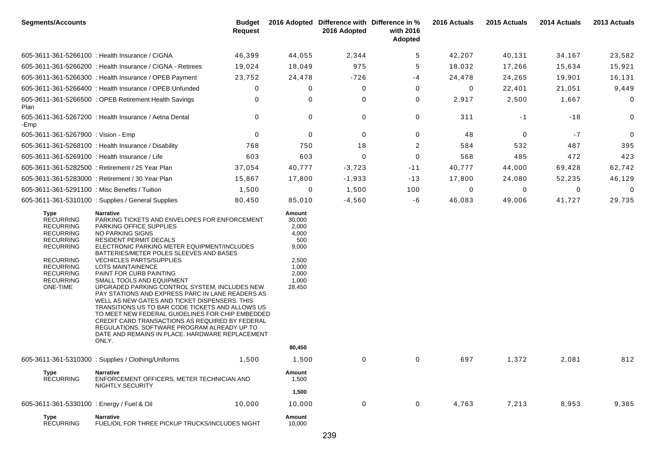| <b>Segments/Accounts</b>                                                                                                                                                                             |                                                                                                                                                                                                                                                                                                                                                                                                                                                                                                                                                                                                                                                                                                                                                                                         | <b>Budget</b><br><b>Request</b> |                                                                                                  | 2016 Adopted Difference with Difference in %<br>2016 Adopted | with 2016<br>Adopted | 2016 Actuals | 2015 Actuals | 2014 Actuals | 2013 Actuals |
|------------------------------------------------------------------------------------------------------------------------------------------------------------------------------------------------------|-----------------------------------------------------------------------------------------------------------------------------------------------------------------------------------------------------------------------------------------------------------------------------------------------------------------------------------------------------------------------------------------------------------------------------------------------------------------------------------------------------------------------------------------------------------------------------------------------------------------------------------------------------------------------------------------------------------------------------------------------------------------------------------------|---------------------------------|--------------------------------------------------------------------------------------------------|--------------------------------------------------------------|----------------------|--------------|--------------|--------------|--------------|
|                                                                                                                                                                                                      | 605-3611-361-5266100 : Health Insurance / CIGNA                                                                                                                                                                                                                                                                                                                                                                                                                                                                                                                                                                                                                                                                                                                                         | 46,399                          | 44,055                                                                                           | 2,344                                                        | 5                    | 42,207       | 40,131       | 34,167       | 23,582       |
|                                                                                                                                                                                                      | 605-3611-361-5266200 : Health Insurance / CIGNA - Retirees                                                                                                                                                                                                                                                                                                                                                                                                                                                                                                                                                                                                                                                                                                                              | 19,024                          | 18,049                                                                                           | 975                                                          | 5                    | 18,032       | 17,266       | 15,634       | 15,921       |
|                                                                                                                                                                                                      | 605-3611-361-5266300 : Health Insurance / OPEB Payment                                                                                                                                                                                                                                                                                                                                                                                                                                                                                                                                                                                                                                                                                                                                  | 23,752                          | 24,478                                                                                           | $-726$                                                       | -4                   | 24,478       | 24,265       | 19,901       | 16,131       |
|                                                                                                                                                                                                      | 605-3611-361-5266400 : Health Insurance / OPEB Unfunded                                                                                                                                                                                                                                                                                                                                                                                                                                                                                                                                                                                                                                                                                                                                 | 0                               | 0                                                                                                | 0                                                            | 0                    | 0            | 22,401       | 21,051       | 9,449        |
| Plan                                                                                                                                                                                                 | 605-3611-361-5266500 : OPEB Retirement Health Savings                                                                                                                                                                                                                                                                                                                                                                                                                                                                                                                                                                                                                                                                                                                                   | 0                               | 0                                                                                                | 0                                                            | 0                    | 2,917        | 2,500        | 1,667        | 0            |
| -Emp                                                                                                                                                                                                 | 605-3611-361-5267200 : Health Insurance / Aetna Dental                                                                                                                                                                                                                                                                                                                                                                                                                                                                                                                                                                                                                                                                                                                                  | 0                               | 0                                                                                                | 0                                                            | 0                    | 311          | $-1$         | $-18$        | 0            |
| 605-3611-361-5267900 : Vision - Emp                                                                                                                                                                  |                                                                                                                                                                                                                                                                                                                                                                                                                                                                                                                                                                                                                                                                                                                                                                                         | 0                               | 0                                                                                                | $\mathbf 0$                                                  | 0                    | 48           | 0            | $-7$         | $\mathbf 0$  |
|                                                                                                                                                                                                      | 605-3611-361-5268100 : Health Insurance / Disability                                                                                                                                                                                                                                                                                                                                                                                                                                                                                                                                                                                                                                                                                                                                    | 768                             | 750                                                                                              | 18                                                           | 2                    | 584          | 532          | 487          | 395          |
| 605-3611-361-5269100 : Health Insurance / Life                                                                                                                                                       |                                                                                                                                                                                                                                                                                                                                                                                                                                                                                                                                                                                                                                                                                                                                                                                         | 603                             | 603                                                                                              | 0                                                            | 0                    | 568          | 485          | 472          | 423          |
|                                                                                                                                                                                                      | 605-3611-361-5282500 : Retirement / 25 Year Plan                                                                                                                                                                                                                                                                                                                                                                                                                                                                                                                                                                                                                                                                                                                                        | 37,054                          | 40,777                                                                                           | $-3,723$                                                     | $-11$                | 40,777       | 44,000       | 69,428       | 62,742       |
|                                                                                                                                                                                                      | 605-3611-361-5283000 : Retirement / 30 Year Plan                                                                                                                                                                                                                                                                                                                                                                                                                                                                                                                                                                                                                                                                                                                                        | 15,867                          | 17,800                                                                                           | $-1,933$                                                     | $-13$                | 17,800       | 24,080       | 52,235       | 46,129       |
| 605-3611-361-5291100 : Misc Benefits / Tuition                                                                                                                                                       |                                                                                                                                                                                                                                                                                                                                                                                                                                                                                                                                                                                                                                                                                                                                                                                         | 1,500                           | 0                                                                                                | 1,500                                                        | 100                  | 0            | 0            | 0            | $\mathbf 0$  |
|                                                                                                                                                                                                      | 605-3611-361-5310100 : Supplies / General Supplies                                                                                                                                                                                                                                                                                                                                                                                                                                                                                                                                                                                                                                                                                                                                      | 80,450                          | 85,010                                                                                           | $-4,560$                                                     | -6                   | 46,083       | 49,006       | 41,727       | 29,735       |
| Type<br><b>RECURRING</b><br><b>RECURRING</b><br><b>RECURRING</b><br><b>RECURRING</b><br><b>RECURRING</b><br><b>RECURRING</b><br><b>RECURRING</b><br><b>RECURRING</b><br><b>RECURRING</b><br>ONE-TIME | <b>Narrative</b><br>PARKING TICKETS AND ENVELOPES FOR ENFORCEMENT<br>PARKING OFFICE SUPPLIES<br>NO PARKING SIGNS<br><b>RESIDENT PERMIT DECALS</b><br>ELECTRONIC PARKING METER EQUIPMENT/INCLUDES<br>BATTERIES/METER POLES SLEEVES AND BASES<br><b>VECHICLES PARTS/SUPPLIES</b><br>LOTS MAINTAINENCE<br>PAINT FOR CURB PAINTING<br>SMALL TOOLS AND EQUIPMENT<br>UPGRADED PARKING CONTROL SYSTEM, INCLUDES NEW<br>PAY STATIONS AND EXPRESS PARC IN LANE READERS AS<br>WELL AS NEW GATES AND TICKET DISPENSERS. THIS<br>TRANSITIONS US TO BAR CODE TICKETS AND ALLOWS US<br>TO MEET NEW FEDERAL GUIDELINES FOR CHIP EMBEDDED<br>CREDIT CARD TRANSACTIONS AS REQUIRED BY FEDERAL<br>REGULATIONS. SOFTWARE PROGRAM ALREADY UP TO<br>DATE AND REMAINS IN PLACE. HARDWARE REPLACEMENT<br>ONLY. |                                 | Amount<br>30,000<br>2,000<br>4,000<br>500<br>9,000<br>2,500<br>1,000<br>2,000<br>1,000<br>28,450 |                                                              |                      |              |              |              |              |
|                                                                                                                                                                                                      |                                                                                                                                                                                                                                                                                                                                                                                                                                                                                                                                                                                                                                                                                                                                                                                         |                                 | 80,450                                                                                           |                                                              |                      |              |              |              |              |
|                                                                                                                                                                                                      | 605-3611-361-5310300: Supplies / Clothing/Uniforms                                                                                                                                                                                                                                                                                                                                                                                                                                                                                                                                                                                                                                                                                                                                      | 1,500                           | 1,500                                                                                            | 0                                                            | 0                    | 697          | 1,372        | 2,081        | 812          |
| Type<br><b>RECURRING</b>                                                                                                                                                                             | <b>Narrative</b><br>ENFORCEMENT OFFICERS, METER TECHNICIAN AND<br>NIGHTLY SECURITY                                                                                                                                                                                                                                                                                                                                                                                                                                                                                                                                                                                                                                                                                                      |                                 | <b>Amount</b><br>1,500                                                                           |                                                              |                      |              |              |              |              |
|                                                                                                                                                                                                      |                                                                                                                                                                                                                                                                                                                                                                                                                                                                                                                                                                                                                                                                                                                                                                                         |                                 | 1,500                                                                                            |                                                              |                      |              |              |              |              |
| 605-3611-361-5330100 : Energy / Fuel & Oil                                                                                                                                                           |                                                                                                                                                                                                                                                                                                                                                                                                                                                                                                                                                                                                                                                                                                                                                                                         | 10,000                          | 10,000                                                                                           | 0                                                            | 0                    | 4,763        | 7,213        | 8,953        | 9,385        |
| Type<br><b>RECURRING</b>                                                                                                                                                                             | Narrative<br>FUEL/OIL FOR THREE PICKUP TRUCKS/INCLUDES NIGHT                                                                                                                                                                                                                                                                                                                                                                                                                                                                                                                                                                                                                                                                                                                            |                                 | Amount<br>10,000                                                                                 |                                                              |                      |              |              |              |              |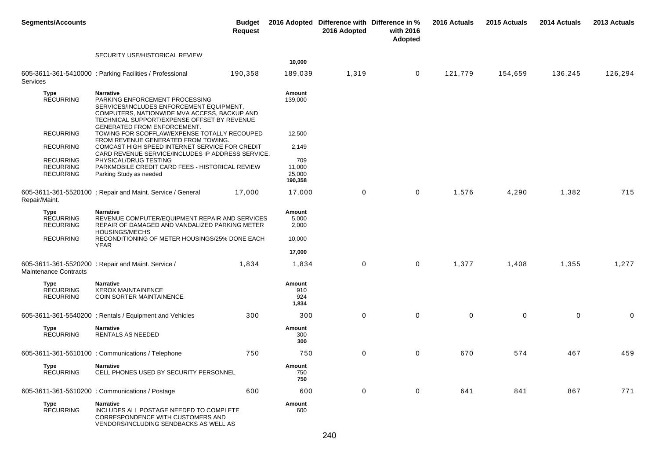| <b>Segments/Accounts</b>                                 |                                                                                                                                                                                                                                     | <b>Budget</b><br><b>Request</b> |                                    | 2016 Adopted Difference with Difference in %<br>2016 Adopted | with 2016<br>Adopted | 2016 Actuals | 2015 Actuals | 2014 Actuals | 2013 Actuals |
|----------------------------------------------------------|-------------------------------------------------------------------------------------------------------------------------------------------------------------------------------------------------------------------------------------|---------------------------------|------------------------------------|--------------------------------------------------------------|----------------------|--------------|--------------|--------------|--------------|
|                                                          | SECURITY USE/HISTORICAL REVIEW                                                                                                                                                                                                      |                                 | 10,000                             |                                                              |                      |              |              |              |              |
| Services                                                 | 605-3611-361-5410000: Parking Facilities / Professional                                                                                                                                                                             | 190,358                         | 189,039                            | 1,319                                                        | 0                    | 121,779      | 154,659      | 136,245      | 126,294      |
| <b>Type</b><br><b>RECURRING</b>                          | <b>Narrative</b><br>PARKING ENFORCEMENT PROCESSING<br>SERVICES/INCLUDES ENFORCEMENT EQUIPMENT,<br>COMPUTERS, NATIONWIDE MVA ACCESS, BACKUP AND<br>TECHNICAL SUPPORT/EXPENSE OFFSET BY REVENUE<br><b>GENERATED FROM ENFORCEMENT.</b> |                                 | Amount<br>139,000                  |                                                              |                      |              |              |              |              |
| <b>RECURRING</b>                                         | TOWING FOR SCOFFLAW/EXPENSE TOTALLY RECOUPED<br>FROM REVENUE GENERATED FROM TOWING.                                                                                                                                                 |                                 | 12,500                             |                                                              |                      |              |              |              |              |
| <b>RECURRING</b>                                         | COMCAST HIGH SPEED INTERNET SERVICE FOR CREDIT<br>CARD REVENUE SERVICE/INCLUDES IP ADDRESS SERVICE.                                                                                                                                 |                                 | 2,149                              |                                                              |                      |              |              |              |              |
| <b>RECURRING</b><br><b>RECURRING</b><br><b>RECURRING</b> | PHYSICAL/DRUG TESTING<br>PARKMOBILE CREDIT CARD FEES - HISTORICAL REVIEW<br>Parking Study as needed                                                                                                                                 |                                 | 709<br>11,000<br>25,000<br>190,358 |                                                              |                      |              |              |              |              |
| Repair/Maint.                                            | 605-3611-361-5520100 : Repair and Maint. Service / General                                                                                                                                                                          | 17,000                          | 17,000                             | 0                                                            | 0                    | 1,576        | 4,290        | 1,382        | 715          |
| Type<br><b>RECURRING</b><br><b>RECURRING</b>             | <b>Narrative</b><br>REVENUE COMPUTER/EQUIPMENT REPAIR AND SERVICES<br>REPAIR OF DAMAGED AND VANDALIZED PARKING METER<br><b>HOUSINGS/MECHS</b>                                                                                       |                                 | Amount<br>5,000<br>2,000           |                                                              |                      |              |              |              |              |
| <b>RECURRING</b>                                         | RECONDITIONING OF METER HOUSINGS/25% DONE EACH<br><b>YEAR</b>                                                                                                                                                                       |                                 | 10,000                             |                                                              |                      |              |              |              |              |
|                                                          |                                                                                                                                                                                                                                     |                                 | 17,000                             |                                                              |                      |              |              |              |              |
| <b>Maintenance Contracts</b>                             | 605-3611-361-5520200 : Repair and Maint. Service /                                                                                                                                                                                  | 1,834                           | 1,834                              | 0                                                            | 0                    | 1,377        | 1,408        | 1,355        | 1,277        |
| Type<br><b>RECURRING</b><br><b>RECURRING</b>             | <b>Narrative</b><br><b>XEROX MAINTAINENCE</b><br>COIN SORTER MAINTAINENCE                                                                                                                                                           |                                 | Amount<br>910<br>924<br>1,834      |                                                              |                      |              |              |              |              |
|                                                          | 605-3611-361-5540200 : Rentals / Equipment and Vehicles                                                                                                                                                                             | 300                             | 300                                | $\mathbf 0$                                                  | 0                    | $\mathbf 0$  | $\mathbf 0$  | $\mathbf 0$  | 0            |
| Type<br><b>RECURRING</b>                                 | <b>Narrative</b><br>RENTALS AS NEEDED                                                                                                                                                                                               |                                 | Amount<br>300<br>300               |                                                              |                      |              |              |              |              |
|                                                          | 605-3611-361-5610100 : Communications / Telephone                                                                                                                                                                                   | 750                             | 750                                | $\Omega$                                                     | 0                    | 670          | 574          | 467          | 459          |
| Type<br><b>RECURRING</b>                                 | <b>Narrative</b><br>CELL PHONES USED BY SECURITY PERSONNEL                                                                                                                                                                          |                                 | Amount<br>750<br>750               |                                                              |                      |              |              |              |              |
|                                                          | 605-3611-361-5610200 : Communications / Postage                                                                                                                                                                                     | 600                             | 600                                | 0                                                            | $\mathbf 0$          | 641          | 841          | 867          | 771          |
| Type<br><b>RECURRING</b>                                 | <b>Narrative</b><br>INCLUDES ALL POSTAGE NEEDED TO COMPLETE<br>CORRESPONDENCE WITH CUSTOMERS AND<br>VENDORS/INCLUDING SENDBACKS AS WELL AS                                                                                          |                                 | Amount<br>600                      |                                                              |                      |              |              |              |              |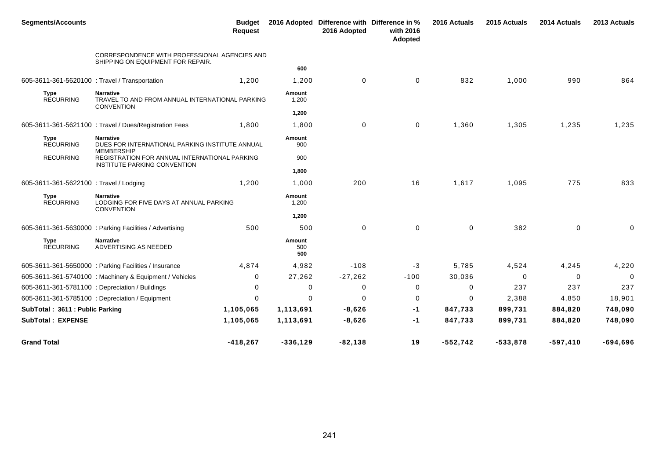| <b>Segments/Accounts</b>                       |                                                                                          | <b>Budget</b><br><b>Request</b> |                             | 2016 Adopted Difference with Difference in %<br>2016 Adopted | with 2016<br>Adopted | 2016 Actuals | 2015 Actuals | 2014 Actuals | 2013 Actuals |
|------------------------------------------------|------------------------------------------------------------------------------------------|---------------------------------|-----------------------------|--------------------------------------------------------------|----------------------|--------------|--------------|--------------|--------------|
|                                                | CORRESPONDENCE WITH PROFESSIONAL AGENCIES AND<br>SHIPPING ON EQUIPMENT FOR REPAIR.       |                                 | 600                         |                                                              |                      |              |              |              |              |
| 605-3611-361-5620100 : Travel / Transportation |                                                                                          | 1,200                           | 1,200                       | $\mathbf 0$                                                  | 0                    | 832          | 1,000        | 990          | 864          |
|                                                |                                                                                          |                                 |                             |                                                              |                      |              |              |              |              |
| <b>Type</b><br><b>RECURRING</b>                | <b>Narrative</b><br>TRAVEL TO AND FROM ANNUAL INTERNATIONAL PARKING<br><b>CONVENTION</b> |                                 | <b>Amount</b><br>1,200      |                                                              |                      |              |              |              |              |
|                                                |                                                                                          |                                 | 1,200                       |                                                              |                      |              |              |              |              |
|                                                | 605-3611-361-5621100 : Travel / Dues/Registration Fees                                   | 1,800                           | 1,800                       | 0                                                            | 0                    | 1,360        | 1,305        | 1,235        | 1,235        |
| Type<br><b>RECURRING</b>                       | Narrative<br>DUES FOR INTERNATIONAL PARKING INSTITUTE ANNUAL<br><b>MEMBERSHIP</b>        |                                 | Amount<br>900               |                                                              |                      |              |              |              |              |
| <b>RECURRING</b>                               | REGISTRATION FOR ANNUAL INTERNATIONAL PARKING<br>INSTITUTE PARKING CONVENTION            |                                 | 900                         |                                                              |                      |              |              |              |              |
|                                                |                                                                                          |                                 | 1,800                       |                                                              |                      |              |              |              |              |
| 605-3611-361-5622100 : Travel / Lodging        |                                                                                          | 1,200                           | 1,000                       | 200                                                          | 16                   | 1,617        | 1,095        | 775          | 833          |
| Type<br><b>RECURRING</b>                       | <b>Narrative</b><br>LODGING FOR FIVE DAYS AT ANNUAL PARKING<br><b>CONVENTION</b>         |                                 | Amount<br>1,200             |                                                              |                      |              |              |              |              |
|                                                |                                                                                          |                                 | 1,200                       |                                                              |                      |              |              |              |              |
|                                                | 605-3611-361-5630000 : Parking Facilities / Advertising                                  | 500                             | 500                         | $\mathbf 0$                                                  | $\mathbf 0$          | $\mathbf 0$  | 382          | $\mathbf{0}$ | 0            |
| <b>Type</b><br><b>RECURRING</b>                | <b>Narrative</b><br>ADVERTISING AS NEEDED                                                |                                 | <b>Amount</b><br>500<br>500 |                                                              |                      |              |              |              |              |
|                                                | 605-3611-361-5650000 : Parking Facilities / Insurance                                    | 4,874                           | 4,982                       | $-108$                                                       | -3                   | 5,785        | 4,524        | 4,245        | 4,220        |
|                                                | 605-3611-361-5740100 : Machinery & Equipment / Vehicles                                  | 0                               | 27,262                      | $-27,262$                                                    | $-100$               | 30,036       | $\mathbf 0$  | $\mathbf 0$  | $\mathbf 0$  |
|                                                | 605-3611-361-5781100 : Depreciation / Buildings                                          | 0                               | $\mathbf 0$                 | 0                                                            | 0                    | 0            | 237          | 237          | 237          |
|                                                | 605-3611-361-5785100 : Depreciation / Equipment                                          | 0                               | $\mathbf 0$                 | $\Omega$                                                     | 0                    | 0            | 2,388        | 4,850        | 18,901       |
| SubTotal: 3611: Public Parking                 |                                                                                          | 1,105,065                       | 1,113,691                   | $-8,626$                                                     | $-1$                 | 847,733      | 899,731      | 884,820      | 748,090      |
| <b>SubTotal: EXPENSE</b>                       |                                                                                          | 1,105,065                       | 1,113,691                   | $-8,626$                                                     | -1                   | 847,733      | 899,731      | 884,820      | 748,090      |
| <b>Grand Total</b>                             |                                                                                          | $-418,267$                      | $-336, 129$                 | $-82, 138$                                                   | 19                   | $-552,742$   | $-533,878$   | $-597,410$   | -694,696     |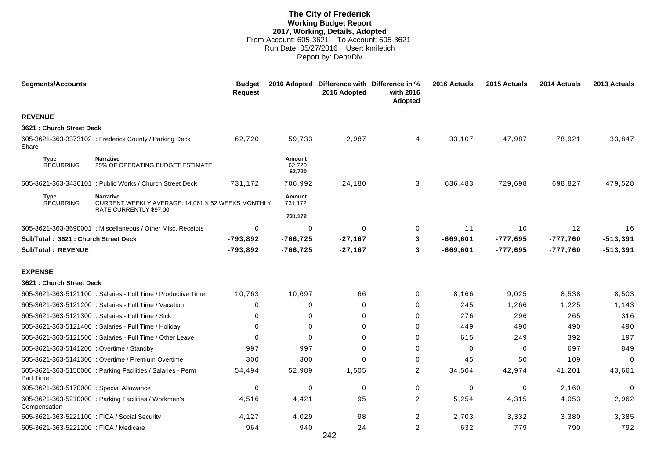# **The City of Frederick Working Budget Report 2017, Working, Details, Adopted** From Account: 605-3621 To Account: 605-3621 Run Date: 05/27/2016 User: kmiletich Report by: Dept/Div

| <b>Segments/Accounts</b>                      |                                                                       | <b>Budget</b><br><b>Request</b> |                                   | 2016 Adopted Difference with Difference in %<br>2016 Adopted | with 2016<br><b>Adopted</b> | 2016 Actuals | 2015 Actuals | 2014 Actuals | 2013 Actuals |
|-----------------------------------------------|-----------------------------------------------------------------------|---------------------------------|-----------------------------------|--------------------------------------------------------------|-----------------------------|--------------|--------------|--------------|--------------|
| <b>REVENUE</b>                                |                                                                       |                                 |                                   |                                                              |                             |              |              |              |              |
| 3621 : Church Street Deck                     |                                                                       |                                 |                                   |                                                              |                             |              |              |              |              |
| Share                                         | 605-3621-363-3373102 : Frederick County / Parking Deck                | 62,720                          | 59,733                            | 2,987                                                        | 4                           | 33,107       | 47,987       | 78,921       | 33,847       |
| Type<br><b>RECURRING</b>                      | <b>Narrative</b><br>25% OF OPERATING BUDGET ESTIMATE                  |                                 | <b>Amount</b><br>62,720<br>62,720 |                                                              |                             |              |              |              |              |
|                                               | 605-3621-363-3436101: Public Works / Church Street Deck               | 731,172                         | 706,992                           | 24,180                                                       | 3                           | 636,483      | 729,698      | 698,827      | 479,528      |
| Type<br><b>RECURRING</b>                      | <b>Narrative</b><br>CURRENT WEEKLY AVERAGE: 14,061 X 52 WEEKS MONTHLY |                                 | Amount<br>731,172                 |                                                              |                             |              |              |              |              |
|                                               | RATE CURRENTLY \$97.00                                                |                                 | 731,172                           |                                                              |                             |              |              |              |              |
|                                               | 605-3621-363-3690001 : Miscellaneous / Other Misc. Receipts           | 0                               | 0                                 | $\Omega$                                                     | 0                           | 11           | 10           | 12           | 16           |
| SubTotal: 3621: Church Street Deck            |                                                                       | -793,892                        | $-766,725$                        | $-27,167$                                                    | 3                           | $-669.601$   | $-777,695$   | $-777,760$   | $-513,391$   |
| <b>SubTotal: REVENUE</b>                      |                                                                       | $-793,892$                      | $-766,725$                        | $-27,167$                                                    | 3                           | $-669,601$   | $-777,695$   | $-777,760$   | $-513,391$   |
| <b>EXPENSE</b>                                |                                                                       |                                 |                                   |                                                              |                             |              |              |              |              |
| 3621 : Church Street Deck                     |                                                                       |                                 |                                   |                                                              |                             |              |              |              |              |
|                                               | 605-3621-363-5121100 : Salaries - Full Time / Productive Time         | 10.763                          | 10,697                            | 66                                                           | 0                           | 8.166        | 9.025        | 8,538        | 8,503        |
|                                               | 605-3621-363-5121200 : Salaries - Full Time / Vacation                | 0                               | 0                                 | $\Omega$                                                     | 0                           | 245          | 1,266        | 1,225        | 1,143        |
|                                               | 605-3621-363-5121300 : Salaries - Full Time / Sick                    | 0                               | 0                                 | 0                                                            | 0                           | 276          | 296          | 265          | 316          |
|                                               | 605-3621-363-5121400 : Salaries - Full Time / Holiday                 | 0                               | 0                                 | 0                                                            | 0                           | 449          | 490          | 490          | 490          |
|                                               | 605-3621-363-5121500 : Salaries - Full Time / Other Leave             | $\Omega$                        | $\Omega$                          | 0                                                            | 0                           | 615          | 249          | 392          | 197          |
| 605-3621-363-5141200 : Overtime / Standby     |                                                                       | 997                             | 997                               | 0                                                            | 0                           | $\Omega$     | $\mathbf 0$  | 697          | 849          |
|                                               | 605-3621-363-5141300 : Overtime / Premium Overtime                    | 300                             | 300                               | $\Omega$                                                     | 0                           | 45           | 50           | 109          | $\Omega$     |
| Part Time                                     | 605-3621-363-5150000 : Parking Facilities / Salaries - Perm           | 54,494                          | 52,989                            | 1,505                                                        | $\overline{a}$              | 34,504       | 42,974       | 41,201       | 43,661       |
| 605-3621-363-5170000 : Special Allowance      |                                                                       | 0                               | $\mathbf 0$                       | $\Omega$                                                     | 0                           | $\mathbf 0$  | $\mathbf 0$  | 2,160        | $\mathbf 0$  |
| Compensation                                  | 605-3621-363-5210000 : Parking Facilities / Workmen's                 | 4,516                           | 4,421                             | 95                                                           | $\overline{a}$              | 5,254        | 4,315        | 4,053        | 2,962        |
| 605-3621-363-5221100 : FICA / Social Security |                                                                       | 4,127                           | 4,029                             | 98                                                           | 2                           | 2,703        | 3,332        | 3,380        | 3,385        |
| 605-3621-363-5221200 : FICA / Medicare        |                                                                       | 964                             | 940                               | 24                                                           | $\overline{2}$              | 632          | 779          | 790          | 792          |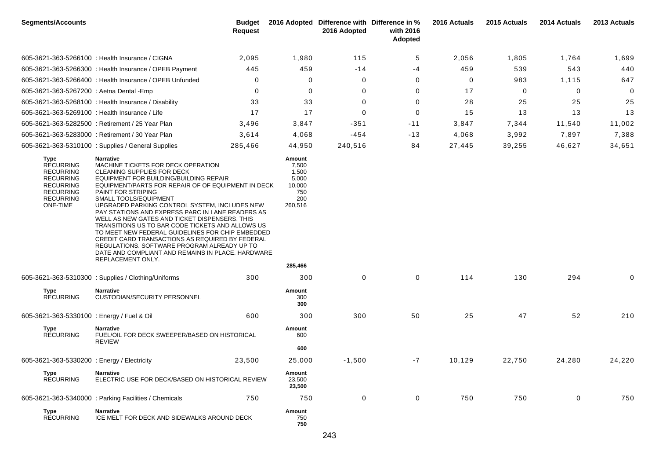| <b>Segments/Accounts</b>                                                                                                                 |                                                                                                                                                                                                                                                                                                                                                                                                                                                                                                                                                                                                                                                                        | <b>Budget</b><br><b>Request</b> |                                                                                 | 2016 Adopted Difference with Difference in %<br>2016 Adopted | with 2016<br>Adopted | 2016 Actuals | 2015 Actuals | 2014 Actuals | 2013 Actuals |
|------------------------------------------------------------------------------------------------------------------------------------------|------------------------------------------------------------------------------------------------------------------------------------------------------------------------------------------------------------------------------------------------------------------------------------------------------------------------------------------------------------------------------------------------------------------------------------------------------------------------------------------------------------------------------------------------------------------------------------------------------------------------------------------------------------------------|---------------------------------|---------------------------------------------------------------------------------|--------------------------------------------------------------|----------------------|--------------|--------------|--------------|--------------|
|                                                                                                                                          | 605-3621-363-5266100 : Health Insurance / CIGNA                                                                                                                                                                                                                                                                                                                                                                                                                                                                                                                                                                                                                        | 2,095                           | 1,980                                                                           | 115                                                          | 5                    | 2,056        | 1,805        | 1,764        | 1,699        |
|                                                                                                                                          | 605-3621-363-5266300 : Health Insurance / OPEB Payment                                                                                                                                                                                                                                                                                                                                                                                                                                                                                                                                                                                                                 | 445                             | 459                                                                             | $-14$                                                        | -4                   | 459          | 539          | 543          | 440          |
|                                                                                                                                          | 605-3621-363-5266400 : Health Insurance / OPEB Unfunded                                                                                                                                                                                                                                                                                                                                                                                                                                                                                                                                                                                                                | 0                               | 0                                                                               | 0                                                            | 0                    | 0            | 983          | 1,115        | 647          |
| 605-3621-363-5267200 : Aetna Dental - Emp                                                                                                |                                                                                                                                                                                                                                                                                                                                                                                                                                                                                                                                                                                                                                                                        | 0                               | 0                                                                               | $\Omega$                                                     | 0                    | 17           | 0            | $\mathbf 0$  | 0            |
|                                                                                                                                          | 605-3621-363-5268100 : Health Insurance / Disability                                                                                                                                                                                                                                                                                                                                                                                                                                                                                                                                                                                                                   | 33                              | 33                                                                              | 0                                                            | 0                    | 28           | 25           | 25           | 25           |
| 605-3621-363-5269100 : Health Insurance / Life                                                                                           |                                                                                                                                                                                                                                                                                                                                                                                                                                                                                                                                                                                                                                                                        | 17                              | 17                                                                              | $\Omega$                                                     | 0                    | 15           | 13           | 13           | 13           |
|                                                                                                                                          | 605-3621-363-5282500 : Retirement / 25 Year Plan                                                                                                                                                                                                                                                                                                                                                                                                                                                                                                                                                                                                                       | 3,496                           | 3,847                                                                           | $-351$                                                       | $-11$                | 3,847        | 7,344        | 11,540       | 11,002       |
|                                                                                                                                          | 605-3621-363-5283000 : Retirement / 30 Year Plan                                                                                                                                                                                                                                                                                                                                                                                                                                                                                                                                                                                                                       | 3,614                           | 4,068                                                                           | $-454$                                                       | $-13$                | 4,068        | 3,992        | 7,897        | 7,388        |
|                                                                                                                                          | 605-3621-363-5310100 : Supplies / General Supplies                                                                                                                                                                                                                                                                                                                                                                                                                                                                                                                                                                                                                     | 285,466                         | 44,950                                                                          | 240,516                                                      | 84                   | 27,445       | 39,255       | 46,627       | 34,651       |
| Type<br><b>RECURRING</b><br><b>RECURRING</b><br><b>RECURRING</b><br><b>RECURRING</b><br><b>RECURRING</b><br><b>RECURRING</b><br>ONE-TIME | Narrative<br>MACHINE TICKETS FOR DECK OPERATION<br>CLEANING SUPPLIES FOR DECK<br>EQUIPMENT FOR BUILDING/BUILDING REPAIR<br>EQUIPMENT/PARTS FOR REPAIR OF OF EQUIPMENT IN DECK<br>PAINT FOR STRIPING<br>SMALL TOOLS/EQUIPMENT<br>UPGRADED PARKING CONTROL SYSTEM, INCLUDES NEW<br>PAY STATIONS AND EXPRESS PARC IN LANE READERS AS<br>WELL AS NEW GATES AND TICKET DISPENSERS. THIS<br>TRANSITIONS US TO BAR CODE TICKETS AND ALLOWS US<br>TO MEET NEW FEDERAL GUIDELINES FOR CHIP EMBEDDED<br>CREDIT CARD TRANSACTIONS AS REQUIRED BY FEDERAL<br>REGULATIONS. SOFTWARE PROGRAM ALREADY UP TO<br>DATE AND COMPLIANT AND REMAINS IN PLACE. HARDWARE<br>REPLACEMENT ONLY. |                                 | Amount<br>7,500<br>1,500<br>5,000<br>10,000<br>750<br>200<br>260,516<br>285,466 |                                                              |                      |              |              |              |              |
|                                                                                                                                          | 605-3621-363-5310300: Supplies / Clothing/Uniforms                                                                                                                                                                                                                                                                                                                                                                                                                                                                                                                                                                                                                     | 300                             | 300                                                                             | 0                                                            | 0                    | 114          | 130          | 294          | 0            |
| Type<br><b>RECURRING</b>                                                                                                                 | <b>Narrative</b><br>CUSTODIAN/SECURITY PERSONNEL                                                                                                                                                                                                                                                                                                                                                                                                                                                                                                                                                                                                                       |                                 | Amount<br>300<br>300                                                            |                                                              |                      |              |              |              |              |
| 605-3621-363-5330100 : Energy / Fuel & Oil                                                                                               |                                                                                                                                                                                                                                                                                                                                                                                                                                                                                                                                                                                                                                                                        | 600                             | 300                                                                             | 300                                                          | 50                   | 25           | 47           | 52           | 210          |
| <b>Type</b><br><b>RECURRING</b>                                                                                                          | <b>Narrative</b><br>FUEL/OIL FOR DECK SWEEPER/BASED ON HISTORICAL<br><b>REVIEW</b>                                                                                                                                                                                                                                                                                                                                                                                                                                                                                                                                                                                     |                                 | Amount<br>600                                                                   |                                                              |                      |              |              |              |              |
|                                                                                                                                          |                                                                                                                                                                                                                                                                                                                                                                                                                                                                                                                                                                                                                                                                        |                                 | 600                                                                             |                                                              |                      |              |              |              |              |
| 605-3621-363-5330200 : Energy / Electricity                                                                                              |                                                                                                                                                                                                                                                                                                                                                                                                                                                                                                                                                                                                                                                                        | 23,500                          | 25,000                                                                          | $-1,500$                                                     | $-7$                 | 10,129       | 22,750       | 24,280       | 24,220       |
| Type<br><b>RECURRING</b>                                                                                                                 | Narrative<br>ELECTRIC USE FOR DECK/BASED ON HISTORICAL REVIEW                                                                                                                                                                                                                                                                                                                                                                                                                                                                                                                                                                                                          |                                 | Amount<br>23,500<br>23,500                                                      |                                                              |                      |              |              |              |              |
|                                                                                                                                          | 605-3621-363-5340000 : Parking Facilities / Chemicals                                                                                                                                                                                                                                                                                                                                                                                                                                                                                                                                                                                                                  | 750                             | 750                                                                             | 0                                                            | 0                    | 750          | 750          | 0            | 750          |
| Type<br><b>RECURRING</b>                                                                                                                 | <b>Narrative</b><br>ICE MELT FOR DECK AND SIDEWALKS AROUND DECK                                                                                                                                                                                                                                                                                                                                                                                                                                                                                                                                                                                                        |                                 | Amount<br>750<br>750                                                            |                                                              |                      |              |              |              |              |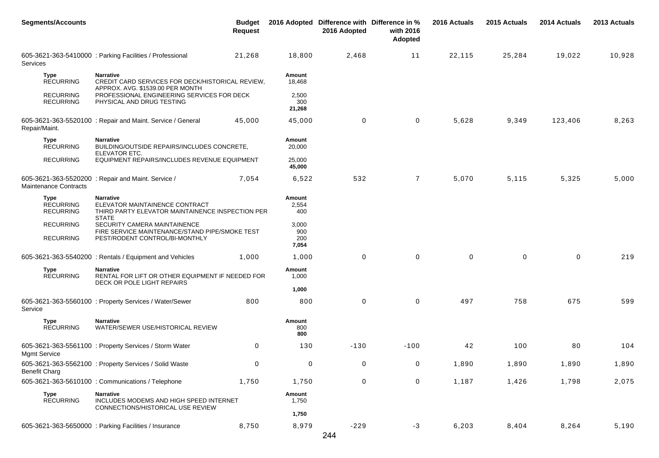| <b>Segments/Accounts</b>                     |                                                                                                                        | Budget<br><b>Request</b> |                              | 2016 Adopted Difference with Difference in %<br>2016 Adopted | with 2016<br>Adopted | 2016 Actuals | 2015 Actuals | 2014 Actuals | 2013 Actuals |
|----------------------------------------------|------------------------------------------------------------------------------------------------------------------------|--------------------------|------------------------------|--------------------------------------------------------------|----------------------|--------------|--------------|--------------|--------------|
| Services                                     | 605-3621-363-5410000: Parking Facilities / Professional                                                                | 21,268                   | 18,800                       | 2,468                                                        | 11                   | 22,115       | 25,284       | 19,022       | 10,928       |
| <b>Type</b><br><b>RECURRING</b>              | <b>Narrative</b><br>CREDIT CARD SERVICES FOR DECK/HISTORICAL REVIEW,<br>APPROX. AVG. \$1539.00 PER MONTH               |                          | Amount<br>18,468             |                                                              |                      |              |              |              |              |
| <b>RECURRING</b><br><b>RECURRING</b>         | PROFESSIONAL ENGINEERING SERVICES FOR DECK<br>PHYSICAL AND DRUG TESTING                                                |                          | 2,500<br>300<br>21,268       |                                                              |                      |              |              |              |              |
| Repair/Maint.                                | 605-3621-363-5520100 : Repair and Maint. Service / General                                                             | 45,000                   | 45,000                       | 0                                                            | $\mathbf 0$          | 5,628        | 9,349        | 123,406      | 8,263        |
| Type<br><b>RECURRING</b>                     | <b>Narrative</b><br>BUILDING/OUTSIDE REPAIRS/INCLUDES CONCRETE,<br>ELEVATOR ETC.                                       |                          | Amount<br>20,000             |                                                              |                      |              |              |              |              |
| <b>RECURRING</b>                             | EQUIPMENT REPAIRS/INCLUDES REVENUE EQUIPMENT                                                                           |                          | 25,000<br>45,000             |                                                              |                      |              |              |              |              |
| <b>Maintenance Contracts</b>                 | 605-3621-363-5520200 : Repair and Maint. Service /                                                                     | 7,054                    | 6,522                        | 532                                                          | $\overline{7}$       | 5,070        | 5,115        | 5,325        | 5,000        |
| Type<br><b>RECURRING</b><br><b>RECURRING</b> | <b>Narrative</b><br>ELEVATOR MAINTAINENCE CONTRACT<br>THIRD PARTY ELEVATOR MAINTAINENCE INSPECTION PER<br><b>STATE</b> |                          | Amount<br>2,554<br>400       |                                                              |                      |              |              |              |              |
| <b>RECURRING</b><br><b>RECURRING</b>         | SECURITY CAMERA MAINTAINENCE<br>FIRE SERVICE MAINTENANCE/STAND PIPE/SMOKE TEST<br>PEST/RODENT CONTROL/BI-MONTHLY       |                          | 3,000<br>900<br>200<br>7,054 |                                                              |                      |              |              |              |              |
|                                              | 605-3621-363-5540200: Rentals / Equipment and Vehicles                                                                 | 1,000                    | 1,000                        | $\mathbf 0$                                                  | 0                    | $\Omega$     | $\mathbf 0$  | $\mathbf 0$  | 219          |
| Type<br><b>RECURRING</b>                     | <b>Narrative</b><br>RENTAL FOR LIFT OR OTHER EQUIPMENT IF NEEDED FOR<br>DECK OR POLE LIGHT REPAIRS                     |                          | Amount<br>1,000              |                                                              |                      |              |              |              |              |
|                                              |                                                                                                                        |                          | 1,000                        |                                                              |                      |              |              |              |              |
| Service                                      | 605-3621-363-5560100 : Property Services / Water/Sewer                                                                 | 800                      | 800                          | 0                                                            | 0                    | 497          | 758          | 675          | 599          |
| Type<br><b>RECURRING</b>                     | <b>Narrative</b><br>WATER/SEWER USE/HISTORICAL REVIEW                                                                  |                          | Amount<br>800<br>800         |                                                              |                      |              |              |              |              |
| <b>Mgmt Service</b>                          | 605-3621-363-5561100 : Property Services / Storm Water                                                                 | 0                        | 130                          | $-130$                                                       | $-100$               | 42           | 100          | 80           | 104          |
| <b>Benefit Charg</b>                         | 605-3621-363-5562100 : Property Services / Solid Waste                                                                 | 0                        | $\boldsymbol{0}$             | $\boldsymbol{0}$                                             | $\mathbf 0$          | 1,890        | 1,890        | 1,890        | 1,890        |
|                                              | 605-3621-363-5610100 : Communications / Telephone                                                                      | 1,750                    | 1,750                        | $\mathbf 0$                                                  | $\mathbf 0$          | 1,187        | 1,426        | 1,798        | 2,075        |
| Type<br><b>RECURRING</b>                     | <b>Narrative</b><br>INCLUDES MODEMS AND HIGH SPEED INTERNET<br>CONNECTIONS/HISTORICAL USE REVIEW                       |                          | Amount<br>1,750              |                                                              |                      |              |              |              |              |
|                                              |                                                                                                                        |                          | 1,750                        |                                                              |                      |              |              |              |              |
|                                              | 605-3621-363-5650000 : Parking Facilities / Insurance                                                                  | 8,750                    | 8,979                        | $-229$                                                       | $-3$                 | 6,203        | 8,404        | 8,264        | 5,190        |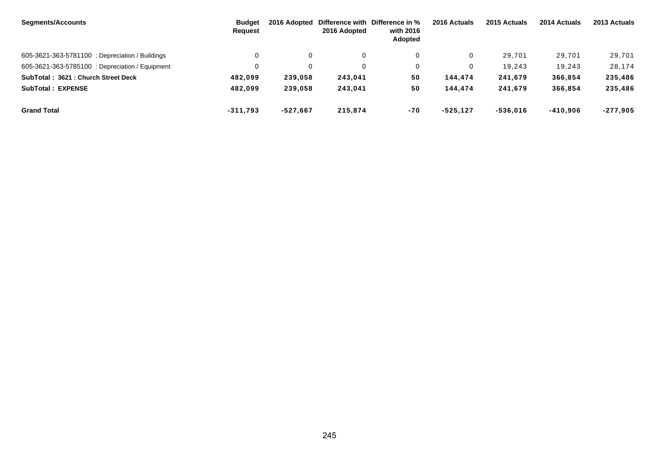| Segments/Accounts                               | <b>Budget</b><br>Request | 2016 Adopted | 2016 Adopted | Difference with Difference in %<br>with 2016<br>Adopted | 2016 Actuals | 2015 Actuals | 2014 Actuals | 2013 Actuals |
|-------------------------------------------------|--------------------------|--------------|--------------|---------------------------------------------------------|--------------|--------------|--------------|--------------|
| 605-3621-363-5781100 : Depreciation / Buildings |                          |              |              |                                                         |              | 29.701       | 29,701       | 29,701       |
| 605-3621-363-5785100 : Depreciation / Equipment |                          |              |              |                                                         |              | 19.243       | 19,243       | 28,174       |
| SubTotal: 3621: Church Street Deck              | 482,099                  | 239,058      | 243,041      | 50                                                      | 144,474      | 241,679      | 366,854      | 235,486      |
| <b>SubTotal: EXPENSE</b>                        | 482.099                  | 239,058      | 243,041      | 50                                                      | 144.474      | 241,679      | 366,854      | 235,486      |
| <b>Grand Total</b>                              | $-311,793$               | $-527.667$   | 215,874      | -70                                                     | $-525, 127$  | $-536,016$   | $-410,906$   | $-277,905$   |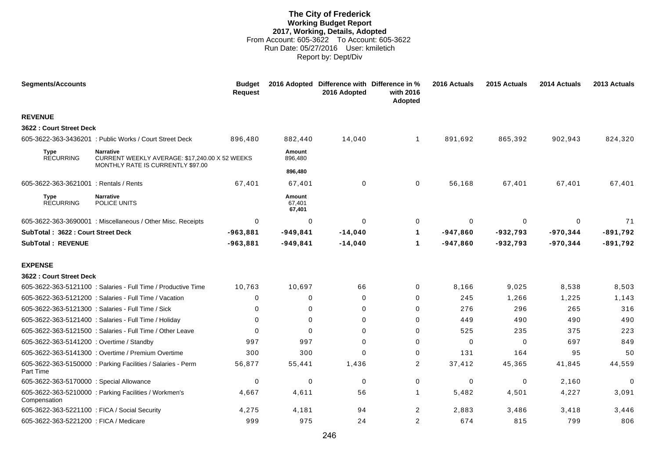# **The City of Frederick Working Budget Report 2017, Working, Details, Adopted** From Account: 605-3622 To Account: 605-3622 Run Date: 05/27/2016 User: kmiletich Report by: Dept/Div

| <b>Segments/Accounts</b>                      |                                                                                                         | <b>Budget</b><br><b>Request</b> |                            | 2016 Adopted Difference with Difference in %<br>2016 Adopted | with 2016<br>Adopted | 2016 Actuals | 2015 Actuals | 2014 Actuals | 2013 Actuals |
|-----------------------------------------------|---------------------------------------------------------------------------------------------------------|---------------------------------|----------------------------|--------------------------------------------------------------|----------------------|--------------|--------------|--------------|--------------|
| <b>REVENUE</b>                                |                                                                                                         |                                 |                            |                                                              |                      |              |              |              |              |
| 3622 : Court Street Deck                      |                                                                                                         |                                 |                            |                                                              |                      |              |              |              |              |
|                                               | 605-3622-363-3436201: Public Works / Court Street Deck                                                  | 896,480                         | 882,440                    | 14,040                                                       | $\mathbf{1}$         | 891,692      | 865,392      | 902,943      | 824,320      |
| <b>Type</b><br><b>RECURRING</b>               | <b>Narrative</b><br>CURRENT WEEKLY AVERAGE: \$17,240.00 X 52 WEEKS<br>MONTHLY RATE IS CURRENTLY \$97.00 |                                 | Amount<br>896,480          |                                                              |                      |              |              |              |              |
|                                               |                                                                                                         |                                 | 896,480                    |                                                              |                      |              |              |              |              |
| 605-3622-363-3621001 : Rentals / Rents        |                                                                                                         | 67,401                          | 67,401                     | $\mathbf 0$                                                  | $\mathbf 0$          | 56,168       | 67,401       | 67,401       | 67,401       |
| <b>Type</b><br><b>RECURRING</b>               | <b>Narrative</b><br>POLICE UNITS                                                                        |                                 | Amount<br>67,401<br>67,401 |                                                              |                      |              |              |              |              |
|                                               | 605-3622-363-3690001 : Miscellaneous / Other Misc. Receipts                                             | 0                               | 0                          | 0                                                            | 0                    | 0            | 0            | 0            | 71           |
| SubTotal: 3622: Court Street Deck             |                                                                                                         | $-963,881$                      | $-949,841$                 | $-14,040$                                                    | 1                    | $-947,860$   | $-932,793$   | $-970,344$   | $-891,792$   |
| <b>SubTotal: REVENUE</b>                      |                                                                                                         | $-963,881$                      | $-949,841$                 | $-14,040$                                                    | 1                    | $-947,860$   | $-932,793$   | $-970,344$   | $-891,792$   |
| <b>EXPENSE</b>                                |                                                                                                         |                                 |                            |                                                              |                      |              |              |              |              |
| 3622 : Court Street Deck                      |                                                                                                         |                                 |                            |                                                              |                      |              |              |              |              |
|                                               | 605-3622-363-5121100 : Salaries - Full Time / Productive Time                                           | 10,763                          | 10,697                     | 66                                                           | 0                    | 8,166        | 9,025        | 8,538        | 8,503        |
|                                               | 605-3622-363-5121200 : Salaries - Full Time / Vacation                                                  | $\Omega$                        | 0                          | $\Omega$                                                     | 0                    | 245          | 1,266        | 1,225        | 1,143        |
|                                               | 605-3622-363-5121300 : Salaries - Full Time / Sick                                                      | 0                               | 0                          | 0                                                            | $\Omega$             | 276          | 296          | 265          | 316          |
|                                               | 605-3622-363-5121400 : Salaries - Full Time / Holiday                                                   | 0                               | 0                          | 0                                                            | 0                    | 449          | 490          | 490          | 490          |
|                                               | 605-3622-363-5121500 : Salaries - Full Time / Other Leave                                               | $\Omega$                        | 0                          | $\Omega$                                                     | 0                    | 525          | 235          | 375          | 223          |
| 605-3622-363-5141200 : Overtime / Standby     |                                                                                                         | 997                             | 997                        | $\Omega$                                                     | $\Omega$             | $\Omega$     | $\Omega$     | 697          | 849          |
|                                               | 605-3622-363-5141300 : Overtime / Premium Overtime                                                      | 300                             | 300                        | $\Omega$                                                     | 0                    | 131          | 164          | 95           | 50           |
| Part Time                                     | 605-3622-363-5150000: Parking Facilities / Salaries - Perm                                              | 56,877                          | 55,441                     | 1,436                                                        | $\overline{2}$       | 37,412       | 45,365       | 41,845       | 44,559       |
| 605-3622-363-5170000 : Special Allowance      |                                                                                                         | 0                               | 0                          | $\Omega$                                                     | 0                    | $\mathbf 0$  | $\mathbf 0$  | 2,160        | $\Omega$     |
| Compensation                                  | 605-3622-363-5210000 : Parking Facilities / Workmen's                                                   | 4,667                           | 4,611                      | 56                                                           | $\mathbf{1}$         | 5,482        | 4,501        | 4,227        | 3,091        |
| 605-3622-363-5221100 : FICA / Social Security |                                                                                                         | 4,275                           | 4,181                      | 94                                                           | $\overline{2}$       | 2,883        | 3,486        | 3,418        | 3,446        |
| 605-3622-363-5221200 : FICA / Medicare        |                                                                                                         | 999                             | 975                        | 24                                                           | $\overline{2}$       | 674          | 815          | 799          | 806          |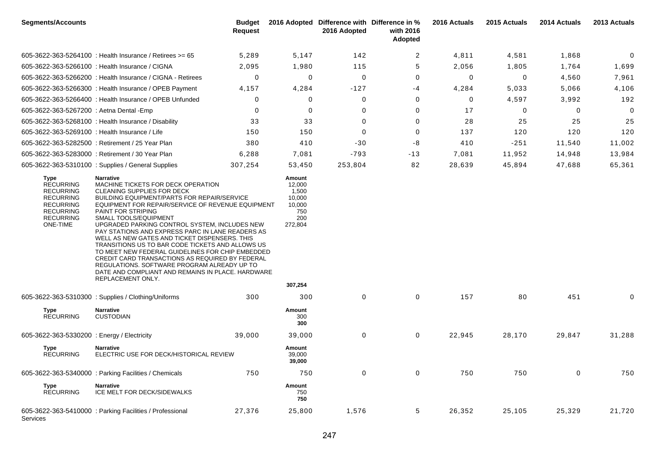| <b>Segments/Accounts</b>                                                                                                                 |                                                                                                                                                                                                                                                                                                                                                                                                                                                                                                                                                                                                                                                                                   | <b>Budget</b><br><b>Request</b> |                                                                                   | 2016 Adopted Difference with Difference in %<br>2016 Adopted | with 2016<br>Adopted | 2016 Actuals | 2015 Actuals | 2014 Actuals | 2013 Actuals |
|------------------------------------------------------------------------------------------------------------------------------------------|-----------------------------------------------------------------------------------------------------------------------------------------------------------------------------------------------------------------------------------------------------------------------------------------------------------------------------------------------------------------------------------------------------------------------------------------------------------------------------------------------------------------------------------------------------------------------------------------------------------------------------------------------------------------------------------|---------------------------------|-----------------------------------------------------------------------------------|--------------------------------------------------------------|----------------------|--------------|--------------|--------------|--------------|
|                                                                                                                                          | 605-3622-363-5264100 : Health Insurance / Retirees >= 65                                                                                                                                                                                                                                                                                                                                                                                                                                                                                                                                                                                                                          | 5,289                           | 5,147                                                                             | 142                                                          | $\overline{c}$       | 4,811        | 4,581        | 1,868        | 0            |
|                                                                                                                                          | 605-3622-363-5266100 : Health Insurance / CIGNA                                                                                                                                                                                                                                                                                                                                                                                                                                                                                                                                                                                                                                   | 2,095                           | 1,980                                                                             | 115                                                          | 5                    | 2,056        | 1,805        | 1,764        | 1,699        |
|                                                                                                                                          | 605-3622-363-5266200 : Health Insurance / CIGNA - Retirees                                                                                                                                                                                                                                                                                                                                                                                                                                                                                                                                                                                                                        | 0                               | $\mathbf 0$                                                                       | $\mathbf 0$                                                  | 0                    | $\Omega$     | $\mathbf 0$  | 4,560        | 7,961        |
|                                                                                                                                          | 605-3622-363-5266300 : Health Insurance / OPEB Payment                                                                                                                                                                                                                                                                                                                                                                                                                                                                                                                                                                                                                            | 4,157                           | 4,284                                                                             | $-127$                                                       | -4                   | 4,284        | 5,033        | 5,066        | 4,106        |
|                                                                                                                                          | 605-3622-363-5266400 : Health Insurance / OPEB Unfunded                                                                                                                                                                                                                                                                                                                                                                                                                                                                                                                                                                                                                           | 0                               | 0                                                                                 | $\mathbf 0$                                                  | 0                    | 0            | 4,597        | 3,992        | 192          |
| 605-3622-363-5267200 : Aetna Dental - Emp                                                                                                |                                                                                                                                                                                                                                                                                                                                                                                                                                                                                                                                                                                                                                                                                   | $\Omega$                        | $\mathbf 0$                                                                       | $\Omega$                                                     | 0                    | 17           | 0            | $\mathbf 0$  | 0            |
|                                                                                                                                          | 605-3622-363-5268100 : Health Insurance / Disability                                                                                                                                                                                                                                                                                                                                                                                                                                                                                                                                                                                                                              | 33                              | 33                                                                                | $\Omega$                                                     | 0                    | 28           | 25           | 25           | 25           |
| 605-3622-363-5269100 : Health Insurance / Life                                                                                           |                                                                                                                                                                                                                                                                                                                                                                                                                                                                                                                                                                                                                                                                                   | 150                             | 150                                                                               | $\Omega$                                                     | 0                    | 137          | 120          | 120          | 120          |
|                                                                                                                                          | 605-3622-363-5282500 : Retirement / 25 Year Plan                                                                                                                                                                                                                                                                                                                                                                                                                                                                                                                                                                                                                                  | 380                             | 410                                                                               | $-30$                                                        | -8                   | 410          | $-251$       | 11,540       | 11,002       |
|                                                                                                                                          | 605-3622-363-5283000 : Retirement / 30 Year Plan                                                                                                                                                                                                                                                                                                                                                                                                                                                                                                                                                                                                                                  | 6,288                           | 7,081                                                                             | $-793$                                                       | $-13$                | 7,081        | 11,952       | 14,948       | 13,984       |
|                                                                                                                                          | 605-3622-363-5310100 : Supplies / General Supplies                                                                                                                                                                                                                                                                                                                                                                                                                                                                                                                                                                                                                                | 307,254                         | 53,450                                                                            | 253,804                                                      | 82                   | 28,639       | 45,894       | 47,688       | 65,361       |
| Type<br><b>RECURRING</b><br><b>RECURRING</b><br><b>RECURRING</b><br><b>RECURRING</b><br><b>RECURRING</b><br><b>RECURRING</b><br>ONE-TIME | Narrative<br>MACHINE TICKETS FOR DECK OPERATION<br>CLEANING SUPPLIES FOR DECK<br><b>BUILDING EQUIPMENT/PARTS FOR REPAIR/SERVICE</b><br>EQUIPMENT FOR REPAIR/SERVICE OF REVENUE EQUIPMENT<br>PAINT FOR STRIPING<br>SMALL TOOLS/EQUIPMENT<br>UPGRADED PARKING CONTROL SYSTEM, INCLUDES NEW<br>PAY STATIONS AND EXPRESS PARC IN LANE READERS AS<br>WELL AS NEW GATES AND TICKET DISPENSERS. THIS<br>TRANSITIONS US TO BAR CODE TICKETS AND ALLOWS US<br>TO MEET NEW FEDERAL GUIDELINES FOR CHIP EMBEDDED<br>CREDIT CARD TRANSACTIONS AS REQUIRED BY FEDERAL<br>REGULATIONS. SOFTWARE PROGRAM ALREADY UP TO<br>DATE AND COMPLIANT AND REMAINS IN PLACE. HARDWARE<br>REPLACEMENT ONLY. |                                 | Amount<br>12,000<br>1,500<br>10,000<br>10,000<br>750<br>200<br>272,804<br>307,254 |                                                              |                      |              |              |              |              |
|                                                                                                                                          | 605-3622-363-5310300: Supplies / Clothing/Uniforms                                                                                                                                                                                                                                                                                                                                                                                                                                                                                                                                                                                                                                | 300                             | 300                                                                               | $\mathbf 0$                                                  | 0                    | 157          | 80           | 451          | 0            |
| Type<br><b>RECURRING</b>                                                                                                                 | <b>Narrative</b><br><b>CUSTODIAN</b>                                                                                                                                                                                                                                                                                                                                                                                                                                                                                                                                                                                                                                              |                                 | Amount<br>300<br>300                                                              |                                                              |                      |              |              |              |              |
| 605-3622-363-5330200 : Energy / Electricity                                                                                              |                                                                                                                                                                                                                                                                                                                                                                                                                                                                                                                                                                                                                                                                                   | 39,000                          | 39,000                                                                            | 0                                                            | 0                    | 22,945       | 28,170       | 29,847       | 31,288       |
| Type<br><b>RECURRING</b>                                                                                                                 | Narrative<br>ELECTRIC USE FOR DECK/HISTORICAL REVIEW                                                                                                                                                                                                                                                                                                                                                                                                                                                                                                                                                                                                                              |                                 | Amount<br>39,000<br>39,000                                                        |                                                              |                      |              |              |              |              |
|                                                                                                                                          | 605-3622-363-5340000 : Parking Facilities / Chemicals                                                                                                                                                                                                                                                                                                                                                                                                                                                                                                                                                                                                                             | 750                             | 750                                                                               | $\mathbf 0$                                                  | $\mathbf 0$          | 750          | 750          | 0            | 750          |
| Type<br><b>RECURRING</b>                                                                                                                 | <b>Narrative</b><br>ICE MELT FOR DECK/SIDEWALKS                                                                                                                                                                                                                                                                                                                                                                                                                                                                                                                                                                                                                                   |                                 | Amount<br>750<br>750                                                              |                                                              |                      |              |              |              |              |
| Services                                                                                                                                 | 605-3622-363-5410000 : Parking Facilities / Professional                                                                                                                                                                                                                                                                                                                                                                                                                                                                                                                                                                                                                          | 27,376                          | 25,800                                                                            | 1,576                                                        | 5                    | 26,352       | 25,105       | 25,329       | 21,720       |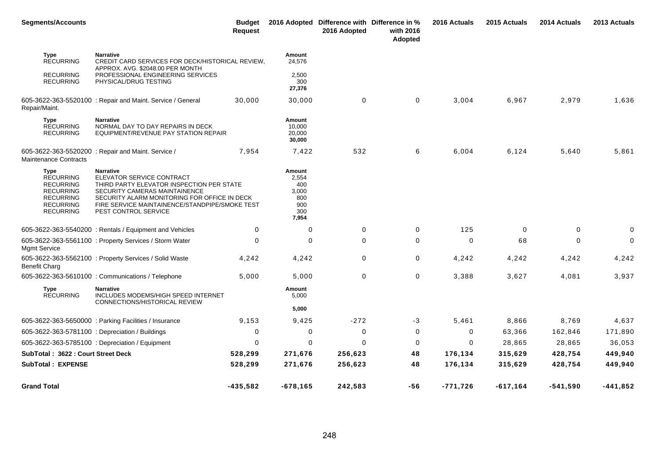| <b>Segments/Accounts</b>                                                                                                     |                                                                                                                                                                                                                                                       | <b>Budget</b><br><b>Request</b> |                                                               | 2016 Adopted Difference with Difference in %<br>2016 Adopted | with 2016<br>Adopted | 2016 Actuals | 2015 Actuals | 2014 Actuals | 2013 Actuals |
|------------------------------------------------------------------------------------------------------------------------------|-------------------------------------------------------------------------------------------------------------------------------------------------------------------------------------------------------------------------------------------------------|---------------------------------|---------------------------------------------------------------|--------------------------------------------------------------|----------------------|--------------|--------------|--------------|--------------|
| <b>Type</b><br><b>RECURRING</b>                                                                                              | <b>Narrative</b><br>CREDIT CARD SERVICES FOR DECK/HISTORICAL REVIEW,<br>APPROX. AVG. \$2048.00 PER MONTH                                                                                                                                              |                                 | Amount<br>24,576                                              |                                                              |                      |              |              |              |              |
| <b>RECURRING</b><br><b>RECURRING</b>                                                                                         | PROFESSIONAL ENGINEERING SERVICES<br>PHYSICAL/DRUG TESTING                                                                                                                                                                                            |                                 | 2,500<br>300<br>27,376                                        |                                                              |                      |              |              |              |              |
| Repair/Maint.                                                                                                                | 605-3622-363-5520100 : Repair and Maint. Service / General                                                                                                                                                                                            | 30,000                          | 30,000                                                        | $\mathbf 0$                                                  | 0                    | 3,004        | 6,967        | 2,979        | 1,636        |
| <b>Type</b><br><b>RECURRING</b><br><b>RECURRING</b>                                                                          | <b>Narrative</b><br>NORMAL DAY TO DAY REPAIRS IN DECK<br>EQUIPMENT/REVENUE PAY STATION REPAIR                                                                                                                                                         |                                 | Amount<br>10,000<br>20,000<br>30,000                          |                                                              |                      |              |              |              |              |
| <b>Maintenance Contracts</b>                                                                                                 | 605-3622-363-5520200 : Repair and Maint. Service /                                                                                                                                                                                                    | 7,954                           | 7,422                                                         | 532                                                          | 6                    | 6,004        | 6,124        | 5,640        | 5,861        |
| Type<br><b>RECURRING</b><br><b>RECURRING</b><br><b>RECURRING</b><br><b>RECURRING</b><br><b>RECURRING</b><br><b>RECURRING</b> | <b>Narrative</b><br>ELEVATOR SERVICE CONTRACT<br>THIRD PARTY ELEVATOR INSPECTION PER STATE<br>SECURITY CAMERAS MAINTAINENCE<br>SECURITY ALARM MONITORING FOR OFFICE IN DECK<br>FIRE SERVICE MAINTAINENCE/STANDPIPE/SMOKE TEST<br>PEST CONTROL SERVICE |                                 | Amount<br>2,554<br>400<br>3,000<br>800<br>900<br>300<br>7,954 |                                                              |                      |              |              |              |              |
|                                                                                                                              | 605-3622-363-5540200 : Rentals / Equipment and Vehicles                                                                                                                                                                                               | 0                               | 0                                                             | $\Omega$                                                     | $\mathbf 0$          | 125          | $\mathbf 0$  | $\Omega$     | 0            |
| <b>Mgmt Service</b>                                                                                                          | 605-3622-363-5561100 : Property Services / Storm Water                                                                                                                                                                                                | $\Omega$                        | $\Omega$                                                      | $\Omega$                                                     | $\mathbf 0$          | $\Omega$     | 68           | $\Omega$     | $\Omega$     |
| <b>Benefit Charg</b>                                                                                                         | 605-3622-363-5562100 : Property Services / Solid Waste                                                                                                                                                                                                | 4,242                           | 4,242                                                         | 0                                                            | 0                    | 4,242        | 4,242        | 4,242        | 4,242        |
|                                                                                                                              | 605-3622-363-5610100 : Communications / Telephone                                                                                                                                                                                                     | 5,000                           | 5,000                                                         | $\mathbf 0$                                                  | 0                    | 3,388        | 3,627        | 4,081        | 3,937        |
| Type<br><b>RECURRING</b>                                                                                                     | <b>Narrative</b><br>INCLUDES MODEMS/HIGH SPEED INTERNET<br>CONNECTIONS/HISTORICAL REVIEW                                                                                                                                                              |                                 | Amount<br>5,000                                               |                                                              |                      |              |              |              |              |
|                                                                                                                              |                                                                                                                                                                                                                                                       |                                 | 5,000                                                         |                                                              |                      |              |              |              |              |
|                                                                                                                              | 605-3622-363-5650000 : Parking Facilities / Insurance                                                                                                                                                                                                 | 9,153                           | 9,425                                                         | $-272$                                                       | $-3$                 | 5,461        | 8,866        | 8,769        | 4,637        |
|                                                                                                                              | 605-3622-363-5781100 : Depreciation / Buildings                                                                                                                                                                                                       | 0                               | 0                                                             | $\mathbf 0$                                                  | 0                    | 0            | 63,366       | 162,846      | 171,890      |
|                                                                                                                              | 605-3622-363-5785100 : Depreciation / Equipment                                                                                                                                                                                                       | 0                               | 0                                                             | $\Omega$                                                     | 0                    | 0            | 28,865       | 28,865       | 36,053       |
| SubTotal: 3622: Court Street Deck                                                                                            |                                                                                                                                                                                                                                                       | 528,299                         | 271,676                                                       | 256,623                                                      | 48                   | 176,134      | 315,629      | 428,754      | 449,940      |
| <b>SubTotal: EXPENSE</b>                                                                                                     |                                                                                                                                                                                                                                                       | 528,299                         | 271,676                                                       | 256,623                                                      | 48                   | 176,134      | 315,629      | 428,754      | 449,940      |
| <b>Grand Total</b>                                                                                                           |                                                                                                                                                                                                                                                       | -435,582                        | $-678, 165$                                                   | 242,583                                                      | -56                  | $-771,726$   | -617,164     | -541,590     | -441,852     |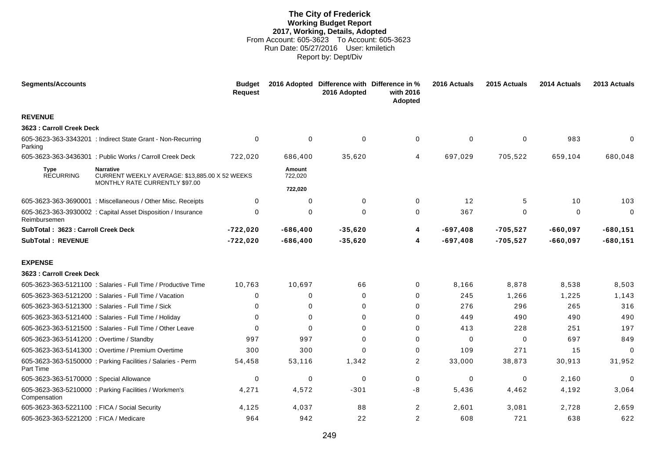# **The City of Frederick Working Budget Report 2017, Working, Details, Adopted** From Account: 605-3623 To Account: 605-3623 Run Date: 05/27/2016 User: kmiletich Report by: Dept/Div

| <b>Segments/Accounts</b>                      |                                                                                                      | <b>Budget</b><br><b>Request</b> |                   | 2016 Adopted Difference with Difference in %<br>2016 Adopted | with 2016<br>Adopted | 2016 Actuals | 2015 Actuals | 2014 Actuals | 2013 Actuals |
|-----------------------------------------------|------------------------------------------------------------------------------------------------------|---------------------------------|-------------------|--------------------------------------------------------------|----------------------|--------------|--------------|--------------|--------------|
| <b>REVENUE</b>                                |                                                                                                      |                                 |                   |                                                              |                      |              |              |              |              |
| 3623 : Carroll Creek Deck                     |                                                                                                      |                                 |                   |                                                              |                      |              |              |              |              |
| Parking                                       | 605-3623-363-3343201 : Indirect State Grant - Non-Recurring                                          | $\mathbf 0$                     | $\mathbf 0$       | $\mathbf 0$                                                  | $\mathbf 0$          | $\mathbf 0$  | 0            | 983          | 0            |
|                                               | 605-3623-363-3436301: Public Works / Carroll Creek Deck                                              | 722,020                         | 686,400           | 35,620                                                       | 4                    | 697,029      | 705,522      | 659,104      | 680,048      |
| Type<br><b>RECURRING</b>                      | <b>Narrative</b><br>CURRENT WEEKLY AVERAGE: \$13,885.00 X 52 WEEKS<br>MONTHLY RATE CURRENTLY \$97.00 |                                 | Amount<br>722,020 |                                                              |                      |              |              |              |              |
|                                               |                                                                                                      |                                 | 722,020           |                                                              |                      |              |              |              |              |
|                                               | 605-3623-363-3690001 : Miscellaneous / Other Misc. Receipts                                          | $\Omega$                        | 0                 | $\Omega$                                                     | $\mathbf 0$          | 12           | 5            | 10           | 103          |
| Reimbursemen                                  | 605-3623-363-3930002 : Capital Asset Disposition / Insurance                                         | $\mathbf 0$                     | $\mathbf 0$       | $\mathbf 0$                                                  | $\mathbf 0$          | 367          | $\mathbf 0$  | $\mathbf 0$  | $\mathbf 0$  |
| SubTotal: 3623 : Carroll Creek Deck           |                                                                                                      | $-722,020$                      | $-686,400$        | $-35,620$                                                    | 4                    | $-697,408$   | $-705,527$   | $-660,097$   | $-680, 151$  |
| <b>SubTotal: REVENUE</b>                      |                                                                                                      | $-722,020$                      | $-686,400$        | $-35,620$                                                    | 4                    | $-697,408$   | $-705,527$   | $-660,097$   | $-680, 151$  |
| <b>EXPENSE</b>                                |                                                                                                      |                                 |                   |                                                              |                      |              |              |              |              |
| 3623 : Carroll Creek Deck                     |                                                                                                      |                                 |                   |                                                              |                      |              |              |              |              |
|                                               | 605-3623-363-5121100 : Salaries - Full Time / Productive Time                                        | 10.763                          | 10,697            | 66                                                           | $\mathbf 0$          | 8,166        | 8,878        | 8,538        | 8,503        |
|                                               | 605-3623-363-5121200 : Salaries - Full Time / Vacation                                               | $\Omega$                        | $\mathbf 0$       | $\Omega$                                                     | $\Omega$             | 245          | 1,266        | 1,225        | 1,143        |
|                                               | 605-3623-363-5121300 : Salaries - Full Time / Sick                                                   | $\Omega$                        | 0                 | $\Omega$                                                     | $\mathbf 0$          | 276          | 296          | 265          | 316          |
|                                               | 605-3623-363-5121400 : Salaries - Full Time / Holiday                                                | $\Omega$                        | $\Omega$          | $\Omega$                                                     | $\mathbf 0$          | 449          | 490          | 490          | 490          |
|                                               | 605-3623-363-5121500 : Salaries - Full Time / Other Leave                                            | $\Omega$                        | 0                 | $\Omega$                                                     | 0                    | 413          | 228          | 251          | 197          |
| 605-3623-363-5141200 : Overtime / Standby     |                                                                                                      | 997                             | 997               | $\Omega$                                                     | $\mathbf 0$          | $\mathbf 0$  | 0            | 697          | 849          |
|                                               | 605-3623-363-5141300 : Overtime / Premium Overtime                                                   | 300                             | 300               | $\Omega$                                                     | 0                    | 109          | 271          | 15           | $\Omega$     |
| Part Time                                     | 605-3623-363-5150000 : Parking Facilities / Salaries - Perm                                          | 54,458                          | 53,116            | 1,342                                                        | $\overline{2}$       | 33,000       | 38,873       | 30,913       | 31,952       |
| 605-3623-363-5170000 : Special Allowance      |                                                                                                      | $\mathbf 0$                     | $\mathbf 0$       | $\mathbf 0$                                                  | 0                    | $\mathbf 0$  | $\mathbf 0$  | 2,160        | $\Omega$     |
| Compensation                                  | 605-3623-363-5210000 : Parking Facilities / Workmen's                                                | 4,271                           | 4,572             | $-301$                                                       | -8                   | 5,436        | 4,462        | 4,192        | 3,064        |
| 605-3623-363-5221100 : FICA / Social Security |                                                                                                      | 4,125                           | 4,037             | 88                                                           | 2                    | 2,601        | 3,081        | 2,728        | 2,659        |
| 605-3623-363-5221200 : FICA / Medicare        |                                                                                                      | 964                             | 942               | 22                                                           | 2                    | 608          | 721          | 638          | 622          |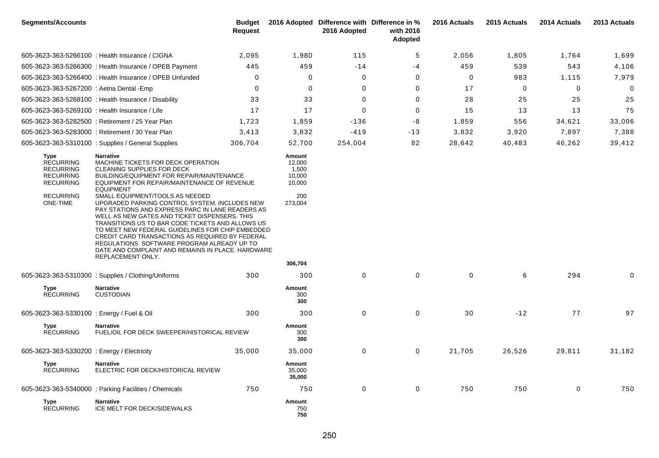| <b>Segments/Accounts</b>                                                                                             |                                                                                                                                                                                                                                                                                                                                                                                                                                                                                                                                                                                                                                                                                   | <b>Budget</b><br><b>Request</b> |                                                                            | 2016 Adopted Difference with Difference in %<br>2016 Adopted | with 2016<br>Adopted | 2016 Actuals | 2015 Actuals | 2014 Actuals | 2013 Actuals |
|----------------------------------------------------------------------------------------------------------------------|-----------------------------------------------------------------------------------------------------------------------------------------------------------------------------------------------------------------------------------------------------------------------------------------------------------------------------------------------------------------------------------------------------------------------------------------------------------------------------------------------------------------------------------------------------------------------------------------------------------------------------------------------------------------------------------|---------------------------------|----------------------------------------------------------------------------|--------------------------------------------------------------|----------------------|--------------|--------------|--------------|--------------|
|                                                                                                                      | 605-3623-363-5266100 : Health Insurance / CIGNA                                                                                                                                                                                                                                                                                                                                                                                                                                                                                                                                                                                                                                   | 2,095                           | 1,980                                                                      | 115                                                          | 5                    | 2,056        | 1,805        | 1,764        | 1,699        |
|                                                                                                                      | 605-3623-363-5266300 : Health Insurance / OPEB Payment                                                                                                                                                                                                                                                                                                                                                                                                                                                                                                                                                                                                                            | 445                             | 459                                                                        | $-14$                                                        | -4                   | 459          | 539          | 543          | 4,106        |
|                                                                                                                      | 605-3623-363-5266400 : Health Insurance / OPEB Unfunded                                                                                                                                                                                                                                                                                                                                                                                                                                                                                                                                                                                                                           | 0                               | 0                                                                          | 0                                                            | 0                    | $\Omega$     | 983          | 1,115        | 7,979        |
| 605-3623-363-5267200 : Aetna Dental - Emp                                                                            |                                                                                                                                                                                                                                                                                                                                                                                                                                                                                                                                                                                                                                                                                   | 0                               | 0                                                                          | 0                                                            | 0                    | 17           | 0            | 0            | 0            |
|                                                                                                                      | 605-3623-363-5268100 : Health Insurance / Disability                                                                                                                                                                                                                                                                                                                                                                                                                                                                                                                                                                                                                              | 33                              | 33                                                                         | 0                                                            | 0                    | 28           | 25           | 25           | 25           |
| 605-3623-363-5269100 : Health Insurance / Life                                                                       |                                                                                                                                                                                                                                                                                                                                                                                                                                                                                                                                                                                                                                                                                   | 17                              | 17                                                                         | 0                                                            | 0                    | 15           | 13           | 13           | 75           |
|                                                                                                                      | 605-3623-363-5282500 : Retirement / 25 Year Plan                                                                                                                                                                                                                                                                                                                                                                                                                                                                                                                                                                                                                                  | 1,723                           | 1,859                                                                      | $-136$                                                       | -8                   | 1,859        | 556          | 34,621       | 33,006       |
|                                                                                                                      | 605-3623-363-5283000 : Retirement / 30 Year Plan                                                                                                                                                                                                                                                                                                                                                                                                                                                                                                                                                                                                                                  | 3,413                           | 3,832                                                                      | $-419$                                                       | $-13$                | 3,832        | 3,920        | 7,897        | 7,388        |
|                                                                                                                      | 605-3623-363-5310100 : Supplies / General Supplies                                                                                                                                                                                                                                                                                                                                                                                                                                                                                                                                                                                                                                | 306,704                         | 52,700                                                                     | 254,004                                                      | 82                   | 28,642       | 40,483       | 46,262       | 39,412       |
| Type<br><b>RECURRING</b><br><b>RECURRING</b><br><b>RECURRING</b><br><b>RECURRING</b><br><b>RECURRING</b><br>ONE-TIME | <b>Narrative</b><br>MACHINE TICKETS FOR DECK OPERATION<br>CLEANING SUPPLIES FOR DECK<br>BUILDING/EQUIPMENT FOR REPAIR/MAINTENANCE<br>EQUIPMENT FOR REPAIR/MAINTENANCE OF REVENUE<br><b>EQUIPMENT</b><br>SMALL EQUIPMENT/TOOLS AS NEEDED<br>UPGRADED PARKING CONTROL SYSTEM, INCLUDES NEW<br>PAY STATIONS AND EXPRESS PARC IN LANE READERS AS<br>WELL AS NEW GATES AND TICKET DISPENSERS. THIS<br>TRANSITIONS US TO BAR CODE TICKETS AND ALLOWS US<br>TO MEET NEW FEDERAL GUIDELINES FOR CHIP EMBEDDED<br>CREDIT CARD TRANSACTIONS AS REQUIRED BY FEDERAL<br>REGULATIONS. SOFTWARE PROGRAM ALREADY UP TO<br>DATE AND COMPLAINT AND REMAINS IN PLACE. HARDWARE<br>REPLACEMENT ONLY. |                                 | Amount<br>12,000<br>1,500<br>10,000<br>10,000<br>200<br>273,004<br>306,704 |                                                              |                      |              |              |              |              |
|                                                                                                                      | 605-3623-363-5310300: Supplies / Clothing/Uniforms                                                                                                                                                                                                                                                                                                                                                                                                                                                                                                                                                                                                                                | 300                             | 300                                                                        | 0                                                            | 0                    | 0            | 6            | 294          | 0            |
| Type<br><b>RECURRING</b>                                                                                             | Narrative<br><b>CUSTODIAN</b>                                                                                                                                                                                                                                                                                                                                                                                                                                                                                                                                                                                                                                                     |                                 | Amount<br>300<br>300                                                       |                                                              |                      |              |              |              |              |
| 605-3623-363-5330100 : Energy / Fuel & Oil                                                                           |                                                                                                                                                                                                                                                                                                                                                                                                                                                                                                                                                                                                                                                                                   | 300                             | 300                                                                        | 0                                                            | $\pmb{0}$            | 30           | $-12$        | 77           | 97           |
| Type<br><b>RECURRING</b>                                                                                             | <b>Narrative</b><br>FUEL/OIL FOR DECK SWEEPER/HISTORICAL REVIEW                                                                                                                                                                                                                                                                                                                                                                                                                                                                                                                                                                                                                   |                                 | Amount<br>300<br>300                                                       |                                                              |                      |              |              |              |              |
| 605-3623-363-5330200 : Energy / Electricity                                                                          |                                                                                                                                                                                                                                                                                                                                                                                                                                                                                                                                                                                                                                                                                   | 35,000                          | 35,000                                                                     | 0                                                            | 0                    | 21,705       | 26,526       | 29,811       | 31,182       |
| Type<br><b>RECURRING</b>                                                                                             | <b>Narrative</b><br>ELECTRIC FOR DECK/HISTORICAL REVIEW                                                                                                                                                                                                                                                                                                                                                                                                                                                                                                                                                                                                                           |                                 | Amount<br>35,000<br>35,000                                                 |                                                              |                      |              |              |              |              |
|                                                                                                                      | 605-3623-363-5340000 : Parking Facilities / Chemicals                                                                                                                                                                                                                                                                                                                                                                                                                                                                                                                                                                                                                             | 750                             | 750                                                                        | 0                                                            | 0                    | 750          | 750          | 0            | 750          |
| Type<br><b>RECURRING</b>                                                                                             | Narrative<br>ICE MELT FOR DECK/SIDEWALKS                                                                                                                                                                                                                                                                                                                                                                                                                                                                                                                                                                                                                                          |                                 | Amount<br>750<br>750                                                       |                                                              |                      |              |              |              |              |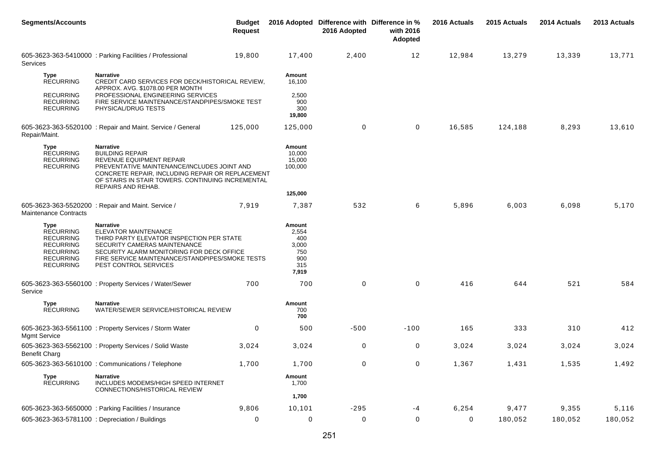| <b>Segments/Accounts</b>                                                                                                     |                                                                                                                                                                                                                                                      | <b>Budget</b><br><b>Request</b> |                                                               | 2016 Adopted Difference with Difference in %<br>2016 Adopted | with 2016<br>Adopted | 2016 Actuals | 2015 Actuals | 2014 Actuals | 2013 Actuals |
|------------------------------------------------------------------------------------------------------------------------------|------------------------------------------------------------------------------------------------------------------------------------------------------------------------------------------------------------------------------------------------------|---------------------------------|---------------------------------------------------------------|--------------------------------------------------------------|----------------------|--------------|--------------|--------------|--------------|
| Services                                                                                                                     | 605-3623-363-5410000: Parking Facilities / Professional                                                                                                                                                                                              | 19,800                          | 17,400                                                        | 2,400                                                        | 12                   | 12,984       | 13,279       | 13,339       | 13,771       |
| Type<br><b>RECURRING</b>                                                                                                     | <b>Narrative</b><br>CREDIT CARD SERVICES FOR DECK/HISTORICAL REVIEW,<br>APPROX. AVG. \$1078.00 PER MONTH                                                                                                                                             |                                 | Amount<br>16,100                                              |                                                              |                      |              |              |              |              |
| <b>RECURRING</b><br><b>RECURRING</b><br><b>RECURRING</b>                                                                     | PROFESSIONAL ENGINEERING SERVICES<br>FIRE SERVICE MAINTENANCE/STANDPIPES/SMOKE TEST<br>PHYSICAL/DRUG TESTS                                                                                                                                           |                                 | 2,500<br>900<br>300<br>19,800                                 |                                                              |                      |              |              |              |              |
| Repair/Maint.                                                                                                                | 605-3623-363-5520100 : Repair and Maint. Service / General                                                                                                                                                                                           | 125,000                         | 125,000                                                       | $\mathbf 0$                                                  | 0                    | 16,585       | 124,188      | 8,293        | 13,610       |
| Type<br><b>RECURRING</b><br><b>RECURRING</b><br><b>RECURRING</b>                                                             | <b>Narrative</b><br><b>BUILDING REPAIR</b><br>REVENUE EQUIPMENT REPAIR<br>PREVENTATIVE MAINTENANCE/INCLUDES JOINT AND<br>CONCRETE REPAIR, INCLUDING REPAIR OR REPLACEMENT<br>OF STAIRS IN STAIR TOWERS. CONTINUING INCREMENTAL<br>REPAIRS AND REHAB. |                                 | Amount<br>10,000<br>15,000<br>100,000                         |                                                              |                      |              |              |              |              |
|                                                                                                                              |                                                                                                                                                                                                                                                      |                                 | 125,000                                                       |                                                              |                      |              |              |              |              |
| <b>Maintenance Contracts</b>                                                                                                 | 605-3623-363-5520200 : Repair and Maint. Service /                                                                                                                                                                                                   | 7,919                           | 7,387                                                         | 532                                                          | 6                    | 5,896        | 6,003        | 6,098        | 5,170        |
| Type<br><b>RECURRING</b><br><b>RECURRING</b><br><b>RECURRING</b><br><b>RECURRING</b><br><b>RECURRING</b><br><b>RECURRING</b> | <b>Narrative</b><br>ELEVATOR MAINTENANCE<br>THIRD PARTY ELEVATOR INSPECTION PER STATE<br>SECURITY CAMERAS MAINTENANCE<br>SECURITY ALARM MONITORING FOR DECK OFFICE<br>FIRE SERVICE MAINTENANCE/STANDPIPES/SMOKE TESTS<br>PEST CONTROL SERVICES       |                                 | Amount<br>2,554<br>400<br>3,000<br>750<br>900<br>315<br>7,919 |                                                              |                      |              |              |              |              |
| Service                                                                                                                      | 605-3623-363-5560100 : Property Services / Water/Sewer                                                                                                                                                                                               | 700                             | 700                                                           | $\mathbf 0$                                                  | 0                    | 416          | 644          | 521          | 584          |
| <b>Type</b><br><b>RECURRING</b>                                                                                              | <b>Narrative</b><br>WATER/SEWER SERVICE/HISTORICAL REVIEW                                                                                                                                                                                            |                                 | Amount<br>700<br>700                                          |                                                              |                      |              |              |              |              |
| <b>Mgmt Service</b>                                                                                                          | 605-3623-363-5561100 : Property Services / Storm Water                                                                                                                                                                                               | 0                               | 500                                                           | $-500$                                                       | $-100$               | 165          | 333          | 310          | 412          |
| <b>Benefit Charg</b>                                                                                                         | 605-3623-363-5562100 : Property Services / Solid Waste                                                                                                                                                                                               | 3,024                           | 3,024                                                         | 0                                                            | 0                    | 3,024        | 3,024        | 3,024        | 3,024        |
|                                                                                                                              | 605-3623-363-5610100 : Communications / Telephone                                                                                                                                                                                                    | 1,700                           | 1,700                                                         | 0                                                            | 0                    | 1,367        | 1,431        | 1,535        | 1,492        |
| <b>Type</b><br><b>RECURRING</b>                                                                                              | <b>Narrative</b><br>INCLUDES MODEMS/HIGH SPEED INTERNET                                                                                                                                                                                              |                                 | Amount<br>1,700                                               |                                                              |                      |              |              |              |              |
|                                                                                                                              | CONNECTIONS/HISTORICAL REVIEW                                                                                                                                                                                                                        |                                 | 1,700                                                         |                                                              |                      |              |              |              |              |
|                                                                                                                              | 605-3623-363-5650000 : Parking Facilities / Insurance                                                                                                                                                                                                | 9,806                           | 10,101                                                        | $-295$                                                       | $-4$                 | 6,254        | 9,477        | 9,355        | 5,116        |
|                                                                                                                              | 605-3623-363-5781100 : Depreciation / Buildings                                                                                                                                                                                                      | 0                               | $\pmb{0}$                                                     | 0                                                            | 0                    | 0            | 180,052      | 180,052      | 180,052      |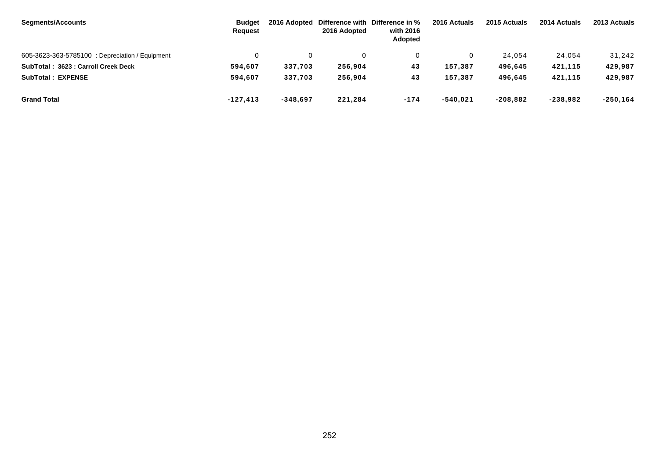| <b>Segments/Accounts</b>                        | <b>Budget</b><br><b>Request</b> | 2016 Adopted | 2016 Adopted | Difference with Difference in %<br>with 2016<br>Adopted | 2016 Actuals | 2015 Actuals | 2014 Actuals | 2013 Actuals |
|-------------------------------------------------|---------------------------------|--------------|--------------|---------------------------------------------------------|--------------|--------------|--------------|--------------|
| 605-3623-363-5785100 : Depreciation / Equipment |                                 |              |              |                                                         |              | 24.054       | 24.054       | 31,242       |
| SubTotal: 3623 : Carroll Creek Deck             | 594,607                         | 337,703      | 256,904      | 43                                                      | 157,387      | 496,645      | 421,115      | 429,987      |
| <b>SubTotal: EXPENSE</b>                        | 594,607                         | 337,703      | 256,904      | 43                                                      | 157,387      | 496.645      | 421,115      | 429,987      |
| <b>Grand Total</b>                              | $-127,413$                      | $-348,697$   | 221,284      | $-174$                                                  | $-540,021$   | $-208.882$   | $-238,982$   | $-250, 164$  |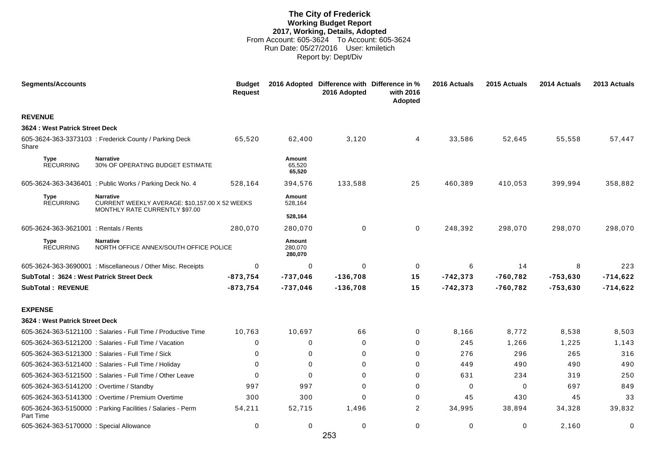## **The City of Frederick Working Budget Report 2017, Working, Details, Adopted** From Account: 605-3624 To Account: 605-3624 Run Date: 05/27/2016 User: kmiletich Report by: Dept/Div

| <b>Segments/Accounts</b>                  |                                                                                                      | <b>Budget</b><br><b>Request</b> |                                     | 2016 Adopted Difference with Difference in %<br>2016 Adopted | with 2016<br>Adopted | 2016 Actuals | 2015 Actuals | 2014 Actuals | 2013 Actuals |
|-------------------------------------------|------------------------------------------------------------------------------------------------------|---------------------------------|-------------------------------------|--------------------------------------------------------------|----------------------|--------------|--------------|--------------|--------------|
| <b>REVENUE</b>                            |                                                                                                      |                                 |                                     |                                                              |                      |              |              |              |              |
| 3624 : West Patrick Street Deck           |                                                                                                      |                                 |                                     |                                                              |                      |              |              |              |              |
| Share                                     | 605-3624-363-3373103 : Frederick County / Parking Deck                                               | 65,520                          | 62,400                              | 3,120                                                        | $\overline{4}$       | 33,586       | 52,645       | 55,558       | 57,447       |
| <b>Type</b><br><b>RECURRING</b>           | <b>Narrative</b><br>30% OF OPERATING BUDGET ESTIMATE                                                 |                                 | Amount<br>65,520<br>65,520          |                                                              |                      |              |              |              |              |
|                                           | 605-3624-363-3436401 : Public Works / Parking Deck No. 4                                             | 528,164                         | 394,576                             | 133,588                                                      | 25                   | 460,389      | 410,053      | 399,994      | 358,882      |
| <b>Type</b><br><b>RECURRING</b>           | <b>Narrative</b><br>CURRENT WEEKLY AVERAGE: \$10,157.00 X 52 WEEKS<br>MONTHLY RATE CURRENTLY \$97.00 |                                 | Amount<br>528,164                   |                                                              |                      |              |              |              |              |
|                                           |                                                                                                      |                                 | 528,164                             |                                                              |                      |              |              |              |              |
| 605-3624-363-3621001 : Rentals / Rents    |                                                                                                      | 280,070                         | 280,070                             | 0                                                            | 0                    | 248,392      | 298,070      | 298,070      | 298,070      |
| <b>Type</b><br><b>RECURRING</b>           | <b>Narrative</b><br>NORTH OFFICE ANNEX/SOUTH OFFICE POLICE                                           |                                 | <b>Amount</b><br>280,070<br>280,070 |                                                              |                      |              |              |              |              |
|                                           | 605-3624-363-3690001 : Miscellaneous / Other Misc. Receipts                                          | 0                               | 0                                   | $\Omega$                                                     | $\mathbf 0$          | 6            | 14           | 8            | 223          |
| SubTotal: 3624: West Patrick Street Deck  |                                                                                                      | $-873,754$                      | $-737,046$                          | $-136,708$                                                   | 15                   | $-742, 373$  | $-760,782$   | $-753,630$   | $-714,622$   |
| <b>SubTotal: REVENUE</b>                  |                                                                                                      | $-873,754$                      | $-737,046$                          | $-136,708$                                                   | 15                   | $-742, 373$  | $-760,782$   | $-753,630$   | $-714,622$   |
| <b>EXPENSE</b>                            |                                                                                                      |                                 |                                     |                                                              |                      |              |              |              |              |
| 3624 : West Patrick Street Deck           |                                                                                                      |                                 |                                     |                                                              |                      |              |              |              |              |
|                                           | 605-3624-363-5121100 : Salaries - Full Time / Productive Time                                        | 10,763                          | 10,697                              | 66                                                           | 0                    | 8,166        | 8,772        | 8,538        | 8,503        |
|                                           | 605-3624-363-5121200 : Salaries - Full Time / Vacation                                               | 0                               | 0                                   | $\Omega$                                                     | $\Omega$             | 245          | 1,266        | 1,225        | 1,143        |
|                                           | 605-3624-363-5121300 : Salaries - Full Time / Sick                                                   | 0                               | 0                                   | $\Omega$                                                     | 0                    | 276          | 296          | 265          | 316          |
|                                           | 605-3624-363-5121400 : Salaries - Full Time / Holiday                                                | $\Omega$                        | $\Omega$                            | $\Omega$                                                     | $\Omega$             | 449          | 490          | 490          | 490          |
|                                           | 605-3624-363-5121500 : Salaries - Full Time / Other Leave                                            | $\Omega$                        | $\Omega$                            | $\Omega$                                                     | $\Omega$             | 631          | 234          | 319          | 250          |
| 605-3624-363-5141200 : Overtime / Standby |                                                                                                      | 997                             | 997                                 | 0                                                            | $\Omega$             | $\Omega$     | $\mathbf 0$  | 697          | 849          |
|                                           | 605-3624-363-5141300 : Overtime / Premium Overtime                                                   | 300                             | 300                                 | $\Omega$                                                     | $\Omega$             | 45           | 430          | 45           | 33           |
| Part Time                                 | 605-3624-363-5150000 : Parking Facilities / Salaries - Perm                                          | 54,211                          | 52,715                              | 1,496                                                        | 2                    | 34,995       | 38,894       | 34,328       | 39,832       |
| 605-3624-363-5170000 : Special Allowance  |                                                                                                      | 0                               | 0                                   | 0                                                            | 0                    | 0            | 0            | 2,160        | $\mathbf 0$  |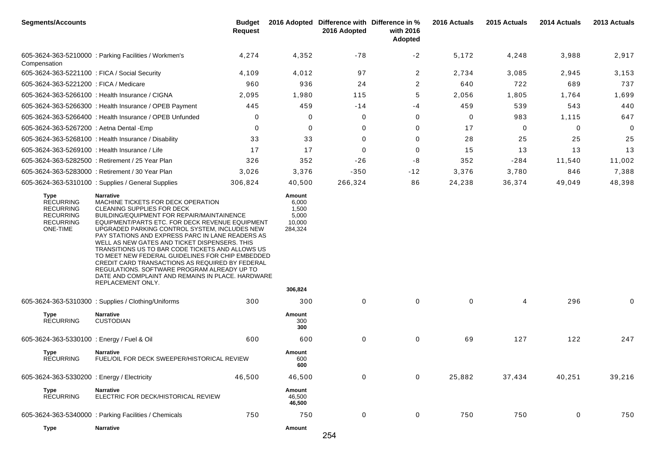| <b>Segments/Accounts</b>                                                                         |                                                                                                                                                                                                                                                                                                                                                                                                                                                                                                                                                                                                                                 | <b>Budget</b><br><b>Request</b> |                                                                   | 2016 Adopted Difference with Difference in %<br>2016 Adopted | with 2016<br>Adopted | 2016 Actuals | 2015 Actuals | 2014 Actuals | 2013 Actuals |
|--------------------------------------------------------------------------------------------------|---------------------------------------------------------------------------------------------------------------------------------------------------------------------------------------------------------------------------------------------------------------------------------------------------------------------------------------------------------------------------------------------------------------------------------------------------------------------------------------------------------------------------------------------------------------------------------------------------------------------------------|---------------------------------|-------------------------------------------------------------------|--------------------------------------------------------------|----------------------|--------------|--------------|--------------|--------------|
| Compensation                                                                                     | 605-3624-363-5210000 : Parking Facilities / Workmen's                                                                                                                                                                                                                                                                                                                                                                                                                                                                                                                                                                           | 4,274                           | 4,352                                                             | $-78$                                                        | $-2$                 | 5,172        | 4,248        | 3,988        | 2,917        |
| 605-3624-363-5221100 : FICA / Social Security                                                    |                                                                                                                                                                                                                                                                                                                                                                                                                                                                                                                                                                                                                                 | 4,109                           | 4,012                                                             | 97                                                           | $\overline{2}$       | 2,734        | 3,085        | 2,945        | 3,153        |
| 605-3624-363-5221200 : FICA / Medicare                                                           |                                                                                                                                                                                                                                                                                                                                                                                                                                                                                                                                                                                                                                 | 960                             | 936                                                               | 24                                                           | $\overline{2}$       | 640          | 722          | 689          | 737          |
|                                                                                                  | 605-3624-363-5266100 : Health Insurance / CIGNA                                                                                                                                                                                                                                                                                                                                                                                                                                                                                                                                                                                 | 2,095                           | 1,980                                                             | 115                                                          | 5                    | 2,056        | 1,805        | 1,764        | 1,699        |
|                                                                                                  | 605-3624-363-5266300 : Health Insurance / OPEB Payment                                                                                                                                                                                                                                                                                                                                                                                                                                                                                                                                                                          | 445                             | 459                                                               | $-14$                                                        | -4                   | 459          | 539          | 543          | 440          |
|                                                                                                  | 605-3624-363-5266400 : Health Insurance / OPEB Unfunded                                                                                                                                                                                                                                                                                                                                                                                                                                                                                                                                                                         | 0                               | 0                                                                 | 0                                                            | 0                    | 0            | 983          | 1,115        | 647          |
| 605-3624-363-5267200 : Aetna Dental - Emp                                                        |                                                                                                                                                                                                                                                                                                                                                                                                                                                                                                                                                                                                                                 | 0                               | 0                                                                 | 0                                                            | 0                    | 17           | 0            | $\mathbf 0$  | $\mathbf 0$  |
|                                                                                                  | 605-3624-363-5268100 : Health Insurance / Disability                                                                                                                                                                                                                                                                                                                                                                                                                                                                                                                                                                            | 33                              | 33                                                                | 0                                                            | 0                    | 28           | 25           | 25           | 25           |
| 605-3624-363-5269100 : Health Insurance / Life                                                   |                                                                                                                                                                                                                                                                                                                                                                                                                                                                                                                                                                                                                                 | 17                              | 17                                                                | $\Omega$                                                     | 0                    | 15           | 13           | 13           | 13           |
|                                                                                                  | 605-3624-363-5282500 : Retirement / 25 Year Plan                                                                                                                                                                                                                                                                                                                                                                                                                                                                                                                                                                                | 326                             | 352                                                               | $-26$                                                        | -8                   | 352          | $-284$       | 11,540       | 11,002       |
|                                                                                                  | 605-3624-363-5283000 : Retirement / 30 Year Plan                                                                                                                                                                                                                                                                                                                                                                                                                                                                                                                                                                                | 3,026                           | 3,376                                                             | $-350$                                                       | $-12$                | 3,376        | 3,780        | 846          | 7,388        |
|                                                                                                  | 605-3624-363-5310100 : Supplies / General Supplies                                                                                                                                                                                                                                                                                                                                                                                                                                                                                                                                                                              | 306,824                         | 40,500                                                            | 266,324                                                      | 86                   | 24,238       | 36,374       | 49,049       | 48,398       |
| Type<br><b>RECURRING</b><br><b>RECURRING</b><br><b>RECURRING</b><br><b>RECURRING</b><br>ONE-TIME | <b>Narrative</b><br>MACHINE TICKETS FOR DECK OPERATION<br>CLEANING SUPPLIES FOR DECK<br>BUILDING/EQUIPMENT FOR REPAIR/MAINTAINENCE<br>EQUIPMENT/PARTS ETC. FOR DECK REVENUE EQUIPMENT<br>UPGRADED PARKING CONTROL SYSTEM, INCLUDES NEW<br>PAY STATIONS AND EXPRESS PARC IN LANE READERS AS<br>WELL AS NEW GATES AND TICKET DISPENSERS. THIS<br>TRANSITIONS US TO BAR CODE TICKETS AND ALLOWS US<br>TO MEET NEW FEDERAL GUIDELINES FOR CHIP EMBEDDED<br>CREDIT CARD TRANSACTIONS AS REQUIRED BY FEDERAL<br>REGULATIONS. SOFTWARE PROGRAM ALREADY UP TO<br>DATE AND COMPLAINT AND REMAINS IN PLACE. HARDWARE<br>REPLACEMENT ONLY. |                                 | Amount<br>6,000<br>1,500<br>5,000<br>10,000<br>284,324<br>306,824 |                                                              |                      |              |              |              |              |
|                                                                                                  | 605-3624-363-5310300: Supplies / Clothing/Uniforms                                                                                                                                                                                                                                                                                                                                                                                                                                                                                                                                                                              | 300                             | 300                                                               | 0                                                            | 0                    | $\mathbf 0$  | 4            | 296          | 0            |
| Type<br><b>RECURRING</b>                                                                         | <b>Narrative</b><br><b>CUSTODIAN</b>                                                                                                                                                                                                                                                                                                                                                                                                                                                                                                                                                                                            |                                 | Amount<br>300<br>300                                              |                                                              |                      |              |              |              |              |
| 605-3624-363-5330100 : Energy / Fuel & Oil                                                       |                                                                                                                                                                                                                                                                                                                                                                                                                                                                                                                                                                                                                                 | 600                             | 600                                                               | 0                                                            | 0                    | 69           | 127          | 122          | 247          |
| Type<br><b>RECURRING</b>                                                                         | Narrative<br>FUEL/OIL FOR DECK SWEEPER/HISTORICAL REVIEW                                                                                                                                                                                                                                                                                                                                                                                                                                                                                                                                                                        |                                 | Amount<br>600<br>600                                              |                                                              |                      |              |              |              |              |
| 605-3624-363-5330200 : Energy / Electricity                                                      |                                                                                                                                                                                                                                                                                                                                                                                                                                                                                                                                                                                                                                 | 46,500                          | 46,500                                                            | 0                                                            | 0                    | 25,882       | 37,434       | 40,251       | 39,216       |
| Type<br><b>RECURRING</b>                                                                         | Narrative<br>ELECTRIC FOR DECK/HISTORICAL REVIEW                                                                                                                                                                                                                                                                                                                                                                                                                                                                                                                                                                                |                                 | Amount<br>46,500<br>46,500                                        |                                                              |                      |              |              |              |              |
|                                                                                                  | 605-3624-363-5340000 : Parking Facilities / Chemicals                                                                                                                                                                                                                                                                                                                                                                                                                                                                                                                                                                           | 750                             | 750                                                               | 0                                                            | 0                    | 750          | 750          | 0            | 750          |
| Type                                                                                             | Narrative                                                                                                                                                                                                                                                                                                                                                                                                                                                                                                                                                                                                                       |                                 | Amount                                                            | 254                                                          |                      |              |              |              |              |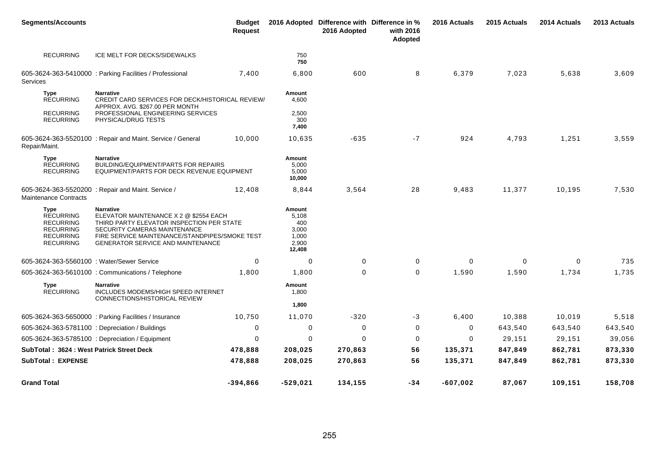| <b>Segments/Accounts</b>                                                                                 |                                                                                                                                                                                                                                       | <b>Budget</b><br><b>Request</b> |                                                             | 2016 Adopted Difference with Difference in %<br>2016 Adopted | with 2016<br>Adopted | 2016 Actuals | 2015 Actuals | 2014 Actuals | 2013 Actuals |
|----------------------------------------------------------------------------------------------------------|---------------------------------------------------------------------------------------------------------------------------------------------------------------------------------------------------------------------------------------|---------------------------------|-------------------------------------------------------------|--------------------------------------------------------------|----------------------|--------------|--------------|--------------|--------------|
| <b>RECURRING</b>                                                                                         | ICE MELT FOR DECKS/SIDEWALKS                                                                                                                                                                                                          |                                 | 750<br>750                                                  |                                                              |                      |              |              |              |              |
| Services                                                                                                 | 605-3624-363-5410000: Parking Facilities / Professional                                                                                                                                                                               | 7,400                           | 6,800                                                       | 600                                                          | 8                    | 6,379        | 7,023        | 5,638        | 3,609        |
| <b>Type</b><br><b>RECURRING</b>                                                                          | <b>Narrative</b><br>CREDIT CARD SERVICES FOR DECK/HISTORICAL REVIEW/<br>APPROX. AVG. \$267.00 PER MONTH                                                                                                                               |                                 | Amount<br>4,600                                             |                                                              |                      |              |              |              |              |
| <b>RECURRING</b><br><b>RECURRING</b>                                                                     | PROFESSIONAL ENGINEERING SERVICES<br>PHYSICAL/DRUG TESTS                                                                                                                                                                              |                                 | 2,500<br>300<br>7,400                                       |                                                              |                      |              |              |              |              |
| Repair/Maint.                                                                                            | 605-3624-363-5520100 : Repair and Maint. Service / General                                                                                                                                                                            | 10,000                          | 10,635                                                      | $-635$                                                       | $-7$                 | 924          | 4,793        | 1,251        | 3,559        |
| Type<br><b>RECURRING</b><br><b>RECURRING</b>                                                             | <b>Narrative</b><br><b>BUILDING/EQUIPMENT/PARTS FOR REPAIRS</b><br>EQUIPMENT/PARTS FOR DECK REVENUE EQUIPMENT                                                                                                                         |                                 | Amount<br>5,000<br>5,000<br>10,000                          |                                                              |                      |              |              |              |              |
| <b>Maintenance Contracts</b>                                                                             | 605-3624-363-5520200 : Repair and Maint. Service /                                                                                                                                                                                    | 12,408                          | 8,844                                                       | 3,564                                                        | 28                   | 9,483        | 11,377       | 10,195       | 7,530        |
| Type<br><b>RECURRING</b><br><b>RECURRING</b><br><b>RECURRING</b><br><b>RECURRING</b><br><b>RECURRING</b> | <b>Narrative</b><br>ELEVATOR MAINTENANCE X 2 @ \$2554 EACH<br>THIRD PARTY ELEVATOR INSPECTION PER STATE<br>SECURITY CAMERAS MAINTENANCE<br>FIRE SERVICE MAINTENANCE/STANDPIPES/SMOKE TEST<br><b>GENERATOR SERVICE AND MAINTENANCE</b> |                                 | Amount<br>5,108<br>400<br>3,000<br>1,000<br>2,900<br>12,408 |                                                              |                      |              |              |              |              |
| 605-3624-363-5560100 : Water/Sewer Service                                                               |                                                                                                                                                                                                                                       | $\mathbf 0$                     | 0                                                           | $\mathbf 0$                                                  | 0                    | $\mathbf 0$  | $\mathbf 0$  | 0            | 735          |
|                                                                                                          | 605-3624-363-5610100 : Communications / Telephone                                                                                                                                                                                     | 1,800                           | 1,800                                                       | $\Omega$                                                     | $\mathbf 0$          | 1,590        | 1,590        | 1,734        | 1,735        |
| Type<br><b>RECURRING</b>                                                                                 | <b>Narrative</b><br>INCLUDES MODEMS/HIGH SPEED INTERNET<br>CONNECTIONS/HISTORICAL REVIEW                                                                                                                                              |                                 | Amount<br>1,800                                             |                                                              |                      |              |              |              |              |
|                                                                                                          |                                                                                                                                                                                                                                       |                                 | 1,800                                                       |                                                              |                      |              |              |              |              |
|                                                                                                          | 605-3624-363-5650000 : Parking Facilities / Insurance                                                                                                                                                                                 | 10,750                          | 11,070                                                      | $-320$                                                       | -3                   | 6,400        | 10,388       | 10,019       | 5,518        |
| 605-3624-363-5781100 : Depreciation / Buildings                                                          |                                                                                                                                                                                                                                       | 0                               | 0                                                           | $\mathbf 0$                                                  | 0                    | 0            | 643,540      | 643,540      | 643,540      |
|                                                                                                          | 605-3624-363-5785100 : Depreciation / Equipment                                                                                                                                                                                       | $\Omega$                        | $\mathbf 0$                                                 | $\mathbf 0$                                                  | 0                    | 0            | 29,151       | 29,151       | 39,056       |
| SubTotal: 3624 : West Patrick Street Deck                                                                |                                                                                                                                                                                                                                       | 478,888                         | 208,025                                                     | 270,863                                                      | 56                   | 135,371      | 847,849      | 862,781      | 873,330      |
| <b>SubTotal: EXPENSE</b>                                                                                 |                                                                                                                                                                                                                                       | 478,888                         | 208,025                                                     | 270,863                                                      | 56                   | 135,371      | 847,849      | 862,781      | 873,330      |
| <b>Grand Total</b>                                                                                       |                                                                                                                                                                                                                                       | $-394,866$                      | $-529,021$                                                  | 134,155                                                      | $-34$                | $-607,002$   | 87,067       | 109,151      | 158,708      |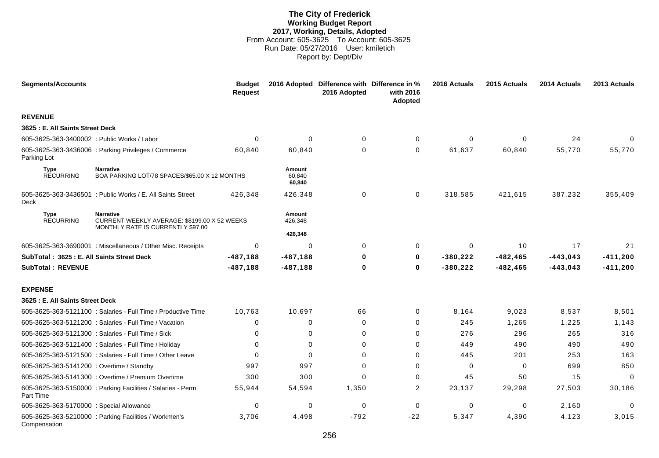## **The City of Frederick Working Budget Report 2017, Working, Details, Adopted** From Account: 605-3625 To Account: 605-3625 Run Date: 05/27/2016 User: kmiletich Report by: Dept/Div

| <b>Segments/Accounts</b>                    |                                                                                                       | <b>Budget</b><br><b>Request</b> |                            | 2016 Adopted Difference with Difference in %<br>2016 Adopted | with 2016<br>Adopted | 2016 Actuals | 2015 Actuals | 2014 Actuals | 2013 Actuals |
|---------------------------------------------|-------------------------------------------------------------------------------------------------------|---------------------------------|----------------------------|--------------------------------------------------------------|----------------------|--------------|--------------|--------------|--------------|
| <b>REVENUE</b>                              |                                                                                                       |                                 |                            |                                                              |                      |              |              |              |              |
| 3625 : E. All Saints Street Deck            |                                                                                                       |                                 |                            |                                                              |                      |              |              |              |              |
| 605-3625-363-3400002 : Public Works / Labor |                                                                                                       | $\Omega$                        | $\mathbf 0$                | $\mathbf 0$                                                  | $\mathbf 0$          | $\mathbf 0$  | $\mathbf 0$  | 24           | $\Omega$     |
| Parking Lot                                 | 605-3625-363-3436006 : Parking Privileges / Commerce                                                  | 60,840                          | 60,840                     | $\Omega$                                                     | $\Omega$             | 61,637       | 60,840       | 55,770       | 55,770       |
| <b>Type</b><br><b>RECURRING</b>             | <b>Narrative</b><br>BOA PARKING LOT/78 SPACES/\$65.00 X 12 MONTHS                                     |                                 | Amount<br>60,840<br>60,840 |                                                              |                      |              |              |              |              |
| <b>Deck</b>                                 | 605-3625-363-3436501 : Public Works / E. All Saints Street                                            | 426,348                         | 426,348                    | $\mathbf 0$                                                  | $\mathbf 0$          | 318,585      | 421,615      | 387,232      | 355,409      |
| Type<br><b>RECURRING</b>                    | <b>Narrative</b><br>CURRENT WEEKLY AVERAGE: \$8199.00 X 52 WEEKS<br>MONTHLY RATE IS CURRENTLY \$97.00 |                                 | Amount<br>426,348          |                                                              |                      |              |              |              |              |
|                                             |                                                                                                       |                                 | 426,348                    |                                                              |                      |              |              |              |              |
|                                             | 605-3625-363-3690001 : Miscellaneous / Other Misc. Receipts                                           | $\Omega$                        | $\mathbf 0$                | $\Omega$                                                     | $\mathbf 0$          | $\Omega$     | 10           | 17           | 21           |
| SubTotal: 3625 : E. All Saints Street Deck  |                                                                                                       | $-487,188$                      | $-487,188$                 | 0                                                            | $\mathbf 0$          | $-380,222$   | $-482, 465$  | $-443,043$   | $-411,200$   |
| <b>SubTotal: REVENUE</b>                    |                                                                                                       | $-487, 188$                     | $-487, 188$                | $\bf{0}$                                                     | $\bf{0}$             | $-380,222$   | $-482, 465$  | $-443,043$   | $-411,200$   |
| <b>EXPENSE</b>                              |                                                                                                       |                                 |                            |                                                              |                      |              |              |              |              |
| 3625 : E. All Saints Street Deck            |                                                                                                       |                                 |                            |                                                              |                      |              |              |              |              |
|                                             | 605-3625-363-5121100 : Salaries - Full Time / Productive Time                                         | 10,763                          | 10,697                     | 66                                                           | $\mathbf 0$          | 8,164        | 9,023        | 8,537        | 8,501        |
|                                             | 605-3625-363-5121200 : Salaries - Full Time / Vacation                                                | 0                               | $\Omega$                   | $\Omega$                                                     | $\Omega$             | 245          | 1,265        | 1,225        | 1,143        |
|                                             | 605-3625-363-5121300 : Salaries - Full Time / Sick                                                    | 0                               | $\Omega$                   | $\Omega$                                                     | $\Omega$             | 276          | 296          | 265          | 316          |
|                                             | 605-3625-363-5121400 : Salaries - Full Time / Holiday                                                 | 0                               | 0                          | $\Omega$                                                     | $\mathbf 0$          | 449          | 490          | 490          | 490          |
|                                             | 605-3625-363-5121500 : Salaries - Full Time / Other Leave                                             | $\Omega$                        | $\Omega$                   | $\Omega$                                                     | $\Omega$             | 445          | 201          | 253          | 163          |
| 605-3625-363-5141200 : Overtime / Standby   |                                                                                                       | 997                             | 997                        | $\Omega$                                                     | $\Omega$             | $\mathbf{0}$ | $\mathbf{0}$ | 699          | 850          |
|                                             | 605-3625-363-5141300 : Overtime / Premium Overtime                                                    | 300                             | 300                        | $\Omega$                                                     | $\mathbf 0$          | 45           | 50           | 15           | $\Omega$     |
| Part Time                                   | 605-3625-363-5150000: Parking Facilities / Salaries - Perm                                            | 55,944                          | 54,594                     | 1,350                                                        | $\overline{2}$       | 23,137       | 29,298       | 27,503       | 30,186       |
| 605-3625-363-5170000 : Special Allowance    |                                                                                                       | 0                               | 0                          | 0                                                            | 0                    | 0            | 0            | 2,160        | $\mathbf 0$  |
| Compensation                                | 605-3625-363-5210000 : Parking Facilities / Workmen's                                                 | 3,706                           | 4,498                      | $-792$                                                       | $-22$                | 5,347        | 4,390        | 4,123        | 3,015        |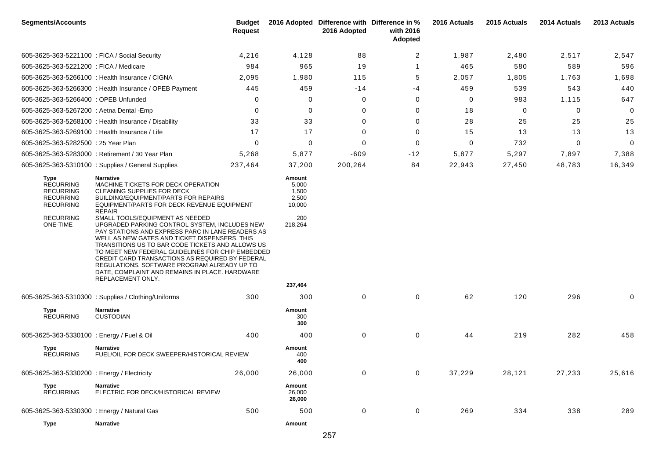| <b>Segments/Accounts</b>                                                                                                    |                                                                                                                                                                                                                                                                                                                                                                                                                                                                                                                                                                                                                                                                                     | Budget<br><b>Request</b> |                                                                          | 2016 Adopted Difference with Difference in %<br>2016 Adopted | with 2016<br>Adopted | 2016 Actuals | 2015 Actuals | 2014 Actuals | 2013 Actuals |
|-----------------------------------------------------------------------------------------------------------------------------|-------------------------------------------------------------------------------------------------------------------------------------------------------------------------------------------------------------------------------------------------------------------------------------------------------------------------------------------------------------------------------------------------------------------------------------------------------------------------------------------------------------------------------------------------------------------------------------------------------------------------------------------------------------------------------------|--------------------------|--------------------------------------------------------------------------|--------------------------------------------------------------|----------------------|--------------|--------------|--------------|--------------|
| 605-3625-363-5221100 : FICA / Social Security                                                                               |                                                                                                                                                                                                                                                                                                                                                                                                                                                                                                                                                                                                                                                                                     | 4,216                    | 4,128                                                                    | 88                                                           | 2                    | 1,987        | 2,480        | 2,517        | 2,547        |
| 605-3625-363-5221200 : FICA / Medicare                                                                                      |                                                                                                                                                                                                                                                                                                                                                                                                                                                                                                                                                                                                                                                                                     | 984                      | 965                                                                      | 19                                                           | $\overline{1}$       | 465          | 580          | 589          | 596          |
|                                                                                                                             | 605-3625-363-5266100 : Health Insurance / CIGNA                                                                                                                                                                                                                                                                                                                                                                                                                                                                                                                                                                                                                                     | 2,095                    | 1,980                                                                    | 115                                                          | 5                    | 2,057        | 1,805        | 1,763        | 1,698        |
|                                                                                                                             | 605-3625-363-5266300 : Health Insurance / OPEB Payment                                                                                                                                                                                                                                                                                                                                                                                                                                                                                                                                                                                                                              | 445                      | 459                                                                      | $-14$                                                        | -4                   | 459          | 539          | 543          | 440          |
| 605-3625-363-5266400 : OPEB Unfunded                                                                                        |                                                                                                                                                                                                                                                                                                                                                                                                                                                                                                                                                                                                                                                                                     | 0                        | 0                                                                        | $\mathbf{0}$                                                 | 0                    | 0            | 983          | 1,115        | 647          |
| 605-3625-363-5267200 : Aetna Dental - Emp                                                                                   |                                                                                                                                                                                                                                                                                                                                                                                                                                                                                                                                                                                                                                                                                     | $\Omega$                 | 0                                                                        | 0                                                            | 0                    | 18           | 0            | $\mathbf 0$  | 0            |
|                                                                                                                             | 605-3625-363-5268100 : Health Insurance / Disability                                                                                                                                                                                                                                                                                                                                                                                                                                                                                                                                                                                                                                | 33                       | 33                                                                       | 0                                                            | 0                    | 28           | 25           | 25           | 25           |
| 605-3625-363-5269100 : Health Insurance / Life                                                                              |                                                                                                                                                                                                                                                                                                                                                                                                                                                                                                                                                                                                                                                                                     | 17                       | 17                                                                       | 0                                                            | 0                    | 15           | 13           | 13           | 13           |
| 605-3625-363-5282500 : 25 Year Plan                                                                                         |                                                                                                                                                                                                                                                                                                                                                                                                                                                                                                                                                                                                                                                                                     | 0                        | 0                                                                        | 0                                                            | 0                    | 0            | 732          | 0            | 0            |
|                                                                                                                             | 605-3625-363-5283000 : Retirement / 30 Year Plan                                                                                                                                                                                                                                                                                                                                                                                                                                                                                                                                                                                                                                    | 5,268                    | 5,877                                                                    | $-609$                                                       | $-12$                | 5,877        | 5,297        | 7,897        | 7,388        |
|                                                                                                                             | 605-3625-363-5310100 : Supplies / General Supplies                                                                                                                                                                                                                                                                                                                                                                                                                                                                                                                                                                                                                                  | 237,464                  | 37,200                                                                   | 200,264                                                      | 84                   | 22,943       | 27,450       | 48,783       | 16,349       |
| Type<br><b>RECURRING</b><br><b>RECURRING</b><br><b>RECURRING</b><br><b>RECURRING</b><br><b>RECURRING</b><br><b>ONE-TIME</b> | <b>Narrative</b><br>MACHINE TICKETS FOR DECK OPERATION<br><b>CLEANING SUPPLIES FOR DECK</b><br><b>BUILDING/EQUIPMENT/PARTS FOR REPAIRS</b><br>EQUIPMENT/PARTS FOR DECK REVENUE EQUIPMENT<br><b>REPAIR</b><br>SMALL TOOLS/EQUIPMENT AS NEEDED<br>UPGRADED PARKING CONTROL SYSTEM, INCLUDES NEW<br>PAY STATIONS AND EXPRESS PARC IN LANE READERS AS<br>WELL AS NEW GATES AND TICKET DISPENSERS. THIS<br>TRANSITIONS US TO BAR CODE TICKETS AND ALLOWS US<br>TO MEET NEW FEDERAL GUIDELINES FOR CHIP EMBEDDED<br>CREDIT CARD TRANSACTIONS AS REQUIRED BY FEDERAL<br>REGULATIONS. SOFTWARE PROGRAM ALREADY UP TO<br>DATE, COMPLAINT AND REMAINS IN PLACE. HARDWARE<br>REPLACEMENT ONLY. |                          | Amount<br>5,000<br>1,500<br>2,500<br>10,000<br>200<br>218,264<br>237,464 |                                                              |                      |              |              |              |              |
|                                                                                                                             | 605-3625-363-5310300: Supplies / Clothing/Uniforms                                                                                                                                                                                                                                                                                                                                                                                                                                                                                                                                                                                                                                  | 300                      | 300                                                                      | 0                                                            | 0                    | 62           | 120          | 296          | 0            |
| Type<br><b>RECURRING</b>                                                                                                    | <b>Narrative</b><br><b>CUSTODIAN</b>                                                                                                                                                                                                                                                                                                                                                                                                                                                                                                                                                                                                                                                |                          | Amount<br>300<br>300                                                     |                                                              |                      |              |              |              |              |
| 605-3625-363-5330100 : Energy / Fuel & Oil                                                                                  |                                                                                                                                                                                                                                                                                                                                                                                                                                                                                                                                                                                                                                                                                     | 400                      | 400                                                                      | 0                                                            | 0                    | 44           | 219          | 282          | 458          |
| Type<br><b>RECURRING</b>                                                                                                    | Narrative<br>FUEL/OIL FOR DECK SWEEPER/HISTORICAL REVIEW                                                                                                                                                                                                                                                                                                                                                                                                                                                                                                                                                                                                                            |                          | Amount<br>400<br>400                                                     |                                                              |                      |              |              |              |              |
| 605-3625-363-5330200 : Energy / Electricity                                                                                 |                                                                                                                                                                                                                                                                                                                                                                                                                                                                                                                                                                                                                                                                                     | 26,000                   | 26,000                                                                   | 0                                                            | 0                    | 37,229       | 28,121       | 27,233       | 25,616       |
| Type<br><b>RECURRING</b>                                                                                                    | <b>Narrative</b><br>ELECTRIC FOR DECK/HISTORICAL REVIEW                                                                                                                                                                                                                                                                                                                                                                                                                                                                                                                                                                                                                             |                          | Amount<br>26,000<br>26,000                                               |                                                              |                      |              |              |              |              |
| 605-3625-363-5330300 : Energy / Natural Gas                                                                                 |                                                                                                                                                                                                                                                                                                                                                                                                                                                                                                                                                                                                                                                                                     | 500                      | 500                                                                      | 0                                                            | $\mathbf 0$          | 269          | 334          | 338          | 289          |
| <b>Type</b>                                                                                                                 | <b>Narrative</b>                                                                                                                                                                                                                                                                                                                                                                                                                                                                                                                                                                                                                                                                    |                          | Amount                                                                   |                                                              |                      |              |              |              |              |

257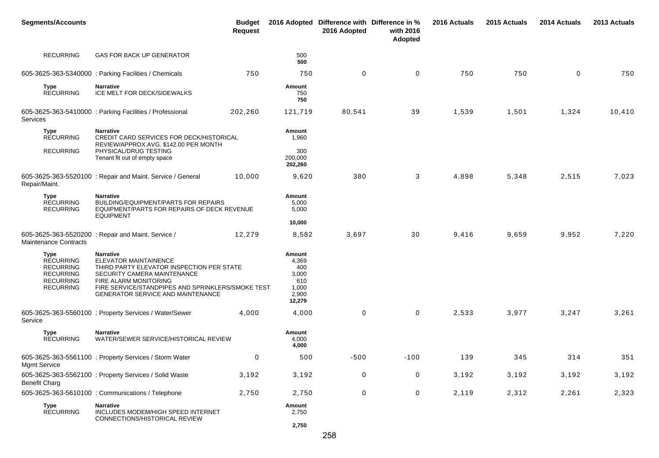| <b>Segments/Accounts</b>                                                                                        |                                                                                                                                                                                                                                                 | <b>Budget</b><br><b>Request</b> |                                                                    | 2016 Adopted Difference with Difference in %<br>2016 Adopted | with 2016<br>Adopted | 2016 Actuals | 2015 Actuals | 2014 Actuals | 2013 Actuals |
|-----------------------------------------------------------------------------------------------------------------|-------------------------------------------------------------------------------------------------------------------------------------------------------------------------------------------------------------------------------------------------|---------------------------------|--------------------------------------------------------------------|--------------------------------------------------------------|----------------------|--------------|--------------|--------------|--------------|
| <b>RECURRING</b>                                                                                                | <b>GAS FOR BACK UP GENERATOR</b>                                                                                                                                                                                                                |                                 | 500<br>500                                                         |                                                              |                      |              |              |              |              |
|                                                                                                                 | 605-3625-363-5340000 : Parking Facilities / Chemicals                                                                                                                                                                                           | 750                             | 750                                                                | $\mathbf 0$                                                  | $\mathbf 0$          | 750          | 750          | 0            | 750          |
| <b>Type</b><br><b>RECURRING</b>                                                                                 | <b>Narrative</b><br>ICE MELT FOR DECK/SIDEWALKS                                                                                                                                                                                                 |                                 | Amount<br>750<br>750                                               |                                                              |                      |              |              |              |              |
| Services                                                                                                        | 605-3625-363-5410000: Parking Facilities / Professional                                                                                                                                                                                         | 202,260                         | 121,719                                                            | 80,541                                                       | 39                   | 1,539        | 1,501        | 1,324        | 10,410       |
| <b>Type</b><br><b>RECURRING</b><br><b>RECURRING</b>                                                             | <b>Narrative</b><br>CREDIT CARD SERVICES FOR DECK/HISTORICAL<br>REVIEW/APPROX.AVG. \$142.00 PER MONTH<br>PHYSICAL/DRUG TESTING<br>Tenant fit out of empty space                                                                                 |                                 | Amount<br>1,960<br>300<br>200,000<br>202,260                       |                                                              |                      |              |              |              |              |
| Repair/Maint.                                                                                                   | 605-3625-363-5520100 : Repair and Maint. Service / General                                                                                                                                                                                      | 10,000                          | 9,620                                                              | 380                                                          | 3                    | 4,898        | 5,348        | 2,515        | 7,023        |
| Type<br><b>RECURRING</b><br><b>RECURRING</b>                                                                    | <b>Narrative</b><br><b>BUILDING/EQUIPMENT/PARTS FOR REPAIRS</b><br>EQUIPMENT/PARTS FOR REPAIRS OF DECK REVENUE<br><b>EQUIPMENT</b>                                                                                                              |                                 | Amount<br>5,000<br>5,000<br>10,000                                 |                                                              |                      |              |              |              |              |
| Maintenance Contracts                                                                                           | 605-3625-363-5520200 : Repair and Maint. Service /                                                                                                                                                                                              | 12,279                          | 8,582                                                              | 3,697                                                        | 30                   | 9,416        | 9,659        | 9,952        | 7,220        |
| <b>Type</b><br><b>RECURRING</b><br><b>RECURRING</b><br><b>RECURRING</b><br><b>RECURRING</b><br><b>RECURRING</b> | <b>Narrative</b><br><b>ELEVATOR MAINTAINENCE</b><br>THIRD PARTY ELEVATOR INSPECTION PER STATE<br>SECURITY CAMERA MAINTENANCE<br>FIRE ALARM MONITORING<br>FIRE SERVICE/STANDPIPES AND SPRINKLERS/SMOKE TEST<br>GENERATOR SERVICE AND MAINTENANCE |                                 | Amount<br>4,369<br>400<br>3,000<br>610<br>1,000<br>2,900<br>12,279 |                                                              |                      |              |              |              |              |
| Service                                                                                                         | 605-3625-363-5560100 : Property Services / Water/Sewer                                                                                                                                                                                          | 4,000                           | 4,000                                                              | 0                                                            | 0                    | 2,533        | 3,977        | 3,247        | 3,261        |
| Type<br><b>RECURRING</b>                                                                                        | <b>Narrative</b><br>WATER/SEWER SERVICE/HISTORICAL REVIEW                                                                                                                                                                                       |                                 | Amount<br>4,000<br>4,000                                           |                                                              |                      |              |              |              |              |
| <b>Mgmt Service</b>                                                                                             | 605-3625-363-5561100 : Property Services / Storm Water                                                                                                                                                                                          | $\mathsf{O}\xspace$             | 500                                                                | $-500$                                                       | $-100$               | 139          | 345          | 314          | 351          |
| <b>Benefit Charg</b>                                                                                            | 605-3625-363-5562100 : Property Services / Solid Waste                                                                                                                                                                                          | 3,192                           | 3,192                                                              | $\boldsymbol{0}$                                             | $\mathbf 0$          | 3,192        | 3,192        | 3,192        | 3,192        |
|                                                                                                                 | 605-3625-363-5610100 : Communications / Telephone                                                                                                                                                                                               | 2,750                           | 2,750                                                              | $\mathbf 0$                                                  | $\mathbf 0$          | 2,119        | 2,312        | 2,261        | 2,323        |
| Type<br><b>RECURRING</b>                                                                                        | <b>Narrative</b><br>INCLUDES MODEM/HIGH SPEED INTERNET<br>CONNECTIONS/HISTORICAL REVIEW                                                                                                                                                         |                                 | Amount<br>2,750                                                    |                                                              |                      |              |              |              |              |
|                                                                                                                 |                                                                                                                                                                                                                                                 |                                 | 2,750                                                              |                                                              |                      |              |              |              |              |

258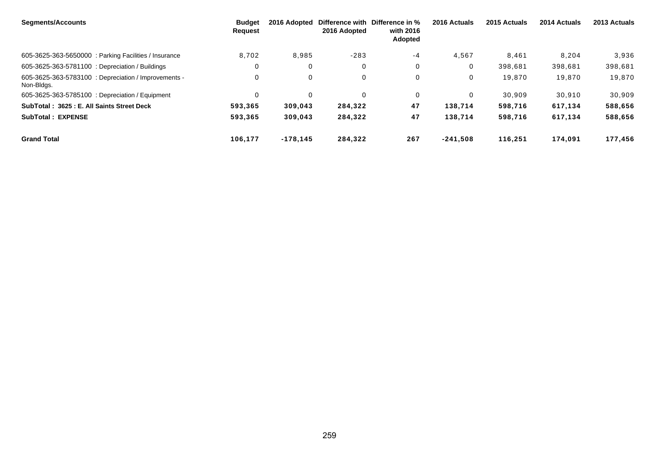| Segments/Accounts                                                  | <b>Budget</b><br>Request | 2016 Adopted | 2016 Adopted | Difference with Difference in %<br>with 2016<br>Adopted | 2016 Actuals | 2015 Actuals | 2014 Actuals | 2013 Actuals |
|--------------------------------------------------------------------|--------------------------|--------------|--------------|---------------------------------------------------------|--------------|--------------|--------------|--------------|
| 605-3625-363-5650000 : Parking Facilities / Insurance              | 8,702                    | 8,985        | $-283$       | -4                                                      | 4,567        | 8,461        | 8,204        | 3,936        |
| 605-3625-363-5781100 : Depreciation / Buildings                    | 0                        | 0            | $\mathbf{0}$ | 0                                                       | 0            | 398,681      | 398,681      | 398,681      |
| 605-3625-363-5783100 : Depreciation / Improvements -<br>Non-Bidgs. | $\mathbf 0$              | $\mathbf 0$  | $\mathbf 0$  | 0                                                       | 0            | 19,870       | 19,870       | 19,870       |
| 605-3625-363-5785100 : Depreciation / Equipment                    | $\mathbf 0$              | 0            | $\Omega$     | 0                                                       | $\Omega$     | 30.909       | 30,910       | 30,909       |
| SubTotal: 3625 : E. All Saints Street Deck                         | 593,365                  | 309,043      | 284,322      | 47                                                      | 138,714      | 598,716      | 617,134      | 588,656      |
| <b>SubTotal: EXPENSE</b>                                           | 593,365                  | 309.043      | 284,322      | 47                                                      | 138,714      | 598,716      | 617,134      | 588,656      |
| <b>Grand Total</b>                                                 | 106,177                  | $-178.145$   | 284.322      | 267                                                     | $-241.508$   | 116.251      | 174.091      | 177.456      |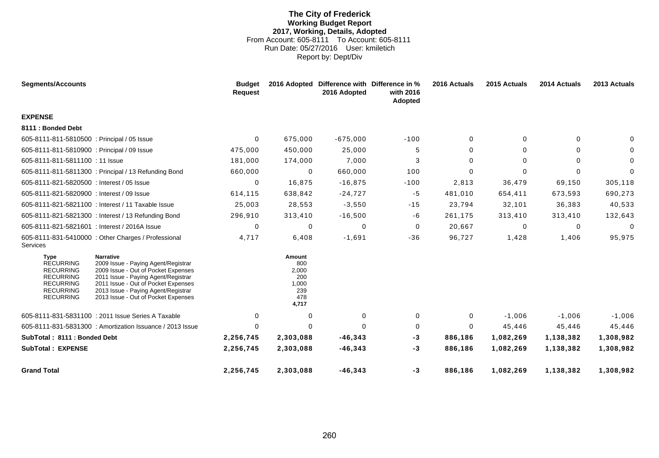## **The City of Frederick Working Budget Report 2017, Working, Details, Adopted** From Account: 605-8111 To Account: 605-8111 Run Date: 05/27/2016 User: kmiletich Report by: Dept/Div

| <b>Segments/Accounts</b>                                                                                                            |                                                                                                                                                                                                                                                            | Budget<br><b>Request</b> | 2016 Adopted                                                  | 2016 Adopted | Difference with Difference in %<br>with 2016<br>Adopted | 2016 Actuals | 2015 Actuals | 2014 Actuals | 2013 Actuals |
|-------------------------------------------------------------------------------------------------------------------------------------|------------------------------------------------------------------------------------------------------------------------------------------------------------------------------------------------------------------------------------------------------------|--------------------------|---------------------------------------------------------------|--------------|---------------------------------------------------------|--------------|--------------|--------------|--------------|
| <b>EXPENSE</b>                                                                                                                      |                                                                                                                                                                                                                                                            |                          |                                                               |              |                                                         |              |              |              |              |
| 8111 : Bonded Debt                                                                                                                  |                                                                                                                                                                                                                                                            |                          |                                                               |              |                                                         |              |              |              |              |
| 605-8111-811-5810500 : Principal / 05 Issue                                                                                         |                                                                                                                                                                                                                                                            | $\Omega$                 | 675,000                                                       | $-675,000$   | $-100$                                                  | $\Omega$     | 0            | 0            |              |
| 605-8111-811-5810900 : Principal / 09 Issue                                                                                         |                                                                                                                                                                                                                                                            | 475,000                  | 450,000                                                       | 25,000       | 5                                                       | 0            | $\mathbf 0$  | 0            |              |
| 605-8111-811-5811100 : 11 Issue                                                                                                     |                                                                                                                                                                                                                                                            | 181,000                  | 174,000                                                       | 7,000        | 3                                                       | 0            | 0            | 0            | $\Omega$     |
|                                                                                                                                     | 605-8111-811-5811300 : Principal / 13 Refunding Bond                                                                                                                                                                                                       | 660,000                  | 0                                                             | 660,000      | 100                                                     | $\Omega$     | $\Omega$     | $\Omega$     | $\Omega$     |
| 605-8111-821-5820500 : Interest / 05 Issue                                                                                          |                                                                                                                                                                                                                                                            | 0                        | 16,875                                                        | $-16,875$    | $-100$                                                  | 2,813        | 36,479       | 69,150       | 305,118      |
| 605-8111-821-5820900 : Interest / 09 Issue                                                                                          |                                                                                                                                                                                                                                                            | 614,115                  | 638,842                                                       | $-24,727$    | -5                                                      | 481,010      | 654,411      | 673,593      | 690,273      |
|                                                                                                                                     | 605-8111-821-5821100 : Interest / 11 Taxable Issue                                                                                                                                                                                                         | 25,003                   | 28,553                                                        | $-3,550$     | $-15$                                                   | 23,794       | 32,101       | 36,383       | 40,533       |
|                                                                                                                                     | 605-8111-821-5821300 : Interest / 13 Refunding Bond                                                                                                                                                                                                        | 296,910                  | 313,410                                                       | $-16,500$    | -6                                                      | 261,175      | 313,410      | 313,410      | 132,643      |
| 605-8111-821-5821601 : Interest / 2016A Issue                                                                                       |                                                                                                                                                                                                                                                            | 0                        | 0                                                             | 0            | 0                                                       | 20,667       | 0            | 0            | $\Omega$     |
| Services                                                                                                                            | 605-8111-831-5410000 : Other Charges / Professional                                                                                                                                                                                                        | 4,717                    | 6,408                                                         | $-1,691$     | $-36$                                                   | 96,727       | 1,428        | 1,406        | 95,975       |
| <b>Type</b><br><b>RECURRING</b><br><b>RECURRING</b><br><b>RECURRING</b><br><b>RECURRING</b><br><b>RECURRING</b><br><b>RECURRING</b> | <b>Narrative</b><br>2009 Issue - Paying Agent/Registrar<br>2009 Issue - Out of Pocket Expenses<br>2011 Issue - Paying Agent/Registrar<br>2011 Issue - Out of Pocket Expenses<br>2013 Issue - Paying Agent/Registrar<br>2013 Issue - Out of Pocket Expenses |                          | Amount<br>800<br>2,000<br>200<br>1,000<br>239<br>478<br>4,717 |              |                                                         |              |              |              |              |
|                                                                                                                                     | 605-8111-831-5831100 : 2011 Issue Series A Taxable                                                                                                                                                                                                         | $\Omega$                 | 0                                                             | 0            | 0                                                       | 0            | $-1,006$     | $-1,006$     | $-1,006$     |
|                                                                                                                                     | 605-8111-831-5831300 : Amortization Issuance / 2013 Issue                                                                                                                                                                                                  | $\Omega$                 | $\Omega$                                                      | $\Omega$     | 0                                                       | $\Omega$     | 45,446       | 45,446       | 45,446       |
| SubTotal: 8111 : Bonded Debt                                                                                                        |                                                                                                                                                                                                                                                            | 2,256,745                | 2,303,088                                                     | $-46,343$    | -3                                                      | 886,186      | 1,082,269    | 1,138,382    | 1,308,982    |
| <b>SubTotal: EXPENSE</b>                                                                                                            |                                                                                                                                                                                                                                                            | 2,256,745                | 2,303,088                                                     | $-46,343$    | -3                                                      | 886,186      | 1,082,269    | 1,138,382    | 1,308,982    |
| <b>Grand Total</b>                                                                                                                  |                                                                                                                                                                                                                                                            | 2,256,745                | 2,303,088                                                     | $-46,343$    | -3                                                      | 886.186      | 1,082,269    | 1,138,382    | 1,308,982    |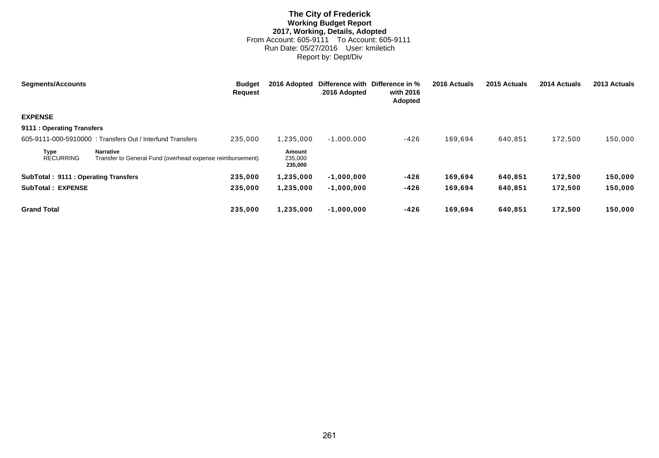# **The City of Frederick Working Budget Report 2017, Working, Details, Adopted** From Account: 605-9111 To Account: 605-9111 Run Date: 05/27/2016 User: kmiletich Report by: Dept/Div

| <b>Segments/Accounts</b>            |                                                                               | <b>Budget</b><br><b>Request</b> | 2016 Adopted                 | 2016 Adopted | Difference with Difference in %<br>with 2016<br>Adopted | 2016 Actuals | 2015 Actuals | 2014 Actuals | 2013 Actuals |
|-------------------------------------|-------------------------------------------------------------------------------|---------------------------------|------------------------------|--------------|---------------------------------------------------------|--------------|--------------|--------------|--------------|
| <b>EXPENSE</b>                      |                                                                               |                                 |                              |              |                                                         |              |              |              |              |
| 9111 : Operating Transfers          |                                                                               |                                 |                              |              |                                                         |              |              |              |              |
|                                     | 605-9111-000-5910000: Transfers Out / Interfund Transfers                     | 235,000                         | 1.235.000                    | $-1.000.000$ | $-426$                                                  | 169,694      | 640,851      | 172.500      | 150,000      |
| <b>Type</b><br><b>RECURRING</b>     | <b>Narrative</b><br>Transfer to General Fund (overhead expense reimbursement) |                                 | Amount<br>235,000<br>235,000 |              |                                                         |              |              |              |              |
| SubTotal: 9111: Operating Transfers |                                                                               | 235,000                         | 1,235,000                    | $-1,000,000$ | $-426$                                                  | 169.694      | 640,851      | 172.500      | 150,000      |
| <b>SubTotal: EXPENSE</b>            |                                                                               | 235,000                         | 1,235,000                    | $-1,000,000$ | -426                                                    | 169,694      | 640,851      | 172,500      | 150,000      |
| <b>Grand Total</b>                  |                                                                               | 235,000                         | 1,235,000                    | $-1,000,000$ | $-426$                                                  | 169,694      | 640,851      | 172,500      | 150,000      |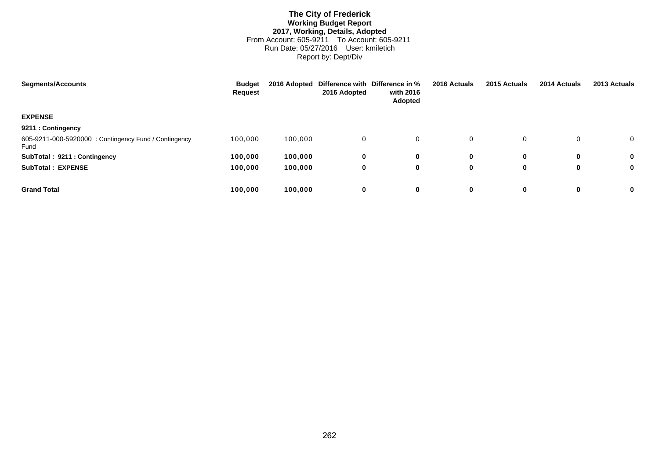# **The City of Frederick Working Budget Report 2017, Working, Details, Adopted** From Account: 605-9211 To Account: 605-9211 Run Date: 05/27/2016 User: kmiletich Report by: Dept/Div

| <b>Segments/Accounts</b>                                     | <b>Budget</b><br>Request |         | 2016 Adopted | 2016 Adopted Difference with Difference in %<br>with 2016<br>Adopted | 2016 Actuals | 2015 Actuals | 2014 Actuals | 2013 Actuals   |
|--------------------------------------------------------------|--------------------------|---------|--------------|----------------------------------------------------------------------|--------------|--------------|--------------|----------------|
| <b>EXPENSE</b>                                               |                          |         |              |                                                                      |              |              |              |                |
| 9211 : Contingency                                           |                          |         |              |                                                                      |              |              |              |                |
| 605-9211-000-5920000: Contingency Fund / Contingency<br>Fund | 100,000                  | 100,000 | 0            | 0                                                                    | 0            | 0            |              | $\overline{0}$ |
| SubTotal: 9211: Contingency                                  | 100,000                  | 100,000 | 0            | 0                                                                    | 0            | $\bf{0}$     | 0            | $\mathbf{0}$   |
| <b>SubTotal: EXPENSE</b>                                     | 100,000                  | 100,000 | 0            | 0                                                                    | 0            | 0            | 0            | $\mathbf 0$    |
| <b>Grand Total</b>                                           | 100,000                  | 100,000 | 0            | 0                                                                    | 0            | $\bf{0}$     | 0            | $\bf{0}$       |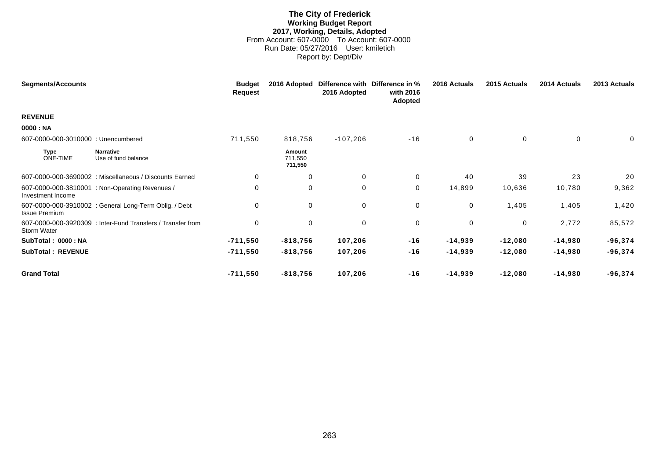# **The City of Frederick Working Budget Report 2017, Working, Details, Adopted** From Account: 607-0000 To Account: 607-0000 Run Date: 05/27/2016 User: kmiletich Report by: Dept/Div

| <b>Segments/Accounts</b>            |                                                             | <b>Budget</b><br>Request | 2016 Adopted                 | Difference with<br>2016 Adopted | Difference in %<br>with 2016<br>Adopted | 2016 Actuals | 2015 Actuals | 2014 Actuals | 2013 Actuals |
|-------------------------------------|-------------------------------------------------------------|--------------------------|------------------------------|---------------------------------|-----------------------------------------|--------------|--------------|--------------|--------------|
| <b>REVENUE</b>                      |                                                             |                          |                              |                                 |                                         |              |              |              |              |
| 0000 : NA                           |                                                             |                          |                              |                                 |                                         |              |              |              |              |
| 607-0000-000-3010000 : Unencumbered |                                                             | 711,550                  | 818,756                      | $-107,206$                      | $-16$                                   | 0            | $\mathbf 0$  | 0            | 0            |
| <b>Type</b><br><b>ONE-TIME</b>      | <b>Narrative</b><br>Use of fund balance                     |                          | Amount<br>711,550<br>711,550 |                                 |                                         |              |              |              |              |
|                                     | 607-0000-000-3690002 : Miscellaneous / Discounts Earned     | $\mathbf 0$              | 0                            | $\mathbf 0$                     | 0                                       | 40           | 39           | 23           | 20           |
| Investment Income                   | 607-0000-000-3810001 : Non-Operating Revenues /             | 0                        | $\mathbf 0$                  | $\mathbf 0$                     | 0                                       | 14,899       | 10,636       | 10,780       | 9,362        |
| <b>Issue Premium</b>                | 607-0000-000-3910002 : General Long-Term Oblig. / Debt      | 0                        | 0                            | 0                               | $\pmb{0}$                               | 0            | 1,405        | 1,405        | 1,420        |
| Storm Water                         | 607-0000-000-3920309 : Inter-Fund Transfers / Transfer from | 0                        | $\mathbf 0$                  | 0                               | $\mathbf 0$                             | 0            | 0            | 2,772        | 85,572       |
| SubTotal: 0000: NA                  |                                                             | $-711,550$               | $-818,756$                   | 107,206                         | $-16$                                   | $-14,939$    | $-12,080$    | $-14,980$    | $-96,374$    |
| <b>SubTotal: REVENUE</b>            |                                                             | $-711,550$               | $-818,756$                   | 107,206                         | $-16$                                   | $-14,939$    | $-12,080$    | $-14,980$    | $-96,374$    |
| <b>Grand Total</b>                  |                                                             | $-711,550$               | $-818,756$                   | 107,206                         | $-16$                                   | $-14,939$    | $-12,080$    | $-14,980$    | $-96,374$    |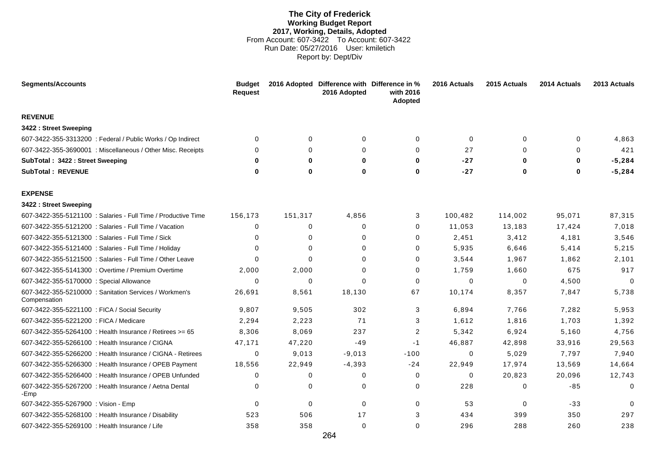## **The City of Frederick Working Budget Report 2017, Working, Details, Adopted** From Account: 607-3422 To Account: 607-3422 Run Date: 05/27/2016 User: kmiletich Report by: Dept/Div

| <b>Segments/Accounts</b>                                               | <b>Budget</b><br><b>Request</b> |             | 2016 Adopted Difference with Difference in %<br>2016 Adopted | with 2016<br>Adopted | 2016 Actuals | 2015 Actuals | 2014 Actuals | 2013 Actuals |
|------------------------------------------------------------------------|---------------------------------|-------------|--------------------------------------------------------------|----------------------|--------------|--------------|--------------|--------------|
| <b>REVENUE</b>                                                         |                                 |             |                                                              |                      |              |              |              |              |
| 3422 : Street Sweeping                                                 |                                 |             |                                                              |                      |              |              |              |              |
| 607-3422-355-3313200 : Federal / Public Works / Op Indirect            | $\Omega$                        | 0           | $\mathbf 0$                                                  | 0                    | $\mathbf 0$  | $\mathbf 0$  | $\mathbf 0$  | 4,863        |
| 607-3422-355-3690001 : Miscellaneous / Other Misc. Receipts            | 0                               | 0           | $\Omega$                                                     | 0                    | 27           | 0            | $\Omega$     | 421          |
| SubTotal: 3422: Street Sweeping                                        | <sup>0</sup>                    | $\bf{0}$    | $\bf{0}$                                                     | $\bf{0}$             | $-27$        | $\bf{0}$     | 0            | $-5,284$     |
| <b>SubTotal: REVENUE</b>                                               | $\bf{0}$                        | $\bf{0}$    | 0                                                            | $\bf{0}$             | $-27$        | 0            | 0            | $-5,284$     |
| <b>EXPENSE</b>                                                         |                                 |             |                                                              |                      |              |              |              |              |
| 3422 : Street Sweeping                                                 |                                 |             |                                                              |                      |              |              |              |              |
| 607-3422-355-5121100 : Salaries - Full Time / Productive Time          | 156,173                         | 151,317     | 4,856                                                        | 3                    | 100,482      | 114,002      | 95,071       | 87,315       |
| 607-3422-355-5121200 : Salaries - Full Time / Vacation                 | 0                               | 0           | $\Omega$                                                     | $\mathbf 0$          | 11,053       | 13,183       | 17,424       | 7,018        |
| 607-3422-355-5121300 : Salaries - Full Time / Sick                     | $\Omega$                        | 0           | $\Omega$                                                     | $\Omega$             | 2,451        | 3,412        | 4,181        | 3,546        |
| 607-3422-355-5121400 : Salaries - Full Time / Holiday                  | 0                               | 0           | $\Omega$                                                     | 0                    | 5,935        | 6,646        | 5,414        | 5,215        |
| 607-3422-355-5121500 : Salaries - Full Time / Other Leave              | $\Omega$                        | $\Omega$    | $\Omega$                                                     | 0                    | 3,544        | 1,967        | 1,862        | 2,101        |
| 607-3422-355-5141300 : Overtime / Premium Overtime                     | 2,000                           | 2,000       | $\Omega$                                                     | $\mathbf 0$          | 1,759        | 1,660        | 675          | 917          |
| 607-3422-355-5170000 : Special Allowance                               | $\Omega$                        | 0           | $\Omega$                                                     | $\mathbf 0$          | $\Omega$     | 0            | 4,500        | $\mathbf 0$  |
| 607-3422-355-5210000 : Sanitation Services / Workmen's<br>Compensation | 26,691                          | 8,561       | 18,130                                                       | 67                   | 10,174       | 8,357        | 7,847        | 5,738        |
| 607-3422-355-5221100 : FICA / Social Security                          | 9,807                           | 9,505       | 302                                                          | 3                    | 6,894        | 7,766        | 7,282        | 5,953        |
| 607-3422-355-5221200 : FICA / Medicare                                 | 2,294                           | 2,223       | 71                                                           | 3                    | 1,612        | 1,816        | 1,703        | 1,392        |
| 607-3422-355-5264100 : Health Insurance / Retirees >= 65               | 8,306                           | 8,069       | 237                                                          | $\overline{2}$       | 5,342        | 6,924        | 5,160        | 4,756        |
| 607-3422-355-5266100 : Health Insurance / CIGNA                        | 47,171                          | 47,220      | $-49$                                                        | $-1$                 | 46,887       | 42,898       | 33,916       | 29,563       |
| 607-3422-355-5266200 : Health Insurance / CIGNA - Retirees             | $\mathbf 0$                     | 9,013       | $-9,013$                                                     | $-100$               | $\mathbf 0$  | 5,029        | 7,797        | 7,940        |
| 607-3422-355-5266300 : Health Insurance / OPEB Payment                 | 18,556                          | 22,949      | $-4,393$                                                     | $-24$                | 22,949       | 17,974       | 13,569       | 14,664       |
| 607-3422-355-5266400 : Health Insurance / OPEB Unfunded                | 0                               | 0           | $\mathbf 0$                                                  | $\mathbf 0$          | $\mathbf 0$  | 20,823       | 20,096       | 12,743       |
| 607-3422-355-5267200 : Health Insurance / Aetna Dental<br>-Emp         | $\Omega$                        | 0           | $\mathbf{0}$                                                 | $\mathbf 0$          | 228          | $\mathbf 0$  | $-85$        | $\mathbf 0$  |
| 607-3422-355-5267900 : Vision - Emp                                    | 0                               | $\mathbf 0$ | $\mathbf 0$                                                  | $\mathbf 0$          | 53           | $\mathbf 0$  | $-33$        | $\mathbf 0$  |
| 607-3422-355-5268100 : Health Insurance / Disability                   | 523                             | 506         | 17                                                           | 3                    | 434          | 399          | 350          | 297          |
| 607-3422-355-5269100 : Health Insurance / Life                         | 358                             | 358         | $\Omega$                                                     | $\mathbf 0$          | 296          | 288          | 260          | 238          |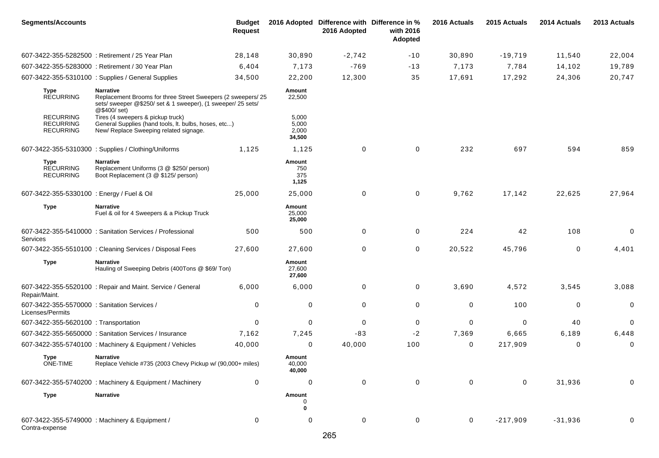| <b>Segments/Accounts</b>                                         |                                                                                                                                                                  | <b>Budget</b><br><b>Request</b> |                                   | 2016 Adopted Difference with Difference in %<br>2016 Adopted | with 2016<br>Adopted | 2016 Actuals | 2015 Actuals | 2014 Actuals | 2013 Actuals |
|------------------------------------------------------------------|------------------------------------------------------------------------------------------------------------------------------------------------------------------|---------------------------------|-----------------------------------|--------------------------------------------------------------|----------------------|--------------|--------------|--------------|--------------|
|                                                                  | 607-3422-355-5282500 : Retirement / 25 Year Plan                                                                                                                 | 28,148                          | 30,890                            | $-2,742$                                                     | $-10$                | 30,890       | $-19,719$    | 11,540       | 22,004       |
|                                                                  | 607-3422-355-5283000 : Retirement / 30 Year Plan                                                                                                                 | 6,404                           | 7,173                             | $-769$                                                       | $-13$                | 7,173        | 7,784        | 14,102       | 19,789       |
|                                                                  | 607-3422-355-5310100 : Supplies / General Supplies                                                                                                               | 34,500                          | 22,200                            | 12,300                                                       | 35                   | 17,691       | 17,292       | 24,306       | 20,747       |
| Type<br><b>RECURRING</b><br><b>RECURRING</b>                     | <b>Narrative</b><br>Replacement Brooms for three Street Sweepers (2 sweepers/ 25<br>sets/ sweeper @\$250/ set & 1 sweeper), (1 sweeper/ 25 sets/<br>@\$400/ set) |                                 | Amount<br>22,500                  |                                                              |                      |              |              |              |              |
| <b>RECURRING</b><br><b>RECURRING</b>                             | Tires (4 sweepers & pickup truck)<br>General Supplies (hand tools, lt. bulbs, hoses, etc)<br>New/ Replace Sweeping related signage.                              |                                 | 5,000<br>5,000<br>2,000<br>34,500 |                                                              |                      |              |              |              |              |
|                                                                  | 607-3422-355-5310300: Supplies / Clothing/Uniforms                                                                                                               | 1,125                           | 1,125                             | $\mathbf 0$                                                  | 0                    | 232          | 697          | 594          | 859          |
| Type<br><b>RECURRING</b><br><b>RECURRING</b>                     | <b>Narrative</b><br>Replacement Uniforms (3 @ \$250/ person)<br>Boot Replacement (3 @ \$125/ person)                                                             |                                 | Amount<br>750<br>375<br>1,125     |                                                              |                      |              |              |              |              |
| 607-3422-355-5330100 : Energy / Fuel & Oil                       |                                                                                                                                                                  | 25,000                          | 25,000                            | $\mathbf 0$                                                  | 0                    | 9,762        | 17,142       | 22,625       | 27,964       |
| <b>Type</b>                                                      | <b>Narrative</b><br>Fuel & oil for 4 Sweepers & a Pickup Truck                                                                                                   |                                 | Amount<br>25,000<br>25,000        |                                                              |                      |              |              |              |              |
| Services                                                         | 607-3422-355-5410000 : Sanitation Services / Professional                                                                                                        | 500                             | 500                               | 0                                                            | 0                    | 224          | 42           | 108          | 0            |
|                                                                  | 607-3422-355-5510100 : Cleaning Services / Disposal Fees                                                                                                         | 27,600                          | 27,600                            | 0                                                            | $\mathbf 0$          | 20,522       | 45,796       | $\mathbf 0$  | 4,401        |
| <b>Type</b>                                                      | <b>Narrative</b><br>Hauling of Sweeping Debris (400Tons @ \$69/Ton)                                                                                              |                                 | Amount<br>27,600<br>27,600        |                                                              |                      |              |              |              |              |
| Repair/Maint.                                                    | 607-3422-355-5520100 : Repair and Maint. Service / General                                                                                                       | 6,000                           | 6,000                             | 0                                                            | $\mathbf 0$          | 3,690        | 4,572        | 3,545        | 3,088        |
| 607-3422-355-5570000 : Sanitation Services /<br>Licenses/Permits |                                                                                                                                                                  | 0                               | 0                                 | 0                                                            | $\mathbf 0$          | 0            | 100          | 0            | 0            |
| 607-3422-355-5620100 : Transportation                            |                                                                                                                                                                  | $\mathbf 0$                     | $\mathbf 0$                       | 0                                                            | 0                    | 0            | 0            | 40           | 0            |
|                                                                  | 607-3422-355-5650000 : Sanitation Services / Insurance                                                                                                           | 7,162                           | 7,245                             | $-83$                                                        | $-2$                 | 7,369        | 6,665        | 6,189        | 6,448        |
|                                                                  | 607-3422-355-5740100 : Machinery & Equipment / Vehicles                                                                                                          | 40,000                          | $\mathbf 0$                       | 40,000                                                       | 100                  | 0            | 217,909      | $\mathbf 0$  | 0            |
| <b>Type</b><br>ONE-TIME                                          | <b>Narrative</b><br>Replace Vehicle #735 (2003 Chevy Pickup w/ (90,000+ miles)                                                                                   |                                 | Amount<br>40,000<br>40,000        |                                                              |                      |              |              |              |              |
|                                                                  | 607-3422-355-5740200 : Machinery & Equipment / Machinery                                                                                                         | 0                               | 0                                 | 0                                                            | $\mathbf 0$          | 0            | 0            | 31,936       | 0            |
| <b>Type</b>                                                      | <b>Narrative</b>                                                                                                                                                 |                                 | Amount<br>0<br>0                  |                                                              |                      |              |              |              |              |
| Contra-expense                                                   | 607-3422-355-5749000 : Machinery & Equipment /                                                                                                                   | 0                               | 0                                 | 0                                                            | $\mathbf 0$          | $\mathbf 0$  | $-217,909$   | $-31,936$    | 0            |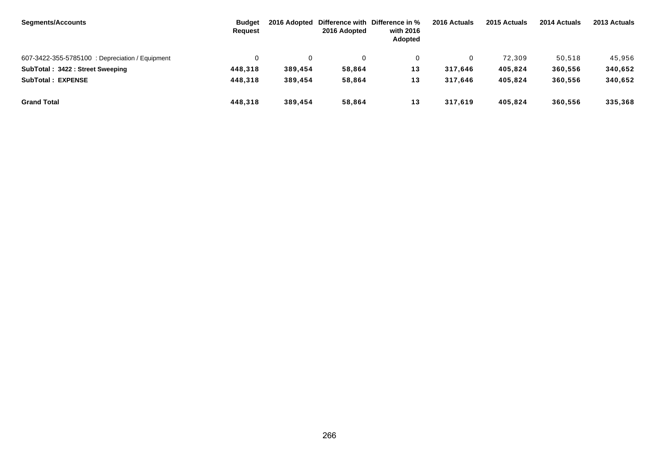| Segments/Accounts                               | <b>Budget</b><br><b>Request</b> | 2016 Adopted | 2016 Adopted | Difference with Difference in %<br>with 2016<br>Adopted | 2016 Actuals | 2015 Actuals | 2014 Actuals | 2013 Actuals |
|-------------------------------------------------|---------------------------------|--------------|--------------|---------------------------------------------------------|--------------|--------------|--------------|--------------|
| 607-3422-355-5785100 : Depreciation / Equipment |                                 |              |              |                                                         |              | 72.309       | 50.518       | 45,956       |
| SubTotal: 3422: Street Sweeping                 | 448,318                         | 389,454      | 58,864       | 13                                                      | 317,646      | 405,824      | 360,556      | 340,652      |
| <b>SubTotal: EXPENSE</b>                        | 448.318                         | 389.454      | 58,864       | 13                                                      | 317.646      | 405.824      | 360.556      | 340,652      |
| <b>Grand Total</b>                              | 448,318                         | 389,454      | 58,864       | 13                                                      | 317,619      | 405,824      | 360,556      | 335,368      |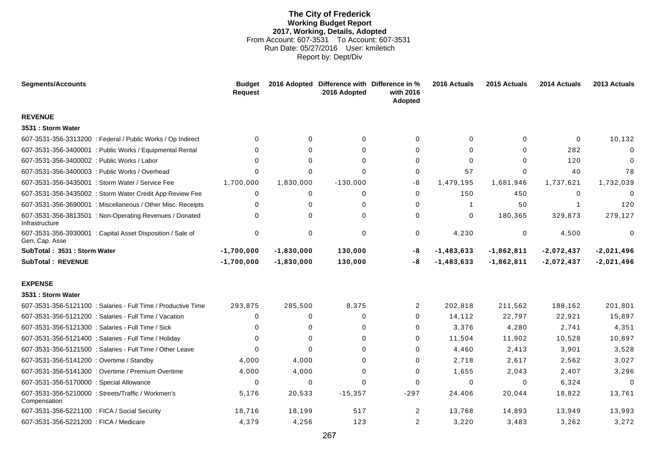## **The City of Frederick Working Budget Report 2017, Working, Details, Adopted** From Account: 607-3531 To Account: 607-3531 Run Date: 05/27/2016 User: kmiletich Report by: Dept/Div

| <b>Segments/Accounts</b>                                                     | <b>Budget</b><br><b>Request</b> |              | 2016 Adopted Difference with Difference in %<br>2016 Adopted | with 2016<br>Adopted | 2016 Actuals | 2015 Actuals | 2014 Actuals | 2013 Actuals |
|------------------------------------------------------------------------------|---------------------------------|--------------|--------------------------------------------------------------|----------------------|--------------|--------------|--------------|--------------|
| <b>REVENUE</b>                                                               |                                 |              |                                                              |                      |              |              |              |              |
| 3531 : Storm Water                                                           |                                 |              |                                                              |                      |              |              |              |              |
| 607-3531-356-3313200 : Federal / Public Works / Op Indirect                  | $\Omega$                        | 0            | $\Omega$                                                     | 0                    | $\Omega$     | 0            | $\mathbf 0$  | 10,132       |
| 607-3531-356-3400001 : Public Works / Equipmental Rental                     | 0                               | $\Omega$     | $\Omega$                                                     | 0                    | 0            | $\Omega$     | 282          | $\mathbf 0$  |
| 607-3531-356-3400002 : Public Works / Labor                                  | $\Omega$                        | $\Omega$     | $\Omega$                                                     | 0                    | $\Omega$     | $\Omega$     | 120          | $\Omega$     |
| 607-3531-356-3400003 : Public Works / Overhead                               | 0                               | $\mathbf 0$  | $\Omega$                                                     | 0                    | 57           | 0            | 40           | 78           |
| 607-3531-356-3435001 : Storm Water / Service Fee                             | 1,700,000                       | 1,830,000    | $-130,000$                                                   | -8                   | 1,479,195    | 1,681,946    | 1,737,621    | 1,732,039    |
| 607-3531-356-3435002 : Storm Water Credit App Review Fee                     | 0                               | 0            | $\Omega$                                                     | 0                    | 150          | 450          | 0            | $\Omega$     |
| 607-3531-356-3690001 : Miscellaneous / Other Misc. Receipts                  | 0                               | $\Omega$     | $\Omega$                                                     | 0                    | -1           | 50           |              | 120          |
| 607-3531-356-3813501 : Non-Operating Revenues / Donated<br>Infrastructure    | 0                               | $\Omega$     | $\Omega$                                                     | 0                    | 0            | 180,365      | 329,873      | 279,127      |
| 607-3531-356-3930001 : Capital Asset Disposition / Sale of<br>Gen. Cap. Asse | 0                               | $\mathbf 0$  | $\Omega$                                                     | 0                    | 4,230        | 0            | 4,500        | $\mathbf 0$  |
| SubTotal: 3531: Storm Water                                                  | $-1,700,000$                    | $-1,830,000$ | 130,000                                                      | -8                   | $-1,483,633$ | $-1,862,811$ | $-2,072,437$ | $-2,021,496$ |
| <b>SubTotal: REVENUE</b>                                                     | $-1,700,000$                    | $-1,830,000$ | 130,000                                                      | -8                   | $-1,483,633$ | $-1,862,811$ | $-2,072,437$ | $-2,021,496$ |
| <b>EXPENSE</b>                                                               |                                 |              |                                                              |                      |              |              |              |              |
| 3531 : Storm Water                                                           |                                 |              |                                                              |                      |              |              |              |              |
| 607-3531-356-5121100 : Salaries - Full Time / Productive Time                | 293,875                         | 285,500      | 8,375                                                        | $\overline{2}$       | 202,818      | 211,562      | 188,162      | 201,801      |
| 607-3531-356-5121200 : Salaries - Full Time / Vacation                       | 0                               | 0            | $\Omega$                                                     | 0                    | 14,112       | 22,797       | 22,921       | 15,897       |
| 607-3531-356-5121300 : Salaries - Full Time / Sick                           | 0                               | $\Omega$     | $\Omega$                                                     | $\Omega$             | 3,376        | 4,280        | 2,741        | 4,351        |
| 607-3531-356-5121400 : Salaries - Full Time / Holiday                        | 0                               | $\mathbf 0$  | 0                                                            | 0                    | 11,504       | 11,902       | 10,528       | 10,897       |
| 607-3531-356-5121500 : Salaries - Full Time / Other Leave                    | 0                               | $\Omega$     | $\Omega$                                                     | 0                    | 4,460        | 2,413        | 3,901        | 3,528        |
| 607-3531-356-5141200 : Overtime / Standby                                    | 4,000                           | 4,000        | $\Omega$                                                     | 0                    | 2,718        | 2,617        | 2,562        | 3,027        |
| 607-3531-356-5141300 : Overtime / Premium Overtime                           | 4,000                           | 4,000        | $\Omega$                                                     | 0                    | 1,655        | 2,043        | 2,407        | 3,296        |
| 607-3531-356-5170000 : Special Allowance                                     | $\Omega$                        | 0            | $\Omega$                                                     | 0                    | $\Omega$     | $\Omega$     | 6,324        | $\Omega$     |
| 607-3531-356-5210000 : Streets/Traffic / Workmen's<br>Compensation           | 5,176                           | 20,533       | $-15,357$                                                    | $-297$               | 24,406       | 20,044       | 18,822       | 13,761       |
| 607-3531-356-5221100 : FICA / Social Security                                | 18,716                          | 18,199       | 517                                                          | 2                    | 13,768       | 14,893       | 13,949       | 13,993       |
| 607-3531-356-5221200 : FICA / Medicare                                       | 4,379                           | 4,256        | 123                                                          | $\overline{c}$       | 3,220        | 3,483        | 3,262        | 3,272        |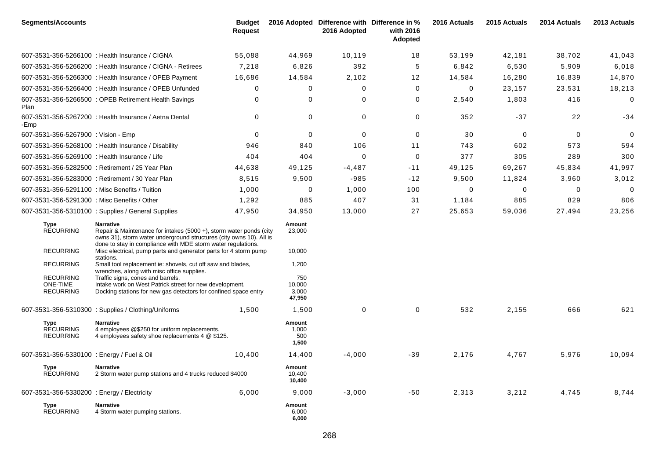| <b>Segments/Accounts</b>                                         |                                                                                                                                                                                                                                                                                                                | <b>Budget</b><br><b>Request</b> |                                     | 2016 Adopted Difference with Difference in %<br>2016 Adopted | with 2016<br>Adopted | 2016 Actuals | 2015 Actuals | 2014 Actuals | 2013 Actuals |
|------------------------------------------------------------------|----------------------------------------------------------------------------------------------------------------------------------------------------------------------------------------------------------------------------------------------------------------------------------------------------------------|---------------------------------|-------------------------------------|--------------------------------------------------------------|----------------------|--------------|--------------|--------------|--------------|
|                                                                  | 607-3531-356-5266100 : Health Insurance / CIGNA                                                                                                                                                                                                                                                                | 55,088                          | 44,969                              | 10,119                                                       | 18                   | 53,199       | 42,181       | 38,702       | 41,043       |
|                                                                  | 607-3531-356-5266200 : Health Insurance / CIGNA - Retirees                                                                                                                                                                                                                                                     | 7,218                           | 6,826                               | 392                                                          | 5                    | 6,842        | 6,530        | 5,909        | 6,018        |
|                                                                  | 607-3531-356-5266300 : Health Insurance / OPEB Payment                                                                                                                                                                                                                                                         | 16,686                          | 14,584                              | 2,102                                                        | 12                   | 14,584       | 16,280       | 16,839       | 14,870       |
|                                                                  | 607-3531-356-5266400 : Health Insurance / OPEB Unfunded                                                                                                                                                                                                                                                        | 0                               | 0                                   | 0                                                            | 0                    | 0            | 23,157       | 23,531       | 18,213       |
| Plan                                                             | 607-3531-356-5266500 : OPEB Retirement Health Savings                                                                                                                                                                                                                                                          | 0                               | 0                                   | $\Omega$                                                     | 0                    | 2,540        | 1,803        | 416          | 0            |
| -Emp                                                             | 607-3531-356-5267200 : Health Insurance / Aetna Dental                                                                                                                                                                                                                                                         | $\mathbf 0$                     | 0                                   | 0                                                            | 0                    | 352          | $-37$        | 22           | $-34$        |
| 607-3531-356-5267900 : Vision - Emp                              |                                                                                                                                                                                                                                                                                                                | 0                               | 0                                   | $\mathbf 0$                                                  | 0                    | 30           | 0            | $\mathbf 0$  | 0            |
|                                                                  | 607-3531-356-5268100 : Health Insurance / Disability                                                                                                                                                                                                                                                           | 946                             | 840                                 | 106                                                          | 11                   | 743          | 602          | 573          | 594          |
| 607-3531-356-5269100 : Health Insurance / Life                   |                                                                                                                                                                                                                                                                                                                | 404                             | 404                                 | $\Omega$                                                     | 0                    | 377          | 305          | 289          | 300          |
|                                                                  | 607-3531-356-5282500 : Retirement / 25 Year Plan                                                                                                                                                                                                                                                               | 44,638                          | 49,125                              | $-4,487$                                                     | $-11$                | 49,125       | 69,267       | 45,834       | 41,997       |
|                                                                  | 607-3531-356-5283000 : Retirement / 30 Year Plan                                                                                                                                                                                                                                                               | 8,515                           | 9,500                               | $-985$                                                       | $-12$                | 9,500        | 11,824       | 3,960        | 3,012        |
| 607-3531-356-5291100 : Misc Benefits / Tuition                   |                                                                                                                                                                                                                                                                                                                | 1,000                           | 0                                   | 1,000                                                        | 100                  | 0            | 0            | 0            | 0            |
| 607-3531-356-5291300 : Misc Benefits / Other                     |                                                                                                                                                                                                                                                                                                                | 1,292                           | 885                                 | 407                                                          | 31                   | 1,184        | 885          | 829          | 806          |
|                                                                  | 607-3531-356-5310100 : Supplies / General Supplies                                                                                                                                                                                                                                                             | 47,950                          | 34,950                              | 13,000                                                       | 27                   | 25,653       | 59,036       | 27,494       | 23,256       |
| Type<br><b>RECURRING</b><br><b>RECURRING</b><br><b>RECURRING</b> | <b>Narrative</b><br>Repair & Maintenance for intakes (5000 +), storm water ponds (city<br>owns 31), storm water underground structures (city owns 10). All is<br>done to stay in compliance with MDE storm water regulations.<br>Misc electrical, pump parts and generator parts for 4 storm pump<br>stations. |                                 | Amount<br>23,000<br>10,000<br>1,200 |                                                              |                      |              |              |              |              |
| <b>RECURRING</b><br><b>ONE-TIME</b><br><b>RECURRING</b>          | Small tool replacement ie: shovels, cut off saw and blades,<br>wrenches, along with misc office supplies.<br>Traffic signs, cones and barrels.<br>Intake work on West Patrick street for new development.<br>Docking stations for new gas detectors for confined space entry                                   |                                 | 750<br>10,000<br>3,000<br>47,950    |                                                              |                      |              |              |              |              |
|                                                                  | 607-3531-356-5310300: Supplies / Clothing/Uniforms                                                                                                                                                                                                                                                             | 1,500                           | 1,500                               | $\mathbf 0$                                                  | 0                    | 532          | 2,155        | 666          | 621          |
| Type<br><b>RECURRING</b><br><b>RECURRING</b>                     | Narrative<br>4 employees @\$250 for uniform replacements.<br>4 employees safety shoe replacements 4 @ \$125.                                                                                                                                                                                                   |                                 | Amount<br>1,000<br>500<br>1,500     |                                                              |                      |              |              |              |              |
| 607-3531-356-5330100 : Energy / Fuel & Oil                       |                                                                                                                                                                                                                                                                                                                | 10,400                          | 14,400                              | $-4,000$                                                     | -39                  | 2,176        | 4,767        | 5,976        | 10,094       |
| Type<br><b>RECURRING</b>                                         | <b>Narrative</b><br>2 Storm water pump stations and 4 trucks reduced \$4000                                                                                                                                                                                                                                    |                                 | Amount<br>10,400<br>10,400          |                                                              |                      |              |              |              |              |
| 607-3531-356-5330200 : Energy / Electricity                      |                                                                                                                                                                                                                                                                                                                | 6,000                           | 9,000                               | $-3,000$                                                     | -50                  | 2,313        | 3,212        | 4,745        | 8,744        |
| Type<br><b>RECURRING</b>                                         | <b>Narrative</b><br>4 Storm water pumping stations.                                                                                                                                                                                                                                                            |                                 | Amount<br>6,000<br>6,000            |                                                              |                      |              |              |              |              |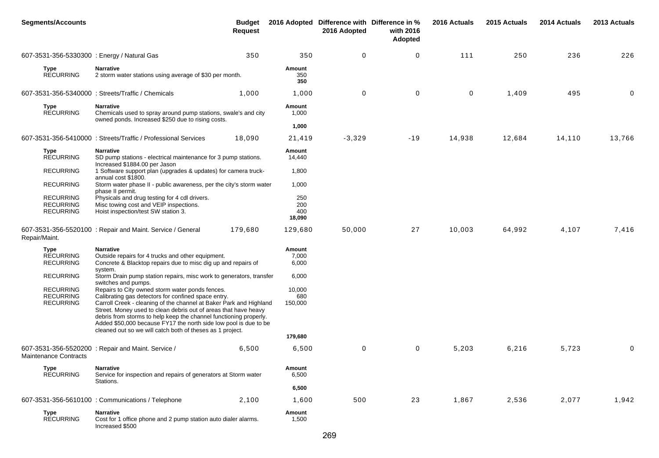| <b>Segments/Accounts</b>                                 |                                                                                                                                                                                                                                                                                                                                                                                                                                                       | <b>Budget</b><br><b>Request</b> |                                     | 2016 Adopted Difference with Difference in %<br>2016 Adopted | with 2016<br>Adopted | 2016 Actuals | 2015 Actuals | 2014 Actuals | 2013 Actuals |
|----------------------------------------------------------|-------------------------------------------------------------------------------------------------------------------------------------------------------------------------------------------------------------------------------------------------------------------------------------------------------------------------------------------------------------------------------------------------------------------------------------------------------|---------------------------------|-------------------------------------|--------------------------------------------------------------|----------------------|--------------|--------------|--------------|--------------|
| 607-3531-356-5330300 : Energy / Natural Gas              |                                                                                                                                                                                                                                                                                                                                                                                                                                                       | 350                             | 350                                 | 0                                                            | 0                    | 111          | 250          | 236          | 226          |
| Type<br><b>RECURRING</b>                                 | <b>Narrative</b><br>2 storm water stations using average of \$30 per month.                                                                                                                                                                                                                                                                                                                                                                           |                                 | Amount<br>350<br>350                |                                                              |                      |              |              |              |              |
|                                                          | 607-3531-356-5340000 : Streets/Traffic / Chemicals                                                                                                                                                                                                                                                                                                                                                                                                    | 1,000                           | 1,000                               | 0                                                            | $\mathbf 0$          | $\mathbf 0$  | 1,409        | 495          | 0            |
| <b>Type</b><br><b>RECURRING</b>                          | <b>Narrative</b><br>Chemicals used to spray around pump stations, swale's and city<br>owned ponds. Increased \$250 due to rising costs.                                                                                                                                                                                                                                                                                                               |                                 | Amount<br>1,000                     |                                                              |                      |              |              |              |              |
|                                                          |                                                                                                                                                                                                                                                                                                                                                                                                                                                       |                                 | 1,000                               |                                                              |                      |              |              |              |              |
|                                                          | 607-3531-356-5410000: Streets/Traffic / Professional Services                                                                                                                                                                                                                                                                                                                                                                                         | 18,090                          | 21,419                              | $-3,329$                                                     | $-19$                | 14,938       | 12,684       | 14,110       | 13,766       |
| Type<br><b>RECURRING</b>                                 | Narrative<br>SD pump stations - electrical maintenance for 3 pump stations.<br>Increased \$1884.00 per Jason                                                                                                                                                                                                                                                                                                                                          |                                 | Amount<br>14,440                    |                                                              |                      |              |              |              |              |
| <b>RECURRING</b>                                         | 1 Software support plan (upgrades & updates) for camera truck-<br>annual cost \$1800.                                                                                                                                                                                                                                                                                                                                                                 |                                 | 1,800                               |                                                              |                      |              |              |              |              |
| <b>RECURRING</b>                                         | Storm water phase II - public awareness, per the city's storm water<br>phase II permit.                                                                                                                                                                                                                                                                                                                                                               |                                 | 1,000                               |                                                              |                      |              |              |              |              |
| <b>RECURRING</b><br><b>RECURRING</b><br><b>RECURRING</b> | Physicals and drug testing for 4 cdl drivers.<br>Misc towing cost and VEIP inspections.<br>Hoist inspection/test SW station 3.                                                                                                                                                                                                                                                                                                                        |                                 | 250<br>200<br>400<br>18,090         |                                                              |                      |              |              |              |              |
| Repair/Maint.                                            | 607-3531-356-5520100 : Repair and Maint. Service / General                                                                                                                                                                                                                                                                                                                                                                                            | 179,680                         | 129,680                             | 50,000                                                       | 27                   | 10,003       | 64,992       | 4,107        | 7,416        |
| Type<br><b>RECURRING</b><br><b>RECURRING</b>             | <b>Narrative</b><br>Outside repairs for 4 trucks and other equipment.<br>Concrete & Blacktop repairs due to misc dig up and repairs of<br>system.                                                                                                                                                                                                                                                                                                     |                                 | Amount<br>7,000<br>6,000            |                                                              |                      |              |              |              |              |
| <b>RECURRING</b>                                         | Storm Drain pump station repairs, misc work to generators, transfer<br>switches and pumps.                                                                                                                                                                                                                                                                                                                                                            |                                 | 6,000                               |                                                              |                      |              |              |              |              |
| <b>RECURRING</b><br><b>RECURRING</b><br><b>RECURRING</b> | Repairs to City owned storm water ponds fences.<br>Calibrating gas detectors for confined space entry.<br>Carroll Creek - cleaning of the channel at Baker Park and Highland<br>Street. Money used to clean debris out of areas that have heavy<br>debris from storms to help keep the channel functioning properly.<br>Added \$50,000 because FY17 the north side low pool is due to be<br>cleaned out so we will catch both of theses as 1 project. |                                 | 10,000<br>680<br>150,000<br>179,680 |                                                              |                      |              |              |              |              |
| Maintenance Contracts                                    | 607-3531-356-5520200 : Repair and Maint. Service /                                                                                                                                                                                                                                                                                                                                                                                                    | 6,500                           | 6,500                               | 0                                                            | 0                    | 5,203        | 6,216        | 5,723        | 0            |
| <b>Type</b><br><b>RECURRING</b>                          | <b>Narrative</b><br>Service for inspection and repairs of generators at Storm water<br>Stations.                                                                                                                                                                                                                                                                                                                                                      |                                 | Amount<br>6,500                     |                                                              |                      |              |              |              |              |
|                                                          |                                                                                                                                                                                                                                                                                                                                                                                                                                                       |                                 | 6,500                               |                                                              |                      |              |              |              |              |
|                                                          | 607-3531-356-5610100 : Communications / Telephone                                                                                                                                                                                                                                                                                                                                                                                                     | 2,100                           | 1,600                               | 500                                                          | 23                   | 1,867        | 2,536        | 2,077        | 1,942        |
| <b>Type</b><br><b>RECURRING</b>                          | <b>Narrative</b><br>Cost for 1 office phone and 2 pump station auto dialer alarms.<br>Increased \$500                                                                                                                                                                                                                                                                                                                                                 |                                 | Amount<br>1,500                     |                                                              |                      |              |              |              |              |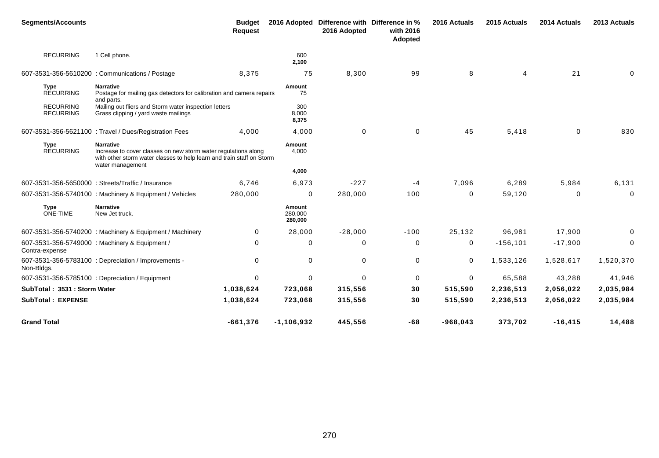| <b>Segments/Accounts</b>             |                                                                                                                                                                                 | <b>Budget</b><br><b>Request</b> |                              | 2016 Adopted Difference with Difference in %<br>2016 Adopted | with 2016<br>Adopted | 2016 Actuals | 2015 Actuals   | 2014 Actuals | 2013 Actuals |
|--------------------------------------|---------------------------------------------------------------------------------------------------------------------------------------------------------------------------------|---------------------------------|------------------------------|--------------------------------------------------------------|----------------------|--------------|----------------|--------------|--------------|
| <b>RECURRING</b>                     | 1 Cell phone.                                                                                                                                                                   |                                 | 600<br>2,100                 |                                                              |                      |              |                |              |              |
|                                      | 607-3531-356-5610200 : Communications / Postage                                                                                                                                 | 8,375                           | 75                           | 8,300                                                        | 99                   | 8            | $\overline{4}$ | 21           | 0            |
| <b>Type</b><br><b>RECURRING</b>      | <b>Narrative</b><br>Postage for mailing gas detectors for calibration and camera repairs<br>and parts.                                                                          |                                 | Amount<br>75                 |                                                              |                      |              |                |              |              |
| <b>RECURRING</b><br><b>RECURRING</b> | Mailing out fliers and Storm water inspection letters<br>Grass clipping / yard waste mailings                                                                                   |                                 | 300<br>8,000<br>8,375        |                                                              |                      |              |                |              |              |
|                                      | 607-3531-356-5621100 : Travel / Dues/Registration Fees                                                                                                                          | 4.000                           | 4,000                        | $\mathbf 0$                                                  | 0                    | 45           | 5,418          | $\mathbf 0$  | 830          |
| <b>Type</b><br><b>RECURRING</b>      | <b>Narrative</b><br>Increase to cover classes on new storm water regulations along<br>with other storm water classes to help learn and train staff on Storm<br>water management |                                 | Amount<br>4,000              |                                                              |                      |              |                |              |              |
|                                      |                                                                                                                                                                                 |                                 | 4,000                        |                                                              |                      |              |                |              |              |
|                                      | 607-3531-356-5650000: Streets/Traffic / Insurance                                                                                                                               | 6,746                           | 6,973                        | $-227$                                                       | -4                   | 7,096        | 6,289          | 5,984        | 6,131        |
|                                      | 607-3531-356-5740100 : Machinery & Equipment / Vehicles                                                                                                                         | 280,000                         | 0                            | 280,000                                                      | 100                  | $\mathbf 0$  | 59,120         | $\mathbf 0$  | $\mathbf 0$  |
| <b>Type</b><br><b>ONE-TIME</b>       | <b>Narrative</b><br>New Jet truck.                                                                                                                                              |                                 | Amount<br>280,000<br>280,000 |                                                              |                      |              |                |              |              |
|                                      | 607-3531-356-5740200 : Machinery & Equipment / Machinery                                                                                                                        | 0                               | 28,000                       | $-28,000$                                                    | $-100$               | 25,132       | 96,981         | 17,900       | 0            |
| Contra-expense                       | 607-3531-356-5749000 : Machinery & Equipment /                                                                                                                                  | $\Omega$                        | 0                            | $\Omega$                                                     | 0                    | 0            | $-156, 101$    | $-17,900$    | 0            |
| Non-Bldgs.                           | 607-3531-356-5783100 : Depreciation / Improvements -                                                                                                                            | $\mathbf 0$                     | 0                            | $\mathbf 0$                                                  | 0                    | 0            | 1,533,126      | 1,528,617    | 1,520,370    |
|                                      | 607-3531-356-5785100 : Depreciation / Equipment                                                                                                                                 | $\mathbf 0$                     | $\mathbf 0$                  | $\Omega$                                                     | $\mathbf 0$          | 0            | 65,588         | 43,288       | 41,946       |
| SubTotal: 3531: Storm Water          |                                                                                                                                                                                 | 1,038,624                       | 723,068                      | 315,556                                                      | 30                   | 515,590      | 2,236,513      | 2,056,022    | 2,035,984    |
| <b>SubTotal: EXPENSE</b>             |                                                                                                                                                                                 | 1,038,624                       | 723,068                      | 315,556                                                      | 30                   | 515,590      | 2,236,513      | 2,056,022    | 2,035,984    |
| <b>Grand Total</b>                   |                                                                                                                                                                                 | $-661,376$                      | $-1, 106, 932$               | 445,556                                                      | $-68$                | $-968,043$   | 373,702        | $-16,415$    | 14,488       |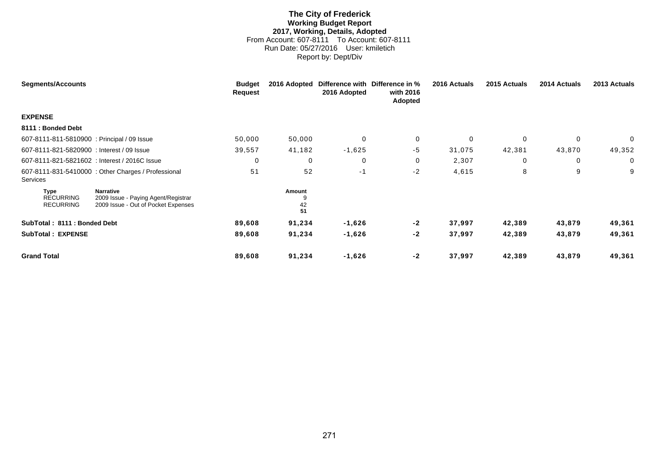# **The City of Frederick Working Budget Report 2017, Working, Details, Adopted** From Account: 607-8111 To Account: 607-8111 Run Date: 05/27/2016 User: kmiletich Report by: Dept/Div

| <b>Segments/Accounts</b>                            |                                                                                                | <b>Budget</b><br><b>Request</b> | 2016 Adopted       | 2016 Adopted | Difference with Difference in %<br>with 2016<br>Adopted | 2016 Actuals | 2015 Actuals | 2014 Actuals | 2013 Actuals |
|-----------------------------------------------------|------------------------------------------------------------------------------------------------|---------------------------------|--------------------|--------------|---------------------------------------------------------|--------------|--------------|--------------|--------------|
| <b>EXPENSE</b>                                      |                                                                                                |                                 |                    |              |                                                         |              |              |              |              |
| 8111 : Bonded Debt                                  |                                                                                                |                                 |                    |              |                                                         |              |              |              |              |
| 607-8111-811-5810900 : Principal / 09 Issue         |                                                                                                | 50,000                          | 50,000             | $\mathbf{0}$ | $\mathbf 0$                                             | $\Omega$     | 0            | $\mathbf{0}$ | $\mathbf{0}$ |
| 607-8111-821-5820900 : Interest / 09 Issue          |                                                                                                | 39,557                          | 41,182             | $-1,625$     | $-5$                                                    | 31,075       | 42,381       | 43,870       | 49,352       |
| 607-8111-821-5821602 : Interest / 2016C Issue       |                                                                                                | $\mathbf 0$                     | 0                  | $\mathbf 0$  | 0                                                       | 2,307        | 0            | $\mathbf 0$  | 0            |
| Services                                            | 607-8111-831-5410000 : Other Charges / Professional                                            | 51                              | 52                 | $-1$         | $-2$                                                    | 4,615        | 8            | 9            | 9            |
| <b>Type</b><br><b>RECURRING</b><br><b>RECURRING</b> | <b>Narrative</b><br>2009 Issue - Paying Agent/Registrar<br>2009 Issue - Out of Pocket Expenses |                                 | Amount<br>42<br>51 |              |                                                         |              |              |              |              |
| SubTotal: 8111: Bonded Debt                         |                                                                                                | 89,608                          | 91,234             | $-1,626$     | $-2$                                                    | 37,997       | 42,389       | 43,879       | 49,361       |
| <b>SubTotal: EXPENSE</b>                            |                                                                                                | 89,608                          | 91,234             | $-1,626$     | $-2$                                                    | 37,997       | 42,389       | 43,879       | 49,361       |
| <b>Grand Total</b>                                  |                                                                                                | 89,608                          | 91,234             | $-1,626$     | $-2$                                                    | 37,997       | 42,389       | 43,879       | 49,361       |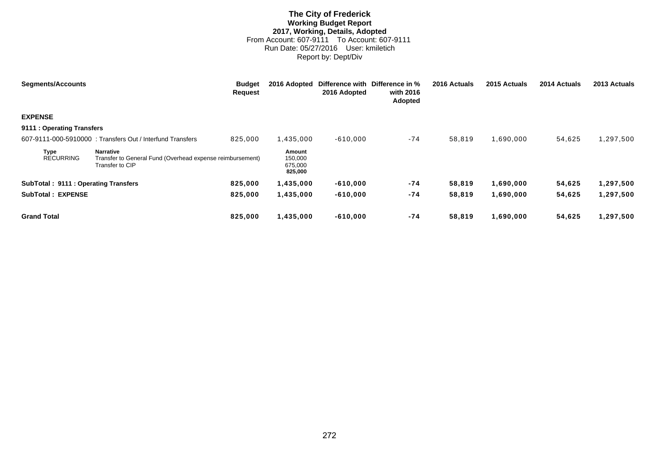# **The City of Frederick Working Budget Report 2017, Working, Details, Adopted** From Account: 607-9111 To Account: 607-9111 Run Date: 05/27/2016 User: kmiletich Report by: Dept/Div

| <b>Segments/Accounts</b>            |                                                                                                  | <b>Budget</b><br><b>Request</b> | 2016 Adopted                            | 2016 Adopted | Difference with Difference in %<br>with 2016<br>Adopted | 2016 Actuals | 2015 Actuals | 2014 Actuals | 2013 Actuals |
|-------------------------------------|--------------------------------------------------------------------------------------------------|---------------------------------|-----------------------------------------|--------------|---------------------------------------------------------|--------------|--------------|--------------|--------------|
| <b>EXPENSE</b>                      |                                                                                                  |                                 |                                         |              |                                                         |              |              |              |              |
| 9111 : Operating Transfers          |                                                                                                  |                                 |                                         |              |                                                         |              |              |              |              |
|                                     | 607-9111-000-5910000: Transfers Out / Interfund Transfers                                        | 825,000                         | 1,435,000                               | $-610,000$   | $-74$                                                   | 58,819       | 1,690,000    | 54,625       | 1,297,500    |
| <b>Type</b><br><b>RECURRING</b>     | <b>Narrative</b><br>Transfer to General Fund (Overhead expense reimbursement)<br>Transfer to CIP |                                 | Amount<br>150,000<br>675,000<br>825,000 |              |                                                         |              |              |              |              |
| SubTotal: 9111: Operating Transfers |                                                                                                  | 825,000                         | 1,435,000                               | $-610,000$   | $-74$                                                   | 58,819       | 1,690,000    | 54,625       | 1,297,500    |
| <b>SubTotal: EXPENSE</b>            |                                                                                                  | 825,000                         | 1,435,000                               | $-610,000$   | $-74$                                                   | 58,819       | 1,690,000    | 54,625       | 1,297,500    |
| <b>Grand Total</b>                  |                                                                                                  | 825.000                         | 1,435,000                               | $-610.000$   | $-74$                                                   | 58,819       | 1,690,000    | 54,625       | 1,297,500    |